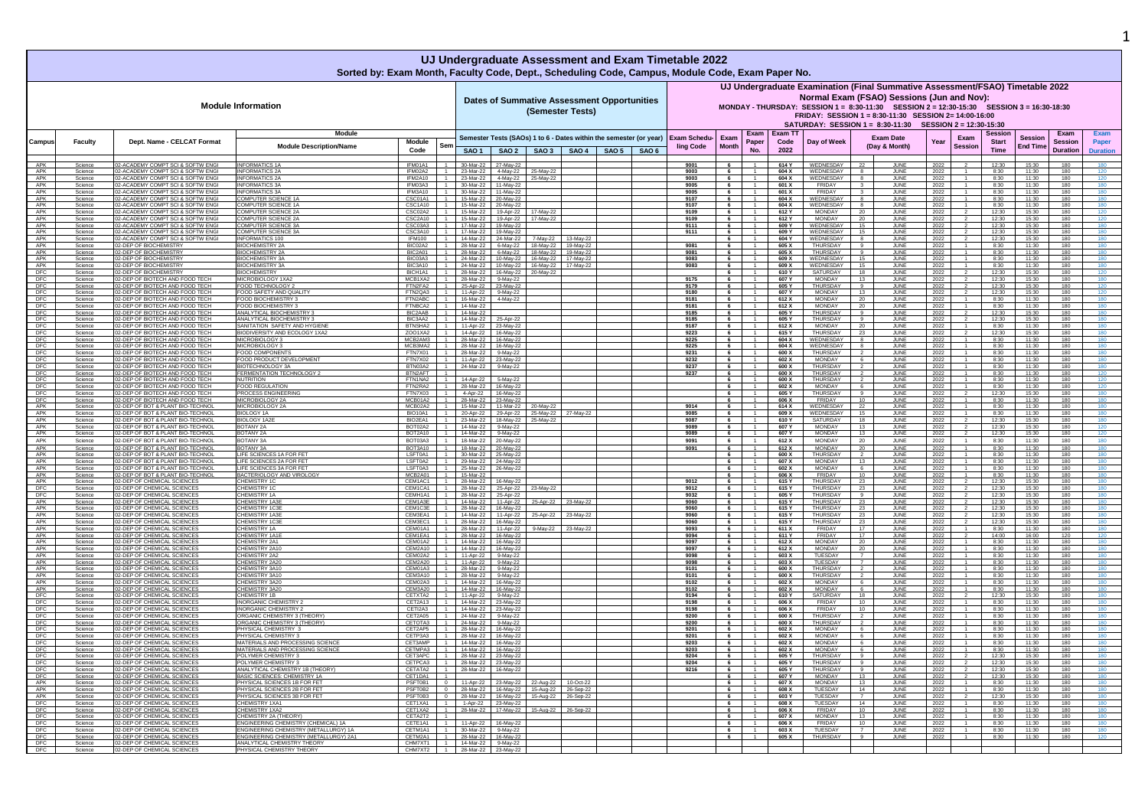|                   |                    |                                                                        |                                                                                |                                                        |           |                                              |           | UJ Undergraduate Assessment and Exam Timetable 2022<br>Sorted by: Exam Month, Faculty Code, Dept., Scheduling Code, Campus, Module Code, Exam Paper No. |                                  |                          |                                   |                        |                                                                                                                                                                                                                                                                                                                                               |                      |                                   |              |                        |                                        |                                   |                                           |                          |
|-------------------|--------------------|------------------------------------------------------------------------|--------------------------------------------------------------------------------|--------------------------------------------------------|-----------|----------------------------------------------|-----------|---------------------------------------------------------------------------------------------------------------------------------------------------------|----------------------------------|--------------------------|-----------------------------------|------------------------|-----------------------------------------------------------------------------------------------------------------------------------------------------------------------------------------------------------------------------------------------------------------------------------------------------------------------------------------------|----------------------|-----------------------------------|--------------|------------------------|----------------------------------------|-----------------------------------|-------------------------------------------|--------------------------|
|                   |                    |                                                                        | <b>Module Information</b>                                                      |                                                        |           |                                              |           | <b>Dates of Summative Assessment Opportunities</b><br>(Semester Tests)                                                                                  |                                  |                          |                                   |                        | UJ Undergraduate Examination (Final Summative Assessment/FSAO) Timetable 2022<br>Normal Exam (FSAO) Sessions (Jun and Nov):<br>MONDAY - THURSDAY: SESSION 1 = 8:30-11:30 SESSION 2 = 12:30-15:30 SESSION 3 = 16:30-18:30<br>FRIDAY: SESSION 1 = 8:30-11:30 SESSION 2= 14:00-16:00<br>SATURDAY: SESSION 1 = 8:30-11:30 SESSION 2 = 12:30-15:30 |                      |                                   |              |                        |                                        |                                   |                                           |                          |
| Campus            | Faculty            | Dept. Name - CELCAT Format                                             | Module<br><b>Module Description/Name</b>                                       | Module<br>Sen<br>Code                                  |           | SAO 1 SAO 2                                  |           | Semester Tests (SAOs) 1 to 6 - Dates within the semester (or year)<br>SAO 3   SAO 4   SAO 5   SAO 6                                                     | <b>Exam Schedu-</b><br>ling Code | Exam<br>Month            | <b>Exam</b><br>Paper<br><b>No</b> | Exam T<br>Code<br>2022 | Day of Weel                                                                                                                                                                                                                                                                                                                                   |                      | <b>Exam Date</b><br>(Day & Month) | Year         | Exam<br><b>Session</b> | Sessior<br><b>Start</b><br><b>Time</b> | <b>Session</b><br><b>End Time</b> | Exam<br><b>Session</b><br><b>Duration</b> | Paper<br><b>Duration</b> |
|                   |                    |                                                                        |                                                                                |                                                        |           |                                              |           |                                                                                                                                                         |                                  |                          |                                   |                        |                                                                                                                                                                                                                                                                                                                                               |                      |                                   |              |                        |                                        |                                   |                                           |                          |
| APK<br>APK        | Science<br>Science | 02-ACADEMY COMPT SCI & SOFTW ENGI<br>2-ACADEMY COMPT SCI & SOFTW ENGI  | <b>INFORMATICS 1A</b><br><b>INFORMATICS 2A</b>                                 | IFM01A1<br>IFM02A2                                     |           | 30-Mar-22 27-May-22<br>23-Mar-22 4-May-22    | 25-May-22 |                                                                                                                                                         | 9001<br>9003                     | 6                        |                                   | 614 Y<br>604 X         | WEDNESDAY<br>WEDNESDAY                                                                                                                                                                                                                                                                                                                        | 22                   | <b>JUNE</b><br>JUNE               | 2022<br>2022 |                        | 12:30<br>8:30                          | 15:30<br>11:30                    | 180<br>180                                |                          |
| APK               | Science            | 2-ACADEMY COMPT SCI & SOFTW ENG                                        | <b>INFORMATICS 2A</b>                                                          | IFM2A10                                                |           | 23-Mar-22 4-May-22                           | 25-May-22 |                                                                                                                                                         | 9003                             | 6                        |                                   | 604 X                  | WEDNESDAY                                                                                                                                                                                                                                                                                                                                     |                      | JUNE                              | 2022         |                        | 8:30                                   | 11:30                             | 180                                       |                          |
| APK<br>APK        | Science<br>Science | 02-ACADEMY COMPT SCI & SOFTW ENGI<br>02-ACADEMY COMPT SCI & SOFTW ENG  | <b>INFORMATICS 3A</b><br>NFORMATICS 3/                                         | IFM03A3<br>IFM3A10                                     |           | 30-Mar-22 11-May-22<br>30-Mar-22 11-May-22   |           |                                                                                                                                                         | 9005<br>9005                     | 6<br>6                   |                                   | 601 X<br>601 X         | FRIDAY<br>FRIDAY                                                                                                                                                                                                                                                                                                                              |                      | JUNE<br>JUNE                      | 2022<br>2022 |                        | 8:30<br>8:30                           | 11:30<br>11:30                    | 180<br>180                                | 180<br>180               |
| APK               | Science            | 2-ACADEMY COMPT SCI & SOFTW ENG                                        | OMPUTER SCIENCE 1/                                                             | CSC01A1                                                |           | 15-Mar-22 20-May-22                          |           |                                                                                                                                                         | 9107                             | 6                        |                                   | 604 X<br>604 X         | WEDNESDAY                                                                                                                                                                                                                                                                                                                                     |                      | JUNI                              | 2022         |                        | 8:30                                   | 11:30<br>11:30                    | 180                                       |                          |
| APK<br>APK        | Science<br>Science | 2-ACADEMY COMPT SCI & SOFTW ENG<br>02-ACADEMY COMPT SCI & SOFTW ENGI   | OMPUTER SCIENCE 1A<br>OMPUTER SCIENCE 2A                                       | CSC1A10<br>CSC02A2                                     | 15-Mar-22 | 15-Mar-22 20-May-22<br>19-Apr-22             | 17-May-22 |                                                                                                                                                         | 9107<br>9109                     | $6\overline{6}$          |                                   | 612 Y                  | WEDNESDAY<br><b>MONDAY</b>                                                                                                                                                                                                                                                                                                                    | 20                   | JUNE<br>JUNE                      | 2022<br>2022 |                        | 8:30<br>12:30                          | 15:30                             | 180<br>180                                |                          |
| APK<br>APK        | Science            | 02-ACADEMY COMPT SCI & SOFTW ENG<br>02-ACADEMY COMPT SCI & SOFTW ENG   | OMPUTER SCIENCE 2A<br>COMPUTER SCIENCE 3A                                      | CSC2A10<br>CSC03A3                                     |           | 15-Mar-22 19-Apr-22<br>17-Mar-22 19-May-22   | 17-May-22 |                                                                                                                                                         | 9109<br>9111                     | 6<br>6                   |                                   | 612 Y<br>609 Y         | MONDAY<br>WEDNESDAY                                                                                                                                                                                                                                                                                                                           | 20<br>15             | JUNE<br>JUNE                      | 2022         |                        | 12:30<br>12:30                         | 15:30<br>15:30                    | 180<br>180                                | 120<br>180               |
| APK               | Science<br>Science | 02-ACADEMY COMPT SCI & SOFTW ENGI                                      | COMPUTER SCIENCE 3A                                                            | CSC3A10<br>$\blacksquare$                              |           | 17-Mar-22   19-May-22                        |           |                                                                                                                                                         | 9111                             | 6                        |                                   | 609 Y                  | WEDNESDAY                                                                                                                                                                                                                                                                                                                                     | 15                   | JUNE                              | 2022<br>2022 |                        | 12:30                                  | 15:30                             | 180                                       | 180                      |
| APK<br>APK        | Science<br>Science | 2-ACADEMY COMPT SCI & SOFTW ENGI<br>2-DEP OF BIOCHEMISTRY              | NFORMATICS 100<br><b>IOCHEMISTRY 2A</b>                                        | IFM100<br>BIC02A2                                      |           | 14-Mar-22 24-Mar-22<br>28-Mar-22 6-May-22    |           | -May-22 13-May-22<br>18-May-22   19-May-22                                                                                                              | 9081                             | 6<br>6                   |                                   | 604 Y<br>605 X         | WEDNESDAY<br>THURSDAY                                                                                                                                                                                                                                                                                                                         |                      | JUNE<br>JUN                       | 2022<br>2022 |                        | 12:30<br>8:30                          | 15:30<br>11:30                    | 180<br>180                                | 180                      |
| APK               | Science            | 2-DEP OF BIOCHEMISTRY                                                  | <b>BIOCHEMISTRY 2A</b>                                                         | BIC2A01                                                |           | 28-Mar-22 6-May-22                           |           | 18-May-22 19-May-22                                                                                                                                     | 9081                             | 6                        |                                   | 605 X                  | THURSDAY                                                                                                                                                                                                                                                                                                                                      | $\alpha$             | JUNE                              | 2022         |                        | 8:30                                   | 11:30                             | 180                                       | 180                      |
| APK<br>APK        | Science<br>Science | 02-DEP OF BIOCHEMISTRY<br>12-DEP OF BIOCHEMISTRY                       | <b>BIOCHEMISTRY 3A</b><br><b>BIOCHEMISTRY 3A</b>                               | BIC03A3<br>BIC3A10                                     |           | 24-Mar-22 10-May-22<br>24-Mar-22 10-May-22   |           | 16-May-22 17-May-22<br>16-May-22 17-May-22                                                                                                              | 9083<br>9083                     | 6                        |                                   | 609 X<br>609 X         | WEDNESDAY<br>WEDNESDAY                                                                                                                                                                                                                                                                                                                        | 15<br>15             | JUNE<br>JUNE                      | 2022<br>2022 |                        | 8:30<br>8:30                           | 11:30<br>11:30                    | 180<br>180                                | 180<br>180               |
| <b>DFC</b>        | Science            | <b>02-DEP OF BIOCHEMISTRY</b>                                          | <b>BIOCHEMISTRY</b>                                                            | BICH1A1                                                |           | 28-Mar-22 16-May-22                          | 20-May-22 |                                                                                                                                                         |                                  | 6                        |                                   | 610 Y                  | SATURDAY                                                                                                                                                                                                                                                                                                                                      | 18                   | JUNE                              | 2022         |                        | 12:30                                  | 15:30                             | 180                                       | 120                      |
| DFC<br>DFC        | Science<br>Science | 2-DEP OF BIOTECH AND FOOD TECH<br>02-DEP OF BIOTECH AND FOOD TECH      | MICROBIOLOGY 1XA2<br>FOOD TECHNOLOGY 2                                         | MCB1XA2<br>FTN2FA2                                     |           | 28-Mar-22 9-May-22<br>25-Apr-22 23-May-22    |           |                                                                                                                                                         | 9175<br>9179                     | 6<br>6                   |                                   | 607 Y<br>605 Y         | <b>MONDAY</b><br><b>THURSDAY</b>                                                                                                                                                                                                                                                                                                              | 13<br>9              | JUNE<br>JUNE                      | 2022<br>2022 |                        | 12:30<br>12:30                         | 15:30<br>15:30                    | 180<br>180                                | 180<br>120               |
| DFC               | Science            | 02-DEP OF BIOTECH AND FOOD TECH                                        | OOD SAFETY AND QUALIT                                                          | FTN2QA3                                                |           | 11-Apr-22 9-May-22                           |           |                                                                                                                                                         | 9180                             | 6                        |                                   | 607 Y                  | <b>MONDAY</b>                                                                                                                                                                                                                                                                                                                                 | 13                   | JUNE                              | 2022         |                        | 12:30                                  | 15:30                             | 180                                       | 120                      |
| DFC<br>DFC        | Science<br>Science | 2-DEP OF BIOTECH AND FOOD TECH<br>2-DEP OF BIOTECH AND FOOD TECH       | FOOD BIOCHEMISTRY 3<br><b>COOD BIOCHEMISTRY:</b>                               | FTN2ABC<br>FTNBCA2                                     | 14-Mar-22 | 16-Mar-22 4-May-22                           |           |                                                                                                                                                         | 9181<br>9181                     | 6<br>6                   |                                   | 612 X<br>612 X         | <b>MONDAY</b><br>MONDAY                                                                                                                                                                                                                                                                                                                       | 20<br>20             | JUNE<br>JUNI                      | 2022<br>2022 |                        | 8:30<br>8:30                           | 11:30<br>11:30                    | 180<br>180                                | 180<br>180               |
| DFC               | Science            | 2-DEP OF BIOTECH AND FOOD TECH                                         | ANALYTICAL BIOCHEMISTRY :                                                      | BIC2AAB                                                | 14-Mar-22 |                                              |           |                                                                                                                                                         | 9185                             | 6                        |                                   | 605 Y                  | THURSDAY                                                                                                                                                                                                                                                                                                                                      |                      | JUNE                              | 2022         |                        | 12:30                                  | 15:30                             | 180                                       | 180                      |
| DFC<br><b>DFC</b> | Science<br>Science | 2-DEP OF BIOTECH AND FOOD TECH<br>02-DEP OF BIOTECH AND FOOD TECH      | ANAI YTICAL BIOCHEMISTRY 3<br>SANITATION SAFETY AND HYGIENI                    | BIC3AA2<br>BTNSHA2                                     |           | 14-Mar-22 25-Apr-22<br>11-Apr-22 23-May-22   |           |                                                                                                                                                         | 9185<br>9187                     | 6<br>6                   |                                   | 605 Y<br>612 X         | THURSDAY<br>MONDAY                                                                                                                                                                                                                                                                                                                            | -9<br>20             | JUNE<br>JUNE                      | 2022<br>2022 |                        | 12:30<br>8:30                          | 15:30<br>11:30                    | 180<br>180                                | 180<br>180               |
| DFC               | Science            | 02-DEP OF BIOTECH AND FOOD TECH                                        | BIODIVERSITY AND ECOLOGY 1XA2                                                  | ZO01XA2                                                |           | 14-Apr-22 16-May-22                          |           |                                                                                                                                                         | 9223                             | 6                        |                                   | 615 Y                  | <b>THURSDAY</b>                                                                                                                                                                                                                                                                                                                               | 23                   | JUNE                              | 2022         |                        | 12:30                                  | 15:30                             | 180                                       | 180                      |
| DFC               | Science<br>Science | 12-DEP OF BIOTECH AND FOOD TECH<br>2-DEP OF BIOTECH AND FOOD TECH      | MICROBIOLOGY 3<br>MICROBIOLOGY 3                                               | MCB2AM3<br>MCB3MA2                                     |           | 28-Mar-22 16-May-22<br>28-Mar-22 16-May-22   |           |                                                                                                                                                         | 9225<br>9225                     | 6                        |                                   | 604 X<br>604 X         | WEDNESDAY<br>WEDNESDAY                                                                                                                                                                                                                                                                                                                        |                      | JUNE<br>JUNE                      | 2022<br>2022 |                        | 8:30<br>8:30                           | 11:30<br>11:30                    | 180<br>180                                | 180<br>180               |
| $\frac{DFC}{DFC}$ | Science            | 02-DEP OF BIOTECH AND FOOD TECH                                        | FOOD COMPONENT                                                                 | FTN7X01                                                |           | 28-Mar-22 9-May-22                           |           |                                                                                                                                                         | 9231                             | 6                        |                                   | 600 X                  | THURSDAY                                                                                                                                                                                                                                                                                                                                      |                      | JUNE                              | 2022         |                        | 8:30                                   | 11:30                             | 180                                       | 180                      |
| <b>DFC</b><br>DFC | Science<br>Science | 02-DEP OF BIOTECH AND FOOD TECH<br>02-DEP OF BIOTECH AND FOOD TECH     | OOD PRODUCT DEVELOPMENT<br>BIOTECHNOLOGY 3A                                    | FTN7X02<br>BTN03A2                                     |           | 11-Apr-22 23-May-22<br>24-Mar-22 9-May-22    |           |                                                                                                                                                         | 9232<br>9237                     | 6<br>6                   |                                   | 602 X<br>600 X         | <b>MONDAY</b><br>THURSDAY                                                                                                                                                                                                                                                                                                                     |                      | JUNE<br>JUNE                      | 2022<br>2022 |                        | 8:30<br>8:30                           | 11:30<br>11:30                    | 180<br>180                                | 180<br>180               |
| <b>DFC</b>        | Science            | 02-DEP OF BIOTECH AND FOOD TECH                                        | FERMENTATION TECHNOLOGY 2                                                      | BTN2AFT<br>$\overline{1}$                              |           |                                              |           |                                                                                                                                                         | 9237                             | 6                        |                                   | 600 X                  | THURSDAY                                                                                                                                                                                                                                                                                                                                      |                      | JUNE                              | 2022         |                        | 8:30                                   | 11:30                             | 180                                       | 120                      |
| DFC<br>DFC        | Science<br>Science | 02-DEP OF BIOTECH AND FOOD TECH<br>-DEP OF BIOTECH AND FOOD TECH       | <b>NUTRITION</b><br><b>OOD REGULATIO</b>                                       | FTN1NA2<br>FTN2RA2                                     |           | 14-Apr-22 5-May-22<br>28-Mar-22 16-May-22    |           |                                                                                                                                                         |                                  | 6<br>6                   |                                   | 600 X<br>602 X         | <b>THURSDAY</b><br><b>MONDAY</b>                                                                                                                                                                                                                                                                                                              |                      | JUNE<br><b>JUN</b>                | 2022<br>2022 |                        | 8:30<br>8:30                           | 11:30<br>11:30                    | 180<br>180                                | 120                      |
| DFC               | Science            | 2-DEP OF BIOTECH AND FOOD TECH                                         | ROCESS ENGINEERIN                                                              | FTN7X03                                                |           | 4-Apr-22 16-May-22                           |           |                                                                                                                                                         |                                  | 6                        |                                   | 605 Y                  | <b>THURSDAY</b>                                                                                                                                                                                                                                                                                                                               |                      | JUNE                              | 2022         |                        | 12:30                                  | 15:30                             | 180                                       |                          |
| DFC<br>APK        | Science<br>Science | 02-DEP OF BIOTECH AND FOOD TECH<br>02-DEP OF BOT & PLANT BIO-TECHNOL   | MICROBIOLOGY 2A<br>MICROBIOLOGY 2A                                             | MCB01A2<br>$\overline{1}$<br>MCB02A2                   |           | 28-Mar-22 23-May-22<br>15-Mar-22 11-Mar-22   | 20-May-22 |                                                                                                                                                         | 9014                             | 6 <sup>6</sup><br>6      | $\overline{1}$                    | 606 X<br>614 X         | FRIDAY<br>WEDNESDAY                                                                                                                                                                                                                                                                                                                           | 10<br>22             | JUNE<br>JUNE                      | 2022<br>2022 |                        | 8:30<br>8:30                           | 11:30<br>11:30                    | 180<br>180                                | 180<br>180               |
| APK               | Science            | 02-DEP OF BOT & PLANT BIO-TECHNOL                                      | <b>BIOLOGY 1A</b>                                                              | BIO10A1                                                |           | 20-Apr-22 29-Apr-22                          |           | 25-May-22 27-May-22                                                                                                                                     | 9085                             | 6                        |                                   | 609 X                  | WEDNESDAY                                                                                                                                                                                                                                                                                                                                     | 15                   | JUNE                              | 2022         |                        | 8:30                                   | 11:30                             | 180                                       | 180                      |
| APK<br>APK        | Science            | 02-DEP OF BOT & PLANT BIO-TECHNOL<br>02-DEP OF BOT & PLANT BIO-TECHNOL | <b>BIOLOGY 1A2E</b><br><b>BOTANY 2A</b>                                        | BIO2EA1<br>$\overline{1}$<br>BOT02A2                   |           | 23-Mar-22 18-May-22<br>14-Mar-22 9-May-22    | 25-May-22 |                                                                                                                                                         | 9087                             | 6                        |                                   | 610 Y<br>607 Y         | SATURDAY<br><b>MONDAY</b>                                                                                                                                                                                                                                                                                                                     | 18<br>13             | JUNE<br>JUNE                      | 2022         |                        | 12:30<br>12:30                         | 15:30<br>15:30                    | 180<br>180                                | 180<br>120               |
| APK               | Science<br>Science | 02-DEP OF BOT & PLANT BIO-TECHNOL                                      | BOTANY 2A                                                                      | BOT2A10                                                |           | 14-Mar-22 9-May-22                           |           |                                                                                                                                                         | 9089<br>9089                     | 6<br>6                   |                                   | 607 Y                  | MONDAY                                                                                                                                                                                                                                                                                                                                        | 13                   | JUNE                              | 2022<br>2022 |                        | 12:30                                  | 15:30                             | 180                                       | 120                      |
| APK               | Science            | 02-DEP OF BOT & PLANT BIO-TECHNOL                                      | BOTANY 3A                                                                      | BOT03A3                                                |           | 18-Mar-22 20-May-22                          |           |                                                                                                                                                         | 9091                             | 6                        |                                   | 612 X                  | <b>MONDAY</b>                                                                                                                                                                                                                                                                                                                                 | 20                   | JUNE                              | 2022         |                        | 8:30                                   | 11:30                             | 180                                       | 180                      |
| APK<br>APK        | Science<br>Science | 12-DEP OF BOT & PLANT BIO-TECHNO<br>02-DEP OF BOT & PLANT BIO-TECHNOL  | OTANY <sub>3</sub> A<br>IFE SCIENCES 1A FOR FE                                 | BOT3A10<br>LSFT0A1                                     | 18-Mar-22 | 20-May-22<br>30-Mar-22 25-May-22             |           |                                                                                                                                                         | 9091                             | 6<br>6                   |                                   | 612 X<br>600 X         | <b>MONDAY</b><br><b>THURSDAY</b>                                                                                                                                                                                                                                                                                                              | 20<br>$\overline{2}$ | JUN<br><b>JUNE</b>                | 2022<br>2022 |                        | 8:30<br>8:30                           | 11:30<br>11:30                    | 180<br>180                                | 180                      |
| APK               | Science            | 02-DEP OF BOT & PLANT BIO-TECHNOL                                      | <b>IFE SCIENCES 2A FOR FET</b>                                                 | LSFT0A2                                                |           | 29-Mar-22 24-May-22                          |           |                                                                                                                                                         |                                  | 6                        |                                   | 607 X                  | MONDAY                                                                                                                                                                                                                                                                                                                                        | 13                   | JUNE                              | 2022         |                        | 8:30                                   | 11:30                             | 180                                       |                          |
| APK<br>APK        | Science<br>Science | 2-DEP OF BOT & PLANT BIO-TECHNOL<br>02-DEP OF BOT & PLANT BIO-TECHNO   | <b>IFE SCIENCES 3A FOR FET</b><br>BACTERIOLOGY AND VIROLOG                     | LSFT0A3<br>MCB2A01<br>$\overline{1}$                   | 15-Mar-22 | 25-Mar-22 26-May-22                          |           |                                                                                                                                                         |                                  | 6<br>6                   |                                   | 602 X<br>606 X         | <b>MONDAY</b><br>FRIDAY                                                                                                                                                                                                                                                                                                                       | 6<br>10              | JUNE<br>JUNE                      | 2022<br>2022 |                        | 8:30<br>8:30                           | 11:30<br>11:30                    | 180<br>180                                | 180                      |
| APK               | Science            | 02-DEP OF CHEMICAL SCIENCES                                            | <b>HEMISTRY 10</b>                                                             | CEM1AC1<br>$^{\circ}$                                  |           | 28-Mar-22 16-May-22                          |           |                                                                                                                                                         | 9012                             | 6                        |                                   | 615 Y                  | THURSDAY                                                                                                                                                                                                                                                                                                                                      | 23                   | JUNE                              | 2022         |                        | 12:30                                  | 15:30                             | 180                                       | 180                      |
| DFC               | Science<br>Science | 02-DEP OF CHEMICAL SCIENCES<br>02-DEP OF CHEMICAL SCIENCES             | <b>HEMISTRY 10</b><br><b>HEMISTRY 1A</b>                                       | CEM1CA1<br>CEMH1A1                                     |           | 28-Mar-22 25-Apr-22<br>28-Mar-22 25-Apr-22   | 23-May-22 |                                                                                                                                                         | 9012<br>9032                     | 6<br>6                   |                                   | 615 Y<br>605 Y         | THURSDAY<br><b>THURSDAY</b>                                                                                                                                                                                                                                                                                                                   | 23                   | JUNE<br>JUNI                      | 2022<br>2022 |                        | 12:30<br>12:30                         | 15:30<br>15:30                    | 180<br>180                                | 180<br>180               |
| APK               | Science            | 02-DEP OF CHEMICAL SCIENCES                                            | CHEMISTRY 1A3<br>CHEMISTRY 1C3                                                 | CEM1A3E<br>CEM1C3E                                     |           | 14-Mar-22 11-Apr-22                          |           | 25-Apr-22 23-May-22                                                                                                                                     | 9060<br>9060                     | $\overline{\phantom{a}}$ |                                   | 615                    | <b>THURSDAY</b><br>THURSDAY                                                                                                                                                                                                                                                                                                                   | 23                   | JUNE                              | 2022         |                        | 12:30                                  | 15:30                             | 180                                       | 180                      |
| APK<br>APK        | Science<br>Science | 02-DEP OF CHEMICAL SCIENCES<br>2-DEP OF CHEMICAL SCIENCES              | <b>HEMISTRY 1A3E</b>                                                           | CEM3EA1<br>$-1$                                        |           | 28-Mar-22 16-May-22<br>14-Mar-22 11-Apr-22   | 25-Apr-22 | 23-May-22                                                                                                                                               | 9060                             | 6                        |                                   | 615 Y<br>615 Y         | THURSDAY                                                                                                                                                                                                                                                                                                                                      | 23<br>23             | <b>JUNE</b><br>JUNE               | 2022<br>2022 |                        | 12:30<br>12:30                         | 15:30<br>15:30                    | 180<br>180                                | 180                      |
| APK               | Science            | <b>02-DEP OF CHEMICAL SCIENCES</b>                                     | <b>CHEMISTRY 1C3E</b>                                                          | CEM3EC1                                                |           | 28-Mar-22 16-May-22                          |           |                                                                                                                                                         | 9060                             | 6                        |                                   | 615 Y                  | THURSDAY                                                                                                                                                                                                                                                                                                                                      | 23                   | JUNE                              | 2022         |                        | 12:30                                  | 15:30                             | 180                                       | 180                      |
| APK<br>APK        | Science<br>Science | 2-DEP OF CHEMICAL SCIENCE<br>02-DEP OF CHEMICAL SCIENCES               | <b>HEMISTRY 1A</b><br>CHEMISTRY 1A1                                            | CEM01A1<br>CEM1EA1                                     |           | 28-Mar-22 11-Apr-22<br>28-Mar-22 16-May-22   | 9-May-22  | 23-May-22                                                                                                                                               | 9093<br>9094                     | 6                        |                                   | 611 X<br>611 Y         | <b>FRIDAY</b><br>FRIDAY                                                                                                                                                                                                                                                                                                                       | 17<br>17             | JUNI<br>JUNE                      | 2022<br>2022 |                        | 8:30<br>14:00                          | 11:30<br>16:00                    | 180<br>120                                | 120                      |
| APK               | Science            | 02-DEP OF CHEMICAL SCIENCES<br>02-DEP OF CHEMICAL SCIENCES             | CHEMISTRY 2A1<br><b>CHEMISTRY 2A1</b>                                          | CEM01A2<br>$\blacksquare$<br>CEM2A10                   |           | 14-Mar-22 16-May-22                          |           |                                                                                                                                                         | 9097<br>9097                     | 6<br>6                   |                                   | 612 X<br>612 X         | MONDAY<br><b>MONDAY</b>                                                                                                                                                                                                                                                                                                                       | 20                   | JUNE                              | 2022         |                        | 8:30                                   | 11:30                             | 180                                       | 180                      |
| APK<br>APK        | Science<br>Science | -DEP OF CHEMICAL SCIENCES                                              | <b>HEMISTRY 2A2</b>                                                            | CEM02A2                                                | 11-Apr-22 | 14-Mar-22 16-May-22<br>9-May-22              |           |                                                                                                                                                         | 9098                             | 6                        |                                   | 603 X                  | TUESDAY                                                                                                                                                                                                                                                                                                                                       | 20                   | JUNE<br>JUN                       | 2022<br>2022 |                        | 8:30<br>8:30                           | 11:30<br>11:30                    | 180<br>180                                | 180                      |
| APK<br>APK        | Science            | 2-DEP OF CHEMICAL SCIENCE<br><b>02-DEP OF CHEMICAL SCIENCES</b>        | HEMISTRY 2A20<br><b>CHEMISTRY 3410</b>                                         | CEM2A20<br>CEM01A3                                     |           | 11-Apr-22 9-May-22                           |           |                                                                                                                                                         | 9098                             |                          |                                   | 603 X                  | TUESDAY<br>THURSDAY                                                                                                                                                                                                                                                                                                                           |                      | JUNE                              | 2022         |                        | 8:30                                   | 11:30<br>11:30                    | 180<br>180                                | 180                      |
| APK               | Science<br>Science | 2-DEP OF CHEMICAL SCIENCES                                             | <b>HEMISTRY 3A10</b>                                                           | CEM3A10                                                |           | 28-Mar-22 9-May-22<br>28-Mar-22 9-May-22     |           |                                                                                                                                                         | 9101<br>9101                     | 6<br>6                   |                                   | 600 X<br>600 X         | <b>THURSDAY</b>                                                                                                                                                                                                                                                                                                                               |                      | JUNE<br>JUNI                      | 2022<br>2022 |                        | 8:30<br>8:30                           | 11:30                             | 180                                       |                          |
| APK               | Science            | 02-DEP OF CHEMICAL SCIENCES                                            | CHEMISTRY 3A20                                                                 | CEM02A3 1                                              |           | 14-Mar-22 16-May-22                          |           |                                                                                                                                                         | 9102                             | 6 <sup>6</sup>           |                                   | 602 X                  | MONDAY                                                                                                                                                                                                                                                                                                                                        | 6                    | JUNE                              | 2022         |                        | 8:30                                   | 11:30                             | 180                                       | 180                      |
| APK<br>DFC        | Science<br>Science | 02-DEP OF CHEMICAL SCIENCES<br><b>02-DEP OF CHEMICAL SCIENCES</b>      | CHEMISTRY 3A20<br><b>HEMISTRY 1E</b>                                           | CEM3A20 1<br>CETXTA2                                   |           | 14-Mar-22 16-May-22<br>11-Apr-22 9-May-22    |           |                                                                                                                                                         | 9102<br>9194                     | 6<br>6                   |                                   | 602 X<br>610 Y         | <b>MONDAY</b><br>SATURDAY                                                                                                                                                                                                                                                                                                                     | 6<br>18              | JUNE<br>JUNE                      | 2022<br>2022 |                        | 8:30<br>12:30                          | 11:30<br>15:30                    | 180<br>180                                | 180<br>180               |
| DFC               | Science            | 2-DEP OF CHEMICAL SCIENCES                                             | NORGANIC CHEMISTRY 2                                                           | CET2A13<br>$-1$                                        |           | 14-Mar-22 23-May-22                          |           |                                                                                                                                                         | 9198                             | 6                        |                                   | 606 X                  | FRIDAY<br>FRIDAY                                                                                                                                                                                                                                                                                                                              | 10<br>10             | JUN                               | 2022         |                        | 8:30                                   | 11:30<br>11:30                    | 180<br>180                                |                          |
| DFC<br>DFC        | Science<br>Science | 02-DEP OF CHEMICAL SCIENCES<br>2-DEP OF CHEMICAL SCIENCES              | <b>INORGANIC CHEMISTRY 2</b><br>ORGANIC CHEMISTRY 3 (THEORY)                   | CETI2A3<br>CET2A05<br>$-1$                             |           | 14-Mar-22 23-May-22<br>24-Mar-22 9-May-22    |           |                                                                                                                                                         | 9198<br>9200                     | 6<br>$6\overline{6}$     | $-1$                              | 606 X<br>600 X         | <b>THURSDAY</b>                                                                                                                                                                                                                                                                                                                               | $\overline{2}$       | JUNE<br>JUNE                      | 2022<br>2022 |                        | 8:30<br>8:30                           | 11:30                             | 180                                       | 180<br>180               |
| DFC               | Science            | 2-DEP OF CHEMICAL SCIENCES                                             | ORGANIC CHEMISTRY 3 (THEORY)                                                   | CETOTA3                                                |           | 24-Mar-22 9-May-22                           |           |                                                                                                                                                         | 9200                             | 6                        |                                   | 600 X                  | THURSDAY                                                                                                                                                                                                                                                                                                                                      |                      | JUNE                              | 2022         |                        | 8:30                                   | 11:30                             | 180                                       | 180                      |
| <b>DFC</b><br>DFC | Science<br>Science | 02-DEP OF CHEMICAL SCIENCES<br>02-DEP OF CHEMICAL SCIENCE              | PHYSICAL CHEMISTRY 3<br>PHYSICAL CHEMISTRY 3                                   | CET2AP5<br>$\overline{1}$<br>CETP3A3<br>$\overline{1}$ |           | 28-Mar-22 16-May-22<br>28-Mar-22 16-May-22   |           |                                                                                                                                                         | 9201<br>9201                     | 6<br>6                   |                                   | 602 X<br>602 X         | MONDAY<br><b>MONDAY</b>                                                                                                                                                                                                                                                                                                                       | 6                    | JUNE<br>JUNI                      | 2022<br>2022 |                        | 8:30<br>8:30                           | 11:30<br>11:30                    | 180<br>180                                | 180<br>180               |
| DFC               | Science            | 02-DEP OF CHEMICAL SCIENCES                                            | MATERIALS AND PROCESSING SCIENCE                                               | CET3AMP                                                |           | 14-Mar-22   16-May-22                        |           |                                                                                                                                                         | 9203                             | 6                        |                                   | 602 X                  | MONDAY                                                                                                                                                                                                                                                                                                                                        | - 6                  | JUNE                              | 2022         |                        | 8:30                                   | 11:30                             | 180                                       | 180                      |
| DFC<br>DFC        | Science<br>Science | 02-DEP OF CHEMICAL SCIENCES<br>02-DEP OF CHEMICAL SCIENCES             | MATERIALS AND PROCESSING SCIENC<br>POLYMER CHEMISTRY 3                         | CETMPA3 1<br>CET3APC 1                                 |           | 14-Mar-22   16-May-22<br>28-Mar-22 23-May-22 |           |                                                                                                                                                         | 9203<br>9204                     | 6<br>6                   |                                   | 602 X<br>605 Y         | <b>MONDAY</b><br>THURSDAY                                                                                                                                                                                                                                                                                                                     | 6<br>$\alpha$        | JUNE<br>JUNE                      | 2022<br>2022 |                        | 8:30<br>12:30                          | 11:30<br>15:30                    | 180<br>180                                | 180<br>180               |
| DFC               | Science            | <b>2-DEP OF CHEMICAL SCIENCES</b>                                      | POLYMER CHEMISTRY 3                                                            | CETPCA3                                                |           | 28-Mar-22 23-May-22                          |           |                                                                                                                                                         | 9204                             | 6                        |                                   | 605 Y                  | THURSDAY                                                                                                                                                                                                                                                                                                                                      | $\mathbf{a}$         | JUNI                              | 2022         |                        | 12:30                                  | 15:30                             | 180                                       | 180                      |
| DFC<br>DFC        | Science<br>Science | 2-DEP OF CHEMICAL SCIENCES<br>2-DEP OF CHEMICAL SCIENCES               | <b>ANALYTICAL CHEMISTRY 1B (THEORY)</b><br><b>BASIC SCIENCES: CHEMISTRY 1A</b> | CETATA2<br>CET1DA1                                     |           | 28-Mar-22 16-May-22                          |           |                                                                                                                                                         | 9216                             | 6<br>6                   |                                   | 605 Y<br>607 Y         | THURSDAY<br>MONDAY                                                                                                                                                                                                                                                                                                                            | 13                   | JUNE<br>JUNE                      | 2022<br>2022 |                        | 12:30<br>12:30                         | 15:30<br>15:30                    | 180<br>180                                | 180                      |
| APK               | Science            | <b>02-DEP OF CHEMICAL SCIENCES</b>                                     | PHYSICAL SCIENCES 1B FOR FET                                                   | PSFT0B1<br>- 0                                         |           | 11-Apr-22 23-May-22                          |           | 22-Aug-22 10-Oct-22                                                                                                                                     |                                  | 6                        |                                   | 607 X                  | <b>MONDAY</b>                                                                                                                                                                                                                                                                                                                                 | 13                   | JUNE                              | 2022         |                        | 8:30                                   | 11:30                             | 180                                       | 180                      |
| APK<br>APK        | Science<br>Science | 02-DEP OF CHEMICAL SCIENCES<br>12-DEP OF CHEMICAL SCIENCES             | PHYSICAL SCIENCES 2B FOR FE'<br>PHYSICAL SCIENCES 3B FOR FET                   | PSFT0B2<br>PSFT0B3                                     |           | 28-Mar-22 16-May-22<br>28-Mar-22 16-May-22   |           | 15-Aug-22 26-Sep-22<br>15-Aug-22 26-Sep-22                                                                                                              |                                  | 6<br>6                   |                                   | 608 X<br>603 Y         | TUESDAY<br>TUESDAY                                                                                                                                                                                                                                                                                                                            | 14                   | JUNE<br>JUNI                      | 2022<br>2022 |                        | 8:30<br>12:30                          | 11:30<br>15:30                    | 180<br>180                                | 180<br>180               |
| DFC<br>DFC        | Science            | 2-DEP OF CHEMICAL SCIENCE<br>02-DEP OF CHEMICAL SCIENCES               | <b>CHEMISTRY 1XA1</b><br>CHEMISTRY 1XA2                                        | CET1XA1<br>CET1XA2                                     |           | 1-Apr-22 23-May-22                           |           |                                                                                                                                                         |                                  | 6                        |                                   | 608 X<br>606 X         | TUESDAY<br><b>FRIDAY</b>                                                                                                                                                                                                                                                                                                                      | 14<br>10             | <b>JUNE</b><br>JUNE               | 2022         |                        | 8:30<br>8:30                           | 11:30<br>11:30                    | 180<br>180                                | 180<br>180               |
| <b>DFC</b>        | Science<br>Science | 02-DEP OF CHEMICAL SCIENCES                                            | CHEMISTRY 2A (THEORY)                                                          | CETA2T2                                                |           | 28-Mar-22 17-May-22                          |           | 15-Aug-22 26-Sep-22                                                                                                                                     |                                  | - 6                      |                                   | 607 X                  | <b>MONDAY</b>                                                                                                                                                                                                                                                                                                                                 | 13                   | JUNE                              | 2022<br>2022 |                        | 8:30                                   | 11:30                             | 180                                       |                          |
| DFC<br>DFC        | Science<br>Science | 02-DEP OF CHEMICAL SCIENCES<br>02-DEP OF CHEMICAL SCIENCES             | ENGINEERING CHEMISTRY (CHEMICAL) 1A<br>ENGINEERING CHEMISTRY (METALLURGY) 1A   | CETE1A1<br>CFTM1A1 1                                   |           | 11-Apr-22 16-May-22<br>30-Mar-22 9-May-22    |           |                                                                                                                                                         |                                  | 6<br>6                   |                                   | 606 X<br>603 X         | FRIDAY<br>TUESDAY                                                                                                                                                                                                                                                                                                                             | 10                   | JUNE<br>JUNE                      | 2022<br>2022 |                        | 8:30<br>8:30                           | $\frac{11:30}{11:30}$             | $\frac{180}{180}$                         | $\frac{180}{180}$        |
| DFC               | Science            | 02-DEP OF CHEMICAL SCIENCES                                            | ENGINEERING CHEMISTRY (METALLURGY) 2A1                                         | CETM2A1 1                                              |           | 28-Mar-22 16-May-22                          |           |                                                                                                                                                         |                                  | 6                        |                                   | 605 X                  | <b>THURSDAY</b>                                                                                                                                                                                                                                                                                                                               | 9                    | JUNE                              | 2022         |                        | 8:30                                   | 11:30                             | 180                                       |                          |
| DFC<br><b>DFC</b> | Science<br>Science | 02-DEP OF CHEMICAL SCIENCES<br>02-DEP OF CHEMICAL SCIENCES             | <b>NALYTICAL CHEMISTRY THEORY</b><br>PHYSICAL CHEMISTRY THEORY                 | CHM7XT1 1<br>CHM7XT2 1                                 | 28-Mar-22 | 14-Mar-22 9-May-22<br>23-May-22              |           |                                                                                                                                                         |                                  |                          |                                   |                        |                                                                                                                                                                                                                                                                                                                                               |                      |                                   |              |                        |                                        |                                   |                                           |                          |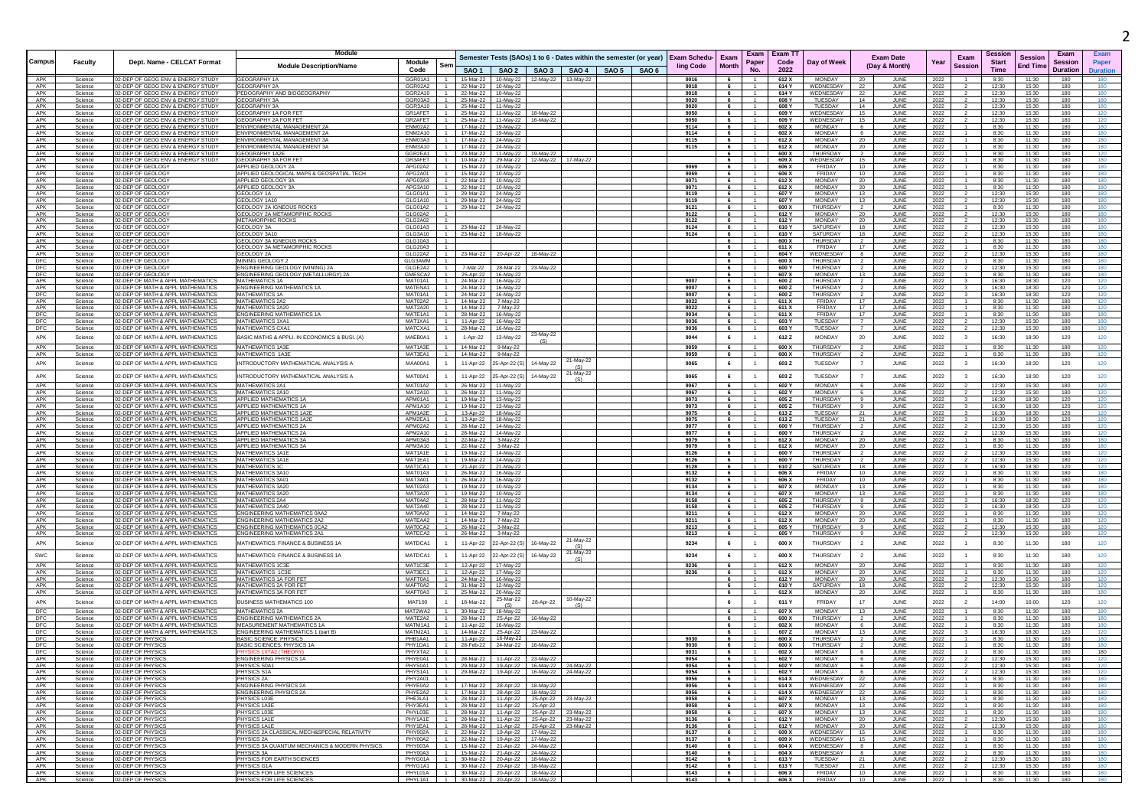|                          |                    |                                                                        | Module                                                             |                           |                |                        |                                                                             |                                                                    |                     |                      |                                  | Exam   Exam T1   |                                  |                                  |                                   |              |                         | Sessior        |                            | Exam            |                 |
|--------------------------|--------------------|------------------------------------------------------------------------|--------------------------------------------------------------------|---------------------------|----------------|------------------------|-----------------------------------------------------------------------------|--------------------------------------------------------------------|---------------------|----------------------|----------------------------------|------------------|----------------------------------|----------------------------------|-----------------------------------|--------------|-------------------------|----------------|----------------------------|-----------------|-----------------|
| Campus                   | Faculty            | Dept. Name - CELCAT Format                                             | <b>Module Description/Name</b>                                     | Module                    |                |                        |                                                                             | Semester Tests (SAOs) 1 to 6 - Dates within the semester (or year) | <b>Exam Schedu-</b> | Exam<br>Month        | Paper                            | Code             | Day of Week                      |                                  | <b>Exam Date</b><br>(Day & Month) | Year         | Exam<br>Sessior         | <b>Start</b>   | Sessior<br><b>End Time</b> | Session         | Paper           |
|                          |                    |                                                                        |                                                                    | Code                      |                |                        |                                                                             | SAO1   SAO2   SAO3   SAO4   SAO5   SAO6                            | ling Code           |                      | No.                              | 2022             |                                  |                                  |                                   |              |                         | Time           |                            | <b>Duration</b> | <b>Duration</b> |
| APK                      | Science            | 02-DEP OF GEOG ENV & ENERGY STUDY                                      | GEOGRAPHY 1A                                                       | GGR01A1                   |                | 15-Mar-22              | 10-May-22                                                                   | 12-May-22 13-May-22                                                | 9016                | 6                    |                                  | 612 X            | <b>MONDAY</b>                    | - 20                             | JUNE                              | 2022         |                         | 8:30           | 11:30                      | 180             |                 |
| APK<br>APK               | Science<br>Science | 02-DEP OF GEOG ENV & ENERGY STUDY<br>02-DEP OF GEOG ENV & ENERGY STUDY | <b>GEOGRAPHY 2A</b><br>PEDOGRAPHY AND BIOGEOGRAPHY                 | GGR02A2<br>GGR2A10        |                | 22-Mar-22<br>22-Mar-22 | 10-May-22<br>10-May-22                                                      |                                                                    | 9018<br>9018        | 6<br>6               | -1.<br>$-1$                      | 614 Y<br>614 Y   | WEDNESDAY<br>WEDNESDAY           | -22<br>22                        | JUNE<br>JUNE                      | 2022<br>2022 |                         | 12:30<br>12:30 | 15:30<br>15:30             | 180<br>180      | 180<br>180      |
| APK                      | Science            | 02-DEP OF GEOG ENV & ENERGY STUDY                                      | GEOGRAPHY 3/                                                       | GGR03A3                   |                | 25-Mar-22              | 11-May-22                                                                   |                                                                    | 9020                | 6                    |                                  | 608 Y            | TUESDAY                          | 14                               | JUNI                              | 2022         |                         | 12:30          | 15:30                      | 180             | 180             |
| APK<br>APK               | Science<br>Science | 02-DEP OF GEOG ENV & ENERGY STUDY<br>02-DEP OF GEOG ENV & ENERGY STUDY | GEOGRAPHY 3A<br>GEOGRAPHY 1A FOR FET                               | GGR3A10<br>GR1AFET        |                | 25-Mar-22              | 11-May-22<br>25-Mar-22 11-May-22<br>18-May-22                               |                                                                    | 9020<br>9050        | 6<br>6               | $\overline{1}$                   | 608<br>609 Y     | TUESDAY<br>WEDNESDAY             | 14<br>- 15                       | JUNE<br>JUNE                      | 2022<br>2022 |                         | 12:30<br>12:30 | 15:30<br>15:30             | 180<br>180      | 180<br>120      |
| APK                      | Science            | 02-DEP OF GEOG ENV & ENERGY STUDY                                      | GEOGRAPHY 2A FOR FET                                               | GR2AFET                   |                | 25-Mar-22              | 11-May-22<br>16-May-22                                                      |                                                                    | 9050                | 6                    |                                  | 609 Y            | WEDNESDAY                        | 15                               | JUNE                              | 2022         |                         | 12:30          | 15:30                      | 180             | 120             |
| APK<br>APK               | Science            | 02-DEP OF GEOG ENV & ENERGY STUDY                                      | ENVIRONMENTAL MANAGEMENT 2A                                        | ENM02A2                   |                | 17-Mar-22              | 19-May-22                                                                   |                                                                    | 9114                | 6                    |                                  | 602 X            | <b>MONDAY</b>                    | 6                                | JUNE                              | 2022         |                         | 8:30           | 11:30<br>11:30             | 180<br>180      | 180<br>180      |
| APK                      | Science<br>Science | 02-DEP OF GEOG ENV & ENERGY STUDY<br>02-DEP OF GEOG ENV & ENERGY STUDY | ENVIRONMENTAL MANAGEMENT 2A<br><b>FNVIRONMENTAL MANAGEMENT 3A</b>  | ENM2A10<br>ENM03A3        |                | 17-Mar-22<br>17-Mar-22 | 19-May-22<br>24-May-22                                                      |                                                                    | 9114<br>9115        | 6<br>$6 -$           | $\overline{1}$                   | 602 X<br>612 X   | <b>MONDAY</b><br>MONDAY          | 6<br>20                          | JUNE<br>JUNI                      | 2022<br>2022 |                         | 8:30<br>8:30   | 11:30                      | 180             | 180             |
| APK                      | Science            | 12-DEP OF GEOG ENV & ENERGY STUD                                       | ENVIRONMENTAL MANAGEMENT 3A                                        | ENM3A10                   |                | 17-Mar-22              | 24-May-22                                                                   |                                                                    | 9115                | 6                    |                                  | 612 X            | <b>MONDAY</b>                    | 20                               | JUNI                              | 2022         |                         | 8:30           | 11:30                      | 180             | 180             |
| APK<br>APK               | Science<br>Science | 02-DEP OF GEOG ENV & ENERGY STUDY<br>02-DEP OF GEOG ENV & ENERGY STUDY | GEOGRAPHY 1A2E<br>GEOGRAPHY 3A FOR FET                             | GGR2EA1<br>GR3AFET        |                | 23-Mar-22<br>10-Mar-22 | 11-May-22<br>19-May-22<br>29-Mar-22                                         | 12-May-22 17-May-22                                                |                     | 6<br>6               |                                  | 600 X<br>609 X   | <b>THURSDAY</b><br>WEDNESDAY     | $\overline{2}$<br>15             | JUNE<br>JUNE                      | 2022<br>2022 |                         | 8:30<br>8:30   | 11:30<br>11:30             | 180<br>180      | 120<br>180      |
| APK                      | Science            | 02-DEP OF GEOLOGY                                                      | <b>APPLIED GEOLOGY 2A</b>                                          | APG02A2                   |                | 15-Mar-22              | 10-May-22                                                                   |                                                                    | 9069                | 6                    |                                  | 606 X            | FRIDAY                           | 10                               | JUNE                              | 2022         |                         | 8:30           | 11:30                      | 180             | 180             |
| APK                      | Science            | 02-DEP OF GEOLOGY                                                      | APPLIED GEOLOGICAL MAPS & GEOSPATIAL TECH                          | APG2A01                   |                | 15-Mar-22              | 10-May-22                                                                   |                                                                    | 9069                | $6\overline{6}$      |                                  | 606 X            | FRIDAY                           | 10                               | JUNE                              | 2022         |                         | 8:30           | 11:30                      | 180             | 180             |
| APK<br>APK               | Science<br>Science | 02-DEP OF GEOLOGY<br>02-DEP OF GEOLOGY                                 | APPLIED GEOLOGY 3A<br>APPLIED GEOLOGY 3A                           | APG03A3<br>APG3A10        |                | 22-Mar-22<br>22-Mar-22 | 10-May-22<br>10-May-22                                                      |                                                                    | 9071<br>9071        | 6<br>6               |                                  | 612 X<br>612 X   | <b>MONDAY</b><br><b>MONDAY</b>   | - 20<br>20                       | JUNE<br>JUNE                      | 2022<br>2022 |                         | 8:30<br>8:30   | 11:30<br>11:30             | 180<br>180      | 180<br>180      |
| APK                      | Science            | 02-DEP OF GEOLOG'                                                      | GEOLOGY 1A                                                         | GLG01A1                   |                |                        | 29-Mar-22 24-May-22                                                         |                                                                    | 9119                | 6                    |                                  | 607 Y            | MONDAY                           | 13                               | JUNE                              | 2022         |                         | 12:30          | 15:30                      | 180             | 180             |
| APK<br>APK               | Science<br>Science | 02-DEP OF GEOLOGY<br>02-DEP OF GEOLOGY                                 | GEOLOGY 1A10<br>GEOLOGY 2A IGNEOUS ROCKS                           | GLG1A10<br>GLG01A2        |                | 29-Mar-22<br>29-Mar-22 | 24-May-22<br>24-May-22                                                      |                                                                    | 9119<br>9121        | 6<br>6               |                                  | 607 Y<br>600 X   | <b>MONDAY</b><br>THURSDAY        | 13<br>$\overline{2}$             | JUNE<br>JUNE                      | 2022<br>2022 |                         | 12:30<br>8:30  | 15:30<br>11:30             | 180<br>180      | 180<br>180      |
| APK                      | Science            | 02-DEP OF GEOLOGY                                                      | SEOLOGY 2A METAMORPHIC ROCKS                                       | GLG02A2                   |                |                        |                                                                             |                                                                    | 9122                | $6\overline{6}$      | $\overline{1}$                   | 612 Y            | MONDAY                           | 20                               | <b>JUNE</b>                       | 2022         |                         | 12:30          | 15:30                      | 180             | 180             |
| APK<br>APK               | Science            | 02-DEP OF GEOLOGY<br>02-DEP OF GEOLOGY                                 | METAMORPHIC ROCKS<br>GEOLOGY 3A                                    | GLG2A02<br>GLG01A3        |                |                        |                                                                             |                                                                    | 9122                | 6<br>6               |                                  | 612 ነ<br>610 Y   | <b>MONDAY</b><br>SATURDAY        | 20                               | JUNE                              | 2022         |                         | 12:30<br>12:30 | 15:30<br>15:30             | 180<br>180      | 180<br>180      |
| APK                      | Science<br>Science | 02-DEP OF GEOLOGY                                                      | GEOLOGY 3A10                                                       | GLG3A10                   |                | 23-Mar-22<br>23-Mar-22 | 18-May-22<br>18-May-22                                                      |                                                                    | 9124<br>9124        | 6                    |                                  | 610 Y            | SATURDAY                         | 18<br>18                         | JUNE<br>JUNE                      | 2022<br>2022 |                         | 12:30          | 15:30                      | 180             | 180             |
| APK                      | Science            | 02-DEP OF GEOLOGY                                                      | GEOLOGY 3A IGNEOUS ROCKS                                           | GLG10A3                   |                |                        |                                                                             |                                                                    |                     | 6                    |                                  | 600 X            | THURSDAY                         | 2                                | JUNE                              | 2022         |                         | 8:30           | 11:30                      | 180             | 180             |
| APK<br>APK               | Science<br>Science | 02-DEP OF GEOLOGY<br>02-DEP OF GEOLOGY                                 | GEOLOGY 3A METAMORPHIC ROCKS<br>GEOLOGY 2A                         | GLG20A3<br>GLG22A2        |                | 23-Mar-22              | 18-May-22<br>20-Apr-22                                                      |                                                                    |                     | 6<br>6               | 1                                | 611 X<br>604 Y   | FRIDAY<br>WEDNESDAY              | 17<br>8                          | JUNE<br>JUNI                      | 2022<br>2022 |                         | 8:30<br>12:30  | 11:30<br>15:30             | 180<br>180      | 180<br>180      |
| DFC                      | Science            | 02-DEP OF GEOLOGY                                                      | MINING GEOLOGY:                                                    | GI G3AMM                  |                |                        |                                                                             |                                                                    |                     | $6\overline{6}$      | $\overline{1}$                   | 600 X            | THURSDAY                         |                                  | <b>JUNE</b>                       | 2022         |                         | 8:30           | 11:30                      | 180             | 180             |
| DFC                      | Science            | 02-DEP OF GEOLOG'                                                      | ENGINEERING GEOLOGY (MINING) 2A                                    | GLGE2A2                   |                | 7-Mar-22               | 28-Mar-22<br>23-May-22                                                      |                                                                    |                     | 6                    | 1                                | 600 Y            | THURSDAY                         | $\overline{2}$                   | JUNE                              | 2022         |                         | 12:30          | 15:30                      | 180             | 180             |
| DFC<br>APK               | Science<br>Science | 02-DEP OF GEOLOG'<br>02-DEP OF MATH & APPL MATHEMATICS                 | ENGINEERING GEOLOGY (METALLURGY) 2A<br>MATHEMATICS 1A              | GMESCA2<br>MAT01A1        |                | 25-Apr-22<br>24-Mar-22 | 16-May-22<br>16-May-22                                                      |                                                                    | 9007                | 6<br>6               |                                  | 607 X<br>600 Z   | <b>MONDAY</b><br><b>THURSDAY</b> | 13<br>$\overline{2}$             | JUNI<br>JUNE                      | 2022<br>2022 |                         | 8:30<br>16:30  | 11:30<br>18:30             | 180<br>120      | 180<br>120      |
| APK                      | Science            | 02-DEP OF MATH & APPL MATHEMATICS                                      | <b>ENGINEERING MATHEMATICS 1A</b>                                  | MATENA1                   |                | 24-Mar-22              | 16-May-22                                                                   |                                                                    | 9007                | 6                    | 1                                | 600 Z            | THURSDAY                         | $\overline{2}$                   | JUNE                              | 2022         |                         | 16:30          | 18:30                      | 120             | 120             |
| DFC<br>APK               | Science<br>Science | 2-DEP OF MATH & APPL MATHEMATIC<br>02-DEP OF MATH & APPL MATHEMATIC    | <b>MATHEMATICS 1A</b><br><b>MATHEMATICS 2A2</b>                    | MAT01A1<br>MAT02A2        |                | 24-Mar-22<br>14-Mar-22 | 16-May-22<br>7-May-22                                                       |                                                                    | 9007<br>9022        | 6<br>6               |                                  | 600Z<br>611 X    | THURSDAY<br>FRIDAY               | 17                               | JUNI<br>JUNE                      | 2022<br>2022 |                         | 16:30<br>8:30  | 18:30<br>11:30             | 120<br>180      | 120<br>120      |
| APK                      | Science            | 02-DEP OF MATH & APPL MATHEMATICS                                      | <b>MATHEMATICS 2A20</b>                                            | MAT2A20                   |                | 14-Mar-22              | 7-May-22                                                                    |                                                                    | 9022                | 6                    |                                  | 611 X            | FRIDAY                           | 17                               | <b>JUNE</b>                       | 2022         |                         | 8:30           | 11:30                      | 180             | 120             |
| DFC                      | Science            | 02-DEP OF MATH & APPL MATHEMATIC:<br>02-DEP OF MATH & APPL MATHEMATICS | <b>ENGINEERING MATHEMATICS 1A</b><br><b>MATHEMATICS 1XA1</b>       | MATE1A1<br>MAT1XA1        |                | 28-Mar-22              | 16-May-22                                                                   |                                                                    | 9034                | 6                    | 1<br>1                           | 611 X<br>603 Y   | FRIDAY                           | 17<br>$\overline{7}$             | JUNE                              | 2022         |                         | 8:30           | 11:30                      | 180             | 180<br>180      |
| DFC<br>DFC               | Science<br>Science | 02-DEP OF MATH & APPL MATHEMATICS                                      | MATHEMATICS CXA*                                                   | MATCXA1                   |                | 11-Apr-22<br>28-Mar-22 | 16-May-22<br>16-May-22                                                      |                                                                    | 9036<br>9036        | 6                    | $6 -$<br>$\overline{1}$          | 603 Y            | TUESDAY<br>TUESDAY               | $\overline{7}$                   | JUNE<br><b>JUNE</b>               | 2022<br>2022 |                         | 12:30<br>12:30 | 15:30<br>15:30             | 180<br>180      | 180             |
| APK                      | Science            | 02-DEP OF MATH & APPL MATHEMATICS                                      | BASIC MATHS & APPLI. IN ECONOMICS & BUSI. (A)                      | MAEB0A1                   |                | 1-Apr-22               | 23-May-22<br>13-May-22                                                      |                                                                    | 9044                | 6                    | $\mathbf{1}$                     | 612Z             | <b>MONDAY</b>                    | 20                               | JUNE                              | 2022         | $\overline{\mathbf{3}}$ | 16:30          | 18:30                      | 120             | 120             |
| APK                      | Science            | 02-DEP OF MATH & APPL MATHEMATIC                                       | <b>MATHEMATICS 1A3</b>                                             | MAT1A3E                   |                | 14-Mar-22              | 9-May-22                                                                    |                                                                    | 9059                | 6                    |                                  | 600 X            | THURSDAY                         |                                  | JUNE                              | 2022         |                         | 8:30           | 11:30                      | 180             |                 |
| APK                      | Science            | 02-DEP OF MATH & APPL MATHEMATICS                                      | MATHEMATICS 1A3E                                                   | MAT3EA1                   |                | 14-Mar-22              | 9-May-22                                                                    |                                                                    | 9059                | $6^{\circ}$          |                                  | 600 X            | THURSDAY                         | $\overline{2}$                   | JUNE                              | 2022         |                         | 8:30           | 11:30                      | 180             | 120             |
| APK                      | Science            | 02-DEP OF MATH & APPL MATHEMATICS                                      | INTRODUCTORY MATHEMATICAL ANALYSIS /                               | MAA00A1                   |                | 11-Apr-22              | 14-May-22<br>25-Apr-22 (S                                                   | 21-May-22                                                          | 9065                | 6                    | $\mathbf{1}$                     | 603Z             | TUESDAY                          |                                  | JUNE                              | 2022         |                         | 16:30          | 18:30                      | 120             | 120             |
| APK                      | Science            | 02-DEP OF MATH & APPL MATHEMATICS                                      | NTRODUCTORY MATHEMATICAL ANALYSIS A                                | MAT00A1                   |                | 11-Apr-22              | 14-May-22<br>5-Apr-22 (S                                                    | 21-May-22                                                          | 9065                | 6                    | $\mathbf{1}$                     | 603Z             | TUESDAY                          |                                  | JUNE                              | 2022         |                         | 16:30          | 18:30                      | 120             | 120             |
| APK                      | Science            | 02-DEP OF MATH & APPL MATHEMATICS                                      | <b>MATHEMATICS 2A1</b>                                             | MAT01A2                   |                | 26-Mar-22              | 11-May-22                                                                   | (S)                                                                | 9067                | 6                    |                                  | 602 Y            | MONDAY                           | 6                                | JUNE                              | 2022         |                         | 12:30          | 15:30                      | 180             | 120             |
| APK                      | Science            | 02-DEP OF MATH & APPL MATHEMATIC:                                      | <b>MATHEMATICS 2A10</b>                                            | MAT2A10                   |                | 26-Mar-22              | 11-May-22                                                                   |                                                                    | 9067                | 6                    |                                  | 602 Y            | <b>MONDAY</b>                    | 6                                | JUNE                              | 2022         |                         | 12:30          | 15:30                      | 180             | 120             |
| APK                      | Science            | 02-DEP OF MATH & APPL MATHEMATICS                                      | APPLIED MATHEMATICS 1A                                             | APM01A1                   | $\overline{1}$ | 19-Mar-22              | 13-May-22                                                                   |                                                                    | 9073                | 6                    | $\overline{1}$                   | 605Z             | THURSDAY                         | 9                                | JUNE                              | 2022         |                         | 16:30          | 18:30                      | 120             | 120             |
| APK<br>APK               | Science<br>Science | 2-DEP OF MATH & APPL MATHEMATIC<br>02-DEP OF MATH & APPL MATHEMATIC    | APPLIED MATHEMATICS 1A<br>APPLIED MATHEMATICS 1A2E                 | APM1A10<br>APM1A2E        |                | 19-Mar-22<br>13-Apr-22 | 13-May-22<br>18-May-22                                                      |                                                                    | 9073<br>9075        | 6<br>6               |                                  | 605Z<br>613Z     | THURSDAY<br>TUESDAY              | -9<br>21                         | JUNI<br>JUNE                      | 2022<br>2022 |                         | 16:30<br>16:30 | 18:30<br>18:30             | 120<br>120      | 120<br>120      |
| APK                      | Science            | 02-DEP OF MATH & APPL MATHEMATICS                                      | APPLIED MATHEMATICS 1A2E                                           | APM2EA1                   |                | 13-Apr-22              | 18-May-22                                                                   |                                                                    | 9075                | 6                    |                                  | 613 Z            | TUESDAY                          | 21                               | JUNE                              | 2022         |                         | 16:30          | 18:30                      | 120             | 120             |
| APK<br>APK               | Science<br>Science | 02-DEP OF MATH & APPL MATHEMATICS<br>02-DEP OF MATH & APPL MATHEMATIC  | APPLIED MATHEMATICS 2A<br>APPLIED MATHEMATICS 2A                   | APM02A2<br>APM2A10        |                | 28-Mar-22<br>28-Mar-22 | 14-May-22<br>14-May-22                                                      |                                                                    | 9077<br>9077        | $6\overline{6}$<br>6 | $\overline{1}$<br>1              | 600 Y<br>600 Y   | THURSDAY<br>THURSDAY             | $\overline{2}$<br>$\overline{2}$ | <b>JUNE</b><br>JUNE               | 2022<br>2022 |                         | 12:30<br>12:30 | 15:30<br>15:30             | 180<br>180      | 120<br>120      |
| APK                      | Science            | 02-DEP OF MATH & APPL MATHEMATIC                                       | APPLIED MATHEMATICS 3A                                             | APM03A3                   |                | 22-Mar-22              | 3-May-22                                                                    |                                                                    | 9079                | 6                    |                                  | 612 X            | <b>MONDAY</b>                    | 20                               | JUNI                              | 2022         |                         | 8:30           | 11:30                      | 180             | 180             |
| APK<br>APK               | Science            | 02-DEP OF MATH & APPL MATHEMATIC<br>02-DEP OF MATH & APPL MATHEMATIC   | APPLIED MATHEMATICS 3A<br>MATHEMATICS 1A1                          | APM3A10<br>MAT1A1F        |                | 22-Mar-22              | 3-May-22                                                                    |                                                                    | 9079                | 6                    |                                  | 612 X            | <b>MONDAY</b><br>THURSDAY        | - 20                             | JUNI                              | 2022         |                         | 8:30           | 11:30                      | 180             | 180             |
| APK                      | Science<br>Science | 02-DEP OF MATH & APPL MATHEMATIC:                                      | <b>MATHEMATICS 1A1E</b>                                            | MAT1EA1                   |                | 19-Mar-22<br>19-Mar-22 | 14-May-22<br>14-May-22                                                      |                                                                    | 9126<br>9126        | $6 -$<br>6           | $-1$                             | 600 Y<br>600 Y   | THURSDAY                         | $\overline{2}$                   | JUNI<br>JUNE                      | 2022<br>2022 |                         | 12:30<br>12:30 | 15:30<br>15:30             | 180<br>180      | 120<br>120      |
| APK                      | Science            | 02-DEP OF MATH & APPL MATHEMATICS                                      | <b>MATHEMATICS 1C</b>                                              | MAT1CA1                   |                | 21-Apr-22              | 21-May-22                                                                   |                                                                    | 9128                | 6                    |                                  | 610Z             | SATURDAY                         | 18                               | JUNE                              | 2022         |                         | 16:30          | 18:30                      | 120             | 120             |
| APK<br>APK               | Science<br>Science | 02-DEP OF MATH & APPL MATHEMATICS<br>02-DEP OF MATH & APPL MATHEMATICS | MATHEMATICS 3A10<br>MATHEMATICS 3A01                               | MAT01A3<br><b>MAT3A01</b> | $-1$<br>$-1$   | 26-Mar-22<br>26-Mar-22 | 16-May-22<br>16-May-22                                                      |                                                                    | 9132<br>9132        | 6<br>6               | $-1$                             | 606 X<br>606 X   | FRIDAY<br>FRIDAY                 | 10 <sup>10</sup><br>10           | JUNE<br>JUNE                      | 2022<br>2022 |                         | 8:30<br>8:30   | 11:30<br>11:30             | 180<br>180      | 180<br>180      |
| APK                      | Science            | 2-DEP OF MATH & APPL MATHEMATIC                                        | <b>MATHEMATICS 3A20</b>                                            | MAT02A3                   |                | 19-Mar-22              | 10-May-22                                                                   |                                                                    | 9134                | 6                    |                                  | 607 X            | <b>MONDAY</b>                    | 13                               | JUNI                              | 2022         |                         | 8:30           | 11:30                      | 180             | 180             |
| APK                      | Science            | 02-DEP OF MATH & APPL MATHEMATIC                                       | <b>MATHEMATICS 3A20</b><br><b>MATHEMATICS 2A4</b>                  | MAT3A20                   |                | 19-Mar-22              | 10-May-22                                                                   |                                                                    | 9134                | 6                    |                                  | 607 X            | <b>MONDAY</b>                    | 13                               | JUNE                              | 2022         |                         | 8:30           | 11:30                      | 180             | 180             |
| APK<br>APK               | Science<br>Science | 02-DEP OF MATH & APPL MATHEMATICS<br>02-DEP OF MATH & APPL MATHEMATIC: | <b>MATHEMATICS 2A40</b>                                            | MAT04A2<br>MAT2A40        |                | 28-Mar-22<br>28-Mar-22 | 11-May-22<br>11-May-22                                                      |                                                                    | 9158<br>9158        | 6<br>6               | $\overline{1}$<br>1              | 605 Z<br>605Z    | THURSDAY<br>THURSDAY             | 9<br>9                           | <b>JUNE</b><br>JUNE               | 2022<br>2022 |                         | 16:30<br>16:30 | 18:30<br>18:30             | 120<br>120      | 120<br>120      |
| APK                      | Science            | 02-DEP OF MATH & APPL MATHEMATIC:                                      | <b>ENGINEERING MATHEMATICS 0AA2</b>                                | MAT0AA2                   |                | 14-Mar-22              | 7-May-22                                                                    |                                                                    | 9211                | 6                    | 1                                | 612 X            | <b>MONDAY</b>                    | 20                               | JUNE                              | 2022         |                         | 8:30           | 11:30                      | 180             | 120             |
| APK<br>APK               | Science<br>Science | 02-DEP OF MATH & APPL MATHEMATIC:<br>02-DEP OF MATH & APPL MATHEMATICS | <b>ENGINEERING MATHEMATICS 2A2</b><br>ENGINEERING MATHEMATICS 0CA: | MATEAA2<br>MAT0CA2        |                | 14-Mar-22<br>26-Mar-22 | 7-May-22<br>3-May-22                                                        |                                                                    | 9211<br>9213        | 6                    | $6 -$<br>$-1$                    | 612 X<br>605 Y   | <b>MONDAY</b><br>THURSDAY        | 20<br>9                          | <b>JUNE</b><br>JUNE               | 2022<br>2022 |                         | 8:30<br>12:30  | 11:30<br>15:30             | 180<br>180      | 120<br>120      |
| APK                      | Science            | 02-DEP OF MATH & APPL MATHEMATIC:                                      | <b>ENGINEERING MATHEMATICS 2A1</b>                                 | MATECA2                   |                | 26-Mar-22              | 3-May-22                                                                    |                                                                    | 9213                | $6\overline{6}$      |                                  | 605 Y            | THURSDAY                         | 9                                | JUNE                              | 2022         |                         | 12:30          | 15:30                      | 180             | 120             |
| APK                      | Science            | 02-DEP OF MATH & APPL MATHEMATICS                                      | MATHEMATICS: FINANCE & BUSINESS 1/                                 | MATDCA1                   |                | 11-Apr-22              | 22-Apr-22 (S<br>16-May-22                                                   | 21-May-22                                                          | 9234                | 6                    | $\mathbf{1}$                     | 600 X            | THURSDAY                         | $\overline{2}$                   | JUNE                              | 2022         |                         | 8:30           | 11:30                      | 180             | 120             |
| SWC                      | Science            | 02-DEP OF MATH & APPL MATHEMATICS                                      | MATHEMATICS: FINANCE & BUSINESS 1A                                 | MATDCA1                   |                | 11-Apr-22              | 16-May-22<br>22-Apr-22 (9                                                   | 21-May-22                                                          | 9234                | 6                    |                                  | 600 X            | THURSDAY                         | $\overline{2}$                   | JUNE                              | 2022         |                         | 8:30           | 11:30                      | 180             | 120             |
| APK                      | Science            | 02-DEP OF MATH & APPL MATHEMATICS                                      | MATHEMATICS 1C3E                                                   | MAT1C3F                   |                | 12-Anr-22              | 17-May-22                                                                   |                                                                    | 9236                | 6                    | $\overline{1}$                   | 612 X            | MONDAY                           | 20                               | .II INF                           | 2022         |                         | 8:30           | 11:30                      | 180             | 120             |
| APK                      | Science            | 02-DEP OF MATH & APPL MATHEMATIC:                                      | <b>MATHEMATICS 1C3</b>                                             | MAT3EC1                   |                | 12-Apr-22              | 17-May-22                                                                   |                                                                    | 9236                | 6                    |                                  | 612 X            | <b>MONDAY</b>                    | 20                               | <b>JUNE</b>                       | 2022         |                         | 8:30           | 11:30                      | 180             | 120             |
| APK                      | Science            | 02-DEP OF MATH & APPL MATHEMATICS                                      | MATHEMATICS 1A FOR FET                                             | MAFT0A1                   |                | 24-Mar-22              | 16-May-22                                                                   |                                                                    |                     | 6                    |                                  | 612 Y            | <b>MONDAY</b>                    | 20                               | JUNE                              | 2022         |                         | 12:30          | 15:30                      | 180             | 120             |
| APK<br>APK               | Science<br>Science | 02-DEP OF MATH & APPL MATHEMATICS<br>2-DEP OF MATH & APPL MATHEMATICS  | MATHEMATICS 2A FOR FET<br>MATHEMATICS 3A FOR FET                   | MAFT0A2<br>MAFT0A3        |                | 31-Mar-22<br>25-Mar-22 | 12-May-22<br>20-May-22                                                      |                                                                    |                     | 6<br>6               | $\overline{1}$<br>$\overline{1}$ | 610 Y<br>612 X   | SATURDAY<br><b>MONDAY</b>        | 18<br>20                         | JUNE<br>JUNE                      | 2022<br>2022 |                         | 12:30<br>8:30  | 15:30<br>11:30             | 180<br>180      | 120<br>180      |
| APK                      | Science            | 02-DEP OF MATH & APPL MATHEMATICS                                      | BUSINESS MATHEMATICS 100                                           | <b>MAT100</b>             |                | 18-Mar-22              | 25-Mar-22<br>28-Apr-22                                                      | 10-May-22                                                          |                     | 6                    | $\overline{1}$                   | 611 Y            | FRIDAY                           | 17                               | JUNE                              | 2022         | $\overline{2}$          | 14:00          | 16:00                      | 120             | 120             |
| DFC                      | Science            | 02-DEP OF MATH & APPL MATHEMATICS                                      | <b>MATHEMATICS 2</b>                                               | MAT2WA2                   |                | 30-Mar-22              | (S)<br>18-May-22                                                            |                                                                    |                     | 6                    |                                  | 607 X            | <b>MONDAY</b>                    | 13                               | JUNE                              | 2022         |                         | 8:30           | 11:30                      | 180             | 180             |
| DFC                      | Science            | 02-DEP OF MATH & APPL MATHEMATICS                                      | <b>ENGINEERING MATHEMATICS 2A</b>                                  | MATE2A2                   |                | 28-Mar-22              | 25-Apr-22<br>16-May-22                                                      |                                                                    |                     | 6                    | $\overline{1}$                   | 600 X            | <b>THURSDAY</b>                  | $\overline{2}$                   | <b>JUNE</b>                       | 2022         |                         | 8:30           | 11:30                      | 180             | 180             |
| DFC                      | Science            | 02-DEP OF MATH & APPL MATHEMATIC:<br>02-DEP OF MATH & APPL MATHEMATICS | MEASUREMENT MATHEMATICS 1A<br>ENGINEERING MATHEMATICS 1 (part B)   | MATM1A1<br>MATM2A1        |                | 11-Apr-22              | 16-May-22                                                                   |                                                                    |                     | 6<br>6               | 1<br>1                           | 602 X<br>607 Z   | <b>MONDAY</b><br><b>MONDAY</b>   | 6<br>13                          | JUNE                              | 2022         |                         | 8:30<br>16:30  | 11:30<br>18:30             | 180             | 180             |
| DFC<br>DFC               | Science<br>Science | 02-DEP OF PHYSIC                                                       | <b>BASIC SCIENCE: PHYSICS</b>                                      | PHB1AA1                   |                | 14-Mar-22<br>11-Apr-22 | 25-Apr-22<br>23-May-22<br>16-May-22                                         |                                                                    | 9030                | 6                    |                                  | 600 X            | THURSDAY                         |                                  | JUNE<br>JUNI                      | 2022<br>2022 |                         | 8:30           | 11:30                      | 120<br>180      | 120<br>180      |
| DFC                      | Science            | 02-DEP OF PHYSIC                                                       | <b>BASIC SCIENCES: PHYSICS 1A</b>                                  | PHY1DA1                   |                | 28-Feb-22              | 24-Mar-22<br>16-May-22                                                      |                                                                    | 9030                | $6\overline{6}$      | $\overline{1}$                   | 600 X            | THURSDAY                         |                                  | <b>JUNE</b>                       | 2022         |                         | 8:30           | 11:30                      | 180             | 180             |
| <b>DFC</b><br><b>APK</b> | Science<br>science | 02-DEP OF PHYSICS<br>-DEP OF PHYSICS                                   | ENGINEERING PHYSICS 1A                                             | PHYXTA2<br>PHYE0A1        |                | 28-Mar-22              | 11-Apr-22<br>23-May-22                                                      |                                                                    | 9031<br>9054        | 6                    | $\sim$                           | 602 X<br>602     | <b>MONDAY</b><br><b>MUNDA</b>    | 6                                | JUNE<br>JUNI                      | 2022<br>2022 |                         | 8:30<br>12:30  | 11:30<br>15:30             | 180             | 180             |
| APK                      | Science            | 02-DEP OF PHYSICS                                                      | PHYSICS S0A1                                                       | PHYS0A1                   | $-1$           |                        | 29-Mar-22  19-Apr-22  16-May-22  24-May-22                                  |                                                                    | 9054                | 6                    | $-1$                             | 602 Y            | MONDAY                           | 6                                | JUNE                              | 2022         |                         | 12:30          | 15:30                      | 180             | 120             |
| APK<br>APK               | Science            | 02-DEP OF PHYSICS<br>02-DEP OF PHYSICS                                 | PHYSICS S1A<br>PHYSICS 2A                                          | PHYS1A1<br>PHY2A01        | $-1$           |                        | 29-Mar-22 19-Apr-22 16-May-22 24-May-22                                     |                                                                    | 9054                | $6 -$                | 1                                | 602 Y            | MONDAY<br>WEDNESDAY              | 6                                | JUNE                              | 2022         |                         | 12:30          | 15:30                      | 180             | 120             |
| APK                      | Science<br>Science | 02-DEP OF PHYSICS                                                      | <b>ENGINEERING PHYSICS 2A</b>                                      | PHYE0A2                   |                |                        | 17-Mar-22 28-Apr-22<br>18-May-22                                            |                                                                    | 9056<br>9056        | $6 -$<br>6           |                                  | 614 X<br>614 X   | WEDNESDAY                        | 22<br>- 22                       | JUNE<br>JUNE                      | 2022<br>2022 |                         | 8:30<br>8:30   | 11:30<br>11:30             | 180<br>180      | 180<br>180      |
| APK                      | Science            | 02-DEP OF PHYSICS                                                      | <b>ENGINEERING PHYSICS 2A</b>                                      | PHYE2A2                   |                |                        | 17-Mar-22 28-Apr-22<br>18-May-22                                            |                                                                    | 9056                | 6                    | $\overline{1}$                   | 614 X            | WEDNESDAY                        | 22                               | <b>JUNE</b>                       | 2022         |                         | 8:30           | 11:30                      | 180             | 180             |
| APK<br>APK               | Science<br>Science | 02-DEP OF PHYSICS<br>02-DEP OF PHYSICS                                 | PHYSICS L03E<br>PHYSICS 1A3E                                       | PHE3LA1<br>PHY3EA1        |                |                        | 28-Mar-22 11-Apr-22<br>28-Mar-22 11-Apr-22<br>25-Apr-22                     | 25-Apr-22 23-May-22                                                | 9058<br>9058        | 6                    | $-1$<br>$6\quad$<br>1            | 607 X<br>607 X   | MONDAY<br><b>MONDAY</b>          | 13<br>13                         | JUNE<br>JUNE                      | 2022<br>2022 |                         | 8:30<br>8:30   | 11:30<br>11:30             | 180<br>180      | 180<br>180      |
| APK                      | Science            | 02-DEP OF PHYSICS                                                      | PHYSICS L03E                                                       | PHYL03E                   | -1.            |                        | 28-Mar-22 11-Apr-22 25-Apr-22 23-May-22                                     |                                                                    | 9058                | 6                    | $\overline{1}$                   | 607 X            | <b>MONDAY</b>                    | 13                               | JUNE                              | 2022         |                         | 8:30           | 11:30                      | 180             | 180             |
| APK<br>APK               | Science            | 02-DEP OF PHYSICS<br>02-DEP OF PHYSICS                                 | PHYSICS 1A1E                                                       | PHY1A1E<br>PHY1EA1        | $-1$           |                        | 28-Mar-22 11-Apr-22                                                         | 25-Apr-22 23-May-22                                                | 9136                |                      | $6 -$<br>$\overline{1}$<br>1     | 612 Y            | MONDAY<br>MONDAY                 | 20                               | JUNE                              | 2022         |                         | 12:30          | 15:30                      | 180             | 180<br>180      |
| APK                      | Science<br>Science | 02-DEP OF PHYSICS                                                      | PHYSICS 1A1E<br>PHYSICS 2A CLASSICAL MECH&SPECIAL RELATIVITY       | PHY002A                   |                |                        | 28-Mar-22 11-Apr-22<br>22-Mar-22 19-Apr-22<br>17-Mav-22                     | 25-Apr-22 23-May-22                                                | 9136<br>9137        | $6 -$<br>6           | -1.                              | 612 Y<br>609 X   | WEDNESDAY                        | 20<br>- 15                       | JUNE<br>JUNE                      | 2022<br>2022 |                         | 12:30<br>8:30  | 15:30<br>11:30             | 180<br>180      | 180             |
| APK                      | Science            | 02-DEP OF PHYSICS                                                      | PHYSICS 2A                                                         | PHY00A2                   | $\sim$         |                        | 22-Mar-22 19-Apr-22<br>17-May-22                                            |                                                                    | 9137                | 6                    | $\overline{1}$                   | 609 X            | WEDNESDAY                        | 15                               | JUNE                              | 2022         |                         | 8:30           | 11:30                      | 180             | 180             |
| APK<br>APK               | Science<br>Science | 02-DEP OF PHYSICS<br>02-DEP OF PHYSICS                                 | PHYSICS 3A QUANTUM MECHANICS & MODERN PHYSICS<br>PHYSICS 3A        | <b>PHY003A</b><br>PHY00A3 | $-1$           |                        | 15-Mar-22 21-Apr-22 24-May-22<br>15-Mar-22 21-Apr-22<br>24-May-22           |                                                                    | 9140<br>9140        | 6                    | $6\quad$<br>$-1$                 | 604 X<br>604 X   | WEDNESDAY<br>WEDNESDAY           | 8<br>8                           | JUNE<br>JUNE                      | 2022<br>2022 | $\overline{1}$          | 8:30<br>8:30   | 11:30<br>11:30             | 180<br>180      | 180<br>180      |
| APK                      | Science            | 02-DEP OF PHYSICS                                                      | PHYSICS FOR EARTH SCIENCES                                         | PHYG01A                   | $\overline{1}$ |                        | 30-Mar-22 20-Apr-22 18-May-22                                               |                                                                    | 9142                | 6                    | $\overline{1}$                   | 613 Y            | TUESDAY                          | 21                               | JUNE                              | 2022         |                         | 12:30          | 15:30                      | 180             | 180             |
| APK                      | Science            | 02-DEP OF PHYSICS                                                      | PHYSICS G1A                                                        | PHYG1A1                   | 1              |                        | 30-Mar-22 20-Apr-22 18-May-22                                               |                                                                    | 9142                |                      | $6\degree$<br>$\overline{1}$     | 613 Y            | TUESDAY                          | 21                               | JUNE                              | 2022         |                         | 12:30          | 15:30                      | 180             | 180             |
| APK<br>APK               | Science<br>Science | 02-DEP OF PHYSICS<br>02-DEP OF PHYSICS                                 | PHYSICS FOR LIFE SCIENCES<br>PHYSICS FOR LIFE SCIENCES             | PHYL01A                   |                |                        | 30-Mar-22 20-Apr-22<br>18-May-22<br>PHYL1A1 1 30-Mar-22 20-Apr-22 18-May-22 |                                                                    | 9143<br>9143        | 6<br>6 1             | $\overline{1}$                   | 606 X<br>1 606 X | FRIDAY<br>FRIDAY                 | 10<br>10                         | JUNE<br>JUNE                      | 2022<br>2022 | $\overline{1}$          | 8:30<br>8:30   | 11:30<br>11:30             | 180<br>180      | 180<br>180      |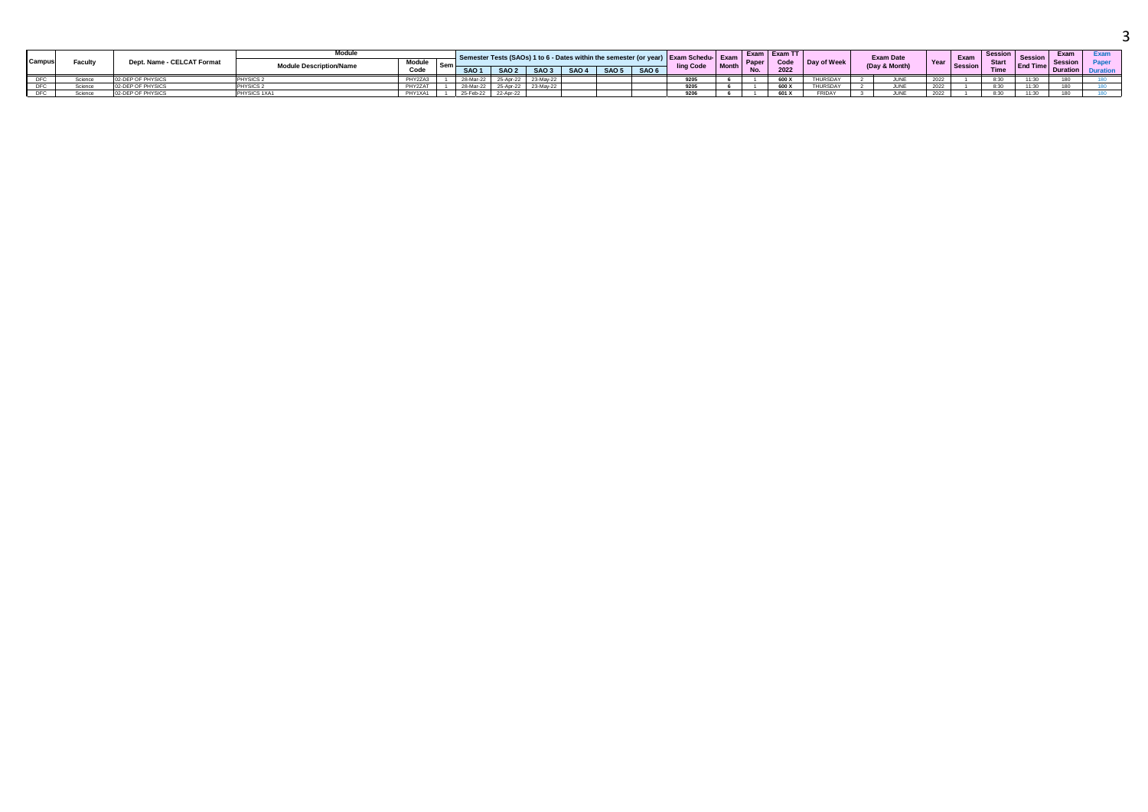|        |         |                            | <b>Module</b>                  |               |                  |            |                  | sts (SAOs) 1 to 6 - Dates with |       |              |                  | thin the semester (or vear) I Exam Schedu-I Exam |         |       | Exam   Exam TT |             | <b>Exam Date</b> |      | Exam           |             | Session         | Exam |  |
|--------|---------|----------------------------|--------------------------------|---------------|------------------|------------|------------------|--------------------------------|-------|--------------|------------------|--------------------------------------------------|---------|-------|----------------|-------------|------------------|------|----------------|-------------|-----------------|------|--|
| Campus | Facult, | Dept. Name - CELCAT Format | <b>Module Description/Name</b> | <b>Module</b> | <sup>I</sup> Sem |            |                  |                                |       |              |                  | ling Code                                        | I Month | Paper | Code           | Day of Week | (Day & Month)    |      | <b>Session</b> | <b>Star</b> | <b>End Time</b> |      |  |
|        |         |                            |                                | Code          |                  | <b>SAO</b> | SAO 2            | SAO <sub>3</sub>               | SAO 4 | <b>SAO 5</b> | SAO <sub>6</sub> |                                                  |         |       | 2022           |             |                  |      |                | Time        |                 | шоп  |  |
|        | Science |                            | <b>PHYSICS</b>                 | PHY2ZA3       |                  | 20 Mar 1   | <b>25-Apr-22</b> |                                |       |              |                  | 0.005                                            |         |       | 600 X          |             | JUNE             | 2022 |                | 8:30        |                 |      |  |
|        | Science | OF PHYSICS                 | PHYSICS.                       | PHY2ZAT       |                  |            |                  |                                |       |              |                  | 9205                                             |         |       | 600 X          |             | JUNE             | 2022 |                | 8:30        | 11.20           |      |  |
|        | Science | 02-DEP OF PHYSICS          | PHYSICS 1XA1                   | PHY1XA1       |                  | 25-Feb-22  | 22-Apr-22        |                                |       |              |                  | 9206                                             |         |       | 601 X          | FRIDA'      | .II INF          | 2022 |                | 8:30        | 11.20           |      |  |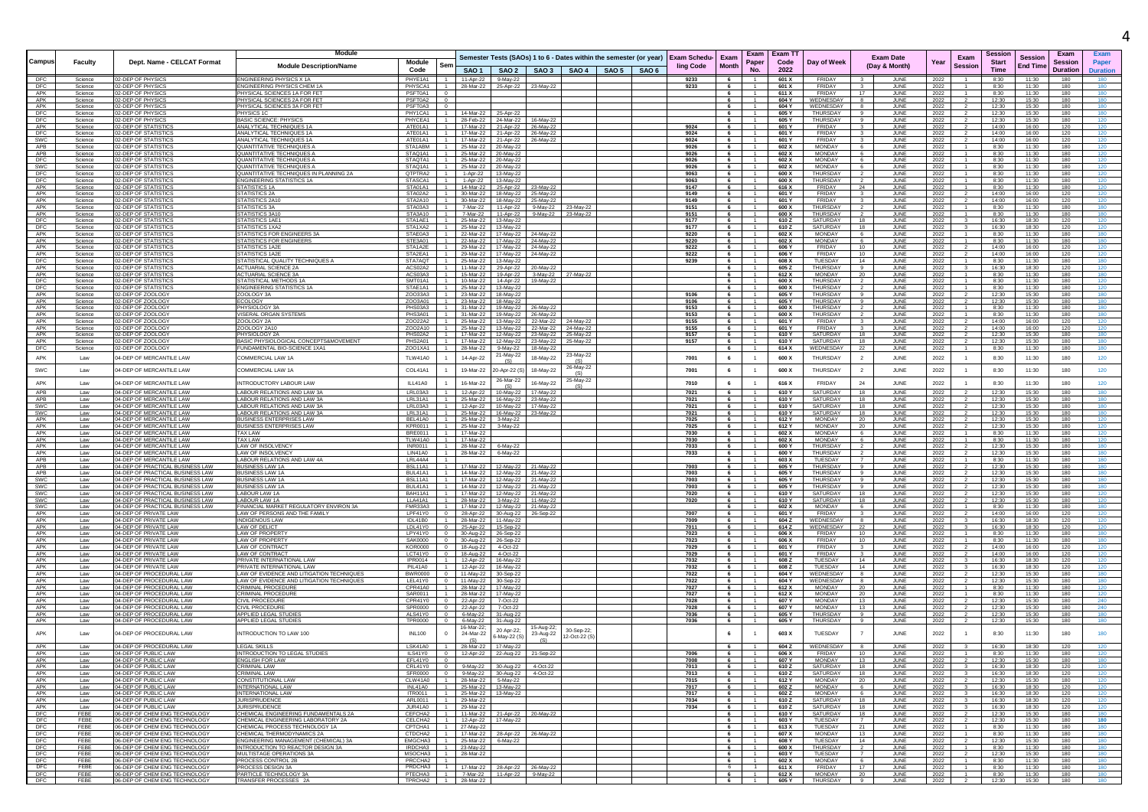|                          |                    |                                                                      | Module                                                                     |                            |                     |                                 |                                                              |                                            |                                                                    |                     |                                    | Exam                             | Exam T1        |                                |                               |                                   |              |                                  | Sessior        |                | Exam            |                 |
|--------------------------|--------------------|----------------------------------------------------------------------|----------------------------------------------------------------------------|----------------------------|---------------------|---------------------------------|--------------------------------------------------------------|--------------------------------------------|--------------------------------------------------------------------|---------------------|------------------------------------|----------------------------------|----------------|--------------------------------|-------------------------------|-----------------------------------|--------------|----------------------------------|----------------|----------------|-----------------|-----------------|
| <b>Campus</b>            | <b>Faculty</b>     | Dept. Name - CELCAT Format                                           | <b>Module Description/Name</b>                                             | Module                     |                     |                                 |                                                              |                                            | Semester Tests (SAOs) 1 to 6 - Dates within the semester (or year) | <b>Exam Schedu-</b> | Exam                               | Paper                            | Code           | Day of Weel                    |                               | <b>Exam Date</b><br>(Day & Month) | Year         | Exam<br>Session                  | <b>Start</b>   | <b>Session</b> | Session         | Paper           |
|                          |                    |                                                                      |                                                                            | Code                       |                     |                                 |                                                              |                                            | SAO 1   SAO 2   SAO 3   SAO 4   SAO 5   SAO 6                      | ling Code           | <b>Month</b>                       | <b>No</b>                        | 2022           |                                |                               |                                   |              |                                  | <b>Time</b>    | End Time       | <b>Duration</b> | <b>Duration</b> |
| DFC<br>DFC               | Science<br>Science | 02-DEP OF PHYSICS<br>02-DEP OF PHYSICS                               | <b>ENGINEERING PHYSICS X 1A</b><br>ENGINEERING PHYSICS CHEM 1A             | PHYF1A1<br>PHYSCA1         | $-1$                | 28-Mar-22                       | 11-Apr-22 9-May-22                                           | 25-Apr-22 23-May-22                        |                                                                    | 9233<br>9233        | 6<br>6                             | $-1$                             | 601 X<br>601 X | <b>FRIDAY</b><br>FRIDAY        |                               | .II INF<br>JUNE                   | 2022<br>2022 | $\mathbf{1}$                     | 8:30<br>8:30   | 11:30<br>11:30 | 180<br>180      | 180<br>180      |
| APK                      | Science            | 2-DEP OF PHYSIC                                                      | PHYSICAL SCIENCES 1A FOR FE                                                | PSFT0A1                    |                     |                                 |                                                              |                                            |                                                                    |                     | 6                                  |                                  | 611 X          | <b>FRIDAY</b>                  |                               | JUNI                              | 2022         |                                  | 8:30           | 11:30          | 180             | 180             |
| APK<br>APK               | Science<br>Science | 02-DEP OF PHYSICS<br>02-DEP OF PHYSICS                               | PHYSICAL SCIENCES 2A FOR FET<br>PHYSICAL SCIENCES 3A FOR FET               | PSFT0A2<br>PSFT0A3         |                     |                                 |                                                              |                                            |                                                                    |                     | 6<br>6                             | $\overline{1}$                   | 604 Y<br>604 Y | WEDNESDAY<br>WEDNESDAY         | -8<br>8                       | JUNE<br>JUNE                      | 2022<br>2022 |                                  | 12:30<br>12:30 | 15:30<br>15:30 | 180<br>180      | 180<br>180      |
| DFC                      | Science            | 02-DEP OF PHYSICS                                                    | PHYSICS 1                                                                  | PHY1CA1                    |                     | 14-Mar-22                       | 25-Apr-22                                                    |                                            |                                                                    |                     | 6                                  | $\overline{1}$                   | 605 Y          | THURSDAY                       | -9                            | JUNE                              | 2022         |                                  | 12:30          | 15:30          | 180             | 180             |
| DFC                      | Science            | 02-DEP OF PHYSICS<br>02-DEP OF STATISTIC                             | <b>BASIC SCIENCE: PHYSICS</b>                                              | PHYCEA1                    |                     | 28-Feb-22                       | 24-Mar-22                                                    | 16-May-22                                  |                                                                    |                     | 6                                  |                                  | 605 Y          | <b>THURSDAY</b>                |                               | JUNE                              | 2022         |                                  | 12:30          | 15:30          | 180             | 120             |
| APK<br>DFC               | Science<br>Science | <b>12-DEP OF STATISTIC</b>                                           | ANALYTICAL TECHNIQUES 1A<br>ANALYTICAL TECHNIQUES 1A                       | ATF01A1<br>ATE01A1         |                     | 17-Mar-22<br>17-Mar-22          | 21-Apr-22<br>21-Apr-22                                       | 26-May-22<br>26-May-22                     |                                                                    | 9024<br>9024        | - 6<br>6                           |                                  | 601 Y<br>601 Y | FRIDAY<br><b>FRIDAY</b>        |                               | JUNE<br>JUN                       | 2022<br>2022 |                                  | 14:00<br>14:00 | 16:00<br>16:00 | 120<br>120      | 120             |
| SWC                      | Science            | 02-DEP OF STATISTIC                                                  | ANALYTICAL TECHNIQUES 1A                                                   | ATE01A1                    |                     |                                 | 17-Mar-22 21-Apr-22                                          | 26-May-22                                  |                                                                    | 9024                | 6                                  |                                  | 601 Y          | FRIDAY                         |                               | JUNE                              | 2022         |                                  | 14:00          | 16:00          | 120             | 120             |
| APB<br>APB               | Science<br>Science | 02-DEP OF STATISTICS<br>02-DEP OF STATISTIC                          | QUANTITATIVE TECHNIQUES A<br>OUANTITATIVE TECHNIQUES A                     | STA1ABM<br>STAO1A1         |                     |                                 | 25-Mar-22 20-May-22<br>25-Mar-22 20-May-22                   |                                            |                                                                    | 9026<br>9026        | 6<br>6                             | $-1$                             | 602 X<br>602 X | <b>MONDAY</b><br><b>MONDAY</b> | -6<br>6.                      | JUNE<br>JUNE                      | 2022<br>2022 |                                  | 8:30<br>8:30   | 11:30<br>11:30 | 180<br>180      | 120<br>120      |
| DFC                      | Science            | 02-DEP OF STATISTIC:                                                 | QUANTITATIVE TECHNIQUES A                                                  | STAQTA1                    |                     | 25-Mar-22                       | 20-May-22                                                    |                                            |                                                                    | 9026                | 6                                  |                                  | 602 X          | MONDAY                         |                               | JUNI                              | 2022         |                                  | 8:30           | 11:30          | 180             | 120             |
| SWC                      | Science            | 02-DEP OF STATISTICS                                                 | QUANTITATIVE TECHNIQUES A                                                  | STAQ1A1                    |                     | 25-Mar-22                       | 20-May-22                                                    |                                            |                                                                    | 9026                | 6                                  |                                  | 602 X          | <b>MONDAY</b>                  |                               | JUNE                              | 2022         |                                  | 8:30           | 11:30          | 180             | 120             |
| DFC<br>DFC               | Science<br>Science | 02-DEP OF STATISTICS<br>02-DEP OF STATISTICS                         | QUANTITATIVE TECHNIQUES IN PLANNING 2A<br><b>ENGINEERING STATISTICS 1A</b> | QTPTRA2<br>STASCA1         |                     | 1-Apr-22<br>1-Apr-22            | 13-May-22<br>13-May-22                                       |                                            |                                                                    | 9063<br>9063        | 6<br>6                             | $-1$                             | 600 X<br>600 X | THURSDAY<br>THURSDAY           | $\overline{2}$                | JUNE<br>JUNE                      | 2022<br>2022 |                                  | 8:30<br>8:30   | 11:30<br>11:30 | 180<br>180      | 120<br>120      |
| APK                      | Science            | 02-DEP OF STATISTIC                                                  | <b>STATISTICS 1A</b>                                                       | STA01A1                    |                     | 14-Mar-22                       | 25-Apr-22                                                    | 23-May-22                                  |                                                                    | 9147                | 6                                  |                                  | 616 X          | FRIDAY                         | 24                            | JUNE                              | 2022         |                                  | 8:30           | 11:30          | 180             | 120             |
| APK<br>APK               | Science            | 02-DEP OF STATISTICS<br><b>2-DEP OF STATISTIC</b>                    | <b>STATISTICS 2A</b>                                                       | STA02A2<br>STA2A10         |                     | 30-Mar-22                       | 30-Mar-22  18-May-22  25-May-22                              |                                            |                                                                    | 9149<br>9149        | 6<br>6                             | $\overline{1}$                   | 601 Y<br>601 Y | FRIDAY<br>FRIDAY               | $\overline{\mathbf{3}}$       | JUNE<br>JUNE                      | 2022         |                                  | 14:00<br>14:00 | 16:00<br>16:00 | 120             | 120<br>120      |
| APK                      | Science<br>Science | 02-DEP OF STATISTIC                                                  | STATISTICS 2A10<br><b>STATISTICS 3A</b>                                    | STA03A3                    |                     | 7-Mar-22                        | 11-Apr-22                                                    | 18-May-22 25-May-22<br>9-May-22            | 23-May-22                                                          | 9151                | 6                                  |                                  | 600 X          | <b>THURSDAY</b>                |                               | <b>JUNE</b>                       | 2022<br>2022 |                                  | 8:30           | 11:30          | 120<br>180      |                 |
| APK                      | Science            | 02-DEP OF STATISTICS                                                 | STATISTICS 3A10                                                            | STA3A10                    |                     | 7-Mar-22                        |                                                              | 11-Apr-22 9-May-22 23-May-22               |                                                                    | 9151                | 6                                  |                                  | 600 X          | <b>THURSDAY</b>                |                               | JUNE                              | 2022         |                                  | 8:30           | 11:30          | 180             | 180             |
| <b>DFC</b><br>DFC        | Science<br>Science | 02-DEP OF STATISTICS<br>02-DEP OF STATISTICS                         | STATISTICS 1AE1<br><b>STATISTICS 1XA2</b>                                  | STA1AE1<br>STA1XA2         |                     | 25-Mar-22<br>25-Mar-22          | 13-May-22<br>13-May-22                                       |                                            |                                                                    | 9177<br>9177        | 6<br>6                             | $\overline{1}$<br>$-1$           | 610 Z<br>610Z  | SATURDAY<br>SATURDAY           | 18<br>18                      | JUNE<br>JUNE                      | 2022<br>2022 |                                  | 16:30<br>16:30 | 18:30<br>18:30 | 120<br>120      | 120<br>120      |
| APK                      | Science            | 02-DEP OF STATISTIC                                                  | STATISTICS FOR ENGINEERS 34                                                | STAE0A3                    |                     | 22-Mar-22                       | 17-May-22                                                    | 24-May-22                                  |                                                                    | 9220                | 6                                  |                                  | 602 X          | <b>MONDAY</b>                  | 6                             | JUNE                              | 2022         |                                  | 8:30           | 11:30          | 180             | 180             |
| APK<br>APK               | Science            | 02-DEP OF STATISTIC<br>02-DEP OF STATISTIC                           | STATISTICS FOR ENGINEERS<br><b>STATISTICS 1A2E</b>                         | STE3A01<br>STA1A2E         |                     | 22-Mar-22                       | 17-May-22                                                    | 24-May-22<br>24-May-22                     |                                                                    | 9220                | 6                                  |                                  | 602 X          | <b>MONDAY</b><br>FRIDAY        | -6<br>10                      | JUNI                              | 2022         |                                  | 8:30<br>14:00  | 11:30          | 180             | 180<br>120      |
| APK                      | Science<br>Science | 02-DEP OF STATISTICS                                                 | STATISTICS 1A2I                                                            | STA2EA1                    |                     | 29-Mar-22<br>29-Mar-22          | 17-May-22                                                    | 17-May-22 24-May-22                        |                                                                    | 9222<br>9222        | $6\overline{6}$<br>6               |                                  | 606 Y<br>606 Y | FRIDAY                         | 10                            | <b>JUNE</b><br>JUNE               | 2022<br>2022 |                                  | 14:00          | 16:00<br>16:00 | 120<br>120      | 120             |
| DFC                      | Science            | 02-DEP OF STATISTIC                                                  | STATISTICAL QUALITY TECHNIQUES A                                           | STA7AQT                    |                     | 25-Mar-22                       | 13-May-22                                                    |                                            |                                                                    | 9239                | 6                                  |                                  | 608 X          | TUESDAY                        | 14                            | JUNE                              | 2022         |                                  | 8:30           | 11:30          | 180             | 180             |
| APK<br>APK               | Science<br>Science | 02-DEP OF STATISTIC<br>02-DEP OF STATISTIC                           | <b>ACTUARIAL SCIENCE 2A</b><br><b>ACTUARIAL SCIENCE 3A</b>                 | ACS02A2<br>ACS03A3         |                     | 11-Mar-22<br>15-Mar-22          | 19-Apr-22                                                    | 29-Apr-22 20-May-22                        | 3-May-22 27-May-22                                                 |                     | 6                                  | $\overline{1}$                   | 605 Z<br>612 X | THURSDAY<br>MONDAY             | -9<br>20                      | JUNE<br>JUNE                      | 2022<br>2022 |                                  | 16:30<br>8:30  | 18:30<br>11:30 | 120<br>180      | 120<br>180      |
| DFC                      | Science            | 02-DEP OF STATISTIC                                                  | STATISTICAL METHODS 1/                                                     | SMT01A1                    |                     | 10-Mar-22                       | 14-Apr-22                                                    | 19-May-22                                  |                                                                    |                     | 6                                  |                                  | 600 X          | <b>THURSDAY</b>                |                               | JUNI                              | 2022         |                                  | 8:30           | 11:30          | 180             | 120             |
| DFC                      | Science            | 02-DEP OF STATISTIC                                                  | <b>ENGINEERING STATISTICS 1/</b>                                           | STAE1A1                    |                     | 25-Mar-22                       | 13-May-22                                                    |                                            |                                                                    |                     | 6                                  |                                  | 600 X          | THURSDAY                       |                               | JUNE                              | 2022         |                                  | 8:30           | 11:30          | 180             | 120             |
| APK<br>APK               | Science<br>Science | 02-DEP OF ZOOLOGY<br>02-DEP OF ZOOLOGY                               | ZOOLOGY 3A<br><b>ECOLOGY</b>                                               | ZOO33A3<br>ZOO3A01         |                     | 23-Mar-22<br>23-Mar-22          | 18-May-22<br>18-May-22                                       |                                            |                                                                    | 9106<br>9106        | 6<br>6                             | $-1$<br>$-1$                     | 605 Y<br>605 Y | THURSDAY<br>THURSDAY           | $\mathbf{a}$<br>9             | JUNE<br>JUNE                      | 2022<br>2022 |                                  | 12:30<br>12:30 | 15:30<br>15:30 | 180<br>180      | 180<br>180      |
| APK                      | Science            | 02-DEP OF ZOOLOGY                                                    | PHYSIOLOGY 3/                                                              | PHS03A3                    |                     | 31-Mar-22                       | 19-May-22                                                    | 26-May-22                                  |                                                                    | 9153                | 6                                  |                                  | 600 X          | THURSDAY                       |                               | JUNE                              | 2022         |                                  | 8:30           | 11:30          | 180             | 180             |
| APK                      | Science            | 02-DEP OF ZOOLOGY                                                    | VISERAL ORGAN SYSTEMS                                                      | PHS3A01                    |                     | 31-Mar-22                       | 19-May-22                                                    | 26-May-22                                  |                                                                    | 9153                | 6                                  |                                  | 600 X          | THURSDAY                       |                               | JUN                               | 2022         |                                  | 8:30           | 11:30          | 180             | 180             |
| APK<br>APK               | Science<br>Science | 02-DEP OF ZOOLOGY<br>02-DEP OF ZOOLOGY                               | ZOOLOGY 2A<br>ZOOLOGY 2A10                                                 | Z0022A2<br>ZO02A10         |                     | 25-Mar-22<br>25-Mar-22          | 13-May-22                                                    | 22-Mar-22<br>13-May-22 22-Mar-22 24-May-22 | 24-May-22                                                          | 9155<br>9155        | $6\overline{6}$<br>$6\phantom{.0}$ |                                  | 601 Y<br>601 Y | FRIDAY<br>FRIDAY               | $\mathbf{3}$                  | JUNE<br>JUNE                      | 2022<br>2022 |                                  | 14:00<br>14:00 | 16:00<br>16:00 | 120<br>120      | 120<br>120      |
| APK                      | Science            | 02-DEP OF ZOOLOGY                                                    | PHYSIOLOGY 2A                                                              | PHS02A2                    |                     | 17-Mar-22                       | 12-May-22                                                    | 23-May-22                                  | 25-May-22                                                          | 9157                | 6                                  |                                  | 610 Y          | SATURDAY                       | 18                            | JUNE                              | 2022         |                                  | 12:30          | 15:30          | 180             | 180             |
| APK<br>DFC               | Science<br>Science | 02-DEP OF ZOOLOGY<br>02-DEP OF ZOOLOGY                               | BASIC PHYSIOLOGICAL CONCEPTS&MOVEMENT<br>FUNDAMENTAL BIO-SCIENCE 1XA1      | PHS2A01<br>ZOO1XA1         |                     | 17-Mar-22<br>28-Mar-22          | 12-May-22<br>9-May-22                                        | 18-May-22                                  | 23-May-22 25-May-22                                                | 9157                | 6<br>6                             | $\overline{1}$<br>$-1$           | 610 Y<br>614 X | SATURDAY<br>WEDNESDAY          | 18<br>22                      | JUNE<br>JUNE                      | 2022         | $\overline{2}$<br>$\overline{1}$ | 12:30<br>8:30  | 15:30<br>11:30 | 180<br>180      | 180<br>180      |
| APK                      | Law                | 04-DEP OF MERCANTILE LAW                                             | COMMERCIAL LAW 1A                                                          | TLW41A0                    |                     | 14-Apr-22                       | 21-May-22                                                    | 18-May-22                                  | 23-May-22                                                          | 7001                | 6                                  | $\overline{1}$                   | 600 X          | <b>THURSDAY</b>                | $\overline{2}$                | JUNE                              | 2022<br>2022 | $\mathbf{1}$                     | 8:30           | 11:30          | 180             | 120             |
|                          |                    |                                                                      |                                                                            |                            |                     |                                 | (S)                                                          |                                            | (S)<br>26-May-22                                                   |                     |                                    |                                  |                |                                |                               |                                   |              |                                  |                |                |                 |                 |
| SWC                      | Law                | 04-DEP OF MERCANTILE LAW                                             | COMMERCIAL LAW 1A                                                          | COL41A1                    |                     | 19-Mar-22                       | -Apr-22 (S                                                   | 18-May-22                                  | (S)                                                                | 7001                | 6                                  |                                  | 600 X          | THURSDAY                       | $\overline{2}$                | JUNE                              | 2022         | $\mathbf{1}$                     | 8:30           | 11:30          | 180             | 120             |
| APK                      | Law                | 04-DEP OF MERCANTILE LAW                                             | INTRODUCTORY LABOUR LAW                                                    | ILL41A0                    |                     | 16-Mar-22                       | 26-Mar-22                                                    | 16-May-22                                  | 25-May-22<br>(S)                                                   | 7010                | 6                                  |                                  | 616 X          | FRIDAY                         | 24                            | JUNE                              | 2022         |                                  | 8:30           | 11:30          | 180             | 120             |
| APB                      | Law                | 04-DEP OF MERCANTILE LAW                                             | LABOUR RELATIONS AND LAW 3A                                                | LRL03A3                    |                     | 12-Apr-22                       | 10-May-22                                                    | 17-May-22                                  |                                                                    | 7021                | 6                                  |                                  | 610 Y          | SATURDAY                       | 18                            | JUNE                              | 2022         |                                  | 12:30          | 15:30          | 180             | 180             |
| APB                      | Law                | 04-DEP OF MERCANTILE LAW                                             | LABOUR RELATIONS AND LAW 3A<br>ABOUR RELATIONS AND LAW 3A                  | LRL31A1                    |                     | 25-Mar-22                       | 16-May-22                                                    | 23-May-22                                  |                                                                    | 7021                | 6                                  |                                  | 610 Y          | SATURDAY                       | 18                            | JUNE                              | 2022         |                                  | 12:30          | 15:30          | 180             | 180             |
| SWC<br>SWC               | Law<br>Law         | 04-DEP OF MERCANTILE LAW<br>04-DEP OF MERCANTILE LAW                 | ABOUR RELATIONS AND LAW 3A                                                 | LRL03A3<br>LRL31A1         |                     | 12-Apr-22<br>25-Mar-22          | 10-May-22<br>16-May-22                                       | 17-May-22<br>23-May-22                     |                                                                    | 7021<br>7021        | 6<br>6                             |                                  | 610 Y<br>610 Y | SATURDAY<br>SATURDAY           | 18<br>18                      | JUNE<br>JUNE                      | 2022<br>2022 |                                  | 12:30<br>12:30 | 15:30<br>15:30 | 180<br>180      | 180<br>180      |
| APK                      | Law                | 04-DEP OF MERCANTILE LAW                                             | <b>BUSINESS ENTERPRISES LAW</b>                                            | BEL41A0                    |                     | 25-Mar-22                       | 3-May-22                                                     |                                            |                                                                    | 7025                | 6                                  |                                  | 612 Y          | MONDAY                         | 20                            | JUNE                              | 2022         |                                  | 12:30          | 15:30          | 180             | 120             |
| APK                      | Law                | 04-DEP OF MERCANTILE LAW                                             | BUSINESS ENTERPRISES LAW                                                   | KPR0011                    |                     | 25-Mar-22                       | 3-May-22                                                     |                                            |                                                                    | 7025                | 6                                  |                                  | 612 Y          | MONDAY                         | 20                            | JUNE                              | 2022         |                                  | 12:30          | 15:30          | 180             | 120             |
| APK<br>APK               | Law<br>Law         | 04-DEP OF MERCANTILE LAW<br>04-DEP OF MERCANTILE LAW                 | TAX LAW<br>TAX I AW                                                        | BRE0011<br>TI W41A0        | $-1$                | 17-Mar-22<br>17-Mar-22          |                                                              |                                            |                                                                    | 7030<br>7030        | 6<br>6                             | $\overline{1}$                   | 602 X<br>602 X | MONDAY<br>MONDAY               | 6.                            | JUNE<br>.II INF                   | 2022<br>2022 |                                  | 8:30<br>8:30   | 11:30<br>11:30 | 180<br>180      | 120<br>120      |
| APK                      | Law                | 04-DEP OF MERCANTILE LAW                                             | LAW OF INSOLVENCY                                                          | <b>INR0011</b>             |                     | 28-Mar-22                       | 6-May-22                                                     |                                            |                                                                    | 7033                | 6                                  | $-1$                             | 600 Y          | THURSDAY                       | $\overline{2}$                | JUNE                              | 2022         |                                  | 12:30          | 15:30          | 180             | 180             |
| APK<br>APB               | Law<br>Law         | 04-DEP OF MERCANTILE LAW<br>04-DEP OF MERCANTILE LAW                 | AW OF INSOLVENCY<br>LABOUR RELATIONS AND LAW 4A                            | <b>LIN41A0</b><br>LRL44A4  |                     | 28-Mar-22                       | 6-May-22                                                     |                                            |                                                                    | 7033                | 6<br>6                             |                                  | 600 Y<br>603 X | <b>THURSDAY</b><br>TUESDAY     |                               | JUNE<br>JUNE                      | 2022<br>2022 |                                  | 12:30<br>8:30  | 15:30<br>11:30 | 180<br>180      | 180<br>180      |
| APB                      | Law                | 04-DEP OF PRACTICAL BUSINESS LAW                                     | <b>BUSINESS LAW 1A</b>                                                     | BSL11A1                    |                     | 17-Mar-22                       | 12-May-22                                                    | 21-May-22                                  |                                                                    | 7003                | 6                                  | $-1$                             | 605 Y          | THURSDAY                       | -9                            | JUNE                              | 2022         |                                  | 12:30          | 15:30          | 180             | 180             |
| APB                      | Law                | 04-DEP OF PRACTICAL BUSINESS LAW                                     | <b>BUSINESS LAW 1A</b>                                                     | BUL41A1                    |                     | 14-Mar-22                       | 12-May-22                                                    | 21-May-22                                  |                                                                    | 7003                | 6                                  |                                  | 605 Y          | THURSDAY                       |                               | JUNE                              | 2022         |                                  | 12:30          | 15:30          | 180             | 180             |
| <b>SWC</b><br><b>SWC</b> | Law<br>Law         | 04-DEP OF PRACTICAL BUSINESS LAW<br>04-DEP OF PRACTICAL BUSINESS LAW | BUSINESS LAW 1A<br><b>BUSINESS LAW 1A</b>                                  | BSL11A1<br>BUL41A1         |                     | 17-Mar-22<br>14-Mar-22          | 12-May-22 21-May-22<br>12-May-22 21-May-22                   |                                            |                                                                    | 7003<br>7003        | 6<br>6                             |                                  | 605 Y<br>605 Y | THURSDAY<br>THURSDAY           | -9<br>$\alpha$                | JUNE<br>JUNE                      | 2022<br>2022 |                                  | 12:30<br>12:30 | 15:30<br>15:30 | 180<br>180      | 180<br>180      |
| SWC                      | Law                | 04-DEP OF PRACTICAL BUSINESS LAW                                     | LABOUR LAW 1A                                                              | BAH11A1                    |                     | 17-Mar-22                       | 12-May-22                                                    | 21-May-22                                  |                                                                    | 7020                | 6                                  |                                  | 610 Y          | SATURDAY                       | 18                            | JUNI                              | 2022         |                                  | 12:30          | 15:30          | 180             | 120             |
| SWC                      | Law                | 04-DEP OF PRACTICAL BUSINESS LAW                                     | LABOUR LAW 1A                                                              | <b>LLA41A1</b>             |                     | 28-Mar-22                       | 3-May-22                                                     | $11 - May-22$                              |                                                                    | 7020                | 6                                  |                                  | 610 Y          | SATURDAY                       | 18                            | JUNE                              | 2022         |                                  | 12:30          | 15:30          | 180             | 120             |
| <b>SWC</b><br>APK        | Law<br>Law         | 04-DEP OF PRACTICAL BUSINESS LAW<br>04-DEP OF PRIVATE LAW            | FINANCIAL MARKET REGULATORY ENVIRON 3A<br>LAW OF PERSONS AND THE FAMILY    | <b>FMR33A3</b><br>LPF41Y0  |                     | 17-Mar-22<br>28-Apr-22          | 12-May-22 21-May-22<br>30-Aug-22                             | 26-Sep-22                                  |                                                                    | 7007                | 6<br>6                             | $\overline{1}$                   | 602 X<br>601 Y | MONDAY<br>FRIDAY               | -6<br>$\mathbf{3}$            | JUNE<br>JUNE                      | 2022<br>2022 |                                  | 8:30<br>14:00  | 11:30<br>16:00 | 180<br>120      | 180<br>120      |
| APK                      | Law                | 04-DEP OF PRIVATE LAW                                                | <b>INDIGENOUS LAW</b>                                                      | <b>IDL41B0</b>             |                     | 28-Mar-22                       | 11-May-22                                                    |                                            |                                                                    | 7009                | 6                                  |                                  | 604 Z          | WEDNESDAY                      |                               | JUNE                              | 2022         |                                  | 16:30          | 18:30          | 120             | 120             |
| APK<br>APK               | Law<br>Law         | 04-DEP OF PRIVATE LAW<br>04-DEP OF PRIVATE LAW                       | <b>LAW OF DELICT</b><br><b>I AW OF PROPERT</b>                             | LDL41Y0<br>LPY41Y0         |                     | 25-Apr-22                       | 15-Sep-22                                                    |                                            |                                                                    | 7011<br>7023        | 6<br>6                             |                                  | 614 Z<br>606 X | WEDNESDAY<br>FRIDAY            | 22<br>10                      | JUNE<br>JUNE                      | 2022         |                                  | 16:30<br>8:30  | 18:30<br>11:30 | 120<br>180      | 120<br>180      |
| APK                      | Law                | 04-DEP OF PRIVATE LAW                                                | LAW OF PROPERTY                                                            | <b>SAK0000</b>             |                     | 30-Aug-22                       | 26-Sep-22<br>30-Aug-22 26-Sep-22                             |                                            |                                                                    | 7023                | 6                                  |                                  | 606 X          | FRIDAY                         | 10                            | JUNI                              | 2022<br>2022 |                                  | 8:30           | 11:30          | 180             | 180             |
| APK                      | Law                | 04-DEP OF PRIVATE LAW                                                | LAW OF CONTRACT                                                            | <b>KOR0000</b>             |                     | 18-Aug-22                       | 4-Oct-22                                                     |                                            |                                                                    | 7029                | 6                                  |                                  | 601 Y          | FRIDAY                         |                               | JUNE                              | 2022         |                                  | 14:00          | 16:00          | 120             | 120             |
| APK<br>APK               | Law<br>Law         | 04-DEP OF PRIVATE LAW<br>04-DEP OF PRIVATE LAW                       | LAW OF CONTRACT<br>PRIVATE INTERNATIONAL LAW                               | LCT41Y0<br>IPR0014         | $\sim$ 0            | 18-Aug-22 4-Oct-22<br>12-Apr-22 | 16-May-22                                                    |                                            |                                                                    | 7029<br>7032        | 6<br>6                             | $\overline{1}$                   | 601 Y<br>608 Z | FRIDAY<br>TUESDAY              | $\overline{\mathbf{3}}$<br>14 | JUNE<br>JUNE                      | 2022<br>2022 |                                  | 14:00<br>16:30 | 16:00<br>18:30 | 120<br>120      | 120<br>120      |
| APK                      | Law                | 04-DEP OF PRIVATE LAW                                                | PRIVATE INTERNATIONAL LAW                                                  | PIL41A0                    |                     | 12-Apr-22                       | 16-May-22                                                    |                                            |                                                                    | 7032                | 6                                  |                                  | 608 Z          | TUESDAY                        | 14                            | <b>JUNE</b>                       | 2022         |                                  | 16:30          | 18:30          | 120             |                 |
| APK                      | Law                | 04-DEP OF PROCEDURAL LAW                                             | LAW OF EVIDENCE AND LITIGATION TECHNIQUE:                                  | <b>BWR0000</b>             | $\Omega$            | 11-May-22                       | 30-Sep-22                                                    |                                            |                                                                    | 7022                | 6                                  |                                  | 604 Y          | WEDNESDAY                      | -8                            | JUNE                              | 2022         |                                  | 12:30          | 15:30          | 180             | 180             |
| APK<br>APK               | Law<br>Law         | 04-DEP OF PROCEDURAL LAW<br>04-DEP OF PROCEDURAL LAW                 | LAW OF EVIDENCE AND LITIGATION TECHNIQUE:<br>CRIMINAL PROCEDURE            | LEL41Y0<br>CPR41A0         | $\circ$             | 11-May-22<br>28-Mar-22          | 30-Sep-22<br>17-May-22                                       |                                            |                                                                    | 7022<br>7027        | $6\overline{6}$<br>6               | $\overline{1}$                   | 604 Y<br>612 X | WEDNESDAY<br>MONDAY            | 8<br>20                       | JUNE<br>JUNE                      | 2022<br>2022 |                                  | 12:30<br>8:30  | 15:30<br>11:30 | 180<br>180      | 180<br>120      |
| APK                      | Law                | 04-DEP OF PROCEDURAL LAW                                             | <b>CRIMINAL PROCEDURE</b>                                                  | SAR0011                    |                     | 28-Mar-22                       | 17-May-22                                                    |                                            |                                                                    | 7027                | 6                                  |                                  | 612 X          | <b>MONDAY</b>                  | 20                            | JUNE                              | 2022         |                                  | 8:30           | 11:30          | 180             | 120             |
| APK<br>APK               | Law                | 04-DEP OF PROCEDURAL LAW<br>04-DEP OF PROCEDURAL LAW                 | CIVIL PROCEDURE<br><b>UVIL PROCEDURI</b>                                   | CPR41Y0<br><b>SPR0000</b>  |                     | 22-Apr-22                       | 7-Oct-22                                                     |                                            |                                                                    | 7028<br>7028        | 6                                  | $\overline{1}$                   | 607 Y<br>607 Y | MONDAY<br><b>MONDAY</b>        | 13<br>13                      | JUNE<br>JUNE                      | 2022         |                                  | 12:30          | 15:30<br>15:30 | 180<br>180      | 240<br>240      |
| APK                      | Law<br>Law         | 04-DEP OF PROCEDURAL LAW                                             | APPLIED LEGAL STUDIES                                                      | ALS41Y0                    |                     | 22-Apr-22<br>6-May-22           | 7-Oct-22<br>31-Aug-22                                        |                                            |                                                                    | 7036                | $6\overline{6}$<br>6               |                                  | 605 Y          | THURSDAY                       |                               | JUNE                              | 2022<br>2022 |                                  | 12:30<br>12:30 | 15:30          | 180             | 180             |
| APK                      | Law                | 04-DEP OF PROCEDURAL LAW                                             | APPLIED LEGAL STUDIES                                                      | <b>TPR0000</b>             |                     | 6-May-22                        | 31-Aug-22                                                    |                                            |                                                                    | 7036                | 6                                  |                                  | 605 Y          | THURSDAY                       |                               | JUNE                              | 2022         |                                  | 12:30          | 15:30          | 180             | 180             |
| APK                      | Law                | 04-DEP OF PROCEDURAL LAW                                             | NTRODUCTION TO LAW 100                                                     | <b>INL100</b>              |                     | 16-Mar-22:<br>24-Mar-22         | 20 Apr-22;                                                   | 15-Aug-22<br>23-Aug-22                     | 30-Sep-22;                                                         |                     | 6                                  |                                  | 603 X          | TUESDAY                        |                               | JUNE                              | 2022         |                                  | 8:30           | 11:30          | 180             | 180             |
|                          |                    |                                                                      |                                                                            |                            |                     | (S)                             | 6-May-22 (S)                                                 | (S)                                        | 12-Oct-22 (S)                                                      |                     |                                    |                                  |                |                                |                               |                                   |              |                                  |                |                |                 |                 |
| APK<br>APK               | Law<br>Law         | 04-DEP OF PROCEDURAL LAW<br>04-DEP OF PUBLIC LAW                     | LEGAL SKILLS<br>INTRODUCTION TO LEGAL STUDIES                              | LSK41A0<br>ILS41Y0         | $\overline{0}$      | 28-Mar-22<br>12-Apr-22          | 17-May-22<br>22-Aug-22                                       | 21-Sep-22                                  |                                                                    | 7006                | 6<br>6                             | $\overline{1}$                   | 604 Z<br>606 X | WEDNESDAY<br>FRIDAY            | 8<br>10                       | JUNE<br>JUNE                      | 2022<br>2022 |                                  | 16:30<br>8:30  | 18:30<br>11:30 | 120<br>180      | 120             |
| APK                      | Law                | 04-DEP OF PUBLIC LAW                                                 | <b>ENGLISH FOR LAW</b>                                                     | EFL41Y0                    | $\Omega$            |                                 |                                                              |                                            |                                                                    | 7008                | 6                                  |                                  | 607 Y          | <b>MONDAY</b>                  | 13                            | JUNE                              | 2022         |                                  | 12:30          | 15:30          | 180             | 180             |
| APK                      | Law                | 04-DEP OF PUBLIC LAW                                                 | <b>CRIMINAL LAW</b><br>CRIMINAL LAW                                        | CRI 41Y0<br><b>SFR0000</b> | $\Omega$<br>$\circ$ |                                 | 9-May-22 30-Aug-22 4-Oct-22                                  |                                            |                                                                    | 7013                | 6                                  | $\overline{1}$<br>$\overline{1}$ | 610 Z          | SATURDAY<br>SATURDAY           | 18<br>18                      | JUNE                              | 2022         | $\mathbf{3}$                     | 16:30          | 18:30          | 120             | 120<br>120      |
| APK<br>APK               | Law<br>Law         | 04-DEP OF PUBLIC LAW<br>04-DEP OF PUBLIC LAW                         | CONSTITUTIONAL LAW                                                         | CLW41A0                    |                     | 9-May-22                        | 30-Aug-22<br>28-Mar-22 5-May-22                              | 4-Oct-22                                   |                                                                    | 7013<br>7015        | 6<br>6                             |                                  | 610Z<br>612 Y  | <b>MONDAY</b>                  | 20                            | JUNE<br>JUNE                      | 2022<br>2022 |                                  | 16:30<br>12:30 | 18:30<br>15:30 | 120<br>180      | 120             |
| APK                      | Law                | 04-DEP OF PUBLIC LAW                                                 | INTERNATIONAL LAW                                                          | INL41A0                    |                     |                                 | 25-Mar-22 13-May-22                                          |                                            |                                                                    | 7017                | 6                                  |                                  | 602 Z          | MONDAY                         | -6                            | JUNE                              | 2022         |                                  | 16:30          | 18:30          | 120             | 120             |
| APK                      | Law                | 04-DEP OF PUBLIC LAW                                                 | INTERNATIONAL LAW<br><b>JURISPRUDENCE</b>                                  | <b>ITR0011</b><br>ARL0011  | 1                   |                                 | 25-Mar-22 13-May-22                                          |                                            |                                                                    | 7017                | 6                                  | $-1$                             | 602 Z<br>610Z  | MONDAY                         | 6<br>18                       | JUNE                              | 2022         |                                  | 16:30          | 18:30          | 120             | 120<br>120      |
| APK<br>APK               | Law<br>Law         | 04-DEP OF PUBLIC LAW<br>04-DEP OF PUBLIC LAW                         | <b>JURISPRUDENCE</b>                                                       | <b>JUR41A0</b>             |                     | 29-Mar-22<br>29-Mar-22          |                                                              |                                            |                                                                    | 7034<br>7034        | 6<br>6                             | -1.                              | 610 Z          | SATURDAY<br>SATURDAY           | 18                            | JUNE<br>JUNE                      | 2022<br>2022 |                                  | 16:30<br>16:30 | 18:30<br>18:30 | 120<br>120      | 120             |
| DFC                      | FFBF               | 06-DEP OF CHEM ENG TECHNOLOGY                                        | CHEMICAL ENGINEERING FUNDAMENTALS 2A                                       | CEFCHA2                    | $\overline{1}$      |                                 | 11-Mar-22 21-Apr-22 20-May-22                                |                                            |                                                                    |                     | 6                                  | $\overline{1}$                   | 610 Y          | SATURDAY                       | 18                            | JUNE                              | 2022         |                                  | 12:30          | 15:30          | 180             | 180             |
| DFC<br>DFC               | FEBE<br>FEBE       | 06-DEP OF CHEM ENG TECHNOLOGY<br>06-DEP OF CHEM ENG TECHNOLOGY       | CHEMICAL ENGINEERING LABORATORY 2A<br>CHEMICAL PROCESS TECHNOLOGY 1A       | CELCHA2<br>CPTCHA1         |                     | 27-May-22                       | 12-Apr-22 17-May-22                                          |                                            |                                                                    |                     | 6<br>6                             |                                  | 603 Y<br>613 X | TUESDAY<br>TUESDAY             | 21                            | JUNE<br>JUNE                      | 2022<br>2022 |                                  | 12:30<br>8:30  | 15:30<br>11:30 | 180<br>180      | 180<br>180      |
| <b>DFC</b>               | FEBE               | 06-DEP OF CHEM ENG TECHNOLOGY                                        | CHEMICAL THERMODYNAMICS 2A                                                 | CTDCHA2                    | $-1$                |                                 | 17-Mar-22 28-Apr-22 26-May-22                                |                                            |                                                                    |                     | 6                                  | $\overline{1}$                   | 607 X          | MONDAY                         | 13                            | JUNE                              | 2022         | $\mathbf{1}$                     | 8:30           | 11:30          | 180             | 180             |
| DFC                      | FEBE               | 06-DEP OF CHEM ENG TECHNOLOGY                                        | ENGINEERING MANAGEMENT (CHEMICAL) 3A                                       | EMGCHA3                    | $-1$                |                                 | 25-Mar-22 6-May-22                                           |                                            |                                                                    |                     | 6                                  | $-1$                             | 608 Y          | TUESDAY                        | 14                            | JUNE                              | 2022         |                                  | 12:30          | 15:30          | 180             | 180             |
| DFC<br><b>DFC</b>        | FEBE<br>FEBE       | 06-DEP OF CHEM ENG TECHNOLOGY<br>06-DEP OF CHEM ENG TECHNOLOGY       | INTRODUCTION TO REACTOR DESIGN 3A<br>MULTISTAGE OPERATIONS 3A              | IRDCHA3<br>MSOCHA3 1       |                     | 23-May-22<br>28-Mar-22          |                                                              |                                            |                                                                    |                     | 6<br>6                             | $\overline{1}$                   | 600 X<br>603 Y | THURSDAY<br>TUESDAY            | 7                             | JUNE<br>JUNE                      | 2022<br>2022 | $\mathcal{P}$                    | 8:30<br>12:30  | 11:30<br>15:30 | 180<br>180      | 180<br>180      |
| DFC<br>DFC               | FEBE               | 06-DEP OF CHEM ENG TECHNOLOGY                                        | PROCESS CONTROL 2B                                                         | PRCCHA2                    |                     |                                 |                                                              |                                            |                                                                    |                     | 6 <sup>6</sup>                     | $\overline{1}$                   | 602 X          | MONDAY                         | 6                             | JUNE                              | 2022         | $\mathbf{1}$                     | 8:30           | 11:30          | 180             | 180             |
| <b>DFC</b>               | FEBE<br>FEBE       | 06-DEP OF CHEM ENG TECHNOLOGY                                        | PROCESS DESIGN 3A<br>PARTICLE TECHNOLOGY 3/                                | PRDCHA3<br>PTECHA3 1       |                     |                                 | 17-Mar-22 28-Apr-22 26-May-22<br>7-Mar-22 11-Apr-22 9-May-22 |                                            |                                                                    |                     | 6<br>6                             | $-1$<br>$\overline{1}$           | 611 X<br>612 X | FRIDAY<br><b>MONDAY</b>        | 17<br>20                      | JUNE<br>JUNE                      | 2022         |                                  | 8:30<br>8:30   | 11:30<br>11:30 | 180<br>180      | 180<br>180      |
| DFC                      | FEBE               | 06-DEP OF CHEM ENG TECHNOLOGY<br>06-DEP OF CHEM ENG TECHNOLOGY       | TRANSFER PROCESSES 2A                                                      |                            |                     | TPRCHA2 1 28-Mar-22             |                                                              |                                            |                                                                    |                     |                                    |                                  |                | 6 1 1 605 Y THURSDAY           | - 9                           | JUNE                              | 2022<br>2022 |                                  |                | 2 12:30 15:30  | 180             | 180             |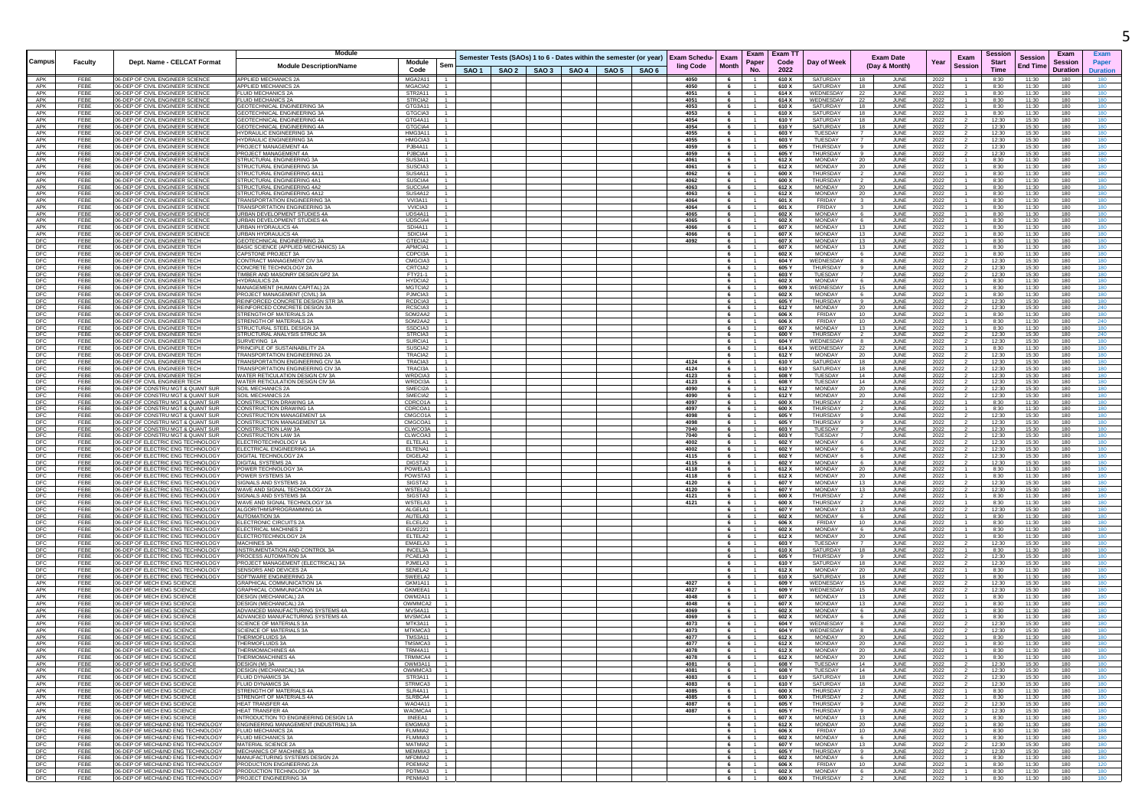|                          |              |                                                                                   | <b>Module</b>                                                          |                                               |  |  |                                                                    |                                       |                        | Exam I                           | Exam T1               |                                  |                              |                                   |              |                        | Sessior        |                                   | Exam            |                 |
|--------------------------|--------------|-----------------------------------------------------------------------------------|------------------------------------------------------------------------|-----------------------------------------------|--|--|--------------------------------------------------------------------|---------------------------------------|------------------------|----------------------------------|-----------------------|----------------------------------|------------------------------|-----------------------------------|--------------|------------------------|----------------|-----------------------------------|-----------------|-----------------|
| Campus                   | Faculty      | Dept. Name - CELCAT Format                                                        | <b>Module Description/Name</b>                                         | Module<br>Sem                                 |  |  | Semester Tests (SAOs) 1 to 6 - Dates within the semester (or year) | <b>Exam Schedu-</b> Exam<br>ling Code | <b>Month</b>           | Paper                            | Code                  | Day of Week                      |                              | <b>Exam Date</b><br>(Day & Month) | Year         | Exam<br><b>Session</b> | <b>Start</b>   | <b>Session</b><br><b>End Time</b> | Session         | Paper           |
|                          |              |                                                                                   |                                                                        | Code                                          |  |  | SAO 1   SAO 2   SAO 3   SAO 4   SAO 5   SAO 6                      |                                       |                        | No.                              | 2022                  |                                  |                              |                                   |              |                        | Time           |                                   | <b>Duration</b> | <b>Duration</b> |
| APK<br>APK               | FEBE<br>FEBE | 06-DEP OF CIVIL ENGINEER SCIENCE<br>06-DEP OF CIVIL ENGINEER SCIENCE              | APPLIED MECHANICS 2A<br>APPLIED MECHANICS 2A                           | MGA2A11<br>MGACIA2                            |  |  |                                                                    | 4050<br>4050                          | 6<br>6                 | $\overline{1}$                   | 610 X<br>610 X        | SATURDAY<br>SATURDAY             | 18<br>18                     | JUNE<br>JUNE                      | 2022<br>2022 |                        | 8:30<br>8:30   | 11:30<br>11:30                    | 180<br>180      | 180             |
| APK                      | FFBF         | <b>16-DEP OF CIVIL ENGINEER SCIENCE</b>                                           | <b>FLUID MECHANICS 2A</b>                                              | STR2A11                                       |  |  |                                                                    | 4051                                  | $6 -$                  | $-1$                             | 614 X                 | WEDNESDAY                        | 22                           | JUNE                              | 2022         |                        | 8:30           | 11:30                             | 180             | 180             |
| APK                      | FEBE         | <b>06-DEP OF CIVIL ENGINEER SCIENCE</b>                                           | LUID MECHANICS 2A                                                      | STRCIA2                                       |  |  |                                                                    | 4051                                  | 6                      |                                  | 614 X                 | WEDNESDAY                        | 22                           | JUNE                              | 2022         |                        | 8:30           | 11:30                             | 180             | 180             |
| APK<br>APK               | FEBE<br>FEBE | 06-DEP OF CIVIL ENGINEER SCIENCE<br>106-DEP OF CIVIL ENGINEER SCIENCE             | GEOTECHNICAL ENGINEERING 3A<br><b>GEOTECHNICAL ENGINEERING 3A</b>      | GTG3A11<br>GTGCIA3                            |  |  |                                                                    | 4053<br>4053                          | 6<br>6                 | $\overline{1}$<br>$\overline{1}$ | 610 X<br>610 X        | SATURDAY<br>SATURDAY             | 18<br>18                     | JUNE<br>JUNE                      | 2022<br>2022 |                        | 8:30<br>8:30   | 11:30<br>11:30                    | 180<br>180      | 180<br>180      |
| APK                      | FEBE         | <b>16-DEP OF CIVIL ENGINEER SCIENCE</b>                                           | GEOTECHNICAL ENGINEERING 4A                                            | GTG4A11                                       |  |  |                                                                    | 4054                                  | 6                      | $-1$                             | 610 Y                 | SATURDAY                         | 18                           | JUNE                              | 2022         |                        | 12:30          | 15:30                             | 180             | 180             |
| APK<br>APK               | FEBE<br>FEBE | 06-DEP OF CIVIL ENGINEER SCIENCE<br>06-DEP OF CIVIL ENGINEER SCIENCI              | GEOTECHNICAL ENGINEERING 4A<br><b>HYDRAULIC ENGINEERING 3A</b>         | GTGCIA4<br>HMG3A11                            |  |  |                                                                    | 4054<br>4055                          | 6<br>6                 | $-1$                             | 610Y<br>603 Y         | SATURDAY<br>TUESDAY              | 18<br>$\overline{7}$         | JUNE<br>JUNE                      | 2022         |                        | 12:30<br>12:30 | 15:30<br>15:30                    | 180<br>180      | 180<br>180      |
| APK                      | FEBE         | <b>06-DEP OF CIVIL ENGINEER SCIENCE</b>                                           | <b>IYDRAULIC ENGINEERING 3A</b>                                        | HMGCIA3                                       |  |  |                                                                    | 4055                                  | $6\overline{6}$        | $\overline{1}$                   | 603 Y                 | TUESDAY                          | $\overline{7}$               | JUNE                              | 2022<br>2022 |                        | 12:30          | 15:30                             | 180             | 180             |
| APK                      | FEBE         | 06-DEP OF CIVIL ENGINEER SCIENCI                                                  | ROJECT MANAGEMENT 4A                                                   | PJB4A11                                       |  |  |                                                                    | 4059                                  | $6\overline{6}$        | $\overline{1}$                   | 605                   | THURSDAY                         | 9                            | JUNE                              | 2022         |                        | 12:30          | 15:30                             | 180             | 180             |
| APK<br>APK               | FEBE<br>FEBE | 06-DEP OF CIVIL ENGINEER SCIENCE<br>06-DEP OF CIVIL ENGINEER SCIENCI              | PROJECT MANAGEMENT 4A<br>STRUCTURAL ENGINEERING 3A                     | PJBCIA4<br>SUS3A11                            |  |  |                                                                    | 4059<br>4061                          | $6\overline{6}$<br>6   | $-1$                             | 605 Y<br>612 X        | THURSDAY<br><b>MONDAY</b>        | 9<br>- 20                    | JUNE<br>JUNE                      | 2022<br>2022 |                        | 12:30<br>8:30  | 15:30<br>11:30                    | 180<br>180      | 180<br>180      |
| APK                      | FEBE         | <b>06-DEP OF CIVIL ENGINEER SCIENCI</b>                                           | TRUCTURAL ENGINEERING 3A                                               | SUSCIA3                                       |  |  |                                                                    | 4061                                  | $6\overline{6}$        | $\overline{1}$                   | 612 X                 | MONDAY                           | 20                           | <b>JUNE</b>                       | 2022         |                        | 8:30           | 11:30                             | 180             | 180             |
| APK<br>APK               | FEBE         | 06-DEP OF CIVIL ENGINEER SCIENCE                                                  | STRUCTURAL ENGINEERING 4A1<br>TRUCTURAL ENGINEERING 4A1                | SUS4A11                                       |  |  |                                                                    | 4062                                  | 6                      |                                  | 600 X                 | <b>THURSDAY</b>                  | $\overline{2}$               | JUNE                              | 2022         |                        | 8:30           | 11:30                             | 180             | 180             |
| APK                      | FEBE<br>FFBF | 16-DEP OF CIVIL ENGINEER SCIENCI<br>06-DEP OF CIVIL ENGINEER SCIENCE              | STRUCTURAL ENGINEERING 4A2                                             | SUSCIA4<br>SUCCIA4                            |  |  |                                                                    | 4062<br>4063                          | 6<br>6                 | $\overline{1}$<br>$-1$           | 600 X<br>612 X        | <b>THURSDAY</b><br><b>MONDAY</b> | 20                           | JUNE<br><b>JUNE</b>               | 2022<br>2022 |                        | 8:30<br>8:30   | 11:30<br>11:30                    | 180<br>180      | 180<br>180      |
| APK                      | FEBE         | 06-DEP OF CIVIL ENGINEER SCIENCE                                                  | STRUCTURAL ENGINEERING 4A12                                            | SUS4A12                                       |  |  |                                                                    | 4063                                  | $6 \quad \blacksquare$ | $-1$                             | 612 X                 | MONDAY                           | 20                           | JUNE                              | 2022         |                        | 8:30           | 11:30                             | 180             | 180             |
| APK<br>APK               | FEBE<br>FEBE | <b>16-DEP OF CIVIL ENGINEER SCIENCE</b><br>06-DEP OF CIVIL ENGINEER SCIENCI       | RANSPORTATION ENGINEERING 34<br><b>FRANSPORTATION ENGINEERING 3A</b>   | <b>VVI3A11</b><br>VVICIA3                     |  |  |                                                                    | 4064<br>4064                          | 6<br>6                 | $\overline{1}$                   | 601 X<br>601 X        | FRIDAY<br>FRIDAY                 | 3<br>$\overline{\mathbf{3}}$ | JUNE<br>JUNE                      | 2022         |                        | 8:30<br>8:30   | 11:30<br>11:30                    | 180<br>180      | 180<br>180      |
| APK                      | FEBE         | 06-DEP OF CIVIL ENGINEER SCIENCE                                                  | JRBAN DEVELOPMENT STUDIES 4A                                           | UDS4A11                                       |  |  |                                                                    | 4065                                  | $6 -$                  | $\overline{1}$                   | 602 X                 | <b>MONDAY</b>                    | 6                            | <b>JUNE</b>                       | 2022<br>2022 |                        | 8:30           | 11:30                             | 180             | 180             |
| APK                      | FEBE         | 06-DEP OF CIVIL ENGINEER SCIENCI                                                  | JRBAN DEVELOPMENT STUDIES 4A                                           | UDSCIA4                                       |  |  |                                                                    | 4065                                  | 6                      | $\overline{1}$                   | 602 X                 | <b>MONDAY</b>                    | 6                            | JUNE                              | 2022         |                        | 8:30           | 11:30                             | 180             | 180             |
| APK<br>APK               | FEBE<br>FFBF | 06-DEP OF CIVIL ENGINEER SCIENCE<br>06-DEP OF CIVIL ENGINEER SCIENCE              | URBAN HYDRAULICS 4A<br><b>IRBAN HYDRAULICS 4A</b>                      | <b>SDI4A11</b><br>SDICIA4                     |  |  |                                                                    | 4066<br>4066                          | 6<br>6                 | $\overline{1}$                   | 607 X<br>607 X        | <b>MONDAY</b><br><b>MONDAY</b>   | 13<br>13                     | JUNE<br>JUNE                      | 2022<br>2022 |                        | 8:30<br>8:30   | 11:30<br>11:30                    | 180<br>180      | 180<br>180      |
| DFC                      | FEBE         | 06-DEP OF CIVIL ENGINEER TECH                                                     | EOTECHNICAL ENGINEERING 2A                                             | GTECIA2                                       |  |  |                                                                    | 4092                                  | 6                      | $\overline{1}$                   | 607)                  | <b>MONDAY</b>                    | 13                           | JUNE                              | 2022         |                        | 8:30           | 11:30                             | 180             | 180             |
| DFC                      | FEBE         | 06-DEP OF CIVIL ENGINEER TECH                                                     | <b>BASIC SCIENCE (APPLIED MECHANICS) 1A</b>                            | APMCIA1                                       |  |  |                                                                    |                                       | 6                      |                                  | 607 X                 | MONDAY                           | 13                           | JUNE                              | 2022         |                        | 8:30           | 11:30                             | 180             | 180             |
| DFC<br>DFC               | FEBE<br>FFBF | 16-DEP OF CIVIL ENGINEER TECH<br>06-DEP OF CIVIL ENGINEER TECH                    | CAPSTONE PROJECT 3A<br>CONTRACT MANAGEMENT CIV 3A                      | CDPCI3A<br>CMGCIA3                            |  |  |                                                                    |                                       | 6<br>6                 | $\overline{1}$<br>$-1$           | 602 X<br>604 Y        | MONDAY<br>WEDNESDAY              | 6<br>8                       | JUNE<br>JUNE                      | 2022<br>2022 |                        | 8:30<br>12:30  | 11:30<br>15:30                    | 180<br>180      | 180<br>180      |
| DFC                      | FEBE         | 06-DEP OF CIVIL ENGINEER TECH                                                     | CONCRETE TECHNOLOGY 2A                                                 | CRTCIA2                                       |  |  |                                                                    |                                       | $6 \quad$              | $-1$                             | 605 Y                 | THURSDAY                         | 9                            | JUNE                              | 2022         |                        | 12:30          | 15:30                             | 180             | 180             |
| DFC                      | FEBE<br>FFBF | 06-DEP OF CIVIL ENGINEER TECH<br><b>06-DEP OF CIVIL ENGINEER TECH</b>             | IMBER AND MASONRY DESIGN GP2 3A<br>HYDRAULICS 2A                       | FTY21-1<br>HYDCIA2                            |  |  |                                                                    |                                       | 6<br>6                 | $\overline{1}$<br>$\overline{1}$ | 603 Y<br>602 X        | <b>TUESDAY</b><br><b>MONDAY</b>  | $\overline{7}$<br>6          | JUNE<br>JUNE                      | 2022         |                        | 12:30<br>8:30  | 15:30<br>11:30                    | 180<br>180      | 180<br>180      |
| DFC<br>DFC               | FEBE         | <b>06-DEP OF CIVIL ENGINEER TECH</b>                                              | MANAGEMENT (HUMAN CAPITAL) 2A                                          | MGTCIA2                                       |  |  |                                                                    |                                       | 6                      | $-1$                             | 609 X                 | WEDNESDAY                        | 15                           | JUNE                              | 2022<br>2022 |                        | 8:30           | 11:30                             | 180             | 180             |
| DFC                      | FEBE         | 06-DEP OF CIVIL ENGINEER TECH                                                     | PROJECT MANAGEMENT (CIVIL) 3A                                          | PJMCIA3                                       |  |  |                                                                    |                                       | 6                      | $\overline{1}$                   | 602 X                 | MONDAY                           | 6                            | JUNE                              | 2022         |                        | 8:30           | 11:30                             | 180             | 180             |
| DFC<br>DFC               | FEBE<br>FFBF | 06-DEP OF CIVIL ENGINEER TECH<br><b>06-DEP OF CIVIL ENGINEER TECH</b>             | REINFORCED CONCRETE DESIGN STR 3A<br>REINFORCED CONCRETE DESIGN 3A     | RCDCIA3<br>RCSCIA3                            |  |  |                                                                    |                                       | 6<br>6                 | $\overline{1}$<br>$-1$           | 605 Y<br>612 Y        | <b>THURSDAY</b><br><b>MONDAY</b> | 9<br>20                      | JUNE<br>JUNE                      | 2022<br>2022 |                        | 12:30<br>12:30 | 15:30<br>15:30                    | 180<br>180      | 180<br>240      |
| DFC                      | FEBE         | <b>06-DEP OF CIVIL ENGINEER TECK</b>                                              | <b>STRENGTH OF MATERIALS 2/</b>                                        | SOM2AA2                                       |  |  |                                                                    |                                       | 6                      | $\overline{1}$                   | 606                   | FRIDAY                           | 10                           | <b>JUNE</b>                       | 2022         |                        | 8:30           | 11:30                             | 180             | 180             |
| DFC                      | FEBE         | 06-DEP OF CIVIL ENGINEER TECH                                                     | <b>STRENGTH OF MATERIALS 2A</b>                                        | SOM2AA2                                       |  |  |                                                                    |                                       | 6                      |                                  | 606 X                 | FRIDAY                           | 10                           | JUNE                              | 2022         |                        | 8:30           | 11:30                             | 180             | 240             |
| DFC<br>DFC               | FEBE<br>FEBE | 06-DEP OF CIVIL ENGINEER TECH<br>06-DEP OF CIVIL ENGINEER TECH                    | STRUCTURAL STEEL DESIGN 3A<br><b>STRUCTURAL ANALYSIS STRUC 3A</b>      | SSDCIA3<br>STRCIA3                            |  |  |                                                                    |                                       | 6<br>$6\overline{6}$   | $\overline{1}$<br>$\overline{1}$ | 607 X<br>600 Y        | MONDAY<br>THURSDAY               | 13<br>$\overline{2}$         | <b>JUNE</b><br>JUNE               | 2022<br>2022 |                        | 8:30<br>12:30  | 11:30<br>15:30                    | 180<br>180      | 180<br>240      |
| DFC                      | FEBE         | 06-DEP OF CIVIL ENGINEER TECH                                                     | SURVEYING 1A                                                           | SURCIA1                                       |  |  |                                                                    |                                       | 6                      |                                  | 604 Y                 | WEDNESDAY                        | 8                            | JUNE                              | 2022         |                        | 12:30          | 15:30                             | 180             | 180             |
| DFC                      | FEBE         | 06-DEP OF CIVIL ENGINEER TECH                                                     | PRINCIPLE OF SUSTAINABILITY 2A<br><b>FRANSPORTATION ENGINEERING 24</b> | SUSCIA2                                       |  |  |                                                                    |                                       | 6                      | $-1$                             | 614 X                 | WEDNESDAY                        | - 22                         | JUNE                              | 2022         |                        | 8:30           | 11:30                             | 180             | 180             |
| DFC<br>DFC               | FFBF<br>FEBE | <b>06-DEP OF CIVIL ENGINEER TECH</b><br><b>06-DEP OF CIVIL ENGINEER TECH</b>      | <b>FRANSPORTATION ENGINEERING CIV 3A</b>                               | TRACIA2<br>TRACIA3                            |  |  |                                                                    | 4124                                  | $6\overline{6}$<br>6   | $-1$                             | 612 Y<br>610 Y        | <b>MONDAY</b><br>SATURDAY        | 20<br>18                     | JUNE<br>JUNE                      | 2022<br>2022 |                        | 12:30<br>12:30 | 15:30<br>15:30                    | 180<br>180      | 180<br>180      |
| DFC                      | FEBE         | 06-DEP OF CIVIL ENGINEER TECH                                                     | <b>FRANSPORTATION ENGINEERING CIV 3A</b>                               | TRACI3A                                       |  |  |                                                                    | 4124                                  | 6                      | $\overline{1}$                   | 610 Y                 | SATURDAY                         | 18                           | JUNE                              | 2022         |                        | 12:30          | 15:30                             | 180             | 180             |
| <b>DFC</b>               | FEBE         | 06-DEP OF CIVIL ENGINEER TECH                                                     | WATER RETICULATION DESIGN CIV 3A                                       | WRDCIA3                                       |  |  |                                                                    | 4123                                  | $6 -$                  | $\overline{1}$<br>$-1$           | 608 Y                 | TUESDAY                          | 14<br>14                     | JUNE                              | 2022         |                        | 12:30          | 15:30                             | 180             | 180             |
| DFC<br>DFC               | FEBE<br>FEBE | 06-DEP OF CIVIL ENGINEER TECH<br>16-DEP OF CONSTRU MGT & QUANT SUR                | WATER RETICULATION DESIGN CIV 3A<br>SOIL MECHANICS 2A                  | WRDCI3A<br>SMECI2A                            |  |  |                                                                    | 4123<br>4090                          | 6<br>6                 |                                  | 608 Y<br>612 Y        | TUESDAY<br><b>MONDAY</b>         | 20                           | JUNE<br>JUNE                      | 2022<br>2022 |                        | 12:30<br>12:30 | 15:30<br>15:30                    | 180<br>180      | 180<br>180      |
| DFC                      | FEBE         | 06-DEP OF CONSTRU MGT & OUANT SUR                                                 | SOIL MECHANICS 2A                                                      | SMECIA2                                       |  |  |                                                                    | 4090                                  | 6                      | $-1$                             | 612 Y                 | <b>MONDAY</b>                    | 20                           | JUNE                              | 2022         |                        | 12:30          | 15:30                             | 180             | 180             |
| <b>DFC</b><br>DFC        | FEBE<br>FEBE | 06-DEP OF CONSTRU MGT & QUANT SUR<br><b>16-DEP OF CONSTRU MGT &amp; QUANT SUF</b> | CONSTRUCTION DRAWING 1A<br>ONSTRUCTION DRAWING 1/                      | CDRCO1A<br>CDRCOA1                            |  |  |                                                                    | 4097<br>4097                          | 6                      | $-1$                             | 600 X<br>600)         | THURSDAY<br>THURSDAY             | $\overline{2}$               | JUNE<br>JUNE                      | 2022         |                        | 8:30<br>8:30   | 11:30<br>11:30                    | 180<br>180      | 180<br>180      |
| DFC                      | FEBE         | <b>06-DEP OF CONSTRU MGT &amp; QUANT SUR</b>                                      | CONSTRUCTION MANAGEMENT 1A                                             | CMGCO1A                                       |  |  |                                                                    | 4098                                  | $6\overline{6}$<br>6   | $\overline{1}$                   | 605 Y                 | THURSDAY                         | 9                            | JUNE                              | 2022<br>2022 |                        | 12:30          | 15:30                             | 180             | 180             |
| DFC                      | FFBF         | 06-DEP OF CONSTRU MGT & QUANT SUR                                                 | CONSTRUCTION MANAGEMENT 1A                                             | CMGCOA1                                       |  |  |                                                                    | 4098                                  | 6                      | $-1$                             | 605 Y                 | THURSDAY                         | 9                            | <b>JUNE</b>                       | 2022         |                        | 12:30          | 15:30                             | 180             | 180             |
| DFC<br>DFC               | FEBE<br>FEBE | 06-DEP OF CONSTRU MGT & QUANT SUR<br><b>16-DEP OF CONSTRU MGT &amp; QUANT SUR</b> | CONSTRUCTION LAW 3A<br>CONSTRUCTION LAW 3A                             | CLWCO3A<br>CLWCOA3                            |  |  |                                                                    | 7040<br>7040                          | 6<br>$6 -$             | $\overline{1}$<br>1              | 603 Y<br>603 Y        | TUESDAY<br>TUESDAY               | 7<br>$\overline{7}$          | JUNE<br>JUNE                      | 2022<br>2022 |                        | 12:30<br>12:30 | 15:30<br>15:30                    | 180<br>180      | 180<br>180      |
| DFC                      | FEBE         | 16-DEP OF ELECTRIC ENG TECHNOLOGY                                                 | LECTROTECHNOLOGY 1/                                                    | ELTELA1                                       |  |  |                                                                    | 4002                                  | 6                      | $\overline{1}$                   | 602 Y                 | <b>MONDAY</b>                    | 6                            | JUNE                              | 2022         |                        | 12:30          | 15:30                             | 180             | 180             |
| <b>DFC</b>               | FEBE         | 06-DEP OF ELECTRIC ENG TECHNOLOGY                                                 | ELECTRICAL ENGINEERING 1.                                              | ELTENA1                                       |  |  |                                                                    | 4002                                  | $6 -$                  | $\overline{1}$                   | 602 Y                 | <b>MONDAY</b>                    | 6                            | JUNE                              | 2022         |                        | 12:30          | 15:30                             | 180             | 180             |
| DFC<br>DFC               | FEBE<br>FEBE | 06-DEP OF ELECTRIC ENG TECHNOLOGY<br>16-DEP OF ELECTRIC ENG TECHNOLOGY            | DIGITAL TECHNOLOGY 2A<br>DIGITAL SYSTEMS 2A                            | DIGELA2<br>DIGSTA2                            |  |  |                                                                    | 4115<br>4115                          | 6<br>6                 | - 1                              | 602 Y<br>602 Y        | MONDAY<br><b>MONDAY</b>          | 6<br>6                       | JUNE<br>JUNE                      | 2022<br>2022 |                        | 12:30<br>12:30 | 15:30<br>15:30                    | 180<br>180      | 180<br>180      |
| DFC                      | FFBF         | 06-DEP OF ELECTRIC ENG TECHNOLOGY                                                 | POWER TECHNOLOGY:                                                      | POWELA3                                       |  |  |                                                                    | 4118                                  | 6                      | $-1$                             | 612 X                 | <b>MONDAY</b>                    | 20                           | JUNE                              | 2022         |                        | 8:30           | 11:30                             | 180             | 180             |
| DFC                      | FEBE         | 06-DEP OF ELECTRIC ENG TECHNOLOGY                                                 | POWER SYSTEMS 3A                                                       | POWSTA3                                       |  |  |                                                                    | 4118                                  | 6                      | $-1$                             | 612 X                 | MONDAY                           | 20                           | JUNE                              | 2022         |                        | 8:30           | 11:30                             | 180             | 180             |
| DFC<br>DFC               | FEBE<br>FEBE | 06-DEP OF ELECTRIC ENG TECHNOLOGY<br>06-DEP OF ELECTRIC ENG TECHNOLOGY            | <b>SIGNALS AND SYSTEMS 2.</b><br>WAVE AND SIGNAL TECHNOLOGY 2A         | SIGSTA2<br>WSTELA2                            |  |  |                                                                    | 4120<br>4120                          | 6<br>6                 | $\overline{1}$                   | 607 Y<br>607 Y        | <b>MONDAY</b><br><b>MONDAY</b>   | 13<br>13                     | JUNE<br>JUNE                      | 2022<br>2022 |                        | 12:30<br>12:30 | 15:30<br>15:30                    | 180<br>180      | 180<br>180      |
| DFC                      | FEBE         | 06-DEP OF ELECTRIC ENG TECHNOLOGY                                                 | SIGNALS AND SYSTEMS 3A                                                 | SIGSTA3                                       |  |  |                                                                    | 4121                                  | 6                      | $\overline{1}$                   | 600 X                 | THURSDAY                         | $\overline{2}$               | JUNE                              | 2022         |                        | 8:30           | 11:30                             | 180             | 180             |
| <b>DFC</b><br>DFC        | FEBE<br>FEBE | <b>06-DEP OF ELECTRIC ENG TECHNOLOGY</b><br>06-DEP OF ELECTRIC ENG TECHNOLOGY     | <b>NAVE AND SIGNAL TECHNOLOGY 3/</b><br>ALGORITHMS/PROGRAMMING 1A      | WSTELA3<br>ALGELA1                            |  |  |                                                                    | 4121                                  | 6<br>6                 | $\overline{1}$                   | 600 X<br>607 Y        | <b>THURSDAY</b><br><b>MONDAY</b> | $\overline{2}$<br>- 13       | JUNE<br>JUNE                      | 2022         |                        | 8:30<br>12:30  | 11:30<br>15:30                    | 180<br>180      | 180<br>180      |
|                          | FFBF         | <b>06-DEP OF ELECTRIC ENG TECHNOLOGY</b>                                          | <b>AUTOMATION 3A</b>                                                   | AUTELA3                                       |  |  |                                                                    |                                       | $6 -$                  | $-1$                             | 602 X                 | <b>MONDAY</b>                    | 6                            | JUNE                              | 2022<br>2022 |                        | 8:30           | 11:30                             | 180             | 180             |
| DFC                      | FEBE         | <b>16-DEP OF ELECTRIC ENG TECHNOLOG</b>                                           | <b>LECTRONIC CIRCUITS 2A</b>                                           | ELCELA2                                       |  |  |                                                                    |                                       | 6                      |                                  | 606                   | FRIDAY                           | 10                           | JUNE                              | 2022         |                        | 8:30           | 11:30                             | 180             |                 |
| DFC<br>DFC               | FEBE<br>FEBE | 06-DEP OF ELECTRIC ENG TECHNOLOGY<br>06-DEP OF ELECTRIC ENG TECHNOLOGY            | ELECTRICAL MACHINES:<br>ELECTROTECHNOLOGY 2A                           | <b>ELM2221</b><br>ELTELA2                     |  |  |                                                                    |                                       | 6<br>6                 | $-1$                             | 602 X<br>612 X        | <b>MONDAY</b><br><b>MONDAY</b>   | 6<br>- 20                    | JUNE<br>JUNE                      | 2022<br>2022 |                        | 8:30<br>8:30   | 11:30<br>11:30                    | 180<br>180      | 180<br>180      |
| DFC                      | FFBF         | 06-DEP OF ELECTRIC ENG TECHNOLOGY                                                 | MACHINES 3A                                                            | FMAFI A3                                      |  |  |                                                                    |                                       | 6                      | $-1$                             | 603 Y                 | TUESDAY                          | 7                            | JUNE                              | 2022         |                        | 12:30          | 15:30                             | 180             | 180             |
| DFC                      | FEBE         | <b>06-DEP OF ELECTRIC ENG TECHNOLOG</b>                                           | INSTRUMENTATION AND CONTROL 3A                                         | INCEL3A                                       |  |  |                                                                    |                                       | 6                      |                                  | 610 X                 | SATURDAY                         | 18                           | JUNE                              | 2022         |                        | 8:30           | 11:30                             | 180             | 180             |
| DFC<br>DFC               | FEBE<br>FFBF | 06-DEP OF ELECTRIC ENG TECHNOLOGY<br>06-DEP OF ELECTRIC ENG TECHNOLOGY            | PROCESS AUTOMATION 3A<br>PROJECT MANAGEMENT (ELECTRICAL) 3A            | PCAELA3<br>PJMELA3                            |  |  |                                                                    |                                       | 6<br>$6 -$             | $\overline{1}$<br>$\overline{1}$ | 605 Y<br>610 Y        | THURSDAY<br>SATURDAY             | 9<br>18                      | JUNE<br><b>JUNE</b>               | 2022<br>2022 |                        | 12:30<br>12:30 | 15:30<br>15:30                    | 180<br>180      | 180<br>180      |
| DFC                      | FEBE         | <b>06-DEP OF ELECTRIC ENG TECHNOLOGY</b>                                          | SENSORS AND DEVICES 2                                                  | SENELA2                                       |  |  |                                                                    |                                       | 6                      | $\overline{1}$                   | 612 X                 | MONDAY                           | 20                           | JUNE                              | 2022         |                        | 8:30           | 11:30                             | 180             | 180             |
| DFC<br>APK               | FEBE<br>FEBE | 06-DEP OF ELECTRIC ENG TECHNOLOGY<br>06-DEP OF MECH ENG SCIENCE                   | SOFTWARE ENGINEERING 2A<br><b>GRAPHICAL COMMUNICATION 1A</b>           | SWEELA2<br>GKM1A11<br>$-1$                    |  |  |                                                                    | 4027                                  | 6<br>6                 | $\overline{1}$<br>$-1$           | 610 X<br>609 Y        | SATURDAY<br>WEDNESDAY            | 18<br>15                     | JUNE<br>JUNE                      | 2022<br>2022 |                        | 8:30<br>12:30  | 11:30<br>15:30                    | 180<br>180      | 180<br>180      |
| APK                      | FEBE         | 06-DEP OF MECH ENG SCIENCE                                                        | <b>GRAPHICAL COMMUNICATION 1A</b>                                      | GKMEEA1                                       |  |  |                                                                    | 4027                                  | $6\overline{6}$        | $\overline{1}$                   | 609 Y                 | WEDNESDAY                        | 15                           | JUNE                              | 2022         |                        | 12:30          | 15:30                             | 180             | 180             |
| APK                      | FEBE         | <b>06-DEP OF MECH ENG SCIENCI</b>                                                 | <b>JESIGN (MECHANICAL) 2A</b>                                          | OWM2A11                                       |  |  |                                                                    | 4048                                  | 6                      |                                  | 607)                  | MONDAY                           | 13                           | JUNE                              | 2022         |                        | 8:30           | 11:30                             | 180             | 180             |
| APK<br>APK               | FEBE<br>FEBE | 06-DEP OF MECH ENG SCIENCI<br>06-DEP OF MECH ENG SCIENCE                          | <b>DESIGN (MECHANICAL) 2A</b><br>ADVANCED MANUFACTURING SYSTEMS 4A     | OWMMCA2<br>MVS4A11                            |  |  |                                                                    | 4048<br>4069                          | 6<br>$6\overline{6}$   | $\overline{1}$<br>$\overline{1}$ | 607 X<br>602 X        | <b>MONDAY</b><br><b>MONDAY</b>   | - 13<br>6                    | JUNE<br>JUNE                      | 2022<br>2022 |                        | 8:30<br>8:30   | 11:30<br>11:30                    | 180<br>180      | 180<br>180      |
| APK                      | FEBE         | 06-DEP OF MECH ENG SCIENCI                                                        | ADVANCED MANUFACTURING SYSTEMS 4A                                      | MVSMCA4                                       |  |  |                                                                    | 4069                                  | 6                      | $\overline{1}$                   | 602)                  | MONDAY                           | 6                            | JUNE                              | 2022         |                        | 8:30           | 11:30                             | 180             | 180             |
| APK                      | FEBE         | 06-DEP OF MECH ENG SCIENCE                                                        | <b>SCIENCE OF MATERIALS 3A</b>                                         | MTK3A11                                       |  |  |                                                                    | 4073                                  | 6                      | $-1$                             | 604 Y                 | WEDNESDAY                        | 8                            | JUNE                              | 2022         |                        | 12:30          | 15:30                             | 180             | 180             |
| APK<br>APK               | FEBE<br>FEBE | <b>16-DEP OF MECH ENG SCIENC</b><br>06-DEP OF MECH ENG SCIENCI                    | CIENCE OF MATERIALS 3A<br>THERMOFLUIDS 3A                              | MTKMCA3<br>TMS3A11                            |  |  |                                                                    | 4073<br>4077                          | 6<br>$6 -$             | $\overline{1}$<br>$-1$           | 604 Y<br>612 X        | WEDNESDAY<br><b>MONDAY</b>       | 8<br>- 20                    | JUNE<br>JUNE                      | 2022<br>2022 |                        | 12:30<br>8:30  | 15:30<br>11:30                    | 180<br>180      | 180<br>180      |
| APK                      | FEBE         | 06-DEP OF MECH ENG SCIENCE                                                        | <b>THERMOFLUIDS 3A</b>                                                 | TMSMCA3                                       |  |  |                                                                    | 4077                                  |                        | $6 \mid 1$                       | 612 X                 | MONDAY                           | 20                           | JUNE                              | 2022         |                        | 8:30           | 11:30                             | 180             | 180             |
| APK                      | FEBE<br>EERE | 06-DEP OF MECH ENG SCIENCE<br>06-DEP OF MECH ENG SCIENC                           | <b>HERMOMACHINES 4A</b><br>HERMOM∆                                     | <b>TRM4A11</b><br><b>TRMMCA</b>               |  |  |                                                                    | 4078                                  | 6<br>6                 | $\overline{1}$                   | 612 X<br>612 X        | MONDAY<br><b>MONDA</b>           | 20                           | JUNE                              | 2022<br>2022 |                        | 8:30           | 11:30                             | 180             | 180             |
| APK                      | FEBE         | 06-DEP OF MECH ENG SCIENCE                                                        | DESIGN (M) 3A                                                          | OWM3A11<br>$-1$                               |  |  |                                                                    | 1078<br>4081                          | 6                      | $-1$                             | 608 Y                 | TUESDAY                          | 14                           | JUNE                              | 2022         |                        | 12:30          | 15:30                             | 180             | 180             |
| APK                      | FEBE         | <b>06-DEP OF MECH ENG SCIENCE</b>                                                 | <b>JESIGN (MECHANICAL) 3A</b>                                          | OWMMCA3                                       |  |  |                                                                    | 4081                                  | 6                      |                                  | 608 Y                 | TUESDAY                          | 14                           | JUNE                              | 2022         |                        | 12:30          | 15:30                             | 180             | 180             |
| APK<br>APK               | FEBE<br>FFBF | 06-DEP OF MECH ENG SCIENCE<br>06-DEP OF MECH ENG SCIENCE                          | FLUID DYNAMICS 3A<br>FLUID DYNAMICS 34                                 | STR3A11<br>STRMCA3<br>$-1$                    |  |  |                                                                    | 4083<br>4083                          | 6<br>6                 | $\sim$ 1<br>$\sim$ 1             | 610 Y<br>610 Y        | SATURDAY<br>SATURDAY             | 18<br>18                     | JUNE<br>JUNE                      | 2022<br>2022 |                        | 12:30<br>12:30 | 15:30<br>15:30                    | 180<br>180      | 180<br>180      |
| APK                      | FEBE         | 06-DEP OF MECH ENG SCIENCE                                                        | STRENGTH OF MATERIALS 4A                                               | SLR4A11<br>$-1$                               |  |  |                                                                    | 4085                                  | 6                      | $\blacksquare$                   | 600 X                 | THURSDAY                         | $\overline{2}$               | JUNE                              | 2022         |                        | 8:30           | 11:30                             | 180             | 180             |
| APK<br>APK               | FEBE         | 06-DEP OF MECH ENG SCIENCE<br>06-DEP OF MECH ENG SCIENCE                          | TRENGHT OF MATERIALS 4A<br><b>IEAT TRANSFER 4A</b>                     | SLRBCA4<br>$-1$                               |  |  |                                                                    | 4085                                  |                        | $6 \t1$                          | 600 X                 | THURSDAY<br>THURSDAY             | $\overline{2}$               | JUNE                              | 2022         |                        | 8:30           | 11:30                             | 180             | 180             |
| APK                      | FEBE<br>FEBE | 06-DEP OF MECH ENG SCIENCE                                                        | HEAT TRANSFER 4A                                                       | <b>WAO4A11</b><br>WAOMCA4<br>$-1$             |  |  |                                                                    | 4087<br>4087                          | 6<br>$6 -$             | $\overline{1}$<br>$-1$           | 605 Y<br>605 Y        | THURSDAY                         | 9<br>9                       | JUNE<br>JUNE                      | 2022<br>2022 |                        | 12:30<br>12:30 | 15:30<br>15:30                    | 180<br>180      | 180<br>180      |
| APK                      | FEBE         | 06-DEP OF MECH ENG SCIENCE                                                        | INTRODUCTION TO ENGINEERING DESIGN 1A                                  | <b>IINEEA1</b><br>$\overline{1}$              |  |  |                                                                    |                                       | 6                      | $\mathbf{1}$ 1                   | 607 X                 | <b>MONDAY</b>                    | 13                           | JUNE                              | 2022         |                        | 8:30           | 11:30                             | 180             | 180             |
| <b>DFC</b><br><b>DFC</b> | FEBE<br>FFBF | 06-DEP OF MECH&IND ENG TECHNOLOGY<br>06 DEP OF MECHSIND ENG TECHNOLOGY            | ENGINEERING MANAGEMENT (INDUSTRIAL) 3A<br>FLUID MECHANICS 2A           | EMGMIA3<br>$\overline{1}$<br>FI MMIA2<br>$-1$ |  |  |                                                                    |                                       | 6<br>6 1               | $\overline{1}$<br>$\blacksquare$ | 612 X<br><b>X 808</b> | MONDAY<br>FRIDAY                 | 20<br>10                     | JUNE<br>JUNE                      | 2022         |                        | 8:30<br>8:30   | 11:30<br>11:30                    | 180<br>180      | 180<br>188      |
| DFC                      | FEBE         | 06-DEP OF MECH&IND ENG TECHNOLOGY                                                 | <b>FLUID MECHANICS 3A</b>                                              | FLMMIA3<br>$-1$                               |  |  |                                                                    |                                       |                        | $6 \mid 1$                       | 602 X                 | MONDAY                           | 6                            | JUNE                              | 2022<br>2022 |                        | 8:30           | 11:30                             | 180             | 180             |
| DFC                      | FEBE         | 06-DEP OF MECH&IND ENG TECHNOLOGY                                                 | MATERIAL SCIENCE 2A                                                    | MATMIA2                                       |  |  |                                                                    |                                       | 6                      | $\overline{1}$                   | 607 Y                 | <b>MONDAY</b>                    | 13                           | JUNE                              | 2022         |                        | 12:30          | 15:30                             | 180             | 180             |
| DFC<br>DFC               | FEBE<br>FEBE | 06-DEP OF MECH&IND ENG TECHNOLOGY<br>06-DEP OF MECH&IND ENG TECHNOLOGY            | MECHANICS OF MACHINES 3A<br>MANUFACTURING SYSTEMS DESIGN 2A            | MEMMIA3<br>$\overline{1}$<br>MFDMIA2<br>$-1$  |  |  |                                                                    |                                       |                        | 6 1 1<br>$6 \t-1$                | 605 Y<br>602 X        | THURSDAY<br>MONDAY               | 9<br>6                       | JUNE<br>JUNE                      | 2022<br>2022 |                        | 12:30<br>8:30  | 15:30<br>11:30                    | 180<br>180      | 180<br>180      |
| DFC                      | FEBE         | 06-DEP OF MECH&IND ENG TECHNOLOGY                                                 | PRODUCTION ENGINEERING 2A                                              | PDEMIA2                                       |  |  |                                                                    |                                       | 6                      | $-1$                             | 606 X                 | FRIDAY                           | 10                           | JUNE                              | 2022         |                        | 8:30           | 11:30                             | 180             | 120             |
| DFC                      | FEBE         | 06-DEP OF MECH&IND ENG TECHNOLOGY                                                 | PRODUCTION TECHNOLOGY 3A                                               | T1.<br>PDTMIA3                                |  |  |                                                                    |                                       |                        | 6 1 602 X                        |                       | <b>MONDAY</b>                    | 6 <sup>6</sup>               | JUNE                              | 2022         |                        | 8:30           | 11:30                             | 180             | 180             |
| <b>DFC</b>               | FEBE         | 06-DEP OF MECH&IND ENG TECHNOLOGY   PROJECT ENGINEERING 3A                        |                                                                        | PENMIA3<br>$\sim$ 1                           |  |  |                                                                    |                                       |                        |                                  |                       | 6 1 600 X THURSDAY 2             |                              | JUNE                              | 2022         | $\overline{1}$         | 8:30           | 11:30                             | 180             | 180             |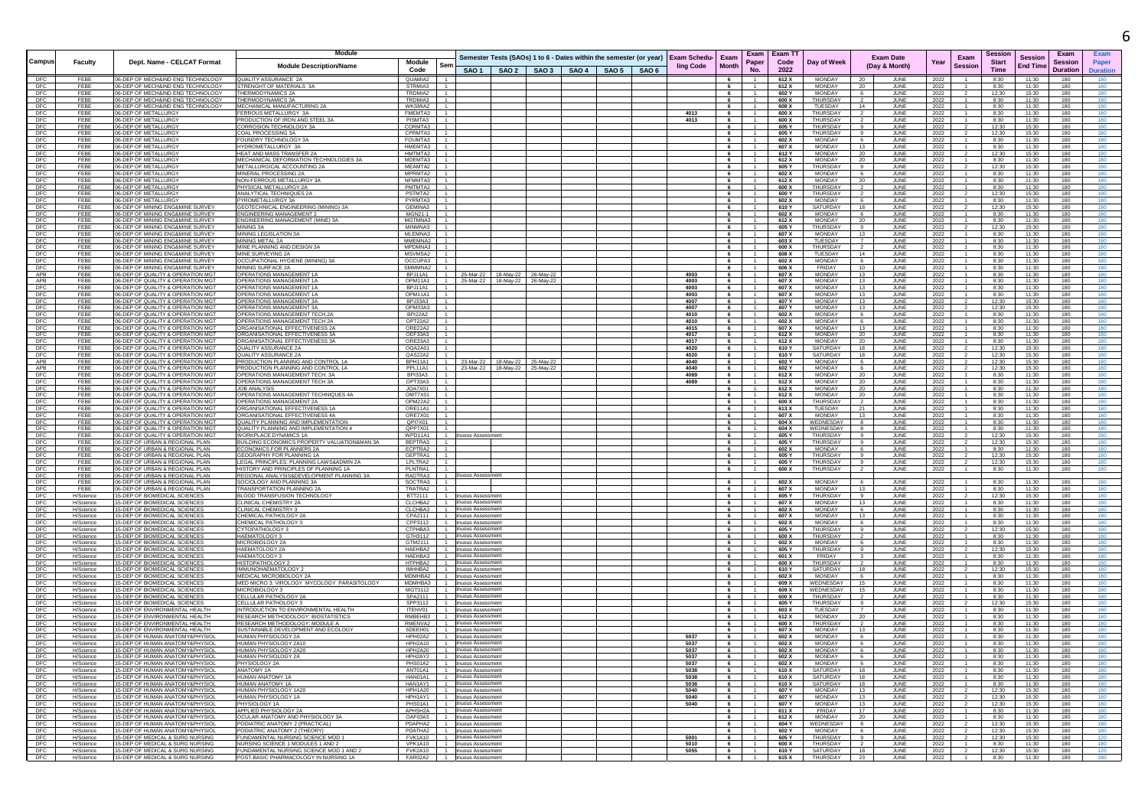|                                                                         |                        |                                                                                            | Module                                                                               |                                                 |                                     |                                                                |  |  |                                                                                      |                         | Exam                             | Exam T1        |                                 |                       |                     |                                | Session        |                 | Exam            |            |
|-------------------------------------------------------------------------|------------------------|--------------------------------------------------------------------------------------------|--------------------------------------------------------------------------------------|-------------------------------------------------|-------------------------------------|----------------------------------------------------------------|--|--|--------------------------------------------------------------------------------------|-------------------------|----------------------------------|----------------|---------------------------------|-----------------------|---------------------|--------------------------------|----------------|-----------------|-----------------|------------|
| Campus                                                                  | Faculty                | Dept. Name - CELCAT Format                                                                 |                                                                                      | Module<br>Sen                                   |                                     |                                                                |  |  | Semester Tests (SAOs) 1 to 6 - Dates within the semester (or year) Exam Schedu- Exam | <b>Month</b>            | Paper                            | Code           | Day of Week                     |                       | <b>Exam Date</b>    | Exam<br>Year<br><b>Session</b> | <b>Start</b>   | <b>Session</b>  | <b>Session</b>  | Pape       |
|                                                                         |                        |                                                                                            | <b>Module Description/Name</b>                                                       | Code                                            |                                     | SAO 1   SAO 2   SAO 3   SAO 4   SAO 5   SAO 6                  |  |  | ling Code                                                                            |                         | No.                              | 2022           |                                 |                       | (Day & Month)       |                                | <b>Time</b>    | <b>End Time</b> | <b>Duration</b> | Duration   |
| $rac{\text{DFC}}{\text{DFC}}$                                           | FEBE                   | 06-DEP OF MECH&IND ENG TECHNOLOGY                                                          | QUALITY ASSURANCE 2A                                                                 | QUAMIA2                                         |                                     |                                                                |  |  |                                                                                      |                         |                                  | 612 X          | <b>MONDAY</b>                   |                       | <b>JUN</b>          | 2022                           | 8:30           | 11:30           | 180             |            |
| DFC                                                                     | FEBE<br>FEBE           | 06-DEP OF MECH&IND ENG TECHNOLOGY<br>06-DEP OF MECH&IND ENG TECHNOLOGY                     | STRENGHT OF MATERIALS 3A<br>THERMODYNAMICS 2A                                        | STRMIA3<br>TRDMIA2                              |                                     |                                                                |  |  |                                                                                      | 6<br>6                  | $-1$                             | 612 X<br>602 Y | <b>MONDAY</b><br><b>MONDAY</b>  | -20<br>- 6            | JUNE<br>JUNE        | 2022<br>2022                   | 8:30<br>12:30  | 11:30<br>15:30  | 180<br>180      | 180        |
| DFC                                                                     | FFBF                   | 06-DEP OF MECH&IND ENG TECHNOLOGY                                                          | THERMODYNAMICS 3A                                                                    | <b>TROMIA3</b>                                  |                                     |                                                                |  |  |                                                                                      | $6 -$                   | $-1$                             | 600 X          | THURSDAY                        |                       | <b>JUNE</b>         | 2022                           | 8:30           | 11:30           | 180             | 180        |
| $\frac{\text{DFC}}{\text{DFC}}$                                         | FFBF<br>FEBE           | 06-DEP OF MECH&IND ENG TECHNOLOGY<br><b>06-DEP OF METALLURGY</b>                           | MECHANICAL MANUFACTURING 2A<br>ERROUS METALLURGY 3A                                  | WKSMIA2<br>FMEMTA3                              |                                     |                                                                |  |  | 4013                                                                                 | 6<br>6                  | $\overline{1}$                   | 608 X<br>600 X | TUESDAY<br>THURSDAY             | 14                    | JUNE<br>JUNE        | 2022                           | 8:30<br>8:30   | 11:30<br>11:30  | 180<br>180      | 180<br>180 |
| DFC                                                                     | FEBE                   | 06-DEP OF METALLURGY                                                                       | PRODUCTION OF IRON AND STEEL 3A                                                      | PISMTA3                                         |                                     |                                                                |  |  | 4013                                                                                 | 6                       | $\overline{1}$                   | 600 X          | THURSDAY                        | $\overline{2}$        | JUNE                | 2022<br>2022                   | 8:30           | 11:30           | 180             | 180        |
| $\frac{\text{DFC}}{\text{DFC}}$                                         | FEBE                   | <b>16-DEP OF METALLURG</b>                                                                 | ORROSION TECHNOLOGY 3A                                                               | CORMTA3                                         |                                     |                                                                |  |  |                                                                                      | 6                       |                                  | 605 Y          | THURSDAY                        | - 9                   | JUNE                | 2022                           | 12:30          | 15:30           | 180             | 180        |
| DFC                                                                     | FEBE<br>FEBE           | <b>06-DEP OF METALLURG</b><br>06-DEP OF METALLURGY                                         | COAL PROCESSING 3A<br>OUNDRY TECHNOLOGY 3/                                           | CPRMTA3<br>FOUMTA3                              |                                     |                                                                |  |  |                                                                                      | $6\overline{6}$<br>6    | $-1$                             | 605 Y<br>602 X | THURSDAY<br><b>MONDAY</b>       | 9<br>6                | JUNE<br><b>JUNE</b> | 2022<br>2022                   | 12:30<br>8:30  | 15:30<br>11:30  | 180<br>180      | 180<br>180 |
|                                                                         | FFBF                   | 06-DEP OF METALLURGY                                                                       | IYDROMETALLURGY 3A                                                                   | HMFMTA3                                         |                                     |                                                                |  |  |                                                                                      | 6                       | $-1$                             | 607 X          | <b>MONDAY</b>                   | 13                    | JUNE                | 2022                           | 8:30           | 11:30           | 180             | 180        |
| $\begin{array}{c}\n\text{DFC} \\ \text{DFC} \\ \text{DFC}\n\end{array}$ | FEBE                   | 06-DEP OF METALLURGY                                                                       | HEAT AND MASS TRANSFER                                                               | HMTMTA2                                         |                                     |                                                                |  |  |                                                                                      | 6                       |                                  | 612 Y          | <b>MONDAY</b>                   | 20                    | JUNE                | 2022                           | 12:30          | 15:30           | 180             | 180        |
| DFC                                                                     | FEBE<br>FEBE           | 06-DEP OF METALLURGY<br>16-DEP OF METALLURG'                                               | MECHANICAL DEFORMATION TECHNOLOGIES 3A<br>METALLURGICAL ACCOUNTING 2A                | MDEMTA3<br>MEAMTA2                              |                                     |                                                                |  |  |                                                                                      | 6<br>6                  | $\overline{1}$                   | 612 X<br>605 Y | MONDAY<br>THURSDAY              | - 20<br>9             | JUNE<br>JUNE        | 2022<br>2022                   | 8:30<br>12:30  | 11:30<br>15:30  | 180<br>180      | 180<br>180 |
| DFC                                                                     | FEBE                   | 06-DEP OF METALLURGY                                                                       | MINERAL PROCESSING 2A                                                                | MPRMTA2                                         |                                     |                                                                |  |  |                                                                                      |                         | $\overline{1}$                   | 602 X          | MONDAY                          | $6\overline{6}$       | <b>JUNE</b>         | 2022                           | 8:30           | 11:30           | 180             | 180        |
| DFC                                                                     | FEBE                   | 06-DEP OF METALLURGY                                                                       | NON-FERROUS METALLURGY 3A                                                            | NFMMTA3                                         |                                     |                                                                |  |  |                                                                                      | 6                       | $\overline{1}$                   | 612 X          | <b>MONDAY</b>                   | 20                    | JUNE                | 2022                           | 8:30           | 11:30           | 180             | 180        |
| DFC<br>DFC<br>DFC                                                       | FEBE<br>FEBE           | 06-DEP OF METALLURGY<br>06-DEP OF METALLURGY                                               | PHYSICAL METALLURGY 2A<br>ANALYTICAL TECHNIQUES 2A                                   | PMTMTA2<br>PSTMTA2                              |                                     |                                                                |  |  |                                                                                      | $6^{\circ}$<br>6        | $-1$<br>$\overline{1}$           | 600 X<br>600 Y | THURSDAY<br><b>THURSDAY</b>     | $\overline{2}$<br>- 2 | JUNE<br>JUNE        | 2022<br>2022                   | 8:30<br>12:30  | 11:30<br>15:30  | 180<br>180      | 180<br>180 |
|                                                                         | FEBE                   | 06-DEP OF METALLURG'                                                                       | YROMETALLURGY 3A                                                                     | PYRMTA3                                         |                                     |                                                                |  |  |                                                                                      | $6\overline{6}$         |                                  | 602 X          | <b>MONDAY</b>                   | 6                     | JUNE                | 2022                           | 8:30           | 11:30           | 180             | 180        |
| DFC                                                                     | FEBE<br>FFBF           | 06-DEP OF MINING ENG&MINE SURVET<br>06-DEP OF MINING ENG&MINE SURVEY                       | GEOTECHNICAL ENGINEERING (MINING) 3A<br>NGINEERING MANAGEMENT 2                      | GEMINA3<br>MGN21-1                              |                                     |                                                                |  |  |                                                                                      | 6<br>6                  | $-1$                             | 610 Y<br>602 X | SATURDAY<br><b>MONDAY</b>       | 18<br>6               | JUNE<br>JUNE        | 2022                           | 12:30<br>8:30  | 15:30<br>11:30  | 180<br>180      | 180<br>180 |
| $\frac{\text{DFC}}{\text{DFC}}$                                         | FEBE                   | <b>06-DEP OF MINING ENG&amp;MINE SURVEY</b>                                                | ENGINEERING MANAGEMENT (MINE) 3A                                                     | MGTMNA3                                         |                                     |                                                                |  |  |                                                                                      | 6                       | $-1$                             | 612 X          | <b>MONDAY</b>                   | 20                    | JUNE                | 2022<br>2022                   | 8:30           | 11:30           | 180             | 180        |
| DFC                                                                     | FEBE                   | 06-DEP OF MINING ENG&MINE SURVEY                                                           | MINING 3A                                                                            | MINMNA3                                         |                                     |                                                                |  |  |                                                                                      | 6                       | $\overline{1}$                   | 605 Y          | THURSDAY                        | 9                     | JUNE                | 2022                           | 12:30          | 15:30           | 180             | 180        |
| DFC<br>DFC                                                              | FEBE<br>FEBE           | 06-DEP OF MINING ENG&MINE SURVEY<br>06-DEP OF MINING ENG&MINE SURVEY                       | MINING LEGISLATION 3A<br><b>INING METAL 2A</b>                                       | MLEMNA3<br>MMEMNA2                              |                                     |                                                                |  |  |                                                                                      | 6<br>6                  | $\overline{1}$                   | 607 X<br>603 X | <b>MONDAY</b><br><b>TUESDAY</b> | 13                    | JUNE<br>JUNE        | 2022<br>2022                   | 8:30<br>8:30   | 11:30<br>11:30  | 180<br>180      | 180<br>180 |
| DFC                                                                     | FEBE                   | 06-DEP OF MINING ENG&MINE SURVEY                                                           | MINE PLANNING AND DESIGN 3/                                                          | MPDMNA3                                         |                                     |                                                                |  |  |                                                                                      | 6                       |                                  | 600 X          | THURSDAY                        |                       | <b>JUNE</b>         | 2022                           | 8:30           | 11:30           | 180             | 180        |
|                                                                         | FFBF                   | 06-DEP OF MINING ENG&MINE SURVEY                                                           | MINE SURVEYING 2A                                                                    | MSVMSA2                                         |                                     |                                                                |  |  |                                                                                      | 6                       | $\overline{1}$                   | 608 X          | TUESDAY                         | 14                    | JUNE                | 2022                           | 8:30           | 11:30           | 180             | 180        |
| $\begin{array}{c}\n\text{DFC} \\ \text{DFC} \\ \text{DFC}\n\end{array}$ | FEBE<br>FEBE           | 06-DEP OF MINING ENG&MINE SURVEY<br>06-DEP OF MINING ENG&MINE SURVEY                       | OCCUPATIONAL HYGIENE (MINING) 3A<br><b>MINING SURFACE 2A</b>                         | OCCUPA3<br>SMMMNA2                              |                                     |                                                                |  |  |                                                                                      | 6<br>6                  | $\overline{1}$                   | 602 X<br>606 X | <b>MONDAY</b><br>FRIDAY         | 6<br>10               | JUNE<br><b>JUNE</b> | 2022<br>2022                   | 8:30<br>8:30   | 11:30<br>11:30  | 180<br>180      | 180<br>180 |
| APB                                                                     | FEBE                   | 06-DEP OF QUALITY & OPERATION MGT                                                          | OPERATIONS MANAGEMENT 1A                                                             | BPJ11A1                                         |                                     | 25-Mar-22 18-May-22 26-May-22                                  |  |  | 4003                                                                                 | 6                       | $\overline{1}$                   | 607 X          | MONDAY                          | 13                    | JUNE                | 2022                           | 8:30           | 11:30           | 180             | 180        |
| APB                                                                     | FEBE                   | <b>06-DEP OF QUALITY &amp; OPERATION MGT</b>                                               | OPERATIONS MANAGEMENT 1A                                                             | OPM11A1                                         |                                     | 25-Mar-22 18-May-22 26-May-22                                  |  |  | 4003                                                                                 |                         |                                  | 607 X          | MONDAY                          | 13                    | JUNE                | 2022                           | 8:30           | 11:30           | 180             | 180        |
| DFC                                                                     | FEBE<br>FEBE           | 06-DEP OF QUALITY & OPERATION MGT<br>06-DEP OF QUALITY & OPERATION MGT                     | <b>PERATIONS MANAGEMENT 1A</b><br>OPERATIONS MANAGEMENT 1A                           | BPJ11A1<br>OPM11A1                              |                                     |                                                                |  |  | 4003<br>4003                                                                         | 6<br>6                  | $\overline{1}$<br>$\overline{1}$ | 607 X<br>607 X | <b>MONDAY</b><br>MONDAY         | 13<br>13              | JUNE<br>JUNE        | 2022<br>2022                   | 8:30<br>8:30   | 11:30<br>11:30  | 180<br>180      | 180<br>180 |
| $\begin{array}{c}\n\text{DFC} \\ \text{DFC} \\ \text{DFC}\n\end{array}$ | FEBE                   | 06-DEP OF QUALITY & OPERATION MG                                                           | OPERATIONS MANAGEMENT 3A                                                             | BPJ33A3                                         |                                     |                                                                |  |  | 4007                                                                                 | 6                       | -1.                              | 607 Y          | MONDAY                          | 13                    | JUNE                | 2022                           | 12:30          | 15:30           | 180             | 180        |
|                                                                         | FEBE                   | <b>06-DEP OF QUALITY &amp; OPERATION MG</b>                                                | <b>DPERATIONS MANAGEMENT 3</b>                                                       | OPM33A3                                         |                                     |                                                                |  |  | 4007                                                                                 | $6\overline{6}$         |                                  | 607Y           | <b>MONDAY</b>                   | 13                    | <b>JUN</b>          | 2022                           | 12:30          | 15:30           | 180             | 180        |
| DFC<br>DFC                                                              | FEBE<br>FFBF           | <b>06-DEP OF QUALITY &amp; OPERATION MG</b><br>06-DEP OF QUALITY & OPERATION MGT           | PERATIONS MANAGEMENT TECH.2A<br>OPERATIONS MANAGEMENT TECH 2A                        | <b>BPI22A2</b><br>OPT22A2                       |                                     |                                                                |  |  | 4010<br>4010                                                                         | 6<br>6                  | $\overline{1}$                   | 602 X<br>602 X | <b>MONDAY</b><br>MONDAY         | 6<br>6                | <b>JUNE</b><br>JUNE | 2022<br>2022                   | 8:30<br>8:30   | 11:30<br>11:30  | 180<br>180      | 180<br>180 |
| DFC                                                                     | FFBF                   | 06-DEP OF QUALITY & OPERATION MGT                                                          | ORGANISATIONAL EFFECTIVENESS 2A                                                      | ORE22A2                                         |                                     |                                                                |  |  | 4015                                                                                 | 6                       | $-1$                             | 607 X          | <b>MONDAY</b>                   | 13                    | JUNE                | 2022                           | 8:30           | 11:30           | 180             | 180        |
| DFC                                                                     | FEBE                   | 06-DEP OF QUALITY & OPERATION MGT                                                          | ORGANISATIONAL EFFECTIVENESS 3A                                                      | OEF33A3                                         |                                     |                                                                |  |  | 4017                                                                                 | 6                       | $-1$                             | 612 X          | MONDAY                          | 20                    | JUNE                | 2022                           | 8:30           | 11:30           | 180             | 180        |
|                                                                         | FEBE<br>FEBE           | 06-DEP OF QUALITY & OPERATION MG<br><b>06-DEP OF QUALITY &amp; OPERATION MG</b>            | ORGANISATIONAL EFFECTIVENESS 3A<br>QUALITY ASSURANCE 2A                              | ORE33A3<br>OQA2A01                              |                                     |                                                                |  |  | 4017<br>4020                                                                         | 6<br>6                  | $\overline{1}$                   | 612 X<br>610Y  | MONDAY<br><b>SATURDAY</b>       | - 20<br>18            | JUNE<br><b>JUNE</b> | 2022<br>2022                   | 8:30<br>12:30  | 11:30<br>15:30  | 180<br>180      | 180<br>180 |
| DFC<br>DFC<br>DFC                                                       | FEBE                   | 06-DEP OF QUALITY & OPERATION MG                                                           | <b>UALITY ASSURANCE 2A</b>                                                           | QAS22A2                                         |                                     |                                                                |  |  | 4020                                                                                 | 6                       |                                  | 610 Y          | SATURDAY                        | 18                    | <b>JUNE</b>         | 2022                           | 12:30          | 15:30           | 180             | 180        |
| <b>APB</b><br>APB                                                       | FFBF<br>FEBE           | 06-DEP OF QUALITY & OPERATION MG<br>06-DEP OF QUALITY & OPERATION MG                       | <b>PRODUCTION PLANNING AND CONTROL 1A</b><br>PRODUCTION PLANNING AND CONTROL 1A      | <b>BPH11A1</b><br>PPL11A1                       |                                     | 23-Mar-22 18-May-22 25-May-22<br>23-Mar-22 18-May-22 25-May-22 |  |  | 4040<br>4040                                                                         | 6<br>6                  |                                  | 602 Y<br>602 Y | <b>MONDAY</b><br><b>MONDAY</b>  | 6<br>6 <sup>5</sup>   | JUNE<br>JUNE        | 2022<br>2022                   | 12.30<br>12:30 | 15:30<br>15:30  | 180<br>180      | 180<br>180 |
| DFC                                                                     | FEBE                   | <b>06-DEP OF QUALITY &amp; OPERATION MG</b>                                                | OPERATIONS MANAGEMENT TECH. 3A                                                       | BPI33A3                                         |                                     |                                                                |  |  | 4089                                                                                 | 6                       | $\overline{1}$                   | 612 X          | <b>MONDAY</b>                   | - 20                  | <b>JUNE</b>         | 2022                           | 8:30           | 11:30           | 180             | 180        |
| DFC                                                                     | FEBE                   | 06-DEP OF QUALITY & OPERATION MGT                                                          | OPERATIONS MANAGEMENT TECH 3A                                                        | OPT33A3                                         |                                     |                                                                |  |  | 4089                                                                                 |                         |                                  | 612 X          | MONDAY                          | 20                    | JUNE                | 2022                           | 8:30           | 11:30           | 180             | 180        |
| $\frac{\text{DFC}}{\text{DFC}}$                                         | FEBE<br>FEBE           | <b>06-DEP OF QUALITY &amp; OPERATION MG</b><br><b>06-DEP OF QUALITY &amp; OPERATION MG</b> | OB ANALYSIS<br><b>PERATIONS MANAGEMENT TECHNIQUES 4A</b>                             | JOA7X01<br>OMT7X01                              |                                     |                                                                |  |  |                                                                                      | $6 -$<br>6              |                                  | 612 X<br>612 X | MONDAY<br>MONDAY                | 20<br>20              | <b>JUNE</b><br>JUNE | 2022<br>2022                   | 8:30<br>8:30   | 11:30<br>11:30  | 180<br>180      | 180<br>180 |
| $\frac{DFC}{DFC}$                                                       | FEBE                   | 06-DEP OF QUALITY & OPERATION MGT                                                          | OPERATIONS MANAGEMENT 2A                                                             | OPM22A2                                         |                                     |                                                                |  |  |                                                                                      | 6                       | $-1$                             | 600 X          | THURSDAY                        | $\overline{2}$        | JUNE                | 2022                           | 8:30           | 11:30           | 180             | 180        |
|                                                                         | FEBE                   | 06-DEP OF QUALITY & OPERATION MGT                                                          | ORGANISATIONAL EFFECTIVENESS 1A                                                      | ORE11A1                                         |                                     |                                                                |  |  |                                                                                      | 6                       | $-1$                             | 613 X          | TUESDAY                         | 21                    | JUNE                | 2022                           | 8:30           | 11:30           | 180             | 180        |
| $DFC$<br>$DFC$                                                          | FEBE<br>FEBE           | 06-DEP OF QUALITY & OPERATION MG<br>06-DEP OF QUALITY & OPERATION MG                       | <b>DRGANISATIONAL EFFECTIVENESS 4A</b><br><b>QUALITY PLANNING AND IMPLEMENTATION</b> | ORE7X01<br>QPI7X01                              |                                     |                                                                |  |  |                                                                                      | 6<br>6                  |                                  | 607 X<br>604 X | <b>MONDAY</b><br>WEDNESDAY      | 13<br>8               | <b>JUNE</b><br>JUNE | 2022<br>2022                   | 8:30<br>8:30   | 11:30<br>11:30  | 180<br>180      | 180<br>180 |
| DFC                                                                     | FEBE                   | <b>06-DEP OF QUALITY &amp; OPERATION MGT</b>                                               | QUALITY PLANNING AND IMPLEMENTATION 4                                                | QPP7X01                                         |                                     |                                                                |  |  |                                                                                      | $6\phantom{.0}$         |                                  | 604 X          | WEDNESDAY                       | 8                     | <b>JUNE</b>         | 2022                           | 8:30           | 11:30           | 180             | 180        |
| DFC                                                                     | FFBF                   | <b>06-DEP OF QUALITY &amp; OPERATION MGT</b>                                               | WORKPLACE DYNAMICS 1A                                                                | WPD11A1                                         | uous Assessment                     |                                                                |  |  |                                                                                      | 6                       | $\overline{1}$                   | 605 Y          | THURSDAY                        | 9 <sup>1</sup>        | JUNE                | 2022                           | 12:30          | 15:30           | 180             | 180        |
| $\frac{\text{DFC}}{\text{DFC}}$                                         | FEBE<br>FEBE           | <b>16-DEP OF URBAN &amp; REGIONAL PLAN</b><br>06-DEP OF URBAN & REGIONAL PLAN              | BUILDING ECONOMICS PROPERTY VALUATION&MAN 3A<br>ECONOMICS FOR PLANNERS 2A            | BEPTRA3<br>ECPTRA2                              |                                     |                                                                |  |  |                                                                                      | 6<br>6                  | $\overline{1}$<br>$-1$           | 605 Y<br>602 X | THURSDAY   9<br>MONDAY          | 6 <sup>5</sup>        | JUNE<br>JUNE        | 2022<br>2022                   | 12:30<br>8:30  | 15:30<br>11:30  | 180<br>180      | 180<br>180 |
|                                                                         | FEBE                   | 06-DEP OF URBAN & REGIONAL PLAN                                                            | EOGRAPHY FOR PLANNING 1A                                                             | GEPTRA1                                         |                                     |                                                                |  |  |                                                                                      | 6                       |                                  | 605 Y          | THURSDAY                        | $\overline{9}$        | <b>JUNE</b>         | 2022                           | 12:30          | 15:30           | 180             | 180        |
| DFC<br>DFC<br>DFC                                                       | FEBE<br>FFBF           | 06-DEP OF URBAN & REGIONAL PLAN<br>06-DEP OF URBAN & REGIONAL PLAN                         | GAL PRINCIPLES: PLANNING LAWS&ADMIN 2A                                               | LPLTRA2<br>PI NTRA1                             |                                     |                                                                |  |  |                                                                                      |                         | $\overline{1}$                   | 605 Y          | THURSDAY                        |                       | <b>JUNE</b>         | 2022                           | 12:30          | 15:30           | 180             | 180        |
| <b>DFC</b>                                                              | FEBE                   | 06-DEP OF URBAN & REGIONAL PLAN                                                            | HISTORY AND PRINCIPLES OF PLANNING 1A<br>REGIONAL ANALYSIS&DEVELOPMENT PLANNING 3A   | RADTRA3                                         | inuous Assessment                   |                                                                |  |  |                                                                                      | 6                       |                                  | 600 X          | THURSDAY                        | $\overline{2}$        | JUNE                | 2022                           | 8:30           | 11:30           | 180             | 180        |
| DFC                                                                     | FEBE                   | 06-DEP OF URBAN & REGIONAL PLAN                                                            | SOCIOLOGY AND PLANNING 3A                                                            | SOCTRA3                                         |                                     |                                                                |  |  |                                                                                      | 6                       |                                  | 602 X          | <b>MONDAY</b>                   | - 6                   | JUNE                | 2022                           | 8:30           | 11:30           | 180             | 180        |
| DFC                                                                     | FEBE                   | <b>06-DEP OF URBAN &amp; REGIONAL PLAN</b>                                                 | <b>FRANSPORTATION PLANNING 2A</b>                                                    | TRATRA2                                         | <b>uous Assessment</b>              |                                                                |  |  |                                                                                      | 6                       |                                  | 607 X<br>605 Y | MONDAY<br>THURSDAY              | 13<br>9               | JUNE                | 2022                           | 8:30           | 11:30           | 180             | 180        |
| DFC                                                                     | H/Science<br>H/Science | 5-DEP OF BIOMEDICAL SCIENCES<br>5-DEP OF BIOMEDICAL SCIENCES                               | <b>ILOOD TRANSFUSION TECHNOLOGY</b><br>LINICAL CHEMISTRY 2A                          | BTT2111<br>CLCHBA2                              | uous Assessment                     |                                                                |  |  |                                                                                      | 6<br>$6\phantom{.0}$    | $\overline{1}$                   | 607 X          | <b>MONDAY</b>                   | 13                    | JUNE<br>JUNE        | 2022<br>2022                   | 12:30<br>8:30  | 15:30<br>11:30  | 180<br>180      | 180<br>180 |
| $\frac{\text{DFC}}{\text{DFC}}$                                         | H/Science              | 15-DEP OF BIOMEDICAL SCIENCES                                                              | LINICAL CHEMISTRY 3:                                                                 | CLCHBA3                                         | uous Assessmen                      |                                                                |  |  |                                                                                      | 6                       |                                  | 602 X          | MONDAY                          | 6                     | JUNE                | 2022                           | 8:30           | 11:30           | 180             | 180        |
| DFC                                                                     | H/Science<br>H/Science | 15-DEP OF BIOMEDICAL SCIENCES<br>15-DEP OF BIOMEDICAL SCIENCES                             | CHEMICAL PATHOLOGY 2A<br>HEMICAL PATHOLOGY 3                                         | CPA2111<br>CPP3112                              | uous Assessment<br>uous Assessment  |                                                                |  |  |                                                                                      | 6<br>$6^{\circ}$        | $\overline{1}$                   | 607 X<br>602 X | MONDAY<br><b>MONDAY</b>         | 13<br>6               | JUNE<br>JUNE        | 2022<br>2022                   | 8:30<br>8:30   | 11:30<br>11:30  | 180<br>180      | 180<br>180 |
| DFC                                                                     | H/Science              | 5-DEP OF BIOMEDICAL SCIENCE                                                                | <b>YTOPATHOLOGY3</b>                                                                 | CTPHBA3                                         | uous Assessmer                      |                                                                |  |  |                                                                                      | 6                       |                                  | 605 Y          | <b>THURSDAY</b>                 |                       | <b>JUNE</b>         | 2022                           | 12:30          | 15:30           | 180             | 180        |
| DFC                                                                     | H/Science              | 5-DEP OF BIOMEDICAL SCIENCES                                                               | HAEMATOLOGY 3                                                                        | GTH3112                                         | <b>JOUS Assessment</b>              |                                                                |  |  |                                                                                      | $6\phantom{.0}$         |                                  | 600 X          | THURSDAY                        | $\overline{2}$        | <b>JUNE</b>         | 2022                           | 8:30           | 11:30           | 180             | 180        |
| $\frac{\text{DFC}}{\text{DFC}}$                                         | H/Science<br>H/Science | 5-DEP OF BIOMEDICAL SCIENCES<br>15-DEP OF BIOMEDICAL SCIENCES                              | MICROBIOLOGY 2A<br><b>HAEMATOLOGY 2A</b>                                             | GTM2111<br>HAEHBA2                              | uous Assessment<br>uous Assessmen   |                                                                |  |  |                                                                                      | 6<br>6                  | $-1$<br>$-1$                     | 602 X<br>605 Y | <b>MONDAY</b><br>THURSDAY       | - 6<br>9              | JUNE<br>JUNE        | 2022<br>2022                   | 8:30<br>12:30  | 11:30<br>15:30  | 180<br>180      | 180<br>180 |
| DFC                                                                     | H/Science              | 15-DEP OF BIOMEDICAL SCIENCES                                                              | HAEMATOLOGY 3                                                                        | HAEHBA3                                         | uous Assessment                     |                                                                |  |  |                                                                                      | 6                       | $-1$                             | 601 X          | FRIDAY                          | $_{3}$                | JUNE                | 2022                           | 8:30           | 11:30           | 180             | 180        |
| DFC                                                                     | H/Science              | 15-DEP OF BIOMEDICAL SCIENCES                                                              | <b>HISTOPATHOLOGY</b>                                                                | HTPHBA2                                         | uous Assessment                     |                                                                |  |  |                                                                                      | 6                       |                                  | 600 X          | THURSDAY                        | $\overline{2}$        | JUNE                | 2022                           | 8:30           | 11:30           | 180             | 180        |
| DFC<br>DFC                                                              | H/Science<br>H/Science | 5-DEP OF BIOMEDICAL SCIENCE<br>15-DEP OF BIOMEDICAL SCIENCE                                | IMMUNOHAEMATOLOGY:<br>MEDICAL MICROBIOLOGY 24                                        | IMHHBA2<br>MDMHBA2                              | Jous Assessment<br>uous Assessment  |                                                                |  |  |                                                                                      | $6^{\circ}$<br>6        | $^{\circ}$                       | 610 Y<br>602 X | SATURDAY<br><b>MONDAY</b>       | 18<br>-6              | <b>JUNE</b><br>JUNE | 2022<br>2022                   | 12:30<br>8:30  | 15:30<br>11:30  | 180<br>180      | 180<br>180 |
| DFC                                                                     | H/Science              | 15-DEP OF BIOMEDICAL SCIENCES                                                              | MED MICRO 3: VIROLOGY MYCOLOGY PARASITOLOGY                                          | MDMHBA3                                         | nuous Assessment                    |                                                                |  |  |                                                                                      | 6 <sup>1</sup>          | $-1$                             | 609 X          | WEDNESDAY 15                    |                       | JUNE                | 2022                           | 8:30           | 11:30           | 180             | 180        |
| DFC                                                                     | H/Science              | 15-DEP OF BIOMEDICAL SCIENCES                                                              | MICROBIOLOGY 3                                                                       | MGT3112                                         | nuous Assessment                    |                                                                |  |  |                                                                                      | 6                       | $\overline{1}$                   | 609 X          | WEDNESDAY                       | 15                    | JUNE                | 2022                           | 8:30           | 11:30           | 180             | 180        |
| DFC<br>DFC                                                              | H/Science<br>H/Science | 15-DEP OF BIOMEDICAL SCIENCES<br>5-DEP OF BIOMEDICAL SCIENCES                              | CELLULAR PATHOLOGY 2A<br>CELLULAR PATHOLOGY 3                                        | SPA2111<br>SPP3112                              | Jous Assessmen<br>uous Assessment   |                                                                |  |  |                                                                                      | 6<br>6                  | $\overline{1}$                   | 600 X<br>605 Y | THURSDAY<br>THURSDAY            | $\overline{2}$        | JUNE<br><b>JUN</b>  | 2022<br>2022                   | 8:30<br>12:30  | 11:30<br>15:30  | 180<br>180      | 180<br>180 |
| DFC                                                                     | H/Science              | 15-DEP OF ENVIRONMENTAL HEALTH                                                             | NTRODUCTION TO ENVIRONMENTAL HEALTH                                                  | ITENV01                                         | uous Assessment                     |                                                                |  |  |                                                                                      | 6                       | $\overline{1}$                   | 603 X          | TUESDAY                         |                       | JUNE                | 2022                           | 8:30           | 11:30           | 180             | 180        |
| DFC                                                                     | H/Science              | 15-DEP OF ENVIRONMENTAL HEALTH                                                             | RESEARCH METHODOLOGY: BIOSTATISTICS                                                  | RMBEHB3                                         | uous Assessment                     |                                                                |  |  |                                                                                      | 6                       |                                  | 612 X          | <b>MONDAY</b>                   | 20                    | JUNE                | 2022                           | 8:30           | 11:30           | 180             | 180        |
| DFC                                                                     | H/Science<br>H/Science | 15-DEP OF ENVIRONMENTAL HEALTH<br>15-DEP OF ENVIRONMENTAL HEALTH                           | RESEARCH METHODOLOGY: MODULE A<br>SUSTAINABLE DEVELOPMENT AND ECOLOG                 | RMENVA2<br>SDEEH01                              | nuous Assessment<br>uous Assessment |                                                                |  |  |                                                                                      | 6<br>6                  | $\overline{1}$                   | 600 X<br>607 X | THURSDAY<br><b>MONDAY</b>       | $\overline{2}$<br>13  | JUNE<br>JUNE        | 2022<br>2022                   | 8:30<br>8:30   | 11:30<br>11:30  | 180<br>180      | 180<br>180 |
| <b>DFC</b>                                                              | H/Science              | 15-DEP OF HUMAN ANATOMY&PHYSIOL                                                            | <b>IUMAN PHYSIOLOGY 2A</b>                                                           | HPH02A2                                         | Jous Assessmen                      |                                                                |  |  | 5037                                                                                 | $6\phantom{.0}$         |                                  | 602 X          | <b>MONDAY</b>                   | 6                     | JUNE                | 2022                           | 8:30           | 11:30           | 180             | 180        |
| DFC                                                                     | H/Science<br>H/Science | 15-DEP OF HUMAN ANATOMY&PHYSIO<br>15-DEP OF HUMAN ANATOMY&PHYSIOL                          | HUMAN PHYSIOLOGY 2A10<br><b>HUMAN PHYSIOLOGY 2A20</b>                                | HPH2A10<br>HPH2A20                              | uous Assessment<br>uous Assessment  |                                                                |  |  | 5037<br>5037                                                                         | $\bf{6}$<br>6           | $\overline{1}$                   | 602 X<br>602 X | MONDAY<br><b>MONDAY</b>         | 6<br>6                | JUNE<br>JUNE        | 2022                           | 8:30<br>8:30   | 11:30<br>11:30  | 180<br>180      | 180<br>180 |
| DFC                                                                     | H/Science              | 5-DEP OF HUMAN ANATOMY&PHYSIO                                                              | <b>HUMAN PHYSIOLOGY 2A</b>                                                           | HPH2AY2                                         | iuous Assessment                    |                                                                |  |  | 5037                                                                                 | 6                       |                                  | 602 X          | <b>MONDAY</b>                   | 6                     | JUNE                | 2022<br>2022                   | 8:30           | 11:30           | 180             | 180        |
| $\frac{\text{DFC}}{\text{DFC}}$                                         | H/Science              | 15-DEP OF HUMAN ANATOMY&PHYSIOL                                                            | PHYSIOLOGY 2A                                                                        | PHS01A2                                         | uous Assessmen                      |                                                                |  |  | 5037                                                                                 | 6                       |                                  | 602 X          | MONDAY                          | 6                     | JUNE                | 2022                           | 8:30           | 11:30           | 180             | 180        |
| DFC                                                                     | H/Science<br>H/Science | 15-DEP OF HUMAN ANATOMY&PHYSIOL<br>15-DEP OF HUMAN ANATOMY&PHYSIC                          | <b>NATOMY 1A</b><br><b>HUMAN ANATOMY 1A</b>                                          | ANT01A1<br>HAN01A1                              | uous Assessment<br>Jous Assessment  |                                                                |  |  | 5038<br>5038                                                                         | $6 -$<br>6              | $-4$                             | 610 X<br>610 X | SATURDAY<br>SATURDAY            | 18<br>18              | JUNE<br><b>JUNE</b> | 2022<br>2022                   | 8:30<br>8:30   | 11:30<br>11:30  | 180<br>180      | 180<br>180 |
| DFC<br>DFC                                                              | H/Science              | 15-DEP OF HUMAN ANATOMY&PHYSIO                                                             | <b>ILIMAN ANATOMY 1A</b>                                                             | HAN1AY1                                         | uous Assessment                     |                                                                |  |  | 5038                                                                                 | $\overline{\mathbf{e}}$ | $-1$                             | 610 X          | SATURDAY                        | 18                    | JUNE                | 2022                           | 8:30           | 11:30           | 180             | 180        |
| DFC                                                                     | H/Science              | 15-DEP OF HUMAN ANATOMY&PHYSIOL                                                            | HUMAN PHYSIOLOGY 1A20                                                                | <b>HPH1A20</b>                                  | nuous Assessment                    |                                                                |  |  | 5040                                                                                 | 6                       | $-1$                             | 607 Y          | <b>MONDAY</b>                   | 13                    | JUNE                | 2022                           | 12:30          | 15:30           | 180             | 180        |
| DFC                                                                     | H/Science<br>H/Science | 15-DEP OF HUMAN ANATOMY&PHYSIOL<br>15-DEP OF HUMAN ANATOMY&PHYSIOL                         | HUMAN PHYSIOLOGY 1A<br><b>PHYSIOLOGY 1A</b>                                          | HPH1AY1<br>PHS01A1                              | iuous Assessment<br>Jous Assessmen  |                                                                |  |  | 5040<br>5040                                                                         | $6 -$<br>6              | $\overline{1}$<br>$\overline{1}$ | 607 Y<br>607 Y | MONDAY<br><b>MONDAY</b>         | 13<br>13              | JUNE<br>JUNE        | 2022<br>2022                   | 12:30<br>12:30 | 15:30<br>15:30  | 180<br>180      | 180<br>180 |
| DFC                                                                     | H/Science              | 15-DEP OF HUMAN ANATOMY&PHYSIOL                                                            | APPLIED PHYSIOLOGY 2/                                                                | APHSH2A                                         | <b>NUOUS Assessment</b>             |                                                                |  |  |                                                                                      | $6 -$                   |                                  | 611 X          | FRIDAY                          | 17                    | <b>JUNE</b>         | 2022                           | 8:30           | 11:30           | 180             | 180        |
| <b>DFC</b>                                                              | H/Science              | 15-DEP OF HUMAN ANATOMY&PHYSIOL                                                            | OCULAR ANATOMY AND PHYSIOLOGY 3A                                                     | OAE03A3                                         | uous Assessment                     |                                                                |  |  |                                                                                      | $6\quad$                | $-1$                             | 612 X          | <b>MONDAY</b>                   | 20                    | JUNE                | 2022                           | 8:30           | 11:30           | 180             | 180        |
| DFC                                                                     | H/Science<br>H/Science | 5-DEP OF HUMAN ANATOMY&PHYSIO<br>15-DEP OF HUMAN ANATOMY&PHYSIOL                           | PODIATRIC ANATOMY 2 (PRACTICAL)<br>PODIATRIC ANATOMY 2 (THEORY)                      | PDAPHA2<br>PDATHA2                              | uous Assessment<br>nuous Assessment |                                                                |  |  |                                                                                      | 6<br>6                  |                                  | 604 Y<br>602 Y | WEDNESDAY<br>MONDAY             | 8<br>6                | JUNE<br>JUNE        | 2022<br>2022                   | 12:30<br>12:30 | 15:30<br>15:30  | 180<br>180      | 180<br>180 |
| DFC                                                                     | H/Science              | 15-DEP OF MEDICAL & SURG NURSING                                                           | UNDAMENTAL NURSING SCIENCE MOD 1                                                     | FVK1A10                                         | nuous Assessment                    |                                                                |  |  | 5001                                                                                 | 6                       | $-1$                             | 605 Y          | THURSDAY                        | 9                     | JUNE                | 2022                           | 12:30          | 15:30           | 180             | 120        |
| DFC                                                                     | H/Science              | 15-DEP OF MEDICAL & SURG NURSING                                                           | NURSING SCIENCE 1 MODULES 1 AND 2                                                    | VPK1A10                                         | Jous Assessmen<br>nuous Assessment  |                                                                |  |  | 5010                                                                                 | $6 -$                   |                                  | 600 X          | THURSDAY                        | $\overline{2}$        | JUNE                | 2022                           | 8:30           | 11:30           | 180             | 180        |
| DFC<br>DFC                                                              | H/Science<br>H/Science | 15-DEP OF MEDICAL & SURG NURSING<br>15-DEP OF MEDICAL & SURG NURSING                       | FUNDAMENTAL NURSING SCIENCE MOD 1 AND 2<br>POST-BASIC PHARMACOLOGY IN NURSING 1A     | FVK2A10<br>$-1$<br>FAR02A2 1 tinuous Assessment |                                     |                                                                |  |  | 5055                                                                                 |                         | $6 \t1$<br>6 1                   | 610 Y          | SATURDAY<br>615 X THURSDAY 23   | 18                    | JUNE<br>JUNE        | 2022<br>2022                   | 12:30<br>8:30  | 15:30<br>11:30  | 180<br>180      |            |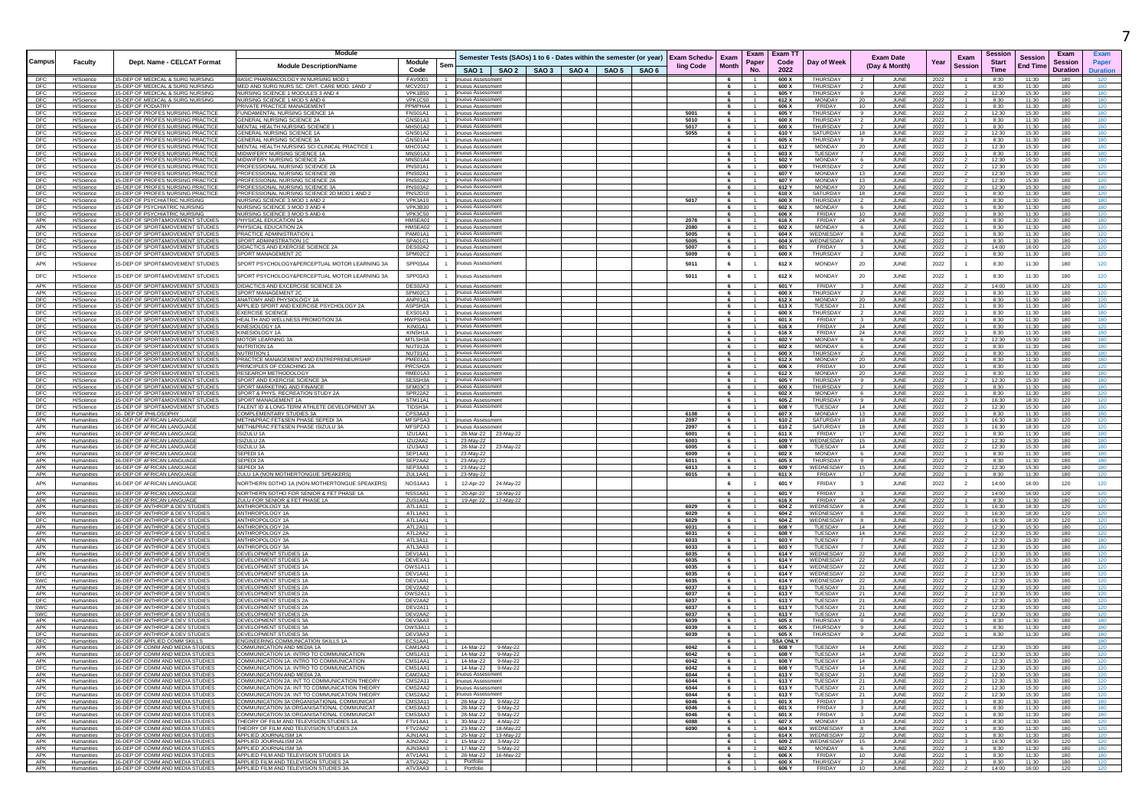| Campus            | Faculty                                | Dept. Name - CELCAT Format                                                   | Module<br><b>Module Description/Name</b>                                                       | Module<br>Code            |                             |                                                    | Semester Tests (SAOs) 1 to 6 - Dates within the semester (or year) Exam Schedu- Exam<br>SAO 1   SAO 2   SAO 3   SAO 4   SAO 5   SAO 6 | <b>ling Code</b> | <b>Month</b> | Exam<br>Paper<br>No.             | <b>Exam TT</b><br>Code<br>2022 | Day of Week                      | <b>Exam Date</b><br>(Day & Month)          | Year         | Exam<br>Session | Session<br><b>Start</b><br><b>Time</b> | Exam<br><b>Session</b><br><b>Session</b><br><b>End Time</b><br><b>Duration</b> | Exam<br>Paper<br>Duration |
|-------------------|----------------------------------------|------------------------------------------------------------------------------|------------------------------------------------------------------------------------------------|---------------------------|-----------------------------|----------------------------------------------------|---------------------------------------------------------------------------------------------------------------------------------------|------------------|--------------|----------------------------------|--------------------------------|----------------------------------|--------------------------------------------|--------------|-----------------|----------------------------------------|--------------------------------------------------------------------------------|---------------------------|
| DFC               | H/Science                              | 15-DEP OF MEDICAL & SURG NURSING                                             | BASIC PHARMACOLOGY IN NURSING MOD 1                                                            | FAV0001                   |                             | nuous Assessmer                                    |                                                                                                                                       |                  | 6.           |                                  | 600 X                          | THURSDAY                         | JUNE                                       | 2022         |                 | 8:30                                   | 11:30<br>180                                                                   | 120                       |
| <b>DFC</b><br>DFC | H/Science<br>H/Science                 | 15-DEP OF MEDICAL & SURG NURSING<br>5-DEP OF MEDICAL & SURG NURSING          | MED AND SURG NURS SC. CRIT. CARE MOD. 1AND 2<br>NURSING SCIENCE 1 MODULES 3 AND 4              | MCV2017<br><b>VPK1B50</b> |                             | 1 inuous Assessment<br>1 tinuous Assessment        |                                                                                                                                       |                  | 6<br>6       | $\overline{1}$<br>$-1$           | 600 X<br>605 Y                 | THURSDAY<br><b>THURSDAY</b>      | JUNE<br>JUNE<br>-9                         | 2022<br>2022 |                 | 8:30<br>12:30                          | 11:30<br>180<br>15:30<br>180                                                   | 180<br>180                |
| DFC               | H/Science                              | 15-DEP OF MEDICAL & SURG NURSING                                             | NURSING SCIENCE 1 MOD 5 AND 6                                                                  | <b>VPK1C50</b>            | 1                           | uous Assessmen                                     |                                                                                                                                       |                  | 6            | $\overline{1}$                   | 612 X                          | <b>MONDAY</b>                    | 20<br>JUNE                                 | 2022         |                 | 8:30                                   | 11:30<br>180                                                                   | 180                       |
| DFC<br>DFC        | H/Science<br>H/Science                 | 5-DEP OF PODIATRY<br>5-DEP OF PROFES NURSING PRACTIC                         | PRIVATE PRACTICE MANAGEMEN'<br>FUNDAMENTAL NURSING SCIENCE 1A                                  | PPMPHA4<br>FNS01A1        |                             | inuous Assessmen<br>nuous Assessment               |                                                                                                                                       | 5001             | 6            | $\overline{1}$                   | 606 X<br>605 Y                 | FRIDAY<br>THURSDAY               | JUNE<br>10<br>JUNI                         | 2022<br>2022 |                 | 8:30<br>12:30                          | 11:30<br>180<br>15:30<br>180                                                   | 120<br>180                |
| DFC               | H/Science                              | 5-DEP OF PROFES NURSING PRACTICE<br>5-DEP OF PROFES NURSING PRACTICE         | GENERAL NURSING SCIENCE 2A<br>MENTAL HEALTH NURSING SCIENCE 1                                  | GNS01A3<br>MHS01A2        |                             | huous Assessmen<br>inuous Assessmer                |                                                                                                                                       | 5010<br>5017     | 6            | $\overline{1}$                   | 600 X<br>600 X                 | THURSDAY<br>THURSDAY             | JUNE                                       | 2022         |                 | 8:30                                   | 11:30<br>180<br>11:30<br>180                                                   | 180<br>180                |
| DFC<br>DFC        | H/Science<br>H/Science                 | 5-DEP OF PROFES NURSING PRACTIC                                              | GENERAL NURSING SCIENCE 1A                                                                     | GNS01A2                   | $\overline{1}$              | inuous Assessment                                  |                                                                                                                                       | 5055             | 6            | $\mathbf{1}$                     | 610 Y                          | SATURDAY                         | JUNE<br>18<br>JUNI                         | 2022<br>2022 |                 | 8:30<br>12:30                          | 180<br>15:30                                                                   | 180                       |
| DFC<br>DFC        | H/Science<br>H/Science                 | 5-DEP OF PROFES NURSING PRACTIC<br>5-DEP OF PROFES NURSING PRACTIC           | GENERAL NURSING SCIENCE 3A<br>MENTAL HEALTH NURSING SCI CLINICAL PRACTICE 1                    | GNS01A4<br>MHC01A2        |                             | 1 inuous Assessment<br>1 inuous Assessment         |                                                                                                                                       |                  | 6            | $\overline{1}$                   | 605 X<br>612 Y                 | <b>THURSDAY</b><br>MONDAY        | JUNI<br>JUNI                               | 2022         |                 | 8:30<br>12:30                          | 11:30<br>180<br>15:30<br>180                                                   | 180<br>180                |
| DFC               | H/Science                              | 5-DEP OF PROFES NURSING PRACTIC                                              | MIDWIFERY NURSING SCIENCE 1A                                                                   | MNS01A3                   |                             | inuous Assessmen                                   |                                                                                                                                       |                  | 6            |                                  | 603 X                          | <b>TUESDAY</b>                   | 20<br>JUNI                                 | 2022<br>2022 |                 | 8:30                                   | 180<br>11:30                                                                   | 180                       |
| DEC<br>DFC        | H/Science<br>H/Science                 | 15-DEP OF PROFES NURSING PRACTICE<br>15-DEP OF PROFES NURSING PRACTICE       | MIDWIFERY NURSING SCIENCE 2A<br>PROFESSIONAL NURSING SCIENCE 1A                                | MNS01A4<br>PNS01A1        |                             | inuous Assessment<br>1 inuous Assessment           |                                                                                                                                       |                  | 6<br>6       | $\mathbf{1}$<br>$\overline{1}$   | 602 Y<br>600 Y                 | MONDAY<br>THURSDAY               | 6<br>JUNE<br><b>JUNE</b><br>$\overline{2}$ | 2022<br>2022 |                 | 12:30<br>12:30                         | 15:30<br>180<br>15:30<br>180                                                   | 180<br>120                |
| DFC               | H/Science                              | 15-DEP OF PROFES NURSING PRACTICE                                            | PROFESSIONAL NURSING SCIENCE 2B                                                                | PNS02A1                   |                             | inuous Assessmen                                   |                                                                                                                                       |                  | 6            |                                  | 607 Y                          | MONDAY                           | 13<br>JUNE                                 | 2022         |                 | 12:30                                  | 15:30<br>180                                                                   | 120                       |
| DFC<br>DFC        | H/Science<br>H/Science                 | 15-DEP OF PROFES NURSING PRACTICE<br>5-DEP OF PROFES NURSING PRACTICE        | PROFESSIONAL NURSING SCIENCE 2A<br>PROFESSIONAL NURSING SCIENCE 3A                             | PNS02A2<br>PNS03A2        |                             | 1 inuous Assessment<br>inuous Assessment           |                                                                                                                                       |                  | 6<br>6       | $\mathbf{1}$<br>$\overline{1}$   | 607 Y<br>612 Y                 | <b>MONDAY</b><br>MONDAY          | 13<br>JUNE<br><b>JUNE</b><br>20            | 2022<br>2022 |                 | 12:30<br>12:30                         | 15:30<br>180<br>15:30<br>180                                                   | 120<br>180                |
| DFC               | H/Science                              | 5-DEP OF PROFES NURSING PRACTICE                                             | PROFESSIONAL NURSING SCIENCE 2D MOD 1 AND 2                                                    | PNS2D10                   |                             | inuous Assessment                                  |                                                                                                                                       |                  | 6            | $\mathbf{1}$                     | 610 X                          | SATURDAY                         | 18<br>JUNE                                 | 2022         |                 | 8:30                                   | 11:30<br>180                                                                   | 120                       |
| DFC<br>DFC        | H/Science<br>H/Science                 | 15-DEP OF PSYCHIATRIC NURSING<br>15-DEP OF PSYCHIATRIC NURSING               | NURSING SCIENCE 3 MOD 1 AND 2<br>NURSING SCIENCE 3 MOD 3 AND 4                                 | VPK3A10<br>VPK3B30        |                             | inuous Assessmer<br>inuous Assessment              |                                                                                                                                       | 5017             | 6<br>6       | $\overline{1}$                   | 600 X<br>602 X                 | <b>THURSDAY</b><br><b>MONDAY</b> | JUNE<br>6<br>JUNE                          | 2022<br>2022 |                 | 8:30<br>8:30                           | 11:30<br>180<br>11:30<br>180                                                   | 180<br>180                |
| <b>DFC</b>        | H/Science                              | 15 DEP OF PSYCHIATRIC NURSING                                                | NURSING SCIENCE 3 MOD 5 AND 6                                                                  | <b>VPK3C50</b>            | $-1$                        | inuous Assessment                                  |                                                                                                                                       |                  | 6            | $-1$                             | 606 X                          | <b>FRIDAY</b>                    | 10<br>JUNE                                 | 2022         |                 | 8:30                                   | 11:30<br>180                                                                   | 120                       |
| APK<br>APK        | H/Science<br>H/Science                 | 15-DEP OF SPORT&MOVEMENT STUDIES<br>5-DEP OF SPORT&MOVEMENT STUDIES          | PHYSICAL EDUCATION 1A<br>PHYSICAL EDUCATION 2A                                                 | HMSEA01<br>HMSEA02        | $\blacksquare$              | inuous Assessmen<br>inuous Assessmen               |                                                                                                                                       | 2078<br>2080     | 6<br>6       | $\overline{1}$<br>$\mathbf{1}$   | 616 X<br>602 X                 | FRIDAY<br><b>MONDAY</b>          | 24<br>JUNE<br>JUNE<br>-6                   | 2022<br>2022 |                 | 8:30<br>8:30                           | 180<br>11:30<br>11:30<br>180                                                   | 180<br>120                |
| DFC               | H/Science                              | 15-DEP OF SPORT&MOVEMENT STUDIES                                             | PRACTICE ADMINISTRATION                                                                        | PAM01A1                   |                             | 1 inuous Assessment                                |                                                                                                                                       | 5005             | 6            | 1                                | 604 X                          | WEDNESDAY                        | 8<br>JUNE                                  | 2022         |                 | 8:30                                   | 11:30<br>180                                                                   | 120                       |
| DFC<br>DFC        | H/Science<br>H/Science                 | 15-DEP OF SPORT&MOVEMENT STUDIES<br>5-DEP OF SPORT&MOVEMENT STUDIES          | SPORT ADMINISTRATION 1C<br>DIDACTICS AND EXERCISE SCIENCE 2A                                   | SPA01C1<br>DES02A2        |                             | 1 inuous Assessment<br><b>uous Assessmer</b>       |                                                                                                                                       | 5005<br>5007     | 6            | $\overline{1}$<br>1              | 604 X<br>601 Y                 | WEDNESDAY<br><b>FRIDAY</b>       | JUNE<br>8<br>JUNE                          | 2022<br>2022 | $\mathbf{A}$    | 8:30<br>14:00                          | 11:30<br>180<br>16:00<br>120                                                   | 120<br>120                |
| DFC               | H/Science                              | 15-DEP OF SPORT&MOVEMENT STUDIES                                             | SPORT MANAGEMENT 20                                                                            | SPM02C2                   |                             | 1 inuous Assessment                                |                                                                                                                                       | 5009             | 6            | $\overline{1}$                   | 600 X                          | THURSDAY                         | 2<br>JUNE                                  | 2022         |                 | 8:30                                   | 180<br>11:30                                                                   | 120                       |
| APK               | H/Science                              | 5-DEP OF SPORT&MOVEMENT STUDIES                                              | SPORT PSYCHOLOGY&PERCEPTUAL MOTOR LEARNING 3/                                                  | SPP03A4                   |                             | uous Assessmen                                     |                                                                                                                                       | 5011             | 6            | $\overline{1}$                   | 612 X                          | <b>MONDAY</b>                    | 20<br>JUNE                                 | 2022         | 1               | 8:30                                   | 11:30<br>180                                                                   | 120                       |
| DFC               | H/Science                              | 5-DEP OF SPORT&MOVEMENT STUDIES                                              | SPORT PSYCHOLOGY&PERCEPTUAL MOTOR LEARNING 3A                                                  | SPP03A3                   |                             | inuous Assessment                                  |                                                                                                                                       | 5011             | 6            | $\mathbf{1}$                     | 612 X                          | <b>MONDAY</b>                    | 20<br>JUNE                                 | 2022         | $\mathbf{1}$    | 8:30                                   | 11:30<br>180                                                                   | 120                       |
| APK               | H/Science                              | 5-DEP OF SPORT&MOVEMENT STUDIES                                              | DIDACTICS AND EXCERCISE SCIENCE 2A                                                             | DES02A3                   |                             | inuous Assessment                                  |                                                                                                                                       |                  | 6            |                                  | 601 Y                          | FRIDAY                           | JUNE                                       | 2022         |                 | 14:00                                  | 16:00<br>120                                                                   | 120                       |
| APK               | H/Science                              | 15-DEP OF SPORT&MOVEMENT STUDIES                                             | SPORT MANAGEMENT 2C                                                                            | SPM02C3                   |                             | inuous Assessmen                                   |                                                                                                                                       |                  | 6            | .1.                              | 600 X                          | THURSDAY                         | JUNE                                       | 2022         |                 | 8:30                                   | 11:30<br>180                                                                   | 120                       |
| DFC<br>DFC        | H/Science<br>H/Science                 | 15-DEP OF SPORT&MOVEMENT STUDIES<br>15-DEP OF SPORT&MOVEMENT STUDIES         | ANATOMY AND PHYSIOLOGY 1A<br>APPLIED SPORT AND EXERCISE PSYCHOLOGY 2A                          | ANP01A1<br>ASPSH2A        |                             | 1 inuous Assessment<br>1 inuous Assessment         |                                                                                                                                       |                  | 6<br>6       | $-1$<br>$\overline{1}$           | 612 X<br>613 X                 | <b>MONDAY</b><br>TUESDAY         | 20<br>JUNE<br>21<br>JUNE                   | 2022<br>2022 |                 | 8:30<br>8:30                           | 11:30<br>180<br>11:30<br>180                                                   | 120<br>180                |
| DFC               | H/Science                              | <b>-DEP OF SPORT&amp;MOVEMENT STUDIES</b>                                    | <b>EXERCISE SCIENCE</b>                                                                        | EXS01A3                   |                             | uous Assessmen                                     |                                                                                                                                       |                  |              | 1                                | 600 X                          | <b>THURSDAY</b>                  | JUNI                                       | 2022         |                 | 8:30                                   | 180<br>11:30                                                                   | 180                       |
| <b>DFC</b><br>DFC | H/Science<br>H/Science                 | 15-DEP OF SPORT&MOVEMENT STUDIES<br>5-DEP OF SPORT&MOVEMENT STUDIES          | HEALTH AND WELLNESS PROMOTION 3A<br>KINESIOLOGY 1A                                             | HWPSH3A<br>KIN01A1        | $\overline{1}$<br>$\sim$    | inuous Assessment<br>nuous Assessment              |                                                                                                                                       |                  | 6<br>6       | $\mathbf{1}$<br>$\overline{1}$   | 601 X<br>616 X                 | FRIDAY<br><b>FRIDAY</b>          | $\mathbf{3}$<br>JUNE<br>24<br><b>JUNE</b>  | 2022<br>2022 |                 | 8:30<br>8:30                           | 11:30<br>180<br>11:30<br>180                                                   | 180<br>120                |
| DFC               | H/Science                              | 5-DEP OF SPORT&MOVEMENT STUDIES                                              | KINESIOLOGY 1A                                                                                 | KINSH1A                   |                             | nuous Assessmen                                    |                                                                                                                                       |                  | 6            | -1                               | 616 X                          | FRIDAY                           | 24<br>JUNE                                 | 2022         |                 | 8:30                                   | 11:30<br>180                                                                   | 180                       |
| DFC<br>DFC        | H/Science<br>H/Science                 | 15-DEP OF SPORT&MOVEMENT STUDIES<br>5-DEP OF SPORT&MOVEMENT STUDIES          | <b>MOTOR LEARNING 3A</b><br>NUTRITION 1A                                                       | MTLSH3A<br>NUT012A        | 1                           | tinuous Assessmen<br>1 inuous Assessment           |                                                                                                                                       |                  | 6<br>6       | $\mathbf{1}$<br>$\overline{1}$   | 602 Y<br>602 X                 | <b>MONDAY</b><br><b>MONDAY</b>   | 6<br>JUNE<br>JUNE<br>-6                    | 2022<br>2022 |                 | 12:30<br>8:30                          | 15:30<br>180<br>11:30<br>180                                                   | 180<br>180                |
| DFC               | H/Science                              | 5-DEP OF SPORT&MOVEMENT STUDIE:                                              | NUTRITION 1                                                                                    | NUT01A1                   |                             | inuous Assessmen                                   |                                                                                                                                       |                  |              |                                  | 600 X                          | THURSDAY                         | JUNI                                       | 2022         |                 | 8:30                                   | 11:30<br>180                                                                   | 180                       |
| DFC<br>DFC        | H/Science<br>H/Science                 | <b>-DEP OF SPORT&amp;MOVEMENT STUDIE:</b><br>5-DEP OF SPORT&MOVEMENT STUDIES | PRACTICE MANAGEMENT AND ENTREPRENEURSHIP<br>PRINCIPLES OF COACHING 2A                          | PME01A1<br>PRCSH2A        |                             | 1 inuous Assessmen<br>inuous Assessment            |                                                                                                                                       |                  | 6<br>6       | $\mathbf{1}$                     | 612 X<br>606 X                 | <b>MONDAY</b><br>FRIDAY          | JUNI<br>10<br>JUNI                         | 2022<br>2022 |                 | 8:30<br>8:30                           | 11:30<br>180<br>11:30<br>180                                                   | 180<br>120                |
| DFC               | H/Science                              | 5-DEP OF SPORT&MOVEMENT STUDIES                                              | RESEARCH METHODOLOGY                                                                           | RME01A3                   | -1.<br>$-1$                 | huous Assessmen                                    |                                                                                                                                       |                  | 6            | $\overline{1}$<br>$\mathbf{1}$   | 612 X                          | <b>MONDAY</b>                    | <b>JUNE</b><br>20<br>9                     | 2022         |                 | 8:30                                   | 11:30<br>180                                                                   | 180                       |
| DFC<br>DFC        | H/Science<br>H/Science                 | 5-DEP OF SPORT&MOVEMENT STUDIES<br>5-DEP OF SPORT&MOVEMENT STUDIES           | SPORT AND EXERCISE SCIENCE 3A<br>SPORT MARKETING AND FINANCE                                   | SESSH3A<br>SFM03C3        |                             | inuous Assessmen<br>inuous Assessment              |                                                                                                                                       |                  | 6<br>6.      | $\overline{1}$                   | 605 Y<br>600 X                 | THURSDAY<br>THURSDAY             | JUNE<br>JUNI                               | 2022<br>2022 |                 | 12:30<br>8:30                          | 15:30<br>180<br>11:30<br>180                                                   | 180<br>180                |
| DFC<br>DFC        | H/Science                              | 15-DEP OF SPORT&MOVEMENT STUDIES<br>5-DEP OF SPORT&MOVEMENT STUDIES          | SPORT & PHYS. RECREATION STUDY 2A<br>SPORT MANAGEMENT 1A                                       | SPR22A2<br>STM11A1        |                             | 1 inuous Assessment<br>1 inuous Assessment         |                                                                                                                                       |                  | 6            | $-1$                             | 602 X<br>605 Z                 | MONDAY<br>THURSDAY               | JUNE<br>6<br>JUNE                          | 2022         |                 | 8:30<br>16:30                          | 11:30<br>180<br>18:30<br>120                                                   | 120<br>120                |
| DFC               | H/Science<br>H/Science                 | 5-DEP OF SPORT&MOVEMENT STUDIES                                              | TALENT ID & LONG-TERM ATHLETE DEVELOPMENT 3A                                                   | TIDSH3A                   |                             | <b>uous Assessmer</b>                              |                                                                                                                                       |                  | 6.           |                                  | 608 Y                          | TUESDAY                          | 14<br>JUNE                                 | 2022<br>2022 |                 | 12:30                                  | 180<br>15:30                                                                   | 180                       |
| <b>DFC</b><br>APK | Humanities<br>Humanities               | 16- DEP OF PHILOSOPHY<br>16-DEP OF AFRICAN LANGUAGE                          | COMPLEMENTARY STUDIES 3A<br>METH&PRAC:FET&SEN PHASE SEPEDI 3A                                  | CPS3AA3<br>MESPSA3        |                             | 1 inuous Assessment                                |                                                                                                                                       | 6108<br>2097     | 6<br>6       | $\overline{1}$<br>$\overline{1}$ | 607 X<br>610 Z                 | MONDAY<br>SATURDAY               | 13<br>JUNE<br>18<br>JUNE                   | 2022<br>2022 |                 | 8:30<br>16:30                          | 11:30<br>180<br>18:30<br>120                                                   | 180<br>120                |
| APK               | <b>Humanities</b>                      | 16-DEP OF AFRICAN LANGUAGE                                                   | METH&PRAC:FET&SEN PHASE ISIZULU 3A                                                             | MFSPZA3                   |                             | nuous Assessi                                      |                                                                                                                                       | 2097             | 6            | $\mathbf{1}$                     | 610Z                           | SATURDAY                         | 18<br>JUNE                                 | 2022         |                 | 16:30                                  | 18:30<br>120                                                                   | 120                       |
| APK<br>APK        | Humanities<br><b>Humanities</b>        | 16-DEP OF AFRICAN LANGUAGE<br>16-DEP OF AFRICAN LANGUAGE                     | <b>ISIZULU 1A</b><br>ISIZULU 2A                                                                | IZU1AA1<br>IZU2AA2        | $-1$                        | 28-Mar-22 23-May-22<br>23-May-22                   |                                                                                                                                       | 6001<br>6003     | 6<br>6       | $\overline{1}$                   | 611 X<br>609 Y                 | FRIDAY<br>WEDNESDAY              | 17<br>JUNE<br>15<br>JUNE                   | 2022<br>2022 |                 | 8:30<br>12:30                          | 11:30<br>180<br>15:30<br>180                                                   | 180<br>180                |
| APK               | Humanities                             | 16-DEP OF AFRICAN LANGUAGE                                                   | ISIZULU 3A                                                                                     | IZU3AA3                   |                             | 28-Mar-22<br>23-May-22                             |                                                                                                                                       | 6005             | 6            | $\overline{1}$                   | 608 Y                          | TUESDAY                          | 14<br>JUNE                                 | 2022         | $\overline{2}$  | 12:30                                  | 15:30<br>180                                                                   | 180                       |
| APK<br>APK        | Humanities<br>Humanities               | 16-DEP OF AFRICAN LANGUAGE<br>16-DEP OF AFRICAN LANGUAGE                     | SEPEDI 1A<br><b>SEPEDI 2A</b>                                                                  | SEP1AA1<br>SEP2AA2        |                             | 23-May-22<br>23-Mav-22                             |                                                                                                                                       | 6009<br>6011     | 6<br>6       | 1<br>$\overline{1}$              | 602 X<br>605 X                 | <b>MONDAY</b><br>THURSDAY        | JUNE<br>6<br>-9<br>JUNE                    | 2022<br>2022 |                 | 8:30<br>8:30                           | 11:30<br>180<br>11:30<br>180                                                   | 180<br>180                |
| APK               | Humanities                             | 16-DEP OF AFRICAN LANGUAGE                                                   | SEPEDI 3A                                                                                      | SEP3AA3                   |                             | 23-May-22                                          |                                                                                                                                       | 6013             | 6            | $-1$                             | 609 Y                          | WEDNESDAY                        | 15<br>JUNE                                 | 2022         |                 | 12:30                                  | 15:30<br>180                                                                   | 180                       |
| APK<br>APK        | Humanities<br>Humanities               | 16-DEP OF AFRICAN LANGUAGE                                                   | ZULU 1A (NON MOTHERTONGUE SPEAKERS)                                                            | ZUL1AA1                   |                             | 23-May-22                                          |                                                                                                                                       | 6015             |              | $\mathbf{1}$<br>$\overline{1}$   | 611 X                          | FRIDAY<br>FRIDAY                 | 17<br>JUNE                                 | 2022         |                 | 8:30                                   | 11:30<br>180                                                                   | 120                       |
| APK               | Humanities                             | 16-DEP OF AFRICAN LANGUAGE<br>16-DEP OF AFRICAN LANGUAGE                     | NORTHERN SOTHO 1A (NON-MOTHERTONGUE SPEAKERS)<br>NORTHERN SOTHO FOR SENIOR & FET PHASE 1A      | NOS1AA1<br>NSS1AA1        |                             | 12-Apr-22<br>24-May-22<br>20-Apr-22 19-May-22      |                                                                                                                                       |                  | 6<br>6.      | $\overline{1}$                   | 601 Y<br>601 Y                 | FRIDAY                           | 3<br>JUNE<br>JUNE                          | 2022<br>2022 | $\overline{2}$  | 14:00<br>14:00                         | 16:00<br>120<br>16:00<br>120                                                   | 120<br>120                |
| APK               | Humanities                             | 16-DEP OF AFRICAN LANGUAGE                                                   | ZULU FOR SENIOR & FET PHASE 1A                                                                 | ZUS1AA1                   | $-1$                        | 19-Apr-22 17-May-22                                |                                                                                                                                       |                  | 6            | $-1$                             | 616 X                          | <b>FRIDAY</b>                    | 24<br>JUNE                                 | 2022         | $\mathbf{1}$    | 8:30                                   | 11:30<br>180                                                                   | 120                       |
| APK<br>APK        | Humanities                             | 16-DEP OF ANTHROP & DEV STUDIES<br>6-DEP OF ANTHROP & DEV STUDIES            | ANTHROPOLOGY 1A<br>ANTHROPOLOGY 1A                                                             | ATL1A11<br>ATL1AA1        |                             |                                                    |                                                                                                                                       | 6029<br>6029     |              | $\overline{1}$<br>$\mathbf{1}$   | 604 Z<br>604 Z                 | WEDNESDAY<br>WEDNESDAY           | JUNE<br>JUNI                               | 2022         |                 | 16:30<br>16:30                         | 18:30<br>120<br>120<br>18:30                                                   | 120<br>120                |
| DFC               | Humanities<br>Humanities               | 16-DEP OF ANTHROP & DEV STUDIES                                              | ANTHROPOLOGY 1A                                                                                | ATL1AA1                   |                             |                                                    |                                                                                                                                       | 6029             | 6<br>6       | $\overline{1}$                   | 604 Z                          | WEDNESDAY                        | JUNE<br>-8                                 | 2022<br>2022 |                 | 16:30                                  | 18:30<br>120                                                                   | 120                       |
| APK<br>APK        | <b>Humanities</b><br><b>Humanities</b> | 16-DEP OF ANTHROP & DEV STUDIES<br>6-DEP OF ANTHROP & DEV STUDIE             | ANTHROPOLOGY 2A<br>ANTHROPOLOGY 2A                                                             | ATL2A11<br>ATL2AA2        | $\sim$                      |                                                    |                                                                                                                                       | 6031<br>6031     | 6            | $-1$                             | 608 Y<br>608 ነ                 | TUESDAY<br>TUESDAY               | 14<br>JUNE<br>14<br>JUNI                   | 2022<br>2022 |                 | 12:30<br>12:30                         | 15:30<br>180<br>180<br>15:30                                                   | 120<br>120                |
| APK               | Humanities                             | 16-DEP OF ANTHROP & DEV STUDIES                                              | ANTHROPOLOGY 3A                                                                                | ATL3A11                   |                             |                                                    |                                                                                                                                       | 6033             | 6            |                                  | 603 Y                          | TUESDAY                          | JUNI                                       | 2022         |                 | 12:30                                  | 15:30<br>180                                                                   | 180                       |
| APK<br>APK        | Humanities<br>Humanities               | 16-DEP OF ANTHROP & DEV STUDIE<br>6-DEP OF ANTHROP & DEV STUDIES             | ANTHROPOLOGY 3A<br>DEVELOPMENT STUDIES 1                                                       | ATL3AA3<br>DEV1AA1        |                             |                                                    |                                                                                                                                       | 6033<br>6035     |              | $\overline{1}$                   | 603 Y<br>614 Y                 | TUESDAY<br><b>WEDNESDAY</b>      | JUNI<br>22<br><b>JUNE</b>                  | 2022<br>2022 |                 | 12:30<br>12:30                         | 15:30<br>180<br>15:30<br>180                                                   | 180<br>120                |
| APK               | Humanities                             | 16-DEP OF ANTHROP & DEV STUDIES                                              | DEVELOPMENT STUDIES 1A                                                                         | DEVEXA1                   |                             |                                                    |                                                                                                                                       | 6035             | 6            |                                  | 614 Y                          | WEDNESDAY                        | JUNE<br>22                                 | 2022         |                 | 12:30                                  | 15:30<br>180                                                                   | 120                       |
| APK<br>DFC        | Humanities<br>Humanities               | 16-DEP OF ANTHROP & DEV STUDIES<br>16-DEP OF ANTHROP & DEV STUDIES           | DEVELOPMENT STUDIES 1A<br>DEVELOPMENT STUDIES 1A                                               | OWS1A11<br>DEV1AA1        |                             |                                                    |                                                                                                                                       | 6035<br>6035     | 6<br>6       | $\overline{1}$<br>$\overline{1}$ | 614 Y<br>614 Y                 | WEDNESDAY<br>WEDNESDAY           | 22<br>JUNE<br>22<br>JUNE                   | 2022<br>2022 |                 | 12:30<br>12:30                         | 15:30<br>180<br>15:30<br>180                                                   | 120<br>120                |
| SWC               | Humanities                             | 16-DEP OF ANTHROP & DEV STUDIES                                              | DEVELOPMENT STUDIES 1A                                                                         | DEV1AA1                   |                             |                                                    |                                                                                                                                       | 6035             | 6            |                                  | 614 Y                          | WEDNESDAY                        | 22<br>JUNE                                 | 2022         |                 | 12:30                                  | 15:30<br>180                                                                   | 120                       |
| APK<br>APK        | Humanities<br>Humanities               | 16-DEP OF ANTHROP & DEV STUDIES<br>16-DEP OF ANTHROP & DEV STUDIES           | DEVELOPMENT STUDIES 2A<br>DEVELOPMENT STUDIES 2A                                               | DEV2AA2<br>OWS2A11        |                             |                                                    |                                                                                                                                       | 6037<br>6037     | 6<br>6       | .1.<br>$\overline{1}$            | 613 Y<br>613 Y                 | TUESDAY<br>TUESDAY               | JUNE<br>21<br>21<br>JUNE                   | 2022<br>2022 |                 | 12:30<br>12:30                         | 15:30<br>180<br>15:30<br>180                                                   | 120<br>120                |
| DFC               | Humanities                             | 16-DEP OF ANTHROP & DEV STUDIES                                              | DEVELOPMENT STUDIES 2A                                                                         | DEV2AA2                   |                             |                                                    |                                                                                                                                       | 6037             | 6            | $\overline{1}$                   | 613 Y                          | TUESDAY                          | 21<br>JUNE                                 | 2022         |                 | 12:30                                  | 15:30<br>180                                                                   | 120                       |
| SWC<br>SWC        | Humanities<br>Humanities               | 16-DEP OF ANTHROP & DEV STUDIES<br>16-DEP OF ANTHROP & DEV STUDIES           | DEVELOPMENT STUDIES 2A<br>DEVELOPMENT STUDIES 2A                                               | DEV2A11<br>DEV2AA2        | $\overline{1}$              |                                                    |                                                                                                                                       | 6037<br>6037     | 6<br>6       | 1<br>$\overline{1}$              | 613 Y<br>613 Y                 | TUESDAY<br>TUESDAY               | JUNE<br>21<br>21<br>JUNE                   | 2022<br>2022 | $\overline{2}$  | 12:30<br>12:30                         | 180<br>15:30<br>180<br>15:30                                                   | 120<br>120                |
| APK               | Humanities                             | 16-DEP OF ANTHROP & DEV STUDIES                                              | DEVELOPMENT STUDIES 3A                                                                         | DEV3AA3                   |                             |                                                    |                                                                                                                                       | 6039             | 6            | 1                                | 605 X                          | THURSDAY                         | JUNE<br>-9                                 | 2022         | $\mathbf{1}$    | 8:30                                   | 11:30<br>180                                                                   | 180                       |
| APK<br><b>DFC</b> | Humanities<br>Humanities               | 16-DEP OF ANTHROP & DEV STUDIES<br>16-DEP OF ANTHROP & DEV STUDIES           | DEVELOPMENT STUDIES 3A<br><b>DEVELOPMENT STUDIES 3A</b>                                        | OWS3A11<br>DEV3AA3        | $\overline{1}$              |                                                    |                                                                                                                                       | 6039<br>6039     | 6<br>6       | 1<br>$\overline{1}$              | 605 X<br>605 X                 | <b>THURSDAY</b><br>THURSDAY      | JUNE<br>$\mathbf{a}$<br>JUNE               | 2022<br>2022 | $\mathbf{1}$    | 8:30<br>8:30                           | 180<br>11:30<br>11:30<br>180                                                   | 180<br>180                |
| DE <sub>0</sub>   | Humanities                             | 16-DEP OF APPLIED COMM SKILLS                                                | ENGINEERING COMMUNICATION SKILLS 1A                                                            | FCS1AA1                   |                             |                                                    |                                                                                                                                       |                  |              |                                  | <b>SSA ONL</b>                 |                                  |                                            |              |                 |                                        |                                                                                |                           |
| APK<br>APK        | Humanities<br>Humanities               | 16-DEP OF COMM AND MEDIA STUDIES<br>16-DEP OF COMM AND MEDIA STUDIES         | COMMUNICATION AND MEDIA 1A<br>COMMUNICATION 1A: INTRO TO COMMUNICATION                         | CAM1AA1                   | $-1$                        | 14-Mar-22 9-May-22<br>CMS1A11 1 14-Mar-22 9-May-22 |                                                                                                                                       | 6042<br>6042     | 6<br>6       | $\overline{1}$<br>1              | 608 Y<br>608 Y                 | TUESDAY<br>TUESDAY               | 14<br>JUNE<br>14<br>JUNE                   | 2022<br>2022 |                 | 12:30<br>12:30                         | 15:30<br>180<br>15:30<br>180                                                   | 120<br>120                |
| APK               | Humanities                             | 16-DEP OF COMM AND MEDIA STUDIES<br>16-DEP OF COMM AND MEDIA STUDIES         | COMMUNICATION 1A: INTRO TO COMMUNICATION                                                       | CMS1AA1                   | $\sim$ 1                    | 14-Mar-22 9-May-22                                 |                                                                                                                                       | 6042             | 6            | $\overline{1}$<br>1              | 608 Y                          | TUESDAY                          | 14<br>JUNE<br>14                           | 2022         |                 | 12:30                                  | 15:30<br>180                                                                   | 120<br>120                |
| DFC<br>APK        | Humanities<br>Humanities               | 16-DEP OF COMM AND MEDIA STUDIES                                             | COMMUNICATION 1A: INTRO TO COMMUNICATION<br>COMMUNICATION AND MEDIA 2A                         | CMS1AA1<br>CAM2AA2        |                             | 1 14-Mar-22 9-May-22<br>1 inuous Assessment        |                                                                                                                                       | 6042<br>6044     | 6            | 1                                | 608 Y<br>613 Y                 | TUESDAY<br>TUESDAY               | <b>JUNE</b><br>21<br>JUNE                  | 2022<br>2022 |                 | 12:30<br>12:30                         | 15:30<br>180<br>15:30<br>180                                                   | 120                       |
| APK               | Humanities                             | 16-DEP OF COMM AND MEDIA STUDIES                                             | COMMUNICATION 2A: INT TO COMMUNICATION THEORY                                                  | CMS2A11                   |                             | 1 inuous Assessment                                |                                                                                                                                       | 6044             | 6            | $\overline{1}$                   | 613 Y                          | TUESDAY                          | 21<br>JUNE                                 | 2022         |                 | 12:30                                  | 180<br>15:30                                                                   | 120                       |
| APK<br>DFC        | Humanities<br>Humanities               | 16-DEP OF COMM AND MEDIA STUDIES<br>16-DEP OF COMM AND MEDIA STUDIES         | COMMUNICATION 2A: INT TO COMMUNICATION THEORY<br>COMMUNICATION 2A: INT TO COMMUNICATION THEORY | CMS2AA2<br>CMS2AA2        |                             | 1 tinuous Assessment<br>1 inuous Assessment        |                                                                                                                                       | 6044<br>6044     | 6            | $\overline{1}$<br>$\overline{1}$ | 613 Y<br>613 Y                 | TUESDAY<br>TUESDAY               | JUNE<br>-21<br>JUNI<br>21                  | 2022<br>2022 |                 | 12:30<br>12:30                         | 15:30<br>180<br>15:30<br>180                                                   | 120<br>120                |
| APK               | Humanities                             | 16-DEP OF COMM AND MEDIA STUDIES                                             | COMMUNICATION 3A:ORGANISATIONAL COMMUNICAT                                                     | CMS3A11                   |                             | 28-Mar-22 9-May-22                                 |                                                                                                                                       | 6046             | 6            | 1                                | 601 X                          | FRIDAY                           | JUNE                                       | 2022         |                 | 8:30                                   | 180<br>11:30                                                                   | 180                       |
| APK<br>DFC        | Humanities<br>Humanities               | 16-DEP OF COMM AND MEDIA STUDIES<br>16-DEP OF COMM AND MEDIA STUDIES.        | COMMUNICATION 3A:ORGANISATIONAL COMMUNICAT<br>COMMUNICATION 3A:ORGANISATIONAL COMMUNICAT       | CMS3AA3<br>CMS3AA3        |                             | 1 28-Mar-22 9-May-22<br>1 28-Mar-22 9-May-22       |                                                                                                                                       | 6046<br>6046     | 6<br>6       | $\overline{1}$<br>$\overline{1}$ | 601 X<br>601 X                 | FRIDAY<br><b>FRIDAY</b>          | JUNE<br>-3-<br>JUNE<br>$\mathbf{3}$        | 2022<br>2022 | $\mathbf{1}$    | 8:30<br>8:30                           | 11:30<br>180<br>11:30<br>180                                                   | 180<br>180                |
| APK               | Humanities                             | 16-DEP OF COMM AND MEDIA STUDIES                                             | THEORY OF FILM AND TELEVISION STUDIES 1A                                                       | FTV1AA1                   | 1                           | 30-Mar-22<br>4-May-22                              |                                                                                                                                       | 6088             | 6            | 1                                | 607 X                          | MONDAY                           | 13<br>JUNE                                 | 2022         | 1               | 8:30                                   | 180<br>11:30                                                                   | 120                       |
| APK<br>APK        | Humanities<br>Humanities               | 16-DEP OF COMM AND MEDIA STUDIES<br>16-DEP OF COMM AND MEDIA STUDIES         | THEORY OF FILM AND TELEVISION STUDIES 2A<br>APPLIED JOURNALISM 1A                              | FTV2AA2<br>A.IN1AA1       |                             | 1 23-Mar-22 18-May-22<br>1 25-Mar-22 13-May-22     |                                                                                                                                       | 6090             | 6<br>6       | 1<br>$\overline{1}$              | 604 X<br>614 X                 | WEDNESDAY<br>WEDNESDAY           | JUNE<br>-8<br><b>JUNE</b><br>22            | 2022<br>2022 | $\mathbf{1}$    | 8:30<br>8:30                           | 11:30<br>180<br>11:30<br>180                                                   | 120<br>120                |
| APK               | Humanities                             | 16-DEP OF COMM AND MEDIA STUDIES                                             | APPLIED JOURNALISM 2A                                                                          | AJN2AA2                   | $-1$                        | 15-Mar-22<br>3-May-22                              |                                                                                                                                       |                  | 6            | $\overline{1}$                   | 609 Z                          | WEDNESDAY                        | 15<br>JUNE                                 | 2022         | 3               | 16:30                                  | 18:30<br>120                                                                   | 120                       |
| APK<br>APK        | Humanities<br>Humanities               | 16-DEP OF COMM AND MEDIA STUDIES<br>16-DEP OF COMM AND MEDIA STUDIES         | APPLIED JOURNALISM 3A<br>APPLIED FILM AND TELEVISION STUDIES 1A                                | AJN3AA3<br>ATV1AA1        | $\overline{1}$              | 17-Mar-22 5-May-22<br>1 28-Mar-22 16-May-22        |                                                                                                                                       |                  | 6<br>6       | 1<br>$\sim$ 1                    | 602 X<br>606 X                 | <b>MONDAY</b><br>FRIDAY          | JUNE<br>6<br>10<br>JUNE                    | 2022<br>2022 | $\overline{1}$  | 8:30<br>8:30                           | 11:30<br>180<br>11:30<br>180                                                   | 180<br>180                |
| APK               | Humanities                             | 16-DEP OF COMM AND MEDIA STUDIES                                             | APPLIED FILM AND TELEVISION STUDIES 2A                                                         | ATV2AA2                   | $\rightarrow$ $\rightarrow$ | Portfolio                                          |                                                                                                                                       |                  | 6            | $\sim$ 1                         | 600 X<br>$\overline{1}$ 606 Y  | <b>THURSDAY</b>                  | $\overline{2}$<br>JUNE                     | 2022         | $\overline{1}$  | 8:30<br>14:00                          | 11:30<br>180<br>16:00<br>120                                                   | 120                       |
| APK               | Humanities                             | 16-DEP OF COMM AND MEDIA STUDIES                                             | APPLIED FILM AND TELEVISION STUDIES 3A                                                         | ATV3AA3 1 Portfolio       |                             |                                                    |                                                                                                                                       |                  | 6 1          |                                  |                                | <b>FRIDAY</b>                    | 10<br>JUNE                                 | 2022         | 2               |                                        |                                                                                | 120                       |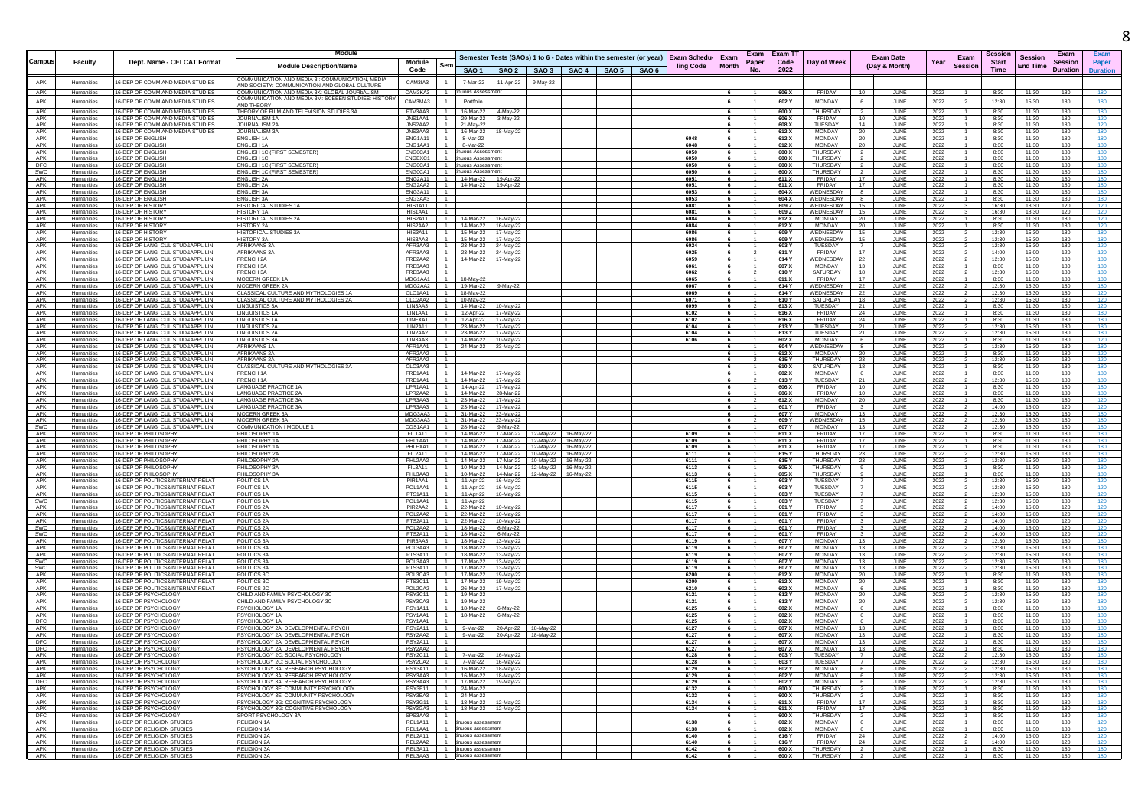|                   |                          |                                                                        | Module                                                                                         |                                      |                                            |                                                          |                                                                                 |  |              |                      |                                  | Exam   Exam T1 |                                  |                                                |              |                 | Session        |                                   | Exam            |                 |
|-------------------|--------------------------|------------------------------------------------------------------------|------------------------------------------------------------------------------------------------|--------------------------------------|--------------------------------------------|----------------------------------------------------------|---------------------------------------------------------------------------------|--|--------------|----------------------|----------------------------------|----------------|----------------------------------|------------------------------------------------|--------------|-----------------|----------------|-----------------------------------|-----------------|-----------------|
| Campu             | Faculty                  | Dept. Name - CELCAT Format                                             | <b>Module Description/Name</b>                                                                 | Module<br>Sen                        |                                            |                                                          | Semester Tests (SAOs) 1 to 6 - Dates within the semester (or year) Exam Schedu- |  |              | Exam<br><b>Month</b> | Paper                            | Code           | Day of Week                      | <b>Exam Date</b><br>(Day & Month)              | Year         | Exam<br>Session | <b>Start</b>   | <b>Session</b><br><b>End Time</b> | <b>Session</b>  | Paper           |
|                   |                          |                                                                        |                                                                                                | Code                                 |                                            | SAO 1   SAO 2                                            | SAO 3   SAO 4   SAO 5   SAO 6                                                   |  | ling Code    |                      | No.                              | 2022           |                                  |                                                |              |                 | Time           |                                   | <b>Duration</b> | <b>Duration</b> |
| APK               | Humanities               | 16-DEP OF COMM AND MEDIA STUDIES                                       | OMMUNICATION AND MEDIA 31: COMMUNICATION, MED                                                  | CAM3IA3                              | 7-Mar-22                                   | 11-Apr-22                                                | 9-May-22                                                                        |  |              |                      |                                  |                |                                  |                                                |              |                 |                |                                   |                 |                 |
| APK               | Humanities               | 16-DEP OF COMM AND MEDIA STUDIES                                       | AND SOCIETY: COMMUNICATION AND GLOBAL CULTURE<br>COMMUNICATION AND MEDIA 3K: GLOBAL JOURbALISM | CAM3KA3                              | uous Assessment                            |                                                          |                                                                                 |  |              |                      |                                  | 606 X          | FRIDAY                           | $10^{-1}$<br>JUNE                              | 2022         |                 | 8:30           | 11:30                             | 180             |                 |
| APK               | Humanities               | 16-DEP OF COMM AND MEDIA STUDIES                                       | COMMUNICATION AND MEDIA 3M: SCEEEN STUDIES: HISTOR                                             | CAM3MA3                              | Portfolio                                  |                                                          |                                                                                 |  |              | 6                    | $\overline{1}$                   | 602 Y          | <b>MONDAY</b>                    | -6<br>JUNE                                     | 2022         | $\overline{2}$  | 12:30          | 15:30                             | 180             | 180             |
| APK               | Humanities               | 16-DEP OF COMM AND MEDIA STUDIES                                       | <b>IND THEORY</b><br>THEORY OF FILM AND TELEVISION STUDIES 3A                                  | FTV3AA3                              | 16-Mar-22 4-May-22                         |                                                          |                                                                                 |  |              | 6                    | $\overline{1}$                   | 600 X          | <b>THURSDAY</b>                  | JUNE<br>$\overline{2}$                         | 2022         |                 | 8:30           | 11:30                             | 180             | 180             |
| APK               | Humanities               | 16-DEP OF COMM AND MEDIA STUDIES                                       | JOURNALISM 1A                                                                                  | JNS1AA1                              | 29-Mar-22 3-May-22                         |                                                          |                                                                                 |  |              | 6                    | $-1$                             | 606 X          | FRIDAY                           | 10<br>JUNE                                     | 2022         |                 | 8:30           | 11:30                             | 180             | 120             |
| APK               | Humanities               | 16-DEP OF COMM AND MEDIA STUDIES                                       | JOURNALISM 2A                                                                                  | JNS2AA2                              | 21-May-22                                  |                                                          |                                                                                 |  |              | 6                    | $\mathbf{1}$                     | 608 X          | TUESDAY                          | 14<br>JUNE                                     | 2022         |                 | 8:30           | 11:30                             | 180             | 120             |
| APK<br>APK        | Humanities<br>Humanities | 16-DEP OF COMM AND MEDIA STUDIES<br>16-DEP OF ENGLISH                  | <b>OURNALISM 3A</b><br><b>NGLISH 1A</b>                                                        | JNS3AA3<br>ENG1A11                   | 16-Mar-22 18-May-22<br>8-Mar-22            |                                                          |                                                                                 |  | 6048         | 6                    |                                  | 612 X<br>612 X | MONDAY<br><b>MONDAY</b>          | 20<br>JUNE<br>JUNE<br>20                       | 2022         |                 | 8:30<br>8:30   | 11:30<br>11:30                    | 180<br>180      | 180             |
| APK               | Humanities               | <b>16-DEP OF ENGLISH</b>                                               | <b>ENGLISH 1A</b>                                                                              | ENG1AA1                              | 8-Mar-22                                   |                                                          |                                                                                 |  | 6048         | 6                    | $\overline{1}$                   | 612 X          | <b>MONDAY</b>                    | JUNE<br>20                                     | 2022<br>2022 |                 | 8:30           | 11:30                             | 180             |                 |
| APK               | Humanities               | 16-DEP OF ENGLISH                                                      | ENGLISH 1C (FIRST SEMESTER)                                                                    | ENG0CA1                              | inuous Assessmer                           |                                                          |                                                                                 |  | 6050         | 6                    |                                  | 600 X          | THURSDAY                         | JUNE                                           | 2022         |                 | 8:30           | 11:30                             | 180             | 180             |
| APK<br>DFC        | Humanities<br>Humanities | 16-DEP OF ENGLISH<br>16-DEP OF ENGLISH                                 | ENGLISH 1C<br>NGLISH 1C (FIRST SEMESTER)                                                       | ENGEXC1<br>ENG0CA1                   | inuous Assessmen<br>nuous Assessmen        |                                                          |                                                                                 |  | 6050<br>6050 | 6<br>6               | - 1                              | 600 X<br>600 X | THURSDAY<br>THURSDAY             | 2<br>JUNE<br><b>JUN</b>                        | 2022<br>2022 |                 | 8:30<br>8:30   | 11:30<br>11:30                    | 180<br>180      |                 |
| SWC               | Humanities               | 16-DEP OF ENGLISH                                                      | NGLISH 1C (FIRST SEMESTER)                                                                     | ENG0CA1                              | uous Assessmen                             |                                                          |                                                                                 |  | 6050         | 6                    |                                  | 600 X          | THURSDAY                         | JUNE                                           | 2022         |                 | 8:30           | 11:30                             | 180             |                 |
| APK               | Humanities               | 16-DEP OF ENGLISH                                                      | ENGLISH 2A                                                                                     | ENG2A11<br>$-1$                      | 14-Mar-22  19-Apr-22                       |                                                          |                                                                                 |  | 6051         | 6                    | $\overline{1}$                   | 611 X          | FRIDAY                           | 17<br>JUNE                                     | 2022         |                 | 8:30           | 11:30                             | 180             | 180             |
| APK<br>APK        | Humanities<br>Humanities | 16-DEP OF ENGLISH<br>16-DEP OF ENGLISH                                 | ENGLISH 2A<br>ENGLISH 3A                                                                       | ENG2AA2<br>ENG3A11                   | 14-Mar-22   19-Apr-22                      |                                                          |                                                                                 |  | 6051<br>6053 | 6<br>6               | $-1$<br>$\overline{1}$           | 611 X<br>604 X | <b>FRIDAY</b><br>WEDNESDAY       | 17<br>JUNE<br>8<br>JUNE                        | 2022<br>2022 |                 | 8:30<br>8:30   | 11:30<br>11:30                    | 180<br>180      | 180             |
| APK               | Humanities               | 16-DEP OF ENGLISH                                                      | ENGLISH 3A                                                                                     | ENG3AA3                              |                                            |                                                          |                                                                                 |  | 6053         | 6                    | $-1$                             | 604 X          | WEDNESDAY                        | 8<br>JUNE                                      | 2022         |                 | 8:30           | 11:30                             | 180             | 180             |
| APK               | Humanities               | 16-DEP OF HISTORY                                                      | <b>ISTORICAL STUDIES 1A</b>                                                                    | <b>HIS1A11</b>                       |                                            |                                                          |                                                                                 |  | 6081         | 6                    |                                  | 609 Z          | WEDNESDAY                        | <b>JUNE</b><br>15                              | 2022         |                 | 16:30          | 18:30                             | 120             |                 |
| APK<br>APK        | Humanities<br>Humanities | 16-DEP OF HISTORY<br>16-DEP OF HISTORY                                 | HISTORY 1<br><b>HISTORICAL STUDIES 2A</b>                                                      | HIS1AA1<br><b>HIS2A11</b>            | 14-Mar-22 16-May-22                        |                                                          |                                                                                 |  | 6081<br>6084 | 6<br>6               | $\overline{1}$                   | 609 Z<br>612 X | WEDNESDAY<br><b>MONDAY</b>       | 15<br><b>JUNE</b><br>JUNE<br>20                | 2022<br>2022 |                 | 16:30<br>8:30  | 18:30<br>11:30                    | 120<br>180      | 120             |
| APK               | Humanities               | 16-DEP OF HISTORY                                                      | <b>HISTORY 2A</b>                                                                              | HIS2AA2                              | 14-Mar-22 16-May-22                        |                                                          |                                                                                 |  | 6084         | 6 <sup>6</sup>       | $\overline{1}$                   | 612 X          | <b>MONDAY</b>                    | 20<br>JUNE                                     | 2022         |                 | 8:30           | 11:30                             | 180             | 120             |
| APK               | Humanities               | 16-DEP OF HISTORY                                                      | HISTORICAL STUDIES 3A                                                                          | HIS3A11                              | 15-Mar-22 17-May-22                        |                                                          |                                                                                 |  | 6086         | 6                    | $\overline{1}$                   | 609 Y          | WEDNESDAY                        | 15<br>JUNE                                     | 2022         |                 | 12:30          | 15:30                             | 180             | 180             |
| APK<br>APK        | Humanities<br>Humanities | 16-DEP OF HISTORY<br>16-DEP OF LANG CUL STUD&APPL LIN                  | <b>HISTORY 3A</b><br><b>AFRIKAANS3</b>                                                         | HIS3AA3<br>AFR3AA3                   | 15-Mar-22 17-May-22<br>23-Mar-22 24-May-22 |                                                          |                                                                                 |  | 6086<br>6024 | 6<br>6               | $\overline{1}$                   | 609 Y<br>603 Y | WEDNESDAY<br>TUESDAY             | 15<br>JUNE<br><b>JUN</b>                       | 2022<br>2022 |                 | 12:30<br>12:30 | 15:30<br>15:30                    | 180<br>180      |                 |
| APK               | Humanities               | 16-DEP OF LANG CUL STUD&APPL LIN                                       | AFRIKAANS 3/                                                                                   | AFR3AA3                              | 23-Mar-22 24-May-22                        |                                                          |                                                                                 |  | 6025         | 6                    | - 2                              | 611 Y          | <b>FRIDAY</b>                    | JUNE                                           | 2022         |                 | 14:00          | 16:00                             | 120             |                 |
| APK               | Humanities               | 16-DEP OF LANG CUL STUD&APPL LIN                                       | FRENCH <sub>2A</sub>                                                                           | FRE2AA2<br>$-1$                      | 14-Mar-22 17-May-22                        |                                                          |                                                                                 |  | 6059         | 6                    | $\overline{1}$                   | 614 Y          | WEDNESDAY                        | JUNE<br>22                                     | 2022         |                 | 12:30          | 15:30                             | 180             |                 |
| APK<br>APK        | Humanities<br>Humanities | 16-DEP OF LANG CUL STUD&APPL LIN<br>16-DEP OF LANG CUL STUD&APPL LIN   | <b>FRENCH 3A</b><br>FRENCH 3A                                                                  | FRE3AA3<br>FRE3AA3                   |                                            |                                                          |                                                                                 |  | 6061<br>6062 | 6<br>6               | $\overline{2}$                   | 607 X<br>610 Y | MONDAY<br>SATURDAY               | 13<br>JUNE<br>18<br>JUNE                       | 2022<br>2022 |                 | 8:30<br>12:30  | 11:30<br>15:30                    | 180<br>180      |                 |
| APK               | Humanities               | 16-DEP OF LANG CUL STUD&APPL LIN                                       | MODERN GREEK 1A                                                                                | MDG1AA1                              | 18-May-22                                  |                                                          |                                                                                 |  | 6065         | - 6                  |                                  | 611 X          | FRIDAY                           | 17<br>JUNE                                     | 2022         |                 | 8:30           | 11:30                             | 180             |                 |
| APK               | Humanities               | 16-DEP OF LANG CUL STUD&APPL LIN                                       | MODERN GREEK 2A                                                                                | MDG2AA2                              | 19-Mar-22 9-May-22                         |                                                          |                                                                                 |  | 6067         | 6                    |                                  | 614 Y          | WEDNESDAY                        | JUNE<br>22                                     | 2022         |                 | 12:30          | 15:30                             | 180             |                 |
| APK<br>APK        | Humanities<br>Humanities | 16-DEP OF LANG CUL STUD&APPL LIN<br>16-DEP OF LANG CUL STUD&APPL LIN   | CLASSICAL CULTURE AND MYTHOLOGIES 1A<br>CLASSICAL CULTURE AND MYTHOLOGIES 2A                   | CLC1AA1<br>CLC2AA2                   | 18-May-22<br>10-May-22                     |                                                          |                                                                                 |  | 6069<br>6071 | 6<br>6               | $\overline{1}$                   | 614 Y<br>610 Y | WEDNESDAY<br>SATURDAY            | <b>JUN</b><br>22<br>18<br>JUNE                 | 2022<br>2022 |                 | 12:30<br>12:30 | 15:30<br>15:30                    | 180<br>180      |                 |
| APK               | Humanities               | 16-DEP OF LANG CUL STUD&APPL LIN                                       | LINGUISTICS 3A                                                                                 | LIN3AA3                              | 14-Mar-22 10-May-22                        |                                                          |                                                                                 |  | 6099         | 6 <sup>1</sup>       | $\overline{2}$                   | 613 X          | TUESDAY                          | 21<br>JUNE                                     | 2022         |                 | 8:30           | 11:30                             | 180             |                 |
| APK               | Humanities               | 16-DEP OF LANG CUL STUD&APPL LIN                                       | <b>INGUISTICS 1A</b>                                                                           | LIN1AA1                              | 12-Apr-22 17-May-22                        |                                                          |                                                                                 |  | 6102         | 6                    |                                  | 616 X          | FRIDAY                           | 24<br>JUNE                                     | 2022         |                 | 8:30           | 11:30                             | 180             | 180             |
| APK               | Humanities<br>Humanities | 16-DEP OF LANG CUL STUD&APPL LIN                                       | LINGUISTICS 1A                                                                                 | LINEXA1                              | 12-Apr-22 17-May-22                        |                                                          |                                                                                 |  | 6102<br>6104 | 6                    | $\overline{1}$                   | 616 X          | <b>FRIDAY</b>                    | JUNE<br>24                                     | 2022         |                 | 8:30           | 11:30<br>15:30                    | 180             |                 |
| APK<br>APK        | Humanities               | 16-DEP OF LANG CUL STUD&APPL LIN<br>16-DEP OF LANG CUL STUD&APPL LIN   | <b>LINGUISTICS 2A</b><br><b>LINGUISTICS 2A</b>                                                 | LIN2A11<br>LIN2AA2                   | 23-Mar-22 17-May-22<br>23-Mar-22 17-May-22 |                                                          |                                                                                 |  | 6104         | 6                    |                                  | 613 Y<br>613 Y | TUESDAY<br>TUESDAY               | <b>JUNE</b><br>21<br>JUNE                      | 2022<br>2022 |                 | 12:30<br>12:30 | 15:30                             | 180<br>180      |                 |
| APK               | Humanities               | 16-DEP OF LANG CUL STUD&APPL LIN                                       | <b>INGUISTICS 3A</b>                                                                           | LIN3AA3                              | 14-Mar-22 10-May-22                        |                                                          |                                                                                 |  | 6106         | 6                    | $\overline{1}$                   | 602 X          | MONDAY                           | 6<br>JUNE                                      | 2022         |                 | 8:30           | 11:30                             | 180             | 120             |
| APK               | Humanities               | 16-DEP OF LANG CUL STUD&APPL LIN                                       | AFRIKAANS 1A                                                                                   | AFR1AA1                              | 24-Mar-22 23-May-22                        |                                                          |                                                                                 |  |              | 6                    |                                  | 604 Y          | WEDNESDAY                        | JUNE<br>-8                                     | 2022         |                 | 12:30          | 15:30                             | 180             | 180             |
| APK<br>APK        | Humanities<br>Humanities | 16-DEP OF LANG CUL STUD&APPL LIN<br>16-DEP OF LANG CUL STUD&APPL LIN   | <b>AFRIKAANS 2A</b><br>AFRIKAANS 2A                                                            | AFR2AA2<br>AFR2AA2                   |                                            |                                                          |                                                                                 |  |              | 6<br>6               | - 2                              | 612 X<br>615 Y | <b>MONDAY</b><br><b>THURSDAY</b> | JUNE<br>20<br>23<br>JUNE                       | 2022         |                 | 8:30<br>12:30  | 11:30<br>15:30                    | 180<br>180      |                 |
| APK               | Humanities               | 16-DEP OF LANG CUL STUD&APPL LIN                                       | <b>LASSICAL CULTURE AND MYTHOLOGIES 3A</b>                                                     | CLC3AA3                              |                                            |                                                          |                                                                                 |  |              | 6 <sup>1</sup>       |                                  | 610 X          | SATURDAY                         | 18<br><b>JUNE</b>                              | 2022<br>2022 |                 | 8:30           | 11:30                             | 180             | 120             |
| APK               | Humanities               | 16-DEP OF LANG CUL STUD&APPL LIN                                       | FRENCH 1A                                                                                      | FRE1AA1                              | 14-Mar-22 17-May-22                        |                                                          |                                                                                 |  |              | 6                    | $\overline{1}$                   | 602 X          | <b>MONDAY</b>                    | JUNE<br>-6                                     | 2022         |                 | 8:30           | 11:30                             | 180             |                 |
| APK<br>APK        | Humanities               | 16-DEP OF LANG CUL STUD&APPL LIN                                       | <b>FRENCH 1A</b><br>LANGUAGE PRACTICE 1A                                                       | FRE1AA1<br>LPR1AA1                   | 14-Mar-22 17-May-22                        |                                                          |                                                                                 |  |              | 6<br>6               |                                  | 613 Y<br>606 X | TUESDAY<br>FRIDAY                | 21<br>JUNE<br>10<br>JUNE                       | 2022         |                 | 12:30<br>8:30  | 15:30<br>11:30                    | 180<br>180      |                 |
| APK               | Humanities<br>Humanities | 16-DEP OF LANG CUL STUD&APPL LIN<br>16-DEP OF LANG CUL STUD&APPL LIN   | ANGUAGE PRACTICE 2A                                                                            | LPR2AA2                              | 14-Apr-22 17-May-22<br>14-Mar-22 28-Mar-22 |                                                          |                                                                                 |  |              | 6                    |                                  | 606 X          | FRIDAY                           | 10<br>JUNE                                     | 2022<br>2022 |                 | 8:30           | 11:30                             | 180             |                 |
| APK               | Humanities               | 16-DEP OF LANG CUL STUD&APPL LIN                                       | LANGUAGE PRACTICE 3A                                                                           | LPR3AA3                              | 23-Mar-22 17-May-22                        |                                                          |                                                                                 |  |              | 6                    | $\overline{2}$                   | 612 X          | MONDAY                           | 20<br>JUNE                                     | 2022         |                 | 8:30           | 11:30                             | 180             |                 |
| APK<br>APK        | Humanities               | 16-DEP OF LANG CUL STUD&APPL LIN<br>16-DEP OF LANG CUL STUD&APPL LIN   | <b>I ANGUAGE PRACTICE 3/</b><br>MODERN GREEK 3A                                                | LPR3AA3<br>MDG3AA3                   | 23-Mar-22 17-May-22                        |                                                          |                                                                                 |  |              | $6\overline{6}$<br>6 |                                  | 601 Y<br>607 Y | <b>FRIDAY</b><br><b>MONDAY</b>   | <b>JUNE</b><br>13                              | 2022         |                 | 14:00<br>12:30 | 16:00<br>15:30                    | 120<br>180      |                 |
| APK               | Humanities<br>Humanities | 16-DEP OF LANG CUL STUD&APPL LIN                                       | <b>MODERN GREEK 3A</b>                                                                         | MDG3AA3                              | 31-Mar-22 23-May-22<br>31-Mar-22 23-May-22 |                                                          |                                                                                 |  |              | 6                    | $\overline{2}$                   | 609 Y          | WEDNESDAY                        | JUNE<br>15<br>JUNE                             | 2022<br>2022 |                 | 12:30          | 15:30                             | 180             |                 |
| <b>SWC</b>        | Humanities               | 16-DEP OF LANG CUL STUD&APPL LIN                                       | COMMUNICATION I MODULE                                                                         | COS1AA1                              | 28-Mar-22 9-May-22                         |                                                          |                                                                                 |  |              | 6                    |                                  | 607 Y          | MONDAY                           | 13<br>JUNE                                     | 2022         |                 | 12:30          | 15:30                             | 180             |                 |
| APK               | Humanities               | 16-DEP OF PHILOSOPHY                                                   | PHILOSOPHY 1A                                                                                  | FIL1A11                              |                                            | 14-Mar-22 17-Mar-22                                      | 12-May-22 16-May-22                                                             |  | 6109         | 6                    |                                  | 611 X          | FRIDAY                           | 17<br>JUNE                                     | 2022         |                 | 8:30           | 11:30                             | 180             |                 |
| APK<br>APK        | Humanities<br>Humanities | 16-DEP OF PHILOSOPHY<br>16-DEP OF PHILOSOPHY                           | PHILOSOPHY 1A<br>PHILOSOPHY 1A                                                                 | PHL1AA1<br>PHI FXA1                  |                                            | 14-Mar-22 17-Mar-22<br>14-Mar-22   17-Mar-22   12-May-22 | 12-May-22 16-May-22<br>16-May-22                                                |  | 6109<br>6109 | 6                    | $-1$                             | 611 X<br>611 X | FRIDAY<br>ERIDAY                 | 17<br>JUNE<br>JUNE<br>17                       | 2022<br>2022 |                 | 8:30<br>8:30   | 11:30<br>11:30                    | 180<br>180      |                 |
| APK               | Humanities               | 16-DEP OF PHILOSOPHY                                                   | PHILOSOPHY 2A                                                                                  | FII 2A11                             |                                            |                                                          | 14-Mar-22  17-Mar-22  10-May-22  16-May-22                                      |  | 6111         | 6                    | $\overline{1}$                   | 615 Y          | <b>THURSDAY</b>                  | 23<br>JUNE                                     | 2022         |                 | 12:30          | 15:30                             | 180             |                 |
| APK               | Humanities               | 16-DEP OF PHILOSOPHY                                                   | PHILOSOPHY 2A                                                                                  | PHL2AA2                              |                                            |                                                          | 14-Mar-22  17-Mar-22  10-May-22  16-May-22                                      |  | 6111         | 6                    |                                  | 615 Y          | <b>THURSDAY</b>                  | 23<br>JUNE                                     | 2022         |                 | 12:30          | 15:30                             | 180             |                 |
| APK<br>APK        | Humanities<br>Humanities | 16-DEP OF PHILOSOPHY<br>16-DEP OF PHILOSOPHY                           | PHILOSOPHY 3A<br>PHILOSOPHY 3A                                                                 | FIL3A11<br>PHL3AA3                   |                                            | 10-Mar-22   14-Mar-22                                    | 10-Mar-22  14-Mar-22  12-May-22  16-May-22<br>12-May-22<br>16-May-22            |  | 6113<br>6113 | 6<br>6               | $\mathbf{1}$                     | 605 X<br>605 X | <b>THURSDAY</b><br>THURSDAY      | 9<br>JUNE<br><b>JUNE</b>                       | 2022<br>2022 |                 | 8:30<br>8:30   | 11:30<br>11:30                    | 180<br>180      | 180             |
| APK               | Humanities               | 16-DEP OF POLITICS&INTERNAT RELAT                                      | POLITICS 1A                                                                                    | PIR1AA1                              | 11-Apr-22 16-May-22                        |                                                          |                                                                                 |  | 6115         | 6                    | $-1$                             | 603 Y          | TUESDAY                          | JUNE                                           | 2022         |                 | 12:30          | 15:30                             | 180             |                 |
| APK               | Humanities               | 16-DEP OF POLITICS&INTERNAT RELAT                                      | POLITICS 1A                                                                                    | POL1AA1                              | 11-Apr-22   16-May-22                      |                                                          |                                                                                 |  | 6115         | 6                    | $\overline{1}$                   | 603 Y          | TUESDAY                          | JUNE<br>$\overline{7}$                         | 2022         |                 | 12:30          | 15:30                             | 180             |                 |
| APK               | Humanities               | 16-DEP OF POLITICS&INTERNAT RELAT<br>16-DEP OF POLITICS&INTERNAT RELAT | POLITICS 1A                                                                                    | PTS1A11<br>POL1AA1                   | 11-Apr-22   16-May-22                      |                                                          |                                                                                 |  | 6115         | 6<br>$6\overline{6}$ |                                  | 603 Y<br>603 Y | TUESDAY<br>TUESDAY               | <b>JUNE</b><br>$\overline{7}$                  | 2022         |                 | 12:30<br>12:30 | 15:30<br>15:30                    | 180<br>180      | 120             |
| SWC<br>APK        | Humanities<br>Humanities | 16-DEP OF POLITICS&INTERNAT RELAT                                      | POLITICS 1A<br>POLITICS 2A                                                                     | PIR2AA2                              | 11-Apr-22<br>22-Mar-22 10-May-22           |                                                          |                                                                                 |  | 6115<br>6117 | 6                    | $\overline{1}$<br>$\overline{1}$ | 601 Y          | FRIDAY                           | JUNE<br>-3<br>JUNE                             | 2022<br>2022 |                 | 14:00          | 16:00                             | 120             | 120             |
| APK               | Humanities               | 16-DEP OF POLITICS&INTERNAT RELAY                                      | POLITICS 2A                                                                                    | POL2AA2                              | 22-Mar-22 10-May-22                        |                                                          |                                                                                 |  | 611          | 6                    |                                  | 601 Y          | FRIDAY                           | JUNE<br>3                                      | 2022         |                 | 14:00          | 16:00                             | 120             | 120             |
| APK               | Humanities               | 16-DEP OF POLITICS&INTERNAT RELAT<br>16-DEP OF POLITICS&INTERNAT RELAT | POLITICS 2A                                                                                    | PTS2A11<br>POL2AA2                   | 22-Mar-22 10-May-22                        |                                                          |                                                                                 |  | 6117<br>6117 | 6                    | $\overline{1}$                   | 601 Y<br>601 Y | <b>FRIDAY</b><br><b>FRIDAY</b>   | JUNE                                           | 2022         |                 | 14:00<br>14:00 | 16:00<br>16:00                    | 120             |                 |
| SWC<br><b>SWC</b> | Humanities<br>Humanities | 16-DEP OF POLITICS&INTERNAT RELAT                                      | POLITICS 2A<br>POLITICS 2A                                                                     | PTS2A11                              | 18-Mar-22 6-May-22<br>18-Mar-22 6-May-22   |                                                          |                                                                                 |  | 6117         | 6                    | $-1$                             | 601 Y          | FRIDAY                           | <b>JUNE</b><br>$\overline{\mathbf{3}}$<br>JUNE | 2022<br>2022 |                 | 14:00          | 16:00                             | 120<br>120      |                 |
| APK               | Humanities               | 16-DEP OF POLITICS&INTERNAT RELAT                                      | POLITICS 3A                                                                                    | PIR3AA3                              | 18-Mar-22 13-May-22                        |                                                          |                                                                                 |  | 6119         | 6                    | $\overline{1}$                   | 607 Y          | <b>MONDAY</b>                    | 13<br>JUNE                                     | 2022         |                 | 12:30          | 15:30                             | 180             | 180             |
| APK               | Humanities               | 16-DEP OF POLITICS&INTERNAT RELAT                                      | POLITICS 3A                                                                                    | POL3AA3<br>PTS3A11                   | 18-Mar-22 13-May-22                        |                                                          |                                                                                 |  | 6119<br>6119 | 6                    | $\overline{1}$                   | 607 Y<br>607 Y | MONDAY<br><b>MONDAY</b>          | 13<br>JUNE<br>13                               | 2022         |                 | 12:30          | 15:30<br>15:30                    | 180             | 180             |
| APK<br>SWC        | Humanities<br>Humanities | 16-DEP OF POLITICS&INTERNAT RELAY<br>16-DEP OF POLITICS&INTERNAT RELAT | POLITICS 3A<br>POLITICS 3A                                                                     | POL3AA3                              | 18-Mar-22 13-May-22<br>17-Mar-22 13-May-22 |                                                          |                                                                                 |  | 6119         | 6                    | $\overline{1}$                   | 607 Y          | <b>MONDAY</b>                    | JUNE<br>13<br>JUNE                             | 2022<br>2022 |                 | 12:30<br>12:30 | 15:30                             | 180<br>180      | 180             |
| <b>SWC</b>        | Humanities               | 16-DEP OF POLITICS&INTERNAT RELAT                                      | POLITICS 3A                                                                                    | PTS3A11                              | 17-Mar-22   13-May-22                      |                                                          |                                                                                 |  | 6119         | 6                    |                                  | 607 Y          | <b>MONDAY</b>                    | 13<br><b>JUNE</b>                              | 2022         |                 | 12:30          | 15:30                             | 180             |                 |
| APK<br>APK        | Humanities               | 16-DEP OF POLITICS&INTERNAT RELAT                                      | POLITICS 3C                                                                                    | POL3CA3                              | 17-Mar-22  19-May-22                       |                                                          |                                                                                 |  | 6200         | $6\overline{6}$      |                                  | 612 X          | MONDAY                           | 20<br>JUNE                                     | 2022         |                 | 8:30           | 11:30                             | 180             |                 |
| APK               | Humanities<br>Humanities | 16-DEP OF POLITICS&INTERNAT RELAT<br>16-DEP OF POLITICS&INTERNAT RELAT | POLITICS 3C<br>POLITICS 2C                                                                     | <b>PTS3C11</b><br>POL2CA2            | 17-Mar-22 19-May-22<br>26-Mar-22 17-May-22 |                                                          |                                                                                 |  | 6200<br>6210 | 6<br>6               | $\overline{1}$                   | 612 X<br>602 X | MONDAY<br><b>MONDAY</b>          | - 20<br>JUNE<br>JUNE<br>6                      | 2022<br>2022 |                 | 8:30<br>8:30   | 11:30<br>11:30                    | 180<br>180      |                 |
| APK               | Humanities               | 16-DEP OF PSYCHOLOGY                                                   | CHILD AND FAMILY PSYCHOLOGY 3C                                                                 | PSY3C11                              | 19-Mar-22                                  |                                                          |                                                                                 |  | 6121         | 6                    |                                  | 612 Y          | MONDAY                           | 20<br>JUNE                                     | 2022         |                 | 12:30          | 15:30                             | 180             |                 |
| APK               | Humanities               | 16-DEP OF PSYCHOLOGY                                                   | CHILD AND FAMILY PSYCHOLOGY 3C                                                                 | PSY3CA3                              | 19-Mar-22                                  |                                                          |                                                                                 |  | 6121         | $6\overline{6}$      | $\overline{1}$                   | 612 Y          | <b>MONDAY</b>                    | 20<br>JUNE                                     | 2022         |                 | 12:30          | 15:30                             | 180             |                 |
| APK<br>APK        | Humanities<br>Humanities | 16-DEP OF PSYCHOLOG'<br>16-DEP OF PSYCHOLOGY                           | PSYCHOLOGY 1A<br>PSYCHOLOGY 1A                                                                 | <b>PSY1A11</b><br>PSY1AA1            | 18-Mar-22 6-May-22<br>18-Mar-22 6-May-22   |                                                          |                                                                                 |  | 6125<br>6125 | 6 <sup>6</sup>       | $-1$                             | 602 X<br>602 X | <b>MONDAY</b><br>MONDAY          | <b>JUNE</b><br>6<br>JUNE                       | 2022<br>2022 |                 | 8:30<br>8:30   | 11:30<br>11:30                    | 180<br>180      |                 |
| DFC               | Humanities               | 16-DEP OF PSYCHOLOGY                                                   | PSYCHOLOGY 1A                                                                                  | PSY1AA1                              |                                            |                                                          |                                                                                 |  | 6125         | 6                    | $-1$                             | 602 X          | MONDAY                           | 6<br>JUNE                                      | 2022         |                 | 8:30           | 11:30                             | 180             | 180             |
| APK               | Humanities               | 16-DEP OF PSYCHOLOG'                                                   | PSYCHOLOGY 2A: DEVELOPMENTAL PSYCH                                                             | PSY2A11                              |                                            | 9-Mar-22 20-Apr-22 18-May-22                             |                                                                                 |  | 6127         | 6                    |                                  | 607 X          | <b>MONDAY</b>                    | <b>JUNE</b><br>13                              | 2022         |                 | 8:30           | 11:30                             | 180             |                 |
| APK<br><b>DFC</b> | Humanities<br>Humanities | 16-DEP OF PSYCHOLOG'<br>16-DEP OF PSYCHOLOGY                           | PSYCHOLOGY 2A: DEVELOPMENTAL PSYCH<br>PSYCHOLOGY 2A: DEVELOPMENTAL PSYCH                       | PSY2AA2<br>PSY2A11                   | 9-Mar-22 20-Apr-22                         |                                                          | 18-May-22                                                                       |  | 6127<br>6127 | 6<br>6 <sup>6</sup>  | $\overline{1}$                   | 607 X<br>607 X | <b>MONDAY</b><br><b>MONDAY</b>   | 13<br><b>JUN</b><br>13<br>JUNE                 | 2022<br>2022 |                 | 8:30<br>8:30   | 11:30<br>11:30                    | 180<br>180      | 180             |
| <b>DFC</b>        | Humanities               | 16-DEP OF PSYCHOLOGY                                                   | PSYCHOLOGY 2A: DEVELOPMENTAL PSYCH                                                             | PSY2AA2                              |                                            |                                                          |                                                                                 |  | 6127         | 6 <sup>6</sup>       | $\overline{1}$                   | 607 X          | <b>MONDAY</b>                    | 13<br>JUNE                                     | 2022         |                 | 8:30           | 11:30                             | 180             |                 |
| APK               | Humanities               | 16-DEP OF PSYCHOLOGY                                                   | PSYCHOLOGY 2C: SOCIAL PSYCHOLOGY                                                               | <b>PSY2C11</b>                       | 7-Mar-22 16-May-22                         |                                                          |                                                                                 |  | 6128         | 6                    | $-1$                             | 603 Y          | TUESDAY                          | JUNE<br>$\overline{7}$                         | 2022         |                 | 12:30          | 15:30                             | 180             | 180             |
| APK<br>APK        | Humanities<br>Humanities | 16-DEP OF PSYCHOLOGY<br>16-DEP OF PSYCHOLOG                            | PSYCHOLOGY 2C: SOCIAL PSYCHOLOGY<br><b>PSYCHOLOGY 3A: RESEARCH PSYCHOLOG</b>                   | PSY2CA2<br>PSY3A11                   | 7-Mar-22 16-May-22<br>16-Mar-22 18-May-22  |                                                          |                                                                                 |  | 6128<br>6129 | 6<br>6               | $-1$                             | 603 Y<br>602 Y | TUESDAY<br><b>MONDAY</b>         | $\overline{7}$<br>JUNE<br><b>JUN</b>           | 2022<br>2022 |                 | 12:30<br>12:30 | 15:30<br>15:30                    | 180<br>180      |                 |
| APK               | Humanities               | 16-DEP OF PSYCHOLOGY                                                   | SYCHOLOGY 3A: RESEARCH PSYCHOLOGY                                                              | PSY3AA3                              | 16-Mar-22 18-May-22                        |                                                          |                                                                                 |  | 6129         |                      |                                  | 602 Y          | MONDAY                           | JUNE                                           | 2022         |                 | 12:30          | 15:30                             | 180             |                 |
| DFC               | Humanities               | 16-DEP OF PSYCHOLOGY                                                   | PSYCHOLOGY 3A: RESEARCH PSYCHOLOGY                                                             | PSY3AA3                              | 17-Mar-22   19-May-22                      |                                                          |                                                                                 |  | 6129         | 6 <sup>1</sup>       | $-1$                             | 602 Y          | <b>MONDAY</b>                    | JUNE<br>- 6                                    | 2022         |                 | 12:30          | 15:30                             | 180             |                 |
| APK<br>APK        | Humanities               | 16-DEP OF PSYCHOLOGY<br>16-DEP OF PSYCHOLOGY                           | PSYCHOLOGY 3E: COMMUNITY PSYCHOLOGY<br>PSYCHOLOGY 3E: COMMUNITY PSYCHOLOGY                     | PSY3E11<br>PSY3EA3                   | 24-Mar-22                                  |                                                          |                                                                                 |  | 6132         | 6 <sup>1</sup>       | $-1$                             | 600 X          | THURSDAY<br><b>THURSDAY</b>      | JUNE                                           | 2022         |                 | 8:30           | 11:30                             | 180<br>180      | 180             |
| APK               | Humanities<br>Humanities | 16-DEP OF PSYCHOLOGY                                                   | PSYCHOLOGY 3G: COGNITIVE PSYCHOLOGY                                                            | <b>PSY3G11</b>                       | 24-Mar-22<br>18-Mar-22 12-May-22           |                                                          |                                                                                 |  | 6132<br>6134 | 6<br>6               | $\overline{1}$<br>$\overline{1}$ | 600 X<br>611 X | FRIDAY                           | JUNE<br>$\overline{2}$<br>17<br>JUNE           | 2022<br>2022 |                 | 8:30<br>8:30   | 11:30<br>11:30                    | 180             |                 |
| APK               | Humanities               | 16-DEP OF PSYCHOLOGY                                                   | SYCHOLOGY 3G: COGNITIVE PSYCHOLOGY                                                             | PSY3GA3                              | 18-Mar-22 12-May-22                        |                                                          |                                                                                 |  | 6134         | 6                    |                                  | 611 X          | FRIDAY                           | 17<br>JUNE                                     | 2022         |                 | 8:30           | 11:30                             | 180             |                 |
| DFC               | Humanities               | 16-DEP OF PSYCHOLOG                                                    | SPORT PSYCHOLOGY 3A                                                                            | SPS3AA3                              |                                            |                                                          |                                                                                 |  |              | 6                    |                                  | 600 X          | <b>THURSDAY</b>                  | <b>JUN</b><br>$\overline{2}$                   | 2022         |                 | 8:30           | 11:30                             | 180             |                 |
| APK<br>APK        | Humanities<br>Humanities | 16-DEP OF RELIGION STUDIES<br>16-DEP OF RELIGION STUDIES               | RELIGION 1A<br><b>RELIGION 1A</b>                                                              | <b>RFI 1A11</b><br>REL1AA1           | nuous assessment<br>inuous assessment      |                                                          |                                                                                 |  | 6138<br>6138 | 6<br>$-6$            | $-1$<br>$\overline{1}$           | 602 X<br>602 X | <b>MONDAY</b><br><b>MONDAY</b>   | JUNE<br>6<br>6<br>JUNE                         | 2022<br>2022 |                 | 8:30<br>8:30   | 11:30<br>11:30                    | 180<br>180      |                 |
| APK               | Humanities               | 16-DEP OF RELIGION STUDIES                                             | RELIGION 2A                                                                                    | REL2A11                              | tinuous assessment                         |                                                          |                                                                                 |  | 6140         | 6                    | $-1$                             | 616 Y          | FRIDAY                           | 24<br>JUNE                                     | 2022         |                 | 14:00          | 16:00                             | 120             |                 |
| APK               | Humanities               | 16-DEP OF RELIGION STUDIES                                             | RELIGION 2/                                                                                    | REL2AA2                              | tinuous assessment                         |                                                          |                                                                                 |  | 6140         | 6                    | $\overline{1}$                   | 616 Y          | <b>FRIDAY</b>                    | JUNE<br>24                                     | 2022         |                 | 14:00          | 16:00                             | 120             |                 |
| APK<br>APK        | Humanities<br>Humanities | 16-DEP OF RELIGION STUDIES<br>16-DEP OF RELIGION STUDIES               | <b>RELIGION 3A</b><br>RELIGION 3A                                                              | REL3A11<br>$\overline{1}$<br>REL3AA3 | uous assessmer<br>inuous assessment        |                                                          |                                                                                 |  | 6142<br>6142 | 6 <sup>6</sup><br>6  | $-1$<br>$-1$                     | 600 X<br>600 X | THURSDAY<br>THURSDAY             | JUNE<br>$\overline{2}$<br>JUNE                 | 2022<br>2022 |                 | 8:30<br>8:30   | 11:30<br>11:30                    | 180<br>180      |                 |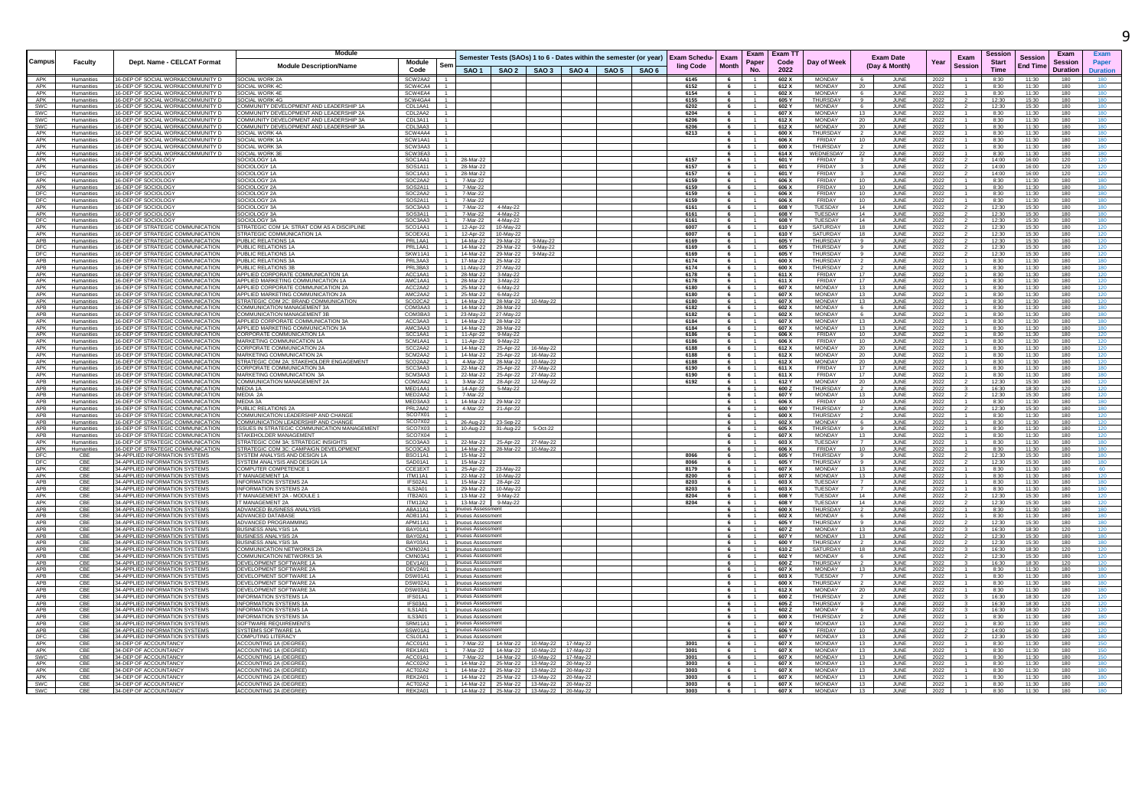|                          |                          |                                                                                | Module                                                                             |                                                        |                                       |                                                                | Semester Tests (SAOs) 1 to 6 - Dates within the semester (or year)                |  | <b>Exam Schedu-</b> | <b>F</b> xam    |                     | Exam   Exam TT |                                    | <b>Exam Date</b>                       |              | Exam           | Session                     | Session         | Exam                       | <b>Exam</b>             |
|--------------------------|--------------------------|--------------------------------------------------------------------------------|------------------------------------------------------------------------------------|--------------------------------------------------------|---------------------------------------|----------------------------------------------------------------|-----------------------------------------------------------------------------------|--|---------------------|-----------------|---------------------|----------------|------------------------------------|----------------------------------------|--------------|----------------|-----------------------------|-----------------|----------------------------|-------------------------|
| Campus                   | Faculty                  | Dept. Name - CELCAT Format                                                     | <b>Module Description/Name</b>                                                     | Module<br>Sen<br>Code                                  |                                       |                                                                | SAO 1   SAO 2   SAO 3   SAO 4   SAO 5   SAO 6                                     |  | ling Code           | <b>Month</b>    | Paper<br>No.        | Code<br>2022   | Day of Week                        | (Day & Month)                          | Year         | <b>Session</b> | <b>Start</b><br><b>Time</b> | <b>End Time</b> | Session<br><b>Duration</b> | Paper<br><b>Duratio</b> |
| APK                      | Humanities               | 16-DEP OF SOCIAL WORK&COMMUNITY D                                              | SOCIAL WORK 2A                                                                     | SCW2AA2<br>$\overline{1}$                              |                                       |                                                                |                                                                                   |  | 6145                | 6               |                     | 602 X          | MONDAY                             | JUNE                                   | 2022         |                | 8:30                        | 11:30           | 180                        | 180                     |
| APK<br>APK               | Humanities<br>Humanities | 16-DEP OF SOCIAL WORK&COMMUNITY D<br>16-DEP OF SOCIAL WORK&COMMUNITY D         | SOCIAL WORK 4C<br>SOCIAL WORK 4E                                                   | $\overline{1}$<br>SCW4CA4<br>SCW4EA4<br>$\overline{1}$ |                                       |                                                                |                                                                                   |  | 6152<br>6154        | 6               |                     | 612 X<br>602 X | <b>MONDAY</b><br><b>MONDAY</b>     | 20<br>JUNE<br>JUNE                     | 2022         |                | 8:30<br>8:30                | 11:30<br>11:30  | 180<br>180                 | 180<br>180              |
| APK                      | Humanities               | 16-DEP OF SOCIAL WORK&COMMUNITY D                                              | SOCIAL WORK 4G                                                                     | SCW4GA4<br>$\overline{1}$                              |                                       |                                                                |                                                                                   |  | 6155                | 6               |                     | 605 Y          | <b>THURSDAY</b>                    | $\mathbf{a}$<br>JUNE                   | 2022<br>2022 |                | 12:30                       | 15:30           | 180                        | 180                     |
| <b>SWC</b>               | Humanities               | 16-DEP OF SOCIAL WORK&COMMUNITY D                                              | COMMUNITY DEVELOPMENT AND LEADERSHIP 1A                                            | CDL1AA1<br>1 <sub>1</sub>                              |                                       |                                                                |                                                                                   |  | 6202                | 6               |                     | 602 Y          | <b>MONDAY</b>                      | -6<br>JUNE                             | 2022         |                | 12:30                       | 15:30           | 180                        | 180                     |
| <b>SWC</b>               | Humanities               | 16-DEP OF SOCIAL WORK&COMMUNITY D                                              | COMMUNITY DEVELOPMENT AND LEADERSHIP 2A                                            | $\overline{1}$<br>CDL2AA2                              |                                       |                                                                |                                                                                   |  | 6204                | 6               | $\sim$ 1            | 607 X          | MONDAY                             | 13<br>JUNE                             | 2022         |                | 8:30                        | 11:30           | 180                        | 180                     |
| <b>SWC</b><br><b>SWC</b> | Humanities<br>Humanities | 16-DEP OF SOCIAL WORK&COMMUNITY D<br>16-DEP OF SOCIAL WORK&COMMUNITY D         | COMMUNITY DEVELOPMENT AND LEADERSHIP 3A<br>COMMUNITY DEVELOPMENT AND LEADERSHIP 3A | CDI 3A11<br>$\overline{1}$<br>$-1$<br>CDI 3AA3         |                                       |                                                                |                                                                                   |  | 6206<br>6206        | 6<br>6          | $\overline{1}$      | 612 X<br>612 X | <b>MONDAY</b><br><b>MONDAY</b>     | JUNE<br>20<br>$20 -$<br><b>JUNE</b>    | 2022<br>2022 |                | 8:30<br>8:30                | 11:30<br>11:30  | 180<br>180                 | 180<br>180              |
| APK                      | Humanities               | 16-DEP OF SOCIAL WORK&COMMUNITY D                                              | SOCIAL WORK 4A                                                                     | SCW4AA4 1                                              |                                       |                                                                |                                                                                   |  | 6213                | 6               |                     | 600 X          | THURSDAY                           | JUNE                                   | 2022         |                | 8:30                        | 11:30           | 180                        | 180                     |
| APK                      | Humanities               | 16-DEP OF SOCIAL WORK&COMMUNITY D                                              | SOCIAL WORK 1A                                                                     | SCW1AA1 1                                              |                                       |                                                                |                                                                                   |  |                     | 6               |                     | 606 X          | FRIDAY                             | 10<br>JUNE                             | 2022         |                | 8:30                        | 11:30           | 180                        | 180                     |
| APK                      | Humanities               | 16-DEP OF SOCIAL WORK&COMMUNITY D                                              | SOCIAL WORK 3A                                                                     | SCW3AA3<br>$\overline{1}$                              |                                       |                                                                |                                                                                   |  |                     | 6               |                     | 600 X          | THURSDAY                           | JUNE                                   | 2022         |                | 8:30                        | 11:30           | 180                        | 180                     |
| APK<br>APK               | Humanities<br>Humanities | 16-DEP OF SOCIAL WORK&COMMUNITY D<br>16-DEP OF SOCIOLOGY                       | SOCIAL WORK 3E<br><b>SOCIOLOGY 1A</b>                                              | SCW3EA3<br>$\overline{1}$<br>SOC1AA1<br>$\overline{1}$ | 28-Mar-22                             |                                                                |                                                                                   |  | 6157                | 6<br>6          |                     | 614 X<br>601 Y | WEDNESDAY<br>FRIDAY                | 22<br>JUNE<br>JUNE                     | 2022<br>2022 |                | 8:30<br>14:00               | 11:30<br>16:00  | 180<br>120                 | 180<br>120              |
| APK                      | Humanities               | 16-DEP OF SOCIOLOGY                                                            | SOCIOLOGY 1A                                                                       | SOS1A11<br>$\overline{1}$                              | 28-Mar-22                             |                                                                |                                                                                   |  | 6157                | 6               |                     | 601 Y          | FRIDAY                             | $\overline{\mathbf{3}}$<br>JUNE        | 2022         |                | 14:00                       | 16:00           | 120                        | 120                     |
| <b>DFC</b>               | Humanities               | 16-DEP OF SOCIOLOGY                                                            | SOCIOLOGY 1A                                                                       | SOC1AA1 1                                              | 28-Mar-22                             |                                                                |                                                                                   |  | 6157                | 6               | - 1 -               | 601 Y          | FRIDAY                             | JUNE<br>$\mathbf{3}$                   | 2022         |                | 14:00                       | 16:00           | 120                        | 120                     |
| APK                      | Humanities               | 16-DEP OF SOCIOLOGY                                                            | SOCIOLOGY 2A                                                                       | SOC2AA2<br>$\blacksquare$                              | 7-Mar-22                              |                                                                |                                                                                   |  | 6159                | 6               | $\overline{1}$      | 606 X          | FRIDAY                             | 10<br>JUNE                             | 2022         |                | 8:30                        | 11:30           | 180                        | 180                     |
| APK<br>DFC               | Humanities<br>Humanities | 16-DEP OF SOCIOLOGY<br>16-DEP OF SOCIOLOGY                                     | SOCIOLOGY 2A<br>SOCIOLOGY 2A                                                       | SOS2A11<br>$-1$<br>SOC2AA2<br>$-1$                     | 7-Mar-22<br>7-Mar-22                  |                                                                |                                                                                   |  | 6159<br>6159        | 6<br>6          |                     | 606 X<br>606 X | FRIDAY<br>FRIDAY                   | JUNE<br>10<br>10<br><b>JUNE</b>        | 2022<br>2022 |                | 8:30<br>8:30                | 11:30<br>11:30  | 180<br>180                 | 180<br>180              |
| <b>DFC</b>               | Humanities               | 16-DEP OF SOCIOLOGY                                                            | SOCIOLOGY 2A                                                                       | SOS2A11 1                                              | 7-Mar-22                              |                                                                |                                                                                   |  | 6159                | 6               | -1.                 | 606 X          | FRIDAY                             | 10<br>JUNE                             | 2022         |                | 8:30                        | 11:30           | 180                        | 180                     |
| APK                      | Humanities               | 16-DEP OF SOCIOLOGY                                                            | SOCIOLOGY 3A                                                                       | SOC3AA3 1                                              |                                       | 7-Mar-22 4-May-22                                              |                                                                                   |  | 6161                | 6               |                     | 608 Y          | TUESDAY                            | 14<br>JUNE                             | 2022         |                | 12:30                       | 15:30           | 180                        | 180                     |
| APK                      | Humanities               | 16-DEP OF SOCIOLOGY                                                            | SOCIOLOGY 3A                                                                       | SOS3A11<br>$\overline{1}$                              |                                       | 7-Mar-22 4-May-22                                              |                                                                                   |  | 6161                | 6               |                     | 608 Y          | TUESDAY                            | 14<br>JUNE                             | 2022         |                | 12:30                       | 15:30           | 180                        | 180                     |
| DFC<br>APK               | Humanities<br>Humanities | 16-DEP OF SOCIOLOGY<br>16-DEP OF STRATEGIC COMMUNICATION                       | SOCIOLOGY 3A<br>STRATEGIC COM 1A: STRAT COM AS A DISCIPLINE                        | SOC3AA3<br>$\overline{1}$<br>SCO1AA1<br>$-1$           | 7-Mar-22                              | 4-May-22<br>12-Apr-22 10-May-22                                |                                                                                   |  | 6161<br>6007        | 6<br>6          | $-1$                | 608 Y<br>610 Y | TUESDAY<br>SATURDAY                | 14<br>JUNE<br>18<br>JUNE               | 2022<br>2022 |                | 12:30<br>12:30              | 15:30<br>15:30  | 180<br>180                 | 180<br>120              |
| APK                      | Humanities               | 16-DEP OF STRATEGIC COMMUNICATION                                              | STRATEGIC COMMUNICATION 1A                                                         | SCOFXA1 1                                              |                                       | 12-Apr-22 10-May-22                                            |                                                                                   |  | 6007                | 6               | $\overline{1}$      | 610 Y          | SATURDAY                           | 18<br>.IUNF                            | 2022         |                | 12:30                       | 15:30           | 180                        | 120                     |
| APB                      | Humanities               | 16-DEP OF STRATEGIC COMMUNICATION                                              | PUBLIC RELATIONS 1A                                                                | PRI 1AA1<br>$\overline{1}$                             |                                       | 14-Mar-22 29-Mar-22 9-May-22                                   |                                                                                   |  | 6169                | 6               |                     | 605 Y          | <b>THURSDAY</b>                    | .II INF<br>$\alpha$                    | 2022         |                | 12:30                       | 15:30           | 180                        | 120                     |
| DFC                      | Humanities               | 16-DEP OF STRATEGIC COMMUNICATION                                              | PUBLIC RELATIONS 1A                                                                | PRI 1AA1<br>$-1$                                       |                                       | 14-Mar-22 29-Mar-22 9-May-22                                   |                                                                                   |  | 6169                | 6               |                     | 605 Y          | <b>THURSDAY</b>                    | JUNE<br>$\alpha$                       | 2022         |                | 12:30                       | 15:30           | 180                        | 120                     |
| DFC<br>APB               | Humanities<br>Humanities | 16-DEP OF STRATEGIC COMMUNICATION<br>16-DEP OF STRATEGIC COMMUNICATION         | PUBLIC RELATIONS 1A<br>PUBLIC RELATIONS 3A                                         | SKW11A1<br>$\overline{1}$<br>PRI3AA3   1               |                                       | 14-Mar-22 29-Mar-22 9-May-22                                   |                                                                                   |  | 6169<br>6174        | 6<br>6          |                     | 605 Y<br>600 X | <b>THURSDAY</b><br><b>THURSDAY</b> | $\mathbf{q}$<br>JUNE<br><b>JUNE</b>    | 2022         |                | 12:30                       | 15:30<br>11:30  | 180<br>180                 | 120<br>180              |
| APB                      | Humanities               | 16-DEP OF STRATEGIC COMMUNICATION                                              | PUBLIC RELATIONS 3B                                                                | PRL3BA3 1                                              |                                       | 17-Mar-22 25-Mar-22<br>11-May-22 27-May-22                     |                                                                                   |  | 6174                | 6               |                     | 600 X          | THURSDAY                           | $\overline{2}$<br>JUNE                 | 2022<br>2022 |                | 8:30<br>8:30                | 11:30           | 180                        | 180                     |
| APK                      | Humanities               | 16-DEP OF STRATEGIC COMMUNICATION                                              | APPLIED CORPORATE COMMUNICATION 1A                                                 | ACC1AA1<br>$\mathbf{1}$                                |                                       | 28-Mar-22 3-May-22                                             |                                                                                   |  | 6178                | 6               | $-1$                | 611 X          | FRIDAY                             | 17<br>JUNE                             | 2022         |                | 8:30                        | 11:30           | 180                        | 120                     |
| APK                      | Humanities               | 16-DEP OF STRATEGIC COMMUNICATION                                              | APPLIED MARKETING COMMUNICATION 1A                                                 | AMC <sub>1</sub> A <sub>4</sub> 1<br>$-1$              |                                       | 28-Mar-22 3-May-22                                             |                                                                                   |  | 6178                | 6               | 1                   | 611 X          | <b>FRIDAY</b>                      | 17<br>JUNE                             | 2022         |                | 8:30                        | 11:30           | 180                        | 120                     |
| APK                      | Humanities               | 16-DEP OF STRATEGIC COMMUNICATION                                              | APPLIED CORPORATE COMMUNICATION 2A                                                 | ACC2AA2 1                                              |                                       | 25-Mar-22 6-May-22                                             |                                                                                   |  | 6180                | 6               | $-1$                | 607 X          | <b>MONDAY</b>                      | 13 <sup>7</sup><br>JUNE                | 2022         | $\overline{1}$ | 8:30                        | 11:30           | 180                        | 120                     |
| APK<br>APK               | Humanities<br>Humanities | 16-DEP OF STRATEGIC COMMUNICATION<br>16-DEP OF STRATEGIC COMMUNICATION         | APPLIED MARKETING COMMUNICATION 2A<br>STRATEGIC COM 2C: BRAND COMMUNICATION        | AMC2AA2 1<br>$SCO2C42$ 1                               |                                       | 25-Mar-22 6-May-22<br>14-Mar-22 28-Mar-22 10-May-22            |                                                                                   |  | 6180<br>6180        | 6<br>6          |                     | 607 X<br>607 X | MONDAY<br><b>MONDAY</b>            | 13 <sup>7</sup><br>JUNE<br>13<br>.IUNF | 2022<br>2022 |                | 8:30<br>8:30                | 11:30<br>11:30  | 180<br>180                 | 120<br>120              |
| APB                      | Humanities               | 16-DEP OF STRATEGIC COMMUNICATION                                              | OMMUNICATION MANAGEMENT 3A                                                         | COM3AA3 1                                              |                                       | 14-Mar-22 28-Mar-22                                            |                                                                                   |  | 6182                | 6               |                     | 602 X          | <b>MONDAY</b>                      | JUNE<br>-6                             | 2022         |                | 8:30                        | 11:30           | 180                        | 180                     |
| APB                      | Humanities               | 16-DEP OF STRATEGIC COMMUNICATION                                              | OMMUNICATION MANAGEMENT 3P                                                         | COM3BA3 1                                              |                                       | 23-May-22 27-May-22                                            |                                                                                   |  | 6182                | 6               |                     | 602 X          | <b>MONDAY</b>                      | JUNE<br>-6                             | 2022         |                | 8:30                        | 11:30           | 180                        | 180                     |
| APK                      | Humanities               | 16-DEP OF STRATEGIC COMMUNICATION                                              | APPLIED CORPORATE COMMUNICATION 3A                                                 | ACC3AA3<br>$\blacksquare$                              |                                       | 14-Mar-22 28-Mar-22                                            |                                                                                   |  | 6184                | 6               |                     | 607 X          | <b>MONDAY</b>                      | 13<br>JUNE                             | 2022         |                | 8:30                        | 11:30           | 180                        | 180                     |
| APK                      | Humanities               | 16-DEP OF STRATEGIC COMMUNICATION                                              | APPLIED MARKETING COMMUNICATION 3A                                                 | AMC3AA3 1                                              |                                       | 14-Mar-22 28-Mar-22                                            |                                                                                   |  | 6184                | 6               | $-1$                | 607 X          | MONDAY<br>FRIDAY                   | 13<br>JUNE                             | 2022         |                | 8:30                        | 11:30           | 180                        | 180                     |
| APK<br>APK               | Humanities<br>Humanities | 16-DEP OF STRATEGIC COMMUNICATION<br>16-DEP OF STRATEGIC COMMUNICATION         | CORPORATE COMMUNICATION 1A<br>MARKETING COMMUNICATION 1A                           | SCC1AA1 1<br>SCM1AA1<br>$-1$                           | 11-Apr-22                             | 11-Apr-22 9-May-22<br>9-May-22                                 |                                                                                   |  | 6186<br>6186        | 6<br>6          | 1<br>1              | 606 X<br>606 X | FRIDAY                             | 10<br>JUNE<br>10<br>JUNE               | 2022<br>2022 |                | 8:30<br>8:30                | 11:30<br>11:30  | 180<br>180                 | 120                     |
| APK                      | Humanities               | 16-DEP OF STRATEGIC COMMUNICATION                                              | CORPORATE COMMUNICATION 2A                                                         | SCC2AA2 1                                              |                                       | 14-Mar-22 25-Apr-22 16-May-22                                  |                                                                                   |  | 6188                | 6               | 1                   | 612 X          | MONDAY                             | 20<br>JUNE                             | 2022         |                | 8:30                        | 11:30           | 180                        | 120                     |
| APK                      | Humanities               | 16-DEP OF STRATEGIC COMMUNICATION                                              | MARKETING COMMUNICATION 2A                                                         | SCM2AA2 1                                              |                                       | 14-Mar-22 25-Apr-22 16-May-22                                  |                                                                                   |  | 6188                | 6               | $-1$                | 612 X          | <b>MONDAY</b>                      | 20<br>JUNE                             | 2022         |                | 8:30                        | 11:30           | 180                        | 120                     |
| APK                      | Humanities               | 16-DEP OF STRATEGIC COMMUNICATION                                              | STRATEGIC COM 2A: STAKEHOLDER ENGAGEMENT                                           | SCO2AA2 1                                              |                                       | 4-Mar-22 28-Mar-22 10-May-22                                   |                                                                                   |  | 6188                | 6               | 1                   | 612 X          | <b>MONDAY</b>                      | 20 <sup>°</sup><br>JUNE                | 2022         |                | 8:30                        | 11:30           | 180                        | 120                     |
| APK<br>APK               | Humanities<br>Humanities | 16-DEP OF STRATEGIC COMMUNICATION<br>16-DEP OF STRATEGIC COMMUNICATION         | CORPORATE COMMUNICATION 3A<br>MARKETING COMMUNICATION 3A                           | $SCC3AA3$ $1$<br>$SCM3A43$ 1                           |                                       | 22-Mar-22 25-Apr-22 27-May-22<br>22-Mar-22 25-Apr-22 27-May-22 |                                                                                   |  | 6190<br>6190        | 6<br>6          |                     | 611 X<br>611 X | FRIDAY<br>FRIDAY                   | 17<br>.IUNF<br>17<br>JUNE              | 2022<br>2022 |                | 8:30<br>8:30                | 11:30<br>11:30  | 180<br>180                 | 180<br>180              |
| APB                      | Humanities               | 16-DEP OF STRATEGIC COMMUNICATION                                              | COMMUNICATION MANAGEMENT 2A                                                        | COM2AA2<br>$-1$                                        |                                       | 3-Mar-22 28-Apr-22 12-May-22                                   |                                                                                   |  | 6192                | $6\overline{6}$ |                     | 612 Y          | <b>MONDAY</b>                      | 20<br>JUNE                             | 2022         |                | 12:30                       | 15:30           | 180                        | 120                     |
| <b>APB</b>               | Humanities               | 16-DEP OF STRATEGIC COMMUNICATION                                              | MEDIA 1A                                                                           | MED1441 1                                              |                                       | 14-Apr-22   5-May-22                                           |                                                                                   |  |                     | 6               | $\overline{1}$      | 600Z           | THLIRSDAY                          | JUNE                                   | 2022         |                | 16:30                       | 18:30           | 120                        | 120                     |
| APB                      | Humanitie                | 16-DEP OF STRATEGIC COMMUNICATION                                              | MEDIA 24                                                                           | MED2AA2<br>$-1$                                        | 7-Mar-22                              |                                                                |                                                                                   |  |                     | 6               | $-1$                | 607 Y          | <b>MONDAY</b>                      | JUNE<br>13                             | 2022         |                | 12:30                       | 15:30           | 180                        |                         |
| APB<br>APB               | Humanitie                | 16-DEP OF STRATEGIC COMMUNICATION<br>16-DEP OF STRATEGIC COMMUNICATION         | MEDIA 3A<br>PUBLIC RELATIONS 2A                                                    | MED3AA3<br>$\blacksquare$<br>PRL2AA2<br>$-1$           | 14-Mar-22                             | 29-Mar-22                                                      |                                                                                   |  |                     | 6               | $\mathbf{1}$        | 606 X<br>600 Y | <b>FRIDAY</b><br><b>THURSDAY</b>   | JUNE                                   | 2022         |                | 8:30<br>12:30               | 11:30<br>15:30  | 180<br>180                 | 180<br>180              |
| APB                      | Humanities<br>Humanities | 16-DEP OF STRATEGIC COMMUNICATION                                              | COMMUNICATION LEADERSHIP AND CHANGE                                                | SCO7X01<br>$-1$                                        | 4-Mar-22                              | 21-Apr-22                                                      |                                                                                   |  |                     | 6               | $\mathbf{1}$        | 600 X          | <b>THURSDAY</b>                    | JUNE<br>JUNE                           | 2022<br>2022 |                | 8:30                        | 11:30           | 180                        | 120                     |
| APB                      | Humanities               | 16-DEP OF STRATEGIC COMMUNICATION                                              | COMMUNICATION LEADERSHIP AND CHANGE                                                | SCO7X02<br>$-1$                                        | 26-Aug-22                             | 23-Sep-22                                                      |                                                                                   |  |                     | 6               | $-1$                | 602 X          | <b>MONDAY</b>                      | JUNE<br>6                              | 2022         | $\mathbf{1}$   | 8:30                        | 11:30           | 180                        | 120                     |
| APB                      | Humanities               | 16-DEP OF STRATEGIC COMMUNICATION                                              | <b>ISSUES IN STRATEGIC COMMUNICATION MANAGEMENT</b>                                | SCO7X03<br>$-1$                                        | 10-Aug-22                             | 31-Aug-22                                                      | 5-Oct-22                                                                          |  |                     |                 |                     | 605 X          | THURSDAY                           | JUNE                                   | 2022         |                | 8:30                        | 11:30           | 180                        | 120                     |
| APB<br>APK               | Humanities               | 16-DEP OF STRATEGIC COMMUNICATION                                              | STAKEHOLDER MANAGEMENT                                                             | SCO7X04<br>$-1$<br>SCO3AA3 1                           | 22-Mar-22                             |                                                                |                                                                                   |  |                     | 6<br>6          | $-1$                | 607 X<br>603 X | <b>MONDAY</b><br>TUESDAY           | JUNE<br>13<br>7                        | 2022         |                | 8:30                        | 11:30<br>11:30  | 180<br>180                 |                         |
| APK                      | Humanities<br>Humanitie  | 16-DEP OF STRATEGIC COMMUNICATION<br>16-DEP OF STRATEGIC COMMUNICATION         | STRATEGIC COM 3A: STRATEGIC INSIGHTS<br>STRATEGIC COM 3C: CAMPAIGN DEVELOPMENT     | SCO3CA3<br>$-1$                                        |                                       | 14-Mar-22 28-Mar-22 10-May-22                                  | 25-Apr-22 27-May-22                                                               |  |                     | 6               | $-1$                | 606 X          | <b>FRIDAY</b>                      | JUNE<br>$10-1$<br>JUNE                 | 2022<br>2022 | $-1$           | 8:30<br>8:30                | 11:30           | 180                        | 180<br>180              |
|                          | CBE                      | 34-APPLIED INFORMATION SYSTEMS                                                 | YSTEM ANALYSIS AND DESIGN 1A                                                       | BSO <sub>11A1</sub><br>$-1$                            | 15-Mar-22                             |                                                                |                                                                                   |  | 8066                | 6               |                     | 605 Y          | <b>THLIRSDAY</b>                   | JUNE<br>$\alpha$                       | 2022         |                | 12:30                       | 15:30           | 180                        | 180                     |
| DFC<br>DFC               | CBE                      | 34-APPLIED INFORMATION SYSTEMS                                                 | SYSTEM ANALYSIS AND DESIGN 1A                                                      | SAD01A1<br>$-1$                                        | 15-Mar-22                             |                                                                |                                                                                   |  | 8066                | 6               |                     | 605 Y          | THI IRSDAY                         | JUNE                                   | 2022         |                | 12:30                       | 15:30           | 180                        | 180                     |
| APK                      | CBE<br>CBE               | 34-APPLIED INFORMATION SYSTEMS                                                 | COMPUTER COMPETENCE 1<br>IT MANAGEMENT 1A                                          | CCE1EXT<br>1<br><b>ITM11A1</b><br>$\overline{1}$       | 25-Apr-22                             | 23-May-22                                                      |                                                                                   |  | 8179<br>8200        | 6               | 1                   | 607 X          | <b>MONDAY</b><br><b>MONDAY</b>     | JUNE<br>13                             | 2022         |                | 8:30                        | 11:30           | 180                        |                         |
| APK<br>APB               | CBE                      | 34-APPLIED INFORMATION SYSTEMS<br>34-APPLIED INFORMATION SYSTEMS               | <b>INFORMATION SYSTEMS 2</b>                                                       | IFS02A1<br>$-1$                                        | 22-Mar-22                             | 10-May-22<br>15-Mar-22 28-Apr-22                               |                                                                                   |  | 8203                | 6<br>6          |                     | 607 X<br>603 X | TUESDAY                            | JUNE<br>13<br>JUNE                     | 2022<br>2022 |                | 8:30<br>8:30                | 11:30<br>11:30  | 180<br>180                 | 120                     |
| APB                      | CBE                      | 34-APPLIED INFORMATION SYSTEMS                                                 | <b>INFORMATION SYSTEMS 2A</b>                                                      | ILS2A01                                                | 29-Mar-22                             | 10-May-22                                                      |                                                                                   |  | 8203                | 6               |                     | 603 X          | TUESDAY                            | JUNE                                   | 2022         |                | 8:30                        | 11:30           | 180                        |                         |
| APK                      | CBE                      | 34-APPLIED INFORMATION SYSTEMS                                                 | T MANAGEMENT 2A - MODULE                                                           | ITB2A01<br>$\overline{1}$                              |                                       | 13-Mar-22 9-May-22                                             |                                                                                   |  | 8204                | 6               |                     | 608 Y          | TUESDAY                            | 14<br>JUNE                             | 2022         |                | 12:30                       | 15:30           | 180                        | 120                     |
| APK                      | CBE                      | 34-APPLIED INFORMATION SYSTEMS                                                 | <b>IT MANAGEMENT 2A</b>                                                            | <b>ITM12A2</b><br>$\overline{1}$<br>$\Delta$ RA1141    | inuous Assess                         | 13-Mar-22 9-May-22                                             |                                                                                   |  | 8204                | 6               |                     | 608 Y          | TUESDAY<br>THLIRSDAY               | 14<br>JUNE                             | 2022         |                | 12:30                       | 15:30           | 180                        | 120                     |
| <b>APB</b><br><b>APB</b> | CBE<br>CBE               | 34-APPLIED INFORMATION SYSTEMS<br>34-APPLIED INFORMATION SYSTEMS               | ADVANCED BUSINESS ANALYSIS<br>ADVANCED DATABASE                                    | $\overline{1}$<br>$-1$<br>ADR11A1                      | nuous Assessment                      |                                                                |                                                                                   |  |                     | 6<br>6          | 1<br>$-1$           | 600 X<br>602 X | <b>MONDAY</b>                      | JUNE<br>$\overline{2}$<br>JUNE<br>-6   | 2022<br>2022 |                | 8:30<br>8:30                | 11:30<br>11:30  | 180<br>180                 | 180<br>180              |
| APB                      | CBE                      | 34-APPLIED INFORMATION SYSTEMS                                                 | ADVANCED PROGRAMMING                                                               | ΔPM11Δ1 1                                              | nuous Assessment                      |                                                                |                                                                                   |  |                     | 6               | $\overline{1}$      | 605 Y          | THLIRSDAY                          | JUNE<br>$\alpha$                       | 2022         |                | 12:30                       | 15:30           | 180                        | 180                     |
| APB                      | CRE                      | 34-APPLIED INFORMATION SYSTEMS                                                 | BUSINESS ANALYSIS 1A                                                               | BAY01A1<br>$-1$                                        | uous Assessmen                        |                                                                |                                                                                   |  |                     | $6\phantom{.0}$ |                     | 607 Z          | <b>MONDAY</b>                      | JUNE<br>13                             | 2022         |                | 16:30                       | 18:30           | 120                        |                         |
| APB                      | CBE                      | 34-APPLIED INFORMATION SYSTEMS                                                 | <b>BUSINESS ANALYSIS 2A</b>                                                        | BAY02A1<br>$\overline{1}$                              | uous Assessmen                        |                                                                |                                                                                   |  |                     |                 |                     | 607 Y          | MONDAY                             | 13<br>JUNE                             | 2022         |                | 12:30                       | 15:30           | 180                        |                         |
| APB<br>APB               | CBE<br>CBE               | 34-APPLIED INFORMATION SYSTEMS<br>34-APPLIED INFORMATION SYSTEMS               | <b>BUSINESS ANALYSIS 3A</b><br>OMMUNICATION NETWORKS 2A                            | BAY03A1<br>$\overline{1}$<br>CMN02A1 1                 | inuous Assessment<br>inuous Assessmen |                                                                |                                                                                   |  |                     | 6               |                     | 600 Y<br>610Z  | THURSDAY<br>SATURDAY               | JUNE<br>18<br>JUNE                     | 2022<br>2022 |                | 12:30<br>16:30              | 15:30<br>18:30  | 180<br>120                 | 180                     |
| APB                      | CBE                      | 34-APPLIED INFORMATION SYSTEMS                                                 | <b>DMMUNICATION NETWORKS 3A</b>                                                    | CMN03A1<br>$\overline{1}$                              | <b>NUOUS Assessment</b>               |                                                                |                                                                                   |  |                     | 6               |                     | 602            | MONDAY                             | JUNE                                   | 2022         |                | 12:30                       | 15:30           | 180                        |                         |
| APB                      | CBE                      | 34-APPLIED INFORMATION SYSTEMS                                                 | DEVELOPMENT SOFTWARE 1A                                                            | DEV1A01<br>$\overline{1}$                              | <b>NUOUS Assessment</b>               |                                                                |                                                                                   |  |                     |                 |                     | 600Z           | THURSDAY                           | JUNE                                   | 2022         |                | 16:30                       | 18:30           | 120                        | 120                     |
| APB                      | CBE                      | 34-APPLIED INFORMATION SYSTEMS                                                 | DEVELOPMENT SOFTWARE 2A                                                            | DEV2A01<br>$\overline{1}$                              | nuous Assessmen                       |                                                                |                                                                                   |  |                     | 6               |                     | 607 X          | MONDAY                             | 13<br>JUNE                             | 2022         |                | 8:30                        | 11:30           | 180                        | 180                     |
| APB                      | CBE                      | 34-APPLIED INFORMATION SYSTEMS                                                 | DEVELOPMENT SOFTWARE 1A                                                            | DSW01A1   1                                            | inuous Assessment                     |                                                                |                                                                                   |  |                     | 6               | 1<br>$\overline{1}$ | 603 X          | TUESDAY                            | JUNE<br>$\overline{7}$                 | 2022         |                | 8:30                        | 11:30           | 180                        | 180                     |
| APB<br>APB               | CBE<br>CBE               | 34-APPLIED INFORMATION SYSTEMS<br>34-APPLIED INFORMATION SYSTEMS               | DEVELOPMENT SOFTWARE 2/<br>DEVELOPMENT SOFTWARE 3A                                 | DSW02A1<br>$\mathbf{1}$<br>DSW03A1<br>$\overline{1}$   | nuous Assessmen<br>nuous Assessmen    |                                                                |                                                                                   |  |                     | 6<br>6          |                     | 600 X<br>612 X | <b>THURSDAY</b><br>MONDAY          | JUNE<br>20<br>JUNE                     | 2022<br>2022 |                | 8:30<br>8:30                | 11:30<br>11:30  | 180<br>180                 | 180<br>180              |
| APB                      | CBE                      | 34-APPLIED INFORMATION SYSTEMS                                                 | <b>INFORMATION SYSTEMS 1/</b>                                                      | IFS01A1                                                | uous Assessmen                        |                                                                |                                                                                   |  |                     | 6               |                     | 600Z           | <b>THURSDAY</b>                    | JUNE                                   | 2022         |                | 16:30                       | 18:30           | 120                        | 120                     |
| APB                      | CBE                      | 34-APPLIED INFORMATION SYSTEMS                                                 | <b>INFORMATION SYSTEMS 3A</b>                                                      | IFS03A1<br>$\overline{1}$                              | nuous Assessmen                       |                                                                |                                                                                   |  |                     | 6               |                     | 605Z           | THURSDAY                           | JUNE                                   | 2022         |                | 16:30                       | 18:30           | 120                        | 120                     |
| APB                      | CBE                      | 34-APPLIED INFORMATION SYSTEMS                                                 | <b>INFORMATION SYSTEMS 1/</b>                                                      | ILS1A01<br>$\overline{1}$                              | nuous Assessmen                       |                                                                |                                                                                   |  |                     | 6               | $\overline{1}$      | 602Z           | <b>MONDAY</b>                      | 6<br>JUNE                              | 2022         |                | 16:30                       | 18:30           | 120                        |                         |
| APB                      | CBE                      | 34-APPLIED INFORMATION SYSTEMS                                                 | <b>INFORMATION SYSTEMS 3A</b>                                                      | ILS3A01<br>$\overline{1}$                              | uous Assessmen                        |                                                                |                                                                                   |  |                     |                 |                     | 600 X          | <b>THURSDAY</b>                    | JUNE                                   | 2022         |                | 8:30                        | 11:30           | 180                        | 180                     |
| APB<br>APB               | CBE<br>CBE               | <b>34-APPLIED INFORMATION SYSTEMS</b><br><b>34-APPLIED INFORMATION SYSTEMS</b> | SOFTWARE REQUIREMENTS<br>SYSTEMS SOFTWARE 1A                                       | <b>SRM11A1</b><br>SSW01A1<br>$\overline{1}$ 1          | uous Assessmer<br>uous Assessmen      |                                                                |                                                                                   |  |                     | 6<br>6          |                     | 607 X<br>606 Y | <b>MONDAY</b><br>FRIDAY            | JUNE<br>13<br>10<br>JUNE               | 2022<br>2022 |                | 8:30<br>14:00               | 11:30<br>16:00  | 180<br>120                 | 180<br>120              |
| DFC                      | CBI                      | 34-APPLIED INFORMATION SYSTEMS                                                 | COMPUTING LITERAC                                                                  | CSL01A1                                                | uous Assessmen                        |                                                                |                                                                                   |  |                     | 6               |                     | 607 Y          | <b>MONDAY</b>                      | 13<br>JUNE                             | 2022         |                | 12:30                       | 15:30           | 180                        |                         |
| APK                      | CBE                      | 34-DEP OF ACCOUNTANCY                                                          | <b>ACCOUNTING 1A (DEGREE</b>                                                       | ACC01A1                                                |                                       |                                                                | 7-Mar-22 14-Mar-22 10-May-22 17-May-22                                            |  | 3001                |                 |                     | 607 X          | <b>MONDAY</b>                      | 13<br>JUNE                             | 2022         |                | 8:30                        | 11:30           | 180                        |                         |
| APK                      | CBE                      | 34-DEP OF ACCOUNTANCY                                                          | ACCOUNTING 1A (DEGREE)                                                             | REK1A01                                                |                                       |                                                                | 7-Mar-22 14-Mar-22 10-May-22 17-May-22                                            |  | 3001                | 6               |                     | 607 X          | <b>MONDAY</b>                      | 13<br>JUNE                             | 2022         |                | 8:30                        | 11:30           | 180                        |                         |
| SWC                      | CBE<br>CBE               | 34-DEP OF ACCOUNTANCY<br>34-DEP OF ACCOUNTANC                                  | ACCOUNTING 1A (DEGREE)<br>ACCOUNTING 2A (DEGREE)                                   | ACC01A1<br>$\blacksquare$<br>ACC02A2                   |                                       |                                                                | 7-Mar-22 14-Mar-22 10-May-22 17-May-22<br>14-Mar-22 25-Mar-22 13-May-22 20-May-22 |  | 3001<br>3003        | 6               |                     | 607 X<br>607 X | MONDAY<br><b>MONDAY</b>            | 13<br>JUNE<br>13<br>JUNE               | 2022         |                | 8:30<br>8:30                | 11:30<br>11:30  | 180<br>180                 | 150<br>180              |
| APK<br>APK               | CBE                      | 34-DEP OF ACCOUNTANCY                                                          | ACCOUNTING 2A (DEGREE                                                              | ACT02A2<br>$\overline{1}$                              |                                       |                                                                | 14-Mar-22 25-Mar-22 13-May-22 20-May-22                                           |  | 3003                | 6               |                     | 607 X          | MONDAY                             | 13<br>JUNE                             | 2022<br>2022 |                | 8:30                        | 11:30           | 180                        | 180                     |
| APK                      | CBE                      | 34-DEP OF ACCOUNTANCY                                                          | <b>ACCOUNTING 2A (DEGREE)</b>                                                      | REK2A01                                                |                                       |                                                                | 14-Mar-22 25-Mar-22 13-May-22 20-May-22                                           |  | 3003                | 6               |                     | 607 X          | <b>MONDAY</b>                      | 13<br>JUNE                             | 2022         |                | 8:30                        | 11:30           | 180                        | 180                     |
| <b>SWC</b>               | CBE                      | 34-DEP OF ACCOUNTANCY                                                          | ACCOUNTING 2A (DEGREE)                                                             | ACT02A2 1                                              |                                       |                                                                | 14-Mar-22 25-Mar-22 13-May-22 20-May-22                                           |  | 3003                | 6               |                     | 607 X          | <b>MONDAY</b>                      | 13<br>JUNE                             | 2022         |                | 8:30                        | 11:30           | 180                        | 180                     |
| <b>SWC</b>               | CBE                      | 34-DEP OF ACCOUNTANCY                                                          | ACCOUNTING 2A (DEGREE)                                                             |                                                        |                                       |                                                                | REK2A01 1 14-Mar-22 25-Mar-22 13-May-22 20-May-22                                 |  | 3003                | $6 -$           |                     | 607 X          | <b>MONDAY</b>                      | 13<br><b>JUNE</b>                      | 2022         |                | 8:30                        | 11:30           | 180                        |                         |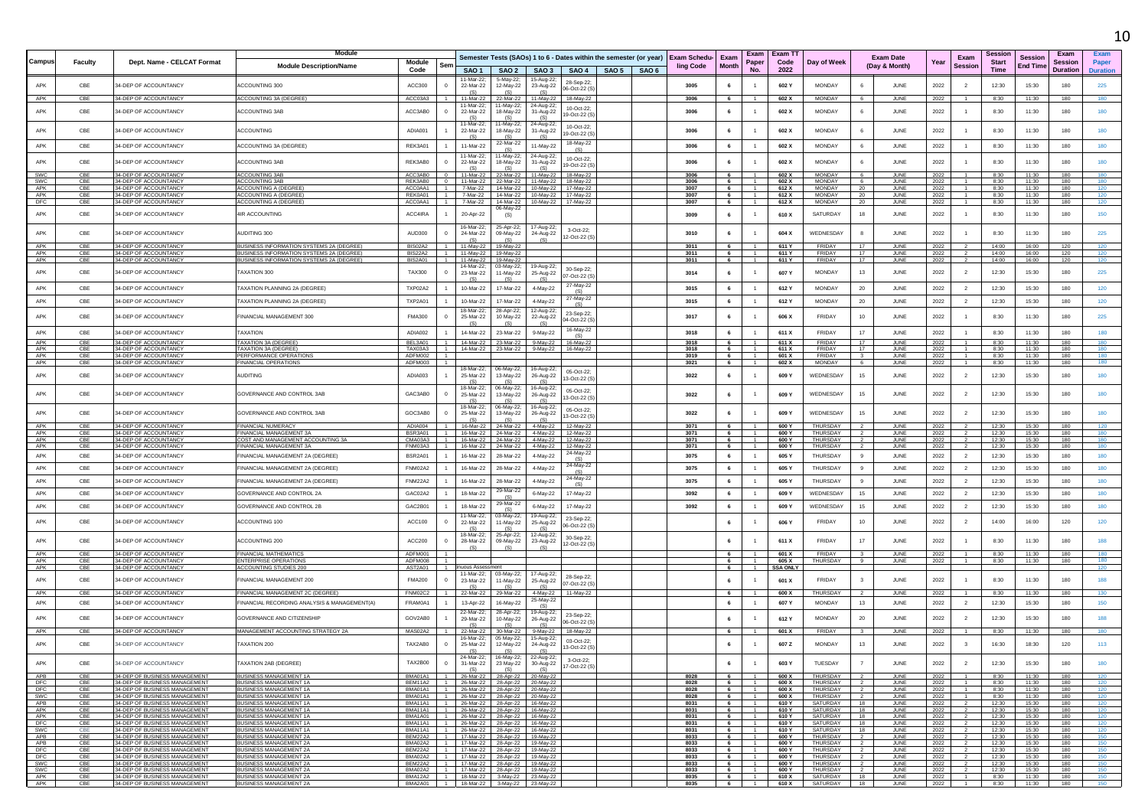|                   |                   |                                                                |                                                                                             |                                  |                |                                           |                                      |                                                                                   |                            |               |                                                                                              |                      |                                  |                          |                                      |                                               |                                                  |                      |                            |                            | 10                |
|-------------------|-------------------|----------------------------------------------------------------|---------------------------------------------------------------------------------------------|----------------------------------|----------------|-------------------------------------------|--------------------------------------|-----------------------------------------------------------------------------------|----------------------------|---------------|----------------------------------------------------------------------------------------------|----------------------|----------------------------------|--------------------------|--------------------------------------|-----------------------------------------------|--------------------------------------------------|----------------------|----------------------------|----------------------------|-------------------|
|                   |                   |                                                                | <b>Module</b>                                                                               |                                  |                |                                           |                                      |                                                                                   |                            |               |                                                                                              |                      |                                  | Exam   Exam T            |                                      |                                               |                                                  | Session              |                            | Exam                       | Exam              |
| <b>Campus</b>     | <b>Faculty</b>    | Dept. Name - CELCAT Format                                     | <b>Module Description/Name</b>                                                              | Module<br>Code                   |                | SAO <sub>1</sub>                          | SAO <sub>2</sub>                     | SAO <sub>3</sub>                                                                  | SAO 4                      | SAO 5   SAO 6 | Semester Tests (SAOs) 1 to 6 - Dates within the semester (or year) Exam Schedu-<br>ling Code | Exam<br><b>Month</b> | Paper<br>No.                     | Code<br>2022             | Day of Week                          | <b>Exam Date</b><br>(Day & Month)             | Exam<br>Year<br><b>Session</b>                   | <b>Start</b><br>Time | Session<br><b>End Time</b> | Session<br><b>Duration</b> | Paper<br>Duration |
| APK               | CBE               | 34-DEP OF ACCOUNTANCY                                          | <b>ACCOUNTING 300</b>                                                                       | ACC300                           | $\overline{0}$ | 11-Mar-22<br>22-Mar-22                    | 5-May-22<br>12-May-22                | 15-Aug-22;<br>23-Aug-22                                                           | 28-Sep-22<br>06-Oct-22 (S  |               | 3005                                                                                         | 6                    |                                  | 602 Y                    | <b>MONDAY</b>                        | JUNE                                          | 2022<br>$\overline{2}$                           | 12:30                | 15:30                      | 180                        | 225               |
| APK               | CBE               | 34-DEP OF ACCOUNTANCY                                          | ACCOUNTING 3A (DEGREE                                                                       | ACC03A3                          |                | 11-Mar-22<br>11-Mar-22                    | 22-Mar-22<br>11-May-22;              | 11-May-22<br>24-Aug-22                                                            | 18-May-22                  |               | 3006                                                                                         | - 6                  |                                  | 602 X                    | <b>MONDAY</b>                        | JUNE<br>6                                     | 2022                                             | 8:30                 | 11:30                      | 180                        | 180               |
| APK               | CBE               | 34-DEP OF ACCOUNTANCY                                          | <b>ACCOUNTING 3AB</b>                                                                       | ACC3AB0                          |                | 22-Mar-22                                 | 18-May-22                            | 31-Aug-22                                                                         | 10-Oct-22;<br>9-Oct-22 (S  |               | 3006                                                                                         | 6                    |                                  | 602 X                    | <b>MONDAY</b>                        | 6<br>JUNE                                     | 2022                                             | 8:30                 | 11:30                      | 180                        | 180               |
| APK               | CBE               | 34-DEP OF ACCOUNTANCY                                          | ACCOUNTING                                                                                  | ADIA001                          |                | 11-Mar-22;<br>22-Mar-22<br>(S)            | 1-May-22;<br>18-May-22               | 24-Aug-22<br>31-Aug-22<br>(S)                                                     | 10-Oct-22<br>9-Oct-22 (S)  |               | 3006                                                                                         | 6                    |                                  | 602 X                    | MONDAY                               | 6<br>JUNE                                     | 2022                                             | 8:30                 | 11:30                      | 180                        | 180               |
| APK               | CBE               | 34-DEP OF ACCOUNTANCY                                          | <b>ACCOUNTING 3A (DEGREE)</b>                                                               | RFK3A01                          |                | 11-Mar-22                                 | 22-Mar-22                            | 11-May-22                                                                         | 8-May-22<br>(S)            |               | 3006                                                                                         | 6                    | $\mathbf{1}$                     | 602 X                    | <b>MONDAY</b>                        | 6<br>JUNE                                     | 2022<br>$\overline{1}$                           | 8:30                 | 11:30                      | 180                        | 180               |
| APK               | CBE               | 34-DEP OF ACCOUNTANCY                                          | <b>ACCOUNTING 3AB</b>                                                                       | REK3AB0                          |                | 11-Mar-22<br>22-Mar-22<br>(S)             | 11-Mav-22:<br>18-May-22              | 24-Aug-22<br>31-Aug-22<br>(S)                                                     | 10-Oct-22;<br>9-Oct-22 (S  |               | 3006                                                                                         | 6                    |                                  | 602 X                    | <b>MONDAY</b>                        | JUNE<br>6                                     | 2022                                             | 8:30                 | 11:30                      | 180                        | 180               |
| <b>SWC</b><br>SWC | CBE               | 34-DEP OF ACCOUNTANCY<br>34-DEP OF ACCOUNTANC                  | ACCOLINTING 3AR<br>ACCOUNTING 3AB                                                           | ACC3AB0<br>REK3AB0               |                | 11-Mar-22<br>11-Mar-22                    | 22-Mar-22<br>22-Mar-22               | 11-May-22<br>11-May-22                                                            | 18-May-22<br>18-May-22     |               | 3006<br>300                                                                                  | -6                   |                                  | 602 X<br>602 X           | <b>MONDAY</b><br>MONDAY              | JUNE<br>JUNE                                  | 2022<br>2022                                     | 8:30<br>8:30         | 11:30<br>11:30             | 180<br>180                 | 180<br>180        |
| APK               | CBE               | 34-DEP OF ACCOUNTANCY                                          | <b>ACCOUNTING A (DEGREE</b>                                                                 | ACC0AA1                          |                | 7-Mar-22                                  | 14-Mar-22                            | 10-May-22                                                                         | 17-May-22                  |               | 3007                                                                                         | 6                    |                                  | 612 X                    | MONDAY                               | JUNE<br>- 20                                  | 2022                                             | 8:30                 | 11:30                      | 180                        | 120               |
| APK<br>DFC        | CBE<br>CBE        | 34-DEP OF ACCOUNTANCY<br>34-DEP OF ACCOUNTANCY                 | <b>ACCOUNTING A (DEGREE)</b><br>ACCOUNTING A (DEGREE)                                       | REK0A01<br>ACC0AA1               |                | 7-Mar-22<br>7-Mar-22                      |                                      | 14-Mar-22  10-May-22  17-May-22<br>14-Mar-22  10-May-22  17-May-22                |                            |               | 3007<br>3007                                                                                 | - 6<br>6             | $\overline{1}$<br>$-1$           | 612 X<br>612 X           | <b>MONDAY</b><br>MONDAY              | <b>JUNE</b><br>20<br>JUNE                     | 2022<br>2022<br>$\mathbf{1}$                     | 8:30<br>8:30         | 11:30<br>11:30             | 180<br>180                 | 120<br>120        |
| APK               | CBE               | 34-DEP OF ACCOUNTANCY                                          | <b>IR ACCOUNTING</b>                                                                        | ACC4IRA                          |                | 20-Apr-22                                 | 06-May-22<br>(S)                     |                                                                                   |                            |               | 3009                                                                                         | 6                    |                                  | 610 X                    | SATURDAY                             | 18<br>JUNE                                    | 2022                                             | 8:30                 | 11:30                      | 180                        | 150               |
| APK               | CBE               | 34-DEP OF ACCOUNTANCY                                          | AUDITING 300                                                                                | AUD300                           |                | 16-Mar-22:<br>24-Mar-22                   | 25-Apr-22;<br>09-May-22              | 17-Aug-22<br>24-Aug-22                                                            | 3-Oct-22<br>2-Oct-22 (S    |               | 3010                                                                                         | 6                    |                                  | 604 X                    | WEDNESDAY                            | JUNE<br>8                                     | 2022                                             | 8:30                 | 11:30                      | 180                        | 225               |
| APK               | CBE               | 34-DEP OF ACCOUNTANCY                                          | BUSINESS INFORMATION SYSTEMS 2A (DEGREE)                                                    | <b>BIS02A2</b>                   |                | 11-May-22                                 | 19-May-22                            |                                                                                   |                            |               | 3011                                                                                         | 6                    | 1                                | 611 Y                    | FRIDAY                               | 17<br>JUNE<br>17                              | 2022                                             | 14:00                | 16:00                      | 120                        | 120               |
| APK<br>APK        | CBE<br>CBE        | 34-DEP OF ACCOUNTANCY<br>34-DEP OF ACCOUNTANCY                 | BUSINESS INFORMATION SYSTEMS 2A (DEGREE)<br><b>BUSINESS INFORMATION SYSTEMS 2A (DEGREE)</b> | <b>BIS22A2</b><br><b>BIS2A01</b> | $-1$           | 11-May-22                                 | 11-May-22 19-May-22<br>19-May-22     |                                                                                   |                            |               | 3011<br>3011                                                                                 | 6<br>-6              | $-1$                             | 611 Y<br>611 Y           | FRIDAY<br><b>FRIDAY</b>              | JUNE<br>17<br>JUNE                            | 2022<br>2022                                     | 14:00<br>14:00       | 16:00<br>16:00             | 120<br>120                 | 120<br>120        |
| APK               | CBE               | 34-DEP OF ACCOUNTANCY                                          | TAXATION 300                                                                                | <b>TAX300</b>                    | $\circ$        | 14-Mar-22:<br>23-Mar-22                   | 03-May-22;                           | 19-Aug-22                                                                         | 30-Sep-22;                 |               | 3014                                                                                         | 6                    |                                  | 607 Y                    | <b>MONDAY</b>                        | 13<br>JUNE                                    | 2022<br>$\overline{2}$                           | 12:30                | 15:30                      | 180                        | 225               |
| APK               | CBE               | 34-DEP OF ACCOUNTANCY                                          | <b>FAXATION PLANNING 2A (DEGREE)</b>                                                        | TXP02A2                          |                | (S)<br>10-Mar-22                          | 11-May-22<br>17-Mar-22               | 25-Aug-22<br>4-May-22                                                             | 7-Oct-22 (S)<br>27-May-22  |               | 3015                                                                                         | 6                    |                                  | 612 Y                    | <b>MONDAY</b>                        | 20<br>JUNE                                    | 2022<br>$\overline{2}$                           | 12:30                | 15:30                      | 180                        | 120               |
| APK               | CBE               | 34-DEP OF ACCOUNTANCY                                          | TAXATION PLANNING 2A (DEGREE)                                                               | <b>TXP2A01</b>                   |                | 10-Mar-22                                 | 17-Mar-22                            | 4-May-22                                                                          | (S)<br>27-May-22           |               | 3015                                                                                         | 6                    | $\mathbf{1}$                     | 612 Y                    | <b>MONDAY</b>                        | 20<br>JUNE                                    | $\overline{2}$<br>2022                           | 12:30                | 15:30                      | 180                        | 120               |
| APK               | CBE               | 34-DEP OF ACCOUNTANCY                                          | <b>TINANCIAL MANAGEMENT 300</b>                                                             | <b>FMA300</b>                    |                | 18-Mar-22<br>25-Mar-22                    | 28-Apr-22<br>10 May-22               | 12-Aug-22<br>22-Aug-22                                                            | (S)<br>23-Sep-22:          |               | 3017                                                                                         | 6                    |                                  | 606 X                    | FRIDAY                               | 10<br>JUNE                                    | 2022<br>$\mathbf{1}$                             | 8:30                 | 11:30                      | 180                        | 225               |
|                   |                   |                                                                |                                                                                             |                                  |                | (S)                                       | <b>1S</b>                            | (S)                                                                               | 04-Oct-22 (S<br>16-May-22  |               |                                                                                              |                      |                                  |                          |                                      |                                               |                                                  |                      |                            |                            |                   |
| APK               | CBE               | 34-DEP OF ACCOUNTANCY                                          | <b>TAXATION</b>                                                                             | ADIA002                          |                | 14-Mar-22                                 | 23-Mar-22                            | 9-May-22                                                                          | (S)                        |               | 3018                                                                                         | 6                    |                                  | 611 X                    | <b>FRIDAY</b>                        | 17<br>JUNE                                    | 2022<br>$\mathbf{1}$                             | 8:30                 | 11:30                      | 180                        | 180               |
| APK<br>APK        | CBE               | 34-DEP OF ACCOUNTANCY<br>34-DEP OF ACCOUNTANC                  | <b><i>FAXATION 3A (DEGREE</i></b><br><b>FAXATION 3A (DEGRE</b>                              | BEL3A01<br>TAX03A3               |                | 14-Mar-22<br>14-Mar-22                    | 23-Mar-22<br>23-Mar-22               | 9-May-22<br>9-May-22                                                              | 16-May-22<br>16-May-22     |               | 3018<br>3018                                                                                 | 6                    |                                  | 611 X<br>611 X           | FRIDAY<br>FRIDAY                     | 17<br>JUNE<br>17<br><b>JUNE</b>               | 2022<br>2022                                     | 8:30<br>8:30         | 11:30<br>11:30             | 180<br>180                 | 180               |
| APK               | CBE               | 34-DEP OF ACCOUNTANCY                                          | PERFORMANCE OPERATIONS                                                                      | ADFM002                          |                |                                           |                                      |                                                                                   |                            |               | 3019                                                                                         | 6                    |                                  | 601 X                    | FRIDAY                               | JUNE<br>$\overline{\mathbf{3}}$               | 2022                                             | 8:30                 | 11:30                      | 180                        | 180               |
| APK<br>APK        | CBE<br>CBE        | 34-DEP OF ACCOUNTANCY<br>34-DEP OF ACCOUNTANCY                 | <b>FINANCIAL OPERATIONS</b><br><b>AUDITING</b>                                              | ADFM003<br>ADIA003               |                | $18-Mar-22$<br>25-Mar-22                  | 06-May-22:<br>13-May-22              | 16-Aug-22<br>26-Aug-22                                                            | 05-Oct-22;<br>3-Oct-22 (S) |               | 3021<br>3022                                                                                 | 6<br>6               | -1<br>$\overline{1}$             | 602 X<br>609 Y           | <b>MONDAY</b><br>WEDNESDAY           | 6<br>JUNE<br>15<br>JUNE                       | 2022<br>2022<br>$\overline{2}$                   | 8:30<br>12:30        | 11:30<br>15:30             | 180<br>180                 | 180<br>180        |
| APK               | CBE               | 34-DEP OF ACCOUNTANCY                                          | GOVERNANCE AND CONTROL 3AB                                                                  | GAC3AB0                          |                | (S)<br>18-Mar-22<br>25-Mar-22             | (S)<br>06-May-22<br>13-May-22        | (S)<br>16-Aug-22<br>26-Aug-22                                                     | 05-Oct-22:<br>13-Oct-22 (S |               | 3022                                                                                         | 6                    |                                  | 609 Y                    | WEDNESDAY                            | 15<br>JUNE                                    | 2022<br>$\overline{2}$                           | 12:30                | 15:30                      | 180                        | 180               |
| APK               | CBE               | 34-DEP OF ACCOUNTANCY                                          | GOVERNANCE AND CONTROL 3AB                                                                  | GOC3AB0                          |                | (S)<br>18-Mar-22;<br>25-Mar-22            | (S)<br>06-May-22;<br>13-May-22       | (S)<br>16-Aug-22<br>26-Aug-22                                                     | 05-Oct-22<br>3-Oct-22 (S)  |               | 3022                                                                                         | 6                    |                                  | 609 Y                    | WEDNESDAY                            | 15<br>JUNE                                    | 2022<br>$\overline{2}$                           | 12:30                | 15:30                      | 180                        | 180               |
| APK               | CBE               | 34-DEP OF ACCOUNTANCY                                          | FINANCIAL NUMERACY                                                                          | ADIA004                          |                | 16-Mar-22                                 | 24-Mar-22                            | 4-May-22                                                                          | 12-May-22                  |               | 3071                                                                                         | - 6                  |                                  | 600 Y                    | <b>THURSDAY</b>                      | JUNE                                          | 2022                                             | 12:30                | 15:30                      | 180                        | 120               |
| APK<br>APK        | CBE               | 34-DEP OF ACCOUNTANCY<br>34-DEP OF ACCOUNTANCY                 | <b>FINANCIAL MANAGEMENT 3A</b><br>COST AND MANAGEMENT ACCOUNTING 3A                         | BSR3A01<br>CMA03A3               |                | 16-Mar-22<br>16-Mar-22                    | 24-Mar-22<br>24-Mar-22               | 4-May-22<br>4-May-22                                                              | 12-May-22<br>12-May-22     |               | 3071                                                                                         |                      |                                  | 600 Y<br>600 Y           | THURSDAY<br>THURSDAY                 | JUNE<br>JUNE                                  | 2022                                             | 12:30                | 15:30<br>15:30             | 180<br>180                 | 180<br>180        |
| APK               | CBE<br>CBE        | 34-DEP OF ACCOUNTANCY                                          | FINANCIAL MANAGEMENT 3A                                                                     | FNM03A3                          |                | 16-Mar-22                                 | 24-Mar-22                            | 4-May-22                                                                          | 12-May-22                  |               | 3071<br>3071                                                                                 | - 6<br>6             | $\overline{1}$                   | 600 Y                    | THURSDAY                             | $\overline{2}$<br>JUNE                        | 2022<br>2022<br>$\overline{2}$                   | 12:30<br>12:30       | 15:30                      | 180                        | 180               |
| APK<br>APK        | CBE<br>CBE        | 34-DEP OF ACCOUNTANCY<br>34-DEP OF ACCOUNTANCY                 | <b>INANCIAL MANAGEMENT 2A (DEGREE)</b><br>FINANCIAL MANAGEMENT 2A (DEGREE)                  | <b>BSR2A01</b><br>FNM02A2        |                | 16-Mar-22<br>16-Mar-22                    | 28-Mar-22<br>28-Mar-22               | 4-May-22<br>4-May-22                                                              | 24-May-22<br>24-May-22     |               | 3075<br>3075                                                                                 | 6<br>6               | $\mathbf{1}$<br>$\mathbf{1}$     | 605 Y<br>605 Y           | THURSDAY<br>THURSDAY                 | JUNE<br>9<br>JUNE<br>9                        | 2022<br>$\overline{2}$<br>$\overline{2}$<br>2022 | 12:30<br>12:30       | 15:30<br>15:30             | 180<br>180                 | 180<br>180        |
|                   |                   |                                                                |                                                                                             |                                  |                |                                           |                                      |                                                                                   | (S)<br>24-May-22           |               |                                                                                              |                      |                                  |                          |                                      |                                               |                                                  |                      |                            |                            |                   |
| APK               | CBE               | 34-DEP OF ACCOUNTANCY                                          | FINANCIAL MANAGEMENT 2A (DEGREE                                                             | <b>FNM22A2</b>                   |                | 16-Mar-22                                 | 28-Mar-22                            | 4-May-22                                                                          | (S)                        |               | 3075                                                                                         | 6                    | 1                                | 605 Y                    | THURSDAY                             | 9<br>JUNE                                     | 2022<br>$\overline{2}$                           | 12:30                | 15:30                      | 180                        | 180               |
| <b>APK</b>        | CBE               | 34-DEP OF ACCOUNTANCY                                          | GOVERNANCE AND CONTROL 2A                                                                   | GAC02A2                          |                | 18-Mar-22                                 | 29-Mar-22                            | 6-May-22                                                                          | 17-May-22                  |               | 3092                                                                                         | 6                    | 1                                | 609 Y                    | WEDNESDAY                            | 15<br>JUNE                                    | 2022<br>$\overline{2}$                           | 12:30                | 15:30                      | 180                        | 180               |
| APK               | CBE               | 34-DEP OF ACCOUNTANCY                                          | GOVERNANCE AND CONTROL 2E                                                                   | GAC2B01                          |                | 18-Mar-22<br>11-Mar-22:                   | 29-Mar-22<br>03-May-22:              | 6-May-22<br>19-Aug-22                                                             | 17-May-22<br>23-Sep-22;    |               | 3092                                                                                         | 6                    | 1                                | 609 Y                    | WEDNESDAY                            | 15<br>JUNE                                    | 2022<br>$\overline{2}$                           | 12:30                | 15:30                      | 180                        | 180               |
| APK               | CBE               | 34-DEP OF ACCOUNTANCY                                          | ACCOUNTING 100                                                                              | ACC100                           |                | 22-Mar-22<br>(S)<br>18-Mar-22             | 11-May-22<br>(S)<br>25-Apr-22;       | 25-Aug-22<br>(S)<br>12-Aug-22                                                     | 6-Oct-22 (S                |               |                                                                                              | 6                    |                                  | 606 Y                    | FRIDAY                               | 10<br>JUNE                                    | 2022<br>$\overline{2}$                           | 14:00                | 16:00                      | 120                        | 120               |
| APK               | CBE               | 34-DEP OF ACCOUNTANCY                                          | <b>ACCOUNTING 200</b>                                                                       | <b>ACC200</b>                    |                | 28-Mar-22<br>(S)                          | 09-May-22<br>(S)                     | 23-Aug-22<br>(S)                                                                  | 30-Sep-22;<br>12-Oct-22 (S |               |                                                                                              | 6                    |                                  | 611 X                    | <b>FRIDAY</b>                        | 17<br>JUNE                                    | 2022                                             | 8:30                 | 11:30                      | 180                        | 188               |
| APK<br>APK        | CBE<br>CBE        | 34-DEP OF ACCOUNTANCY<br>34-DEP OF ACCOUNTANCY                 | <b>FINANCIAL MATHEMATICS</b><br><b>ENTERPRISE OPERATIONS</b>                                | ADFM001<br>ADFM008               | -1.            |                                           |                                      |                                                                                   |                            |               |                                                                                              | - 6<br>6             | $\overline{1}$                   | 601 X<br>605 X           | FRIDAY<br>THURSDAY                   | JUNE<br>9<br>JUNE                             | 2022<br>2022<br>-1.                              | 8:30<br>8:30         | 11:30<br>11:30             | 180<br>180                 | 180               |
| APK<br>APK        | CBE<br>CBE        | 34-DEP OF ACCOUNTANCY<br>34-DEP OF ACCOUNTANCY                 | ACCOUNTING STUDIES 200<br><b>TINANCIAL MANAGEMENT 200</b>                                   | AST2A01<br><b>FMA200</b>         |                | iuous Assessment<br>1-Mar-22<br>23-Mar-22 | 03-May-22<br>11-May-22               | 17-Aug-22<br>25-Aug-22                                                            | 28-Sep-22                  |               |                                                                                              | 6<br>6               | $\overline{1}$                   | <b>SSA ONLY</b><br>601 X | <b>FRIDAY</b>                        | $\overline{\mathbf{3}}$<br>JUNE               | 2022                                             | 8:30                 | 11:30                      | 180                        | 120<br>188        |
| APK               | CBE               | 34-DEP OF ACCOUNTANCY                                          | <b>FINANCIAL MANAGEMENT 2C (DEGREE)</b>                                                     | <b>FNM02C2</b>                   |                | (S)<br>22-Mar-22                          | 29-Mar-22                            | (S)<br>4-May-22<br>25-May-22                                                      | )7-Oct-22 (S<br>11-May-22  |               |                                                                                              | -6                   |                                  | 600 X                    | <b>THURSDAY</b>                      | JUNE                                          | 2022                                             | 8:30                 | 11:30                      | 180                        | 130               |
| APK               | CBE<br>CBE        | 34-DEP OF ACCOUNTANCY                                          | INANCIAL RECORDING ANALYSIS & MANAGEMENT(A)                                                 | FRAM0A1                          |                | 13-Apr-22<br>22-Mar-22<br>29-Mar-22       | 16-May-22<br>28-Apr-22:              | (S)<br>19-Aug-22                                                                  | 23-Sep-22;                 |               |                                                                                              | 6                    |                                  | 607 Y<br>612 Y           | <b>MONDAY</b><br><b>MONDAY</b>       | 13<br>JUNE<br>JUNE                            | 2022<br>$\overline{2}$                           | 12:30<br>12:30       | 15:30                      | 180                        | 150               |
| APK               |                   | 34-DEP OF ACCOUNTANCY                                          | GOVERNANCE AND CITIZENSHIP                                                                  | GOV2AB0                          |                | (S)                                       | 10-May-22                            | 26-Aug-22                                                                         | 06-Oct-22 (S               |               |                                                                                              | 6                    |                                  |                          |                                      | 20                                            | 2022<br>$\overline{2}$                           |                      | 15:30                      | 180                        | 188               |
| APK<br>APK        | CBE<br>CBE        | 34-DEP OF ACCOUNTANCY<br>34-DEP OF ACCOUNTANCY                 | MANAGEMENT ACCOUNTING STRATEGY 2A<br>TAXATION 200                                           | MAS02A2<br>TAX2AB0               | $^{\circ}$     | 22-Mar-22<br>16-Mar-22:<br>25-Mar-22      | 30-Mar-22<br>05 May-22:<br>12-May-22 | 9-May-22<br>15-Aug-22<br>24-Aug-22                                                | 18-May-22<br>03-Oct-22     |               |                                                                                              | 6<br>6               | $\overline{1}$                   | 601 X<br>607 Z           | FRIDAY<br>MONDAY                     | $\overline{\mathbf{3}}$<br>JUNE<br>13<br>JUNE | 2022<br>2022<br>$\overline{\mathbf{3}}$          | 8:30<br>16:30        | 11:30<br>18:30             | 180<br>120                 | 180<br>113        |
| APK               | CBE               | 34-DEP OF ACCOUNTANCY                                          | TAXATION 2AB (DEGREE)                                                                       | <b>TAX2B00</b>                   | $\Omega$       | (S)<br>24-Mar-22:<br>31-Mar-22            | (S)<br>16-May-22:                    | (S)<br>22-Aug-22;                                                                 | 13-Oct-22 (S)<br>3-Oct-22; |               |                                                                                              | 6                    | $\overline{1}$                   | 603 Y                    | TUESDAY                              | $\overline{7}$<br>JUNE                        | 2022<br>$\overline{2}$                           | 12:30                | 15:30                      | 180                        | 180               |
| APB               | CBE               | 34-DEP OF BUSINESS MANAGEMENT                                  | BUSINESS MANAGEMENT 1A                                                                      | BMA01A1                          |                | (S)<br>26-Mar-22                          | 23 May-22<br>(S)<br>28-Apr-22        | 30-Aug-22<br>(S)<br>20-May-22                                                     | 17-Oct-22 (S)              |               | 8028                                                                                         | 6                    | $\overline{1}$                   | 600 X                    | THURSDAY                             | 2<br>JUNE                                     | 2022<br>$\mathbf{1}$                             | 8:30                 | 11:30                      | 180                        | 120               |
| DEC<br>DFC        | CBE<br>CBE        | 34-DEP OF BUSINESS MANAGEMENT<br>34-DEP OF BUSINESS MANAGEMENT | BUSINESS MANAGEMENT 1A<br><b>BUSINESS MANAGEMENT 1A</b>                                     | BEM11A2<br>BMA01A1               | $\sim$ 1       |                                           | 26-Mar-22 28-Apr-22 20-May-22        | 26-Mar-22 28-Apr-22 20-May-22                                                     |                            |               | 8028<br>8028                                                                                 | 6<br>6               | $\overline{1}$<br>$\overline{1}$ | 600 X<br>600 X           | THURSDAY<br>THURSDAY                 | JUNE<br>$\overline{2}$<br>JUNE                | 2022<br>2022                                     | 8:30<br>8:30         | 11:30<br>11:30             | 180<br>180                 | 120<br>120        |
| SWC               | CBE               | 34-DEP OF BUSINESS MANAGEMENT                                  | BUSINESS MANAGEMENT 1A                                                                      | BMA01A1                          | $\blacksquare$ |                                           | 26-Mar-22 28-Apr-22 20-May-22        |                                                                                   |                            |               | 8028                                                                                         | 6                    | $\overline{1}$                   | 600 X                    | THURSDAY                             | JUNE                                          | 2022<br>$\mathbf{1}$                             | 8:30                 | 11:30                      | 180                        | $120 -$           |
| APB<br>APK        | CBE<br>CBE        | 34-DEP OF BUSINESS MANAGEMENT<br>34-DEP OF BUSINESS MANAGEMENT | BUSINESS MANAGEMENT 1A<br>BUSINESS MANAGEMENT 1A                                            | BMA11A1<br>BMA11A1               |                |                                           |                                      | 1 26-Mar-22 28-Apr-22 16-May-22<br>26-Mar-22 28-Apr-22 16-May-22                  |                            |               | 8031<br>8031                                                                                 | 6<br>6               | $\overline{1}$<br>$\overline{1}$ | 610 Y<br>610 Y           | SATURDAY<br>SATURDAY                 | 18<br>JUNE<br>JUNE<br>18                      | 2022<br>2022                                     | 12:30<br>12:30       | 15:30<br>15:30             | 180<br>180                 | 120<br>120        |
| APK               | CBE               | 34-DEP OF BUSINESS MANAGEMENT                                  | <b>BUSINESS MANAGEMENT 1A</b>                                                               | BMA1A01                          |                |                                           |                                      | 1 26-Mar-22 28-Apr-22 16-May-22                                                   |                            |               | 8031                                                                                         | 6                    | 1                                | 610 Y                    | SATURDAY                             | 18<br>JUNE                                    | 2022<br>$\overline{z}$                           | 12:30                | 15:30                      | 180                        | 120               |
| DFC<br>SWC        | CBE<br><b>CBE</b> | 34-DEP OF BUSINESS MANAGEMENT<br>34-DEP OF BUSINESS MANAGEMENT | BUSINESS MANAGEMENT 1A<br>BUSINESS MANAGEMENT 1A                                            | BMA11A1<br>BMA11A1               | $-1$           |                                           | 26-Mar-22 28-Apr-22 16-May-22        | 26-Mar-22 28-Apr-22 16-May-22                                                     |                            |               | 8031<br>8031                                                                                 | 6<br>6               | $\overline{1}$                   | 610 Y<br>610Y            | SATURDAY<br>SATURDAY                 | JUNE<br>18<br>18<br>JUNE                      | 2022<br>2022                                     | 12:30<br>12:30       | 15:30<br>15:30             | 180<br>180                 | 120<br>120        |
| APB<br>APB        | CBE<br>CBE        | 34-DEP OF BUSINESS MANAGEMENT<br>34-DEP OF BUSINESS MANAGEMENT | <b>BUSINESS MANAGEMENT 2A</b><br><b>BUSINESS MANAGEMENT 2A</b>                              | BEM22A2                          |                |                                           |                                      | 1 17-Mar-22 28-Apr-22 19-May-22<br>BMA02A2 1 17-Mar-22 28-Apr-22 19-May-22        |                            |               | 8033<br>8033                                                                                 | 6<br>6               | $\sim$ 1<br>$\sim$ 1             | 600 Y<br>600 Y           | THURSDAY<br><b>THURSDAY</b>          | $\overline{2}$<br>JUNE<br>JUNE<br>2           | 2022<br>-2<br>2022<br>$\overline{2}$             | 12:30<br>12:30       | 15:30<br>15:30             | 180<br>180                 | 150<br>150        |
| DFC               | CBE               | 34-DEP OF BUSINESS MANAGEMENT                                  | <b>BUSINESS MANAGEMENT 2A</b>                                                               | <b>BEM22A2</b>                   |                |                                           |                                      | 1 17-Mar-22 28-Apr-22 19-May-22                                                   |                            |               | 8033                                                                                         | 6                    | 1                                | 600 Y                    | THURSDAY                             | JUNE<br>$\overline{2}$                        | 2022<br>$\overline{2}$                           | 12:30                | 15:30                      | 180                        | 150               |
| DFC<br>SWC        | CBE<br>CBE        | 34-DEP OF BUSINESS MANAGEMENT<br>34-DEP OF BUSINESS MANAGEMENT | <b>BUSINESS MANAGEMENT 2A</b><br><b>BUSINESS MANAGEMENT 2A</b>                              | BMA02A2<br>BEM22A2               | $\overline{1}$ |                                           |                                      | 1 17-Mar-22 28-Apr-22 19-May-22<br>17-Mar-22 28-Apr-22 19-May-22                  |                            |               | 8033<br>8033                                                                                 | 6<br>6               | 1<br>$\overline{1}$              | 600 Y<br>600 Y           | THURSDAY<br>THURSDAY                 | JUNE<br>JUNE                                  | 2022<br>2022                                     | 12:30<br>12:30       | 15:30<br>15:30             | 180<br>180                 | 150<br>150        |
| SWC               | CBE               | 34-DEP OF BUSINESS MANAGEMENT                                  | <b>BUSINESS MANAGEMENT 2A</b>                                                               |                                  |                |                                           |                                      | BMA02A2 1 17-Mar-22 28-Apr-22 19-May-22<br>BMA12A2 1 18-Mar-22 3-May-22 23-May-22 |                            |               | 8033                                                                                         | 6                    | $\overline{1}$                   | 600 Y                    | THURSDAY                             | $\overline{2}$<br><b>JUNE</b>                 | 2022<br>$\overline{\mathbf{2}}$                  | 12:30                | 15:30                      | 180                        | 150               |
| APK<br>APK        | CBE<br>CBE        | 34-DEP OF BUSINESS MANAGEMENT<br>34-DEP OF BUSINESS MANAGEMENT | <b>BUSINESS MANAGEMENT 2A</b><br><b>BUSINESS MANAGEMENT 2A</b>                              |                                  |                |                                           |                                      | BMA2A01 1 18-Mar-22 3-May-22 23-May-22                                            |                            |               | 8035<br>8035                                                                                 | 6                    | 1                                | 610 X                    | SATURDAY<br>6   1   610 X   SATURDAY | 18<br>JUNE<br>18 I<br>JUNE                    | 2022<br>2022                                     | 8:30<br>1 8:30 11:30 | 11:30                      | 180<br>180                 | 150<br>150        |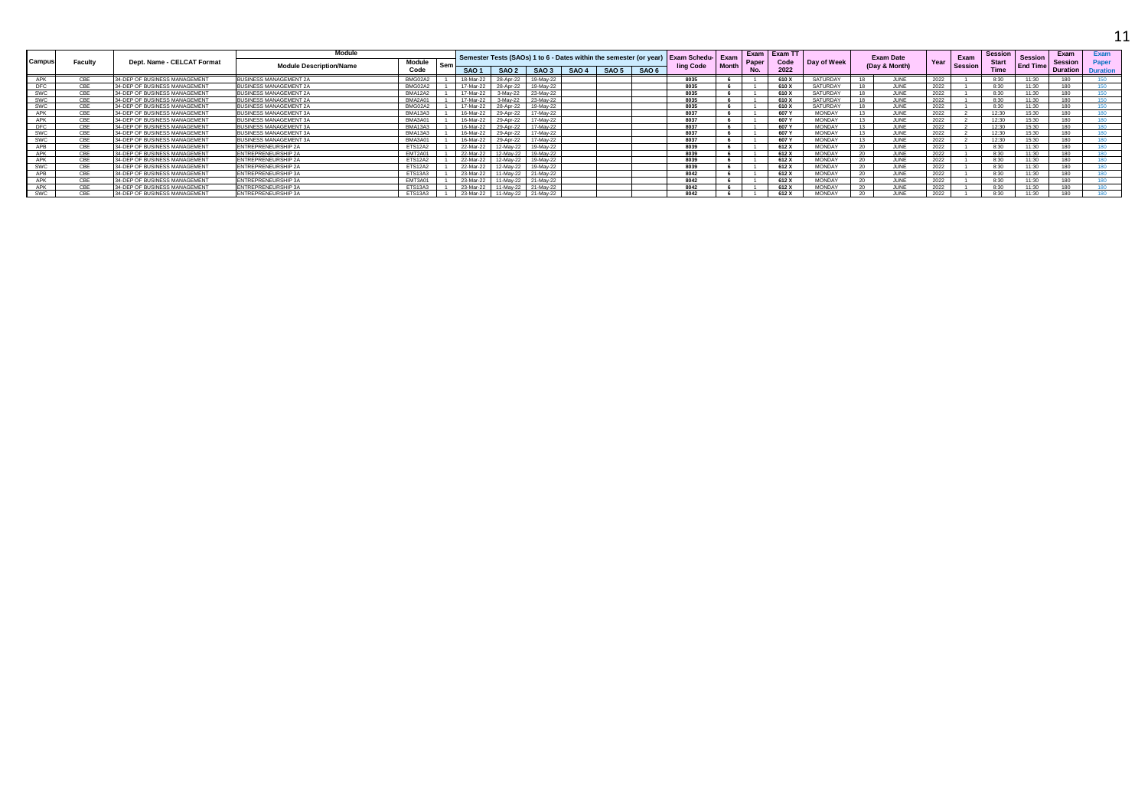|            |            |                               | Module                         |                |     |                  |                  |           |       |       |                  | Semester Tests (SAOs) 1 to 6 - Dates within the semester (or year) Exam Schedu- Exam |       | Exam      | <b>Exam TT</b> |               |                 | <b>Exam Date</b> |      | Exam           | <b>Session</b> | <b>Session</b>  | Exam            | Exam            |
|------------|------------|-------------------------------|--------------------------------|----------------|-----|------------------|------------------|-----------|-------|-------|------------------|--------------------------------------------------------------------------------------|-------|-----------|----------------|---------------|-----------------|------------------|------|----------------|----------------|-----------------|-----------------|-----------------|
| Campus     | Facult     | Dept. Name - CELCAT Format    | <b>Module Description/Name</b> | <b>Module</b>  | Ser |                  |                  |           |       |       |                  | ling Code                                                                            | Month | Paner     | Code           | Day of Week   |                 | (Day & Month)    | Year | <b>Session</b> | <b>Start</b>   | <b>End Time</b> | <b>Session</b>  | Paper           |
|            |            |                               |                                | Code           |     | SAO <sub>1</sub> | SAO <sub>2</sub> | SAO 3     | SAO 4 | SAO 5 | SAO <sub>6</sub> |                                                                                      |       | <b>No</b> | 2022           |               |                 |                  |      |                | <b>Time</b>    |                 | <b>Duration</b> | <b>Duration</b> |
| APK        | CBE        | 34-DEP OF BUSINESS MANAGEMENT | <b>IUSINESS MANAGEMENT 2A</b>  | BMG02A2        |     | 18-Mar-22        | 28-Apr-22        | 19-May-22 |       |       |                  | 8035                                                                                 |       |           | 610 X          | SATURDAY      |                 | <b>ILINE</b>     | 2022 |                | 8:30           | 11:30           | 180             |                 |
| <b>DFC</b> |            | 34-DEP OF BUSINESS MANAGEMENT | <b>BUSINESS MANAGEMENT 2A</b>  | BMG02A2        |     | 17-Mar-22        | 28-Apr-22        | 19-May-22 |       |       |                  | 8035                                                                                 |       |           | 610 X          | SATURDAY      |                 | <b>JUNE</b>      | 2022 |                | 8:30           | 11:30           | 180             |                 |
| SWC        |            | 34-DEP OF BUSINESS MANAGEMENT | BUSINESS MANAGEMENT 2A         | <b>BMA12A2</b> |     | 17-Mar-22        | 3-May-22         | 23-May-22 |       |       |                  | 8035                                                                                 |       |           | 610 X          | SATURDAY      |                 | JUNE             | 2022 |                | 8:30           |                 | 180             |                 |
| <b>SWC</b> | CBI        | 34-DEP OF BUSINESS MANAGEMENT | <b>BUSINESS MANAGEMENT 2A</b>  | BMA2A01        |     | 17-Mar-22        | 3-May-22         | 23-May-22 |       |       |                  | 8035                                                                                 |       |           | 610 X          | SATURDAY      | $\sim$          | <b>JUNE</b>      | 2022 |                | 8:30           | 11:30           | 180             | 150.            |
| SWC        | CBF        | 34-DEP OF BUSINESS MANAGEMENT | <b>BUSINESS MANAGEMENT 2A</b>  | BMG02A2        |     | 17-Mar-22        | 28-Apr-22        | 19-May-22 |       |       |                  | 8035                                                                                 |       |           | 610 X          | SATURDAY      | 40              | <b>JUNE</b>      | 2022 |                | 8:30           | 11:30           | 180             | 150             |
| APK        |            | 34-DEP OF BUSINESS MANAGEMENT | <b>BUSINESS MANAGEMENT 3A</b>  | BMA13A3        |     | 16-Mar-22        | 29-Apr-22        | 17-May-22 |       |       |                  | 8037                                                                                 |       |           | 607 Y          | <b>MONDAY</b> |                 | <b>II INF</b>    | 2022 |                | 12:30          | 15:30           | 180             |                 |
| APK        |            | 34-DEP OF BUSINESS MANAGEMENT | <b>IUSINESS MANAGEMENT 3A</b>  | BMA3A01        |     | 16-Mar-22        | 29-Apr-22        | 17-Mav-22 |       |       |                  | 8037                                                                                 |       |           | 607 Y          | <b>MONDA</b>  |                 | <b>ILINIE</b>    | 2022 |                | 12.30          | 15.20           | 190             |                 |
| <b>DFC</b> | <b>CRE</b> | 34-DEP OF BUSINESS MANAGEMENT | BUSINESS MANAGEMENT 3A         | <b>BMA13A3</b> |     | 16-Mar-22        | 29-Apr-22        | 17-May-22 |       |       |                  | 8037                                                                                 |       |           | 607 Y          | <b>MONDAY</b> |                 | JUNE             | 2022 |                | 12:30          | 15:30           | 180             |                 |
| <b>SWC</b> |            | 34-DEP OF BUSINESS MANAGEMENT | <b>BUSINESS MANAGEMENT 3A</b>  | <b>BMA13A3</b> |     | 16-Mar-22        | 29-Apr-22        | 17-Mav-22 |       |       |                  | 8037                                                                                 |       |           | 607 Y          | <b>MONDAY</b> |                 | <b>ILINE</b>     | 2022 |                | 12:30          | 15:30           | 180             |                 |
| SWC        | CBI        | 34-DEP OF BUSINESS MANAGEMENT | <b>BUSINESS MANAGEMENT 3A</b>  | BMA3A01        |     | 16-Mar-22        | 29-Apr-22        | 17-Mav-22 |       |       |                  | 8037                                                                                 |       |           | 607 Y          | <b>MONDAY</b> | 13              | <b>JUNE</b>      | 2022 |                | 12:30          | 15:30           | 180             | 180             |
| APB        |            | 34-DEP OF BUSINESS MANAGEMENT | <b>ENTREPRENEURSHIP 2A</b>     | <b>ETS12A2</b> |     | 22-Mar-22        | 12-May-22        | 19-May-22 |       |       |                  | 8039                                                                                 |       |           | 612 X          | <b>MONDAY</b> | 20              | <b>ILINE</b>     | 2022 |                | 8:30           | 11:30           | 180             |                 |
| APK        |            | 34-DEP OF BUSINESS MANAGEMENT | ENTREPRENEURSHIP 2A            | EMT2A01        |     | 22-Mar-22        | 12-May-22        | 19-May-22 |       |       |                  | 8039                                                                                 |       |           | 612 X          | <b>MONDAY</b> |                 |                  | 2022 |                | 8:30           | 11:30           | 180             |                 |
| APK        |            | 34-DEP OF BUSINESS MANAGEMENT | ENTREPRENEURSHIP 2A            | ETS12A2        |     | 22-Mar-22        | 12-May-22        | 19-May-22 |       |       |                  | 8039                                                                                 |       |           | 612 X          | <b>MONDAY</b> | 20              | <b>ILINE</b>     | 2022 |                | 8:30           | 11:30           | 180             |                 |
| SWC        |            | 34-DEP OF BUSINESS MANAGEMENT | ENTREPRENEURSHIP 2A            | ETS12A2        |     | 22-Mar-22        | 12-May-22        | 19-May-22 |       |       |                  | 8039                                                                                 |       |           | 612 X          | <b>MONDAY</b> | 20 <sub>1</sub> | <b>II INF</b>    | 2022 |                | 8:30           | 11:30           | 180             |                 |
|            |            | 34-DEP OF BUSINESS MANAGEMENT | <b>ENTREPRENEURSHIP 3A</b>     | <b>ETS13A3</b> |     | 23-Mar-22        | 11-May-22        | 21-May-22 |       |       |                  | 8042                                                                                 |       |           | 612 X          | <b>MONDAY</b> | n               |                  | 2022 |                | $R \cdot 30$   | 11.20           | 190             |                 |
| APK        |            | 34-DEP OF BUSINESS MANAGEMENT | <b>INTREPRENEURSHIP 3A</b>     | EMT3A01        |     | 23-Mar-22        | 1-May-22         | 21-May-22 |       |       |                  | 8042                                                                                 |       |           | 612 X          | <b>MONDAY</b> | 20              | <b>II INF</b>    | 2022 |                | 8:30           | 11:30           | 180             |                 |
| APK        |            | 34-DEP OF BUSINESS MANAGEMENT | ENTREPRENEURSHIP 3A            | <b>ETS13A3</b> |     | 23-Mar-22        | 11-Mav-22        | 21-May-22 |       |       |                  | 8042                                                                                 |       |           | 612 X          | <b>MONDAY</b> | 20              | JUNE             | 2022 |                | 8:30           | 11:30           | 180             |                 |
| SWC        |            | 34-DEP OF BUSINESS MANAGEMENT | ENTREPRENEURSHIP 3A            | <b>ETS13A3</b> |     | 23-Mar-22        | 11-May-22        | 21-May-22 |       |       |                  | 8042                                                                                 |       |           | 612 X          | <b>MONDA</b>  |                 |                  | 2022 |                | $R-30$         | 11.30           | 180             |                 |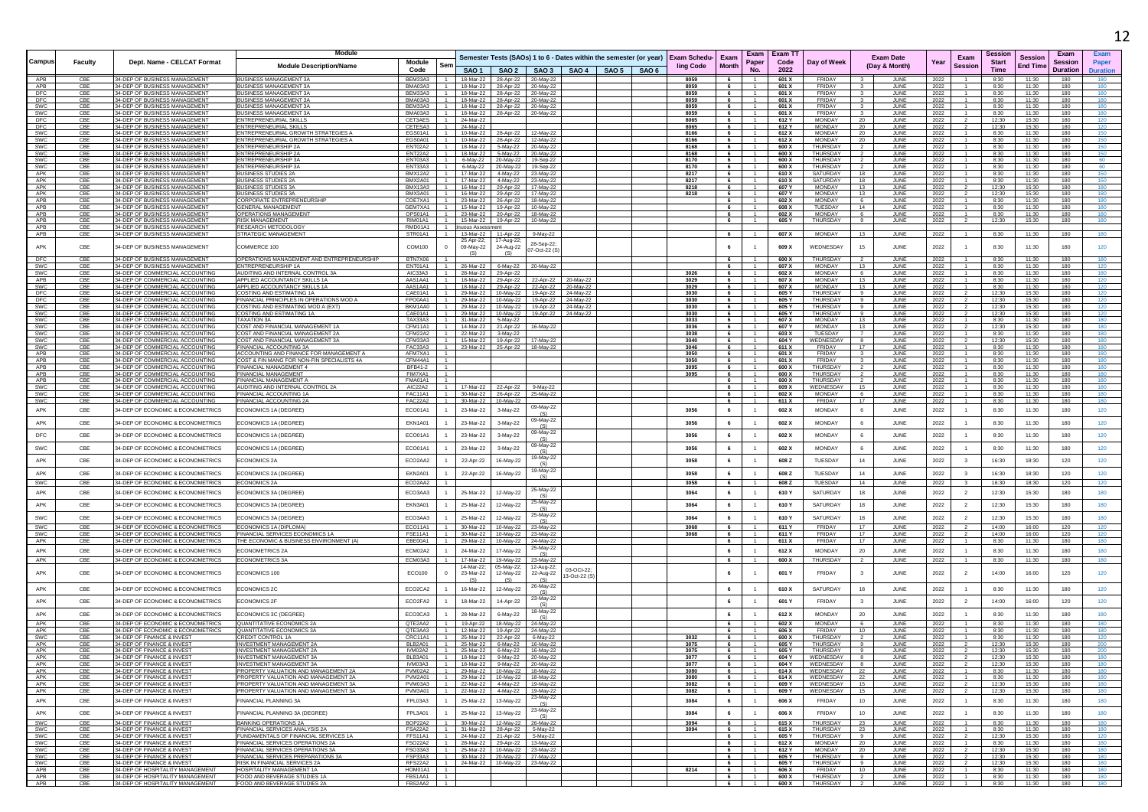|                          |            |                                                                        |                                                                                       |                             |                                  |                                                       |                                                                |                                                                            |                        |                                                                    |                                                   |                                  |                |                                    |                      |                                   |              |                                  |                |                                   |                        | 12         |
|--------------------------|------------|------------------------------------------------------------------------|---------------------------------------------------------------------------------------|-----------------------------|----------------------------------|-------------------------------------------------------|----------------------------------------------------------------|----------------------------------------------------------------------------|------------------------|--------------------------------------------------------------------|---------------------------------------------------|----------------------------------|----------------|------------------------------------|----------------------|-----------------------------------|--------------|----------------------------------|----------------|-----------------------------------|------------------------|------------|
|                          |            |                                                                        | <b>Module</b>                                                                         |                             |                                  |                                                       |                                                                |                                                                            |                        |                                                                    |                                                   |                                  | Exam   Exam TT |                                    |                      |                                   |              |                                  | Session        |                                   | Exam                   | Exam       |
| Campus                   | Faculty    | Dept. Name - CELCAT Format                                             | <b>Module Description/Name</b>                                                        | Module                      | Sem                              |                                                       |                                                                |                                                                            |                        | Semester Tests (SAOs) 1 to 6 - Dates within the semester (or year) | Exam Schedu-<br>Exam<br><b>Month</b><br>ling Code | Paper                            | Code           | Day of Week                        |                      | <b>Exam Date</b><br>(Day & Month) | Year         | Exam<br><b>Session</b>           | <b>Start</b>   | <b>Session</b><br><b>End Time</b> | <b>Session</b>         | Paper      |
| APB                      | CB         | 34-DEP OF BUSINESS MANAGEMENT                                          | <b>BUSINESS MANAGEMENT 3/</b>                                                         | Code<br>BEM33A3 1           |                                  |                                                       |                                                                |                                                                            |                        | SAO 1   SAO 2   SAO 3   SAO 4   SAO 5   SAO 6                      | 8059                                              | <b>No</b>                        | 2022           | FRIDAY                             |                      |                                   |              |                                  | Time<br>8:30   |                                   | <b>Duration</b><br>180 | Duration   |
| APB                      | CBE        | 34-DEP OF BUSINESS MANAGEMENT                                          | <b>BUSINESS MANAGEMENT 3A</b>                                                         | BMA03A3   1                 |                                  |                                                       | 18-Mar-22 28-Apr-22 20-May-22                                  | 18-Mar-22 28-Apr-22 20-May-22                                              |                        |                                                                    | 8059<br>6                                         |                                  | 601 X<br>601 X | FRIDAY                             |                      | JUNE<br>JUNE                      | 2022<br>2022 |                                  | 8:30           | 11:30<br>11:30                    | 180                    | 180        |
| DFC<br>DFC               | CB<br>CB   | 34-DEP OF BUSINESS MANAGEMENT<br>34-DEP OF BUSINESS MANAGEMENT         | <b>BUSINESS MANAGEMENT 3A</b><br><b>BUSINESS MANAGEMENT 3/</b>                        | BEM33A3 1<br>BMA03A3        |                                  |                                                       | 18-Mar-22 28-Apr-22 20-May-22                                  | 18-Mar-22 28-Apr-22 20-May-22                                              |                        |                                                                    | 8059<br>6<br>8059                                 |                                  | 601 X<br>601 X | FRIDAY<br><b>FRIDAY</b>            |                      | JUNE<br>JUNE                      | 2022<br>2022 |                                  | 8:30<br>8:30   | 11:30<br>11:30                    | 180<br>180             | 180        |
| SWC                      | CBE        | 34-DEP OF BUSINESS MANAGEMENT                                          | <b>BUSINESS MANAGEMENT 3A</b>                                                         | BFM33A3 1                   |                                  |                                                       |                                                                | 18-Mar-22 28-Apr-22 20-May-22                                              |                        |                                                                    | 8059<br>6                                         |                                  | 601 X          | FRIDAY                             | 3                    | JUNE                              | 2022         |                                  | 8:30           | 11:30                             | 180                    | 180        |
| SWC<br>DFC               | CBE<br>CBE | 34-DEP OF BUSINESS MANAGEMENT<br>34-DEP OF BUSINESS MANAGEMENT         | <b>BUSINESS MANAGEMENT 3A</b><br>ENTREPRENEURIAL SKILLS                               | BMA03A3 1<br>CET3AES        | $-1$                             | 24-Mar-22                                             | 18-Mar-22 28-Apr-22 20-May-22                                  |                                                                            |                        |                                                                    | 8059<br>6<br>8065<br>6                            | $\overline{1}$<br>$-1$           | 601 X<br>612 Y | FRIDAY<br>MONDAY                   | $\mathbf{3}$<br>20   | JUNE<br>JUNE                      | 2022<br>2022 |                                  | 8:30<br>12:30  | 11:30<br>15:30                    | 180<br>180             | 180<br>120 |
| DFC                      | CBE        | 34-DEP OF BUSINESS MANAGEMENT                                          | <b>ENTREPRENEURIAL SKILLS</b>                                                         | CETESA3                     | $-1$                             | 24-Mar-22                                             |                                                                |                                                                            |                        |                                                                    | 8065<br>6                                         |                                  | 612 Y          | <b>MONDAY</b>                      | 20                   | JUNE                              | 2022         |                                  | 12:30          | 15:30                             | 180                    | 120        |
| <b>SWC</b><br>SWC        | CBE<br>CBE | 34-DEP OF BUSINESS MANAGEMENT<br>34-DEP OF BUSINESS MANAGEMENT         | ENTREPRENEURIAL GROWTH STRATEGIES A<br><b>ENTREPRENEURIAL GROWTH STRATEGIES A</b>     | EGS01A1<br>FGS0A01          | $\blacksquare$<br>$\overline{1}$ |                                                       | 10-Mar-22 28-Apr-22 12-May-22<br>10-Mar-22 28-Apr-22 12-May-22 |                                                                            |                        |                                                                    | 8166<br>6<br>8166<br>6                            | - 1 -<br>$-1$                    | 612 X<br>612 X | MONDAY<br><b>MONDAY</b>            | 20<br>20             | JUNE<br>JUNE                      | 2022<br>2022 | $\mathbf{1}$                     | 8:30<br>8:30   | 11:30<br>11:30                    | 180<br>180             | 150<br>150 |
| SWC<br>SWC               | CBE<br>CBE | 34-DEP OF BUSINESS MANAGEMENT<br>34-DEP OF BUSINESS MANAGEMEN'         | ENTREPRENEURSHIP 2A<br>NTREPRENEURSHIP 2A                                             | ENT02A2 1<br><b>ENT22A2</b> | $\overline{1}$                   | 18-Mar-22   5-May-22                                  |                                                                | 18-Mar-22   5-May-22   20-May-22                                           |                        |                                                                    | 8168<br>6<br>8168<br>6                            | $-1$                             | 600 X<br>600 X | THURSDAY<br><b>THURSDAY</b>        |                      | JUNE                              | 2022         |                                  | 8:30           | 11:30<br>11:30                    | 180<br>180             | 150        |
| <b>SWC</b>               | CBE        | 34-DEP OF BUSINESS MANAGEMENT                                          | ENTREPRENEURSHIP 3A                                                                   | ENT03A3                     | $\overline{1}$                   |                                                       |                                                                | 20-May-22<br>6-May-22 20-May-22 19-Sep-22                                  |                        |                                                                    | 8170<br>6                                         |                                  | 600 X          | THURSDAY                           |                      | JUNE<br>JUNE                      | 2022<br>2022 |                                  | 8:30<br>8:30   | 11:30                             | 180                    | 60         |
| SWC<br>APK               | CBE<br>CBE | 34-DEP OF BUSINESS MANAGEMENT<br>34-DEP OF BUSINESS MANAGEMENT         | <b>ENTREPRENEURSHIP 3A</b><br>BUSINESS STUDIES 2A                                     | ENT33A3<br><b>BMX12A2</b>   | $\blacksquare$<br>$\overline{1}$ |                                                       | 6-May-22 20-May-22 19-Sep-22                                   | 17-Mar-22 4-May-22 23-May-22                                               |                        |                                                                    | 8170<br>6<br>8217<br>6                            | $\overline{1}$<br>$\overline{1}$ | 600 X<br>610 X | THURSDAY<br>SATURDAY               | 18                   | <b>JUNE</b><br>JUNE               | 2022<br>2022 |                                  | 8:30<br>8:30   | 11:30<br>11:30                    | 180<br>180             | 60<br>150  |
| APK                      | CBE        | 34-DEP OF BUSINESS MANAGEMENT                                          | <b>BUSINESS STUDIES 2A</b>                                                            | BMX2A01                     | $-1$                             |                                                       |                                                                | 17-Mar-22 4-May-22 23-May-22                                               |                        |                                                                    | 8217<br>6                                         |                                  | 610 X          | SATURDAY                           | 18                   | JUNE                              | 2022         |                                  | 8:30           | 11:30                             | 180                    | 150        |
| APK<br>APK               | CBE<br>CBE | 34-DEP OF BUSINESS MANAGEMENT<br>34-DEP OF BUSINESS MANAGEMENT         | <b>BUSINESS STUDIES 3A</b><br><b>BUSINESS STUDIES 3A</b>                              | BMX13A3 1 1<br>BMX3A01      | $-1$                             | 16-Mar-22                                             | 29-Apr-22 17-May-22                                            | 16-Mar-22 29-Apr-22 17-May-22                                              |                        |                                                                    | 8218<br>6<br>8218<br>6                            | $\overline{1}$<br>$\overline{1}$ | 607 Y<br>607 Y | MONDAY<br>MONDAY                   | 13<br>13             | <b>JUNE</b><br>JUNE               | 2022<br>2022 |                                  | 12:30<br>12:30 | 15:30<br>15:30                    | 180<br>180             | 180<br>180 |
| APB                      | CBE        | 34-DEP OF BUSINESS MANAGEMENT                                          | CORPORATE ENTREPRENEURSHIP                                                            | COE7XA1                     | $-1$                             |                                                       |                                                                | 23-Mar-22 26-Apr-22 18-May-22                                              |                        |                                                                    | 6                                                 |                                  | 602 X          | <b>MONDAY</b>                      | 6                    | JUNE                              | 2022         |                                  | 8:30           | 11:30                             | 180                    | 180        |
| APB<br><b>APB</b>        | CBE<br>CBF | 34-DEP OF BUSINESS MANAGEMENT<br>34-DEP OF BUSINESS MANAGEMENT         | GENERAL MANAGEMENT<br>OPERATIONS MANAGEMEN                                            | GEM7XA1<br>OPS01A1          | $\blacksquare$<br>$-1$           |                                                       | 23-Mar-22 20-Apr-22 18-May-22                                  |                                                                            |                        |                                                                    | 6<br>6                                            | - 1<br>$-1$                      | 608 X<br>602 X | TUESDAY<br><b>MONDAY</b>           | 14<br>-6             | JUNE<br>JUNE                      | 2022<br>2022 |                                  | 8:30<br>8:30   | 11:30<br>11:30                    | 180<br>180             | 180<br>180 |
| APB                      | CBE        | 34-DEP OF BUSINESS MANAGEMENT                                          | RISK MANAGEMENT                                                                       | RIM01A1                     | $-1$                             |                                                       |                                                                | 15-Mar-22  19-Apr-22  10-May-22                                            |                        |                                                                    | 6                                                 |                                  | 605 Y          | THURSDAY                           |                      | <b>JUNE</b>                       | 2022         |                                  | 12:30          | 15:30                             | 180                    | 180        |
| APB<br>APB               | CBE<br>CBE | 34-DEP OF BUSINESS MANAGEMENT<br>34-DEP OF BUSINESS MANAGEMENT         | RESEARCH METODOLOGY<br>STRATEGIC MANAGEMENT                                           | RMD01A1<br>STR01A1          | $-1$<br>$\blacksquare$           | inuous Assessment                                     | 13-Mar-22 11-Apr-22                                            | 9-May-22                                                                   |                        |                                                                    | 6                                                 |                                  | 607 X          | <b>MONDAY</b>                      | 13                   | JUNE                              | 2022         | $\overline{1}$                   | 8:30           | 11:30                             | 180                    | 180        |
| APK                      | CBE        | 34-DEP OF BUSINESS MANAGEMENT                                          | COMMERCE 100                                                                          | COM100                      |                                  | 25 Apr-22;<br>09-May-22                               | 17-Aug-22<br>24-Aug-22                                         | 28-Sep-22:                                                                 |                        |                                                                    | 6                                                 |                                  | 609 X          | WEDNESDAY                          | 15                   | JUNE                              | 2022         |                                  | 8:30           | 11:30                             | 180                    | 120        |
|                          |            |                                                                        |                                                                                       |                             |                                  | (S)                                                   | (S)                                                            | 07-Oct-22 (S                                                               |                        |                                                                    |                                                   |                                  |                |                                    |                      |                                   |              |                                  |                |                                   |                        |            |
| DFC<br><b>SWC</b>        | CBE<br>CBE | 34-DEP OF BUSINESS MANAGEMENT<br>34-DEP OF BUSINESS MANAGEMENT         | OPERATIONS MANAGEMENT AND ENTREPRENEURSHIP<br>ENTREPRENEURSHIP 1A                     | BTN7X06<br>ENT01A1 1        |                                  | 26-Mar-22 6-May-22                                    |                                                                | 20-May-22                                                                  |                        |                                                                    | 6<br>6                                            | $\overline{1}$                   | 600 X<br>607 X | THURSDAY<br><b>MONDAY</b>          | 13                   | JUNE<br>JUNE                      | 2022<br>2022 | $\mathbf{1}$                     | 8:30<br>8:30   | 11:30<br>11:30                    | 180<br>180             | 180<br>120 |
| SWC.                     | CBE        | 34-DEP OF COMMERCIAL ACCOUNTING                                        | AUDITING AND INTERNAL CONTROL 3A                                                      | AIC33A3                     | $\blacksquare$                   |                                                       | 28-Mar-22 29-Apr-22                                            |                                                                            |                        |                                                                    | 3026<br>6                                         | $\overline{1}$                   | 602 X          | <b>MONDAY</b>                      | -6                   | JUNE                              | 2022         | $\mathbf{1}$                     | 8:30           | 11:30                             | 180                    | 180        |
| APB<br>SWC               | CBE<br>CBE | 34-DEP OF COMMERCIAL ACCOUNTING<br>34-DEP OF COMMERCIAL ACCOUNTING     | APPLIED ACCOUNTANCY SKILLS 1A<br>APPLIED ACCOUNTANCY SKILLS 1A                        | AAS1AA1<br>AAS1AA1          | $-1$<br>$-1$                     | 18-Mar-22<br>18-Mar-22                                | 29-Apr-22<br>29-Apr-22                                         | 22-Apr-22<br>22-Apr-22                                                     | 20-May-22<br>20-May-22 |                                                                    | 3029<br>6<br>3029<br>6                            | $\overline{1}$                   | 607 X<br>607 X | <b>MONDAY</b><br><b>MONDAY</b>     | 13<br>13             | JUNE<br>JUNE                      | 2022<br>2022 |                                  | 8:30<br>8:30   | 11:30<br>11:30                    | 180<br>180             | 120        |
| <b>DFC</b>               | CBE<br>CBE | 34-DEP OF COMMERCIAL ACCOUNTING<br>34-DEP OF COMMERCIAL ACCOUNTING     | COSTING AND ESTIMATING 1A                                                             | CAE01A1<br>FPO0AA1          | $-1$<br>$\overline{1}$           |                                                       |                                                                | 29-Mar-22 10-May-22 19-Apr-22                                              | 24-May-22              |                                                                    | 3030<br>6                                         | $\overline{1}$<br>$\overline{1}$ | 605 Y          | <b>THURSDAY</b><br><b>THURSDAY</b> | -9<br>-9             | JUNE                              | 2022         |                                  | 12:30          | 15:30                             | 180                    | 120        |
| DFC<br>SWC               | CBE        | 34-DEP OF COMMERCIAL ACCOUNTING                                        | FINANCIAL PRINCIPLES IN OPERATIONS MOD A<br>OSTING AND ESTIMATING MOD A (EXT)         | BKM1AA0 1                   |                                  |                                                       |                                                                | 29-Mar-22  10-May-22  19-Apr-22<br>29-Mar-22 10-May-22 19-Apr-22 24-May-22 | 24-May-22              |                                                                    | 3030<br>6<br>3030<br>6                            |                                  | 605 Y<br>605 Y | <b>THURSDAY</b>                    |                      | JUNE<br>JUNE                      | 2022<br>2022 |                                  | 12:30<br>12:30 | 15:30<br>15:30                    | 180<br>180             | 120        |
| swc<br><b>SWC</b>        | CBE<br>CBE | 34-DEP OF COMMERCIAL ACCOUNTING<br>34-DEP OF COMMERCIAL ACCOUNTING     | OSTING AND ESTIMATING 1A<br><b>TAXATION 3A</b>                                        | CAE01A1<br>TAX33A3          | $-1$<br>$-1$                     | 31-Mar-22   5-May-22                                  |                                                                | 29-Mar-22 10-May-22 19-Apr-22                                              | 24-May-22              |                                                                    | 3030<br>6<br>3033<br>6                            |                                  | 605 Y<br>607 X | THURSDAY<br><b>MONDAY</b>          | 13                   | JUNE<br>JUNE                      | 2022<br>2022 |                                  | 12:30<br>8:30  | 15:30<br>11:30                    | 180<br>180             | 120<br>180 |
| SWC                      | CBE        | 34-DEP OF COMMERCIAL ACCOUNTING                                        | COST AND FINANCIAL MANAGEMENT 1A                                                      | CFM11A1 1                   |                                  | 14-Mar-22 21-Apr-22 16-May-22                         |                                                                |                                                                            |                        |                                                                    | 3036<br>6                                         | $\overline{1}$                   | 607 Y          | MONDAY                             | 13                   | JUNE                              | 2022         | $\overline{2}$                   | 12:30          | 15:30                             | 180                    | 180        |
| <b>SWC</b><br><b>SWC</b> | CBE<br>CBE | 34-DEP OF COMMERCIAL ACCOUNTING<br>34-DEP OF COMMERCIAL ACCOUNTING     | COST AND FINANCIAL MANAGEMENT 2A<br>COST AND FINANCIAL MANAGEMENT 3A                  | CFM22A2<br>CFM33A3 1        | $-1$                             | 22-Mar-22 3-May-22<br>15-Mar-22  19-Apr-22  17-May-22 |                                                                |                                                                            |                        |                                                                    | 3038<br>6<br>3040<br>6                            | $-1$                             | 603 X<br>604 Y | TUESDAY<br>WEDNESDAY               |                      | JUNE<br>JUNE                      | 2022<br>2022 |                                  | 8:30<br>12:30  | 11:30<br>15:30                    | 180<br>180             | 180<br>180 |
| <b>SWC</b>               | CBE        | 34-DEP OF COMMERCIAL ACCOUNTING                                        | FINANCIAL ACCOUNTING 3A                                                               | FAC33A3 1                   |                                  | 23-Mar-22 25-Apr-22 18-May-22                         |                                                                |                                                                            |                        |                                                                    | 3046<br>6                                         | $\overline{1}$                   | 611 X          | FRIDAY                             | 17                   | JUNE                              | 2022         |                                  | 8:30           | 11:30                             | 180                    | 180        |
| APB<br>APB               | CBE<br>CBE | 34-DEP OF COMMERCIAL ACCOUNTING<br>34-DEP OF COMMERCIAL ACCOUNTING     | ACCOUNTING AND FINANCE FOR MANAGEMENT A<br>COST & FIN MANG FOR NON-FIN SPECIALISTS 4A | AFM7XA1<br>CFM44A1   1      |                                  |                                                       |                                                                |                                                                            |                        |                                                                    | 3050<br>6<br>3050<br>6                            | $\overline{1}$                   | 601 X<br>601 X | <b>FRIDAY</b><br>FRIDAY            | $\mathbf{3}$         | JUNE<br>JUNE                      | 2022<br>2022 |                                  | 8:30<br>8:30   | 11:30<br>11:30                    | 180<br>180             | 180<br>180 |
| APB                      | CBE        | 34-DEP OF COMMERCIAL ACCOUNTING                                        | FINANCIAI MANAGEMENT 4                                                                | BFB41-2                     | $\overline{1}$                   |                                                       |                                                                |                                                                            |                        |                                                                    | 3095<br>6                                         | $-1$                             | 600 X          | <b>THURSDAY</b>                    |                      | JUNE                              | 2022         |                                  | 8:30           | 11:30                             | 180                    | 180        |
| APB<br>APB               | CBE<br>CBE | 34-DEP OF COMMERCIAL ACCOUNTING<br>34-DEP OF COMMERCIAL ACCOUNTING     | <b>FINANCIAL MANAGEMENT</b><br>FINANCIAL MANAGEMENT A                                 | FIM7XA1<br><b>FMA01A1</b>   | $-1$                             |                                                       |                                                                |                                                                            |                        |                                                                    | 3095<br>6                                         |                                  | 600 X<br>600 X | THURSDAY<br><b>THURSDAY</b>        |                      | JUNI<br>JUNE                      | 2022<br>2022 |                                  | 8:30<br>8:30   | 11:30<br>11:30                    | 180<br>180             | 180        |
| <b>SWC</b>               | CBE        | 34-DEP OF COMMERCIAL ACCOUNTING                                        | AUDITING AND INTERNAL CONTROL 2A                                                      | AIC22A2                     |                                  |                                                       | 17-Mar-22 22-Apr-22 9-May-22                                   |                                                                            |                        |                                                                    | 6                                                 | - 1                              | 609 X          | WEDNESDAY                          | 15                   | JUNE                              | 2022         |                                  | 8:30           | 11:30                             | 180                    | 180<br>180 |
| SWC<br><b>SWC</b>        | CBE<br>CBE | 34-DEP OF COMMERCIAL ACCOUNTING<br>34-DEP OF COMMERCIAL ACCOUNTING     | FINANCIAL ACCOUNTING 1A<br>FINANCIAL ACCOUNTING 2A                                    | <b>FAC11A1</b><br>FAC22A2   | $\overline{1}$                   | 30-Mar-22<br>30-Mar-22                                | 26-Apr-22<br>10-May-22                                         | 25-May-22                                                                  |                        |                                                                    | 6<br>6                                            | $\overline{1}$                   | 602 X<br>611 X | <b>MONDAY</b><br>FRIDAY            | 6.<br>17             | JUNE<br>JUNE                      | 2022<br>2022 |                                  | 8:30<br>8:30   | 11:30<br>11:30                    | 180<br>180             | 180        |
| <b>APK</b>               | CBE        | 34-DEP OF ECONOMIC & ECONOMETRICS                                      | ECONOMICS 1A (DEGREE)                                                                 | ECO01A1                     |                                  | 23-Mar-22                                             | 3-May-22                                                       | 09-May-22<br>(S)                                                           |                        |                                                                    | 3056<br>6                                         | $\mathbf{1}$                     | 602 X          | MONDAY                             | 6                    | JUNE                              | 2022         | $\overline{1}$                   | 8:30           | 11:30                             | 180                    | 120        |
| APK                      | CBE        | 34-DEP OF ECONOMIC & ECONOMETRICS                                      | ECONOMICS 1A (DEGREE)                                                                 | EKN1A01                     |                                  | 23-Mar-22                                             | 3-May-22                                                       | 09-May-22                                                                  |                        |                                                                    | 3056<br>6                                         | $\mathbf{1}$                     | 602 X          | <b>MONDAY</b>                      | 6                    | JUNE                              | 2022         | $\overline{1}$                   | 8:30           | 11:30                             | 180                    | 120        |
| <b>DFC</b>               | CBE        |                                                                        | ECONOMICS 1A (DEGREE)                                                                 | ECO01A1                     |                                  |                                                       |                                                                | (S)<br>09-May-22                                                           |                        |                                                                    | 3056<br>6                                         | $\overline{1}$                   | 602 X          | <b>MONDAY</b>                      | 6                    | JUNE                              |              | $\overline{1}$                   |                |                                   | 180                    | 120        |
|                          |            | 34-DEP OF ECONOMIC & ECONOMETRICS                                      |                                                                                       |                             |                                  | 23-Mar-22                                             | 3-May-22                                                       | (S)<br>09-May-22                                                           |                        |                                                                    |                                                   |                                  |                |                                    |                      |                                   | 2022         |                                  | 8:30           | 11:30                             |                        |            |
| SWC                      | CBE        | 34-DEP OF ECONOMIC & ECONOMETRICS                                      | ECONOMICS 1A (DEGREE)                                                                 | ECO01A1                     |                                  | 23-Mar-22                                             | 3-May-22                                                       | (S)                                                                        |                        |                                                                    | 3056<br>6                                         | $\overline{1}$                   | 602 X          | <b>MONDAY</b>                      | 6                    | JUNE                              | 2022         | $\overline{1}$                   | 8:30           | 11:30                             | 180                    | 120        |
| APK                      | CBE        | 34-DEP OF ECONOMIC & ECONOMETRICS                                      | <b>ECONOMICS 2A</b>                                                                   | ECO2AA2                     |                                  | 22-Apr-22                                             | 16-May-22                                                      | 19-May-22<br>(S)                                                           |                        |                                                                    | 3058<br>6                                         | $\overline{1}$                   | 608Z           | TUESDAY                            | 14                   | JUNE                              | 2022         | 3                                | 16:30          | 18:30                             | 120                    | 120        |
| APK                      | CBE        | 34-DEP OF ECONOMIC & ECONOMETRICS                                      | <b>ECONOMICS 2A (DEGREE)</b>                                                          | EKN2A01                     |                                  | 22-Apr-22                                             | 16-May-22                                                      | 19-May-22<br>(S)                                                           |                        |                                                                    | 3058<br>6                                         | $\overline{1}$                   | 608 Z          | TUESDAY                            | 14                   | JUNE                              | 2022         | $\overline{\mathbf{3}}$          | 16:30          | 18:30                             | 120                    | 120        |
| SWC                      | CBE        | 34-DEP OF ECONOMIC & ECONOMETRICS                                      | <b>ECONOMICS 2A</b>                                                                   | ECO2AA2                     |                                  |                                                       |                                                                |                                                                            |                        |                                                                    | 3058<br>6                                         | $\overline{1}$                   | 608 Z          | TUESDAY                            | 14                   | JUNE                              | 2022         | $\mathbf{3}$                     | 16:30          | 18:30                             | 120                    | 120        |
| <b>APK</b>               | CBE        | 34-DEP OF ECONOMIC & ECONOMETRICS                                      | <b>ECONOMICS 3A (DEGREE)</b>                                                          | ECO3AA3                     |                                  | 25-Mar-22                                             | 12-May-22                                                      | 25-May-22<br>(S)                                                           |                        |                                                                    | 3064<br>6                                         | $\overline{1}$                   | 610 Y          | SATURDAY                           | 18                   | JUNE                              | 2022         | $\overline{2}$                   | 12:30          | 15:30                             | 180                    | 180        |
| <b>APK</b>               | CBE        | 34-DEP OF ECONOMIC & ECONOMETRICS                                      | ECONOMICS 3A (DEGREE)                                                                 | EKN3A01                     |                                  | 25-Mar-22                                             | 12-May-22                                                      | 25-May-22<br>(S)                                                           |                        |                                                                    | 3064<br>6                                         | $\overline{1}$                   | 610 Y          | SATURDAY                           | 18                   | JUNE                              | 2022         | $\overline{2}$                   | 12:30          | 15:30                             | 180                    | 180        |
| SWC                      | CBE        | 34-DEP OF ECONOMIC & ECONOMETRICS                                      | ECONOMICS 3A (DEGREE)                                                                 | ECO3AA3                     |                                  | 25-Mar-22                                             | 12-May-22                                                      | 25-May-22                                                                  |                        |                                                                    | 3064<br>6                                         | $\overline{1}$                   | 610 Y          | SATURDAY                           | 18                   | JUNE                              | 2022         | $\overline{2}$                   | 12:30          | 15:30                             | 180                    | 180        |
| SWC                      | CBE        | 34-DEP OF ECONOMIC & ECONOMETRICS                                      | ECONOMICS 1A (DIPLOMA                                                                 | ECO11A1                     |                                  | 30-Mar-22                                             | 10-May-22                                                      | (S)<br>23-May-22                                                           |                        |                                                                    | 3068<br>6                                         |                                  | 611 Y          | FRIDAY                             | 17                   | JUNE                              | 2022         |                                  | 14:00          | 16:00                             | 120                    | 120        |
| <b>SWC</b>               | CBE        | 34-DEP OF ECONOMIC & ECONOMETRICS                                      | FINANCIAL SERVICES ECONOMICS 1A                                                       | <b>FSE11A1</b>              | $-1$                             | 30-Mar-22                                             |                                                                | 10-May-22 23-May-22                                                        |                        |                                                                    | 3068<br>6                                         |                                  | 611 Y          | FRIDAY                             | 17                   | JUNE                              | 2022         |                                  | 14:00          | 16:00                             | 120                    | 120<br>180 |
| APK<br>APK               | CBE<br>CBE | 34-DEP OF ECONOMIC & ECONOMETRICS<br>34-DEP OF ECONOMIC & ECONOMETRICS | THE ECONOMIC & BUSINESS ENVIRONMENT (A)<br><b>ECONOMETRICS 2A</b>                     | EBE00A1<br>ECM02A2          |                                  | 29-Mar-22<br>24-Mar-22                                | 10-May-22<br>17-May-22                                         | 24-May-22<br>25-May-22                                                     |                        |                                                                    | 6<br>6                                            | $\overline{1}$                   | 611 X<br>612 X | FRIDAY<br><b>MONDAY</b>            | 17<br>20             | JUNE<br>JUNE                      | 2022<br>2022 | $\mathbf{1}$<br>$\overline{1}$   | 8:30<br>8:30   | 11:30<br>11:30                    | 180<br>180             | 180        |
| APK                      | CBE        | 34-DEP OF ECONOMIC & ECONOMETRICS                                      | ECONOMETRICS 3A                                                                       | ECM03A3                     |                                  | 17-Mar-22                                             | 19-May-22                                                      | (S)<br>23-May-22                                                           |                        |                                                                    | 6                                                 | $\mathbf{1}$                     | 600 X          | THURSDAY                           | 2                    | JUNE                              | 2022         | $\mathbf{1}$                     | 8:30           | 11:30                             | 180                    | 180        |
|                          |            |                                                                        |                                                                                       |                             |                                  | 14-Mar-22:                                            | 05-May-22:                                                     | 12-Aug-22;                                                                 | 03-OCt-22;             |                                                                    |                                                   |                                  |                |                                    |                      |                                   |              |                                  |                |                                   |                        |            |
| <b>APK</b>               | CBE        | 34-DEP OF ECONOMIC & ECONOMETRICS                                      | ECONOMICS 100                                                                         | ECO100                      |                                  | 23-Mar-22<br>(S)                                      | 12-May-22<br>(S)                                               | 22-Aug-22                                                                  | 13-Oct-22 (S           |                                                                    | 6                                                 |                                  | 601 Y          | FRIDAY                             | 3                    | JUNE                              | 2022         | $\overline{2}$                   | 14:00          | 16:00                             | 120                    | 120        |
| APK                      | CBE        | 34-DEP OF ECONOMIC & ECONOMETRICS                                      | ECONOMICS 2C                                                                          | ECO2CA2                     |                                  | 16-Mar-22                                             | 12-May-22                                                      | 26-May-22                                                                  |                        |                                                                    | 6                                                 | $\overline{1}$                   | 610 X          | SATURDAY                           | 18                   | JUNE                              | 2022         | $\overline{1}$                   | 8:30           | 11:30                             | 180                    | 120        |
| APK                      | CBE        | 34-DEP OF ECONOMIC & ECONOMETRICS                                      | <b>ECONOMICS 2F</b>                                                                   | ECO2FA2                     |                                  | 18-Mar-22                                             | 14-Apr-22                                                      | 23-May-22                                                                  |                        |                                                                    | 6                                                 | $\overline{1}$                   | 601 Y          | FRIDAY                             | $\mathbf{3}$         | JUNE                              | 2022         | $\overline{2}$                   | 14:00          | 16:00                             | 120                    | 120        |
|                          |            |                                                                        |                                                                                       |                             |                                  |                                                       |                                                                | 18-May-22                                                                  |                        |                                                                    |                                                   |                                  |                |                                    |                      |                                   |              |                                  |                |                                   |                        |            |
| APK<br>APK               | CBE        | 34-DEP OF ECONOMIC & ECONOMETRICS                                      | ECONOMICS 3C (DEGREE)                                                                 | ECO3CA3                     |                                  | 28-Mar-22                                             | 6-May-22<br>19-Apr-22 18-May-22                                | (S)                                                                        |                        |                                                                    | 6                                                 | $\overline{1}$                   | 612 X          | <b>MONDAY</b><br><b>MONDAY</b>     | 20                   | JUNE                              | 2022         | $\overline{1}$                   | 8:30           | 11:30                             | 180                    | 180<br>180 |
| APK                      | CBE<br>CBE | 34-DEP OF ECONOMIC & ECONOMETRICS<br>34-DEP OF ECONOMIC & ECONOMETRICS | QUANTITATIVE ECONOMICS 2A<br>QUANTITATIVE ECONOMICS 3A                                | QTE2AA2<br>QTE3AA3 1        |                                  |                                                       |                                                                | 24-May-22<br>12-Mar-22  19-Apr-22  24-May-22                               |                        |                                                                    | 6                                                 | $\overline{1}$                   | 602 X<br>606 X | FRIDAY                             | 10                   | JUNE<br>JUNE                      | 2022<br>2022 |                                  | 8:30<br>8:30   | 11:30<br>11:30                    | 180<br>180             | 180        |
| SW <sub>C</sub>          | CBE        | 34-DEP OF FINANCE & INVEST                                             | CREDIT CONTROL 1A<br><b>INVESTMENT MANAGEMENT 2A</b>                                  | BLB2A01                     |                                  | CRC11A1 1 25-Mar-22 22-Apr-22 6-May-22                |                                                                |                                                                            |                        |                                                                    | 3032<br>$6\overline{6}$                           | $-1$                             | 600 X          | <b>THURSDAY</b><br>THURSDAY        | $\overline{2}$       | JUNE                              | 2022         | $\overline{1}$                   | 8:30           | 11:30                             | 180                    | 120        |
| APK<br>APK               | CBE<br>CBE | 34-DEP OF FINANCE & INVEST<br>34-DEP OF FINANCE & INVES                | <b>INVESTMENT MANAGEMENT 2A</b>                                                       | IVM02A2                     | $\overline{1}$                   |                                                       |                                                                | 25-Mar-22 6-May-22 16-May-22<br>25-Mar-22 6-May-22 16-May-22               |                        |                                                                    | 3075<br>3075<br>6                                 | $-1$                             | 605 Y<br>605 Y | THURSDAY                           | $\mathbf{a}$         | JUNE<br>JUNE                      | 2022<br>2022 |                                  | 12:30<br>12:30 | 15:30<br>15:30                    | 180<br>180             | 200<br>200 |
| APK<br>APK               | CBE<br>CBE | 34-DEP OF FINANCE & INVEST<br>34-DEP OF FINANCE & INVEST               | <b>INVESTMENT MANAGEMENT 3A</b><br>INVESTMENT MANAGEMENT 3A                           | <b>BI B3A01</b><br>IVM03A3  | $-1$<br>$-1$                     |                                                       |                                                                | 18-Mar-22 9-May-22 20-May-22<br>18-Mar-22 9-May-22 20-May-22               |                        |                                                                    | 3077<br>6<br>3077<br>6                            | $\overline{1}$<br>$-1$           | 604 Y<br>604 Y | WEDNESDAY<br>WEDNESDAY             | -8<br>8              | <b>JUNE</b><br>JUNE               | 2022<br>2022 |                                  | 12:30<br>12:30 | 15:30<br>15:30                    | 180<br>180             | 180<br>180 |
| APK                      | CBE        | 34-DEP OF FINANCE & INVEST                                             | PROPERTY VALUATION AND MANAGEMENT 2A                                                  | PVM02A2 1                   |                                  |                                                       |                                                                | 29-Mar-22 10-May-22 18-May-22                                              |                        |                                                                    | 3080<br>6                                         | 1                                | 614 X          | WEDNESDAY                          | 22                   | JUNE                              | 2022         |                                  | 8:30           | 11:30                             | 180                    | 180        |
| APK<br>APK               | CBE<br>CBE | 34-DEP OF FINANCE & INVEST<br>34-DEP OF FINANCE & INVEST               | PROPERTY VALUATION AND MANAGEMENT 2A<br>PROPERTY VALUATION AND MANAGEMENT 3A          | PVM2A01 1<br>PVM03A3 1      |                                  |                                                       |                                                                | 29-Mar-22 10-May-22 18-May-22<br>22-Mar-22 4-May-22 19-May-22              |                        |                                                                    | 3080<br>6<br>3082<br>6                            | $-1$<br>$-1$                     | 614 X<br>609 Y | WEDNESDAY<br>WEDNESDAY             | -22<br>15            | JUNE<br>JUNE                      | 2022<br>2022 |                                  | 8:30<br>12:30  | 11:30<br>15:30                    | 180<br>180             | 180<br>180 |
| APK                      | CBE        | 34-DEP OF FINANCE & INVEST                                             | PROPERTY VALUATION AND MANAGEMENT 3A                                                  | PVM3A01 1                   |                                  | 22-Mar-22                                             |                                                                | 4-May-22 19-May-22                                                         |                        |                                                                    | 6<br>3082                                         | $-1$                             | 609 Y          | WEDNESDAY                          | 15                   | <b>JUNE</b>                       | 2022         |                                  | 12:30          | 15:30                             | 180                    | 180        |
| APK                      | CBE        | 34-DEP OF FINANCE & INVEST                                             | FINANCIAL PLANNING 3A                                                                 | FPL03A3                     |                                  | 25-Mar-22                                             | 13-May-22                                                      | 23-May-22<br>(S)                                                           |                        |                                                                    | 3084<br>6                                         | $\overline{1}$                   | 606 X          | <b>FRIDAY</b>                      | 10                   | JUNE                              | 2022         | $\overline{1}$                   | 8:30           | 11:30                             | 180                    | 180        |
| APK                      | CBE        | 34-DEP OF FINANCE & INVEST                                             | FINANCIAL PLANNING 3A (DEGREE)                                                        | FPL3A01                     |                                  | 25-Mar-22                                             | 13-May-22                                                      | 23-May-22                                                                  |                        |                                                                    | 3084<br>6                                         | $\overline{1}$                   | 606 X          | FRIDAY                             | 10                   | JUNE                              | 2022         | $\overline{1}$                   | 8:30           | 11:30                             | 180                    | 180        |
| <b>SWC</b>               | CBE        | 34-DEP OF FINANCE & INVEST                                             | <b>BANKING OPERATIONS 2A</b>                                                          | BOP22A2 1                   |                                  |                                                       |                                                                | (S)<br>30-Mar-22 12-May-22 26-May-22                                       |                        |                                                                    | 3094<br>6                                         | $-1$                             | 615 X          | THURSDAY                           | 23                   | JUNE                              | 2022         | $\overline{1}$                   | 8:30           | 11:30                             | 180                    | 180        |
| SWC<br>SWC               | CBE<br>CBE | 34-DEP OF FINANCE & INVEST<br>34-DEP OF FINANCE & INVES                | FINANCIAL SERVICES ANALYSIS 2A<br>FUNDAMENTALS OF FINANCIAL SERVICES 1A               | FSA22A2<br>FFS11A1 1        | $\blacksquare$                   | 31-Mar-22 28-Apr-22                                   |                                                                | 5-May-22<br>24-Mar-22 21-Apr-22 5-May-22                                   |                        |                                                                    | 3094<br>$6\overline{6}$<br>$6\overline{6}$        | $\overline{1}$                   | 615 X<br>605 Y | <b>THURSDAY</b><br>THURSDAY        | 23<br>9              | JUNE<br>JUNE                      | 2022<br>2022 | $\overline{1}$                   | 8:30<br>12:30  | 11:30<br>15:30                    | 180<br>180             | 180<br>120 |
| <b>SWC</b>               | CBE        | 34-DEP OF FINANCE & INVEST                                             | FINANCIAL SERVICES OPERATIONS 2A                                                      | FSO22A2 1                   |                                  |                                                       |                                                                | 28-Mar-22 29-Apr-22 13-May-22                                              |                        |                                                                    | 6                                                 | $\overline{1}$                   | 612 X          | MONDAY                             | 20                   | JUNE                              | 2022         |                                  | 8:30           | 11:30                             | 180                    | 180        |
| SWC<br>SWC               | CBE<br>CBE | 34-DEP OF FINANCE & INVEST<br>34-DEP OF FINANCE & INVEST               | FINANCIAL SERVICES OPERATIONS 3A<br>FINANCIAL SERVICES PREPARATIONS 3A                | FSO33A3<br>FSP33A3 1        | $\overline{1}$                   |                                                       |                                                                | 25-Mar-22 10-May-22 23-May-22<br>30-Mar-22 20-May-22 27-May-22             |                        |                                                                    | 6<br>6                                            | $\overline{1}$<br>1              | 612 Y<br>605 Y | <b>MONDAY</b><br>THURSDAY          | 20<br>9              | JUNE<br>JUNE                      | 2022<br>2022 |                                  | 12:30<br>12:30 | 15:30<br>15:30                    | 180<br>180             | 180<br>180 |
| SWC                      | CBE        | 34-DEP OF FINANCE & INVEST                                             | RISK IN FINANCIAL SERVICES 2A                                                         | RFS22A2                     | $\mathbf{1}$                     |                                                       |                                                                | 24-Mar-22 10-May-22 23-May-22                                              |                        |                                                                    | 6                                                 | - 1 -                            | 605 Y          | THURSDAY                           |                      | JUNE                              | 2022         |                                  | 12:30          | 15:30                             | 180                    | 180        |
| APB<br>APB               | CBE<br>CBE | 34-DEP OF HOSPITALITY MANAGEMENT<br>34-DEP OF HOSPITALITY MANAGEMENT   | HOSPITALITY MANAGEMENT 1A<br>FOOD AND BEVERAGE STUDIES 1A                             | $HOMO1A1$ $1$<br>FBS1AA1 1  |                                  |                                                       |                                                                |                                                                            |                        |                                                                    | 8214<br>6<br>6                                    | $-1$<br>$-1$                     | 606 X<br>600 X | FRIDAY<br>THURSDAY                 | 10<br>$\overline{2}$ | <b>JUNE</b><br>JUNE               | 2022<br>2022 | $\overline{1}$<br>1 <sup>1</sup> | 8:30<br>8:30   | 11:30<br>11:30                    | 180<br>180             | 180<br>180 |
| APB                      | CBE        | 34-DEP OF HOSPITALITY MANAGEMENT                                       | FOOD AND BEVERAGE STUDIES 2A                                                          | FBS2AA2 1                   |                                  |                                                       |                                                                |                                                                            |                        |                                                                    |                                                   |                                  | 6 1 600 X      | THURSDAY                           | $\overline{2}$       | JUNE                              |              |                                  | 2022 1 8:30    | 11:30                             | 180                    | 180        |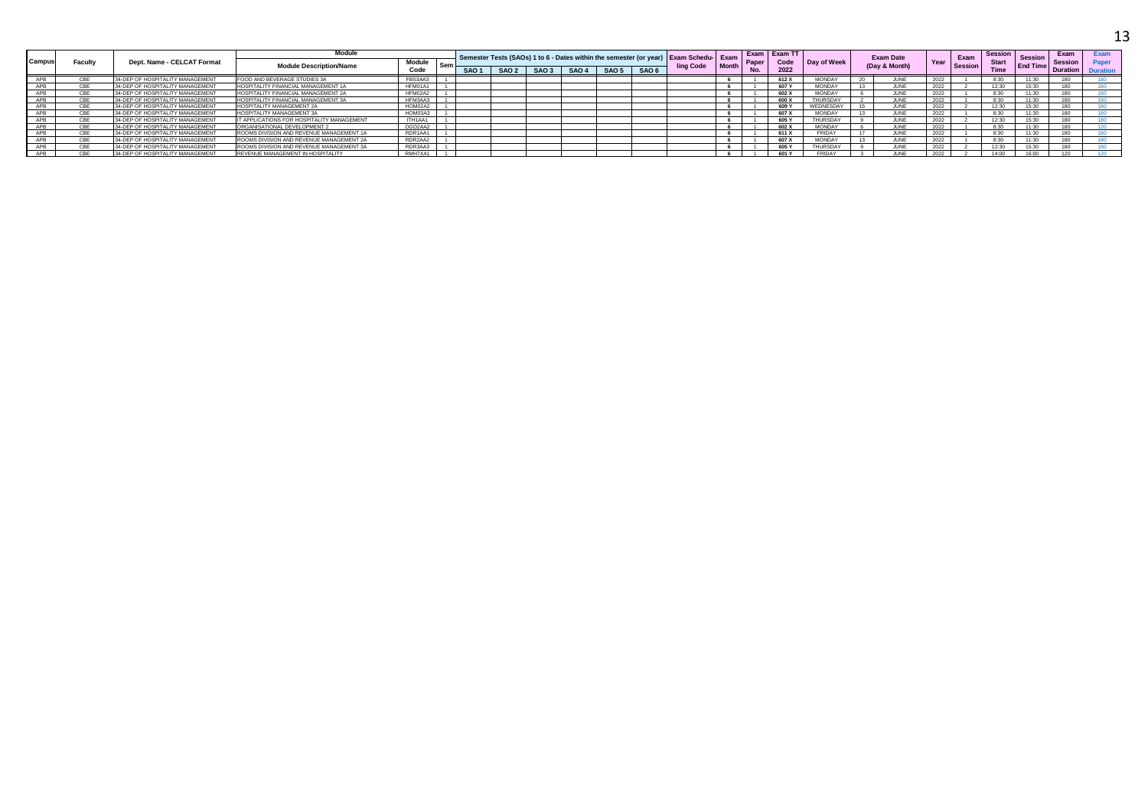|        |        |                                  | <b>Module</b>                              |                      |     |      |                  |       |                  |                  |                                                                                                   |              | Exam  | <b>Exam TT</b> |               |               | <b>Exam Date</b> |      |                        | <b>Session</b> |                                   | Exam            | Evan  |
|--------|--------|----------------------------------|--------------------------------------------|----------------------|-----|------|------------------|-------|------------------|------------------|---------------------------------------------------------------------------------------------------|--------------|-------|----------------|---------------|---------------|------------------|------|------------------------|----------------|-----------------------------------|-----------------|-------|
| Campus | Facult | Dept. Name - CELCAT Format       | <b>Module Description/Name</b>             | <b>Module</b><br>Ser |     |      |                  |       |                  |                  | Semester Tests (SAOs) 1 to 6 - Dates within the semester (or year) Exam Schedu- Exam<br>ling Code | <b>Month</b> | Paper | Code           | Day of Week   |               | (Day & Month)    | Year | Exam<br><b>Session</b> | <b>Start</b>   | <b>Session</b><br><b>End Time</b> | <b>Session</b>  | Paper |
|        |        |                                  |                                            | Code                 | SAO | SAO2 | SAO <sub>3</sub> | SAO 4 | SAO <sub>5</sub> | SAO <sub>6</sub> |                                                                                                   |              |       | 2022           |               |               |                  |      |                        | <b>Time</b>    |                                   | <b>Duration</b> |       |
|        |        | 34-DEP OF HOSPITALITY MANAGEMENT | FOOD AND BEVERAGE STUDIES 3A               | FBS3AA3              |     |      |                  |       |                  |                  |                                                                                                   |              |       | 612 X          | <b>MONDAY</b> |               | JUNE             | 2022 |                        | 8:30           |                                   |                 |       |
|        |        | 34-DEP OF HOSPITALITY MANAGEMENT | HOSPITALITY FINANCIAL MANAGEMENT 1A        | HFM01A1              |     |      |                  |       |                  |                  |                                                                                                   |              |       | 607 Y          | <b>MONDAY</b> |               | JUNE             | 2022 |                        | 12:30          |                                   |                 |       |
|        |        | 34-DEP OF HOSPITALITY MANAGEMENT | HOSPITALITY FINANCIAL MANAGEMENT 2A        | HFM02A2              |     |      |                  |       |                  |                  |                                                                                                   |              |       | 602 X          | <b>MONDAY</b> |               | JUNE             | 2022 |                        | 8:30           |                                   |                 |       |
|        |        | 34-DEP OF HOSPITALITY MANAGEMENT | HOSPITALITY FINANCIAL MANAGEMENT 3A        | HFM3AA3              |     |      |                  |       |                  |                  |                                                                                                   |              |       | 600 X          | THURSDAY      |               | JUNE             | 2022 |                        | 8:30           |                                   |                 |       |
|        |        | 34-DEP OF HOSPITALITY MANAGEMENT | HOSPITALITY MANAGEMENT 2A                  | HOM02A2              |     |      |                  |       |                  |                  |                                                                                                   |              |       | 609            | WEDNESDAY     |               | JUNE             | 2022 |                        | 12:30          |                                   |                 |       |
|        |        | 34-DEP OF HOSPITALITY MANAGEMENT | HOSPITALITY MANAGEMENT 3A                  | HOM03A3              |     |      |                  |       |                  |                  |                                                                                                   |              |       | 607 X          | <b>MONDAY</b> |               | JUNE             | 2022 |                        | 8:30           |                                   |                 |       |
|        |        | 34-DEP OF HOSPITALITY MANAGEMENT | IT APPLICATIONS FOR HOSPITALITY MANAGEMENT | ITH1AA1              |     |      |                  |       |                  |                  |                                                                                                   |              |       | 605 Y          | THI IRSDAY    |               | JUNE             | 2022 |                        | 12.30          |                                   |                 |       |
|        |        | 34-DEP OF HOSPITALITY MANAGEMENT | ORGANISATIONAL DEVELOPMENT 2               | OGD2AA2              |     |      |                  |       |                  |                  |                                                                                                   |              |       | 602 X          | <b>MONDAY</b> |               | JUNE             | 2022 |                        | 8:30           |                                   |                 |       |
|        |        | 34-DEP OF HOSPITALITY MANAGEMENT | ROOMS DIVISION AND REVENUE MANAGEMENT 1A   | RDR1AA1              |     |      |                  |       |                  |                  |                                                                                                   |              |       | 611 X          | FRIDAY        | $\rightarrow$ | JUNE             | 2022 |                        | 8:30           |                                   |                 |       |
|        |        | 34-DEP OF HOSPITALITY MANAGEMENT | ROOMS DIVISION AND REVENUE MANAGEMENT 2A   | RDR2AA2              |     |      |                  |       |                  |                  |                                                                                                   |              |       | 607 X          | <b>MONDAY</b> |               | JUNE             | 2022 |                        | 8:30           |                                   |                 |       |
|        |        | 34-DEP OF HOSPITALITY MANAGEMENT | ROOMS DIVISION AND REVENUE MANAGEMENT 3A   | RDR3AA3              |     |      |                  |       |                  |                  |                                                                                                   |              |       | 605 Y          | THURSDAY      |               | JUNE             | 2022 |                        | 12:30          | 15.30                             |                 |       |
|        |        | 34-DEP OF HOSPITALITY MANAGEMENT | REVENUE MANAGEMENT IN HOSPITALITY          | RMH7XA1              |     |      |                  |       |                  |                  |                                                                                                   |              |       | 601 Y          | <b>FRIDAY</b> |               | JUNE             | 2022 |                        | 14:00          | 16.00                             |                 |       |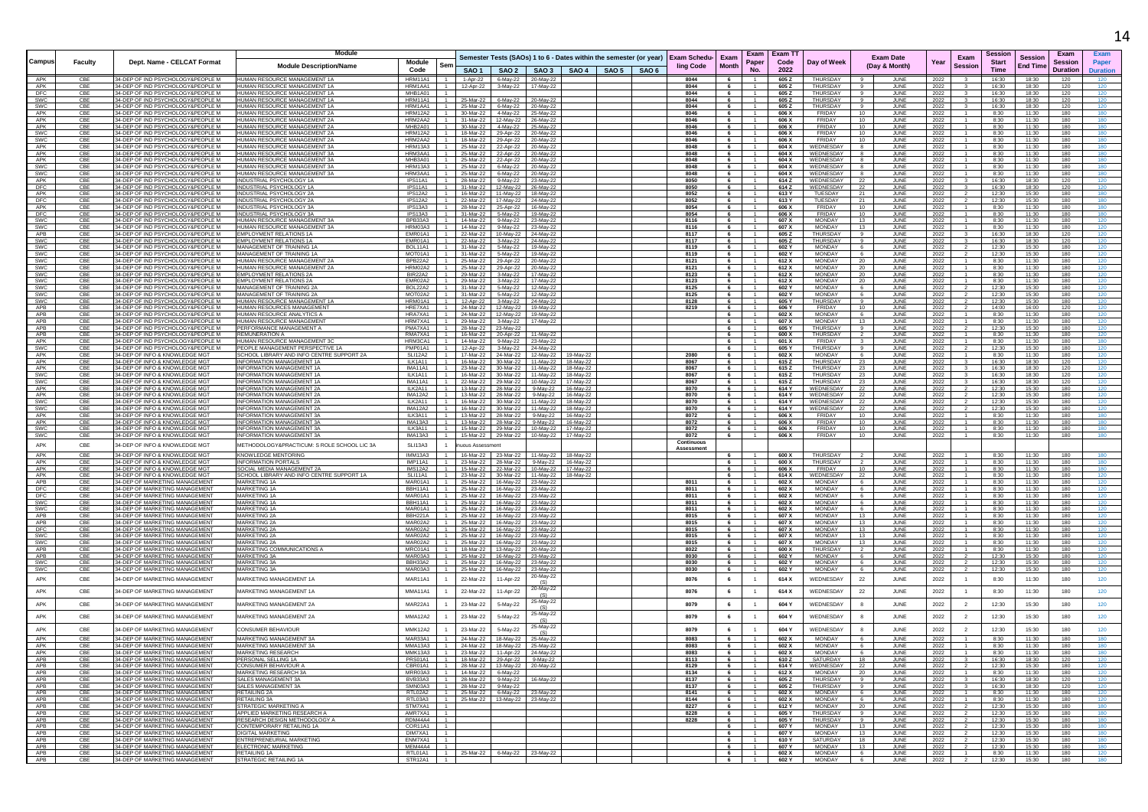|                   |                   |                                                                         |                                                                      |                             |                                  |                                                                          |                                                                                 |                         |                      |                                |                |                                  |                                      |                                         |                             |                 |                     | 14                |
|-------------------|-------------------|-------------------------------------------------------------------------|----------------------------------------------------------------------|-----------------------------|----------------------------------|--------------------------------------------------------------------------|---------------------------------------------------------------------------------|-------------------------|----------------------|--------------------------------|----------------|----------------------------------|--------------------------------------|-----------------------------------------|-----------------------------|-----------------|---------------------|-------------------|
|                   |                   |                                                                         | <b>Module</b>                                                        |                             |                                  |                                                                          | Semester Tests (SAOs) 1 to 6 - Dates within the semester (or year) Exam Schedu- |                         | Exam                 | Exam                           | Exam TT        |                                  | <b>Exam Date</b>                     | Exam                                    | Session                     | <b>Session</b>  | Exam                | Exam              |
| Campus            | Faculty           | Dept. Name - CELCAT Format                                              | <b>Module Description/Name</b>                                       | Module<br>Code              | Sem                              |                                                                          | SAO 1   SAO 2   SAO 3   SAO 4   SAO 5   SAO 6                                   | <b>ling Code</b>        | Month                | Paper<br>No.                   | Code<br>2022   | Day of Week                      | (Day & Month)                        | Year<br><b>Session</b>                  | <b>Start</b><br><b>Time</b> | <b>End Time</b> | Sessior<br>Duration | Paper<br>Duration |
| APK               | CBE               | 34-DEP OF IND PSYCHOLOGY&PEOPLE M                                       | HUMAN RESOURCE MANAGEMENT 1A                                         | <b>HRM11A1</b>              |                                  | 1-Apr-22 6-May-22 20-May-22                                              |                                                                                 | 8044                    |                      |                                | 605Z           | <b>THURSDAY</b>                  | JUNE                                 | 2022                                    | 16:30                       | 18:30           | 120                 |                   |
| APK<br>DFC        | CBE<br>CBE        | 34-DEP OF IND PSYCHOLOGY&PEOPLE M<br>34-DEP OF IND PSYCHOLOGY&PEOPLE M  | HUMAN RESOURCE MANAGEMENT 1A<br>HUMAN RESOURCE MANAGEMENT 1A         | HRM1AA1<br>MHB1A01          | $-1$                             | 12-Apr-22<br>3-May-22 17-May-22                                          |                                                                                 | 8044<br>8044            | - 6<br>6             | $\mathbf{1}$                   | 605Z<br>605Z   | <b>THURSDAY</b><br>THURSDAY      | JUNE<br>JUNE<br>-9                   | 2022<br>2022                            | 16:30<br>16:30              | 18:30<br>18:30  | 120<br>120          | 120               |
| SWC<br>SWC        | CBE<br>CBE        | 34-DEP OF IND PSYCHOLOGY&PEOPLE M<br>34-DEP OF IND PSYCHOLOGY&PEOPLE M  | HUMAN RESOURCE MANAGEMENT 1A<br>HUMAN RESOURCE MANAGEMENT 1A         | HRM11A1<br>HRM1AA1 1        |                                  | 25-Mar-22<br>6-May-22<br>20-May-22<br>25-Mar-22 6-May-22 20-May-22       |                                                                                 | 8044<br>8044            | 6<br>6               |                                | 605Z<br>605 Z  | THURSDAY<br>THURSDAY             | JUNE<br>JUNE<br>9                    | 2022<br>2022                            | 16:30<br>16:30              | 18:30<br>18:30  | 120<br>120          | 120               |
| APK               | CBE               | 34-DEP OF IND PSYCHOLOGY&PEOPLE M.                                      | HUMAN RESOURCE MANAGEMENT 2A                                         | <b>HRM12A2</b>              | $\overline{1}$                   | 30-Mar-22 4-May-22 25-May-22                                             |                                                                                 | 8046                    | 6                    | 1                              | 606 X          | FRIDAY                           | 10<br>JUNE                           | 2022                                    | 8:30                        | 11:30           | 180                 | 180               |
| APK<br>APK        | CBE<br>CBE        | 34-DEP OF IND PSYCHOLOGY&PEOPLE M<br>34-DEP OF IND PSYCHOLOGY&PEOPLE M. | HUMAN RESOURCE MANAGEMENT 2.<br>HUMAN RESOURCE MANAGEMENT 2A         | HRM2AA2<br>MHB2A01          | $\overline{1}$                   | 31-Mar-22<br>12-May-22<br>26-May-22<br>30-Mar-22<br>4-May-22 25-May-22   |                                                                                 | 8046<br>8046            | 6<br>6               | $-1$                           | 606 X<br>606 X | FRIDAY<br>FRIDAY                 | 10<br>JUNE<br>10<br>JUNE             | 2022<br>2022                            | 8:30<br>8:30                | 11:30<br>11:30  | 180<br>180          | 180               |
| SWC               | CBE               | 34-DEP OF IND PSYCHOLOGY&PEOPLE M                                       | HUMAN RESOURCE MANAGEMENT 2A                                         | HRM12A2                     | $\overline{1}$                   | 18-Mar-22<br>29-Apr-22 20-May-22                                         |                                                                                 | 8046                    | 6                    |                                | 606 X          | FRIDAY                           | 10<br>JUNE                           | 2022                                    | 8:30                        | 11:30           | 180                 | 180               |
| SWC<br>APK        | CBE<br>CBE        | 34-DEP OF IND PSYCHOLOGY&PEOPLE M<br>34-DEP OF IND PSYCHOLOGY&PEOPLE M  | HUMAN RESOURCE MANAGEMENT 2A<br>HUMAN RESOURCE MANAGEMENT 3A         | HRM2AA2<br>HRM13A3   1      | $1 \quad 1$                      | 18-Mar-22<br>29-Apr-22<br>20-May-22                                      |                                                                                 | 8046<br>8048            | 6<br>6               | $\sim$                         | 606 X<br>604 X | FRIDAY<br>WEDNESDAY              | $10^{-1}$<br>.II INF<br>JUNE         | 2022<br>2022                            | 8:30<br>8:30                | 11:30<br>11:30  | 180<br>180          | 180<br>180        |
| APK               | CBE               | 34-DEP OF IND PSYCHOLOGY&PEOPLE M                                       | HUMAN RESOURCE MANAGEMENT 3A                                         | HRM3AA1                     | $\overline{1}$                   | 25-Mar-22 22-Apr-22 20-May-22<br>25-Mar-22 22-Apr-22 20-May-22           |                                                                                 | 8048                    | 6                    |                                | 604 X          | WEDNESDAY                        | JUNE                                 | 2022                                    | 8:30                        | 11:30           | 180                 |                   |
| APK<br>SWC        | CBE<br>CBE        | 34-DEP OF IND PSYCHOLOGY&PEOPLE M.<br>34-DEP OF IND PSYCHOLOGY&PEOPLE M | HUMAN RESOURCE MANAGEMENT 3A<br>HUMAN RESOURCE MANAGEMENT 3A         | MHB3A01<br>HRM13A3 1 1      | $\overline{1}$                   | 25-Mar-22 22-Apr-22 20-May-22<br>25-Mar-22 6-May-22 20-May-22            |                                                                                 | 8048<br>8048            | 6<br>6               | $\mathbf{1}$<br>$\overline{1}$ | 604 X<br>604 X | WEDNESDAY<br>WEDNESDAY           | 8<br>JUNE<br>JUNE<br>-8              | 2022<br>2022                            | 8:30<br>8:30                | 11:30<br>11:30  | 180<br>180          | 180<br>180        |
| SWC               | CBE               | 34-DEP OF IND PSYCHOLOGY&PEOPLE M                                       | HUMAN RESOURCE MANAGEMENT 3A                                         | HRM3AA1                     | 1                                | 25-Mar-22 6-May-22<br>20-May-22                                          |                                                                                 | 8048                    |                      |                                | 604 X          | WEDNESDAY                        | JUNE                                 | 2022                                    | 8:30                        | 11:30           | 180                 | 180               |
| APK<br><b>DFC</b> | CBE<br>CBE        | 34-DEP OF IND PSYCHOLOGY&PEOPLE M<br>34-DEP OF IND PSYCHOLOGY&PEOPLE M  | INDUSTRIAL PSYCHOLOGY 1A<br>INDUSTRIAL PSYCHOLOGY 1A                 | IPS11A1<br>IPS11A1          | $-1$<br>$\overline{1}$           | 28-Mar-22<br>9-May-22 23-May-22<br>31-Mar-22 12-May-22 26-May-22         |                                                                                 | 8050<br>8050            | 6<br>6               | $\overline{1}$                 | 614 Z<br>614 Z | WEDNESDAY<br>WEDNESDAY           | 22<br>JUNE<br>22<br>JUNE             | 2022<br>2022                            | 16:30<br>16:30              | 18:30<br>18:30  | 120<br>120          | 120<br>120        |
| APK               | CBE               | 34-DEP OF IND PSYCHOLOGY&PEOPLE M                                       | INDUSTRIAL PSYCHOLOGY 2A                                             | IPS12A2                     | $\overline{1}$                   | 16-Mar-22 11-May-22 18-May-22                                            |                                                                                 | 8052                    | 6                    | $\overline{1}$                 | 613 Y          | TUESDAY                          | 21<br>JUNE                           | 2022<br>$\overline{2}$                  | 12:30                       | 15:30           | 180                 | 180               |
| DFC<br>APK        | CBE<br><b>CBE</b> | 34-DEP OF IND PSYCHOLOGY&PEOPLE M<br>34-DEP OF IND PSYCHOLOGY&PEOPLE M. | INDUSTRIAL PSYCHOLOGY 2A<br>INDUSTRIAL PSYCHOLOGY 3A                 | <b>IPS12A2</b><br>IPS13A3   | $\overline{1}$                   | 22-Mar-22 17-May-22 24-May-22<br>28-Mar-22 25-Apr-22 16-May-22           |                                                                                 | 8052<br>8054            | 6<br>- 6             |                                | 613 Y<br>606 X | TUESDAY<br>FRIDAY                | 21<br>JUNE<br>10<br>JUNE             | 2022<br>2022                            | 12:30<br>8:30               | 15:30<br>11:30  | 180<br>180          | 180<br>180        |
| DFC               | CBE               | 34-DEP OF IND PSYCHOLOGY&PEOPLE M                                       | INDUSTRIAL PSYCHOLOGY 3A                                             | IPS13A3                     | $\overline{1}$                   | 31-Mar-22<br>5-May-22<br>19-May-22                                       |                                                                                 | 8054                    | $6\phantom{.0}$      | $\mathbf{1}$                   | 606 X          | <b>FRIDAY</b>                    | <b>JUNE</b><br>10                    | 2022                                    | 8:30                        | 11:30           | 180                 |                   |
| SWC<br>SWC        | CBE<br>CBE        | 34-DEP OF IND PSYCHOLOGY&PEOPLE M<br>34-DEP OF IND PSYCHOLOGY&PEOPLE M  | HUMAN RESOURCE MANAGEMENT 3A<br>HUMAN RESOURCE MANAGEMENT 3A         | BPB33A3<br>HRM03A3          | $-1$<br>$\overline{1}$           | 14-Mar-22 9-May-22 23-May-22<br>14-Mar-22<br>9-May-22<br>23-May-22       |                                                                                 | 8116<br>8116            | 6<br>6               | 1<br>$\mathbf{1}$              | 607 X<br>607 X | MONDAY<br><b>MONDAY</b>          | 13<br>JUNE<br>13<br>JUNE             | 2022<br>2022                            | 8:30<br>8:30                | 11:30<br>11:30  | 180<br>180          | 120<br>120        |
| APB               | CBE               | 34-DEP OF IND PSYCHOLOGY&PEOPLE M                                       | EMPLOYMENT RELATIONS 1A                                              | EMR01A1                     | $-1$                             | 22-Mar-22<br>10-May-22<br>24-May-22                                      |                                                                                 | 8117                    | $6\phantom{.0}$      | $\overline{1}$                 | 605Z           | THURSDAY                         | JUNE<br>9                            | 2022<br>3                               | 16:30                       | 18:30           | 120                 |                   |
| SWC<br>SWC        | CBE<br>CBE        | 34-DEP OF IND PSYCHOLOGY&PEOPLE M<br>34-DEP OF IND PSYCHOLOGY&PEOPLE M  | <b>EMPLOYMENT RELATIONS 1/</b><br>MANAGEMENT OF TRAINING 1A          | EMR01A1<br>BOL11A1          | $\overline{1}$<br>$\overline{1}$ | 22-Mar-22<br>3-May-22 24-May-22<br>5-May-22<br>31-Mar-22<br>19-May-22    |                                                                                 | 8117<br>8119            | 6<br>6               | 1                              | 605 Z<br>602 Y | THURSDAY<br>MONDAY               | 9<br>JUNE<br>JUNE<br>- 6             | 2022<br>$\overline{\mathbf{3}}$<br>2022 | 16:30<br>12:30              | 18:30<br>15:30  | 120<br>180          | 120<br>120        |
| SWC               | CBE               | 34-DEP OF IND PSYCHOLOGY&PEOPLE M                                       | MANAGEMENT OF TRAINING 1A                                            | MOT01A1                     | $\blacksquare$                   | 31-Mar-22   5-May-22   19-May-22                                         |                                                                                 | 8119                    | 6                    | $\mathbf{1}$                   | 602 Y          | <b>MONDAY</b>                    | JUNE<br>6                            | 2022<br>$\overline{2}$                  | 12:30                       | 15:30           | 180                 | 120               |
| SWC<br>SWC        | CBE<br>CBE        | 34-DEP OF IND PSYCHOLOGY&PEOPLE M<br>34-DEP OF IND PSYCHOLOGY&PEOPLE M  | HUMAN RESOURCE MANAGEMENT 2A<br>HUMAN RESOURCE MANAGEMENT 2A         | BPB22A2 1<br>HRM02A2        | $\blacksquare$                   | 25-Mar-22 29-Apr-22 20-May-22<br>25-Mar-22 29-Apr-22<br>20-May-22        |                                                                                 | 8121<br>8121            | 6<br>6               | $\sim$                         | 612 X<br>612 X | <b>MONDAY</b><br><b>MONDAY</b>   | 20<br>JUNE<br>20<br>JUNE             | 2022<br>2022                            | 8:30<br>8:30                | 11:30<br>11:30  | 180<br>180          | 120               |
| SWC               | CBE               | 34-DEP OF IND PSYCHOLOGY&PEOPLE M                                       | EMPLOYMENT RELATIONS 2A                                              | <b>BIR22A2</b>              | $\overline{1}$                   | 29-Mar-22 3-May-22<br>17-May-22                                          |                                                                                 | 8123                    | 6                    |                                | 612 X          | MONDAY                           | 20<br>JUNE                           | 2022                                    | 8:30                        | 11:30           | 180                 | 120               |
| SWC<br>SWC        | CBE<br>CBE        | 34-DEP OF IND PSYCHOLOGY&PEOPLE M<br>34-DEP OF IND PSYCHOLOGY&PEOPLE M  | <b>EMPLOYMENT RELATIONS 2A</b><br>MANAGEMENT OF TRAINING 2.          | EMR02A2<br>BOL22A2          | $\blacksquare$                   | 29-Mar-22 3-May-22 17-May-22<br>31-Mar-22<br>5-May-22<br>12-May-22       |                                                                                 | 8123<br>8125            | $6\overline{6}$<br>6 | $\mathbf{1}$                   | 612 X<br>602 Y | <b>MONDAY</b><br><b>MONDAY</b>   | JUNE<br>20<br>JUNI                   | 2022<br>2022                            | 8:30<br>12:30               | 11:30<br>15:30  | 180<br>180          | 120               |
| SWC               | CBE               | 34-DEP OF IND PSYCHOLOGY&PEOPLE M                                       | MANAGEMENT OF TRAINING 2A                                            | MOT02A2                     | $\overline{1}$                   | 31-Mar-22 5-May-22 12-May-22                                             |                                                                                 | 8125                    | 6                    |                                | 602 Y          | MONDAY                           | JUNE<br>- 6                          | 2022                                    | 12:30                       | 15:30           | 180                 | 120               |
| SWC<br>APB        | CBE<br>CBE        | 34-DEP OF IND PSYCHOLOGY&PEOPLE M.<br>34-DEP OF IND PSYCHOLOGY&PEOPLE M | HUMAN RESOURCE MANAGEMENT 1A<br>HI IMAN RESOURCES MANAGEMENT         | HRM01A1<br>HRF7XA1          | $\blacksquare$<br>$\blacksquare$ | 12-Apr-22 3-May-22 24-May-22<br>24-Mar-22<br>12-May-22   19-May-22       |                                                                                 | 8128<br>8219            | 6<br>6               | -1.<br>1                       | 605 Y<br>606 Y | THURSDAY<br><b>FRIDAY</b>        | - 9<br>JUNE<br>10<br>.II INF         | 2022<br>2022<br>$\overline{2}$          | 12:30<br>14:00              | 15:30<br>16:00  | 180<br>120          | 120<br>120        |
| APB               | CBE               | 34-DEP OF IND PSYCHOLOGY&PEOPLE M                                       | HUMAN RESOURCE ANALYTICS A                                           | HRA7XA1 $1$ 1               |                                  | 24-Mar-22 12-May-22 19-May-22                                            |                                                                                 |                         | 6                    | $\sim$                         | 602 X          | MONDAY                           | 6<br>JUNE                            | 2022                                    | 8:30                        | 11:30           | 180                 | 120               |
| APB<br>APB        | CBE<br>CBE        | 34-DEP OF IND PSYCHOLOGY&PEOPLE M<br>34-DEP OF IND PSYCHOLOGY&PEOPLE M  | HUMAN RESOURCE MANAGEMENT<br>PERFORMANCE MANAGEMENT A                | HRM7XA1<br>PMA7XA1          | $-1$<br>$\overline{1}$           | 29-Mar-22<br>3-May-22<br>17-May-22<br>28-Mar-22<br>23-May-22             |                                                                                 |                         | 6<br>$6\overline{6}$ | $\mathbf{1}$                   | 607 X<br>605 Y | <b>MONDAY</b><br><b>THURSDAY</b> | 13<br>JUNE<br>JUNE<br>-9             | 2022<br>2022                            | 8:30<br>12:30               | 11:30<br>15:30  | 180<br>180          | 120               |
| APB               | CBE               | 34-DEP OF IND PSYCHOLOGY&PEOPLE M                                       | <b>REMUNERATION A</b>                                                | RMA7XA1 1                   |                                  | 16-Mar-22 20-Apr-22 11-May-22                                            |                                                                                 |                         | 6                    | $\overline{1}$                 | 600 X          | THURSDAY                         | $\overline{2}$<br>JUNE               | 2022                                    | 8:30                        | 11:30           | 180                 | 120               |
| APK<br>SWC        | CBE<br>CBE        | 34-DEP OF IND PSYCHOLOGY&PEOPLE M<br>34-DEP OF IND PSYCHOLOGY&PEOPLE M  | HUMAN RESOURCE MANAGEMENT 30<br>PEOPLE MANAGEMENT PERSPECTIVE 1A     | HRM3CA1<br>PMP01A1          | 1<br>$-1$                        | 14-Mar-22<br>23-May-22<br>9-May-22<br>12-Apr-22<br>3-May-22<br>24-May-22 |                                                                                 |                         | 6<br>6               |                                | 601 X<br>605 Y | FRIDAY<br>THURSDAY               | JUNE<br>-9<br>JUNE                   | 2022<br>2022                            | 8:30<br>12:30               | 11:30<br>15:30  | 180<br>180          | 180               |
| APK               | CBE               | 34-DEP OF INFO & KNOWLEDGE MGT                                          | SCHOOL LIBRARY AND INFO CENTRE SUPPORT 2A                            | <b>SLI12A2</b>              | $-1$                             | 17-Mar-22 24-Mar-22 12-May-22                                            | 19-May-22                                                                       | 2080                    | 6                    | $\mathbf{1}$                   | 602 X          | MONDAY                           | JUNE<br>6                            | 2022                                    | 8:30                        | 11:30           | 180                 | 120               |
| APK<br>APK        | CBE<br>CBE        | 34-DEP OF INFO & KNOWLEDGE MGT<br>34-DEP OF INFO & KNOWLEDGE MGT        | INFORMATION MANAGEMENT 1A<br><b>INFORMATION MANAGEMENT 1A</b>        | ILK1A11<br>IMA11A1          | 1<br>$-1$                        | 16-Mar-22<br>30-Mar-22<br>11-May-22<br>23-Mar-22 30-Mar-22 11-May-22     | 18-May-22<br>18-May-22                                                          | 8067<br>8067            | 6<br>6               |                                | 615Z<br>615Z   | THURSDAY<br>THURSDAY             | 23<br>JUNE<br>23<br>JUNE             | 2022<br>2022                            | 16:30<br>16:30              | 18:30<br>18:30  | 120<br>120          | 120               |
| SWC               | CBE               | 34-DEP OF INFO & KNOWLEDGE MGT                                          | <b>INFORMATION MANAGEMENT 1A</b>                                     | ILK1A11                     | $\overline{1}$                   | 16-Mar-22 30-Mar-22 11-May-22                                            | 18-May-22                                                                       | 8067                    | 6                    | $\mathbf{1}$                   | 615 Z          | THURSDAY                         | - 23<br>JUNE                         | 2022                                    | 16:30                       | 18:30           | 120                 | 120               |
| SWC<br>APK        | CBE<br>CBE        | 34-DEP OF INFO & KNOWLEDGE MGT<br>34-DEP OF INFO & KNOWLEDGE MGT        | <b>INFORMATION MANAGEMENT 1/</b><br><b>INFORMATION MANAGEMENT 2A</b> | <b>IMA11A1</b><br>ILK2A11   | $-1$                             | 22-Mar-22<br>29-Mar-22<br>10-May-22<br>13-Mar-22 28-Mar-22<br>9-May-22   | 17-May-22<br>16-May-22                                                          | 8067<br>8070            | 6<br>6               | $-1$                           | 615 Z<br>614 Y | THURSDAY<br>WEDNESDAY            | 23<br>JUNE<br>22<br>JUNE             | 2022<br>2022                            | 16:30<br>12:30              | 18:30<br>15:30  | 120<br>180          | 120               |
| APK               | CBE               | 34-DEP OF INFO & KNOWLEDGE MGT                                          | INFORMATION MANAGEMENT 2A                                            | <b>IMA12A2</b>              | $\overline{1}$                   | 13-Mar-22 28-Mar-22<br>9-May-22                                          | 16-May-22                                                                       | 8070                    | 6                    | -1.                            | 614 Y          | WEDNESDAY                        | - 22<br>JUNE                         | 2022                                    | 12:30                       | 15:30           | 180                 | 120               |
| SWC<br>SWC        | CBE<br>CBE        | 34-DEP OF INFO & KNOWLEDGE MGT<br>34-DEP OF INFO & KNOWLEDGE MGT        | INFORMATION MANAGEMENT 24<br>INFORMATION MANAGEMENT 2A               | II K2A11<br>IMA12A2         | $\overline{1}$<br>$\overline{1}$ | 16-Mar-22<br>30-Mar-22 11-May-22<br>16-Mar-22 30-Mar-22 11-May-22        | 18-May-22<br>18-May-22                                                          | 8070<br>8070            | 6                    | $-1$                           | 614 Y<br>614 Y | WEDNESDAY<br>WEDNESDAY           | 22<br>.II INF<br>JUNE<br>22          | 2022<br>2022                            | 12:30<br>12:30              | 15:30<br>15:30  | 180<br>180          |                   |
| APK               | CBE               | 34-DEP OF INFO & KNOWLEDGE MGT                                          | <b>INFORMATION MANAGEMENT 3A</b>                                     | ILK3A11                     | $\overline{1}$                   | 13-Mar-22 28-Mar-22<br>9-May-22                                          | 16-May-22                                                                       | 8072                    | 6                    |                                | 606 X          | FRIDAY                           | JUNE<br>10                           | 2022                                    | 8:30                        | 11:30           | 180                 | 180               |
| APK<br>SWC        | CBE<br>CBE        | 34-DEP OF INFO & KNOWLEDGE MGT<br>34-DEP OF INFO & KNOWLEDGE MGT        | <b>INFORMATION MANAGEMENT 3A</b><br>INFORMATION MANAGEMENT 3A        | IMA13A3<br>ILK3A11          | $\overline{1}$<br>$-1$           | 13-Mar-22 28-Mar-22 9-May-22<br>15-Mar-22 29-Mar-22 10-May-22            | 16-May-22<br>17-May-22                                                          | 8072<br>8072            | 6<br>6               | $\overline{1}$<br>$-1$         | 606 X<br>606 X | FRIDAY<br>FRIDAY                 | 10<br>JUNE<br>10<br>JUNE             | 2022<br>2022                            | 8:30<br>8:30                | 11:30<br>11:30  | 180<br>180          | 180<br>180        |
| <b>SWC</b>        | CBE               | 34-DEP OF INFO & KNOWLEDGE MGT                                          | INFORMATION MANAGEMENT 3A                                            | IMA13A3                     | $\overline{1}$                   | 15-Mar-22 29-Mar-22 10-May-22                                            | 17-May-22                                                                       | 8072                    | 6                    |                                | 606 X          | FRIDAY                           | 10<br>JUNE                           | 2022                                    | 8:30                        | 11:30           | 180                 | 180               |
| APK               | CBE               | 34-DEP OF INFO & KNOWLEDGE MGT                                          | METHODOLOGY&PRACTICUM: S ROLE SCHOOL LIC 3A                          | SLI13A3                     |                                  | uous Assessment                                                          |                                                                                 | Continuous<br>Assessmen |                      |                                |                |                                  |                                      |                                         |                             |                 |                     |                   |
| APK               | CBE               | 34-DEP OF INFO & KNOWLEDGE MGT                                          | <b>KNOWLEDGE MENTORING</b>                                           | <b>IMM13A3</b>              | $\overline{1}$                   | 16-Mar-22 23-Mar-22 11-May-22                                            | 18-May-22                                                                       |                         | 6                    | $\overline{1}$                 | 600 X          | THURSDAY                         | JUNE<br>$\overline{2}$               | 2022                                    | 8:30                        | 11:30           | 180                 | 180               |
| APK<br>APK        | CBE<br><b>CBE</b> | 34-DEP OF INFO & KNOWLEDGE MGT<br>34-DEP OF INFO & KNOWLEDGE MGT        | <b>INFORMATION PORTALS</b><br><b>SOCIAL MEDIA MANAGEMENT 2A</b>      | IMP11A1<br><b>IMS12A2</b>   | $\overline{1}$                   | 23-Mar-22 28-Mar-22 9-May-22<br>15-Mar-22 22-Mar-22 10-May-22            | 16-May-22<br>17-May-22                                                          |                         | 6<br>6               |                                | 600 X<br>606 X | THURSDAY<br>FRIDAY               | JUNE<br>10<br>JUNE                   | 2022<br>2022                            | 8:30<br>8:30                | 11:30<br>11:30  | 180<br>180          | 180<br>180        |
| APK               | CBE               | 34-DEP OF INFO & KNOWLEDGE MGT                                          | SCHOOL LIBRARY AND INFO CENTRE SUPPORT 1A                            | <b>SLI11A1</b>              | $\overline{1}$                   | 23-Mar-22 30-Mar-22 11-May-22                                            | 18-May-22                                                                       |                         | 6                    | $\overline{1}$                 | 614 X          | WEDNESDAY                        | JUNE<br>22                           | 2022                                    | 8:30                        | 11:30           | 180                 |                   |
| APB<br>DFC        | CBE<br>CBE        | 34-DEP OF MARKETING MANAGEMENT<br>34-DEP OF MARKETING MANAGEMEN'        | MARKETING 1A<br>MARKETING 1A                                         | MAR01A1<br>BBH11A1          | $\overline{1}$<br>$\overline{1}$ | 25-Mar-22 16-May-22 23-May-22<br>16-May-22 23-May-22<br>25-Mar-22        |                                                                                 | 8011<br>8011            | 6<br>6               | 1                              | 602 X<br>602 X | MONDAY<br><b>MONDAY</b>          | 6<br>JUNE<br>JUNE<br>- 6             | 2022<br>2022                            | 8:30<br>8:30                | 11:30<br>11:30  | 180<br>180          | 120<br>120        |
| <b>DFC</b>        | CBE               | 34-DEP OF MARKETING MANAGEMENT                                          | MARKETING 1A                                                         | MAR01A1                     | $-1$                             | 25-Mar-22<br>16-May-22 23-May-22                                         |                                                                                 | 8011                    | 6                    | $\overline{1}$                 | 602 X          | <b>MONDAY</b>                    | JUNE<br>- 6                          | 2022                                    | 8:30                        | 11:30           | 180                 | 120               |
| SWC<br>SWC        | CBE<br>CBE        | 34-DEP OF MARKETING MANAGEMENT<br>34-DEP OF MARKETING MANAGEMENT        | MARKETING 1A<br>MARKETING 1A                                         | BBH11A1<br>MAR01A1          | $-1$<br>$\overline{1}$           | 16-May-22 23-May-22<br>25-Mar-22<br>16-May-22<br>25-Mar-22<br>23-May-22  |                                                                                 | 8011<br>8011            | 6<br>6               | $\mathbf{1}$                   | 602 X<br>602 X | <b>MONDAY</b><br><b>MONDAY</b>   | 6<br>JUNE<br>JUNE<br>6               | 2022<br>2022                            | 8:30<br>8:30                | 11:30<br>11:30  | 180<br>180          | 120<br>120        |
| APB               | CBE               | 34-DEP OF MARKETING MANAGEMENT                                          | <b>MARKETING 2A</b>                                                  | BBH221A   1                 |                                  | 16-May-22 23-May-22<br>25-Mar-22                                         |                                                                                 | 8015                    | 6                    | $\mathbf{1}$                   | 607 X          | <b>MONDAY</b>                    | 13<br>JUNE                           | 2022                                    | 8:30                        | 11:30           | 180                 | 120               |
| APB<br>DFC        | CBE<br>CBE        | 34-DEP OF MARKETING MANAGEMENT<br>34-DEP OF MARKETING MANAGEMEN'        | <b>MARKETING 2A</b><br>MARKETING 2/                                  | MAR02A2 1<br>MAR02A2        | $\overline{1}$                   | 25-Mar-22 16-May-22 23-May-22<br>25-Mar-22<br>16-May-22<br>23-May-22     |                                                                                 | 8015<br>8015            | 6<br>6               | $\sim$                         | 607 X<br>607 X | <b>MONDAY</b><br>MONDAY          | 13<br>JUNE<br>13<br>JUNE             | 2022<br>2022                            | 8:30<br>8:30                | 11:30<br>11:30  | 180<br>180          | 120               |
| SWC               | CBE               | 34-DEP OF MARKETING MANAGEMEN'                                          | MARKETING 2A                                                         | MAR02A2                     |                                  | 16-May-22 23-May-22<br>25-Mar-22                                         |                                                                                 | 8015                    | 6                    |                                | 607 X          | MONDAY                           | 13<br>JUNE                           | 2022                                    | 8:30                        | 11:30           | 180                 | 120               |
| <b>SWC</b><br>APB | CBE<br>CBE        | 34-DEP OF MARKETING MANAGEMENT<br>34-DEP OF MARKETING MANAGEMENT        | <b>MARKETING 2A</b><br>MARKETING COMMUNICATIONS A                    | MAR02A2<br>MRC01A1          | $\overline{1}$<br>$\overline{1}$ | 25-Mar-22<br>16-May-22 23-May-22<br>18-Mar-22<br>13-May-22 20-May-22     |                                                                                 | 8015<br>8022            | 6<br>6               | $\overline{1}$                 | 607 X<br>600 X | MONDAY<br><b>THURSDAY</b>        | 13<br>JUNE<br>JUNE<br>$\overline{2}$ | 2022<br>2022                            | 8:30<br>8:30                | 11:30<br>11:30  | 180<br>180          | 120<br>120        |
| APB               | CBE               | 34-DEP OF MARKETING MANAGEMENT                                          | MARKETING 3A                                                         | MAR03A3                     |                                  | 25-Mar-22<br>16-May-22 23-May-22                                         |                                                                                 | 8030                    | 6                    |                                | 602 Y          | <b>MONDAY</b>                    | JUNE<br>6                            | 2022                                    | 12:30                       | 15:30           | 180                 | 120               |
| SWC<br>SWC        | CBE<br>CBE        | 34-DEP OF MARKETING MANAGEMENT<br>34-DEP OF MARKETING MANAGEMENT        | <b>MARKETING 3A</b><br>MARKETING 3A                                  | BBH33A2<br>MAR03A3          | $\overline{1}$<br>$\overline{1}$ | 16-May-22 23-May-22<br>25-Mar-22<br>25-Mar-22<br>16-May-22 23-May-22     |                                                                                 | 8030<br>8030            | 6<br>6               | -1.<br>$\overline{1}$          | 602 Y<br>602 Y | <b>MONDAY</b><br>MONDAY          | 6<br>JUNE<br>6<br>JUNE               | 2022<br>2022<br>$\overline{2}$          | 12:30<br>12:30              | 15:30<br>15:30  | 180<br>180          | 120<br>120        |
| APK               | CBE               | 34-DEP OF MARKETING MANAGEMENT                                          | MARKETING MANAGEMENT 1A                                              | MAR11A1                     |                                  | 20-May-22<br>22-Mar-22<br>11-Apr-22                                      |                                                                                 | 8076                    | 6                    | $\overline{1}$                 | 614 X          | WEDNESDAY                        | 22<br>JUNE                           | 2022<br>$\overline{1}$                  | 8:30                        | 11:30           | 180                 | 120               |
| APK               | CBE               | 34-DEP OF MARKETING MANAGEMENT                                          | MARKETING MANAGEMENT 1A                                              | <b>MMA11A1</b>              |                                  | (S)<br>20-May-22<br>22-Mar-22<br>11-Apr-22                               |                                                                                 | 8076                    | 6                    | $\overline{1}$                 | 614 X          | WEDNESDAY                        | 22<br>JUNE                           | 2022<br>$\overline{1}$                  | 8:30                        | 11:30           | 180                 | 120               |
|                   |                   |                                                                         |                                                                      |                             |                                  | (S)<br>25-May-22                                                         |                                                                                 |                         |                      |                                |                |                                  |                                      |                                         |                             |                 |                     |                   |
| APK               | CBE               | 34-DEP OF MARKETING MANAGEMENT                                          | MARKETING MANAGEMENT 2A                                              | MAR22A1                     |                                  | 23-Mar-22<br>5-May-22                                                    |                                                                                 | 8079                    | 6                    | $\overline{1}$                 | 604 Y          | WEDNESDAY                        | -8<br>JUNE                           | 2022<br>$\overline{2}$                  | 12:30                       | 15:30           | 180                 | 120               |
| APK               | CBE               | 34-DEP OF MARKETING MANAGEMEN'                                          | MARKETING MANAGEMENT 2A                                              | <b>MMA12A2</b>              |                                  | 25-May-22<br>23-Mar-22<br>5-May-22<br>(S)                                |                                                                                 | 8079                    | 6                    | $\mathbf{1}$                   | 604 Y          | WEDNESDAY                        | JUNE<br>8                            | 2022<br>$\overline{2}$                  | 12:30                       | 15:30           | 180                 | 120               |
| APK               | CBE               | 34-DEP OF MARKETING MANAGEMENT                                          | <b>CONSUMER BEHAVIOUR</b>                                            | <b>MMK12A2</b>              |                                  | 25-May-22<br>23-Mar-22<br>5-May-22                                       |                                                                                 | 8079                    | 6                    | $\mathbf{1}$                   | 604 Y          | WEDNESDAY                        | JUNE<br>8                            | 2022<br>$\overline{2}$                  | 12:30                       | 15:30           | 180                 | 120               |
|                   |                   | 4-DEP OF MARKETING MANAGEMEN                                            |                                                                      |                             |                                  | 24-Mar-22 18-May-22 25-May-22                                            |                                                                                 |                         | 6                    |                                |                | <b>MONDAY</b>                    | 6                                    |                                         |                             |                 |                     |                   |
| APK<br>APK        | CBE<br>CBE        | 34-DEP OF MARKETING MANAGEMENT<br>34-DEP OF MARKETING MANAGEMENT        | MARKETING MANAGEMENT 3A<br><b>MARKETING RESEARCH</b>                 | MMA13A3 1<br><b>MMK13A3</b> | $-1$                             | 23-Mar-22 11-Apr-22 24-May-22                                            |                                                                                 | 8083<br>8083            | 6                    |                                | 602 X<br>602 X | <b>MONDAY</b>                    | JUNE<br>JUNE                         | 2022<br>2022                            | 8:30<br>8:30                | 11:30<br>11:30  | 180<br>180          | 180<br>180        |
| <b>APB</b>        | CBE               | 34-DEP OF MARKETING MANAGEMENT                                          | PERSONAL SELLING 1A                                                  | PRS01A1 1                   |                                  | 18-Mar-22 29-Apr-22 9-May-22                                             |                                                                                 | 8113                    | 6                    | $\overline{1}$                 | 610 Z          | SATURDAY                         | 18<br>.IUNF                          | 2022<br>$\mathbf{3}$                    | 16:30                       | 18:30           | 120                 | 120               |
| APB<br>APB        | CBE<br>CBE        | 34-DEP OF MARKETING MANAGEMENT<br>34-DEP OF MARKETING MANAGEMENT        | CONSUMER BEHAVIOUR A<br>MARKETING RESEARCH 3A                        | MRR03A3                     | $\overline{1}$                   | CBR01A1 1 28-Mar-22 13-May-22 20-May-22<br>14-Mar-22<br>6-May-22         |                                                                                 | 8129<br>8134            | 6<br>6               | 1                              | 614 Y<br>612 X | WEDNESDAY<br>MONDAY              | JUNE<br>22<br>JUNE<br>20             | 2022<br>$\overline{2}$<br>2022          | 12:30<br>8:30               | 15:30<br>11:30  | 180<br>180          | 120<br>120        |
| APB               | CBE               | 34-DEP OF MARKETING MANAGEMENT                                          | SALES MANAGEMENT 3A                                                  | BVB33A3 1                   |                                  | 28-Mar-22 9-May-22 16-May-22                                             |                                                                                 | 8137                    | 6                    | $\mathbf{1}$                   | 605 Z          | <b>THURSDAY</b>                  | JUNE<br>- 9                          | 2022                                    | 16:30                       | 18:30           | 120                 | 120               |
| APB<br>APB        | CBE<br>CBE        | 34-DEP OF MARKETING MANAGEMENT<br>34-DEP OF MARKETING MANAGEMENT        | SALES MANAGEMENT 3A<br>RETAILING 2A                                  | SMN03A3 1<br>RTL02A2        | $\overline{1}$                   | 28-Mar-22 9-May-22<br>25-Mar-22 6-May-22 23-May-22                       |                                                                                 | 8137<br>8141            | 6<br>6               | $\sim$<br>1                    | 605 Z<br>602 X | THURSDAY<br>MONDAY               | JUNE<br>-9<br>6<br>JUNE              | 2022<br>2022                            | 16:30<br>8:30               | 18:30<br>11:30  | 120<br>180          | 120<br>120        |
| APB               | CBE               | 34-DEP OF MARKETING MANAGEMENT                                          | RETAILING 3A                                                         |                             |                                  | RTL03A3 1 25-Mar-22 13-May-22 23-May-22                                  |                                                                                 | 8144                    | 6                    |                                | 602 X          | <b>MONDAY</b>                    | JUNE<br>6                            | 2022                                    | 8:30                        | 11:30           | 180                 | 120               |
| APB<br>APB        | CBE<br>CBE        | 34-DEP OF MARKETING MANAGEMENT<br>34-DEP OF MARKETING MANAGEMENT        | STRATEGIC MARKETING A<br>APPLIED MARKETING RESEARCH A                | STM7XA1 1<br>AMR7XA1        | $-1$                             |                                                                          |                                                                                 | 8227<br>8228            | - 6<br>6             | 1<br>$-1$                      | 612 Y<br>605 Y | <b>MONDAY</b><br>THURSDAY        | 20<br>JUNE<br>JUNE<br>-9             | 2022<br>2022<br>$\overline{2}$          | 12:30<br>12:30              | 15:30<br>15:30  | 180<br>180          | 180<br>180        |
| APB               | CBE               | 34-DEP OF MARKETING MANAGEMENT                                          | RESEARCH DESIGN METHODOLOGY A                                        | RDM44A4 1                   |                                  |                                                                          |                                                                                 | 8228                    | $6\overline{6}$      |                                | 605 Y          | THURSDAY                         | 9<br>JUNE                            | 2022                                    | 12:30                       | 15:30           | 180                 | 180               |
| APB<br>APB        | CBE<br>CBE        | 34-DEP OF MARKETING MANAGEMENT<br>34-DEP OF MARKETING MANAGEMENT        | CONTEMPORARY RETAILING 1A<br>DIGITAL MARKETING                       | COR11A1<br>DIM7XA1          | $\blacksquare$<br>$\blacksquare$ |                                                                          |                                                                                 |                         | 6<br>6               | $\overline{1}$<br>$-1$         | 607 Y<br>607 Y | <b>MONDAY</b><br><b>MONDAY</b>   | JUNE<br>13<br>13<br>.II INF          | 2022<br>2022                            | 12:30<br>12:30              | 15:30<br>15:30  | 180<br>180          | 180<br>180        |
| APB               | CBE               | 34-DEP OF MARKETING MANAGEMENT                                          | <b>INTREPRENEURIAL MARKETING</b>                                     | ENM7XA1 1                   |                                  |                                                                          |                                                                                 |                         | 6                    | $\overline{1}$                 | 610 Y          | SATURDAY                         | 18<br>JUNE                           | 2022                                    | 12:30                       | 15:30           | 180                 | 180               |
| APB<br>APB        | CBE<br>CBE        | 34-DEP OF MARKETING MANAGEMENT<br>34-DEP OF MARKETING MANAGEMENT        | <b>LECTRONIC MARKETING</b><br>RETAILING 1A                           | MEM44A4<br>RTL01A1          | $-1$<br>$\blacksquare$           | 25-Mar-22 6-May-22 23-May-22                                             |                                                                                 |                         | 6<br>6               | .1.<br>$\overline{1}$          | 607 Y<br>602 X | MONDAY<br>MONDAY                 | JUNE<br>13<br>6<br>JUNE              | 2022<br>2022<br>$\overline{1}$          | 12:30<br>8:30               | 15:30<br>11:30  | 180<br>180          | 180<br>120        |
| APB               | CBE               | 34-DEP OF MARKETING MANAGEMENT                                          | STRATEGIC RETAILING 1A                                               | STR12A1 1                   |                                  |                                                                          |                                                                                 |                         | 6                    | $\sim$ 1                       | 602 Y          | MONDAY                           | 6<br>JUNE                            | 2022  <br>$\overline{2}$                | 12:30                       | 15:30           | 180                 | 180               |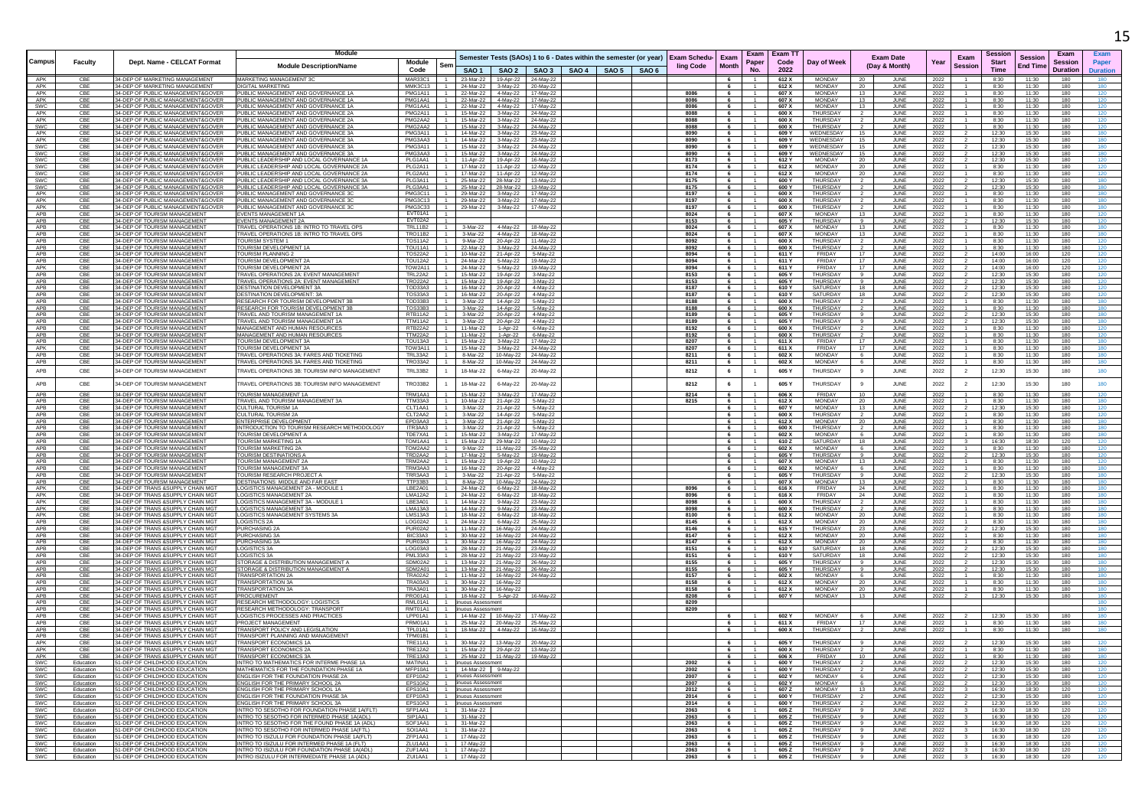|                   |                        |                                                                         | Module                                                                                         |                           |     |                                     |                                                                  |                                           |                                                                                 |              |          |                                  | Exam Exam T1   |                                    |                                             |              |                | Sessio         |                 | Exan            |     |
|-------------------|------------------------|-------------------------------------------------------------------------|------------------------------------------------------------------------------------------------|---------------------------|-----|-------------------------------------|------------------------------------------------------------------|-------------------------------------------|---------------------------------------------------------------------------------|--------------|----------|----------------------------------|----------------|------------------------------------|---------------------------------------------|--------------|----------------|----------------|-----------------|-----------------|-----|
| Campus            | <b>Faculty</b>         | Dept. Name - CELCAT Format                                              |                                                                                                | Module                    | Ser |                                     |                                                                  |                                           | Semester Tests (SAOs) 1 to 6 - Dates within the semester (or year) Exam Schedu- |              | Exam     | Paper                            | Code           | Day of Week                        | <b>Exam Date</b>                            | Year         | Exam           | <b>Start</b>   | <b>Session</b>  | Sessior         |     |
|                   |                        |                                                                         | <b>Module Description/Name</b>                                                                 | Code                      |     |                                     |                                                                  |                                           | SAO 1   SAO 2   SAO 3   SAO 4   SAO 5   SAO 6                                   | ling Code    | Month    | <b>No</b>                        | 2022           |                                    | (Day & Month)                               |              | Sessior        | <b>Time</b>    | <b>End Time</b> | <b>Duration</b> |     |
| APK               | CBE                    | 34-DEP OF MARKETING MANAGEMENT                                          | MARKETING MANAGEMENT 3C                                                                        | MAR33C1 1                 |     |                                     | 23-Mar-22 19-Apr-22 24-May-22                                    |                                           |                                                                                 |              | 6        | $\overline{1}$                   | 612X           | <b>MONDAY</b>                      | 20<br>JUNE                                  | 2022         |                | 8:30           | 11:30           | 180             |     |
| APK<br>APK        | CBE                    | 34-DEP OF MARKETING MANAGEMENT                                          | <b>DIGITAL MARKETING</b><br>PUBLIC MANAGEMENT AND GOVERNANCE 1A                                | MMK3C13<br>PMG1A11        |     |                                     | 24-Mar-22 3-May-22 20-May-22<br>22-Mar-22 4-May-22 17-May-22     |                                           |                                                                                 |              | - 6      |                                  | 612 X          | <b>MONDAY</b>                      | JUNE<br>20                                  | 2022         |                | 8:30           | 11:30           | 180             |     |
| APK               | CBE<br>CBE             | 34-DEP OF PUBLIC MANAGEMENT&GOVER<br>34-DEP OF PUBLIC MANAGEMENT&GOVER  | PUBLIC MANAGEMENT AND GOVERNANCE 1A                                                            | PMG1AA1                   |     |                                     | 22-Mar-22 4-May-22 17-May-22                                     |                                           |                                                                                 | 8086<br>8086 | 6        |                                  | 607 X<br>607 X | <b>MONDAY</b><br><b>MONDAY</b>     | 13<br>JUNE<br>JUNE<br>13                    | 2022<br>2022 |                | 8:30<br>8:30   | 11:30<br>11:30  | 180<br>180      |     |
| SWC               | CBE                    | 34-DEP OF PUBLIC MANAGEMENT&GOVER                                       | PUBLIC MANAGEMENT AND GOVERNANCE 1A                                                            | PMG1AA1                   |     | 22-Mar-22                           | 4-May-22                                                         | 17-May-22                                 |                                                                                 | 8086         | 6        | $\overline{1}$                   | 607 X          | <b>MONDAY</b>                      | 13<br>JUNE                                  | 2022         |                | 8:30           | 11:30           | 180             |     |
| APK               | CBE                    | 34-DEP OF PUBLIC MANAGEMENT&GOVER                                       | PUBLIC MANAGEMENT AND GOVERNANCE 2A                                                            | PMG2A11                   |     |                                     | 15-Mar-22 3-May-22 24-May-22                                     |                                           |                                                                                 | 8088         | - 6      |                                  | 600 X          | THURSDAY                           | JUNE                                        | 2022         |                | 8:30           | 11:30           | 180             |     |
| APK               | CBE                    | 34-DEP OF PUBLIC MANAGEMENT&GOVER                                       | PUBLIC MANAGEMENT AND GOVERNANCE 2A                                                            | PMG2AA2                   |     | 15-Mar-22                           | 3-May-22                                                         | 24-May-22                                 |                                                                                 | 8088         | 6        |                                  | 600 X          | THURSDAY                           | JUNE                                        | 2022         |                | 8:30           | 11:30           | 180             |     |
| SWC<br>APK        | CBE<br>CBE             | 34-DEP OF PUBLIC MANAGEMENT&GOVER<br>34-DEP OF PUBLIC MANAGEMENT&GOVER  | PUBLIC MANAGEMENT AND GOVERNANCE 2A<br>PUBLIC MANAGEMENT AND GOVERNANCE 3A                     | PMG2AA2<br><b>PMG3A11</b> |     | 15-Mar-22<br>14-Mar-22              |                                                                  | 3-May-22 24-May-22<br>3-May-22 23-May-22  |                                                                                 | 8088<br>8090 | 6<br>6   | $\overline{1}$                   | 600 X<br>609 Y | THURSDAY<br>WEDNESDAY              | JUNE<br>15<br>JUNE                          | 2022<br>2022 |                | 8:30<br>12:30  | 11:30<br>15:30  | 180<br>180      |     |
| APK               | CBE                    | 34-DEP OF PUBLIC MANAGEMENT&GOVER                                       | PUBLIC MANAGEMENT AND GOVERNANCE 3A                                                            | PMG3AA3                   |     |                                     | 14-Mar-22 3-May-22 23-May-22                                     |                                           |                                                                                 | 8090         | 6        |                                  | 609 Y          | WEDNESDAY                          | <b>JUNE</b><br>15                           | 2022         |                | 12:30          | 15:30           | 180             |     |
| SWC               | CBE                    | 34-DEP OF PUBLIC MANAGEMENT&GOVER                                       | PUBLIC MANAGEMENT AND GOVERNANCE 3A                                                            | PMG3A11                   |     | 15-Mar-22                           | 3-May-22                                                         | 24-May-22                                 |                                                                                 | 8090         | 6        | $-1$                             | 609 Y          | WEDNESDAY                          | 15<br>JUNE                                  | 2022         |                | 12:30          | 15:30           | 180             |     |
| SWC<br>SWC        | CBE<br>CBE             | 34-DEP OF PUBLIC MANAGEMENT&GOVER<br>34-DEP OF PUBLIC MANAGEMENT&GOVER  | PUBLIC MANAGEMENT AND GOVERNANCE 3A<br>PUBLIC LEADERSHIP AND LOCAL GOVERNANCE 1A               | PMG3AA3<br>PLG1AA1        |     | 15-Mar-22                           | 11-Apr-22   19-Apr-22   16-May-22                                | 3-May-22 24-May-22                        |                                                                                 | 8090<br>8173 | - 6<br>6 | $\overline{1}$                   | 609 Y<br>612 Y | WEDNESDAY<br>MONDAY                | <b>JUN</b><br>15<br>20<br>JUNE              | 2022<br>2022 |                | 12:30<br>12:30 | 15:30<br>15:30  | 180<br>180      |     |
| SWC               | CBE                    | 34-DEP OF PUBLIC MANAGEMENT&GOVER                                       | PUBLIC LEADERSHIP AND LOCAL GOVERNANCE 2A                                                      | PLG2A11                   |     |                                     | 17-Mar-22   11-Apr-22   12-May-22                                |                                           |                                                                                 | 8174         | 6        | $\overline{1}$                   | 612 X          | MONDAY                             | JUNE<br>20                                  | 2022         |                | 8:30           | 11:30           | 180             | 120 |
| SWC               | CBE                    | 34-DEP OF PUBLIC MANAGEMENT&GOVER                                       | PUBLIC LEADERSHIP AND LOCAL GOVERNANCE 2A                                                      | PLG2AA1                   |     |                                     | 17-Mar-22   11-Apr-22   12-May-22                                |                                           |                                                                                 | 8174         | 6        | $\overline{1}$                   | 612 X          | <b>MONDAY</b>                      | 20<br>JUNE                                  | 2022         |                | 8:30           | 11:30           | 180             |     |
| SWC               | CBE                    | 34-DEP OF PUBLIC MANAGEMENT&GOVER                                       | PUBLIC LEADERSHIP AND LOCAL GOVERNANCE 3A                                                      | PLG3A11                   |     | 25-Mar-22                           |                                                                  | 28-Mar-22 13-May-22                       |                                                                                 | 8175         |          |                                  | 600 Y          | THURSDAY                           | JUNE                                        | 2022         |                | 12:30          | 15:30           | 180             |     |
| SWC<br>APK        | CBE<br>CBE             | 34-DEP OF PUBLIC MANAGEMENT&GOVER<br>34-DEP OF PUBLIC MANAGEMENT&GOVER  | PUBLIC LEADERSHIP AND LOCAL GOVERNANCE 3A<br>PUBLIC MANAGEMENT AND GOVERNANCE 30               | PLG3AA1<br><b>PMG3C11</b> |     | 25-Mar-22<br>29-Mar-22              |                                                                  | 28-Mar-22 13-May-22<br>3-May-22 17-May-22 |                                                                                 | 8175<br>8197 | 6<br>- 6 | $-1$                             | 600 Y<br>600 X | <b>THURSDAY</b><br><b>THURSDAY</b> | <b>JUNE</b>                                 | 2022         |                | 12:30<br>8:30  | 15:30<br>11:30  | 180<br>180      |     |
| APK               | CBE                    | 34-DEP OF PUBLIC MANAGEMENT&GOVER                                       | PUBLIC MANAGEMENT AND GOVERNANCE 3C                                                            | PMG3C13                   |     |                                     | 29-Mar-22 3-Mav-22 17-Mav-22                                     |                                           |                                                                                 | 8197         | 6        |                                  | 600 X          | THURSDAY                           | JUNE<br>JUNE                                | 2022<br>2022 |                | 8:30           | 11:30           | 180             |     |
| APK               | CBE                    | 34-DEP OF PUBLIC MANAGEMENT&GOVER                                       | PUBLIC MANAGEMENT AND GOVERNANCE 3C                                                            | PMG3C33                   |     | 29-Mar-22                           |                                                                  | 3-May-22 17-May-22                        |                                                                                 | 8197         | 6        |                                  | 600 X          | THURSDAY                           | JUNE                                        | 2022         |                | 8:30           | 11:30           | 180             | 180 |
| APB               | CBE                    | 34-DEP OF TOURISM MANAGEMENT                                            | EVENTS MANAGEMENT 1A                                                                           | FVT01A1                   |     |                                     |                                                                  |                                           |                                                                                 | 8024         | 6        |                                  | 607 X          | <b>MONDAY</b>                      | 13<br><b>JUNE</b>                           | 2022         |                | 8:30           | 11:30           | 180             |     |
| APB               | CBE                    | 34-DEP OF TOURISM MANAGEMENT<br>34-DEP OF TOURISM MANAGEMENT            | <b>EVENTS MANAGEMENT 2A</b><br><b>FRAVEL OPERATIONS 1B: INTRO TO TRAVEL OP</b>                 | FVT02A2<br><b>TRL11B2</b> |     | 3-Mar-22                            | 4-May-22                                                         | 18-May-22                                 |                                                                                 | 8153         | 6        | $\overline{1}$                   | 605 Y<br>607 X | THURSDAY<br><b>MONDAY</b>          | JUNE                                        | 2022         |                | 12:30          | 15:30           | 180<br>180      |     |
| APB<br>APB        | CBE<br>CBE             | 34-DEP OF TOURISM MANAGEMENT                                            | TRAVEL OPERATIONS 1B: INTRO TO TRAVEL OPS                                                      | <b>TRO11B2</b>            |     |                                     | 3-Mar-22 4-May-22 18-May-22                                      |                                           |                                                                                 | 8024<br>8024 | 6        |                                  | 607 X          | <b>MONDAY</b>                      | <b>JUNE</b><br>13<br>JUNE                   | 2022<br>2022 |                | 8:30<br>8:30   | 11:30<br>11:30  | 180             |     |
| APB               | CBE                    | 34-DEP OF TOURISM MANAGEMENT                                            | <b>TOURISM SYSTEM 1</b>                                                                        | <b>TOS11A2</b>            |     |                                     | 9-Mar-22 20-Apr-22 11-May-22                                     |                                           |                                                                                 | 8092         | 6        | $\overline{1}$                   | 600 X          | THURSDAY                           | $\overline{2}$<br>JUNE                      | 2022         |                | 8:30           | 11:30           | 180             |     |
| APB               | CBE                    | 34-DEP OF TOURISM MANAGEMEN'                                            | OURISM DEVELOPMENT 1A                                                                          | TOU11A1                   |     | 22-Mar-22                           |                                                                  | 3-May-22 24-May-22                        |                                                                                 | 8092         | 6        |                                  | 600 X          | THURSDAY                           | <b>JUNE</b>                                 | 2022         |                | 8:30           | 11:30           | 180             |     |
| APB               | CBE                    | 34-DEP OF TOURISM MANAGEMENT                                            | TOURISM PLANNING 2                                                                             | <b>TOS22A2</b>            |     |                                     | 10-Mar-22 21-Apr-22 5-May-22                                     |                                           |                                                                                 | 8094         | 6        |                                  | 611 Y          | FRIDAY<br>FRIDAY                   | <b>JUN</b><br>17                            | 2022         |                | 14:00          | 16:00           | 120             |     |
| APB<br>APK        | CBE<br>CBE             | 34-DEP OF TOURISM MANAGEMENT<br>34-DEP OF TOURISM MANAGEMENT            | TOURISM DEVELOPMENT 2/<br>TOURISM DEVELOPMENT 2A                                               | <b>TOU12A2</b><br>TOW2A11 |     |                                     | 24-Mar-22  5-May-22  19-May-22<br>24-Mar-22 5-May-22             | 19-May-22                                 |                                                                                 | 8094<br>8094 | 6<br>6   | $\overline{1}$                   | 611 Y<br>611 Y | <b>FRIDAY</b>                      | JUNE<br>17<br>JUNE                          | 2022<br>2022 |                | 14:00<br>14:00 | 16:00<br>16:00  | 120<br>120      | 120 |
| APB               | CBE                    | 34-DEP OF TOURISM MANAGEMENT                                            | TRAVEL OPERATIONS 2A: EVENT MANAGEMENT                                                         | <b>TRL22A2</b>            |     |                                     | 15-Mar-22   19-Apr-22   3-May-22                                 |                                           |                                                                                 | 8153         | 6        |                                  | 605 Y          | THURSDAY                           | 9<br>JUNE                                   | 2022         |                | 12:30          | 15:30           | 180             |     |
| APB               | CBE                    | 34-DEP OF TOURISM MANAGEMENT                                            | TRAVEL OPERATIONS 2A: EVENT MANAGEMENT                                                         | <b>TRO22A2</b>            |     |                                     | 15-Mar-22  19-Apr-22  3-May-22                                   |                                           |                                                                                 | 8153         | 6        |                                  | 605 Y          | <b>THURSDAY</b>                    | 9<br>JUNE                                   | 2022         |                | 12:30          | 15:30           | 180             | 120 |
| APB               | CBI                    | 34-DEP OF TOURISM MANAGEMEN'<br>34-DEP OF TOURISM MANAGEMENT            | <b>DESTINATION DEVELOPMENT 3/</b>                                                              | TOD33A3                   |     | 16-Mar-22                           |                                                                  | 20-Apr-22 4-May-22                        |                                                                                 | 8187<br>8187 | 6        |                                  | 610 Y<br>610 Y | SATURDAY<br>SATURDAY               | 18<br><b>JUN</b><br>18                      | 2022         |                | 12:30          | 15:30           | 180<br>180      |     |
| APB<br>APB        | CBE<br>CBE             | 34-DEP OF TOURISM MANAGEMENT                                            | <b>DESTINATION DEVELOPMENT: 3A</b><br>RESEARCH FOR TOURISM DEVELOPMENT 3P                      | <b>TOS33A3</b><br>TOD33B3 |     | 16-Mar-22                           | 20-Apr-22<br>3-Mar-22 14-Apr-22 5-May-22                         | 4-May-22                                  |                                                                                 | 8188         | 6        | $\overline{1}$                   | 600 X          | THURSDAY                           | JUNE<br>JUNE<br>$\overline{2}$              | 2022<br>2022 |                | 12:30<br>8:30  | 15:30<br>11:30  | 180             |     |
| APB               | CBE                    | 34-DEP OF TOURISM MANAGEMENT                                            | RESEARCH FOR TOURISM DEVELOPMENT 3B                                                            | <b>TOS33B3</b>            |     | 3-Mar-22                            |                                                                  | 14-Apr-22   5-May-22                      |                                                                                 | 8188         | - 6      | $\overline{1}$                   | 600 X          | THURSDAY                           | JUNE                                        | 2022         |                | 8:30           | 11:30           | 180             |     |
| APB               | CBE                    | 34-DEP OF TOURISM MANAGEMENT                                            | TRAVEL AND TOURISM MANAGEMENT 1A                                                               | <b>RTB11A2</b>            |     | 3-Mar-22                            |                                                                  | 20-Apr-22 4-May-22                        |                                                                                 | 8189         | - 6      |                                  | 605 Y          | THURSDAY                           | JUNE<br>-91                                 | 2022         |                | 12:30          | 15:30           | 180             |     |
| APB               |                        | 34-DEP OF TOURISM MANAGEMENT                                            | TRAVEL AND TOURISM MANAGEMENT 1A                                                               | <b>TTM11A2</b>            |     | 3-Mar-22                            | 20-Apr-22                                                        | 4-May-22                                  |                                                                                 | 8189         | - 6      |                                  | 605 Y          | THURSDAY                           | JUNE                                        | 2022         |                | 12:30          | 15:30           | 180             |     |
| APB<br>APB        | CBE<br>CBE             | 34-DEP OF TOURISM MANAGEMEN'<br>34-DEP OF TOURISM MANAGEMENT            | MANAGEMENT AND HUMAN RESOURCES<br>MANAGEMENT AND HUMAN RESOURCES                               | RTB22A2<br>TTM22A2        |     | 11-Mar-22<br>11-Mar-22              |                                                                  | 1-Apr-22 6-May-22<br>1-Apr-22 6-May-22    |                                                                                 | 8192<br>8192 | 6<br>6   | $\overline{1}$                   | 600 X<br>600 X | THURSDAY<br>THURSDAY               | JUNE<br><b>JUNE</b>                         | 2022<br>2022 |                | 8:30<br>8:30   | 11:30<br>11:30  | 180<br>180      |     |
| APB               | CBE                    | 34-DEP OF TOURISM MANAGEMENT                                            | TOURISM DEVELOPMENT 3A                                                                         | TOU13A3                   |     |                                     | 15-Mar-22 3-May-22 17-May-22                                     |                                           |                                                                                 | 8207         | - 6      |                                  | 611 X          | FRIDAY                             | 17<br>JUNE                                  | 2022         |                | 8:30           | 11:30           | 180             |     |
| APK               | CBE                    | 34-DEP OF TOURISM MANAGEMENT                                            | TOURISM DEVELOPMENT 3A                                                                         | TOW3A11                   |     | 15-Mar-22                           |                                                                  | 3-May-22 24-May-22                        |                                                                                 | 8207         | 6        | -1.                              | 611 X          | FRIDAY                             | 17<br>JUNE                                  | 2022         |                | 8:30           | 11:30           | 180             |     |
| APB               | CBE                    | 34-DEP OF TOURISM MANAGEMENT                                            | TRAVEL OPERATIONS 3A: FARES AND TICKETING                                                      | <b>TRL33A2</b>            |     | 8-Mar-22                            |                                                                  | 10-May-22 24-May-22                       |                                                                                 | 8211         | 6        | $\overline{1}$                   | 602 X          | MONDAY                             | 6<br>JUNE                                   | 2022         |                | 8:30           | 11:30           | 180             | 180 |
| APB               | CBE                    | 34-DEP OF TOURISM MANAGEMENT                                            | TRAVEL OPERATIONS 3A: FARES AND TICKETING                                                      | TRO33A2                   |     | 8-Mar-22                            | 10-May-22                                                        | 24-May-22                                 |                                                                                 | 8211         | 6        |                                  | 602 X          | <b>MONDAY</b>                      | JUNE                                        | 2022         |                | 8:30           | 11:30           | 180             |     |
| APB               | CBE                    | 34-DEP OF TOURISM MANAGEMENT                                            | TRAVEL OPERATIONS 3B: TOURISM INFO MANAGEMENT                                                  | <b>TRL33B2</b>            |     | 18-Mar-22                           | 6-May-22                                                         | 20-May-22                                 |                                                                                 | 8212         | 6        |                                  | 605 Y          | THURSDAY                           | 9<br>JUNE                                   | 2022         | $\overline{2}$ | 12:30          | 15:30           | 180             |     |
| APB               | CBE                    | 34-DEP OF TOURISM MANAGEMENT                                            | <b>TRAVEL OPERATIONS 3B: TOURISM INFO MANAGEMENT</b>                                           | <b>TRO33B2</b>            |     | 18-Mar-22                           | 6-May-22                                                         | 20-May-22                                 |                                                                                 | 8212         | 6        | $\overline{1}$                   | 605 Y          | THURSDAY                           | 9<br>JUNE                                   | 2022         | 2              | 12:30          | 15:30           | 180             | 180 |
|                   |                        |                                                                         |                                                                                                | TRM1AA1                   |     | 15-Mar-22                           |                                                                  |                                           |                                                                                 |              | 6        |                                  |                | FRIDAY                             | 10                                          |              |                |                |                 | 180             |     |
| <b>APB</b><br>APB | CBE<br>CBE             | 34-DEP OF TOURISM MANAGEMENT<br>34-DEP OF TOURISM MANAGEMENT            | TOURISM MANAGEMENT 1A<br>TRAVEL AND TOURISM MANAGEMENT 3A                                      | TTM33A3                   |     |                                     | 3-May-22<br>10-Mar-22 21-Apr-22 5-May-22                         | 17-May-22                                 |                                                                                 | 8214<br>8215 | 6        | $\overline{1}$                   | 606 X<br>612 X | <b>MONDAY</b>                      | JUNE<br>20<br>JUNE                          | 2022<br>2022 |                | 8:30<br>8:30   | 11:30<br>11:30  | 180             | 180 |
| APB               | CBE                    | 34-DEP OF TOURISM MANAGEMENT                                            | CULTURAL TOURISM 1A                                                                            | CLT1AA1                   |     |                                     | 3-Mar-22 21-Apr-22 5-May-22                                      |                                           |                                                                                 |              | 6        | $-1$                             | 607 Y          | <b>MONDAY</b>                      | 13<br>JUNE                                  | 2022         |                | 12:30          | 15:30           | 180             |     |
| APB               | CBE                    | 34-DEP OF TOURISM MANAGEMENT                                            | CULTURAL TOURISM 2A                                                                            | CLT2AA2                   |     |                                     | 3-Mar-22 14-Apr-22 5-May-22                                      |                                           |                                                                                 |              |          |                                  | 600 X          | THURSDA'                           | JUNE<br>$\overline{2}$                      | 2022         |                | 8:30           | 11:30           | 180             |     |
| APB<br>APB        | CBE<br>CBE             | 34-DEP OF TOURISM MANAGEMENT<br>34-DEP OF TOURISM MANAGEMENT            | <b>INTERPRISE DEVELOPMEN</b><br>INTRODUCTION TO TOURISM RESEARCH METHODOLOGY                   | EPD3AA3<br>ITR3AA3        |     | 3-Mar-22<br>3-Mar-22                | 21-Apr-22                                                        | 21-Apr-22 5-May-22<br>5-May-22            |                                                                                 |              | 6        |                                  | 612 X<br>600 X | <b>MONDAY</b><br><b>THLIRSDAY</b>  | <b>JUN</b><br>20<br>JUNE                    | 2022<br>2022 |                | 8:30<br>8:30   | 11:30<br>11:30  | 180<br>180      |     |
| APB               | CBE                    | 34-DEP OF TOURISM MANAGEMENT                                            | TOURISM DEVELOPMENT A                                                                          | TDF7XA1                   |     |                                     | 15-Mar-22 3-May-22 17-May-22                                     |                                           |                                                                                 |              | 6        | $\overline{1}$                   | 602 X          | <b>MONDAY</b>                      | -6<br>.IUNF                                 | 2022         |                | 8:30           | 11:30           | 180             |     |
| APB               | CBE                    | 34-DEP OF TOURISM MANAGEMENT                                            | TOURISM MARKETING 1A                                                                           | TOM1AA1                   |     |                                     | 15-Mar-22 29-Mar-22 10-May-22                                    |                                           |                                                                                 |              | - 6      | $-1$                             | 610Z           | SATURDAY                           | 18<br>.II INF                               | 2022         |                | 16:30          | 18:30           | 120             |     |
| APB               | CBE                    | 34-DEP OF TOURISM MANAGEMENT                                            | <b>TOURISM MARKETING 2A</b>                                                                    | TOM2AA2                   |     | 9-Mar-22                            |                                                                  | 11-May-22 25-May-22                       |                                                                                 |              | - 6      |                                  | 602 X          | <b>MONDAY</b>                      | 6<br>JUNE                                   | 2022         |                | 8:30           | 11:30           | 180             |     |
| APB<br>APB        | CBE<br>CBE             | 34-DEP OF TOURISM MANAGEMEN'<br>34-DEP OF TOURISM MANAGEMEN'            | <b>TOURISM DESTINATIONS</b><br><b>TOURISM MANAGEMENT 2/</b>                                    | TRD2AA2<br>TRM2AA2        |     | 17-Mar-22                           | 15-Mar-22  19-Apr-22  10-May-22                                  | 5-May-22 19-May-22                        |                                                                                 |              | 6<br>6   |                                  | 605 Y<br>607 X | THURSDAY<br><b>MONDAY</b>          | <b>JUN</b><br>13<br>JUNE                    | 2022<br>2022 |                | 12:30<br>8:30  | 15:30<br>11:30  | 180<br>180      |     |
| APB               | CBE                    | 34-DEP OF TOURISM MANAGEMENT                                            | <b>TOURISM MANAGEMENT 3A</b>                                                                   | TRM3AA3                   |     | 16-Mar-22                           |                                                                  | 20-Apr-22 4-May-22                        |                                                                                 |              | 6        | $\overline{1}$                   | 602 X          | <b>MONDAY</b>                      | JUNE<br>6                                   | 2022         |                | 8:30           | 11:30           | 180             |     |
| APB               | CBE                    | 34-DEP OF TOURISM MANAGEMENT                                            | TOURISM RESEARCH PROJECT A                                                                     | TRR3AA3                   |     |                                     | 3-Mar-22 21-Apr-22 5-May-22                                      |                                           |                                                                                 |              | 6        |                                  | 605 Y          | THURSDAY                           | - 9<br>JUNE                                 | 2022         |                | 12:30          | 15:30           | 180             |     |
| APB               | CBE                    | 34-DEP OF TOURISM MANAGEMENT                                            | DESTINATIONS: MIDDLE AND FAR EAST                                                              | TTP33B3                   |     | 8-Mar-22                            |                                                                  | 10-May-22 24-May-22                       |                                                                                 |              | 6        |                                  | 607 X          | MONDAY                             | 13<br>JUNE                                  | 2022         |                | 8:30           | 11:30           | 180             |     |
| APK<br>APK        | CBE<br>CBE             | 34-DEP OF TRANS & SUPPLY CHAIN MG<br>34-DEP OF TRANS &SUPPLY CHAIN MGT  | LOGISTICS MANAGEMENT 2A - MODULE 1<br>LOGISTICS MANAGEMENT 2A                                  | LBE2A01<br><b>LMA12A2</b> |     |                                     | 24-Mar-22 6-May-22 18-May-22<br>24-Mar-22   6-May-22   18-May-22 |                                           |                                                                                 | 8096<br>8096 | 6<br>6   |                                  | 616 X<br>616 X | FRIDAY<br>FRIDAY                   | 24<br>JUNE<br>JUNE<br>24                    | 2022<br>2022 |                | 8:30<br>8:30   | 11:30<br>11:30  | 180<br>180      |     |
| APK               | CBE                    | 34-DEP OF TRANS &SUPPLY CHAIN MGT                                       | LOGISTICS MANAGEMENT 3A - MODULE 1                                                             | LBE3A01                   |     | 14-Mar-22                           | 9-May-22                                                         | 23-May-22                                 |                                                                                 | 8098         | 6        | $\overline{1}$                   | 600 X          | THURSDAY                           | JUNE                                        | 2022         |                | 8:30           | 11:30           | 180             |     |
| APK               | CBE                    | 34-DEP OF TRANS & SUPPLY CHAIN MG"                                      | <b>LOGISTICS MANAGEMENT 3A</b>                                                                 | I MA13A3                  |     |                                     | 14-Mar-22 9-May-22 23-May-22                                     |                                           |                                                                                 | 8098         | 6        | $-1$                             | 600 X          | THURSDAY                           | JUNE                                        | 2022         |                | 8:30           | 11:30           | 180             |     |
| APK               | CBE                    | 34-DEP OF TRANS & SUPPLY CHAIN MG"                                      | LOGISTICS MANAGEMENT SYSTEMS 3A                                                                | LMS13A3                   |     |                                     | 18-Mar-22 6-Mav-22 18-Mav-22                                     |                                           |                                                                                 | 8100         | 6        | $\overline{1}$                   | 612 X          | <b>MONDAY</b>                      | 20<br>JUNE                                  | 2022         |                | 8:30           | 11:30           | 180             |     |
| APB<br>APB        | CBE<br>CBE             | 34-DEP OF TRANS & SUPPLY CHAIN MG<br>34-DEP OF TRANS & SUPPLY CHAIN MG  | <b>LOGISTICS 2A</b><br>PURCHASING 2/                                                           | LOG02A2<br>PUR02A2        |     |                                     | 24-Mar-22 6-May-22 25-May-22<br>11-Mar-22  16-May-22  24-May-22  |                                           |                                                                                 | 8145<br>8146 | - 6<br>6 |                                  | 612 X<br>615   | MONDAY<br><b>THURSDAY</b>          | JUNE<br>20<br>JUNE<br>23                    | 2022<br>2022 |                | 8:30<br>12:30  | 11:30<br>15:30  | 180<br>180      |     |
| APB               | CBE                    | 34-DEP OF TRANS &SUPPLY CHAIN MG"                                       | PURCHASING 3A                                                                                  | BIC33A3                   |     | 30-Mar-22                           |                                                                  | 16-May-22 24-May-22                       |                                                                                 | 8147         | 6        | $-1$                             | 612 X          | <b>MONDAY</b>                      | 20<br>JUNE                                  | 2022         |                | 8:30           | 11:30           | 180             |     |
| <b>APR</b>        | CBF                    | 34-DEP OF TRANS & SUPPLY CHAIN MG"                                      | PURCHASING 3A                                                                                  | PUR03A3                   |     | 30-Mar-22                           |                                                                  | 16-May-22 24-May-22                       |                                                                                 | 8147         | - 6      |                                  | 612 X          | <b>MONDAY</b>                      | JUNE<br>20                                  | 2022         |                | 8:30           | 11:30           | 180             |     |
| APB               | CBE                    | 34-DEP OF TRANS & SUPPLY CHAIN MG                                       | LOGISTICS 3A                                                                                   | LOG03A3                   |     | 28-Mar-22                           |                                                                  | 21-May-22 23-May-22                       |                                                                                 | 8151         | 6        | $-1$                             | 610 Y          | SATURDAY                           | 18<br>JUNE                                  | 2022         |                | 12:30          | 15:30           | 180             |     |
| APB<br>APB        | CBE<br>CBE             | 34-DEP OF TRANS & SUPPLY CHAIN MGT<br>34-DEP OF TRANS & SUPPLY CHAIN MG | <b>LOGISTICS 3A</b><br>STORAGE & DISTRIBUTION MANAGEMENT A                                     | PML33A3<br>SDM02A2        |     |                                     | 28-Mar-22 21-May-22 23-May-22<br>13-Mar-22 21-May-22 26-May-22   |                                           |                                                                                 | 8151<br>8155 | 6<br>6   | $\overline{1}$                   | 610 Y<br>605 Y | SATURDAY<br>THURSDAY               | 18<br>JUNE<br>JUNE<br>- 9                   | 2022<br>2022 |                | 12:30<br>12:30 | 15:30<br>15:30  | 180<br>180      |     |
| APB               | CBE                    | 34-DEP OF TRANS & SUPPLY CHAIN MG                                       | TORAGE & DISTRIBUTION MANAGEMENT.                                                              | SDM2A01                   |     |                                     | 13-Mar-22 21-May-22 26-May-22                                    |                                           |                                                                                 | 8155         | 6        |                                  | 605 Y          | THURSDAY                           | JUNE                                        | 2022         |                | 12:30          | 15:30           | 180             |     |
| APB               | CBE                    | 34-DEP OF TRANS &SUPPLY CHAIN MG"                                       | <b>TRANSPORTATION 2A</b>                                                                       | TRA02A2                   |     |                                     | 11-Mar-22  16-May-22  24-May-22                                  |                                           |                                                                                 | 8157         | 6        | $\overline{1}$                   | 602 X          | MONDAY                             | <b>JUNE</b><br>6                            | 2022         |                | 8:30           | 11:30           | 180             |     |
| APB<br>APB        | CBE<br>CBE             | 34-DEP OF TRANS & SUPPLY CHAIN MG<br>34-DEP OF TRANS &SUPPLY CHAIN MG   | <b>TRANSPORTATION 3A</b><br>TRANSPORTATION 3A                                                  | TRA03A3<br><b>TRA3A01</b> |     | 30-Mar-22                           | 16-May-22<br>30-Mar-22 16-May-22                                 |                                           |                                                                                 | 8158         | 6<br>6   | $\overline{1}$<br>$\overline{1}$ | 612 X          | <b>MONDAY</b><br>MONDAY            | 20<br>JUNE                                  | 2022         |                | 8:30           | 11:30           | 180             |     |
| APB               | CBE                    | 34-DEP OF TRANS & SUPPLY CHAIN MG"                                      | PROCUREMENT                                                                                    | PRO01A1                   |     |                                     | 18-Mar-22   5-Apr-22   16-May-22                                 |                                           |                                                                                 | 8158<br>8208 | 6        | $\overline{1}$                   | 612 X<br>607 Y | MONDAY                             | 20<br>JUNE<br>13<br>JUNE                    | 2022<br>2022 |                | 8:30<br>12:30  | 11:30<br>15:30  | 180<br>180      | 180 |
| APB               | CBE                    | 34-DEP OF TRANS & SUPPLY CHAIN MG                                       | RESEARCH METHODOLOGY: LOGISTICS                                                                | RML01A1                   |     | Jous Assessmer                      |                                                                  |                                           |                                                                                 | 8209         |          |                                  |                |                                    |                                             |              |                |                |                 |                 |     |
| APB               | CBE                    | 34-DEP OF TRANS & SUPPLY CHAIN MG                                       | RESEARCH METHODOLOGY: TRANSPORT                                                                | RMT01A1                   |     | <b>uous Assessment</b>              |                                                                  |                                           |                                                                                 | 8209         |          |                                  |                |                                    |                                             |              |                |                |                 |                 |     |
| APB               | CBE                    | 34-DEP OF TRANS &SUPPLY CHAIN MG                                        | LOGISTICS PROCESSES AND PRACTICES                                                              | I PP01A1                  |     |                                     | 14-Mar-22  10-May-22  17-May-22                                  |                                           |                                                                                 |              |          |                                  | 602 Y          | <b>MONDAY</b>                      | JUNE                                        | 2022         |                | 12:30          | 15:30           | 180             |     |
| APB<br>APB        | CBE<br>CBE             | 34-DEP OF TRANS & SUPPLY CHAIN MG<br>34-DEP OF TRANS &SUPPLY CHAIN MG'  | PROJECT MANAGEMENT<br>TRANSPORT POLICY AND LEGISLATION                                         | PRM01A1<br>TPL01A1        |     |                                     | 25-Mar-22 20-May-22 25-May-22<br>18-Mar-22 4-May-22 16-May-22    |                                           |                                                                                 |              | 6<br>6   | $\overline{1}$                   | 611 X<br>600 X | FRIDAY<br>THURSDAY                 | 17<br>JUNE<br>JUNE<br>-2                    | 2022<br>2022 |                | 8:30<br>8:30   | 11:30<br>11:30  | 180<br>180      |     |
| APB               | CBE                    | 34-DEP OF TRANS & SUPPLY CHAIN MG                                       | TRANSPORT PLANNING AND MANAGEMENT                                                              | TPM01B1                   |     |                                     |                                                                  |                                           |                                                                                 |              |          |                                  |                |                                    |                                             |              |                |                |                 |                 |     |
| APK               | CBE                    | 34-DEP OF TRANS & SUPPLY CHAIN MG                                       | TRANSPORT ECONOMICS 1A                                                                         | <b>TRF11A1</b>            |     | 30-Mar-22                           |                                                                  | 13-May-22 20-May-22                       |                                                                                 |              |          |                                  | 605 Y          | THURSDAY                           | JUNE                                        | 2022         |                | 12:30          | 15:30           | 180             |     |
| APK               | CBE                    | 34-DEP OF TRANS & SUPPLY CHAIN MG"                                      | <b>TRANSPORT ECONOMICS 2A</b>                                                                  | TRE12A2                   |     |                                     | 15-Mar-22 29-Apr-22 13-May-22                                    |                                           |                                                                                 |              | 6        | $\overline{1}$<br>$-1$           | 600 X<br>606 X | THURSDAY<br><b>FRIDAY</b>          | JUNE                                        | 2022         |                | 8:30           | 11:30<br>11:30  | 180<br>180      |     |
| APK<br>SWC        | CBE<br>Education       | 34-DEP OF TRANS & SUPPLY CHAIN MGT<br>51-DEP OF CHILDHOOD EDUCATION     | TRANSPORT ECONOMICS 3A<br>INTRO TO MATHEMATICS FOR INTERME PHASE 1A                            | <b>TRE13A3</b><br>MATINA1 |     | huous Assessment                    | 25-Mar-22 11-May-22 19-May-22                                    |                                           |                                                                                 | 2002         | - 6<br>6 | $\overline{1}$                   | 600 Y          | THURSDAY                           | JUNE<br>$10^{-1}$<br>$\overline{2}$<br>JUNE | 2022<br>2022 |                | 8:30<br>12:30  | 15:30           | 180             |     |
| SWC               | Education              | 51-DEP OF CHILDHOOD EDUCATION                                           | MATHEMATICS FOR THE FOUNDATION PHASE 1A                                                        | MFP10A1                   |     |                                     | 14-Mar-22 9-May-22                                               |                                           |                                                                                 | 2002         | 6        | $\overline{1}$                   | 600 Y          | <b>THURSDAY</b>                    | JUNE                                        | 2022         |                | 12:30          | 15:30           | 180             |     |
| SWC               | Education              | 1-DEP OF CHILDHOOD EDUCATION                                            | ENGLISH FOR THE FOUNDATION PHASE 2A                                                            | EFP10A2                   |     | <b>HOHE Acce</b>                    |                                                                  |                                           |                                                                                 | 2007         | 6        |                                  | 602 Y          | <b>MONDAY</b>                      | JUNE                                        | 2022         |                | 12:30          | 15:30           | 180             |     |
| <b>SWC</b>        | Education<br>Education | 1-DEP OF CHILDHOOD EDUCATION<br>1-DEP OF CHILDHOOD EDUCATION            | <b>ENGLISH FOR THE PRIMARY SCHOOL 2A</b><br><b>FNGLISH FOR THE PRIMARY SCHOOL 1A</b>           | EPS10A2<br><b>FPS10A1</b> |     | <b>JUQUS Assessment</b>             |                                                                  |                                           |                                                                                 | 2007         | 6<br>6   |                                  | 602 Y<br>607 Z | <b>MONDAY</b><br><b>MONDAY</b>     | JUNE<br>13                                  | 2022         |                | 12:30<br>16:30 | 15:30<br>18:30  | 180<br>120      |     |
| SWC<br>SWC        | Education              | 51-DEP OF CHILDHOOD EDUCATION                                           | ENGLISH FOR THE FOUNDATION PHASE 3A                                                            | EFP10A3                   |     | nuous Assessment<br>uous Assessment |                                                                  |                                           |                                                                                 | 2012<br>2014 | 6        |                                  | 600 Y          | THURSDAY                           | JUNE<br>JUNE<br>2                           | 2022<br>2022 |                | 12:30          | 15:30           | 180             |     |
| SWC               | Education              | 51-DEP OF CHILDHOOD EDUCATION                                           | ENGLISH FOR THE PRIMARY SCHOOL 3A                                                              | EPS10A3                   |     | uous Assessmen                      |                                                                  |                                           |                                                                                 | 2014         | 6        | $\overline{1}$                   | 600 Y          | THURSDAY                           | JUNE                                        | 2022         |                | 12:30          | 15:30           | 180             |     |
| SWC               | Education              | I-DEP OF CHILDHOOD EDUCATION                                            | NTRO TO SESOTHO FOR FOUNDATION PHASE 1A(FLT)                                                   | SFP1AA1                   |     | 31-Mar-22                           |                                                                  |                                           |                                                                                 | 2063         | 6        |                                  | 605Z           | THURSDAY                           | JUNE                                        | 2022         |                | 16:30          | 18:30           | 120             |     |
| SWC               | Education              | DEP OF CHILDHOOD EDUCATION<br>51-DEP OF CHILDHOOD EDUCATION             | INTRO TO SESOTHO FOR INTERMED PHASE 1A(ADL<br>INTRO TO SESOTHO FOR THE FOUND PHASE 1A (ADL     | SIP1AA1<br>SOF1AA1        |     | 31-Mar-22<br>31-Mar-22              |                                                                  |                                           |                                                                                 | 2063<br>2063 | - 6      |                                  | 6052<br>605 Z  | <b>THURSDAY</b><br>THURSDAY        | JUN<br>JUNE                                 |              |                | 16:30<br>16:30 | 18:30<br>18:30  | 120             |     |
| SWC<br>SWC        | Education              | 51-DEP OF CHILDHOOD EDUCATION                                           | INTRO TO SESOTHO FOR INTERMED PHASE 1A(FTL)                                                    | SOI1AA1                   |     | 31-Mar-22                           |                                                                  |                                           |                                                                                 | 2063         | 6        | $\overline{1}$                   | 605 Z          | THURSDAY                           | 9<br>JUNE                                   | 2022<br>2022 |                | 16:30          | 18:30           | 120<br>120      |     |
| SWC               | Education              | 51-DEP OF CHILDHOOD EDUCATION                                           | INTRO TO ISIZULU FOR FOUNDATION PHASE 1A(FLT)                                                  | ZFP1AA1                   |     | 17-May-22                           |                                                                  |                                           |                                                                                 | 2063         | 6        | $\overline{1}$                   | 605 Z          | THURSDAY                           | -9<br>JUNE                                  | 2022         |                | 16:30          | 18:30           | 120             |     |
| SWC               | Education              | I-DEP OF CHILDHOOD EDUCATION                                            | INTRO TO ISIZULU FOR INTERMED PHASE 1A (FLT)                                                   | ZLU1AA1                   |     | 17-May-22                           |                                                                  |                                           |                                                                                 | 2063         | 6        | $\overline{1}$                   | 605Z           | THURSDAY                           | JUNE                                        | 2022         |                | 16:30          | 18:30           | 120             |     |
| SWC<br>SWC        | Education<br>Education | 51-DEP OF CHILDHOOD EDUCATION<br>51-DEP OF CHILDHOOD EDUCATION          | INTRO TO ISIZULU FOR FOUNDATION PHASE 1A(ADL)<br>INTRO ISIZULU FOR INTERMEDIATE PHASE 1A (ADL) | ZUF1AA1 1<br>ZUI1AA1 1    |     | 17-May-22<br>17-May-22              |                                                                  |                                           |                                                                                 | 2063<br>2063 | 6        | $\overline{1}$<br>$-1$           | 605 Z          | THURSDAY<br>605 Z THURSDAY         | 9<br>JUNE<br>JUNE                           | 2022         |                | 16:30<br>16:30 | 18:30<br>18:30  | 120<br>120      |     |
|                   |                        |                                                                         |                                                                                                |                           |     |                                     |                                                                  |                                           |                                                                                 |              |          |                                  |                |                                    |                                             |              |                |                |                 |                 |     |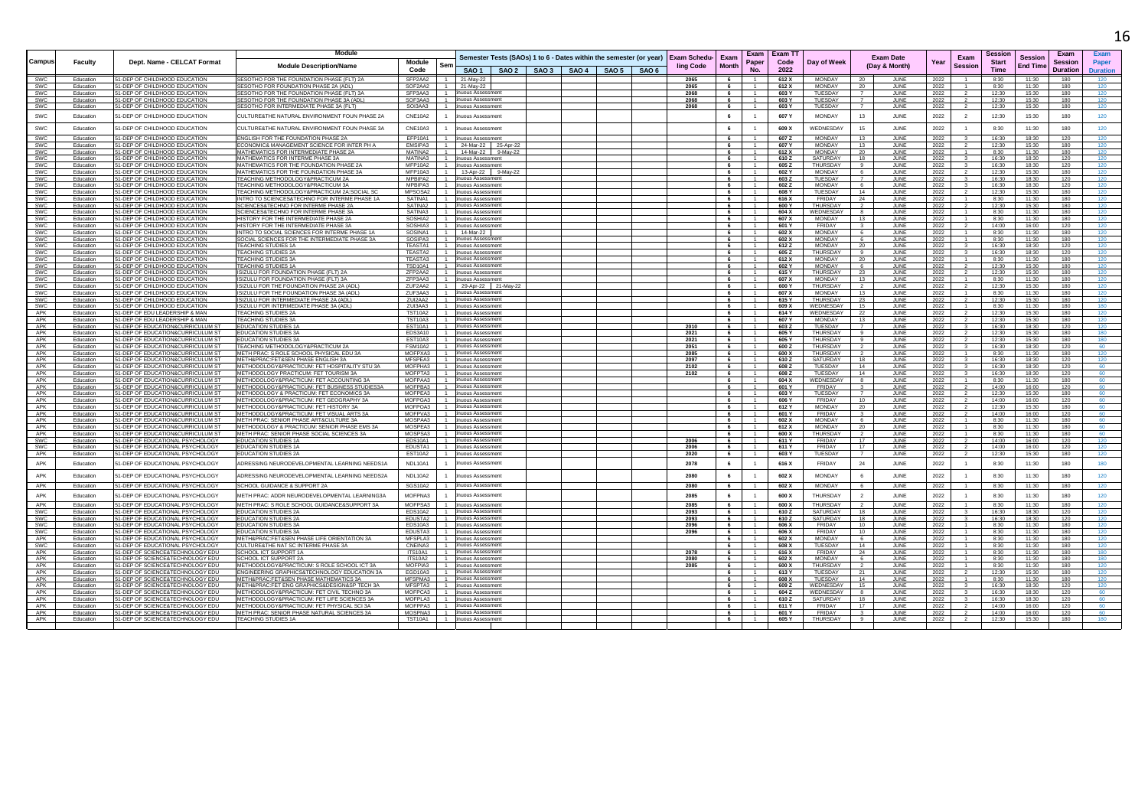|                   |                        |                                                                        | <b>Module</b>                                                                                           |                                                  |                                        |                                                                                 |  |              |                          |                        |                |                                   |                                               |              |                |                      |                 |                |                 |
|-------------------|------------------------|------------------------------------------------------------------------|---------------------------------------------------------------------------------------------------------|--------------------------------------------------|----------------------------------------|---------------------------------------------------------------------------------|--|--------------|--------------------------|------------------------|----------------|-----------------------------------|-----------------------------------------------|--------------|----------------|----------------------|-----------------|----------------|-----------------|
|                   |                        |                                                                        |                                                                                                         |                                                  |                                        | Semester Tests (SAOs) 1 to 6 - Dates within the semester (or year) Exam Schedu- |  |              | Exam                     | Exam                   | Exam T         |                                   | <b>Exam Date</b>                              |              | Exam           | sessior              | <b>Session</b>  | <b>F</b> xam   |                 |
| Campus            | Faculty                | Dept. Name - CELCAT Format                                             | <b>Module Description/Name</b>                                                                          | <b>Module</b><br>Sem                             |                                        |                                                                                 |  | ling Code    | <b>Month</b>             | Paper                  | Code           | Day of Week                       | (Day & Month)                                 | Year         | <b>Session</b> | <b>Start</b>         | <b>End Time</b> | <b>Session</b> | Paper           |
|                   |                        |                                                                        |                                                                                                         | Code                                             |                                        | SAO 1   SAO 2   SAO 3   SAO 4   SAO 5   SAO 6                                   |  |              |                          | <b>No</b>              | 2022           |                                   |                                               |              |                | <b>Time</b>          |                 | Duration       | <b>Duration</b> |
| <b>SWC</b>        | Education              | 51-DEP OF CHILDHOOD EDUCATION                                          | SESOTHO FOR THE FOUNDATION PHASE (FLT) 2A                                                               | SFP2AA2<br>$-1$                                  | 21-May-22                              |                                                                                 |  | 2065         | - 6                      | $-1$                   | 612 X          | <b>MONDAY</b>                     | 20<br>JUNE                                    | 2022         | $\mathbf{1}$   | 8:30                 | 11:30           | 180            | 120             |
| SWC               | Education              | 51-DEP OF CHILDHOOD EDUCATION                                          | <b>ESOTHO FOR FOUNDATION PHASE 2A (ADL)</b>                                                             | SOF2AA2                                          | 21-May-22<br>inuous Assessmer          |                                                                                 |  | 2065         |                          | $\overline{1}$         | 612 X          | MONDAY                            | 20<br>JUNE                                    | 2022         |                | 8:30                 | 11:30           | 180            | 120             |
| SWC<br>SWC        | Education<br>Education | 51-DEP OF CHILDHOOD EDUCATION<br>51-DEP OF CHILDHOOD EDUCATION         | SESOTHO FOR THE FOUNDATION PHASE (FLT) 3A<br>SESOTHO FOR THE FOUNDATION PHASE 3A (ADL)                  | SFP3AA3<br>SOF3AA3<br>$-1$                       | inuous Assessmen                       |                                                                                 |  | 2068<br>2068 | 6<br>6                   | 1                      | 603 Y<br>603 Y | TUESDAY<br>TUESDAY                | JUNE<br>$\overline{7}$<br>JUNE                | 2022<br>2022 | $\overline{2}$ | 12:30<br>12:30       | 15:30<br>15:30  | 180<br>180     | 120             |
| SWC               | Education              | 51-DEP OF CHILDHOOD EDUCATION                                          | SESOTHO FOR INTERMEDIATE PHASE 3A (FLT)                                                                 | SOI3AA3                                          | inuous Assessment                      |                                                                                 |  | 2068         | - 6                      | $\overline{1}$         | 603 Y          | TUESDAY                           | JUNE                                          | 2022         | 2              | 12:30                | 15:30           | 180            | 120             |
| SW <sub>C</sub>   | Education              | 51-DEP OF CHILDHOOD EDUCATION                                          | CULTURE&THE NATURAL ENVIRONMENT FOUN PHASE 2A                                                           | CNF10A2                                          | inuous Assessment                      |                                                                                 |  |              | 6                        | $\overline{1}$         | 607 Y          | <b>MONDAY</b>                     | 13<br>.II INF                                 | 2022         | $\overline{2}$ | 12:30                | 15:30           | 180            | 120             |
|                   |                        |                                                                        |                                                                                                         |                                                  |                                        |                                                                                 |  |              |                          |                        |                |                                   |                                               |              |                |                      |                 |                |                 |
| SWC<br><b>SWC</b> | Education              | 51-DEP OF CHILDHOOD EDUCATION<br>51-DEP OF CHILDHOOD EDUCATION         | CULTURE&THE NATURAL ENVIRONMENT FOUN PHASE 3A<br>FNGLISH FOR THE FOUNDATION PHASE 2A                    | CNF10A3<br>EFP10A1                               | nuous Assessmen<br>inuous Assessment   |                                                                                 |  |              | 6                        |                        | 609 X<br>607.7 | <b>WEDNESDAY</b><br><b>MONDAY</b> | 15<br>JUNE                                    | 2022         |                | 8:30                 | 11:30<br>18.30  | 180            | 120<br>120      |
| SWC               | Education<br>Education | 1-DEP OF CHILDHOOD EDUCATION                                           | CONOMIC& MANAGEMENT SCIENCE FOR INTER PH A                                                              | EMSIPA3                                          | 24-Mar-22<br>25-Apr-22                 |                                                                                 |  |              | -6                       | $-1$                   | 607 Y          | <b>MONDAY</b>                     | 13<br>JUNE<br>13<br>JUNE                      | 2022<br>2022 | $\mathbf{R}$   | 16:30<br>12:30       | 15:30           | 120<br>180     |                 |
| <b>SWC</b>        | Education              | 51-DEP OF CHILDHOOD EDUCATION                                          | MATHEMATICS FOR INTERMEDIATE PHASE 2A                                                                   | MATINA2<br>$-1$                                  | 14-Mar-22 9-May-22                     |                                                                                 |  |              | 6                        | $-1$                   | 612 X          | <b>MONDAY</b>                     | - 20<br>JUNE                                  | 2022         |                | 8:30                 | 11:30           | 180            | 120             |
| SWC               | Education              | 51-DEP OF CHILDHOOD EDUCATION                                          | MATHEMATICS FOR INTERME PHASE 3A                                                                        | MATINA3<br>$-1$                                  | inuous Assessment                      |                                                                                 |  |              | 6                        | $-1$                   | 610 Z          | SATURDAY                          | 18<br>JUNE                                    | 2022         | $\mathbf{R}$   | 16:30                | 18:30           | 120            | 120             |
| SWC               | Education              | 51-DEP OF CHILDHOOD EDUCATION                                          | MATHEMATICS FOR THE FOUNDATION PHASE 2A                                                                 | MFP10A2<br>$\overline{1}$                        | inuous Assessmen                       |                                                                                 |  |              | - 6                      | $\overline{1}$         | 605 Z          | <b>THURSDAY</b>                   | JUNE<br>-91                                   | 2022         |                | 16:30                | 18:30           | 120            | 120             |
| SWC               | Education              | 51-DEP OF CHILDHOOD EDUCATION                                          | MATHEMATICS FOR THE FOUNDATION PHASE 3A                                                                 | <b>MFP10A3</b><br>$-1$                           | 13-Apr-22 9-May-2                      |                                                                                 |  |              | 6                        | $\overline{1}$         | 602 Y          | <b>MONDAY</b>                     | JUNE<br>6                                     | 2022         |                | 12:30                | 15:30           | 180            | 120             |
| SWC               | Education              | 51-DEP OF CHILDHOOD EDUCATION                                          | <b>FEACHING METHODOLOGY&amp;PRACTICUM 2A</b>                                                            | MPBIPA2                                          | inuous Assessment                      |                                                                                 |  |              | - 6                      | $-1$                   | 603Z           | TUESDAY                           | .II INF                                       | 2022         |                | 16:30                | 18:30           | 120            | 120             |
| SWC               | Education              | 51-DEP OF CHILDHOOD EDUCATION                                          | <b>FEACHING METHODOLOGY&amp;PRACTICUM 3A</b>                                                            | MPBIPA3<br>$-1$                                  | inuous Assessment                      |                                                                                 |  |              | - 6                      | $-1$                   | 602 Z          | MONDAY                            | 6<br>JUNE                                     | 2022         |                | 16:30                | 18:30           | 120            | 120             |
| SWC<br><b>SWC</b> | Education<br>Education | 1-DEP OF CHILDHOOD EDUCATION<br>51-DEP OF CHILDHOOD EDUCATION          | <b>FEACHING METHODOLOGY&amp;PRACTICUM 2A:SOCIAL SO</b><br>INTRO TO SCIENCES&TECHNO FOR INTERME PHASE 1A | MPSOSA2<br>SATINA1<br>$-1$                       | uous Assessmen<br>inuous Assessment    |                                                                                 |  |              | - 6<br>6                 | $\overline{1}$         | 608 Y<br>616 X | TUESDAY<br>FRIDAY                 | 14<br>JUNE<br>24<br>.II INF                   | 2022<br>2022 | $\mathbf{1}$   | 12:30<br>8:30        | 15:30<br>11:30  | 180<br>180     | 120<br>120      |
| <b>SWC</b>        | Education              | 51-DEP OF CHILDHOOD EDUCATION                                          | SCIENCES&TECHNO FOR INTERME PHASE 2A                                                                    | SATINA2<br>$-1$                                  | inuous Assessment                      |                                                                                 |  |              |                          | $\overline{1}$         | 600 Y          | THURSDAY                          | $\overline{2}$<br>JUNE                        | 2022         |                | 12:30                | 15:30           | 180            | 120             |
| SWC               | Education              | 51-DEP OF CHILDHOOD EDUCATION                                          | SCIENCES&TECHNO FOR INTERME PHASE 3A                                                                    | SATINA3<br>$-1$                                  | inuous Assessment                      |                                                                                 |  |              | - 6                      | $\overline{1}$         | 604 X          | WEDNESDAY                         | JUNE                                          | 2022         |                | 8:30                 | 11:30           | 180            | 120             |
| SWC               | Education              | 51-DEP OF CHILDHOOD EDUCATION                                          | HISTORY FOR THE INTERMEDIATE PHASE 2A                                                                   | SOSHIA2<br>$-1$                                  | inuous Assessment                      |                                                                                 |  |              | 6                        | $\overline{1}$         | 607 X          | MONDAY                            | 13<br>JUNE                                    | 2022         |                | 8:30                 | 11:30           | 180            | 120             |
| SWC               | Education              | 51-DEP OF CHILDHOOD EDUCATION                                          | HISTORY FOR THE INTERMEDIATE PHASE 3A                                                                   | SOSHIA3                                          | inuous Assessment                      |                                                                                 |  |              | 6                        | $\overline{1}$         | 601 Y          | FRIDAY                            | JUNE<br>$\mathbf{3}$                          | 2022         | $\overline{z}$ | 14:00                | 16:00           | 120            | 120             |
| SWC               | Education              | 51-DEP OF CHILDHOOD EDUCATION                                          | INTRO TO SOCIAL SCIENCES FOR INTERME PHASE 1/                                                           | SOSINA1                                          | 14-Mar-22                              |                                                                                 |  |              |                          | $-1$                   | 602 X          | MONDAY                            | 6<br>JUNE                                     | 2022         |                | 8:30                 | 11:30           | 180            | 120             |
| SWC               | Education              | 51-DEP OF CHILDHOOD EDUCATION                                          | SOCIAL SCIENCES FOR THE INTERMEDIATE PHASE 3A                                                           | SOSIPA3                                          | inuous Assessmen                       |                                                                                 |  |              | - 6                      | $\overline{1}$         | 602 X          | <b>MONDAY</b>                     | JUNE<br>- 6                                   | 2022         |                | 8:30                 | 11:30           | 180            | 120             |
| SWC               | Education              | 51-DEP OF CHILDHOOD EDUCATION                                          | TEACHING STUDIES 1A                                                                                     | TEASTA1<br>$-1$                                  | inuous Assessment                      |                                                                                 |  |              | 6                        | $-1$                   | 612 Z          | <b>MONDAY</b>                     | 20<br>JUNE                                    | 2022         |                | 16:30                | 18:30           | 120            | 120             |
| SWC               | Education<br>Education | 51-DEP OF CHILDHOOD EDUCATION                                          | <b>TEACHING STUDIES 2A</b><br>TEACHING STUDIES 3A                                                       | TEASTA2<br>TFASTA3<br>$\sim$                     | inuous Assessmen<br>inuous Assessment  |                                                                                 |  |              | - 6<br>6                 | $\overline{1}$         | 605 Z          | <b>THURSDAY</b><br><b>MONDAY</b>  | JUNE                                          | 2022         | $\mathbf{1}$   | 16:30                | 18:30<br>11:30  | 120<br>180     | 120             |
| <b>SWC</b><br>SWC | Education              | 51-DEP OF CHILDHOOD EDUCATION<br>51-DEP OF CHILDHOOD EDUCATION         | <b>TEACHING STUDIES 1A</b>                                                                              | <b>TSD10A1</b><br>$-1$                           | nuous Assessmen                        |                                                                                 |  |              | 6                        | $\overline{1}$         | 612 X<br>602 Y | <b>MONDAY</b>                     | - 20<br>JUNE<br>6<br>JUNE                     | 2022<br>2022 |                | 8:30<br>12:30        | 15:30           | 180            | 120<br>120      |
| SWC               | Education              | 51-DEP OF CHILDHOOD EDUCATION                                          | ISIZULU FOR FOUNDATION PHASE (FLT) 2A                                                                   | ZFP2AA2<br>$-1$                                  | inuous Assessment                      |                                                                                 |  |              | -6                       | $-1$                   | 615 Y          | THURSDAY                          | 23<br>.II INF                                 | 2022         |                | 12.30                | 15:30           | 180            | 120             |
| SWC               | Education              | 51-DEP OF CHILDHOOD EDUCATION                                          | SIZULU FOR FOUNDATION PHASE (FLT) 3A                                                                    | ZFP3AA3<br>$-1$                                  | inuous Assessmen                       |                                                                                 |  |              | 6                        | $\overline{1}$         | 607 X          | MONDAY                            | 13<br>JUNE                                    | 2022         |                | 8:30                 | 11:30           | 180            | 120             |
| SWC               | Education              | 51-DEP OF CHILDHOOD EDUCATION                                          | SIZULU FOR THE FOUNDATION PHASE 2A (ADL                                                                 | ZUF2AA2<br>$-1$                                  | 29-Apr-22 21-May-2                     |                                                                                 |  |              | - 6                      | $-1$                   | 600 Y          | <b>THURSDAY</b>                   | JUNE                                          | 2022         |                | 12.30                | 15:30           | 180            | 120             |
| SWC               | Education              | 51-DEP OF CHILDHOOD EDUCATION                                          | SIZULU FOR THE FOUNDATION PHASE 3A (ADL                                                                 | ZUF3AA3                                          | nuous Assessment                       |                                                                                 |  |              |                          |                        | 607)           | <b>MONDAY</b>                     | 13<br>JUNE                                    | 2022         |                | 8:30                 | 11:30           | 180            |                 |
| <b>SWC</b>        | Education              | 51-DEP OF CHILDHOOD EDUCATION                                          | ISIZULU FOR INTERMEDIATE PHASE 2A (ADL)                                                                 | ZUI2AA2                                          | inuous Assessment                      |                                                                                 |  |              | - 6                      | $\overline{1}$         | 615 Y          | <b>THURSDAY</b>                   | 23<br>JUNE                                    | 2022         |                | 12:30                | 15:30           | 180            | 120             |
| <b>SWC</b>        | Education              | 51-DEP OF CHILDHOOD EDUCATION                                          | ISIZULU FOR INTERMEDIATE PHASE 3A (ADL)                                                                 | ZUI3AA3<br>1                                     | inuous Assessment                      |                                                                                 |  |              | -6                       | $-1$                   | 609 X          | WEDNESDAY                         | 15<br>JUNE                                    | 2022         |                | 8:30                 | 11:30           | 180            | 180             |
| APK               | Education              | 1-DEP OF EDU LEADERSHIP & MAN                                          | <b>FEACHING STUDIES 2A</b>                                                                              | <b>TST10A2</b>                                   | nuous Assessmen                        |                                                                                 |  |              | 6                        |                        | 614 Y          | WEDNESDAY                         | JUNE<br>22                                    | 2022         |                | 12:30                | 15:30           | 180            | 120<br>120      |
| APK<br>APK        | Education<br>Education | 51-DEP OF EDU LEADERSHIP & MAN<br>51-DEP OF EDUCATION&CURRICULUM ST    | <b>TEACHING STUDIES 3A</b><br><b>EDUCATION STUDIES 1A</b>                                               | <b>TST10A3</b><br>$-1$<br><b>FST10A1</b><br>$-1$ | inuous Assessment<br>inuous Assessmen  |                                                                                 |  | 2010         | 6<br>6                   | $-1$<br>$\overline{1}$ | 607 Y<br>603Z  | <b>MONDAY</b><br>TUESDAY          | 13<br>JUNE<br>$\overline{7}$<br>JUNE          | 2022<br>2022 | $\mathbf{3}$   | 12:30<br>16:30       | 15:30<br>18:30  | 180<br>120     | 120             |
| APK               | Education              | 51-DEP OF EDUCATION&CURRICULUM ST                                      | <b>EDUCATION STUDIES 3A</b>                                                                             | EDS3A10                                          | inuous Assessment                      |                                                                                 |  | 2021         | - 6                      | $\overline{1}$         | 605 Y          | <b>THURSDAY</b>                   | $\overline{9}$<br>JUNE                        | 2022         |                | 12:30                | 15:30           | 180            | 180             |
| APK               | Education              | 51-DEP OF EDUCATION&CURRICULUM ST                                      | <b>EDUCATION STUDIES 3A</b>                                                                             | <b>EST10A3</b>                                   | nuous Assessment                       |                                                                                 |  | 2021         | 6                        | $\overline{1}$         | 605 Y          | THURSDAY                          | $\overline{9}$<br>JUNE                        | 2022         |                | 12:30                | 15:30           | 180            |                 |
| APK               | Education              | 51-DEP OF EDUCATION&CURRICULUM ST                                      | TEACHING METHODOLOGY&PRACTICUM 2A                                                                       | FSM10A2<br>$\overline{1}$                        | inuous Assessment                      |                                                                                 |  | 2051         | 6                        | $-1$                   | 600 Z          | THURSDAY                          | $\overline{2}$<br>.II INF                     | 2022         | $\mathbf{R}$   | 16:30                | 18:30           | 120            | 60              |
| APK               | Education              | 51-DEP OF EDUCATION&CURRICULUM S'                                      | METH PRAC: S ROLE SCHOOL PHYSICAL EDU 3/                                                                | MOFPXA3<br>$-1$                                  | inuous Assessment                      |                                                                                 |  | 2085         | 6                        | $\overline{1}$         | 600 X          | THURSDAY                          | JUNE                                          | 2022         |                | 8:30                 | 11:30           | 180            | 120             |
| APK               | Education              | 51-DEP OF EDUCATION&CURRICULUM S'                                      | METH&PRAC:FET&SEN PHASE ENGLISH 3A                                                                      | MFSPEA3                                          | nuous Assessmen                        |                                                                                 |  | 2097         | 6                        |                        | 610Z           | SATURDAY                          | JUNE<br>- 18                                  | 2022         |                | 16:30                | 18:30           | 120            | 120             |
| APK               | Education              | 51-DEP OF EDUCATION&CURRICULUM ST                                      | METHODOLOGY&PRACTICUM: FET HOSPITALITY STU 3A                                                           | <b>MOEPHA3</b><br>$\mathbf{1}$                   | inuous Assessment                      |                                                                                 |  | 2102         | 6                        | $-1$                   | 608 Z          | TUESDAY                           | 14<br>.II INF                                 | 2022         | $\mathbf{3}$   | 16:30                | 18:30           | 120            | 60.             |
| APK<br>APK        | Education<br>Education | 51-DEP OF EDUCATION&CURRICULUM ST                                      | METHODOLOGY PRACTICUM: FET TOURISM 3A                                                                   | MOFPTA3 1<br>MOFPAA3                             | inuous Assessment                      |                                                                                 |  | 2102         | 6                        | 1<br>$-1$              | 608 Z<br>604 X | TUESDAY                           | 14<br>JUNE                                    | 2022         | $\mathbf{3}$   | 16:30                | 18:30<br>11:30  | 120<br>180     | 60<br>60        |
| APK               | Education              | 51-DEP OF EDUCATION&CURRICULUM ST<br>51-DEP OF EDUCATION&CURRICULUM ST | METHODOLOGY&PRACTICUM: FET ACCOUNTING 3A<br>METHODOLOGY&PRACTICUM: FET BUSINESS STUDIES3A               | MOFPBA3                                          | inuous Assessment<br>inuous Assessmen  |                                                                                 |  |              | - 6                      |                        | 601 Y          | WEDNESDAY<br>FRIDAY               | JUNE<br>-8<br>JUNE                            | 2022<br>2022 |                | 8:30<br>14:00        | 16:00           | 120            |                 |
| APK               | Education              | 51-DEP OF EDUCATION&CURRICULUM ST                                      | METHODOLOGY & PRACTICUM: FET ECONOMICS 3A                                                               | MOFPEA3<br>$-1$                                  | inuous Assessment                      |                                                                                 |  |              | 6                        | $\blacksquare$         | 603 Y          | TUESDAY                           | $\overline{7}$<br>JUNE                        | 2022         |                | 12:30                | 15:30           | 180            | 60              |
| APK               | Education              | 51-DEP OF EDUCATION&CURRICULUM S'                                      | METHODOLOGY&PRACTICUM: FET GEOGRAPHY 3A                                                                 | MOFPGA3                                          | inuous Assessment                      |                                                                                 |  |              |                          | $\overline{1}$         | 606 Y          | FRIDAY                            | 10<br>JUNE                                    | 2022         |                | 14:00                | 16:00           | 120            | 60              |
| APK               | Education              | 51-DEP OF EDUCATION&CURRICULUM S'                                      | METHODOLOGY&PRACTICUM: FET HISTORY 3A                                                                   | MOFPOA3                                          | inuous Assessmen                       |                                                                                 |  |              | 6                        | $\overline{1}$         | 612 Y          | MONDAY                            | JUNE<br>20                                    | 2022         |                | 12:30                | 15:30           | 180            | 60              |
| APK               | Education              | 51-DEP OF EDUCATION&CURRICULUM ST                                      | METHODOLOGY&PRACTICUM: FET VISUAL ARTS 3A                                                               | MOFPVA3<br>$-1$                                  | inuous Assessment                      |                                                                                 |  |              | 6                        | $-1$                   | 601 Y          | <b>FRIDAY</b>                     | $\overline{3}$<br>JUNE                        | 2022         |                | 14:00                | 16:00           | 120            | 60              |
| APK               | Education              | 1-DEP OF EDUCATION&CURRICULUM S'                                       | METH PRAC: SENIOR PHASE ART&CULTURE 3A                                                                  | MOSPAA3                                          | inuous Assessment                      |                                                                                 |  |              | - 6                      |                        | 602 X          | <b>MONDAY</b>                     | JUNE<br>- 6                                   | 2022         |                | 8:30                 | 11:30           | 180            | 60              |
| APK               | Education              | 51-DEP OF EDUCATION&CURRICULUM ST                                      | METHODOLOGY & PRACTICUM: SENIOR PHASE EMS 3A                                                            | MOSPEA3<br>$\overline{1}$                        | inuous Assessment                      |                                                                                 |  |              | - 6                      | $\overline{1}$         | 612 X          | MONDAY                            | 20<br>JUNE                                    | 2022         | $\mathbf{1}$   | 8:30                 | 11:30           | 180            | 60              |
| APK               | Education              | 1-DEP OF EDUCATION&CURRICULUM ST                                       | METH PRAC: SENIOR PHASE SOCIAL SCIENCES 3A                                                              | MOSPSA3<br>$-1$                                  | nuous Assessmen                        |                                                                                 |  |              | 6                        | $\overline{1}$<br>$-1$ | 600 X          | THURSDAY                          | $\overline{2}$<br>JUNE                        | 2022         |                | 8:30                 | 11:30           | 180            | 60<br>120       |
| SWC<br>SWC        | Education<br>Education | 51-DEP OF EDUCATIONAL PSYCHOLOGY<br>51-DEP OF EDUCATIONAL PSYCHOLOGY   | <b>FDUCATION STUDIES 1A</b><br><b>EDUCATION STUDIES 1A</b>                                              | FDS10A1<br>EDUSTA1<br>$-1$                       | inuous Assessment<br>inuous Assessment |                                                                                 |  | 2006<br>2006 | -6<br>6                  | $\overline{1}$         | 611 Y<br>611 Y | <b>FRIDAY</b><br>FRIDAY           | 17<br>JUNE<br>17<br>JUNE                      | 2022<br>2022 |                | 14:00<br>14:00       | 16:00<br>16:00  | 120<br>120     | 120             |
| APK               | Education              | 51-DEP OF EDUCATIONAL PSYCHOLOGY                                       | <b>FDUCATION STUDIES 2A</b>                                                                             | <b>FST10A2</b><br>$-1$                           | inuous Assessment                      |                                                                                 |  | 2020         | - 6                      | 1                      | 603 Y          | TUESDAY                           | $\overline{7}$<br>JUNE                        | 2022         |                | 12:30                | 15:30           | 180            | 120             |
| APK               | Education              | 51-DEP OF EDUCATIONAL PSYCHOLOGY                                       | ADRESSING NEURODEVELOPMENTAL LEARNING NEEDS14                                                           | <b>NDI 10A1</b>                                  | inuous Assessmen                       |                                                                                 |  | 2078         | 6                        | $\overline{1}$         | 616 X          | <b>FRIDAY</b>                     | 24<br>JUNE                                    | 2022         | $\overline{1}$ | 8:30                 | 11:30           | 180            | 180             |
| APK               | Education              | 1-DEP OF EDUCATIONAL PSYCHOLOGY                                        | ADRESSING NEURODEVELOPMENTAL LEARNING NEEDS2A                                                           | <b>NDL10A2</b>                                   | uous Assessment                        |                                                                                 |  | 2080         | 6                        |                        | 602 X          | <b>MONDAY</b>                     | 6<br>JUNE                                     | 2022         | $\overline{1}$ | 8:30                 | 11:30           | 180            | 120             |
| APK               | Education              | 51-DEP OF EDUCATIONAL PSYCHOLOGY                                       | SCHOOL GUIDANCE & SUPPORT 2A                                                                            | SGS10A2                                          | inuous Assessment                      |                                                                                 |  | 2080         | 6                        | 1                      | 602 X          | <b>MONDAY</b>                     | -6<br>JUNE                                    | 2022         | $\overline{1}$ | 8:30                 | 11:30           | 180            | 120             |
| APK               | Education              | 1-DEP OF EDUCATIONAL PSYCHOLOGY                                        | METH PRAC: ADDR NEURODEVELOPMENTAL LEARNING3A                                                           | MOFPNA3                                          | uous Assessment                        |                                                                                 |  | 2085         | 6                        |                        | 600 X          | <b>THURSDAY</b>                   | $\overline{2}$<br>JUNE                        | 2022         | $\overline{1}$ | 8:30                 | 11:30           | 180            | 120             |
| <b>APK</b>        | Education              | 51-DEP OF EDUCATIONAL PSYCHOLOGY                                       | METH PRAC: S ROLE SCHOOL GUIDANCE&SUPPORT 3A                                                            | <b>MOEPSA3</b>                                   | inuous Assessment                      |                                                                                 |  | 2085         | 6                        | $-1$                   | 600 Y          | THLIRSDAY                         | .II INF<br>$\overline{2}$                     | 2022         | $\overline{1}$ | 8:30                 | 11.30           | 180            | 120             |
| SWC               | Education              | 1-DEP OF EDUCATIONAL PSYCHOLOGY                                        | <b>EDUCATION STUDIES 2A</b>                                                                             | EDS10A2                                          | uous Assessment                        |                                                                                 |  | 2093         | 6                        |                        | 610Z           | SATURDAY                          | 18<br>JUNE                                    | 2022         |                | 16:30                | 18:30           | 120            | 120             |
| SWC               | Education              | 51-DEP OF EDUCATIONAL PSYCHOLOGY                                       | <b>EDUCATION STUDIES 2A</b>                                                                             | EDUSTA2<br>$-1$                                  | nuous Assessment                       |                                                                                 |  | 2093         | 6                        | $\overline{1}$         | 610Z           | SATURDAY                          | 18<br>JUNE                                    | 2022         |                | 16:30                | 18:30           | 120            | 120             |
| <b>SWC</b>        | Education              | 51-DEP OF EDUCATIONAL PSYCHOLOG'                                       | <b>EDUCATION STUDIES 3A</b>                                                                             | EDS10A3                                          | inuous Assessmen                       |                                                                                 |  | 2096         | 6                        | $\overline{1}$         | 606 X          | FRIDAY                            | 10<br>JUNE                                    | 2022         |                | 8:30                 | 11:30           | 180            | 120             |
| <b>SWC</b>        | Education              | 51-DEP OF EDUCATIONAL PSYCHOLOGY                                       | <b>EDUCATION STUDIES 3A</b>                                                                             | EDUSTA3<br>$-1$                                  | inuous Assessment                      |                                                                                 |  | 2096         | - 6                      | $\overline{1}$         | 606 X          | <b>FRIDAY</b>                     | $10^{-1}$<br>JUNE                             | 2022         |                | 8:30                 | 11:30           | 180            | 120             |
| APK               | Education              | 51-DEP OF EDUCATIONAL PSYCHOLOGY                                       | METH&PRAC:FET&SEN PHASE LIFE ORIENTATION 3A                                                             | MFSPLA3                                          | nuous Assessment                       |                                                                                 |  |              | 6                        | $\overline{1}$         | 602 X          | <b>MONDAY</b>                     | - 6<br>JUNE                                   | 2022         |                | 8:30                 | 11:30           | 180            | 120             |
| SW <sub>C</sub>   | Education              | 51-DEP OF EDUCATIONAL PSYCHOLOGY                                       | CULTURESTHE NAT SC INTERME PHASE 3A                                                                     | CNEINA3<br>$-1$                                  | inuous Assessment                      |                                                                                 |  |              | 6                        | $-1$                   | 608 X          | TUESDAY                           | 14<br>.II INF                                 | 2022         |                | 8:30                 | 11:30           | 180            | 120             |
| APK               | Education              | 51-DEP OF SCIENCE&TECHNOLOGY EDU                                       | SCHOOL ICT SUPPORT 1A                                                                                   | <b>ITS10A1</b><br>$-1$                           | inuous Assessment<br>nuous Assessmen   |                                                                                 |  | 2078         | 6                        | $-1$                   | 616 X          | <b>FRIDAY</b>                     | 24<br>JUNE                                    | 2022         |                | 8:30                 | 11:30           | 180            | 180             |
| APK<br>APK        | Education<br>Education | 51-DEP OF SCIENCE&TECHNOLOGY EDU<br>51-DEP OF SCIENCESTECHNOLOGY EDLI  | SCHOOL ICT SUPPORT 2A<br>METHODOLOGY&PRACTICUM: S.ROLE SCHOOLICT 3A                                     | <b>ITS10A2</b><br><b>MOEPIA3</b><br>$-1$         | inuous Assessment                      |                                                                                 |  | 2080<br>2085 | 6<br>6 <sup>1</sup>      | $-1$                   | 602 X<br>600 X | <b>MONDAY</b><br>THLIRSDAY        | JUNE<br>- 6<br>$\overline{2}$<br><b>ILINE</b> | 2022<br>2022 | $\mathbf{1}$   | 8:30<br>$R \cdot 30$ | 11:30<br>11.30  | 180<br>180     | 180<br>120      |
| APK               | Education              | 51-DEP OF SCIENCE&TECHNOLOGY EDU                                       | ENGINEERING GRAPHICS&TECHNOLOGY EDUCATION 3A                                                            | EGD10A3                                          | inuous Assessment                      |                                                                                 |  |              | $\overline{\phantom{a}}$ | $\mathbf{1}$           | 613 Y          | TUESDAY                           | 21<br>JUNE                                    | 2022         |                | 12:30                | 15:30           | 180            | 120             |
| APK               | Education              | 51-DEP OF SCIENCE&TECHNOLOGY EDU                                       | METH&PRAC:FET&SEN PHASE MATHEMATICS 3A                                                                  | MESPMA3<br>$-1$                                  | inuous Assessment                      |                                                                                 |  |              | 6                        | $-1$                   | 608 X          | TUESDAY                           | 14<br>JUNE                                    | 2022         |                | 8:30                 | 11:30           | 180            | 120             |
| APK               | Education              | 51-DEP OF SCIENCE&TECHNOLOGY EDU                                       | <b>METH&amp;PRAC: FET ENG GRAPHICS&amp;DESIGN&amp;SP TECH 3A</b>                                        | MESPTA3                                          | inuous Assessmen                       |                                                                                 |  |              |                          |                        | 609Z           | WEDNESDAY                         | 15<br>JUNE                                    | 2022         |                | 16:30                | 18:30           | 120            | 120             |
| APK               | Education              | 51-DEP OF SCIENCE&TECHNOLOGY EDU                                       | METHODOLOGY&PRACTICUM: FET CIVIL TECHNO 3A                                                              | MOFPCA3<br>$\overline{1}$                        | inuous Assessment                      |                                                                                 |  |              | - 6                      | $-1$                   | 604 Z          | WEDNESDAY                         | JUNE                                          | 2022         |                | 16:30                | 18:30           | 120            | 60              |
| APK               | Education              | 11-DEP OF SCIENCE&TECHNOLOGY EDU                                       | METHODOLOGY&PRACTICUM: FET LIFE SCIENCES 3/                                                             | MOFPLA3                                          | nuous Assessmen                        |                                                                                 |  |              |                          |                        | 610Z           | SATURDAY                          | 18<br>JUNE                                    | 2022         |                | 16:30                | 18:30           | 120            | 60              |
| APK               | Education              | 51-DEP OF SCIENCE&TECHNOLOGY EDU                                       | METHODOLOGY&PRACTICUM: FET PHYSICAL SCI 3A                                                              | MOFPPA3                                          | nuous Assessment                       |                                                                                 |  |              | - 6                      | $\overline{1}$         | 611 Y          | FRIDAY                            | 17<br>JUNE                                    | 2022         |                | 14:00                | 16:00           | 120            | 60              |
| APK               | Education              | 51-DEP OF SCIENCE&TECHNOLOGY EDU                                       | METH PRAC: SENIOR PHASE NATURAL SCIENCES 3A                                                             | MOSPNA3<br>$-1$<br><b>TST10A1</b>                | nuous Assessment                       |                                                                                 |  |              | 6                        | $-1$<br>1              | 601 Y          | <b>ERIDAY</b>                     | $\overline{3}$<br>JUNE                        | 2022         |                | 14:00                | 16:00           | 120            | 60<br>180       |
| APK               | Education              | 51-DEP OF SCIENCE&TECHNOLOGY EDU                                       | TEACHING STUDIES 1A                                                                                     |                                                  | inuous Assessment                      |                                                                                 |  |              | 6                        |                        | 605 Y          | THURSDAY                          | JUNE<br>-91                                   | 2022         |                | 12:30                | 15:30           | 180            |                 |
|                   |                        |                                                                        |                                                                                                         |                                                  |                                        |                                                                                 |  |              |                          |                        |                |                                   |                                               |              |                |                      |                 |                |                 |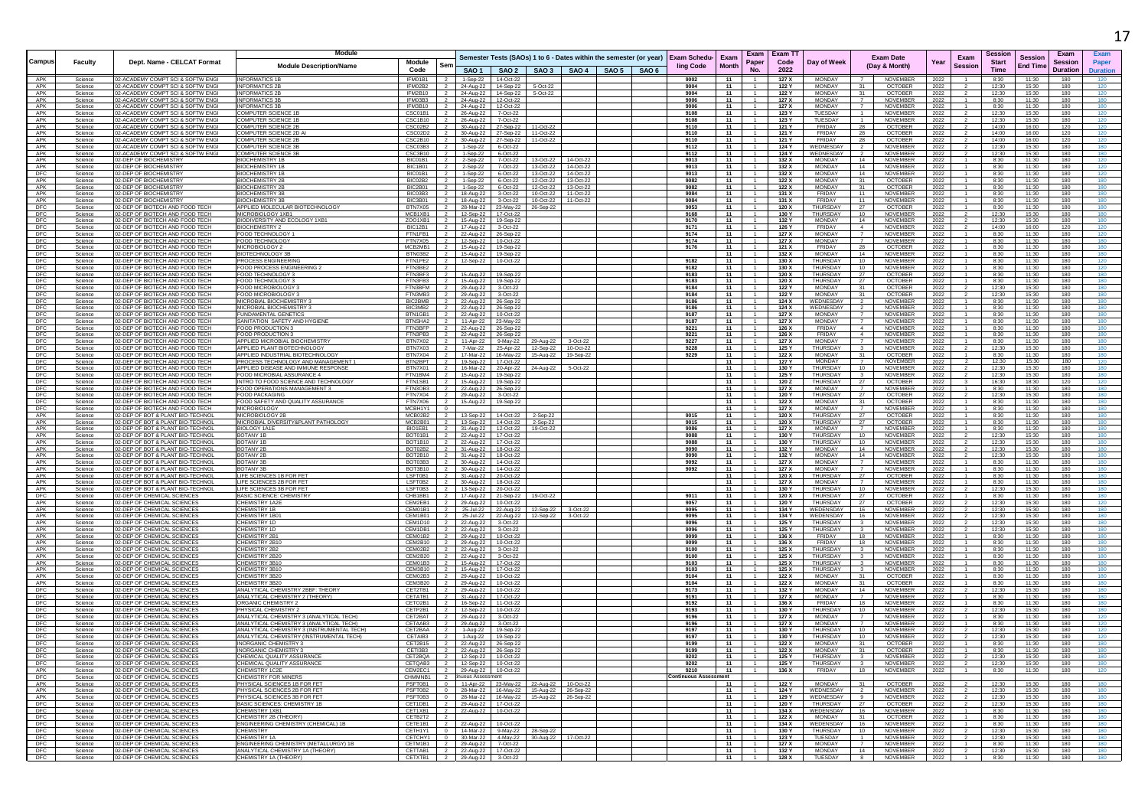|                                 |                    |                                                                       | Module                                                                                 |                                                                                                                    |                         |                              |                                                     |                        |                                                                    |  |                                  |                      |                | Exam Exam TT   |                                |                                                   |              |                 | Session        |                                   | Exam            |            |
|---------------------------------|--------------------|-----------------------------------------------------------------------|----------------------------------------------------------------------------------------|--------------------------------------------------------------------------------------------------------------------|-------------------------|------------------------------|-----------------------------------------------------|------------------------|--------------------------------------------------------------------|--|----------------------------------|----------------------|----------------|----------------|--------------------------------|---------------------------------------------------|--------------|-----------------|----------------|-----------------------------------|-----------------|------------|
| Campus                          | Faculty            | Dept. Name - CELCAT Format                                            | <b>Module Description/Name</b>                                                         | Module                                                                                                             | Ser                     |                              |                                                     |                        | Semester Tests (SAOs) 1 to 6 - Dates within the semester (or year) |  | <b>Exam Schedu-</b><br>ling Code | Exam<br><b>Month</b> | Paper          | Code           | Day of Week                    | <b>Exam Date</b><br>(Day & Month)                 | Year         | Exam<br>Session | <b>Start</b>   | <b>Session</b><br><b>End Time</b> | <b>Session</b>  | Paper      |
|                                 |                    |                                                                       |                                                                                        | Code                                                                                                               |                         |                              |                                                     |                        | SAO 1   SAO 2   SAO 3   SAO 4   SAO 5   SAO 6                      |  |                                  |                      | No.            | 2022           |                                |                                                   |              |                 | <b>Time</b>    |                                   | <b>Duration</b> | Duration   |
| APK<br>APK                      | Science<br>Science | 2-ACADEMY COMPT SCI & SOFTW ENGI<br>2-ACADEMY COMPT SCI & SOFTW ENGI  | <b>INFORMATICS 1B</b><br><b>INFORMATICS 2B</b>                                         | IFM01B1<br>IFM02B2                                                                                                 |                         |                              | 1-Sep-22 14-Oct-22<br>24-Aug-22 14-Sep-22           | 5-Oct-22               |                                                                    |  | 9002<br>9004                     | 11<br>11             |                | 127 X<br>122 Y | <b>MONDAY</b><br><b>MONDAY</b> | <b>NOVEMBER</b><br><b>OCTOBER</b>                 | 2022<br>2022 |                 | 8:30<br>12:30  | 11:30<br>15:30                    | 180<br>180      |            |
| APK                             | Science            | 2-ACADEMY COMPT SCI & SOFTW ENGI                                      | <b>INFORMATICS 2B</b>                                                                  | IFM2B10                                                                                                            | $\overline{2}$          |                              | 24-Aug-22 14-Sep-22                                 | 5-Oct-22               |                                                                    |  | 9004                             | 11                   |                | 122 Y          | <b>MONDAY</b>                  | <b>OCTOBER</b><br>31                              | 2022         |                 | 12:30          | 15:30                             | 180             | 120        |
| APK<br>APK                      | Science<br>Science | 2-ACADEMY COMPT SCI & SOFTW ENGI<br>2-ACADEMY COMPT SCI & SOFTW ENGI  | <b>INFORMATICS 3B</b><br><b>INFORMATICS 3P</b>                                         | IFM03B3<br>IFM3B10 2                                                                                               |                         |                              | 24-Aug-22 12-Oct-22                                 |                        |                                                                    |  | 9006<br>9006                     | 11<br>11             |                | 127 X<br>127 X | <b>MONDAY</b><br><b>MONDAY</b> | <b>NOVEMBER</b><br><b>NOVEMBER</b>                | 2022         |                 | 8:30<br>8:30   | 11:30<br>11:30                    | 180<br>180      | 180<br>180 |
| APK                             | Science            | 2-ACADEMY COMPT SCI & SOFTW ENG                                       | OMPUTER SCIENCE 1B                                                                     | CSC01B1                                                                                                            |                         |                              | 24-Aug-22 12-Oct-22<br>26-Aug-22 7-Oct-22           |                        |                                                                    |  | 9108                             | 11                   |                | 123 Y          | TUESDAY                        | NOVEMBER                                          | 2022<br>2022 |                 | 12:30          | 15:30                             | 180             |            |
| APK                             | Science            | 02-ACADEMY COMPT SCI & SOFTW ENGI                                     | <b>COMPUTER SCIENCE 1B</b>                                                             | CSC1B10 2                                                                                                          |                         |                              | 26-Aug-22 7-Oct-22                                  |                        |                                                                    |  | 9108                             | 11                   |                | 123 Y          | TUESDAY                        | <b>NOVEMBER</b>                                   | 2022         |                 | 12:30          | 15:30                             | 180             |            |
| APK<br>APK                      | Science<br>Science | 2-ACADEMY COMPT SCI & SOFTW ENGI<br>2-ACADEMY COMPT SCI & SOFTW ENG   | COMPUTER SCIENCE 2B<br>COMPUTER SCIENCE 2D A                                           | $\begin{array}{ c c c c }\hline \text{CSC02B2} & \text{2} \\\hline \text{CSC02D2} & \text{2} \\\hline \end{array}$ |                         |                              | 30-Aug-22 27-Sep-22<br>30-Aug-22 27-Sep-22          | 11-Oct-22<br>11-Oct-22 |                                                                    |  | 9110<br>9110                     | 11<br>11             |                | 121 Y<br>121 Y | FRIDAY<br>FRIDAY               | <b>OCTOBER</b><br>28<br>OCTOBER<br>28             | 2022<br>2022 |                 | 14:00<br>14:00 | 16:00<br>16:00                    | 120<br>120      |            |
| APK                             | Science            | 12-ACADEMY COMPT SCI & SOFTW ENG                                      | <b>COMPUTER SCIENCE 2B</b>                                                             | CSC2B10 2                                                                                                          |                         |                              | 30-Aug-22 27-Sep-22                                 | 11-Oct-22              |                                                                    |  | 9110                             | 11                   |                | 121 Y          | FRIDAY                         | OCTOBER<br>28                                     | 2022         |                 | 14:00          | 16:00                             | 120             |            |
| APK<br>APK                      | Science<br>Science | 2-ACADEMY COMPT SCL& SOFTW ENGL<br>2-ACADEMY COMPT SCI & SOFTW ENGI   | OMPUTER SCIENCE 3B<br>OMPUTER SCIENCE 3B                                               | $CSC03B3$ $2$<br>CSC3B10 2                                                                                         |                         |                              | 1-Sep-22 6-Oct-22                                   |                        |                                                                    |  | 9112<br>9112                     | 11<br>11             |                | 124 Y<br>124 Y | WEDNESDAY<br>WEDNESDAY         | NOVEMBER<br>NOVEMBER                              | 2022<br>2022 |                 | 12.30<br>12:30 | 15:30<br>15:30                    | 180<br>180      |            |
| APK                             | Science            | 02-DEP OF BIOCHEMISTRY                                                | <b>BIOCHEMISTRY 1B</b>                                                                 | BIC01B1 2                                                                                                          |                         |                              | 1-Sep-22 6-Oct-22<br>2-Sep-22 7-Oct-22              |                        | 13-Oct-22  14-Oct-22                                               |  | 9013                             | 11                   |                | 132 X          | MONDAY                         | <b>NOVEMBER</b><br>14                             | 2022         |                 | 8:30           | 11:30                             | 180             | 120        |
| APK                             | Science            | 2-DEP OF BIOCHEMISTRY                                                 | <b>BIOCHEMISTRY 1E</b>                                                                 | BIC1B01 2                                                                                                          |                         |                              | 2-Sep-22 7-Oct-22                                   |                        | 13-Oct-22 14-Oct-22                                                |  | 9013                             | 11                   |                | 132 X          | <b>MONDAY</b>                  | 14<br>NOVEMBER                                    | 2022         |                 | 8:30           | 11:30                             | 180             | 120        |
| DFC<br>APK                      | Science<br>Science | 2-DEP OF BIOCHEMISTRY<br>2-DEP OF BIOCHEMISTRY                        | <b>BIOCHEMISTRY 1B</b><br><b>BIOCHEMISTRY 2B</b>                                       | BIC01B1<br>BIC02B2                                                                                                 | $\overline{2}$          |                              | 1-Sep-22 6-Oct-22<br>1-Sep-22 6-Oct-22              |                        | 13-Oct-22 14-Oct-22<br>12-Oct-22  13-Oct-22                        |  | 9013<br>9082                     | 11<br>11             |                | 132 X<br>122 X | <b>MONDAY</b><br><b>MONDAY</b> | 14<br>NOVEMBER<br>31<br><b>OCTOBER</b>            | 2022<br>2022 |                 | 8:30<br>8:30   | 11:30<br>11:30                    | 180<br>180      | 180        |
| APK                             | Science            | 2-DEP OF BIOCHEMISTRY                                                 | <b>BIOCHEMISTRY 2B</b>                                                                 | BIC2B01 2                                                                                                          |                         |                              | 1-Sep-22 6-Oct-22                                   |                        | 12-Oct-22 13-Oct-22                                                |  | 9082                             | 11                   |                | 122 X          | <b>MONDAY</b>                  | 31<br>OCTOBER                                     | 2022         |                 | 8:30           | 11:30                             | 180             | 180        |
| APK<br>APK                      | Science<br>Science | <b>-DEP OF BIOCHEMISTRY</b><br>02-DEP OF BIOCHEMISTRY                 | <b>BIOCHEMISTRY 3B</b><br><b>BIOCHEMISTRY 3E</b>                                       | BIC03B3<br>BIC3B01                                                                                                 | $\overline{2}$          |                              | 18-Aug-22 3-Oct-22<br>18-Aug-22 3-Oct-22            |                        | 10-Oct-22 11-Oct-22<br>10-Oct-22 11-Oct-22                         |  | 9084<br>9084                     | 11<br>11             |                | 131 X<br>131 X | FRIDAY<br>FRIDAY               | 11<br>NOVEMBER<br>11<br>NOVEMBER                  | 2022<br>2022 |                 | 8:30<br>8:30   | 11:30<br>11:30                    | 180<br>180      | 180<br>180 |
| DFC                             | Science            | -DEP OF BIOTECH AND FOOD TECH                                         | APPLIED MOLECULAR BIOTECHNOLOG                                                         | BTN7X05 2                                                                                                          |                         |                              | 28-Mar-22 23-May-22                                 | 26-Sep-22              |                                                                    |  | 9053                             | 11                   |                | 120 X          | <b>THURSDAY</b>                | 27<br><b>OCTOBER</b>                              | 2022         |                 | 8:30           | 11:30                             | 180             |            |
| DFC                             | Science            | 2-DEP OF BIOTECH AND FOOD TECH                                        | MICROBIOLOGY 1XB1                                                                      | $MCB1XB1$ 2                                                                                                        |                         |                              | 12-Sep-22 17-Oct-22                                 |                        |                                                                    |  | 9168                             | 11                   |                | 130 Y          | <b>THURSDAY</b>                | 10 <sup>1</sup><br><b>NOVEMBER</b>                | 2022         |                 | 12:30          | 15:30                             | 180             | 180        |
|                                 | Science<br>Science | 2-DEP OF BIOTECH AND FOOD TECH<br>2-DEP OF BIOTECH AND FOOD TECH      | BIODIVERSITY AND ECOLOGY 1XB<br><b>BIOCHEMISTRY 2</b>                                  | ZOO1XB1 2<br>BIC12B1 2                                                                                             |                         |                              | 15-Aug-22  19-Sep-22<br>17-Aug-22 3-Oct-22          |                        |                                                                    |  | 9170<br>9171                     | 11<br>11             |                | 132 Y<br>126 Y | MONDAY<br>FRIDAY               | 14<br>NOVEMBER<br><b>NOVEMBER</b><br>$\sim$       | 2022<br>2022 |                 | 12:30<br>14:00 | 15:30<br>16:00                    | 180<br>120      | 120        |
| $\frac{\text{DFC}}{\text{DFC}}$ | Science            | 2-DEP OF BIOTECH AND FOOD TECH                                        | FOOD TECHNOLOGY                                                                        | FTN1FB1                                                                                                            | $\overline{\mathbf{2}}$ |                              | 22-Aug-22 26-Sep-22                                 |                        |                                                                    |  | 9174                             | 11                   |                | 127X           | <b>MONDAY</b>                  | <b>NOVEMBER</b>                                   | 2022         |                 | 8:30           | 11:30                             | 180             |            |
| DFC                             | Science<br>Science | 2-DEP OF BIOTECH AND FOOD TECH<br>2-DEP OF BIOTECH AND FOOD TECH      | FOOD TECHNOLOGY<br>MICROBIOLOGY 2                                                      | FTN7X05<br>$MCB2MB1$ 2                                                                                             | $\overline{2}$          |                              | 12-Sep-22 10-Oct-22<br>15-Aug-22 19-Sep-22          |                        |                                                                    |  | 9174<br>9176                     | 11<br>11             |                | 127 X<br>121X  | <b>MONDAY</b><br>FRIDAY        | <b>NOVEMBER</b><br><b>OCTOBER</b><br>28           | 2022<br>2022 |                 | 8:30<br>8:30   | 11:30<br>11:30                    | 180<br>180      | 180        |
|                                 | Science            | 12-DEP OF BIOTECH AND FOOD TECH.                                      | <b>BIOTECHNOLOGY 3F</b>                                                                | BTN03B2 2                                                                                                          |                         |                              | 15-Aug-22   19-Sep-22                               |                        |                                                                    |  |                                  | 11                   |                | 132 X          | <b>MONDAY</b>                  | 14<br>NOVEMBER                                    | 2022         |                 | 8:30           | 11:30                             | 180             |            |
| $\frac{\text{DFC}}{\text{DFC}}$ | Science            | 2-DEP OF BIOTECH AND FOOD TECH                                        | PROCESS ENGINEERING                                                                    | FTN1PE2 2<br>FTN3BE2                                                                                               |                         |                              | 12-Sep-22 10-Oct-22                                 |                        |                                                                    |  | 9182                             | 11                   |                | 130 X          | THURSDAY                       | 10<br><b>NOVEMBER</b>                             | 2022         |                 | 8:30           | 11:30                             | 180             |            |
| DFC                             | Science<br>Science | 02-DEP OF BIOTECH AND FOOD TECH<br>02-DEP OF BIOTECH AND FOOD TECH    | FOOD PROCESS ENGINEERING 2<br>FOOD TECHNOLOGY 3                                        | FTN3BF3 2                                                                                                          |                         |                              | 15-Aug-22 19-Sep-22                                 |                        |                                                                    |  | 9182<br>9183                     | 11<br>11             |                | 130 X<br>120 X | THURSDAY<br>THURSDAY           | 10<br><b>NOVEMBER</b><br><b>OCTOBER</b><br>27     | 2022<br>2022 |                 | 8:30<br>8:30   | 11:30<br>11:30                    | 180<br>180      | 180        |
| DFC                             | Science            | 2-DEP OF BIOTECH AND FOOD TECH                                        | FOOD TECHNOLOGY 3                                                                      | FTN3FB3                                                                                                            |                         |                              | 15-Aug-22 19-Sep-22                                 |                        |                                                                    |  | 9183                             | 11                   |                | 120 X          | THURSDAY                       | 27<br>OCTOBER                                     | 2022         |                 | 8:30           | 11:30                             | 180             | 180        |
| DFC                             | Science<br>Science | 2-DEP OF BIOTECH AND FOOD TECH<br>2-DEP OF BIOTECH AND FOOD TECH      | OOD MICROBIOLOGY 3<br>FOOD MICROBIOLOGY 3                                              | FTN3BFM 2<br>FTN3MR3 2                                                                                             |                         | 29-Aug-22                    | 3-Oct-22<br>29-Aug-22 3-Oct-22                      |                        |                                                                    |  | 9184<br>9184                     | 11<br>11             |                | 122 Y<br>122 Y | <b>MONDAY</b><br><b>MONDAY</b> | OCTOBER<br>31<br>OCTOBER<br>31                    | 2022<br>2022 |                 | 12:30<br>12.30 | 15:30<br>15:30                    | 180<br>180      |            |
| $\frac{\text{DFC}}{\text{DFC}}$ | Science            | 2-DEP OF BIOTECH AND FOOD TECH                                        | MICROBIAL BIOCHEMISTRY                                                                 | BIC2BMB 2                                                                                                          |                         |                              | 22-Aug-22 26-Sep-22                                 |                        |                                                                    |  | 9186                             | 11                   |                | 124X           | WEDNESDAY                      | <b>NOVEMBER</b>                                   | 2022         |                 | 8:30           | 11:30                             | 180             |            |
|                                 | Science<br>Science | 02-DEP OF BIOTECH AND FOOD TECH<br>2-DEP OF BIOTECH AND FOOD TECH     | MICROBIAL BIOCHEMISTRY 3<br>UNDAMENTAL GENETICS                                        | BIC3MB2 2<br>BTN1GB1 2                                                                                             |                         |                              | 22-Aug-22 26-Sep-22                                 |                        |                                                                    |  | 9186<br>9187                     | 11<br>11             |                | 124 X<br>127 X | WEDNESDAY<br><b>MONDAY</b>     | <b>NOVEMBER</b><br>NOVEMBER                       | 2022         |                 | 8:30<br>8:30   | 11:30<br>11:30                    | 180<br>180      | 180        |
| <b>DFC</b><br>DFC               | Science            | 02-DEP OF BIOTECH AND FOOD TECH                                       | SANITATION SAFETY AND HYGIENE                                                          | BTNSHA2 2                                                                                                          |                         |                              | 22-Aug-22 10-Oct-22<br>11-Apr-22 23-May-22          |                        |                                                                    |  | 9187                             | 11                   |                | 127X           | <b>MONDAY</b>                  | <b>NOVEMBER</b>                                   | 2022<br>2022 |                 | 8:30           | 11:30                             | 180             |            |
| DFC                             | Science            | 2-DEP OF BIOTECH AND FOOD TECH                                        | FOOD PRODUCTION 3                                                                      | FTN3BFP 2                                                                                                          |                         |                              | 22-Aug-22 26-Sep-22                                 |                        |                                                                    |  | 9221                             | 11                   |                | 126 X          | FRIDAY                         | NOVEMBER                                          | 2022         |                 | 8:30           | 11:30                             | 180             |            |
| DFC<br>DFC<br>DFC               | Science<br>Science | 2-DEP OF BIOTECH AND FOOD TECH<br>2-DEP OF BIOTECH AND FOOD TECH      | FOOD PRODUCTION 3<br>APPLIED MICROBIAL BIOCHEMISTRY                                    | FTN3PB3 2<br>BTN7X02 2                                                                                             |                         |                              | 22-Aug-22 26-Sep-22<br>11-Apr-22 9-May-22           |                        | 29-Aug-22 3-Oct-22                                                 |  | 9221<br>9227                     | 11<br>11             | $-1$           | 126 X<br>127 X | FRIDAY<br>MONDAY               | NOVEMBER<br>$\mathbf{A}$<br>NOVEMBER              | 2022<br>2022 |                 | 8:30<br>8:30   | 11:30<br>11:30                    | 180<br>180      | 180        |
|                                 | Science            | 02-DEP OF BIOTECH AND FOOD TECH                                       | APPLIED PLANT BIOTECHNOLOGY                                                            | BTN7X03 2                                                                                                          |                         |                              | 7-Mar-22 25-Apr-22                                  |                        | 12-Sep-22  10-Oct-22                                               |  | 9228                             | 11                   |                | 125 Y          | <b>THURSDAY</b>                | NOVEMBER                                          | 2022         |                 | 12:30          | 15:30                             | 180             |            |
| DFC                             | Science<br>Science | 2-DEP OF BIOTECH AND FOOD TECH<br>2-DEP OF BIOTECH AND FOOD TECH      | APPLIED INDUSTRIAL BIOTECHNOLOGY                                                       | BTN7X04 2<br>BTN2BPT 2                                                                                             |                         |                              | 17-Mar-22   16-May-22                               |                        | 15-Aug-22  19-Sep-22                                               |  | 9229                             | 11<br>11             |                | 122 X<br>127 Y | <b>MONDAY</b><br>MONDAY        | 31<br><b>OCTOBER</b><br><b>NOVEMBER</b>           | 2022<br>2022 |                 | 8:30<br>12:30  | 11:30<br>15:30                    | 180<br>180      |            |
| DFC<br>DFC<br>DFC               | Science            | 2-DEP OF BIOTECH AND FOOD TECH                                        | PROCESS TECHNOLOGY AND MANAGEMENT 1<br>APPLIED DISEASE AND IMMUNE RESPONSE             | BTN7X01 2                                                                                                          |                         |                              | 19-Sep-22 17-Oct-22<br>16-Mar-22 20-Apr-22          |                        | 24-Aug-22  5-Oct-22                                                |  |                                  | 11                   |                | 130 Y          | THURSDAY                       | 10<br>NOVEMBER                                    | 2022         |                 | 12:30          | 15:30                             | 180             |            |
|                                 | Science            | 2-DEP OF BIOTECH AND FOOD TECH                                        | FOOD MICROBIAL ASSURANCE 4                                                             | FTN1BM4                                                                                                            | - 2                     |                              | 15-Aug-22 19-Sep-22                                 |                        |                                                                    |  |                                  | 11                   |                | 125 Y          | THURSDAY                       | NOVEMBER                                          | 2022         |                 | 12:30          | 15:30                             | 180             |            |
| DFC<br>DFC                      | Science<br>Science | 02-DEP OF BIOTECH AND FOOD TECH<br>2-DEP OF BIOTECH AND FOOD TECH     | INTRO TO FOOD SCIENCE AND TECHNOLOGY<br>OOD OPERATIONS MANAGEMENT 3                    | FTN1SB1 2<br>FTN3OB3 2                                                                                             |                         |                              | 15-Aug-22  19-Sep-22<br>22-Aug-22 26-Sep-22         |                        |                                                                    |  |                                  | 11<br>11             |                | 120 Z<br>127 X | THURSDAY<br><b>MONDAY</b>      | 27<br><b>OCTOBER</b><br>NOVEMBER                  | 2022<br>2022 |                 | 16:30<br>8:30  | 18:30<br>11:30                    | 120<br>180      | 120        |
| DFC                             | Science            | 2-DEP OF BIOTECH AND FOOD TECH                                        | OOD PACKAGING                                                                          | FTN7X04 2                                                                                                          |                         |                              | 29-Aug-22 3-Oct-22                                  |                        |                                                                    |  |                                  | 11                   |                | 120 Y          | THURSDAY                       | OCTOBER<br>27                                     | 2022         |                 | 12:30          | 15:30                             | 180             |            |
|                                 | Science<br>Science | 12-DEP OF BIOTECH AND FOOD TECH.<br>2-DEP OF BIOTECH AND FOOD TECH    | FOOD SAFETY AND QUALITY ASSURANCE<br><b>MICROBIOLOGY</b>                               | FTN7X06 2<br>MCBH1Y1 0                                                                                             |                         |                              | 15-Aug-22   19-Sep-22                               |                        |                                                                    |  |                                  | 11<br>11             |                | 122 X<br>127 X | MONDAY<br>MONDAY               | <b>OCTOBER</b><br>31<br><b>NOVEMBER</b>           | 2022<br>2022 |                 | 8:30<br>8:30   | 11:30<br>11:30                    | 180<br>180      | 180        |
| DFC<br>DFC<br>APK               | Science            | 02-DEP OF BOT & PLANT BIO-TECHNOL                                     | MICROBIOLOGY 2E                                                                        | MCB02B2                                                                                                            | $\overline{2}$          | 13-Sep-22                    | 14-Oct-22                                           | 2-Sep-22               |                                                                    |  | 9015                             | 11                   |                | 120 X          | <b>THURSDAY</b>                | OCTOBER<br>27                                     | 2022         |                 | 8:30           | 11:30                             | 180             |            |
| APK                             | Science            | 2-DEP OF BOT & PLANT BIO-TECHNOL                                      | MICROBIAL DIVERSITY&PLANT PATHOLOGY                                                    | $MCB2B01$ 2                                                                                                        |                         |                              | 13-Sep-22 14-Oct-22                                 | 2-Sep-22               |                                                                    |  | 9015                             | 11                   |                | 120X           | THURSDAY                       | <b>OCTOBER</b><br>27                              | 2022         |                 | 8:30           | 11:30                             | 180             | 180        |
| APK<br>APK                      | Science<br>Science | 2-DEP OF BOT & PLANT BIO-TECHNOL<br>02-DEP OF BOT & PLANT BIO-TECHNOL | BIOLOGY 1A1E<br>BOTANY 1B                                                              | BIO1EB1 2<br>BOT01B1                                                                                               | $\overline{2}$          |                              | 31-Aug-22 12-Oct-22<br>22-Aug-22 17-Oct-22          | 19-Oct-22              |                                                                    |  | 9086<br>9088                     | 11<br>11             | $-1$           | 127 X<br>130 Y | MONDAY<br>THURSDAY             | NOVEMBER<br>10<br>NOVEMBER                        | 2022<br>2022 |                 | 8:30<br>12:30  | 11:30<br>15:30                    | 180<br>180      | 180        |
| APK                             | Science            | 12-DEP OF BOT & PLANT BIO-TECHNOL                                     | BOTANY 1B                                                                              | BOT1B10 2                                                                                                          |                         |                              | 22-Aug-22 17-Oct-22                                 |                        |                                                                    |  | 9088                             | 11                   |                | 130 Y          | THURSDAY                       | $10-10$<br><b>NOVEMBER</b>                        | 2022         |                 | 12.30          | 15:30                             | 180             | 180        |
| APK<br>APK                      | Science<br>Science | 2-DEP OF BOT & PLANT BIO-TECHNO<br>2-DEP OF BOT & PLANT BIO-TECHNOL   | BOTANY 2B<br>BOTANY 2B                                                                 | BOT02B2 2<br>BOT2B <sub>10</sub> 2                                                                                 |                         |                              | 31-Aug-22 18-Oct-22<br>31-Aug-22 18-Oct-22          |                        |                                                                    |  | 9090<br>9090                     | 11<br>11             |                | 132 Y<br>132 Y | MONDAY<br><b>MONDAY</b>        | 14<br>NOVEMBER<br>14<br><b>NOVEMBER</b>           | 2022<br>2022 |                 | 12:30<br>12:30 | 15:30<br>15:30                    | 180<br>180      |            |
| APK                             | Science            | 2-DEP OF BOT & PLANT BIO-TECHNOI                                      | BOTANY 3B                                                                              | BOT03B3 2                                                                                                          |                         |                              | 30-Aug-22 14-Oct-22                                 |                        |                                                                    |  | 9092                             | 11                   |                | 127 X          | <b>MONDAY</b>                  | NOVEMBER                                          | 2022         |                 | 8:30           | 11:30                             | 180             |            |
| APK<br>APK                      | Science            | 02-DEP OF BOT & PLANT BIO-TECHNO<br>2-DEP OF BOT & PLANT BIO-TECHNOL  | <b>BOTANY 3B</b><br><b>IFE SCIENCES 1B FOR FET</b>                                     | BOT3B10 2<br>LSFT0B1 2                                                                                             |                         |                              | 30-Aug-22 14-Oct-22                                 |                        |                                                                    |  | 9092                             | 11<br>11             |                | 127 X<br>120 X | MONDAY<br>THURSDAY             | NOVEMBER<br><b>OCTOBER</b><br>27                  | 2022         |                 | 8:30<br>8:30   | 11:30<br>11:30                    | 180<br>180      |            |
| APK                             | Science<br>Science | 2-DEP OF BOT & PLANT BIO-TECHNOL                                      | LIFE SCIENCES 2B FOR FET                                                               | LSFT0B2 2                                                                                                          |                         |                              | 31-Aug-22 20-Oct-22<br>30-Aug-22 18-Oct-22          |                        |                                                                    |  |                                  | 11                   |                | 127 X          | MONDAY                         | NOVEMBER<br>$\overline{7}$                        | 2022<br>2022 |                 | 8:30           | 11:30                             | 180             |            |
| APK                             | Science            | 2-DEP OF BOT & PLANT BIO-TECHNOL                                      | LIFE SCIENCES 3B FOR FET                                                               | LSFT0B3 2                                                                                                          |                         |                              | 13-Sep-22 20-Oct-22                                 |                        |                                                                    |  |                                  | 11                   |                | 130 Y          | THURSDAY                       | <b>NOVEMBER</b><br>10                             | 2022         |                 | 12:30          | 15:30                             | 180             |            |
| DFC<br>APK                      | Science<br>Science | 02-DEP OF CHEMICAL SCIENCES<br>2-DEP OF CHEMICAL SCIENCES             | <b>BASIC SCIENCE: CHEMISTRY</b><br>CHEMISTRY 1A2E                                      | CHB1BB1<br>CEM2EB1 2                                                                                               | $\sim$ 2                |                              | 17-Aug-22 21-Sep-22<br>29-Aug-22 10-Oct-22          | 19-Oct-22              |                                                                    |  | 9011<br>9057                     | 11<br>11             |                | 120X<br>120 Y  | THURSDAY<br>THURSDAY           | OCTOBER<br>27<br>OCTOBER                          | 2022<br>2022 |                 | 8:30<br>12:30  | 11:30<br>15:30                    | 180<br>180      |            |
| APK                             | Science            | 12-DEP OF CHEMICAL SCIENCES                                           | <b>HEMISTRY 1B</b>                                                                     | CFM01B1 2                                                                                                          |                         |                              | 25-Jul-22 22-Aug-22                                 |                        | 12-Sep-22 3-Oct-22                                                 |  | 9095                             | 11                   |                | 134 Y          | WEDENSDAY                      | 16<br><b>NOVEMBER</b>                             | 2022         |                 | 12:30          | 15:30                             | 180             |            |
| APK<br>APK                      | Science<br>Science | 2-DEP OF CHEMICAL SCIENCES<br>2-DEP OF CHEMICAL SCIENCES              | <b>CHEMISTRY 1B01</b><br><b>CHEMISTRY 1D</b>                                           | CEM1B01 2<br>CEM1D10 2                                                                                             |                         |                              | 25-Jul-22 22-Aug-22<br>22-Aug-22 3-Oct-22           |                        | 12-Sep-22 3-Oct-22                                                 |  | 9095<br>9096                     | 11<br>11             |                | 134 Y<br>125 Y | WEDENSDAY<br>THURSDAY          | 16<br>NOVEMBER<br><b>NOVEMBER</b>                 | 2022<br>2022 |                 | 12:30<br>12:30 | 15:30<br>15:30                    | 180<br>180      |            |
| APK                             | Science            | 2-DEP OF CHEMICAL SCIENCES                                            | CHEMISTRY 1                                                                            | CEM1DB1 2                                                                                                          |                         |                              | 22-Aug-22 3-Oct-22                                  |                        |                                                                    |  | 9096                             | 11                   |                | 125 Y          | THURSDAY                       | <b>NOVEMBER</b>                                   | 2022         |                 | 12:30          | 15:30                             | 180             |            |
| APK                             | Science            | 2-DEP OF CHEMICAL SCIENCES                                            | <b>CHEMISTRY 2B1</b>                                                                   | CEM01B2 2                                                                                                          |                         |                              | 29-Aug-22 10-Oct-22                                 |                        |                                                                    |  | 9099                             | 11                   |                | 136 X          | FRIDAY                         | 18<br><b>NOVEMBER</b>                             | 2022         |                 | 8:30           | 11:30                             | 180             |            |
| APK<br>APK                      | Science<br>Science | 2-DEP OF CHEMICAL SCIENCES<br>12-DEP OF CHEMICAL SCIENCES             | <b>HEMISTRY 2B10</b><br><b>HEMISTRY 2B2</b>                                            | CEM2B10 2<br>CEM02B2 2 22-Aug-22 3-Oct-22                                                                          |                         |                              | 29-Aug-22 10-Oct-22                                 |                        |                                                                    |  | 9099<br>9100                     | 11<br>11             |                | 136 X<br>125 X | FRIDAY<br><b>THURSDAY</b>      | 18<br>NOVEMBER<br><b>NOVEMBER</b><br>$\mathbf{3}$ | 2022<br>2022 |                 | 8:30<br>8:30   | 11:30<br>11:30                    | 180<br>180      | 180        |
| APK                             | Science            | 2-DEP OF CHEMICAL SCIENCES                                            | <b>CHEMISTRY 2B20</b>                                                                  | CEM2B20 2                                                                                                          |                         |                              | 22-Aug-22 3-Oct-22                                  |                        |                                                                    |  | 9100                             | 11                   |                | 125 X          | THURSDAY                       | NOVEMBER                                          | 2022         |                 | 8:30           | 11:30                             | 180             | 180        |
| APK<br>APK                      | Science<br>Science | 02-DEP OF CHEMICAL SCIENCES<br>2-DEP OF CHEMICAL SCIENCES             | CHEMISTRY 3B10<br>CHEMISTRY 3B10                                                       | CEM01B3 2<br>CEM3B10 2                                                                                             |                         |                              | 15-Aug-22 17-Oct-22<br>15-Aug-22 17-Oct-22          |                        |                                                                    |  | 9103<br>9103                     | 11<br>11             |                | 125 X<br>125 X | THURSDAY<br>THURSDAY           | <b>NOVEMBER</b><br>NOVEMBER                       | 2022<br>2022 |                 | 8:30<br>8:30   | 11:30<br>11:30                    | 180<br>180      |            |
| APK                             | Science            | 02-DEP OF CHEMICAL SCIENCES                                           | <b>CHEMISTRY 3B20</b>                                                                  | CEM02B3 2                                                                                                          |                         |                              | 29-Aug-22 10-Oct-22                                 |                        |                                                                    |  | 9104                             | 11                   |                | 122X           | MONDAY                         | OCTOBER<br>31                                     | 2022         |                 | 8:30           | 11:30                             | 180             | 180        |
| APK                             | Science<br>Science | 2-DEP OF CHEMICAL SCIENCES<br>2-DEP OF CHEMICAL SCIENCES              | <b>CHEMISTRY 3B20</b><br>ANALYTICAL CHEMISTRY 2BBF: THEORY                             | CEM3B20 2<br>CET2TB1 2                                                                                             |                         |                              | 29-Aug-22 10-Oct-22                                 |                        |                                                                    |  | 9104<br>9173                     | 11<br>11             |                | 122 X<br>132 Y | MONDAY<br>MONDAY               | 31<br><b>OCTOBER</b><br>14<br>NOVEMBER            | 2022<br>2022 |                 | 8:30<br>12:30  | 11:30<br>15:30                    | 180<br>180      | 180        |
| DFC<br>DFC<br>DFC               | Science            | 2-DEP OF CHEMICAL SCIENCES                                            | ANALYTICAL CHEMISTRY 2 (THEORY)                                                        | CETATB1 2                                                                                                          |                         |                              | 29-Aug-22 10-Oct-22<br>31-Aug-22 17-Oct-22          |                        |                                                                    |  | 9191                             | 11                   |                | 127 X          | MONDAY                         | 7<br>NOVEMBER                                     | 2022         |                 | 8:30           | 11:30                             | 180             |            |
|                                 | Science            | 2-DEP OF CHEMICAL SCIENCE                                             | ORGANIC CHEMISTRY 2                                                                    | CETO2B1                                                                                                            | $\overline{2}$          |                              | 16-Sep-22 11-Oct-22                                 |                        |                                                                    |  | 9192                             | 11                   |                | 136 X          | FRIDAY                         | 18<br>NOVEMBER                                    | 2022         |                 | 8:30           | 11:30                             | 180             |            |
| DFC<br>DFC                      | Science<br>Science | 2-DEP OF CHEMICAL SCIENCES<br>02-DEP OF CHEMICAL SCIENCES             | PHYSICAL CHEMISTRY<br>ANALYTICAL CHEMISTRY 3 (ANALYTICAL TECH)                         | CETP2B1 2<br>CET2BAT 2 29-Aug-22 3-Oct-22                                                                          |                         |                              | 12-Sep-22 10-Oct-22                                 |                        |                                                                    |  | 9193<br>9196                     | 11<br>11             |                | 130 Y<br>127 X | THURSDAY<br>MONDAY             | 10<br>NOVEMBER<br><b>NOVEMBER</b><br>7            | 2022<br>2022 |                 | 12:30<br>8:30  | 15:30<br>11:30                    | 180<br>180      |            |
| $\frac{\text{DFC}}{\text{DFC}}$ | Science            | 2-DEP OF CHEMICAL SCIENCES                                            | ANALYTICAL CHEMISTRY 3 (ANALYTICAL TECH)                                               | CETAAB3 2                                                                                                          |                         |                              | 29-Aug-22 3-Oct-22                                  |                        |                                                                    |  | 9196                             | 11                   |                | 127 X          | MONDAY                         | NOVEMBER                                          | 2022         |                 | 8:30           | 11:30                             | 180             |            |
|                                 | Science            | <b>2-DEP OF CHEMICAL SCIENCES</b><br>02-DEP OF CHEMICAL SCIENCES      | ANALYTICAL CHEMISTRY 3 (INSTRUMENTAL TECH)<br>ANALYTICAL CHEMISTRY (INSTRUMENTAL TECH) | CET2BAA<br>CETAIB3 2                                                                                               | $\overline{2}$          |                              | 1-Aug-22 19-Sep-22<br>1-Aug-22 19-Sep-22            |                        |                                                                    |  | 9197                             | 11                   |                | 130 Y          | THURSDAY<br>THURSDAY           | <b>NOVEMBER</b><br>10<br>10<br>NOVEMBER           | 2022         |                 | 12:30          | 15:30                             | 180<br>180      |            |
| DFC                             | Science<br>Science | 2-DEP OF CHEMICAL SCIENCES                                            | <b>NORGANIC CHEMISTRY 3</b>                                                            | CET2B15 2                                                                                                          |                         |                              | 22-Aug-22 26-Sep-22                                 |                        |                                                                    |  | 9197<br>9199                     | 11<br>11             |                | 130 Y<br>122 X | MONDAY                         | OCTOBER<br>31                                     | 2022<br>2022 |                 | 12:30<br>8:30  | 15:30<br>11:30                    | 180             | 120        |
| DFC                             | Science            | -DEP OF CHEMICAL SCIENCES<br>2-DEP OF CHEMICAL SCIENCES               | <b>INORGANIC CHEMISTRY 3</b><br>CHEMICAL QUALITY ASSURANC                              | CETI3B3 2<br>CFT2BOA 2                                                                                             |                         |                              | 22-Aug-22 26-Sep-22                                 |                        |                                                                    |  | 9199<br>9202                     | 11<br>11             |                | 122 X<br>125 Y | MONDAY<br><b>THURSDAY</b>      | OCTOBER<br>31<br><b>NOVEMBER</b>                  | 2022         |                 | 8:30<br>12.30  | 11:30<br>15:30                    | 180<br>180      |            |
| DFC                             | Science<br>Science | <b>02-DEP OF CHEMICAL SCIENCES</b>                                    | CHEMICAL QUALITY ASSURANCE                                                             | CETQAB3 2 12-Sep-22 10-Oct-22                                                                                      |                         |                              | 12-Sep-22 10-Oct-22                                 |                        |                                                                    |  | 9202                             | 11                   |                | 125 Y          | THURSDAY                       | NOVEMBER                                          | 2022<br>2022 |                 | 12:30          | 15:30                             | 180             |            |
| DFC<br>APK                      | Science            | 2-DEP OF CHEMICAL SCIENCE                                             | <b>HEMISTRY 1C2</b>                                                                    | CEM2EC1 2                                                                                                          |                         |                              | 29-Aug-22 10-Oct-22                                 |                        |                                                                    |  | 9210                             | 11                   |                | 136 X          | FRIDAY                         | 18<br>NOVEMBER                                    | 2022         |                 | 8:30           | 11:30                             | 180             | 120        |
| DFC<br>APK                      | Science<br>Science | 2-DEP OF CHEMICAL SCIENCES<br>02-DEP OF CHEMICAL SCIENCES             | CHEMISTRY FOR MINER<br>PHYSICAL SCIENCES 1B FOR FET                                    | CHMMNB1 2<br>PSFT0B1 0                                                                                             |                         | inuous Assessment            | 11-Apr-22 23-May-22                                 | 22-Aug-22 10-Oct-22    |                                                                    |  | ontinuous Assessment             | 11                   |                | 122 Y          | <b>MONDAY</b>                  | OCTOBER                                           | 2022         |                 | 12:30          | 15:30                             | 180             |            |
| APK                             | Science            | 2-DEP OF CHEMICAL SCIENCES                                            | PHYSICAL SCIENCES 2B FOR FET                                                           | PSFT0B2 0                                                                                                          |                         |                              | 28-Mar-22 16-May-22 15-Aug-22 26-Sep-22             |                        |                                                                    |  |                                  | 11                   | $-4$           | 124 Y          | WEDNESDAY                      | NOVEMBER                                          | 2022         |                 | 12:30          | 15:30                             | 180             |            |
| APK<br>DFC                      | Science            | 02-DEP OF CHEMICAL SCIENCES<br>2-DEP OF CHEMICAL SCIENCES             | PHYSICAL SCIENCES 3B FOR FET<br><b>BASIC SCIENCES: CHEMISTRY 1B</b>                    | PSETOB3 0<br>CET1DB1 2                                                                                             |                         |                              | 28-Mar-22 16-May-22<br>29-Aug-22 17-Oct-22          |                        | 15-Aug-22 26-Sep-22                                                |  |                                  | 11                   | 1              | 129 Y          | WEDNESDAY<br>THURSDAY          | <b>NOVEMBER</b><br>$\alpha$<br>27                 | 2022         |                 | 12.30          | 15:30                             | 180             | 180        |
| DFC                             | Science<br>Science | 2-DEP OF CHEMICAL SCIENCES                                            | CHEMISTRY 1XB1                                                                         | CET1XB1 2                                                                                                          |                         |                              | 22-Aug-22 10-Oct-22                                 |                        |                                                                    |  |                                  | 11<br>11             |                | 120 Y<br>134 X | WEDENSDAY                      | OCTOBER<br><b>NOVEMBER</b><br>16                  | 2022<br>2022 |                 | 12:30<br>8:30  | 15:30<br>11:30                    | 180<br>180      |            |
| DFC                             | <b>Science</b>     | 2-DEP OF CHEMICAL SCIENCES                                            | CHEMISTRY 2B (THEORY)                                                                  | CETB2T2 2                                                                                                          |                         |                              |                                                     |                        |                                                                    |  |                                  | 11                   |                | 122 X          | MONDAY                         | OCTOBER                                           | 2022         |                 | 8:30           | 11:30                             | 180             |            |
| <b>DFC</b>                      | Science<br>Science | 02-DEP OF CHEMICAL SCIENCES<br><b>02-DEP OF CHEMICAL SCIENCES</b>     | ENGINEERING CHEMISTRY (CHEMICAL) 1B<br>CHEMISTRY                                       | CFTF1B1 2                                                                                                          |                         |                              | 22-Aug-22 10-Oct-22<br>CETH1Y1 0 14-Mar-22 9-May-22 | 28-Sep-22              |                                                                    |  |                                  | 11<br>11             | $-1$           | 134X<br>130 Y  | WEDENSDAY<br>THURSDAY          | 16<br>NOVEMBER<br>10<br>NOVEMBER                  | 2022<br>2022 |                 | 8:30<br>12:30  | 11:30<br>15:30                    | 180<br>180      | 180<br>180 |
| $\frac{\text{DFC}}{\text{DFC}}$ | Science            | 2-DEP OF CHEMICAL SCIENCES                                            | <b>CHEMISTRY 1A</b>                                                                    | CETCHY1 0                                                                                                          |                         |                              | 30-Mar-22 4-May-22                                  | 30-Aug-22 17-Oct-22    |                                                                    |  |                                  | 11                   | $\overline{1}$ | 123 Y          | TUESDAY                        | NOVEMBER                                          | 2022         |                 | 12:30          | 15:30                             | 180             | 180        |
| DFC<br>DFC<br>DFC               | Science            | 02-DEP OF CHEMICAL SCIENCES<br>02-DEP OF CHEMICAL SCIENCES            | ENGINEERING CHEMISTRY (METALLURGY) 1B<br>ANALYTICAL CHEMISTRY 1A (THEORY)              | CETM1B1 2 29-Aug-22 7-Oct-22                                                                                       |                         |                              |                                                     |                        |                                                                    |  |                                  | 11<br>11             |                | 127 X<br>132 Y | <b>MONDAY</b><br>MONDAY        | NOVEMBER<br>14<br>NOVEMBER                        | 2022         |                 | 8:30<br>12:30  | 11:30<br>15:30                    | 180<br>180      |            |
|                                 | Science<br>Science | 02-DEP OF CHEMICAL SCIENCES                                           | CHEMISTRY 1A (THEORY)                                                                  | CETTAB1 2 22-Aug-22 17-Oct-22                                                                                      |                         | CETXTB1 2 29-Aug-22 3-Oct-22 |                                                     |                        |                                                                    |  |                                  | 11                   |                | 128X           | TUESDAY                        | <b>NOVEMBER</b>                                   | 2022<br>2022 |                 | 8:30           | 11:30                             | 180             |            |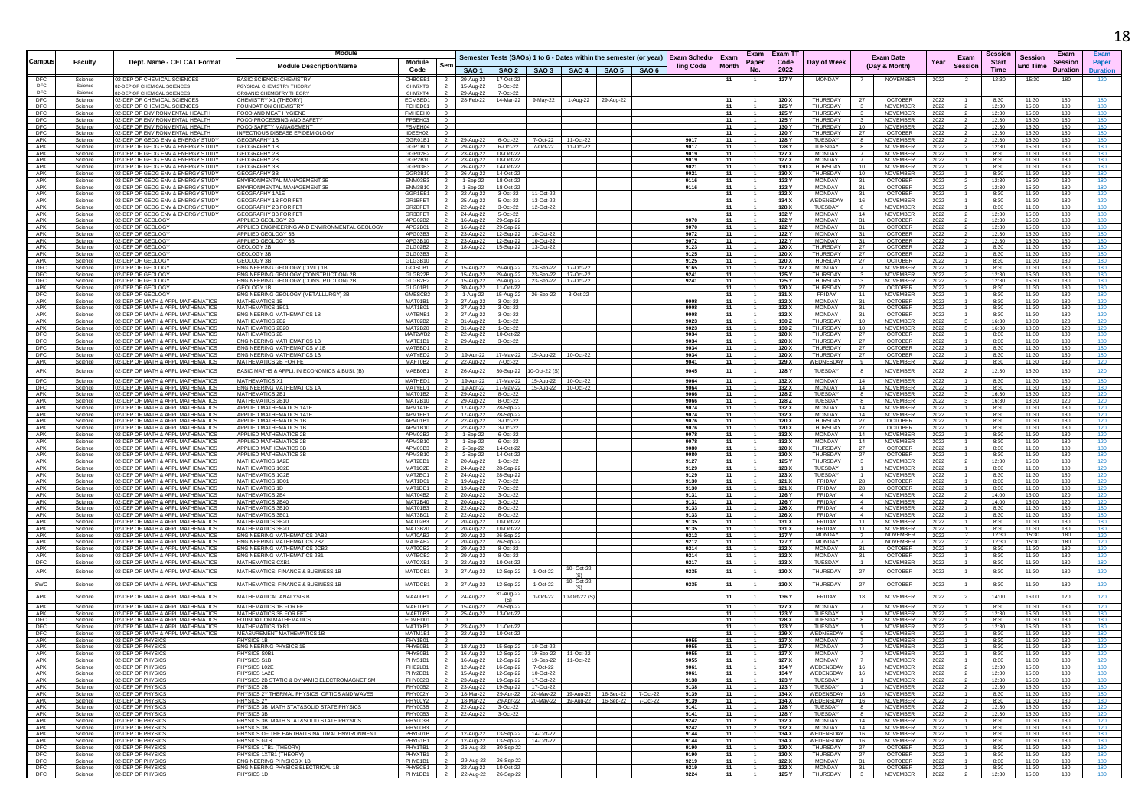|                   |                    |                                                                        | <b>Module</b>                                                 |                                                        |                                                                                     |                                                                                                                                    |                    |                                                                                                   | Exam Exam TT   |                                       |                         |                                  |                        | Session         |                 | Exam                               |
|-------------------|--------------------|------------------------------------------------------------------------|---------------------------------------------------------------|--------------------------------------------------------|-------------------------------------------------------------------------------------|------------------------------------------------------------------------------------------------------------------------------------|--------------------|---------------------------------------------------------------------------------------------------|----------------|---------------------------------------|-------------------------|----------------------------------|------------------------|-----------------|-----------------|------------------------------------|
| Campus            | <b>Faculty</b>     | Dept. Name - CELCAT Format                                             |                                                               | Module                                                 |                                                                                     |                                                                                                                                    |                    | Semester Tests (SAOs) 1 to 6 - Dates within the semester (or year)   Exam Schedu-   Exam<br>Paper | Code           | Day of Week                           |                         | <b>Exam Date</b>                 | Exam<br>Year           | <b>Start</b>    | <b>Session</b>  | <b>Session</b><br>Paper            |
|                   |                    |                                                                        | <b>Module Description/Name</b>                                | Ser<br>Code                                            |                                                                                     | SAO1   SAO2   SAO3   SAO4   SAO5   SAO6                                                                                            |                    | <b>ling Code</b><br><b>Month</b><br>No.                                                           | 2022           |                                       |                         | (Day & Month)                    | <b>Session</b>         | <b>Time</b>     | <b>End Time</b> | <b>Duration</b><br><b>Duration</b> |
| DFC               | Science            | 02-DEP OF CHEMICAL SCIENCES                                            | <b>BASIC SCIENCE: CHEMISTRY</b>                               | CHBCEB1                                                | 29-Aug-22 17-Oct-22                                                                 |                                                                                                                                    |                    | 11                                                                                                | 127 Y          | MONDAY                                | $\overline{7}$          | NOVEMBER                         | 2022<br>2              | 12:30           | 15:30           | 180<br>120                         |
| DEC               | Science            | 2-DEP OF CHEMICAL SCIENCES                                             | PGYSICAL CHEMISTRY THEORY                                     | CHM7XT3                                                | 15-Aug-22<br>3-Oct-22                                                               |                                                                                                                                    |                    |                                                                                                   |                |                                       |                         |                                  |                        |                 |                 |                                    |
| DFC               | Science            | 02-DEP OF CHEMICAL SCIENCES<br>02-DEP OF CHEMICAL SCIENCES             | ORGANIC CHEMISTRY THEORY<br>CHEMISTRY X1 (THEORY)             | CHM7XT4<br>ECMSED1<br>$\Omega$                         | 29-Aug-22<br>7-Oct-22                                                               |                                                                                                                                    |                    | 11                                                                                                | 120 X          | THURSDAY                              | - 27                    | <b>OCTOBER</b>                   |                        | 8:30            | 11:30           | 180<br>180                         |
| DFC<br>DFC        | Science<br>Science | 02-DEP OF CHEMICAL SCIENCES                                            | <b>FOUNDATION CHEMISTRY</b>                                   | FCHED01<br>$\overline{0}$                              | 28-Feb-22 14-Mar-22                                                                 | 9-May-22                                                                                                                           | 1-Aug-22 29-Aug-22 | 11<br>$\overline{1}$                                                                              | 125 Y          | THURSDAY                              | $\overline{\mathbf{3}}$ | NOVEMBER                         | 2022<br>2022           | 12:30           | 15:30           | 180<br>180                         |
| DEC               | Science            | 2-DEP OF ENVIRONMENTAL HEALTH                                          | FOOD AND MEAT HYGIENE                                         | <b>FMHEEH0</b>                                         |                                                                                     |                                                                                                                                    |                    | 11                                                                                                | 125 Y          | THURSDAY                              |                         | NOVEMBER                         | 2022                   | 12:30           | 15:30           | 180<br>180                         |
| DFC               | Science            | 2-DEP OF ENVIRONMENTAL HEALTH                                          | FOOD PROCESSING AND SAFETY                                    | FPSEH03                                                |                                                                                     |                                                                                                                                    |                    | 11                                                                                                | 125 Y          | THURSDAY                              |                         | <b>NOVEMBER</b>                  | 2022                   | 12:30           | 15:30           | 180<br>180                         |
| DFC               | Science            | 2-DEP OF ENVIRONMENTAL HEALTH                                          | FOOD SAFETY MANAGEMENT                                        | FSMEH04                                                |                                                                                     |                                                                                                                                    |                    | 11                                                                                                | 130 Y          | THURSDAY                              | 10                      | NOVEMBER                         | 2022                   | 12:30           | 15:30           | 180<br>180                         |
| DFC<br>APK        | Science            | 02-DEP OF ENVIRONMENTAL HEALTH<br>02-DEP OF GEOG ENV & ENERGY STUDY    | INFECTIOUS DISEASE EPIDEMIOLOGY                               | IDEEH02                                                |                                                                                     |                                                                                                                                    |                    | 11<br>9017                                                                                        | 120 Y          | <b>THURSDAY</b><br>TUESDAY            | 27                      | OCTOBER                          | 2022                   | 12:30           | 15:30           | 180<br>180                         |
| APK               | Science<br>Science | 02-DEP OF GEOG ENV & ENERGY STUDY                                      | <b>GEOGRAPHY 1B</b><br><b>GEOGRAPHY 1B</b>                    | GGR01B1<br>GGR1B01                                     | 29-Aug-22<br>6-Oct-22<br>29-Aug-22<br>6-Oct-22                                      | 7-Oct-22<br>11-Oct-22<br>7-Oct-22<br>11-Oct-22                                                                                     |                    | - 11<br>9017<br>11<br>$\overline{1}$                                                              | 128 Y<br>128 Y | TUESDAY                               | 8<br>-8                 | NOVEMBER<br>NOVEMBER             | 2022<br>2022           | 12:30<br>12:30  | 15:30<br>15:30  | 180<br>180<br>180<br>180           |
| APK               | Science            | 02-DEP OF GEOG ENV & ENERGY STUDY                                      | <b>GEOGRAPHY 2B</b>                                           | GGR02B2                                                | 23-Aug-22 18-Oct-22                                                                 |                                                                                                                                    |                    | 9019<br>11<br>$-1$                                                                                | 127 X          | MONDAY                                | $\overline{7}$          | NOVEMBER                         | 2022                   | 8:30            | 11:30           | 180<br>180                         |
| APK               | Science            | 12-DEP OF GEOG ENV & ENERGY STUDY                                      | <b>GEOGRAPHY 2B</b>                                           | GGR2B10                                                | 23-Aug-22<br>18-Oct-22                                                              |                                                                                                                                    |                    | 9019<br>11                                                                                        | 127 X          | MONDAY                                |                         | NOVEMBER                         | 2022                   | 8:30            | 11:30           | 180<br>180                         |
| APK               | Science            | 02-DEP OF GEOG ENV & ENERGY STUDY                                      | <b>GEOGRAPHY 3B</b>                                           | GGR03B3<br>- 2                                         | 26-Aug-22<br>14-Oct-22                                                              |                                                                                                                                    |                    | 11<br>9021                                                                                        | 130 X          | <b>THURSDAY</b>                       | 10                      | NOVEMBER                         | 2022                   | 8:30            | 11:30           | 180<br>180                         |
| APK<br>APK        | Science<br>Science | 02-DEP OF GEOG ENV & ENERGY STUDY<br>02-DEP OF GEOG ENV & ENERGY STUDY | <b>GEOGRAPHY 3E</b><br>ENVIRONMENTAL MANAGEMENT 3E            | GGR3B10<br>ENM03B3                                     | 26-Aug-22 14-Oct-22<br>1-Sep-22<br>18-Oct-22                                        |                                                                                                                                    |                    | 9021<br>11<br>$-1$<br>11<br>9116                                                                  | 130 X<br>122 Y | THURSDAY<br><b>MONDAY</b>             | 10<br>31                | NOVEMBER<br><b>OCTOBER</b>       | 2022<br>2022           | 8:30<br>12:30   | 11:30<br>15:30  | 180<br>180<br>180<br>180           |
| APK               | Science            | 02-DEP OF GEOG ENV & ENERGY STUDY                                      | ENVIRONMENTAL MANAGEMENT 3B                                   | ENM3B10 2                                              | 1-Sep-22   18-Oct-22                                                                |                                                                                                                                    |                    | 9116<br>11<br>$\overline{1}$                                                                      | 122 Y          | <b>MONDAY</b>                         | 31                      | <b>OCTOBER</b>                   | 2022                   | 12:30           | 15:30           | 180<br>180                         |
| APK               | Science            | 2-DEP OF GEOG ENV & ENERGY STUDY                                       | GEOGRAPHY 1A1E                                                | GGR1FB1                                                | 22-Aug-22 3-Oct-22                                                                  | 11-Oct-22                                                                                                                          |                    | 11<br>$-1$                                                                                        | 122 X          | <b>MONDAY</b>                         | 31                      | <b>OCTOBER</b>                   | 2022                   | 8:30            | 11:30           | 180<br>120                         |
| APK               | Science            | 12-DEP OF GEOG ENV & ENERGY STUD                                       | EOGRAPHY 1B FOR                                               | GR1BFET                                                | 25-Aug-22<br>5-Oct-22                                                               | 13-Oct-22                                                                                                                          |                    | 11                                                                                                | 134)           | <b>WEDENSDAY</b>                      | 16                      | NOVEMBER                         | 2022                   | 8:30            | 11:30           | 180                                |
| APK               | Science            | 02-DEP OF GEOG ENV & ENERGY STUDY                                      | GEOGRAPHY 2B FOR FE'                                          | GR2BFET                                                | 3-Oct-22<br>22-Aug-22                                                               | 12-Oct-22                                                                                                                          |                    | 11                                                                                                | 128 X          | TUESDAY                               | 8                       | <b>NOVEMBER</b>                  | 2022                   | 8:30            | 11:30           | 180<br>180                         |
| APK<br>APK        | Science<br>Science | 02-DEP OF GEOG ENV & ENERGY STUDY<br>02-DEP OF GEOLOGY                 | GEOGRAPHY 3B FOR FFT<br>APPLIED GEOLOGY 2B                    | GR3BFET<br>APG02B2                                     | 24-Aug-22 5-Oct-22<br>16-Aug-22 29-Sep-22                                           |                                                                                                                                    |                    | - 11<br>-1<br>9070<br>11<br>$\overline{1}$                                                        | 132 Y<br>122 Y | MONDAY<br><b>MONDAY</b>               | 14<br>31                | NOVEMBER<br><b>OCTOBER</b>       | 2022                   | 12:30<br>12:30  | 15:30<br>15:30  | 180<br>180<br>180<br>180           |
| APK               | Science            | 02-DEP OF GEOLOGY                                                      | APPLIED ENGINEERING AND ENVIRONMENTAL GEOLOGY                 | APG2B01                                                | 16-Aug-22 29-Sep-22                                                                 |                                                                                                                                    |                    | 9070<br>11                                                                                        | 122 Y          | <b>MONDAY</b>                         | 31                      | OCTOBER                          | 2022<br>2022           | 12:30           | 15:30           | 180<br>180                         |
| APK               | Science            | 02-DEP OF GEOLOGY                                                      | APPLIED GEOLOGY 3B                                            | APG03B3<br>$\overline{z}$                              | 23-Aug-22 12-Sep-22                                                                 | 10-Oct-22                                                                                                                          |                    | 9072<br>- 11                                                                                      | 122 Y          | <b>MONDAY</b>                         | 31                      | <b>OCTOBER</b>                   | 2022                   | 12:30           | 15:30           | 180<br>180                         |
| APK               | Science            | 2-DEP OF GEOLOGY                                                       | APPLIED GEOLOGY 3E                                            | APG3B10                                                | 23-Aug-22 12-Sep-22                                                                 | 10-Oct-22                                                                                                                          |                    | 9072<br>11                                                                                        | 122 Y          | <b>MONDAY</b>                         | 31                      | <b>OCTOBER</b>                   | 2022                   | 12:30           | 15:30           | 180<br>180                         |
| APK               | Science            | 02-DEP OF GEOLOGY                                                      | GEOLOGY 2E                                                    | GLG02B2                                                | 18-Aug-22   15-Sep-22                                                               | 13-Oct-22                                                                                                                          |                    | 11<br>9123                                                                                        | 120 X          | THURSDAY                              | 27                      | OCTOBER                          | 2022                   | 8:30            | 11:30           | 180<br>180                         |
| APK<br>APK        | Science<br>Science | 02-DEP OF GEOLOGY<br>02-DEP OF GEOLOGY                                 | GEOLOGY 3B<br><b>GEOLOGY 3B</b>                               | GLG03B3<br>GLG3B10                                     |                                                                                     |                                                                                                                                    |                    | 9125<br>11<br>9125<br>11<br>$\overline{1}$                                                        | 120 X<br>120 X | THURSDAY<br>THURSDAY                  | 27<br>27                | <b>OCTOBER</b><br><b>OCTOBER</b> | 2022                   | 8:30<br>8:30    | 11:30<br>11:30  | 180<br>180<br>180<br>180           |
| DFC               | Science            | 02-DEP OF GEOLOGY                                                      | ENGINEERING GEOLOGY (CIVIL) 1B                                | GCISCB1                                                | 15-Aug-22 29-Aug-22                                                                 | 17-Oct-22<br>23-Sep-22                                                                                                             |                    | 9165<br>11<br>$-1$                                                                                | 127 X          | <b>MONDAY</b>                         | $\overline{7}$          | NOVEMBER                         | 2022<br>2022           | 8:30            | 11:30           | 180<br>180                         |
| DFC               | Science            | 02-DEP OF GEOLOGY                                                      | ENGINEERING GEOLOGY (CONSTRUCTION) 2B                         | GLGB22B                                                | 15-Aug-22<br>29-Aug-22                                                              | 17-Oct-22<br>23-Sep-22                                                                                                             |                    | 9241<br>11                                                                                        | 125 Y          | THURSDAY                              | -3                      | NOVEMBER                         | 2022                   | 12:30           | 15:30           | 180<br>180                         |
| <b>DFC</b>        | Science            | 02-DEP OF GEOLOGY                                                      | ENGINEERING GEOLOGY (CONSTRUCTION) 2E                         | GLGB2B2                                                | 15-Aug-22 29-Aug-22                                                                 | 23-Sep-22<br>17-Oct-22                                                                                                             |                    | 9241<br>- 11                                                                                      | 125 Y          | THURSDAY                              | $\mathbf{3}$            | <b>NOVEMBER</b>                  | 2022                   | 12:30           | 15:30           | 180<br>180                         |
| APK               | Science            | 12-DEP OF GEOLOGY                                                      | GEOLOGY 1B                                                    | GLG01B1                                                | 30-Aug-22 11-Oct-22                                                                 |                                                                                                                                    |                    | 11                                                                                                | 120 X          | THURSDAY                              | - 27                    | OCTOBER                          | 2022                   | 8:30            | 11:30           | 180<br>180                         |
| DFC<br>APK        | Science<br>Science | 02-DEP OF GEOLOGY<br>02-DEP OF MATH & APPL MATHEMATIC:                 | ENGINEERING GEOLOGY (METALLURGY) 2B<br><b>MATHEMATICS 1B</b>  | GMESCB2<br>MAT01B1                                     | 1-Aug-22<br>15-Aug-22<br>27-Aug-22 3-Oct-22                                         | 3-Oct-22<br>26-Sep-22                                                                                                              |                    | 11<br>9008<br>11                                                                                  | 131)<br>122 X  | FRIDAY<br><b>MONDAY</b>               | 11<br>31                | NOVEMBER<br>OCTOBER              | 2022<br>2022           | 8:30<br>8:30    | 11:30<br>11:30  | 180<br>180<br>180<br>120           |
| APK               | Science            | 02-DEP OF MATH & APPL MATHEMATICS                                      | MATHEMATICS 1B0                                               | <b>MAT1B01</b><br>$\overline{z}$                       | 27-Aug-22 3-Oct-22                                                                  |                                                                                                                                    |                    | 9008<br>- 11<br>$\overline{1}$                                                                    | 122 X          | <b>MONDAY</b>                         | 31                      | <b>OCTOBER</b>                   | 2022                   | 8:30            | 11:30           | 180<br>120                         |
| APK               | Science            | Ι2-ΠΕΡ ΟΕ ΜΑΤΗ & ΔΡΡΙ ΜΑΤΗΕΜΑΤΙΟ                                       | <b>FNGINEERING MATHEMATICS 1</b>                              | MATENB1                                                | 27-Aug-22<br>3-Oct-22                                                               |                                                                                                                                    |                    | 9008<br>11<br>$-1$                                                                                | 122 X          | <b>MONDAY</b>                         | 31                      | <b>OCTOBER</b>                   | 2022                   | 8:30            | 11:30           | 180<br>120                         |
| APK               | Science            | 02-DEP OF MATH & APPL MATHEMATIC                                       | <b>MATHEMATICS 2B2</b>                                        | MAT02B2                                                | 31-Aug-22 1-Oct-22                                                                  |                                                                                                                                    |                    | 9023<br>11                                                                                        | 130 Z          | THURSDAY                              | 10                      | NOVEMBER                         | 2022                   | 16:30           | 18:30           | 120<br>120                         |
| APK               | Science            | 02-DEP OF MATH & APPL MATHEMATIC:                                      | <b>MATHEMATICS 2B2</b>                                        | MAT2B20                                                | 31-Aug-22 1-Oct-22                                                                  |                                                                                                                                    |                    | 9023<br>- 11<br>$\overline{1}$                                                                    | 130 Z          | THURSDAY                              | 10                      | NOVEMBER                         | 2022                   | 16:30           | 18:30           | 120<br>120                         |
| DFC<br>DFC        | Science<br>Science | 02-DEP OF MATH & APPL MATHEMATICS<br>02-DEP OF MATH & APPL MATHEMATIC: | <b>MATHEMATICS 2B</b><br><b>ENGINEERING MATHEMATICS 1B</b>    | MAT2WB2<br>$\overline{2}$<br>MATE1B1<br>$\overline{2}$ | 10-Oct-22<br>22-Aug-22                                                              |                                                                                                                                    |                    | 9034<br>11<br>$\overline{1}$<br>9034<br>11<br>1                                                   | 120 X<br>120 X | THURSDAY<br>THURSDAY                  | 27<br>27                | <b>OCTOBER</b><br><b>OCTOBER</b> | 2022<br>2022           | 8:30<br>8:30    | 11:30<br>11:30  | 180<br>180<br>180<br>180           |
| DFC               | Science            | 02-DEP OF MATH & APPL MATHEMATIC:                                      | <b>ENGINEERING MATHEMATICS V 1B</b>                           | MATEBD1                                                | 29-Aug-22 3-Oct-22                                                                  |                                                                                                                                    |                    | 9034<br>11                                                                                        | 120 X          | THURSDAY                              | 27                      | OCTOBER                          | 2022                   | 8:30            | 11:30           | 180<br>180                         |
| DFC               | Science            | 02-DEP OF MATH & APPL MATHEMATIC:                                      | <b>ENGINEERING MATHEMATICS 1E</b>                             | MATYED2<br>$\overline{0}$                              | 19-Apr-22<br>17-May-22                                                              | 10-Oct-22<br>15-Aug-22                                                                                                             |                    | 9034<br>11<br>$\overline{1}$                                                                      | 120 X          | THURSDAY                              | 27                      | <b>OCTOBER</b>                   | 2022                   | 8:30            | 11:30           | 180<br>180                         |
| APK               | Science            | 02-DEP OF MATH & APPL MATHEMATIC                                       | MATHEMATICS 2B FOR FET                                        | MAFT0B2                                                | 7-Oct-22<br>22-Aug-22                                                               |                                                                                                                                    |                    | 9041<br>11<br>$\overline{1}$                                                                      | 129 X          | WEDNESDAY                             | 9                       | NOVEMBER                         | 2022                   | 8:30            | 11:30           | 180<br>120                         |
| APK               | Science            | 02-DEP OF MATH & APPL MATHEMATICS                                      | BASIC MATHS & APPLI. IN ECONOMICS & BUSI. (B                  | MAEB0B1                                                | 26-Aug-22<br>30-Sep-22                                                              | 10-Oct-22 (                                                                                                                        |                    | 9045<br>11<br>$\overline{1}$                                                                      | 128 Y          | <b>TUESDAY</b>                        | 8                       | <b>NOVEMBER</b>                  | 2022                   | 12:30           | 15:30           | 120<br>180                         |
| DFC               | Science            | 02-DEP OF MATH & APPL MATHEMATICS                                      | <b>MATHEMATICS X1</b>                                         | MATHED1                                                | 17-May-22<br>19-Apr-22                                                              | 15-Aug-22<br>10-Oct-22                                                                                                             |                    | 9064<br>11                                                                                        | 132 X          | MONDAY                                | 14                      | NOVEMBER                         | 2022                   | 8:30            | 11:30           | 180<br>180                         |
| <b>DFC</b>        | Science            | 02-DEP OF MATH & APPL MATHEMATICS                                      | <b>ENGINEERING MATHEMATICS 1A</b>                             | MATYED1<br>$\overline{2}$                              | 19-Apr-22 17-May-22 15-Aug-22                                                       | 10-Oct-22                                                                                                                          |                    | 11<br>9064<br>$\overline{1}$                                                                      | 132 X          | <b>MONDAY</b>                         | - 14                    | NOVEMBER                         | 2022                   | 8:30            | 11:30           | 180<br>180                         |
| APK               | Science            | 02-DEP OF MATH & APPL MATHEMATICS                                      | MATHEMATICS 2B1                                               | MAT01B2                                                | 29-Aug-22 8-Oct-22                                                                  |                                                                                                                                    |                    | 9066<br>11<br>$\overline{1}$                                                                      | 128 Z          | TUESDAY                               | 8                       | <b>NOVEMBER</b>                  | 2022                   | 16:30           | 18:30           | 120<br>120                         |
| APK               | Science            | 12-DEP OF MATH & APPL MATHEMATIC<br>02-DEP OF MATH & APPL MATHEMATIC   | MATHEMATICS 2B1                                               | MAT2B10                                                | 29-Aug-22 8-Oct-22                                                                  |                                                                                                                                    |                    | 9066<br>11<br>$\overline{1}$                                                                      | 128 Z          | TUESDAY                               | 8                       | NOVEMBER                         | 2022                   | 16:30           | 18:30           | 120<br>120                         |
| APK<br>APK        | Science<br>Science | 12-DEP OF MATH & APPL MATHEMATICS                                      | APPLIED MATHEMATICS 1A1E<br><b>APPLIED MATHEMATICS 1A1E</b>   | APM1A1E<br>- 2<br>APM1FB1                              | 17-Aug-22<br>28-Sep-22<br>17-Aug-22 28-Sep-22                                       |                                                                                                                                    |                    | 9074<br>11<br>9074<br>11<br>$\overline{1}$                                                        | 132 X<br>132 X | MONDAY<br><b>MONDAY</b>               | 14<br>14                | NOVEMBER<br><b>NOVEMBER</b>      | 2022<br>2022           | 8:30<br>8:30    | 11:30<br>11:30  | 120<br>180<br>180<br>120           |
| APK               | Science            | 02-DEP OF MATH & APPL MATHEMATIO                                       | APPLIED MATHEMATICS                                           | APM01B1                                                | 22-Aug-22<br>3-Oct-22                                                               |                                                                                                                                    |                    | 9076<br>11                                                                                        | 120 X          | THURSDAY                              | 27                      | <b>OCTOBER</b>                   | 2022                   | 8:30            | 11:30           | 180                                |
| APK               | Science            | 02-DEP OF MATH & APPL MATHEMATICS                                      | <b>APPLIED MATHEMATICS 1I</b>                                 | APM1B10<br>$\overline{\mathbf{2}}$                     | 22-Aug-22 3-Oct-22                                                                  |                                                                                                                                    |                    | 9076<br>11                                                                                        | 120 X          | THURSDAY                              | 27                      | OCTOBER                          | 2022                   | 8:30            | 11:30           | 120<br>180                         |
| APK               | Science            | 02-DEP OF MATH & APPL MATHEMATICS                                      | APPLIED MATHEMATICS 2B                                        | APM02B2<br>$\overline{\mathbf{2}}$                     | 1-Sep-22 6-Oct-22                                                                   |                                                                                                                                    |                    | 9078<br>- 11<br>-1                                                                                | 132 X          | <b>MONDAY</b>                         | - 14                    | NOVEMBER                         | 2022                   | 8:30            | 11:30           | 180<br>120                         |
| APK               | Science            | 02-DEP OF MATH & APPL MATHEMATIC                                       | APPLIED MATHEMATICS 2                                         | APM2B10<br>$\overline{2}$                              | 1-Sep-22<br>6-Oct-22                                                                |                                                                                                                                    |                    | 9078<br>11<br>$-1$                                                                                | 132 X          | <b>MONDAY</b>                         | 14                      | NOVEMBER                         | 2022                   | 8:30            | 11:30           | 180<br>120                         |
| APK<br>APK        | Science<br>Science | 02-DEP OF MATH & APPL MATHEMATIC<br>02-DEP OF MATH & APPL MATHEMATIC:  | APPLIED MATHEMATICS 3E<br>APPLIED MATHEMATICS 3E              | APM03B3<br>APM3B10                                     | 2-Sep-22<br>14-Oct-22<br>14-Oct-22                                                  |                                                                                                                                    |                    | 9080<br>11<br>11<br>9080                                                                          | 120 X<br>120 X | THURSDAY<br>THURSDAY                  | 27<br>-27               | <b>OCTOBER</b><br>OCTOBER        | 2022<br>2022           | 8:30<br>8:30    | 11:30<br>11:30  | 180<br>180<br>180<br>180           |
| APK               | Science            | 02-DEP OF MATH & APPL MATHEMATICS                                      | <b>MATHEMATICS 1A2E</b>                                       | MAT2EB1<br>$\overline{2}$                              | 2-Sep-22<br>20-Aug-22<br>1-Oct-22                                                   |                                                                                                                                    |                    | 9127<br>11<br>$\overline{1}$                                                                      | 125 Y          | THURSDAY                              | $\mathbf{3}$            | <b>NOVEMBER</b>                  | 2022                   | 12:30           | 15:30           | 180<br>120                         |
| APK               | Science            | 02-DEP OF MATH & APPL MATHEMATICS                                      | <b>MATHEMATICS 1C2E</b>                                       | MAT1C2E<br>$\overline{2}$                              | 24-Aug-22 28-Sep-22                                                                 |                                                                                                                                    |                    | 9129<br>11<br>1                                                                                   | 123 X          | TUESDAY                               | $\overline{1}$          | NOVEMBER                         | 2022                   | 8:30            | 11:30           | 180<br>120                         |
| APK               | Science            | 02-DEP OF MATH & APPL MATHEMATICS                                      | <b>MATHEMATICS 1C2E</b>                                       | MAT2EC1                                                | 24-Aug-22 28-Sep-22                                                                 |                                                                                                                                    |                    | 11<br>9129                                                                                        | 123 X          | TUESDAY                               |                         | NOVEMBER                         | 2022                   | 8:30            | 11:30           | 120<br>180                         |
| APK<br>APK        | Science            | 02-DEP OF MATH & APPL MATHEMATICS                                      | MATHEMATICS 1D01<br>MATHEMATICS 1D                            | MAT1D01 2                                              | 19-Aug-22 7-Oct-22                                                                  |                                                                                                                                    |                    | 11<br>9130<br>$\overline{1}$                                                                      | 121 X          | FRIDAY<br>FRIDAY                      | - 28                    | <b>OCTOBER</b>                   | 2022                   | 8:30            | 11:30           | 120<br>180                         |
| APK               | Science<br>Science | 2-DEP OF MATH & APPL MATHEMATIC<br>02-DEP OF MATH & APPL MATHEMATIO    | <b>MATHEMATICS 2B4</b>                                        | MAT1DB1<br>MAT04B2                                     | 19-Aug-22 7-Oct-22<br>20-Aug-22<br>3-Oct-22                                         |                                                                                                                                    |                    | 9130<br>11<br>9131<br>11                                                                          | 121 X<br>126   | <b>FRIDAY</b>                         | -28<br>$\overline{4}$   | <b>OCTOBER</b><br>NOVEMBER       | 2022<br>2022           | 8:30<br>14:00   | 11:30<br>16:00  | 180<br>120<br>120<br>120           |
| APK               | Science            | 02-DEP OF MATH & APPL MATHEMATIC:                                      | <b>MATHEMATICS 2B40</b>                                       | MAT2B40<br>$\overline{2}$                              | 20-Aug-22 3-Oct-22                                                                  |                                                                                                                                    |                    | 9131<br>11                                                                                        | 126 Y          | FRIDAY                                | 4                       | <b>NOVEMBER</b>                  | 2022                   | 14:00           | 16:00           | 120<br>120                         |
| APK               | Science            | 02-DEP OF MATH & APPL MATHEMATICS                                      | MATHEMATICS 3B10                                              | MAT01B3<br>$\overline{2}$                              | 22-Aug-22 8-Oct-22                                                                  |                                                                                                                                    |                    | 9133<br>11<br>-1.                                                                                 | 126 X          | FRIDAY                                | 4                       | <b>NOVEMBER</b>                  | 2022                   | 8:30            | 11:30           | 180<br>180                         |
| APK               | Science            | 02-DEP OF MATH & APPL MATHEMATIC                                       | MATHEMATICS 3B0                                               | MAT3B01                                                | 22-Aug-22<br>8-Oct-22                                                               |                                                                                                                                    |                    | 9133<br>11                                                                                        | 126 X          | FRIDAY                                | $\overline{4}$          | NOVEMBER                         | 2022                   | 8:30            | 11:30           | 180<br>180                         |
| APK<br>APK        | Science<br>Science | 02-DEP OF MATH & APPL MATHEMATIC:<br>02-DEP OF MATH & APPL MATHEMATIC  | <b>MATHEMATICS 3B20</b><br><b>MATHEMATICS 3B2</b>             | MAT02B3<br>MAT3B20                                     | 20-Aug-22 10-Oct-22                                                                 |                                                                                                                                    |                    | 9135<br>11<br>9135<br>- 11                                                                        | 131 X<br>131 X | FRIDAY<br>FRIDAY                      | 11<br>- 11              | NOVEMBER<br>NOVEMBER             | 2022                   | 8:30<br>8:30    | 11:30<br>11:30  | 180<br>180<br>180<br>180           |
| APK               | Science            | 2-DEP OF MATH & APPL MATHEMATIO                                        | <b>ENGINEERING MATHEMATICS 0AR:</b>                           | - 2<br>MAT0AB2                                         | 20-Aug-22 10-Oct-22<br>20-Aug-22<br>26-Sep-22                                       |                                                                                                                                    |                    | 9212<br>11<br>$\overline{1}$                                                                      | 127 Y          | <b>MONDAY</b>                         |                         | <b>NOVEMBER</b>                  | 2022<br>2022           | 12:30           | 15:30           | 180<br>120                         |
| APK               | Science            | 02-DEP OF MATH & APPL MATHEMATIC:                                      | <b>ENGINEERING MATHEMATICS 2B2</b>                            | MATEAB2                                                | 20-Aug-22 26-Sep-22                                                                 |                                                                                                                                    |                    | 11<br>9212<br>1                                                                                   | 127 Y          | <b>MONDAY</b>                         | $\overline{7}$          | <b>NOVEMBER</b>                  | 2022                   | 12:30           | 15:30           | 180<br>120                         |
| APK               | Science            | 02-DEP OF MATH & APPL MATHEMATIC:                                      | <b>ENGINEERING MATHEMATICS OCB2</b>                           | MATOCB2<br>$\overline{2}$                              | 29-Aug-22 8-Oct-22                                                                  |                                                                                                                                    |                    | 9214<br>11                                                                                        | 122 X          | <b>MONDAY</b>                         | 31                      | <b>OCTOBER</b>                   | 2022                   | 8:30            | 11:30           | 180<br>120                         |
| APK               | Science            | 02-DEP OF MATH & APPL MATHEMATICS                                      | <b>ENGINEERING MATHEMATICS 2B1</b><br><b>MATHEMATICS CXB1</b> | MATECB2 2                                              | 29-Aug-22 8-Oct-22                                                                  |                                                                                                                                    |                    | 9214<br>11<br>$\overline{1}$<br>$\overline{1}$                                                    | 122 X          | <b>MONDAY</b>                         | 31                      | <b>OCTOBER</b>                   | 2022                   | 8:30            | 11:30           | 180<br>120<br>180                  |
| DFC               | Science            | 02-DEP OF MATH & APPL MATHEMATIC                                       |                                                               | MATCXB1                                                | 10-Oct-22<br>22-Aug-22                                                              | 10- Oct-22                                                                                                                         |                    | 9217<br>11                                                                                        | 123 X          | <b>TUESDAY</b>                        | $\overline{1}$          | NOVEMBER                         | 2022                   | 8:30            | 11:30           | 180                                |
| APK               | Science            | 02-DEP OF MATH & APPL MATHEMATICS                                      | MATHEMATICS: FINANCE & BUSINESS 1B                            | MATDCB1                                                | 27-Aug-22<br>12-Sep-22                                                              | 1-Oct-22<br>(S)                                                                                                                    |                    | 9235<br>11<br>$\overline{1}$                                                                      | 120 X          | THURSDAY                              | 27                      | <b>OCTOBER</b>                   | 2022                   | 8:30            | 11:30           | 120<br>180                         |
| SWC               | Science            | 02-DEP OF MATH & APPL MATHEMATICS                                      | MATHEMATICS: FINANCE & BUSINESS 1E                            | MATDCB1                                                | 27-Aug-22<br>12-Sep-22                                                              | 10- Oct-22<br>1-Oct-22                                                                                                             |                    | 9235<br>11<br>$\overline{1}$                                                                      | 120 X          | THURSDAY                              | 27                      | <b>OCTOBER</b>                   | 2022                   | 8:30            | 11:30           | 120<br>180                         |
|                   |                    |                                                                        |                                                               |                                                        | 31-Aug-22                                                                           | (S)                                                                                                                                |                    |                                                                                                   |                |                                       |                         |                                  |                        |                 |                 |                                    |
| APK               | Science            | 02-DEP OF MATH & APPL MATHEMATICS                                      | MATHEMATICAL ANALYSIS E                                       | MAA00B1                                                | 24-Aug-22<br>(S)                                                                    | 0-Oct-22 (S)<br>$1-Oct-22$                                                                                                         |                    | 11                                                                                                | 136 Y          | FRIDAY                                |                         | NOVEMBER                         | 2022<br>$\overline{2}$ | 14:00           | 16:00           | 120<br>120                         |
| APK               | Science            | 02-DEP OF MATH & APPL MATHEMATICS                                      | MATHEMATICS 1B FOR FFT                                        | MAFT0B1                                                | 15-Aug-22<br>29-Sep-22                                                              |                                                                                                                                    |                    | 11<br>$\overline{1}$                                                                              | 127 X          | <b>MONDAY</b>                         | $\overline{7}$          | <b>NOVEMBER</b>                  | 2022                   | 8:30            | 11:30           | 180<br>120                         |
| APK               | Science            | 02-DEP OF MATH & APPL MATHEMATIO                                       | MATHEMATICS 3B FOR FE                                         | MAFT0B3                                                | 25-Aug-22<br>13-Oct-22                                                              |                                                                                                                                    |                    | 11                                                                                                | 123 Y          | TUESDAY                               |                         | NOVEMBER                         | 2022                   | 12:30           | 15:30           | 180                                |
| DFC<br><b>DFC</b> | Science<br>Science | 02-DEP OF MATH & APPL MATHEMATIC:<br>02-DEP OF MATH & APPL MATHEMATICS | <b>FOUNDATION MATHEMATICS</b><br><b>MATHEMATICS 1XB1</b>      | FOMED01<br>MAT1XB1                                     | 11-Oct-22                                                                           |                                                                                                                                    |                    | 11<br>- 11<br>$\overline{1}$                                                                      | 128 X<br>123 Y | TUESDAY<br>TUESDAY                    | 8<br>-1.                | <b>NOVEMBER</b><br>NOVEMBER      | 2022<br>2022           | 8:30<br>12:30   | 11:30<br>15:30  | 180<br>180<br>180<br>180           |
| DFC               | Science            | <b>12-DEP OF MATH &amp; APPL MATHEMATICS</b>                           | MEASUREMENT MATHEMATICS 1                                     | MATM1B1                                                | 23-Aug-22<br>10-Oct-22<br>22-Aug-22                                                 |                                                                                                                                    |                    | 11<br>$\overline{1}$                                                                              | 129 X          | <b>WEDNESDAY</b>                      | $\alpha$                | NOVEMBER                         | 2022                   | 8:30            | 11:30           | 180<br>180                         |
| APK               | Science            | 02-DEP OF PHYSICS                                                      | PHYSICS 1E                                                    | PHY1B01                                                |                                                                                     |                                                                                                                                    |                    | 11<br>9055                                                                                        | 127 X          | MONDAY                                |                         | NOVEMBER                         | 2022                   | 8:30            | 11:30           | 120<br>180                         |
| APK               | Science            | 02-DEP OF PHYSICS                                                      | <b>ENGINEERING PHYSICS 1B</b>                                 | PHYE0B1                                                | 18-Aug-22  15-Sep-22  10-Oct-22                                                     |                                                                                                                                    |                    | 9055<br>11                                                                                        | 127 X          | <b>MONDAY</b>                         | 7                       | NOVEMBER                         | 2022                   | 8:30            | 11:30           | 180<br>120                         |
| APK               | Science            | 02-DEP OF PHYSICS                                                      | PHYSICS S0B1                                                  | PHYS0B1<br>$\overline{2}$                              | 16-Aug-22  12-Sep-22  19-Sep-22                                                     | 11-Oct-22                                                                                                                          |                    | 9055<br>11<br>$\overline{1}$                                                                      | 127 X          | MONDAY                                | 7                       | <b>NOVEMBER</b>                  | 2022                   | 8:30            | 11:30           | 180<br>120                         |
| APK<br>APK        | Science<br>Science | 02-DEP OF PHYSICS<br>02-DEP OF PHYSICS                                 | PHYSICS S1E<br>PHYSICS L02E                                   | PHYS1B1                                                | 2 16-Aug-22 12-Sep-22 19-Sep-22 11-Oct-22<br>PHE2LB1 2 12-Aug-22 16-Sep-22 7-Oct-22 |                                                                                                                                    |                    | 9055<br>9061<br>11<br>$-1$                                                                        | 127 X          | MONDAY<br>134 Y WEDENSDAY 16          |                         | NOVEMBER<br>NOVEMBER             | 2022<br>2022           | 8:30<br>12:30   | 11:30<br>15:30  | 180<br>180<br>180                  |
| APK               | Science            | 02-DEP OF PHYSICS                                                      | PHYSICS 1A2E                                                  |                                                        | PHY2EB1 2 15-Aug-22 12-Sep-22 10-Oct-22                                             |                                                                                                                                    |                    | 9061<br>11                                                                                        |                | 1 134Y WEDENSDAY 16                   |                         | NOVEMBER                         | 2022                   | 12:30           | 15:30           | 180<br>180                         |
| APK               | Science            | 02-DEP OF PHYSICS                                                      | PHYSICS 2B STATIC & DYNAMIC ELECTROMAGNETISM                  |                                                        | PHY002B 2 23-Aug-22 19-Sep-22 17-Oct-22                                             |                                                                                                                                    |                    | 9138<br>11<br>$\sim$ 1                                                                            |                | 123 Y TUESDAY                         | $\blacksquare$          | NOVEMBER                         | 2022                   | 12:30           | 15:30           | 180<br>180                         |
| APK               | Science            | 02-DEP OF PHYSICS                                                      | PHYSICS 2E                                                    | PHY00B2                                                | 2 23-Aug-22 19-Sep-22 17-Oct-22                                                     |                                                                                                                                    |                    | $\overline{1}$<br>9138<br>11                                                                      | 123 Y          | TUESDAY                               | $\overline{1}$          | NOVEMBER                         | 2022                   | 12:30           | 15:30           | 180<br>180                         |
| APK<br>APK        | Science<br>Science | 02-DEP OF PHYSICS<br>02-DEP OF PHYSICS                                 | PHYSICS 2Y THERMAL PHYSICS OPTICS AND WAVES<br>PHYSICS 2Y     | PHY00Y2 0                                              |                                                                                     | PHY002Y 0 18-Mar-22 29-Apr-22 20-May-22 19-Aug-22 16-Sep-22 7-Oct-22<br>18-Mar-22 29-Apr-22 20-May-22 19-Aug-22 16-Sep-22 7-Oct-22 |                    | 11<br>1<br>9139<br>9139<br>11<br>$-1$                                                             |                | 134 X WEDENSDAY 16<br>134 X WEDENSDAY | 16                      | <b>NOVEMBER</b><br>NOVEMBER      | 2022<br>2022           | 8:30<br>8:30    | 11:30<br>11:30  | 180<br>180<br>180<br>180           |
| APK               | Science            | 02-DEP OF PHYSICS                                                      | PHYSICS 3B MATH STAT&SOLID STATE PHYSICS                      |                                                        | PHY003B 2 22-Aug-22 3-Oct-22                                                        |                                                                                                                                    |                    | 9141<br>11<br>$\overline{1}$                                                                      | 128 Y          | TUESDAY                               | 8 <sub>1</sub>          | NOVEMBER                         | 2022                   | 12:30           | 15:30           | 180<br>120                         |
| APK               | Science            | 02-DEP OF PHYSICS                                                      | PHYSICS 3B                                                    |                                                        | PHY00B3 2 22-Aug-22 3-Oct-22                                                        |                                                                                                                                    |                    | 9141<br>11<br>$\overline{1}$                                                                      | 128 Y          | TUESDAY                               | 8                       | <b>NOVEMBER</b>                  | 2022                   | 12:30           | 15:30           | 120<br>180                         |
| APK               | Science            | 02-DEP OF PHYSICS                                                      | PHYSICS 3B MATH STAT&SOLID STATE PHYSICS                      | PHY003B<br>$\overline{2}$                              |                                                                                     |                                                                                                                                    |                    | 9242<br>11<br>$\overline{2}$                                                                      | 132 X          | <b>MONDAY</b>                         | 14                      | <b>NOVEMBER</b>                  | 2022                   | 8:30            | 11:30           | 180<br>120                         |
| APK               | Science            | 02-DEP OF PHYSICS                                                      | PHYSICS 3B                                                    | PHY00B3                                                |                                                                                     |                                                                                                                                    |                    | 9242<br>11<br>$\overline{2}$                                                                      | 132X           | MONDAY<br>WEDENSDAY                   | 14                      | NOVEMBER                         | 2022                   | 8:30            | 11:30           | 180<br>120                         |
| APK<br>APK        | Science<br>Science | 02-DEP OF PHYSICS<br>02-DEP OF PHYSICS                                 | PHYSICS OF THE EARTH&ITS NATURAL ENVIRONMENT<br>PHYSICS G1B   | PHYG01B<br>$\overline{2}$<br>PHYG1B1                   | 12-Aug-22  13-Sep-22  14-Oct-22<br>2 12-Aug-22 13-Sep-22 14-Oct-22                  |                                                                                                                                    |                    | 11<br>9144<br>1<br>9144<br>11<br>$\overline{1}$                                                   | 134 X<br>134 X | WEDENSDAY                             | 16<br>16                | NOVEMBER<br>NOVEMBER             | 2022<br>2022           | 8:30<br>8:30    | 11:30<br>11:30  | 180<br>180<br>180<br>180           |
| <b>DFC</b>        | Science            | 02-DEP OF PHYSICS                                                      | PHYSICS 1TB1 (THEORY)                                         |                                                        | PHY1TB1 2 26-Aug-22 30-Sep-22                                                       |                                                                                                                                    |                    | $\overline{1}$<br>- 11 - 1<br>9190                                                                | 120X           | THURSDAY                              | 27                      | <b>OCTOBER</b>                   | 2022                   | 8:30            | 11:30           | 180<br>180                         |
| DFC               | Science            | 02-DEP OF PHYSICS                                                      | PHYSICS 1XTB1 (THEORY)                                        | PHYXTB <sub>1</sub> 2                                  |                                                                                     |                                                                                                                                    |                    | 9190<br>11<br>$-1$                                                                                | 120 X          | THURSDAY                              | 27                      | OCTOBER                          | 2022                   | 8:30            | 11:30           | 180<br>180                         |
| DFC               | Science            | 02-DEP OF PHYSICS                                                      | <b>ENGINEERING PHYSICS X 1B</b>                               |                                                        | PHYE1B1 2 29-Aug-22 26-Sep-22<br>PHYSCB1 2 22-Aug-22 10-Oct-22                      |                                                                                                                                    |                    | 9219<br>11<br>1                                                                                   | 122 X          | <b>MONDAY</b>                         | 31                      | <b>OCTOBER</b>                   | 2022                   | 8:30            | 11:30           | 180<br>180                         |
| <b>DFC</b><br>DFC | Science<br>Science | 02-DEP OF PHYSICS<br>02-DEP OF PHYSICS                                 | ENGINEERING PHYSICS ELECTRICAL 1B<br>PHYSICS 1D               |                                                        | PHY1DB1 2 22-Aug-22 26-Sep-22                                                       |                                                                                                                                    |                    | $11$ 1 122 X<br>9219<br>9224<br>11   1   125 Y   THURSDAY   3   NOVEMBER   2022                   |                | <b>MONDAY</b>                         | 31                      | <b>OCTOBER</b>                   | 2022                   | 8:30<br>2 12:30 | 11:30<br>15:30  | 180<br>180<br>180<br>180           |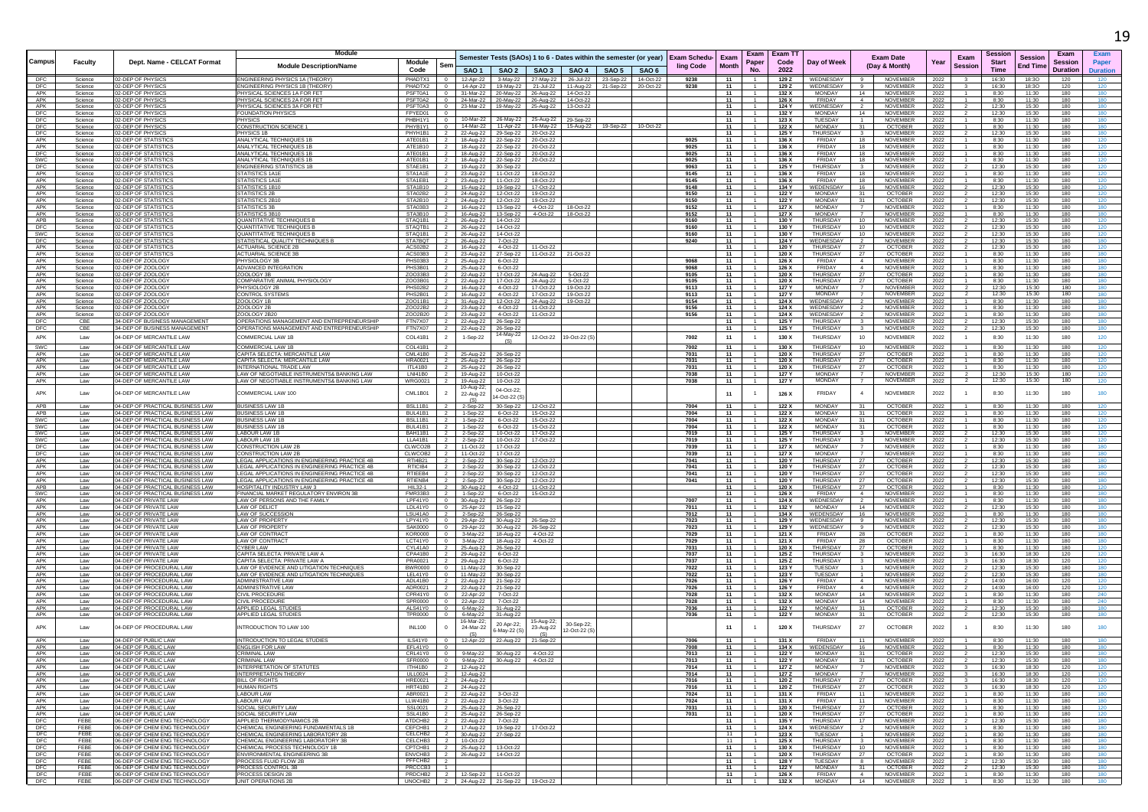|                   |                    |                                                                      |                                                                                               |                                         |                                            |                                     |                                            |                                                                      |                                                                                                                           |                      |                  |                           |                      |                                 |                                |                                  |                                                                   |                |                        |                                 |                                   |                                    | 19                        |
|-------------------|--------------------|----------------------------------------------------------------------|-----------------------------------------------------------------------------------------------|-----------------------------------------|--------------------------------------------|-------------------------------------|--------------------------------------------|----------------------------------------------------------------------|---------------------------------------------------------------------------------------------------------------------------|----------------------|------------------|---------------------------|----------------------|---------------------------------|--------------------------------|----------------------------------|-------------------------------------------------------------------|----------------|------------------------|---------------------------------|-----------------------------------|------------------------------------|---------------------------|
| Campus            | Faculty            | Dept. Name - CELCAT Format                                           | Module<br><b>Module Description/Name</b>                                                      | Module<br>Code                          |                                            | SAO <sub>1</sub>                    |                                            | SAO 2   SAO 3                                                        | Semester Tests (SAOs) 1 to 6 - Dates within the semester (or year)                                                        | SAO 4   SAO 5        | SAO <sub>6</sub> | Exam Schedu-<br>ling Code | Exam<br><b>Month</b> | Exam<br>Paper<br>N <sub>0</sub> | <b>Exam TT</b><br>Code<br>2022 | Day of Week                      | <b>Exam Date</b><br>(Day & Month)                                 | Year           | Exam<br><b>Session</b> | Sessior<br><b>Start</b><br>Time | <b>Session</b><br><b>End Time</b> | Exam<br>Sessior<br><b>Duration</b> | Exam<br>Paper<br>Duration |
| DFC<br>DFC        | Science<br>Science | 02-DEP OF PHYSICS<br>02-DEP OF PHYSICS                               | ENGINEERING PHYSICS 1A (THEORY)<br>ENGINEERING PHYSICS 1B (THEORY)                            | PHADTX1<br>PHADTX2                      | $\overline{0}$<br>$\overline{0}$           |                                     |                                            |                                                                      | 12-Apr-22 3-May-22 27-May-22 26-Jul-22 23-Sep-22 14-Oct-22<br>14-Apr-22 19-May-22 21-Jul-22 11-Aug-22 21-Sep-22 20-Oct-22 |                      |                  | 9238<br>9238              | 11<br>- 11           |                                 | 129 Z<br>129 Z                 | WEDNESDAY<br>WEDNESDAY           | NOVEMBER<br><b>NOVEMBER</b>                                       | 2022           |                        | 16:30<br>16:30                  | 18:30<br>18:30                    | 120<br>120                         | 120                       |
| APK               | Science            | 2-DEP OF PHYSICS                                                     | PHYSICAL SCIENCES 1A FOR FET                                                                  | PSFT0A1                                 | $\overline{0}$                             |                                     |                                            | 31-Mar-22 20-May-22 26-Aug-22                                        | 14-Oct-22                                                                                                                 |                      |                  |                           | 11                   |                                 | 132 X                          | MONDAY                           | NOVEMBER<br>14                                                    | 2022<br>2022   |                        | 8:30                            | 11:30                             | 180                                | 180                       |
| APK<br>APK        | Science<br>Science | 12-DEP OF PHYSICS<br>02-DEP OF PHYSICS                               | PHYSICAL SCIENCES 2A FOR FET<br>PHYSICAL SCIENCES 3A FOR FET                                  | PSFT0A2<br>PSFT0A3 0                    |                                            |                                     |                                            | 24-Mar-22 20-May-22 26-Aug-22<br>23-Mar-22 19-May-22 25-Aug-22       | 14-Oct-22<br>13-Oct-22                                                                                                    |                      |                  |                           | 11<br>11             |                                 | 126 X<br>124 Y                 | FRIDAY<br>WEDNESDAY              | 4<br>NOVEMBER<br><b>NOVEMBER</b><br>$\overline{2}$                | 2022<br>2022   |                        | 8:30<br>12:30                   | 11:30<br>15:30                    | 180<br>180                         | 180                       |
| DFC               | Science            | 02-DEP OF PHYSICS<br>2-DEP OF PHYSICS                                | <b>FOUNDATION PHYSICS</b>                                                                     | FPYED01                                 | $\overline{0}$<br>$\Omega$                 |                                     |                                            |                                                                      |                                                                                                                           |                      |                  |                           | 11                   | 1.<br>$-1$                      | 132 Y                          | MONDAY                           | 14<br>NOVEMBER<br>$-1$                                            | 2022           | $\overline{z}$         | 12:30                           | 15:30                             | 180                                | 180                       |
| DFC<br>DFC        | Science<br>Science | 02-DEP OF PHYSICS                                                    | <b>PHYSICS</b><br>CONSTRUCTION SCIENCE 1                                                      | PHBH1Y1<br>PHYB1Y1                      | $\overline{0}$                             | 14-Mar-22                           |                                            | 10-Mar-22 26-May-22 25-Aug-22<br>11-Apr-22 16-May-22                 | 29-Sep-22                                                                                                                 | 15-Aug-22  19-Sep-22 | 10-Oct-22        |                           | 11<br>11             |                                 | 123 X<br>122 X                 | TUESDAY<br><b>MONDAY</b>         | NOVEMBER<br>OCTOBER<br>31                                         | 2022<br>2022   |                        | 8:30<br>8:30                    | 11:30<br>11:30                    | 180<br>180                         | 180                       |
| <b>DFC</b><br>APK | Science<br>Science | 02-DEP OF PHYSICS<br>02-DEP OF STATISTIC                             | PHYSICS 1B<br>ANALYTICAL TECHNIQUES 1B                                                        | PHYH1B1<br>ATF01B1                      | $\overline{2}$<br>$\overline{2}$           | 22-Aug-22                           |                                            | 29-Sep-22 20-Oct-22<br>18-Aug-22 22-Sep-22 20-Oct-22                 |                                                                                                                           |                      |                  | 9025                      | - 11<br>11           | $\sim$                          | 125 Y<br>136 X                 | THURSDAY<br>FRIDAY               | $\overline{\mathbf{3}}$<br>NOVEMBER<br>18<br><b>NOVEMBER</b>      | 2022<br>2022   | $\overline{2}$         | 12:30<br>8:30                   | 15:30<br>11:30                    | 180<br>180                         | 180<br>120                |
| APK               | Science            | 02-DEP OF STATISTICS<br>2-DEP OF STATISTIC                           | ANALYTICAL TECHNIQUES 1B                                                                      | ATE1B10                                 | $\overline{2}$                             |                                     |                                            | 18-Aug-22 22-Sep-22 20-Oct-22                                        |                                                                                                                           |                      |                  | 9025                      | 11                   | $-1$                            | 136 X                          | FRIDAY<br><b>FRIDAY</b>          | 18<br>NOVEMBER                                                    | 2022           |                        | 8:30                            | 11:30                             | 180                                | 120                       |
| DFC<br><b>SWC</b> | Science<br>Science | 02-DEP OF STATISTIC                                                  | ANALYTICAL TECHNIQUES 1B<br>ANALYTICAL TECHNIQUES 1B                                          | ATE01B1<br>ATE01B1                      | $\overline{2}$<br>$\overline{2}$           |                                     | 18-Aug-22 22-Sep-22                        | 18-Aug-22 22-Sep-22 20-Oct-22<br>20-Oct-22                           |                                                                                                                           |                      |                  | 9025<br>9025              | 11<br>11             |                                 | 136 X<br>136 X                 | FRIDAY                           | <b>NOVEMBER</b><br>18<br>18<br>NOVEMBER                           | 2022<br>2022   |                        | 8:30<br>8:30                    | 11:30<br>11:30                    | 180<br>180                         | 120                       |
| DFC<br>APK        | Science<br>Science | 02-DEP OF STATISTICS<br>02-DEP OF STATISTICS                         | ENGINEERING STATISTICS 1B<br>STATISTICS 1A1E                                                  | STAE1B1<br>STA1A1E                      | $\overline{2}$<br>$\overline{2}$           |                                     | 19-Aug-22 30-Sep-22<br>23-Aug-22 11-Oct-22 | 18-Oct-22                                                            |                                                                                                                           |                      |                  | 9063<br>9145              | 11<br>11             | $\overline{1}$                  | 125 Y<br>136 X                 | THURSDAY<br>FRIDAY               | NOVEMBER<br>$\mathbf{3}$<br><b>NOVEMBER</b><br>18                 | 2022<br>2022   |                        | 12:30<br>8:30                   | 15:30<br>11:30                    | 180<br>180                         | 120<br>120                |
| APK               | Science            | 02-DEP OF STATISTICS                                                 | STATISTICS 1A1E                                                                               | STA1EB1                                 | $\overline{2}$                             |                                     | 23-Aug-22 11-Oct-22                        | 18-Oct-22                                                            |                                                                                                                           |                      |                  | 9145                      | 11                   |                                 | 136 X                          | FRIDAY                           | 18<br>NOVEMBER                                                    | 2022           |                        | 8:30                            | 11:30                             | 180                                | 120                       |
| APK<br>APK        | Science<br>Science | 02-DEP OF STATISTICS<br><b>12-DEP OF STATISTICS</b>                  | STATISTICS 1B10<br>STATISTICS 2B                                                              | STA1B10<br>STA02B2                      | $\overline{2}$<br>$\overline{2}$           | 24-Aug-22                           | 12-Oct-22                                  | 15-Aug-22  19-Sep-22  17-Oct-22<br>19-Oct-22                         |                                                                                                                           |                      |                  | 9148<br>9150              | 11<br>11             | $\overline{1}$<br>$\mathbf{1}$  | 134 Y<br>122 Y                 | WEDENSDAY<br>MONDAY              | 16<br>NOVEMBER<br>31<br><b>OCTOBER</b>                            | 2022<br>2022   | $\overline{2}$         | 12:30<br>12:30                  | 15:30<br>15:30                    | 180<br>180                         | 120<br>120                |
| APK<br>APK        | Science<br>Science | 02-DEP OF STATISTICS<br>02-DEP OF STATISTICS                         | STATISTICS 2B10<br><b>STATISTICS 3B</b>                                                       | STA2B10<br>STA03B3                      | $\overline{2}$<br>$\overline{2}$           |                                     |                                            | 24-Aug-22 12-Oct-22 19-Oct-22                                        | 18-Oct-22                                                                                                                 |                      |                  | 9150<br>9152              | 11<br>11             |                                 | 122 Y<br>127 X                 | <b>MONDAY</b><br><b>MONDAY</b>   | 31<br><b>OCTOBER</b><br>NOVEMBER<br>$\overline{7}$                | 2022<br>2022   |                        | 12:30<br>8:30                   | 15:30<br>11:30                    | 180<br>180                         | 120<br>180                |
| APK               | Science            | <b>2-DEP OF STATISTIC</b>                                            | STATISTICS 3B10                                                                               | STA3B10                                 | $\overline{2}$                             |                                     |                                            | 16-Aug-22    13-Sep-22    4-Oct-22<br>16-Aug-22  13-Sep-22  4-Oct-22 | 18-Oct-22                                                                                                                 |                      |                  | 9152                      | 11                   | $\overline{1}$                  | 127 X                          | <b>MONDAY</b>                    | NOVEMBER                                                          | 2022           |                        | 8:30                            | 11:30                             | 180                                | 180                       |
| APB<br>DFC        | Science<br>Science | <b>2-DEP OF STATISTIC</b><br>02-DEP OF STATISTICS                    | <b>QUANTITATIVE TECHNIQUES I</b><br>QUANTITATIVE TECHNIQUES B                                 | STAQ1B1<br>STAQTB1                      | $\overline{2}$<br>$\overline{2}$           |                                     | 26-Aug-22 14-Oct-22<br>26-Aug-22 14-Oct-22 |                                                                      |                                                                                                                           |                      |                  | 9160<br>9160              | 11<br>11             | $\mathbf{1}$                    | 130 Y<br>130 Y                 | THURSDAY<br>THURSDAY             | 10<br>NOVEMBER<br><b>NOVEMBER</b><br>10                           | 2022<br>2022   |                        | 12:30<br>12:30                  | 15:30<br>15:30                    | 180<br>180                         | 120                       |
| <b>SWC</b>        | Science            | <b>2-DEP OF STATISTIC</b>                                            | QUANTITATIVE TECHNIQUES E                                                                     | STAQ1B1                                 | $\frac{2}{2}$                              |                                     | 26-Aug-22 14-Oct-22                        |                                                                      |                                                                                                                           |                      |                  | 9160                      | 11                   | $-1$                            | 130 Y                          | <b>THURSDAY</b>                  | 10<br>NOVEMBER                                                    | 2022           |                        | 12:30                           | 15:30                             | 180                                | 120                       |
| DFC<br>APK        | Science<br>Science | 2-DEP OF STATISTIC:<br>02-DEP OF STATISTICS                          | <b>STATISTICAL QUALITY TECHNIQUES</b><br><b>ACTUARIAL SCIENCE 2B</b>                          | STA7BQT<br>ACS02B2                      | $\overline{2}$<br>- 2                      | 26-Aug-22<br>16-Aug-22              | 7-Oct-22<br>4-Oct-22                       | 11-Oct-22                                                            |                                                                                                                           |                      |                  | 9240                      | 11<br>11             |                                 | 124 Y<br>120 Y                 | WEDNESDAY<br>THURSDAY            | NOVEMBER<br><b>OCTOBER</b><br>27                                  | 2022<br>2022   |                        | 12:30<br>12:30                  | 15:30<br>15:30                    | 180<br>180                         | 180<br>120                |
| APK<br>APK        | Science            | 02-DEP OF STATISTICS                                                 | <b>ACTUARIAL SCIENCE 3B</b><br>PHYSIOLOGY 3B                                                  | ACS03B3                                 | $\overline{2}$                             |                                     |                                            | 23-Aug-22 27-Sep-22 11-Oct-22                                        | 21-Oct-22                                                                                                                 |                      |                  | 8808                      | 11<br>11             | $\sim$                          | 120 X<br>126 X                 | <b>THURSDAY</b><br>FRIDAY        | 27<br>OCTOBER<br>$\sim$<br>NOVEMBER                               | 2022           |                        | 8:30                            | 11:30<br>11:30                    | 180<br>180                         | 180<br>180                |
| APK               | Science<br>Science | 02-DEP OF ZOOLOGY<br>02-DEP OF ZOOLOGY                               | ADVANCED INTEGRATION                                                                          | PHS03B3 2<br>PHS3B01                    | $\frac{2}{2}$                              | 25-Aug-22                           | 25-Aug-22 6-Oct-22<br>6-Oct-22             |                                                                      |                                                                                                                           |                      |                  | 9068                      | 11                   | $\overline{1}$                  | 126 X                          | FRIDAY                           | 4<br>NOVEMBER                                                     | 2022<br>2022   | $\overline{1}$         | 8:30<br>8:30                    | 11:30                             | 180                                | 180                       |
| APK<br>APK        | Science<br>Science | 02-DEP OF ZOOLOGY<br>02-DEP OF ZOOLOGY                               | ZOOLOGY 3B<br>COMPARATIVE ANIMAL PHYSIOLOGY                                                   | ZO033B3<br>ZO03B01                      | $\overline{2}$<br>$\overline{2}$           | 22-Aug-22<br>22-Aug-22              | 17-Oct-22                                  | 24-Aug-22<br>17-Oct-22 24-Aug-22                                     | 5-Oct-22<br>5-Oct-22                                                                                                      |                      |                  | 9105<br>9105              | 11<br>11             |                                 | 120 X<br>120 X                 | THURSDAY<br><b>THURSDAY</b>      | 27<br>OCTOBER<br>27<br><b>OCTOBER</b>                             | 2022<br>2022   |                        | 8:30<br>8:30                    | 11:30<br>11:30                    | 180<br>180                         | 180<br>180                |
| APK               | Science            | 12-DEP OF ZOOLOGY                                                    | PHYSIOLOGY 2B                                                                                 | PHS02B2                                 | $\overline{2}$                             | 16-Aug-22                           | 4-Oct-22                                   | 17-Oct-22                                                            | 19-Oct-22                                                                                                                 |                      |                  | 9113                      | 11                   | $\overline{1}$                  | 127 Y                          | <b>MONDAY</b>                    | $\overline{7}$<br>NOVEMBER                                        | 2022           | $\overline{2}$         | 12:30                           | 15:30                             | 180                                | 180                       |
| APK<br>APK        | Science<br>Science | 02-DEP OF ZOOLOGY<br>02-DEP OF ZOOLOGY                               | CONTROL SYSTEMS<br>OOLOGY 1B                                                                  | PHS2B01<br>ZOO11B1                      | $\vert$ 2<br>$\overline{2}$                | 16-Aug-22<br>31-Aug-22              |                                            | 4-Oct-22 17-Oct-22<br>12-Oct-22 24-Aug-22                            | 19-Oct-22<br>19-Oct-22                                                                                                    |                      |                  | 9113<br>9154              | 11<br>11             |                                 | 127 Y<br>124 X                 | MONDAY<br>WEDNESDAY              | NOVEMBER<br>$\overline{7}$<br>NOVEMBER                            | 2022<br>2022   | $\overline{2}$         | 12:30<br>8:30                   | 15:30<br>11:30                    | 180<br>180                         | 180<br>180                |
| APK               | Science            | 2-DEP OF ZOOLOGY<br>02-DEP OF ZOOLOGY                                | ZOOLOGY 2B                                                                                    | ZO022B2                                 | $\overline{2}$                             | 23-Aug-22                           | 4-Oct-22                                   | 11-Oct-22                                                            |                                                                                                                           |                      |                  | 9156                      | 11                   | $\overline{1}$                  | 124 X                          | WEDNESDAY                        | NOVEMBER                                                          | 2022           | $\overline{1}$         | 8:30                            | 11:30                             | 180                                |                           |
| APK<br>DFC        | Science<br>CBE     | 34-DEP OF BUSINESS MANAGEMENT                                        | ZOOLOGY 2B2<br>OPERATIONS MANAGEMENT AND ENTREPRENEURSHIP                                     | ZO02B20<br>FTN7X07                      | $\overline{2}$<br>$\overline{2}$           | 23-Aug-22                           | 4-Oct-22<br>22-Aug-22 26-Sep-22            | 11-Oct-22                                                            |                                                                                                                           |                      |                  | 9156                      | 11<br>11             |                                 | 124 X<br>125 Y                 | WEDNESDAY<br>THURSDAY            | NOVEMBER<br>$\overline{2}$<br>NOVEMBER<br>3                       | 2022<br>2022   | $\overline{2}$         | 8:30<br>12:30                   | 11:30<br>15:30                    | 180<br>180                         | 180<br>180                |
| DFC               | CBE                | 34-DEP OF BUSINESS MANAGEMENT                                        | OPERATIONS MANAGEMENT AND ENTREPRENEURSHIP                                                    | FTN7X07                                 | $\overline{2}$                             |                                     | 22-Aug-22 26-Sep-22<br>14-May-22           |                                                                      |                                                                                                                           |                      |                  |                           | 11                   | $\overline{1}$                  | 125 Y                          | THURSDAY                         | $\overline{\mathbf{3}}$<br>NOVEMBER                               | 2022           | $\overline{2}$         | 12:30                           | 15:30                             | 180                                | 180                       |
| APK               | Law                | 04-DEP OF MERCANTILE LAW                                             | COMMERCIAL LAW 1R                                                                             | COL41B1                                 | 2                                          | 1-Sep-22                            | (S)                                        | 12-Oct-22                                                            | 19-Oct-22 (S)                                                                                                             |                      |                  | 7002                      | 11                   | $\mathbf{1}$                    | 130 X                          | THURSDAY                         | 10<br>NOVEMBER                                                    | 2022           | $\overline{1}$         | 8:30                            | 11:30                             | 180                                | 120                       |
| SWC<br>APK        | Law<br>Law         | 04-DEP OF MERCANTILE LAW<br>04-DEP OF MERCANTILE LAW                 | COMMERCIAL LAW 1B<br>CAPITA SELECTA: MERCANTILE LAW                                           | COL41B1<br>CML41B0                      | $\overline{2}$<br>$\overline{2}$           | 25-Aug-22                           | 26-Sep-22                                  |                                                                      |                                                                                                                           |                      |                  | 7002<br>7031              | 11<br>11             | $\overline{1}$                  | 130 X<br>120 X                 | THURSDAY<br>THURSDAY             | 10<br>NOVEMBER<br>27<br>OCTOBER                                   | 2022<br>2022   | $\overline{1}$         | 8:30<br>8:30                    | 11:30<br>11:30                    | 180<br>180                         | 120<br>120                |
| APK<br>APK        | Law<br>Law         | 04-DEP OF MERCANTILE LAW<br>04-DEP OF MERCANTILE LAW                 | CAPITA SELECTA: MERCANTILE LAW<br>INTERNATIONAL TRADE LAW                                     | <b>HRA0021</b><br>ITL41B0               | $\overline{2}$<br>$\overline{2}$           | 25-Aug-22                           | 26-Sep-22<br>25-Aug-22 26-Sep-22           |                                                                      |                                                                                                                           |                      |                  | 7031<br>7031              | 11<br>11             | $\overline{1}$<br>1             | 120 X<br>120 X                 | THURSDAY<br>THURSDAY             | 27<br><b>OCTOBER</b><br>27<br><b>OCTOBER</b>                      | 2022           | $\overline{1}$         | 8:30<br>8:30                    | 11:30<br>11:30                    | 180<br>180                         | 120<br>120                |
| APK               | Law                | 04-DEP OF MERCANTILE LAW                                             | AW OF NEGOTIABLE INSTRUMENTS& BANKING LAW                                                     | <b>LNI41B0</b>                          | $\overline{2}$                             | 19-Aug-22                           | 10-Oct-22                                  |                                                                      |                                                                                                                           |                      |                  | 7038                      | 11                   |                                 | 127 Y                          | MONDAY                           | NOVEMBER                                                          | 2022<br>2022   |                        | 12:30                           | 15:30                             | 180                                | 120                       |
| APK               | Law                | 04-DEP OF MERCANTILE LAW                                             | I AW OF NEGOTIABLE INSTRUMENTS& BANKING LAW                                                   | <b>WRG0021</b>                          | $\overline{2}$                             | 19-Aug-22<br>10-Aug-22              | 10-Oct-22                                  |                                                                      |                                                                                                                           |                      |                  | 7038                      | 11                   | $\overline{1}$                  | 127 Y                          | <b>MONDAY</b>                    | NOVEMBER<br>7                                                     | 2022           | $\overline{2}$         | 12:30                           | 15:30                             | 180                                | 120                       |
| APK<br>APB        | Law<br>Law         | 04-DEP OF MERCANTILE LAW<br>04-DEP OF PRACTICAL BUSINESS LAW         | COMMERCIAL LAW 100<br><b>BUSINESS LAW 1E</b>                                                  | CML1B01<br>BSL11B1                      |                                            | 22-Aug-22<br>(S)                    | 04-Oct-22:<br>4-Oct-22 (S)                 | 12-Oct-22                                                            |                                                                                                                           |                      |                  | 7004                      | 11<br>11             |                                 | 126 X                          | <b>FRIDAY</b><br><b>MONDAY</b>   | $\overline{4}$<br>NOVEMBER<br><b>OCTOBER</b><br>31                | 2022           |                        | 8:30                            | 11:30<br>11:30                    | 180<br>180                         | 180<br>120                |
| APB               | Law                | 04-DEP OF PRACTICAL BUSINESS LAW                                     | <b>BUSINESS LAW 1B</b>                                                                        | BUL41B1                                 | $\overline{2}$                             | 2-Sep-22<br>1-Sep-22                | 30-Sep-22<br>6-Oct-22                      | 15-Oct-22                                                            |                                                                                                                           |                      |                  | 7004                      | 11                   |                                 | 122 X<br>122 X                 | <b>MONDAY</b>                    | 31<br>OCTOBER                                                     | 2022<br>2022   |                        | 8:30<br>8:30                    | 11:30                             | 180                                | 120                       |
| <b>SWC</b><br>SWC | Law<br>Law         | 04-DEP OF PRACTICAL BUSINESS LAW<br>04-DEP OF PRACTICAL BUSINESS LAW | <b>BUSINESS LAW 1B</b><br><b>IUSINESS LAW 1E</b>                                              | <b>BSI 11B1</b><br>BUL41B1              | $\overline{2}$<br>2                        | 1-Sep-22<br>1-Sep-22                | 6-Oct-22<br>6-Oct-22                       | 15-Oct-22<br>15-Oct-22                                               |                                                                                                                           |                      |                  | 7004<br>7004              | 11<br>11             | -1.                             | 122 X<br>122 X                 | <b>MONDAY</b><br><b>MONDAY</b>   | 31<br><b>OCTOBER</b><br>31<br><b>OCTOBER</b>                      | 2022<br>2022   |                        | 8:30<br>8:30                    | 11:30<br>11:30                    | 180<br>180                         | 120                       |
| SWC               | Law                | 04-DEP OF PRACTICAL BUSINESS LAW                                     | <b>LABOUR LAW 1I</b>                                                                          | BAH11B1                                 | $\overline{2}$                             | 2-Sep-22                            |                                            | 10-Oct-22  17-Oct-22                                                 |                                                                                                                           |                      |                  | 7019                      | 11                   |                                 | 125 Y                          | THURSDAY                         | NOVEMBER<br>$\overline{\mathbf{3}}$                               | 2022           |                        | 12:30                           | 15:30                             | 180                                | 120                       |
| SWC<br>DFC        | Law<br>Law         | 04-DEP OF PRACTICAL BUSINESS LAW<br>04-DEP OF PRACTICAL BUSINESS LAW | LABOUR LAW 1E<br>CONSTRUCTION LAW 2                                                           | LLA41B1<br>CLWCO2B                      | $\overline{2}$<br>$\overline{2}$           | 2-Sep-22<br>11-Oct-22               | 17-Oct-22                                  | 10-Oct-22 17-Oct-22                                                  |                                                                                                                           |                      |                  | 7019<br>7039              | 11<br>11             | 1<br>$-1$                       | 125 Y<br>127 X                 | <b>THURSDAY</b><br><b>MONDAY</b> | $\overline{\mathbf{3}}$<br>NOVEMBER<br>$\overline{7}$<br>NOVEMBER | 2022<br>2022   |                        | 12:30<br>8:30                   | 15:30<br>11:30                    | 180<br>180                         | 120<br>180                |
| DFC<br>APK        | Law                | 04-DEP OF PRACTICAL BUSINESS LAW<br>04-DEP OF PRACTICAL BUSINESS LAW | CONSTRUCTION LAW 2E<br>EGAL APPLICATIONS IN ENGINEERING PRACTICE 4B                           | CLWCOB2 2<br>RTI4B21                    |                                            | 11-Oct-22                           | 17-Oct-22                                  |                                                                      |                                                                                                                           |                      |                  | 7039<br>7041              | 11<br>11             | $\mathbf{1}$                    | 127 X<br>120 Y                 | MONDAY<br><b>THURSDAY</b>        | 7<br>NOVEMBER<br><b>OCTOBER</b>                                   | 2022<br>2022   |                        | 8:30<br>12:30                   | 11:30<br>15:30                    | 180<br>180                         | 180                       |
| APK               | Law<br>Law         | 04-DEP OF PRACTICAL BUSINESS LAW                                     | EGAL APPLICATIONS IN ENGINEERING PRACTICE 4B                                                  | RTICIB4                                 | $\overline{2}$                             | 2-Sep-22<br>2-Sep-22                | 30-Sep-22                                  | 12-Oct-22<br>30-Sep-22 12-Oct-22                                     |                                                                                                                           |                      |                  | 7041                      | - 11                 |                                 | 120 Y                          | <b>THURSDAY</b>                  | -27<br>OCTOBER                                                    | 2022           |                        | 12:30                           | 15:30                             | 180                                | 180                       |
| APK<br>APK        | Law<br>Law         | 04-DEP OF PRACTICAL BUSINESS LAW<br>04-DEP OF PRACTICAL BUSINESS LAW | LEGAL APPLICATIONS IN ENGINEERING PRACTICE 4B<br>EGAL APPLICATIONS IN ENGINEERING PRACTICE 4B | RTIEEB4<br>RTIENB4                      | $\overline{2}$<br>$\overline{2}$           | 2-Sep-22                            | 30-Sep-22                                  | 2-Sep-22 30-Sep-22 12-Oct-22<br>12-Oct-22                            |                                                                                                                           |                      |                  | 7041<br>7041              | 11<br>11             |                                 | 120 Y<br>120 Y                 | THURSDAY<br><b>THURSDAY</b>      | OCTOBER<br>27<br>OCTOBER<br>27                                    | 2022<br>2022   |                        | 12:30<br>12:30                  | 15:30<br>15:30                    | 180<br>180                         | 180                       |
| APB               | Law                | 04-DEP OF PRACTICAL BUSINESS LAW                                     | HOSPITALITY INDUSTRY LAW 3                                                                    | HIL32-1                                 | $\overline{2}$                             |                                     |                                            | 30-Aug-22 4-Oct-22 11-Oct-22                                         |                                                                                                                           |                      |                  |                           | - 11                 | $\overline{1}$                  | 120 X                          | THURSDAY                         | OCTOBER<br>27                                                     | 2022           |                        | 8:30                            | 11:30                             | 180                                | 120                       |
| SWC<br>APK        | Law<br>Law         | 04-DEP OF PRACTICAL BUSINESS LAW<br>04-DEP OF PRIVATE LAW            | FINANCIAL MARKET REGULATORY ENVIRON 3B<br>LAW OF PERSONS AND THE FAMILY                       | FMR33B3<br>LPF41Y0                      | $\overline{2}$<br>$\overline{0}$           |                                     | 30-Aug-22 26-Sep-22                        | 1-Sep-22 6-Oct-22 15-Oct-22                                          |                                                                                                                           |                      |                  | 7007                      | 11<br>11             | $\overline{1}$                  | 126 X<br>124 X                 | FRIDAY<br>WEDNESDAY              | 4<br>NOVEMBER<br>NOVEMBER                                         | 2022<br>2022   |                        | 8:30<br>8:30                    | 11:30<br>11:30                    | 180<br>180                         | 180<br>180                |
| APK<br>APK        | Law<br>Law         | 04-DEP OF PRIVATE LAW<br>04-DEP OF PRIVATE LAW                       | <b>LAW OF DELICT</b><br>LAW OF SUCCESSION                                                     | LDL41Y0<br>LSU41A0                      | $\overline{\phantom{a}}$<br>$\overline{2}$ |                                     | 25-Apr-22 15-Sep-22<br>2-Sep-22 26-Sep-22  |                                                                      |                                                                                                                           |                      |                  | 7011<br>7012              | 11<br>11             | $\overline{1}$                  | 132 Y<br>134 X                 | MONDAY<br>WEDENSDAY              | 14<br>NOVEMBER<br>16<br>NOVEMBER                                  | 2022  <br>2022 |                        | 12:30<br>8:30                   | 15:30<br>11:30                    | 180<br>180                         | 180<br>180                |
| APK               | Law                | 04-DEP OF PRIVATE LAW                                                | <b>LAW OF PROPERTY</b>                                                                        | LPY41Y0                                 | $\overline{0}$                             |                                     | 29-Apr-22 30-Aug-22 26-Sep-22              |                                                                      |                                                                                                                           |                      |                  | 7023                      | 11                   | 1                               | 129 Y                          | WEDNESDAY                        | 9<br>NOVEMBER                                                     | 2022           |                        | 12:30                           | 15:30                             | 180                                | 180                       |
| APK<br>APK        | Law<br>Law         | 04-DEP OF PRIVATE LAW<br>04-DEP OF PRIVATE LAW                       | <b>LAW OF PROPERTY</b><br>AW OF CONTRACT                                                      | SAK0000<br>KOR0000                      | $\overline{0}$<br>$\overline{0}$           |                                     | 3-May-22   18-Aug-22   4-Oct-22            | 29-Apr-22 30-Aug-22 26-Sep-22                                        |                                                                                                                           |                      |                  | 7023<br>7029              | 11<br>11             |                                 | 129 Y<br>121 X                 | WEDNESDAY<br>FRIDAY              | NOVEMBER<br>28<br>OCTOBER                                         | 2022<br>2022   |                        | 12:30<br>8:30                   | 15:30<br>11:30                    | 180<br>180                         | 180                       |
| APK               | Law                | 04-DEP OF PRIVATE LAW                                                | LAW OF CONTRACT<br><b>CYBER LAW</b>                                                           | I CT41Y0                                | $\Omega$                                   |                                     | 3-May-22  18-Aug-22  4-Oct-22              |                                                                      |                                                                                                                           |                      |                  | 7029                      | 11                   | $\overline{1}$                  | 121 X                          | FRIDAY                           | 28<br><b>OCTOBER</b>                                              | 2022           |                        | 8:30                            | 11:30                             | 180                                | 180                       |
| APK<br>APK        | Law<br>Law         | 04-DEP OF PRIVATE LAW<br>04-DEP OF PRIVATE LAW                       | CAPITA SELECTA: PRIVATE LAW A                                                                 | CYL41A0<br>CPA41B0                      | $\overline{2}$<br>$\mathbf{2}$             |                                     | 25-Aug-22 26-Sep-22<br>29-Aug-22 6-Oct-22  |                                                                      |                                                                                                                           |                      |                  | 7031<br>7037              | 11<br>11             |                                 | 120 X<br>125 Z                 | THURSDAY<br>THURSDAY             | OCTOBER<br>27<br>NOVEMBER                                         | 2022<br>2022   |                        | 8:30<br>16:30                   | 11:30<br>18:30                    | 180<br>120                         | 120<br>120                |
| APK<br>APK        | Law<br>Law         | 04-DEP OF PRIVATE LAW<br>04-DEP OF PROCEDURAL LAW                    | CAPITA SELECTA: PRIVATE LAW A<br>LAW OF EVIDENCE AND LITIGATION TECHNIQUES                    | PRA0021<br><b>BWR0000</b>               | $\overline{2}$<br>$\overline{0}$           |                                     | 29-Aug-22 6-Oct-22<br>11-May-22 30-Sep-22  |                                                                      |                                                                                                                           |                      |                  | 7037<br>7022              | 11<br>11             | 1                               | 125 Z<br>123 Y                 | THURSDAY<br>TUESDAY              | NOVEMBER<br>$\overline{\mathbf{3}}$<br>NOVEMBER<br>$\overline{1}$ | 2022<br>2022   | $\mathbf{3}$           | 16:30<br>12:30                  | 18:30<br>15:30                    | 120<br>180                         | 120<br>180                |
| APK               | Law                | 04-DEP OF PROCEDURAL LAW                                             | AW OF EVIDENCE AND LITIGATION TECHNIQUES                                                      | LEL41Y0                                 | $\overline{0}$                             | 11-May-22                           | 30-Sep-22                                  |                                                                      |                                                                                                                           |                      |                  | 7022                      | 11                   |                                 | 123 Y                          | TUESDAY                          | <b>NOVEMBER</b>                                                   | 2022           |                        | 12:30                           | 15:30                             | 180                                | 180                       |
| APK<br>APK        | Law<br>Law         | 04-DEP OF PROCEDURAL LAW<br>04-DEP OF PROCEDURAL LAW                 | <b>ADMINISTRATIVE LAW</b><br><b>ADMINISTRATIVE LAW</b>                                        | ADL41B0<br>ADR0021 2                    | $\overline{2}$                             |                                     | 22-Aug-22 21-Sep-22<br>22-Aug-22 21-Sep-22 |                                                                      |                                                                                                                           |                      |                  | 7026<br>7026              | 11<br>11             | $\sim$                          | 126 Y<br>126 Y                 | FRIDAY<br>FRIDAY                 | $\overline{4}$<br>NOVEMBER<br>$\sim$<br>NOVEMBER                  | 2022<br>2022   |                        | 14:00<br>14:00                  | 16:00<br>16:00                    | 120<br>120                         | 120<br>120                |
| APK<br>APK        | Law<br>Law         | 04-DEP OF PROCEDURAL LAW<br>04-DEP OF PROCEDURAL LAW                 | <b>CIVIL PROCEDURE</b><br>CIVIL PROCEDURE                                                     | CPR41Y0<br>SPR0000                      | $\overline{1}$ 0                           | 22-Apr-22<br>22-Apr-22              | 7-Oct-22<br>7-Oct-22                       |                                                                      |                                                                                                                           |                      |                  | 7028<br>7028              | 11<br>11             | $\overline{1}$                  | 132 X<br>132 X                 | MONDAY<br><b>MONDAY</b>          | 14<br>NOVEMBER<br>14<br>NOVEMBER                                  | 2022<br>2022   | $\overline{1}$         | 8:30<br>8:30                    | 11:30<br>11:30                    | 180<br>180                         | 240<br>240                |
| APK               | Law                | 04-DEP OF PROCEDURAL LAW                                             | APPLIED LEGAL STUDIE:                                                                         | ALS41Y0                                 | $\overline{0}$                             | 6-May-22                            | 31-Aug-22                                  |                                                                      |                                                                                                                           |                      |                  | 7036                      | 11                   |                                 | 122 Y                          | <b>MONDAY</b>                    | 31<br>OCTOBER                                                     | 2022           |                        | 12:30                           | 15:30                             | 180                                | 180                       |
| APK<br>APK        | Law<br>Law         | 04-DEP OF PROCEDURAL LAW<br>04-DEP OF PROCEDURAL LAW                 | APPLIED LEGAL STUDIE<br>INTRODUCTION TO LAW 100                                               | TPR0000<br><b>INL100</b>                | $\overline{0}$                             | 6-May-22<br>16-Mar-22;<br>24-Mar-22 | 31-Aug-22<br>20 Apr-22:                    | 15-Aug-22<br>23-Aug-22                                               | 30-Sep-22                                                                                                                 |                      |                  | 7036                      | 11<br>11             |                                 | 122 Y<br>120 X                 | <b>MONDAY</b><br>THURSDAY        | <b>OCTOBER</b><br>31<br>27<br>OCTOBER                             | 2022<br>2022   |                        | 12:30<br>8:30                   | 15:30<br>11:30                    | 180<br>180                         | 180<br>180                |
|                   |                    |                                                                      |                                                                                               |                                         |                                            | (S)                                 | 6-May-22 (S)                               |                                                                      | 12-Oct-22 (S                                                                                                              |                      |                  |                           |                      |                                 |                                |                                  |                                                                   |                |                        |                                 |                                   |                                    |                           |
| <b>AP</b><br>APK  | Law                | 14-DEP OF PUBLIC LA<br>04-DEP OF PUBLIC LAW                          | NTRODUCTION TO LEG<br><b>ENGLISH FOR LAW</b>                                                  | I S41Y<br>EFL41Y0                       | $\overline{0}$                             |                                     |                                            |                                                                      |                                                                                                                           |                      |                  | 7008                      | 11                   |                                 | 134 X                          | <b>FRIDA</b><br>WEDENSDAY        | NOVEMBE<br>16<br>NOVEMBER                                         | 2022           |                        | 8:30                            | 11:30                             | 180                                | 180                       |
| APK<br>APK        | Law<br>Law         | 04-DEP OF PUBLIC LAW<br>04-DEP OF PUBLIC LAW                         | <b>CRIMINAL LAW</b><br>CRIMINAL LAW                                                           | CRL41Y0 0<br><b>SFR0000</b>             | $\overline{0}$                             |                                     |                                            | 9-May-22 30-Aug-22 4-Oct-22<br>9-May-22 30-Aug-22 4-Oct-22           |                                                                                                                           |                      |                  | 7013<br>7013              | 11<br>11             | 1                               | 122 Y<br>122 Y                 | MONDAY<br><b>MONDAY</b>          | OCTOBER<br>31<br><b>OCTOBER</b><br>31                             | 2022<br>2022   | $\overline{2}$         | 12:30<br>12:30                  | 15:30<br>15:30                    | 180<br>180                         | 180<br>180                |
| APK               | Law                | 04-DEP OF PUBLIC LAW                                                 | INTERPRETATION OF STATUTES                                                                    | ITH41B0                                 | $\frac{2}{2}$                              | 12-Aug-22                           |                                            |                                                                      |                                                                                                                           |                      |                  | 7014                      | 11                   | $\overline{1}$                  | 127 Z                          | <b>MONDAY</b>                    | <b>NOVEMBER</b><br>7                                              | 2022           | $\mathbf{3}$           | 16:30                           | 18:30                             | 120                                | 120                       |
| APK<br>APK        | Law<br>Law         | 04-DEP OF PUBLIC LAW<br>04-DEP OF PUBLIC LAW                         | INTERPRETATION THEORY<br><b>BILL OF RIGHTS</b>                                                | <b>ULL0024</b><br><b>HRE0021</b>        | $\overline{2}$<br>$\overline{2}$           | 12-Aug-22<br>24-Aug-22              |                                            |                                                                      |                                                                                                                           |                      |                  | 7014<br>7016              | 11<br>11             | $\sim$                          | 127 Z<br>120 Z                 | <b>MONDAY</b><br>THURSDAY        | $\overline{7}$<br>NOVEMBER<br><b>OCTOBER</b>                      | 2022<br>2022   |                        | 16:30<br>16:30                  | 18:30<br>18:30                    | 120<br>120                         | 120                       |
| APK               | Law                | 04-DEP OF PUBLIC LAW                                                 | <b>HUMAN RIGHTS</b>                                                                           | <b>HRT41B0</b>                          | $\overline{2}$                             | 24-Aug-22                           |                                            |                                                                      |                                                                                                                           |                      |                  | 7016                      | 11                   |                                 | 120 Z                          | THURSDAY                         | <b>OCTOBER</b><br>27                                              | 2022           |                        | 16:30                           | 18:30                             | 120                                | 120                       |
| APK<br>APK        | Law<br>Law         | 04-DEP OF PUBLIC LAW<br>04-DEP OF PUBLIC LAW                         | LABOUR LAW<br>LABOUR LAW                                                                      | ABR0021 2<br>LLW41B0                    | $\begin{array}{ccc} & 2 \end{array}$       | 22-Aug-22                           | 22-Aug-22 3-Oct-22<br>3-Oct-22             |                                                                      |                                                                                                                           |                      |                  | 7024<br>7024              | 11<br>11             | $\sim$<br>$-1$                  | 131X<br>131 X                  | FRIDAY<br><b>FRIDAY</b>          | 11<br>NOVEMBER<br>11<br>NOVEMBER                                  | 2022<br>2022   | $\overline{1}$         | 8:30<br>8:30                    | 11:30<br>11:30                    | 180<br>180                         | 180<br>180                |
| APK<br>APK        | Law<br>Law         | 04-DEP OF PUBLIC LAW<br>04-DEP OF PUBLIC LAW                         | SOCIAL SECURITY LAW<br>SOCIAL SECURITY LAW                                                    | <b>SSL0021</b><br>SSL41B0               | $\overline{2}$<br>$\frac{1}{2}$            |                                     | 25-Aug-22 26-Sep-22                        |                                                                      |                                                                                                                           |                      |                  | 7031<br>7031              | 11<br>11             |                                 | 120 X<br>120 X                 | THURSDAY<br>THURSDAY             | 27<br><b>OCTOBER</b><br>27                                        | 2022           |                        | 8:30<br>8:30                    | 11:30<br>11:30                    | 180<br>180                         | 120                       |
| DFC               | FFBF               | 06-DEP OF CHEM ENG TECHNOLOGY                                        | APPLIED THERMODYNAMICS 2R                                                                     | ATDCHB2 2                               |                                            |                                     | 25-Aug-22 26-Sep-22<br>22-Aug-22 7-Oct-22  |                                                                      |                                                                                                                           |                      |                  |                           | 11                   | $-1$                            | 135 Y                          | <b>THURSDAY</b>                  | OCTOBER<br>17<br>NOVEMBER                                         | 2022<br>2022   | $\overline{2}$         | 12:30                           | 15:30                             | 180                                | 120<br>180                |
| DFC<br>DFC        | FEBE<br>FEBE       | 06-DEP OF CHEM ENG TECHNOLOGY<br>06-DEP OF CHEM ENG TECHNOLOGY       | CHEMICAL ENGINEERING FUNDAMENTALS 1B<br>CHEMICAL ENGINEERING LABORATORY 2B                    | CEFCHB1 2<br>CELCHB2                    | $\overline{2}$                             |                                     | 30-Aug-22 27-Sep-22                        | 17-Aug-22  19-Sep-22  17-Oct-22                                      |                                                                                                                           |                      |                  |                           | 11<br>$11 -$         | $\sim$                          | 124 X<br>123 X                 | WEDNESDAY<br>TUESDAY             | NOVEMBER<br>$\overline{2}$<br>NOVEMBER                            | 2022<br>2022   | $\overline{1}$         | 8:30<br>8:30                    | 11:30<br>11:30                    | 180<br>180                         | 180<br>180                |
| DFC               | FEBE               | 06-DEP OF CHEM ENG TECHNOLOGY                                        | CHEMICAL ENGINEERING LABORATORY 3B                                                            | CELCHB3 2                               |                                            | 10-Oct-22                           |                                            |                                                                      |                                                                                                                           |                      |                  |                           | 11                   | 1                               | 125X                           | THURSDAY                         | $\mathbf{3}$<br>NOVEMBER                                          | 2022           |                        | 8:30                            | 11:30                             | 180                                | 180                       |
| DFC<br>DFC        | FEBE<br>FEBE       | 06-DEP OF CHEM ENG TECHNOLOGY<br>06-DEP OF CHEM ENG TECHNOLOGY       | CHEMICAL PROCESS TECHNOLOGY 1B<br>ENVIRONMENTAL ENGINEERING 3B                                | CPTCHB1 2<br>ENVCHB3                    | $\overline{2}$                             |                                     | 25-Aug-22 13-Oct-22<br>26-Aug-22 14-Oct-22 |                                                                      |                                                                                                                           |                      |                  |                           | 11<br>11             | $-1$                            | 130 X<br>120 X                 | THURSDAY<br>THURSDAY             | 10 <sub>1</sub><br>NOVEMBER<br>27<br><b>OCTOBER</b>               | 2022<br>2022   | $^{\circ}$             | 8:30<br>8:30                    | 11:30<br>11:30                    | 180<br>180                         | 180<br>180                |
| DFC               | FEBE               | 06-DEP OF CHEM ENG TECHNOLOGY                                        | PROCESS FLUID FLOW 2B                                                                         | PFFCHB2 2<br>PRCCCB3 1                  |                                            |                                     |                                            |                                                                      |                                                                                                                           |                      |                  |                           | 11                   | $\overline{1}$                  | 128 Y                          | TUESDAY                          | NOVEMBER<br>-8                                                    | 2022           |                        | 12:30                           | 15:30                             | 180                                | 180                       |
| DFC<br>DFC        | FEBE<br>FEBE       | 06-DEP OF CHEM ENG TECHNOLOGY<br>06-DEP OF CHEM ENG TECHNOLOGY       | PROCESS CONTROL 3B<br>PROCESS DESIGN 2B                                                       | PRDCHB2                                 | $\overline{2}$                             |                                     | 12-Sep-22 11-Oct-22                        |                                                                      |                                                                                                                           |                      |                  |                           | 11<br>11             | $\sim$ 1                        | 122 Y<br>126 X                 | MONDAY<br>FRIDAY                 | <b>OCTOBER</b><br>31<br>4<br>NOVEMBER                             | 2022<br>2022   |                        | 12:30<br>8:30                   | 15:30<br>11:30                    | 180<br>180                         | 180<br>180                |
| DFC               | FEBE               | 06-DEP OF CHEM ENG TECHNOLOGY                                        | UNIT OPERATIONS 2B                                                                            | UNOCHB2 2 24-Aug-22 21-Sep-22 19-Oct-22 |                                            |                                     |                                            |                                                                      |                                                                                                                           |                      |                  |                           | 11                   | 1                               | 132 X                          | MONDAY                           | 14<br>NOVEMBER                                                    | 2022           |                        | 8:30                            | 11:30                             | 180                                | 180                       |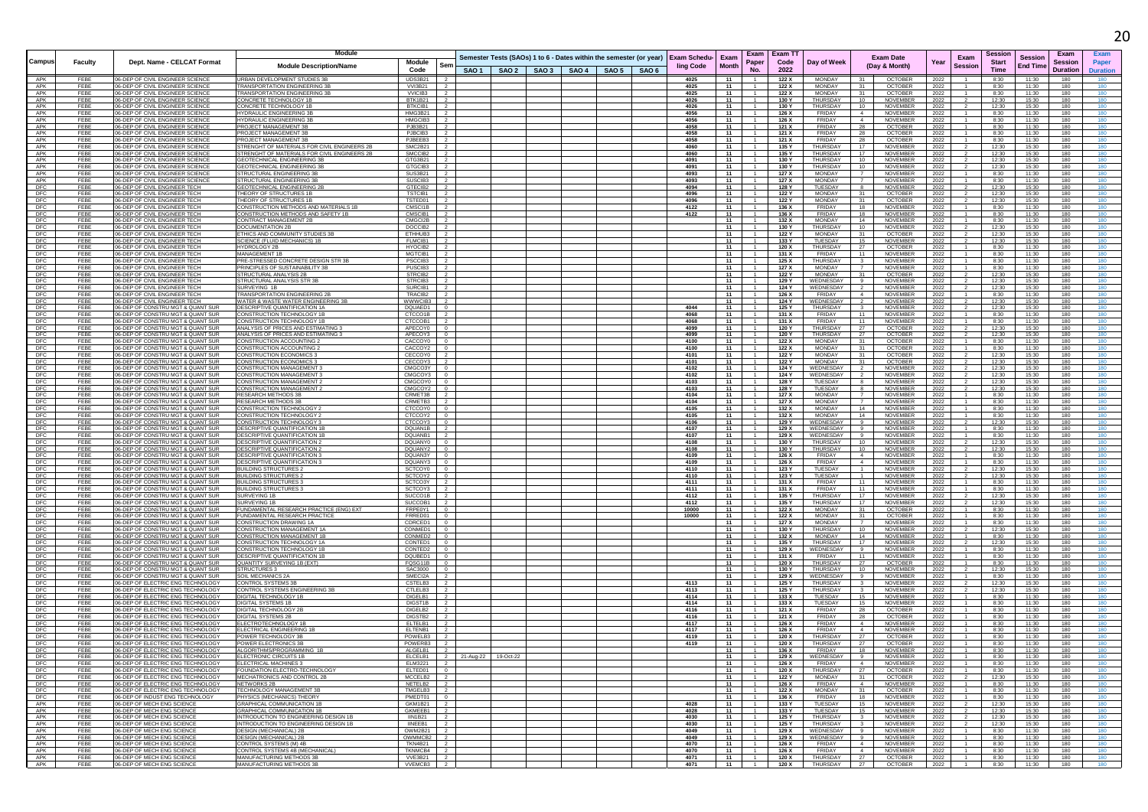|                   |              |                                                                        | <b>Module</b>                                                                   |                                                                         |                                                                                          |  |              |              |                            | Exam Exam TT      |                                |                                                                 |              |                        | Sessior        |                                   | Exam            |                 |
|-------------------|--------------|------------------------------------------------------------------------|---------------------------------------------------------------------------------|-------------------------------------------------------------------------|------------------------------------------------------------------------------------------|--|--------------|--------------|----------------------------|-------------------|--------------------------------|-----------------------------------------------------------------|--------------|------------------------|----------------|-----------------------------------|-----------------|-----------------|
| Campus            | Faculty      | Dept. Name - CELCAT Format                                             | <b>Module Description/Name</b>                                                  | Module<br>Sen                                                           | Semester Tests (SAOs) 1 to 6 - Dates within the semester (or year)   Exam Schedu-   Exam |  | ling Code    | <b>Month</b> | Paper                      | Code              | Day of Week                    | <b>Exam Date</b><br>(Day & Month)                               | Year         | Exam<br><b>Session</b> | <b>Start</b>   | <b>Session</b><br><b>End Time</b> | <b>Session</b>  | Paper           |
|                   |              |                                                                        |                                                                                 | Code                                                                    | SAO 1   SAO 2   SAO 3   SAO 4   SAO 5   SAO 6                                            |  |              |              | No.                        | 2022              |                                |                                                                 |              |                        | Time           |                                   | <b>Duration</b> | <b>Duration</b> |
| APK<br>APK        | FEBE<br>FEBE | 06-DEP OF CIVIL ENGINEER SCIENCE<br>06-DEP OF CIVIL ENGINEER SCIENCE   | URBAN DEVELOPMENT STUDIES 3B<br><b>TRANSPORTATION ENGINEERING 3E</b>            | UDS3B21 2<br>$\overline{2}$<br><b>VVI3B21</b>                           |                                                                                          |  | 4025<br>4025 | 11<br>- 11   |                            | 122 X<br>122 X    | MONDAY<br><b>MONDAY</b>        | <b>OCTOBER</b><br>31<br><b>OCTOBER</b><br>31                    | 2022<br>2022 |                        | 8:30<br>8:30   | 11:30<br>11:30                    | 180<br>180      | 180             |
| APK               | FEBE         | 06-DEP OF CIVIL ENGINEER SCIENCE                                       | TRANSPORTATION ENGINEERING 3                                                    | <b>VVICIB3</b><br>$\overline{2}$                                        |                                                                                          |  | 4025         | 11           |                            | 122 X             | <b>MONDAY</b>                  | <b>OCTOBER</b>                                                  | 2022         |                        | 8:30           | 11:30                             | 180             | 180             |
| APK               | FEBE         | 06-DEP OF CIVIL ENGINEER SCIENCE                                       | CONCRETE TECHNOLOGY 1E                                                          | BTK1B21<br>$\overline{2}$                                               |                                                                                          |  | 4026         | 11           |                            | 130 Y             | <b>THURSDAY</b>                | 10<br>NOVEMBER                                                  | 2022         |                        | 12:30          | 15:30                             | 180             | 180             |
| APK<br>APK        | FEBE<br>FEBE | 06-DEP OF CIVIL ENGINEER SCIENCE<br>06-DEP OF CIVIL ENGINEER SCIENCE   | CONCRETE TECHNOLOGY 1E<br><b>HYDRAULIC ENGINEERING 3E</b>                       | BTKCIB1<br>$\frac{1}{2}$<br>HMG3B21<br>$\overline{2}$                   |                                                                                          |  | 4026<br>4056 | 11<br>11     |                            | 130 Y<br>126 X    | THURSDAY<br>FRIDAY             | 10<br><b>NOVEMBER</b><br>NOVEMBER<br>$\sim$ 4                   | 2022<br>2022 |                        | 12:30<br>8:30  | 15:30<br>11:30                    | 180<br>180      | 180<br>180      |
| APK               | FEBE         | 06-DEP OF CIVIL ENGINEER SCIENCE                                       | <b>HYDRAULIC ENGINEERING 3E</b>                                                 | HMGCIB3<br>$\overline{2}$                                               |                                                                                          |  | 4056         | 11           |                            | 126 X             | <b>FRIDAY</b>                  | $\overline{4}$<br>NOVEMBER                                      | 2022         |                        | 8:30           | 11:30                             | 180             |                 |
| APK               | FEBE         | 06-DEP OF CIVIL ENGINEER SCIENCE                                       | PROJECT MANAGEMENT 3E                                                           | PJB3B21<br>$\overline{2}$                                               |                                                                                          |  | 4058         | 11           |                            | 121 X             | FRIDAY                         | 28<br><b>OCTOBER</b>                                            | 2022         |                        | 8:30           | 11:30                             | 180             | 180             |
| APK<br>APK        | FEBE<br>FFBF | 06-DEP OF CIVIL ENGINEER SCIENCE<br>06-DEP OF CIVIL ENGINEER SCIENCE   | PROJECT MANAGEMENT 3E<br>PROJECT MANAGEMENT 3P                                  | PJBCIB3<br>$\overline{2}$<br>PJBEEB3<br>$\overline{2}$                  |                                                                                          |  | 4058<br>4058 | - 11<br>11   |                            | 121 X<br>121 X    | FRIDAY<br>FRIDAY               | -28<br><b>OCTOBER</b><br>28<br><b>OCTOBER</b>                   | 2022<br>2022 |                        | 8:30<br>8:30   | 11:30<br>11:30                    | 180<br>180      | 180<br>180      |
| APK               | FEBE         | 06-DEP OF CIVIL ENGINEER SCIENCE                                       | STRENGHT OF MATERIALS FOR CIVIL ENGINEERS 2B                                    | SMC2B21                                                                 |                                                                                          |  | 4060         | 11           |                            | 135 Y             | THURSDAY                       | 17<br>NOVEMBER                                                  | 2022         |                        | 12:30          | 15:30                             | 180             | 180             |
| APK<br>APK        | FEBE         | 06-DEP OF CIVIL ENGINEER SCIENCE                                       | STRENGHT OF MATERIALS FOR CIVIL ENGINEERS 2B                                    | SMCCIB2<br>- 2                                                          |                                                                                          |  | 4060         | 11           |                            | 135 Y             | THURSDAY                       | NOVEMBER<br>17                                                  | 2022         |                        | 12:30          | 15:30                             | 180             | 180<br>180      |
| APK               | FEBE<br>FEBE | 106-DEP OF CIVIL ENGINEER SCIENCE<br>06-DEP OF CIVIL ENGINEER SCIENCE  | <b>GEOTECHNICAL ENGINEERING 3B</b><br><b>GEOTECHNICAL ENGINEERING 3B</b>        | GTG3B21 2<br>GTGCIB3<br>$\overline{2}$                                  |                                                                                          |  | 4091<br>4091 | - 11<br>11   |                            | 130 Y<br>130 Y    | THURSDAY<br>THURSDAY           | 10<br>NOVEMBER<br>10<br>NOVEMBER                                | 2022<br>2022 |                        | 12:30<br>12:30 | 15:30<br>15:30                    | 180<br>180      | 180             |
| APK               | FEBE         | 06-DEP OF CIVIL ENGINEER SCIENCE                                       | STRUCTURAL ENGINEERING 3E                                                       | SUS3B21                                                                 |                                                                                          |  | 4093         | 11           |                            | 127 X             | <b>MONDAY</b>                  | NOVEMBER                                                        | 2022         |                        | 8:30           | 11:30                             | 180             |                 |
| APK               | FEBE<br>FEBE | 06-DEP OF CIVIL ENGINEER SCIENCE                                       | STRUCTURAL ENGINEERING 3E                                                       | SUSCIB3<br>$\overline{2}$                                               |                                                                                          |  | 4093<br>4094 | - 11<br>11   |                            | 127 X             | <b>MONDAY</b>                  | $\overline{7}$<br><b>NOVEMBER</b>                               | 2022         |                        | 8:30           | 11:30<br>15:30                    | 180<br>180      | 180             |
| DFC<br>DFC        | FEBE         | 06-DEP OF CIVIL ENGINEER TECH<br>06-DEP OF CIVIL ENGINEER TECH         | GEOTECHNICAL ENGINEERING 2B<br>THEORY OF STRUCTURES 1B                          | GTECIB2<br>$\overline{2}$<br><b>TSTCIB1</b><br>$\overline{2}$           |                                                                                          |  | 4096         | 11           |                            | 128 Y<br>122 Y    | TUESDAY<br><b>MONDAY</b>       | NOVEMBER<br>8<br>31<br><b>OCTOBER</b>                           | 2022<br>2022 |                        | 12:30<br>12:30 | 15:30                             | 180             | 180<br>180      |
| DFC               | FEBE         | 06-DEP OF CIVIL ENGINEER TECH                                          | THEORY OF STRUCTURES 1E                                                         | TSTED01 2                                                               |                                                                                          |  | 4096         | 11           |                            | 122 Y             | <b>MONDAY</b>                  | 31<br><b>OCTOBER</b>                                            | 2022         |                        | 12:30          | 15:30                             | 180             | 180             |
| DEC<br>DFC        | FEBE<br>FFBF | 06-DEP OF CIVIL ENGINEER TECH<br>06-DEP OF CIVIL ENGINEER TECH         | CONSTRUCTION METHODS AND MATERIALS 1B<br>CONSTRUCTION METHODS AND SAFETY 1B     | CMSCI1B<br>$\overline{2}$<br>CMSCIB1<br>$\overline{2}$                  |                                                                                          |  | 4122<br>4122 | 11<br>11     | $\overline{1}$             | 136 X<br>136 X    | <b>FRIDAY</b><br><b>FRIDAY</b> | 18<br>NOVEMBER<br>18<br>NOVEMBER                                | 2022<br>2022 |                        | 8:30<br>8:30   | 11:30<br>11:30                    | 180<br>180      | 180<br>180      |
| DFC               | FEBE         | 06-DEP OF CIVIL ENGINEER TECH                                          | CONTRACT MANAGEMENT 2B                                                          | CMGCI2B <sub>2</sub>                                                    |                                                                                          |  |              | 11           | $-1$                       | 132 X             | MONDAY                         | 14<br>NOVEMBER                                                  | 2022         |                        | 8:30           | 11:30                             | 180             | 180             |
| <b>DFC</b>        | FEBE         | 06-DEP OF CIVIL ENGINEER TECH                                          | DOCUMENTATION 2B                                                                | DOCCIB <sub>2</sub><br>$\overline{2}$                                   |                                                                                          |  |              | 11           |                            | 130 Y             | THURSDAY                       | <b>NOVEMBER</b><br>10                                           | 2022         |                        | 12:30          | 15:30                             | 180             | 180             |
| DFC<br>DFC        | FFBF<br>FEBE | 06-DEP OF CIVIL ENGINEER TECH<br>06-DEP OF CIVIL ENGINEER TECH         | ETHICS AND COMMUNITY STUDIES 3I<br>SCIENCE (FLUID MECHANICS) 1B                 | ETHHUB3<br>$\frac{1}{2}$<br>FLMCIB1                                     |                                                                                          |  |              | 11<br>11     |                            | 122 Y<br>133 Y    | <b>MONDAY</b><br>TUESDAY       | 31<br><b>OCTOBER</b><br>15<br>NOVEMBER                          | 2022<br>2022 |                        | 12:30<br>12:30 | 15:30<br>15:30                    | 180<br>180      |                 |
| DFC               | FEBE         | 06-DEP OF CIVIL ENGINEER TECH                                          | HYDROLOGY 2B                                                                    | HYOCIB2<br>$\overline{2}$                                               |                                                                                          |  |              | 11           |                            | 120 X             | THURSDAY                       | 27<br><b>OCTOBER</b>                                            | 2022         |                        | 8:30           | 11:30                             | 180             | 180             |
| <b>DFC</b>        | FEBE         | 06-DEP OF CIVIL ENGINEER TECH                                          | <b>MANAGEMENT 1B</b>                                                            | MGTCIB1 2                                                               |                                                                                          |  |              | - 11         | 1                          | 131 X             | FRIDAY                         | 11<br>NOVEMBER                                                  | 2022         |                        | 8:30           | 11:30                             | 180             | 180             |
| DFC<br>DFC        | FEBE<br>FEBE | 06-DEP OF CIVIL ENGINEER TECH<br>06-DEP OF CIVIL ENGINEER TECH         | PRE-STRESSED CONCRETE DESIGN STR 3B<br>PRINCIPLES OF SUSTAINABILITY 3B          | PSCCIB3<br>$\overline{2}$<br>PUSCIB3<br>$\overline{2}$                  |                                                                                          |  |              | 11<br>11     |                            | 125 X<br>127 X    | THURSDAY<br>MONDAY             | <b>NOVEMBER</b><br>NOVEMBER                                     | 2022<br>2022 |                        | 8:30<br>8:30   | 11:30<br>11:30                    | 180<br>180      | 180<br>180      |
| DFC               | FEBE         | 06-DEP OF CIVIL ENGINEER TECH                                          | STRUCTURAL ANALYSIS 2B                                                          | STRCIB <sub>2</sub><br>$\overline{2}$                                   |                                                                                          |  |              | 11           |                            | 122 Y             | <b>MONDAY</b>                  | 31<br><b>OCTOBER</b>                                            | 2022         |                        | 12:30          | 15:30                             | 180             | 180             |
| DFC               | FEBE         | 06-DEP OF CIVIL ENGINEER TECH                                          | STRUCTURAL ANALYSIS STR 3B                                                      | STRCIB3<br>$\overline{2}$                                               |                                                                                          |  |              | 11           | 1                          | 129 Y             | WEDNESDAY                      | <b>NOVEMBER</b><br>9                                            | 2022         |                        | 12:30          | 15:30                             | 180             | 180             |
| DFC<br>DFC        | FEBE<br>FEBE | 06-DEP OF CIVIL ENGINEER TECH<br>06-DEP OF CIVIL ENGINEER TECH         | SURVEYING 1B<br><b>RANSPORTATION ENGINEERING 2E</b>                             | SURCIB1<br>$\overline{2}$<br>TRACIB2                                    |                                                                                          |  |              | 11<br>11     |                            | 124 Y<br>126 X    | WEDNESDAY<br><b>FRIDAY</b>     | $\overline{2}$<br>NOVEMBER<br>NOVEMBER                          | 2022<br>2022 |                        | 12:30<br>8:30  | 15:30<br>11:30                    | 180<br>180      | 180             |
| DFC               | FEBE         | 06-DEP OF CIVIL ENGINEER TECH                                          | WATER & WASTE WATER ENGINEERING 3B                                              | WWWCIB3 I<br>$\overline{2}$                                             |                                                                                          |  |              | 11           |                            | 124 Y             | WEDNESDAY                      | NOVEMBER                                                        | 2022         |                        | 12:30          | 15:30                             | 180             | 180             |
| DFC<br>DFC        | FFBF<br>FEBE | 06-DEP OF CONSTRU MGT & QUANT SUR<br>06-DEP OF CONSTRU MGT & QUANT SUR | DESCRIPTIVE QUANTIFICATION 1A<br>CONSTRUCTION TECHNOLOGY 1E                     | DOUAED1 0<br>CTCCO1B <sub>2</sub>                                       |                                                                                          |  | 4044<br>4068 | 11<br>11     | $\overline{1}$             | 125 Y<br>131 X    | <b>THURSDAY</b><br>FRIDAY      | NOVEMBER<br>$\mathbf{3}$<br>11<br>NOVEMBER                      | 2022         |                        | 12:30<br>8:30  | 15:30<br>11:30                    | 180<br>180      | 180<br>180      |
| DFC               | FEBE         | 06-DEP OF CONSTRU MGT & QUANT SUR                                      | CONSTRUCTION TECHNOLOGY 1E                                                      | CTCCOB1<br>- 2                                                          |                                                                                          |  | 4068         | 11           |                            | 131 X             | FRIDAY                         | 11<br>NOVEMBER                                                  | 2022<br>2022 |                        | 8:30           | 11:30                             | 180             | 180             |
| DFC               | FEBE         | 06-DEP OF CONSTRU MGT & QUANT SUR                                      | ANALYSIS OF PRICES AND ESTIMATING 3                                             | APECOY0<br>$\Omega$                                                     |                                                                                          |  | 4099         | 11           |                            | 120 Y             | THURSDAY                       | 27<br><b>OCTOBER</b>                                            | 2022         |                        | 12:30          | 15:30                             | 180             | 180             |
| DFC<br>DFC        | FEBE<br>FEBE | 06-DEP OF CONSTRU MGT & QUANT SUR<br>06-DEP OF CONSTRU MGT & QUANT SUR | ANALYSIS OF PRICES AND ESTIMATING 3<br>CONSTRUCTION ACCOUNTING 2                | APECOY3 0<br>CACCOY0  <br>$\overline{0}$                                |                                                                                          |  | 4099<br>4100 | 11<br>11     |                            | 120 Y<br>122 X    | THURSDAY<br><b>MONDAY</b>      | 27<br><b>OCTOBER</b><br>OCTOBER<br>31                           | 2022<br>2022 |                        | 12:30<br>8:30  | 15:30<br>11:30                    | 180<br>180      | 180<br>180      |
| DFC               | FEBE         | 06-DEP OF CONSTRU MGT & QUANT SUR                                      | CONSTRUCTION ACCOUNTING :                                                       | CACCOY2 0                                                               |                                                                                          |  | 4100         | - 11         |                            | 122 X             | <b>MONDAY</b>                  | OCTOBER<br>31                                                   | 2022         |                        | 8:30           | 11:30                             | 180             | 180             |
| DFC               | FEBE         | 06-DEP OF CONSTRU MGT & QUANT SUR                                      | CONSTRUCTION ECONOMICS 3                                                        | CECCOY0<br>$\overline{\phantom{a}}$                                     |                                                                                          |  | 4101         | 11           |                            | 122 Y             | <b>MONDAY</b>                  | <b>OCTOBER</b><br>31                                            | 2022         |                        | 12:30          | 15:30                             | 180             | 180             |
| DFC<br>DFC        | FEBE<br>FEBE | 06-DEP OF CONSTRU MGT & QUANT SUR<br>06-DEP OF CONSTRU MGT & QUANT SUR | CONSTRUCTION ECONOMICS 3<br>CONSTRUCTION MANAGEMENT                             | CECCOY3<br>$\overline{\phantom{a}}$<br>CMGCO3Y 0                        |                                                                                          |  | 4101<br>4102 | 11<br>11     | $\overline{1}$             | 122 Y<br>124 Y    | MONDAY<br>WEDNESDAY            | 31<br><b>OCTOBER</b><br>NOVEMBER                                | 2022<br>2022 |                        | 12:30<br>12:30 | 15:30<br>15:30                    | 180<br>180      | 180<br>180      |
| DFC               | FEBE         | 06-DEP OF CONSTRU MGT & QUANT SUR                                      | CONSTRUCTION MANAGEMENT                                                         | CMGCOY3<br>$\overline{0}$                                               |                                                                                          |  | 4102         | 11           |                            | 124 Y             | WEDNESDAY                      | NOVEMBER                                                        | 2022         |                        | 12:30          | 15:30                             | 180             | 180             |
| DFC               | FEBE<br>FEBE | 06-DEP OF CONSTRU MGT & QUANT SUR<br>06-DEP OF CONSTRU MGT & QUANT SUR | CONSTRUCTION MANAGEMENT<br>CONSTRUCTION MANAGEMENT 2                            | <b>CMGCOY0</b><br>$\overline{\phantom{0}}$<br>CMGCOY2<br>$\overline{0}$ |                                                                                          |  | 4103         | 11<br>11     |                            | 128 Y<br>128 Y    | TUESDAY<br>TUESDAY             | NOVEMBER<br>8                                                   | 2022         |                        | 12:30<br>12:30 | 15:30<br>15:30                    | 180             | 180             |
| DFC<br>DFC        | FEBE         | 06-DEP OF CONSTRU MGT & QUANT SUR                                      | <b>RESEARCH METHODS 3B</b>                                                      | CRMET3B 2                                                               |                                                                                          |  | 4103<br>4104 | - 11         |                            | 127 X             | MONDAY                         | NOVEMBER<br>$\overline{7}$<br>NOVEMBER                          | 2022<br>2022 |                        | 8:30           | 11:30                             | 180<br>180      | 180             |
| DFC               | FFBF         | 06-DEP OF CONSTRU MGT & QUANT SUR                                      | <b>RESEARCH METHODS 3E</b>                                                      | CRMETB3 2                                                               |                                                                                          |  | 4104         | 11           |                            | 127 X             | <b>MONDAY</b>                  | $\overline{7}$<br>NOVEMBER                                      | 2022         |                        | 8:30           | 11:30                             | 180             |                 |
| DFC<br>DFC        | FEBE<br>FEBE | 06-DEP OF CONSTRU MGT & QUANT SUP<br>06-DEP OF CONSTRU MGT & QUANT SUR | CONSTRUCTION TECHNOLOGY<br>CONSTRUCTION TECHNOLOGY 2                            | <b>CTCCOY0</b><br>CTCCOY2   0                                           |                                                                                          |  | 4105<br>4105 | 11<br>11     |                            | 132 X<br>132 X    | MONDAY<br>MONDAY               | 14<br>NOVEMBER<br>NOVEMBER<br>14                                | 2022<br>2022 |                        | 8:30<br>8:30   | 11:30<br>11:30                    | 180<br>180      |                 |
| DFC               | FEBE         | 06-DEP OF CONSTRUMGT & QUANT SUR                                       | CONSTRUCTION TECHNOLOGY 3                                                       | CTCCOY3   0                                                             |                                                                                          |  | 4106         | - 11         |                            | 129 Y             | WEDNESDAY                      | - 9<br>NOVEMBER                                                 | 2022         |                        | 12:30          | 15:30                             | 180             | 180             |
| DFC               | FEBE         | 06-DEP OF CONSTRU MGT & QUANT SUR                                      | DESCRIPTIVE QUANTIFICATION 1E                                                   | DQUAN1B <sub>2</sub>                                                    |                                                                                          |  | 4107         | 11           |                            | 129 X             | WEDNESDAY                      | 9<br>NOVEMBER                                                   | 2022         |                        | 8:30           | 11:30                             | 180             | 180             |
| DFC<br>DEC        | FEBE<br>FEBE | 06-DEP OF CONSTRUMGT & QUANT SUP<br>06-DEP OF CONSTRU MGT & QUANT SUR  | <b>DESCRIPTIVE QUANTIFICATION 1</b><br>DESCRIPTIVE QUANTIFICATION 2             | DQUANB1<br>DQUANY0<br>$\overline{0}$                                    |                                                                                          |  | 4107<br>4108 | 11<br>11     |                            | 129 X<br>130 Y    | WEDNESDAY<br>THURSDAY          | NOVEMBER<br>10<br>NOVEMBER                                      | 2022         |                        | 8:30<br>12:30  | 11:30<br>15:30                    | 180<br>180      |                 |
| DFC               | FEBE         | 06-DEP OF CONSTRU MGT & QUANT SUR                                      | DESCRIPTIVE QUANTIFICATION 2                                                    | DQUANY2  <br>$\Omega$                                                   |                                                                                          |  | 4108         | 11           |                            | 130 Y             | THURSDAY                       | 10<br>NOVEMBER                                                  | 2022<br>2022 |                        | 12:30          | 15:30                             | 180             | 180             |
| DFC               | FEBE         | 06-DEP OF CONSTRU MGT & QUANT SUR                                      | <b>DESCRIPTIVE QUANTIFICATION 3</b>                                             | DQUAN3Y<br>$\overline{\phantom{0}}$                                     |                                                                                          |  | 4109         | 11           |                            | 126 X             | FRIDAY                         | $\overline{4}$<br>NOVEMBER                                      | 2022         |                        | 8:30           | 11:30                             | 180             |                 |
| DEC<br>DFC        | FEBE<br>FEBE | 06-DEP OF CONSTRU MGT & QUANT SUR<br>06-DEP OF CONSTRU MGT & QUANT SUR | DESCRIPTIVE QUANTIFICATION 3<br><b>BUILDING STRUCTURES 2</b>                    | DQUANY3 0<br><b>SCTCOY0</b><br>$\overline{0}$                           |                                                                                          |  | 4109<br>4110 | 11<br>- 11   |                            | 126 X<br>123 Y    | FRIDAY<br>TUESDAY              | $\overline{4}$<br>NOVEMBER<br>$\overline{1}$<br>NOVEMBER        | 2022<br>2022 |                        | 8:30<br>12:30  | 11:30<br>15:30                    | 180<br>180      | 180             |
| DFC               | FEBE         | 06-DEP OF CONSTRU MGT & QUANT SUR                                      | <b>BUILDING STRUCTURES 2</b>                                                    | SCTCOY2 0                                                               |                                                                                          |  | 4110         | 11           |                            | 123 Y             | TUESDAY                        | $\overline{1}$<br>NOVEMBER                                      | 2022         |                        | 12:30          | 15:30                             | 180             | 180             |
| DFC               | FEBE         | 06-DEP OF CONSTRU MGT & QUANT SUR                                      | <b>BUILDING STRUCTURES 3</b>                                                    | SCTCO3Y 2                                                               |                                                                                          |  | 4111         | 11           |                            | 131 X             | FRIDAY                         | 11<br>NOVEMBER                                                  | 2022         |                        | 8:30           | 11:30                             | 180             |                 |
| <b>DFC</b><br>DFC | FEBE<br>FEBE | 06-DEP OF CONSTRU MGT & QUANT SUR<br>06-DEP OF CONSTRU MGT & QUANT SUR | BUILDING STRUCTURES 3<br>SURVEYING 1B                                           | SCTCOY3<br>$\overline{2}$<br>$\overline{2}$<br>SUCCO1B                  |                                                                                          |  | 4111<br>4112 | 11<br>11     |                            | 131 X<br>135 Y    | FRIDAY<br>THURSDAY             | 11<br>NOVEMBER<br>17<br>NOVEMBER                                | 2022<br>2022 |                        | 8:30<br>12:30  | 11:30<br>15:30                    | 180<br>180      | 180<br>180      |
| DFC               | FEBE         | 06-DEP OF CONSTRU MGT & QUANT SUR                                      | SURVEYING 1E                                                                    | SUCCOB1                                                                 |                                                                                          |  | 4112         | 11           |                            | 135 Y             | THURSDAY                       | 17<br>NOVEMBER                                                  | 2022         |                        | 12:30          | 15:30                             | 180             | 180             |
| DFC<br>DFC        | FEBE<br>FEBE | 06-DEP OF CONSTRU MGT & QUANT SUR<br>06-DEP OF CONSTRU MGT & QUANT SUR | FUNDAMENTAL RESEARCH PRACTICE (ENG) EXT<br><b>FUNDAMENTAL RESEARCH PRACTICE</b> | FRPE0Y1<br>$\overline{0}$<br>FRRED01 0                                  |                                                                                          |  | 10000        | 11<br>11     |                            | 122 X<br>122 X    | <b>MONDAY</b><br><b>MONDAY</b> | 31<br><b>OCTOBER</b><br><b>OCTOBER</b><br>31                    | 2022         |                        | 8:30<br>8:30   | 11:30<br>11:30                    | 180<br>180      | 180<br>180      |
| DFC               | FEBE         | 06-DEP OF CONSTRU MGT & QUANT SUR                                      | CONSTRUCTION DRAWING 1A                                                         | CDRCED1<br>$\overline{0}$                                               |                                                                                          |  | 10000        | 11           |                            | 127 X             | <b>MONDAY</b>                  | <b>NOVEMBER</b><br>$\overline{7}$                               | 2022<br>2022 |                        | 8:30           | 11:30                             | 180             | 180             |
| DFC               | FEBE         | 06-DEP OF CONSTRU MGT & QUANT SUR                                      | CONSTRUCTION MANAGEMENT                                                         | CONMED1<br>$\overline{0}$                                               |                                                                                          |  |              | 11           |                            | 130 Y             | THURSDAY                       | 10<br>NOVEMBER                                                  | 2022         |                        | 12:30          | 15:30                             | 180             | 180             |
| DFC<br>DFC        | FEBE<br>FEBE | 06-DEP OF CONSTRU MGT & QUANT SUR<br>06-DEP OF CONSTRU MGT & QUANT SUR | CONSTRUCTION MANAGEMENT 1B<br>CONSTRUCTION TECHNOLOGY 1A                        | CONMED2<br>$\Omega$<br>CONTED1<br>$\Omega$                              |                                                                                          |  |              | 11<br>11     |                            | 132 X<br>135 Y    | <b>MONDAY</b><br>THURSDAY      | 14<br>NOVEMBER<br>17<br><b>NOVEMBER</b>                         | 2022<br>2022 |                        | 8:30<br>12:30  | 11:30<br>15:30                    | 180<br>180      | 180<br>180      |
| DFC               | FEBE         | 06-DEP OF CONSTRU MGT & QUANT SUR                                      | CONSTRUCTION TECHNOLOGY 1E                                                      | CONTED2<br>$\overline{\phantom{0}}$                                     |                                                                                          |  |              | 11           | $\overline{1}$             | 129 X             | WEDNESDAY                      | 9<br>NOVEMBER                                                   | 2022         |                        | 8:30           | 11:30                             | 180             |                 |
| DEC               | FEBE         | 06-DEP OF CONSTRU MGT & QUANT SUR                                      | <b>DESCRIPTIVE QUANTIFICATION 1B</b>                                            | DQUBED1<br>$\overline{0}$                                               |                                                                                          |  |              | 11           |                            | 131 X             | <b>FRIDAY</b>                  | NOVEMBER<br>11                                                  | 2022         |                        | 8:30           | 11:30                             | 180             |                 |
| DFC<br>DFC        | FEBE<br>FFBF | 06-DEP OF CONSTRU MGT & QUANT SUR<br>06-DEP OF CONSTRU MGT & QUANT SUR | <b>QUANTITY SURVEYING 1B (EXT)</b><br>STRUCTURES 3                              | FQSG11B<br>$\overline{0}$<br>SAC3000<br>$\Omega$                        |                                                                                          |  |              | - 11<br>11   |                            | 120 X<br>130 Y    | THURSDAY<br><b>THURSDAY</b>    | 27<br>OCTOBER<br>10<br><b>NOVEMBER</b>                          | 2022<br>2022 |                        | 8:30<br>12:30  | 11:30<br>15:30                    | 180<br>180      | 180             |
| DFC               | FEBE         | 06-DEP OF CONSTRU MGT & QUANT SUR                                      | SOIL MECHANICS 2                                                                | SMECI2A                                                                 |                                                                                          |  |              | 11           |                            | 129 X             | WEDNESDAY                      | NOVEMBER                                                        | 2022         |                        | 8:30           | 11:30                             | 180             |                 |
| DFC               | FEBE<br>FEBE | 06-DEP OF ELECTRIC ENG TECHNOLOGY<br>06-DEP OF ELECTRIC ENG TECHNOLOGY | CONTROL SYSTEMS 3E<br>CONTROL SYSTEMS ENGINEERING 3B                            | CSTELB3<br>$\overline{2}$<br>CTLELB3<br>$\overline{2}$                  |                                                                                          |  | 4113<br>4113 | 11<br>11     | 1                          | 125 Y             | THURSDAY<br>THURSDAY           | NOVEMBER<br>$\overline{\mathbf{3}}$<br>NOVEMBER                 | 2022         |                        | 12:30          | 15:30<br>15:30                    | 180<br>180      | 180<br>180      |
| DFC<br>DFC        | FEBE         | 06-DEP OF ELECTRIC ENG TECHNOLOGY                                      | DIGITAL TECHNOLOGY 1B                                                           | DIGELB1<br>$\overline{2}$                                               |                                                                                          |  | 4114         | 11           | $\overline{1}$             | 125 Y<br>133 X    | TUESDAY                        | 15<br>NOVEMBER                                                  | 2022<br>2022 |                        | 12:30<br>8:30  | 11:30                             | 180             | 180             |
| DFC               | FEBE         | 06-DEP OF ELECTRIC ENG TECHNOLOGY                                      | DIGITAL SYSTEMS 1B                                                              | DIGST1B                                                                 |                                                                                          |  | 4114         | 11           |                            | 133 X             | TUESDAY                        | NOVEMBER<br>15                                                  | 2022         |                        | 8:30           | 11:30                             | 180             |                 |
| DFC<br>DFC        | FEBE<br>FEBE | 06-DEP OF ELECTRIC ENG TECHNOLOGY<br>06-DEP OF ELECTRIC ENG TECHNOLOGY | DIGITAL TECHNOLOGY<br><b>DIGITAL SYSTEMS 2B</b>                                 | DIGELB2<br>$\overline{2}$<br>DIGSTB2  <br>$\overline{2}$                |                                                                                          |  | 4116<br>4116 | 11<br>11     |                            | 121 X<br>121 X    | FRIDAY<br>FRIDAY               | <b>OCTOBER</b><br>28<br><b>OCTOBER</b><br>28                    | 2022<br>2022 |                        | 8:30<br>8:30   | 11:30<br>11:30                    | 180<br>180      | 180             |
| DFC               | FEBE         | 06-DEP OF ELECTRIC ENG TECHNOLOGY                                      | <b>ELECTROTECHNOLOGY</b>                                                        | ELTELB1<br>$\overline{2}$                                               |                                                                                          |  | 4117         | 11           | $\overline{1}$             | 126 X             | FRIDAY                         | 4<br>NOVEMBER                                                   | 2022         |                        | 8:30           | 11:30                             | 180             | 180             |
| DFC               | FEBE         | 06-DEP OF ELECTRIC ENG TECHNOLOGY                                      | ELECTRICAL ENGINEERING 1B                                                       | ELTENB1                                                                 |                                                                                          |  | 4117         | 11           |                            | 126 X             | <b>FRIDAY</b>                  | $\overline{4}$<br>NOVEMBER                                      | 2022         |                        | 8:30           | 11:30                             | 180             | 180             |
| DFC<br>DFC        | FEBE<br>FEBE | 06-DEP OF ELECTRIC ENG TECHNOLOGY<br>06-DEP OF ELECTRIC ENG TECHNOLOGY | POWER TECHNOLOGY 3B<br>POWER ELECTRONICS 3E                                     | POWELB3<br>POWERB3<br>$\overline{2}$                                    |                                                                                          |  | 4119<br>4119 | 11<br>11     |                            | 120 X<br>120 X    | THURSDAY<br>THURSDAY           | 27<br><b>OCTOBER</b><br>27<br><b>OCTOBER</b>                    | 2022<br>2022 |                        | 8:30<br>8:30   | 11:30<br>11:30                    | 180<br>180      | 180             |
| DFC               | FEBE         | 06-DEP OF ELECTRIC ENG TECHNOLOGY                                      | ALGORITHMS/PROGRAMMING 1E                                                       | ALGELB1 2                                                               |                                                                                          |  |              | 11           |                            | 136 X             | FRIDAY                         | 18<br>NOVEMBER                                                  | 2022         |                        | 8:30           | 11:30                             | 180             |                 |
| DFC               | FEBE<br>FFBF | 06-DEP OF ELECTRIC ENG TECHNOLOGY<br>06-DEP OF ELECTRIC ENG TECHNOLOGY | ELECTRONIC CIRCUITS 1B                                                          | ELCELB1 2 21-Aug-22 19-Oct-22                                           |                                                                                          |  |              | 11<br>11     | 1<br>$-1$                  | 129 X             | WEDNESDAY<br>FRIDAY            | - 9<br>NOVEMBER                                                 | 2022         | $\mathbf{1}$           | 8:30           | 11:30<br>11:30                    | 180<br>180      | 180             |
| DFC<br>DFC        | FEBE         | 06-DEP OF ELECTRIC ENG TECHNOLOGY                                      | ELECTRICAL MACHINES 3<br>FOUNDATION ELECTRO-TECHNOLOGY                          | ELM3221<br>$\overline{2}$<br>ELTED01 0                                  |                                                                                          |  |              | 11           | $\overline{1}$             | 126 X<br>120 X    | THURSDAY                       | <b>NOVEMBER</b><br>$\sim$<br><b>OCTOBER</b><br>27               | 2022<br>2022 |                        | 8:30<br>8:30   | 11:30                             | 180             | 180             |
| DFC               | FEBE         | 06-DEP OF ELECTRIC ENG TECHNOLOGY                                      | MECHATRONICS AND CONTROL 2B                                                     | MCCELB2 2                                                               |                                                                                          |  |              | 11           |                            | 122 Y             | <b>MONDAY</b>                  | <b>OCTOBER</b><br>31                                            | 2022         |                        | 12:30          | 15:30                             | 180             | 180             |
| <b>DFC</b>        | FEBE         | 06-DEP OF ELECTRIC ENG TECHNOLOGY                                      | <b>NETWORKS 2B</b>                                                              | NFTELB <sub>2</sub> $2$                                                 |                                                                                          |  |              | 11           | $-1$<br>1                  | 126 X             | FRIDAY                         | <b>NOVEMBER</b><br>$\sim$ 4                                     | 2022         | $\overline{1}$         | 8:30           | 11:30                             | 180             | 180             |
| DFC<br>DFC        | FEBE<br>FEBE | 06-DEP OF ELECTRIC ENG TECHNOLOGY<br>06-DEP OF INDUST ENG TECHNOLOGY   | TECHNOLOGY MANAGEMENT 3B<br>PHYSICS (MECHANICS) THEORY                          | TMGELB3 2<br>PMEDT01<br>$\overline{0}$                                  |                                                                                          |  |              | 11<br>11     |                            | 122 X<br>136 X    | MONDAY<br>FRIDAY               | 31<br><b>OCTOBER</b><br>18<br>NOVEMBER                          | 2022<br>2022 |                        | 8:30<br>8:30   | 11:30<br>11:30                    | 180<br>180      | 180<br>180      |
| APK               | FEBE         | 06-DEP OF MECH ENG SCIENCE                                             | <b>GRAPHICAL COMMUNICATION 1B</b>                                               | GKM1B21 2                                                               |                                                                                          |  | 4028         | - 11         | $\overline{1}$             | 133 Y             | TUESDAY                        | 15<br><b>NOVEMBER</b>                                           | 2022         |                        | 12:30          | 15:30                             | 180             | 180             |
| APK<br>APK        | FFBF<br>FEBE | 06-DEP OF MECH ENG SCIENCE<br>06-DEP OF MECH ENG SCIENCE               | <b>GRAPHICAL COMMUNICATION 1B</b><br>INTRODUCTION TO ENGINEERING DESIGN 1B      | GKMFFB1 2<br><b>IIN1B21</b><br>$\overline{\phantom{0}}$                 |                                                                                          |  | 4028<br>4030 | 11<br>11     | $\sim$ 1<br>$\overline{1}$ | 133 Y<br>125 Y    | TUESDAY<br>THURSDAY            | 15<br>NOVEMBER<br>$\overline{\mathbf{3}}$<br>NOVEMBER           | 2022<br>2022 | $\overline{2}$         | 12:30<br>12:30 | 15:30<br>15:30                    | 180<br>180      | 180<br>180      |
| APK               | FEBE         | 06-DEP OF MECH ENG SCIENCE                                             | INTRODUCTION TO ENGINEERING DESIGN 1B                                           | IINEEB1 2                                                               |                                                                                          |  | 4030         | 11           |                            | 125 Y             | THURSDAY                       | NOVEMBER<br>$\overline{\mathbf{3}}$                             | 2022         |                        | 12:30          | 15:30                             | 180             | 180             |
| APK               | FEBE         | 06-DEP OF MECH ENG SCIENCE                                             | DESIGN (MECHANICAL) 2B                                                          | OWM2B21 2                                                               |                                                                                          |  | 4049         | - 11         | $\overline{1}$             | 129 X             | WEDNESDAY                      | NOVEMBER<br>-9                                                  | 2022         | $\mathbf{1}$           | 8:30           | 11:30                             | 180             | 180             |
| APK<br>APK        | FEBE<br>FEBE | 06-DEP OF MECH ENG SCIENCE<br>06-DEP OF MECH ENG SCIENCE               | DESIGN (MECHANICAL) 2B<br>CONTROL SYSTEMS (M) 4B                                | OWMMCB2 2<br><b>TKN4B21</b><br>$\overline{2}$                           |                                                                                          |  | 4049<br>4070 | 11<br>11     | $\overline{1}$             | 129 X<br>126 X    | WEDNESDAY<br>FRIDAY            | 9 <sup>1</sup><br>NOVEMBER<br>$\overline{4}$<br><b>NOVEMBER</b> | 2022<br>2022 | $\overline{1}$         | 8:30<br>8:30   | 11:30<br>11:30                    | 180<br>180      | 180<br>180      |
| APK               | FEBE         | 06-DEP OF MECH ENG SCIENCE                                             | CONTROL SYSTEMS 4B (MECHANICAL)                                                 | TKNMCB4<br>$\overline{2}$                                               |                                                                                          |  | 4070         | 11           | $\overline{1}$             | 126 X             | FRIDAY                         | NOVEMBER<br>$\sim$ 4                                            | 2022         |                        | 8:30           | 11:30                             | 180             | 180             |
| APK               | FEBE         | 06-DEP OF MECH ENG SCIENCE                                             | MANUFACTURING METHODS 3B                                                        | <b>VVE3B21</b><br>$\overline{2}$                                        |                                                                                          |  | 4071         | 11           | $\overline{1}$             | 120X<br>$1$ 120 X | THURSDAY                       | 27<br><b>OCTOBER</b>                                            | 2022         |                        | 8:30           | 11:30                             | 180             | 180             |
| APK               | FEBE         | 06-DEP OF MECH ENG SCIENCE                                             | MANUFACTURING METHODS 3B                                                        | VVEMCB3 2                                                               |                                                                                          |  | 4071         | 11           |                            |                   | THURSDAY                       | 27<br><b>OCTOBER</b>                                            | 2022         | $\overline{1}$         | 8:30           | 11:30                             | 180             | 180             |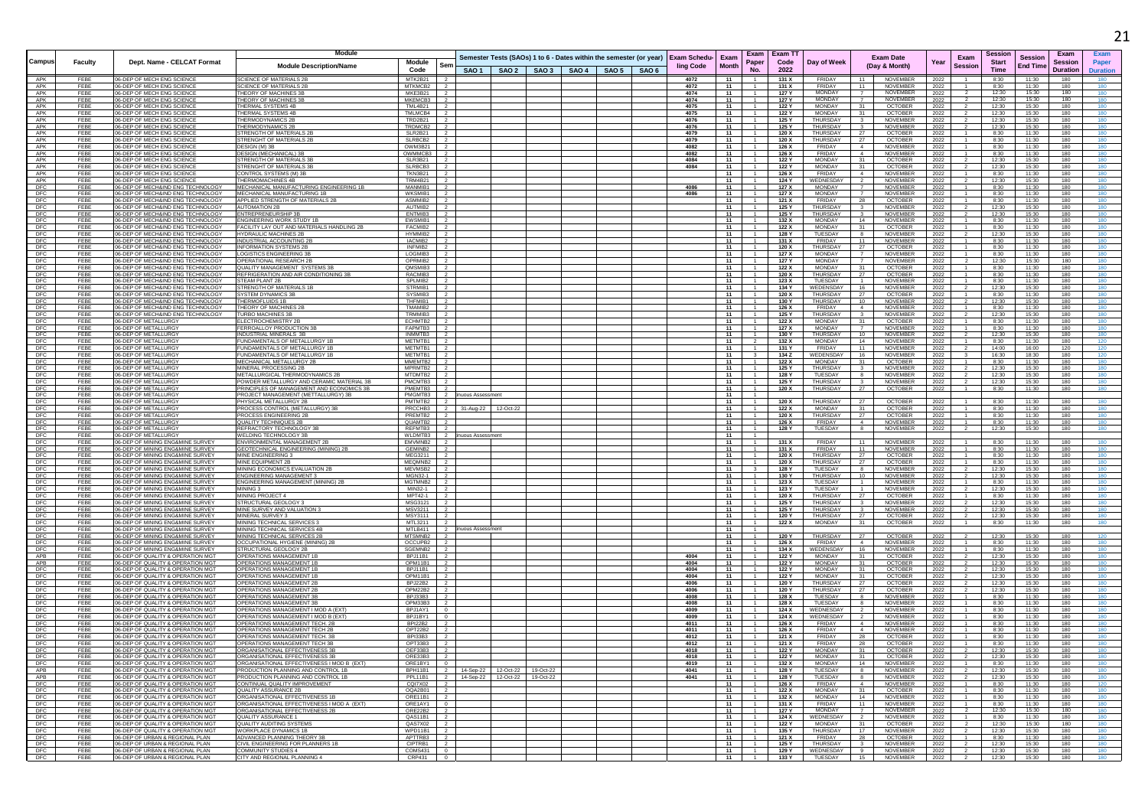|                   |                |                                                                        | Module                                                                        |                            |                   |                                 |                                                                                      |  |              |              |       | Exam Exam T    |                                |                                                           |              | Sessior                                |                                   | Exam            |            |
|-------------------|----------------|------------------------------------------------------------------------|-------------------------------------------------------------------------------|----------------------------|-------------------|---------------------------------|--------------------------------------------------------------------------------------|--|--------------|--------------|-------|----------------|--------------------------------|-----------------------------------------------------------|--------------|----------------------------------------|-----------------------------------|-----------------|------------|
| Campus            | <b>Faculty</b> | Dept. Name - CELCAT Format                                             | <b>Module Description/Name</b>                                                | Module<br>Ser              |                   |                                 | Semester Tests (SAOs) 1 to 6 - Dates within the semester (or year) Exam Schedu- Exam |  | ling Code    | <b>Month</b> | Paper | Code           | Day of Week                    | <b>Exam Date</b><br>(Day & Month)                         | Year         | Exam<br><b>Start</b><br><b>Session</b> | <b>Session</b><br><b>End Time</b> | <b>Session</b>  | Paper      |
|                   |                |                                                                        |                                                                               | Code                       |                   |                                 | SAO 1   SAO 2   SAO 3   SAO 4   SAO 5   SAO 6                                        |  |              |              | No.   | 2022           |                                |                                                           |              | <b>Time</b>                            |                                   | <b>Duration</b> | Duration   |
| APK               | FEBE           | 06-DEP OF MECH ENG SCIENC                                              | <b>SCIENCE OF MATERIALS 21</b>                                                | MTK2B21                    |                   |                                 |                                                                                      |  | 4072         | 11           |       | 131 X          | FRIDAY                         | NOVEMBER<br>11                                            | 2022         | 8:30                                   | 11:30                             | 180             |            |
| APK<br>APK        | FEBE<br>FEBE   | 06-DEP OF MECH ENG SCIENCE<br>06-DEP OF MECH ENG SCIENCE               | <b>SCIENCE OF MATERIALS 2B</b><br>THEORY OF MACHINES 3B                       | MTKMCB2<br>MKE3B21         |                   |                                 |                                                                                      |  | 4072<br>4074 | 11<br>11     |       | 131 X<br>127 ነ | <b>FRIDA</b><br><b>MONDAY</b>  | 11<br>NOVEMBER<br>NOVEMBER                                | 2022<br>2022 | 8:30<br>12:30                          | 11:30<br>15:30                    | 180<br>180      |            |
| APK               | FEBE           | 06-DEP OF MECH ENG SCIENCE                                             | THEORY OF MACHINES 3                                                          | MKEMCB3                    |                   |                                 |                                                                                      |  | 4074         | 11           |       | 127 Y          | <b>MONDAY</b>                  | NOVEMBER<br>$\overline{7}$                                | 2022         | 12:30                                  | 15:30                             | 180             |            |
| APK<br>APK        | FFBF<br>FEBE   | 06-DEP OF MECH ENG SCIENCE<br>06-DEP OF MECH ENG SCIENCE               | THERMAL SYSTEMS 4B<br><b>THERMAL SYSTEMS 4B</b>                               | <b>TMI 4B21</b><br>TMLMCB4 |                   |                                 |                                                                                      |  | 4075<br>4075 | 11<br>11     |       | 122 Y<br>122 Y | <b>MONDAY</b><br>MONDAY        | OCTOBER<br>31<br>31<br><b>OCTOBER</b>                     | 2022<br>2022 | 12:30<br>12:30                         | 15:30<br>15:30                    | 180<br>180      |            |
| APK               | FEBE           | 06-DEP OF MECH ENG SCIENCE                                             | THERMODYNAMICS 2B                                                             | TRD2B21                    |                   |                                 |                                                                                      |  | 4076         | 11           |       | 125 Y          | THURSDAY                       | $\overline{\mathbf{3}}$<br><b>NOVEMBER</b>                | 2022         | 12:30                                  | 15:30                             | 180             |            |
| APK               | FEBE           | 06-DEP OF MECH ENG SCIENCE                                             | <b>THERMODYNAMICS 2E</b>                                                      | TRDMCB2                    |                   |                                 |                                                                                      |  | 4076         | 11           |       | 125 Y          | THURSDAY                       | NOVEMBER                                                  | 2022         | 12:30                                  | 15:30                             | 180             |            |
| APK<br>APK        | FEBE<br>FFBF   | 06-DEP OF MECH ENG SCIENCE<br>06-DEP OF MECH ENG SCIENCE               | STRENGTH OF MATERIALS 2E<br>STRENGHT OF MATERIALS 2B                          | <b>SLR2B21</b><br>SLRBCB2  |                   |                                 |                                                                                      |  | 4079<br>4079 | 11<br>11     |       | 120 X<br>120 X | THURSDAY<br>THURSDAY           | OCTOBER<br>27<br>OCTOBER<br>27                            | 2022<br>2022 | 8:30<br>8:30                           | 11:30<br>11:30                    | 180<br>180      |            |
| APK               | FFBF           | 06-DEP OF MECH ENG SCIENCE                                             | DESIGN (M) 3B                                                                 | OWM3B21                    |                   |                                 |                                                                                      |  | 4082         | 11           |       | 126 X          | <b>FRIDAY</b>                  | NOVEMBER<br>$\mathbf{A}$                                  | 2022         | 8:30                                   | 11:30                             | 180             |            |
| APK               | FEBE           | 06-DEP OF MECH ENG SCIENCE                                             | <b>DESIGN (MECHANICAL) 3B</b>                                                 | OWMMCB3                    |                   |                                 |                                                                                      |  | 4082         | 11           |       | 126 X          | FRIDAY                         | 4<br><b>NOVEMBER</b>                                      | 2022         | 8:30                                   | 11:30                             | 180             |            |
| APK<br>APK        | FEBE<br>FEBE   | 06-DEP OF MECH ENG SCIENCE<br>06-DEP OF MECH ENG SCIENCE               | STRENGTH OF MATERIALS 3B<br>STRENGHT OF MATERIALS 3E                          | SLR3B21<br>SLRBCB3         |                   |                                 |                                                                                      |  | 4084<br>4084 | 11<br>11     |       | 122 Y<br>122 Y | MONDAY<br><b>MONDAY</b>        | 31<br><b>OCTOBER</b><br>31<br><b>OCTOBER</b>              | 2022<br>2022 | 12:30<br>12:30                         | 15:30<br>15:30                    | 180<br>180      | 180        |
| APK               | FEBE           | 06-DEP OF MECH ENG SCIENCE                                             | CONTROL SYSTEMS (M) 3B                                                        | <b>TKN3B21</b>             |                   |                                 |                                                                                      |  |              | 11           |       | 126 X          | FRIDAY                         | $\overline{4}$<br>NOVEMBER                                | 2022         | 8:30                                   | 11:30                             | 180             |            |
| APK               | FEBE           | 06-DEP OF MECH ENG SCIENCE                                             | THERMOMACHINES 4B                                                             | TRM4B21                    |                   |                                 |                                                                                      |  |              | $-11$        |       | 124 Y          | WEDNESDAY                      | NOVEMBER<br>$\overline{2}$                                | 2022         | 12:30                                  | 15:30                             | 180             | 180        |
| DFC<br>DFC        | FFBF<br>FEBE   | 06-DEP OF MECHAIND ENG TECHNOLOGY<br>06-DEP OF MECH&IND ENG TECHNOLOGY | MECHANICAL MANUFACTURING ENGINEERING 1B<br>MECHANICAL MANUFACTURING 1B        | MANMIR1<br>WKSMIB1         |                   |                                 |                                                                                      |  | 4086<br>4086 | 11<br>11     |       | 127 X<br>127 X | MONDAY<br>MONDAY               | <b>NOVEMBER</b><br><b>NOVEMBER</b>                        | 2022<br>2022 | 8:30<br>8:30                           | 11:30<br>11:30                    | 180<br>180      | 180        |
| DFC               | FEBE           | 06-DEP OF MECH&IND ENG TECHNOLOGY                                      | APPLIED STRENGTH OF MATERIALS 2E                                              | ASMMIB2                    |                   |                                 |                                                                                      |  |              | 11           |       | 121 X          | FRIDAY                         | OCTOBER<br>-28                                            | 2022         | 8:30                                   | 11:30                             | 180             | 180        |
| DFC               | FEBE<br>FFBF   | 06-DEP OF MECH&IND ENG TECHNOLOGY<br>06-DEP OF MECH&IND ENG TECHNOLOGY | AUTOMATION 2B<br>ENTREPRENEURSHIP 3E                                          | AUTMIR2<br>FNTMIR3         |                   |                                 |                                                                                      |  |              | 11<br>11     |       | 125 Y<br>125 Y | THURSDAY<br>THURSDAY           | <b>NOVEMBER</b><br><b>NOVEMBER</b>                        | 2022         | 12:30<br>12:30                         | 15:30<br>15:30                    | 180<br>180      | 180        |
| DFC<br>DFC        | FEBE           | 06-DEP OF MECH&IND ENG TECHNOLOGY                                      | <b>ENGINEERING WORK STUDY 1B</b>                                              | EWSMIB1                    |                   |                                 |                                                                                      |  |              | 11           |       | 132 X          | <b>MONDAY</b>                  | 14<br>NOVEMBER                                            | 2022<br>2022 | 8:30                                   | 11:30                             | 180             |            |
| DFC               | FEBE           | 06-DEP OF MECH&IND ENG TECHNOLOGY                                      | FACILITY LAY OUT AND MATERIALS HANDLING 2B                                    | FACMIB2                    |                   |                                 |                                                                                      |  |              | 11           |       | 122 X          | <b>MONDAY</b>                  | 31<br><b>OCTOBER</b>                                      | 2022         | 8:30                                   | 11:30                             | 180             | 180        |
| DFC<br>DFC        | FEBE<br>FEBE   | 06-DEP OF MECH&IND ENG TECHNOLOGY<br>06-DEP OF MECH&IND ENG TECHNOLOGY | <b>HYDRAULIC MACHINES 2B</b><br>INDUSTRIAL ACCOUNTING 2B                      | HYMMIB2<br>IACMIB2         |                   |                                 |                                                                                      |  |              | 11<br>11     |       | 128 Y<br>131 X | TUESDAY<br>FRIDA <sup>®</sup>  | <b>NOVEMBE</b><br>8<br>NOVEMBER<br>11                     | 2022<br>2022 | 12:30<br>8:30                          | 15:30<br>11:30                    | 180<br>180      | 180<br>180 |
| DFC               | FEBE           | 06-DEP OF MECH&IND ENG TECHNOLOGY                                      | <b>INFORMATION SYSTEMS 2B</b>                                                 | INFMIR2                    |                   |                                 |                                                                                      |  |              | 11           |       | 120X           | THURSDAY                       | <b>OCTOBER</b><br>27                                      | 2022         | 8:30                                   | 11:30                             | 180             |            |
|                   | FFBF           | 06-DEP OF MECH&IND ENG TECHNOLOGY                                      | <b>LOGISTICS ENGINEERING 3P</b>                                               | LOGMIB3                    |                   |                                 |                                                                                      |  |              | 11           |       | 127 X          | <b>MONDAY</b>                  | NOVEMBER<br>$\overline{7}$                                | 2022         | 8:30                                   | 11:30                             | 180             | 180        |
| DFC<br>DFC<br>DFC | FEBE<br>FEBE   | 06-DEP OF MECH&IND ENG TECHNOLOGY<br>06-DEP OF MECH&IND ENG TECHNOLOGY | <b>OPERATIONAL RESEARCH 2E</b><br>QUALITY MANAGEMENT SYSTEMS 3B               | OPRMIB2<br>QMSMIB3         |                   |                                 |                                                                                      |  |              | 11<br>11     |       | 127 Y<br>122 X | <b>MONDAY</b><br><b>MONDAY</b> | NOVEMBER<br><b>OCTOBER</b><br>31                          | 2022<br>2022 | 12:30<br>8:30                          | 15:30<br>11:30                    | 180<br>180      | 180        |
| DFC               | FEBE           | 06-DEP OF MECH&IND ENG TECHNOLOGY                                      | REFRIGERATION AND AIR CONDITIONING 3E                                         | RACMIB3                    |                   |                                 |                                                                                      |  |              | 11           |       | 120 X          | THURSDAY                       | <b>OCTOBER</b><br>27                                      | 2022         | 8:30                                   | 11:30                             | 180             | 180        |
| DFC               | FEBE           | 06-DEP OF MECH&IND ENG TECHNOLOGY                                      | STEAM PLANT 2E                                                                | SPLMIB2                    |                   |                                 |                                                                                      |  |              | 11           |       | 123 X          | TUESDAY                        | <b>NOVEMBER</b>                                           | 2022         | 8:30                                   | 11:30                             | 180             | 180        |
| DFC               | FFBF<br>FFBF   | 06-DEP OF MECH&IND ENG TECHNOLOGY<br>06-DEP OF MECH&IND ENG TECHNOLOGY | <b>STRENGTH OF MATERIALS 1B</b><br>SYSTEM DYNAMICS 3B                         | STRMIB1<br>SYSMIR3         |                   |                                 |                                                                                      |  |              | 11<br>11     |       | 134 Y<br>120 X | <b>WEDENSDAY</b><br>THURSDAY   | 16<br>NOVEMBER<br><b>OCTOBER</b><br>27                    | 2022         | 12:30<br>8:30                          | 15:30<br>11:30                    | 180<br>180      |            |
| DFC<br>DFC<br>DFC | FEBE           | 06-DEP OF MECH&IND ENG TECHNOLOGY                                      | THERMOFLUIDS 1B                                                               | THFMIR1                    |                   |                                 |                                                                                      |  |              | 11           |       | 130 Y          | <b>THURSDAY</b>                | 10<br><b>NOVEMBER</b>                                     | 2022<br>2022 | 12:30                                  | 15:30                             | 180             |            |
|                   | FEBE           | 06-DEP OF MECH&IND ENG TECHNOLOGY                                      | THEORY OF MACHINES 2B                                                         | TMAMIB2                    |                   |                                 |                                                                                      |  |              | 11           |       | 126 X          | FRIDAY                         | $\overline{4}$<br>NOVEMBER                                | 2022         | 8:30                                   | 11:30                             | 180             | 180        |
| DFC<br>DFC        | FEBE<br>FEBE   | 06-DEP OF MECH&IND ENG TECHNOLOGY<br>06-DEP OF METALLURGY              | <b>TURBO MACHINES 3E</b><br>ELECTROCHEMISTRY 2B                               | TRMMIB3<br>ECHMTB2         |                   |                                 |                                                                                      |  |              | 11<br>11     |       | 125 Y<br>122 X | THURSDAY<br><b>MONDAY</b>      | <b>NOVEMBER</b><br><b>OCTOBER</b><br>31                   | 2022<br>2022 | 12:30<br>8:30                          | 15:30<br>11:30                    | 180<br>180      | 180        |
| DFC               | FEBE           | 06-DEP OF METALLURGY                                                   | FERROALLOY PRODUCTION 3B                                                      | FAPMTB3                    |                   |                                 |                                                                                      |  |              | 11           |       | 127 X          | MONDAY                         | $\overline{7}$<br>NOVEMBER                                | 2022         | 8:30                                   | 11:30                             | 180             | 180        |
| DFC               | FEBE           | 06-DEP OF METALLURGY                                                   | INDUSTRIAL MINERALS 3B                                                        | INMMTB3                    |                   |                                 |                                                                                      |  |              | 11           |       | 130 Y          | THURSDAY                       | 10<br><b>NOVEMBER</b>                                     | 2022         | 12:30                                  | 15:30                             | 180             | 180        |
| DFC               | FEBE           | 06-DEP OF METALLURGY                                                   | FUNDAMENTALS OF METALLURGY 1B                                                 | METMTB1                    |                   |                                 |                                                                                      |  |              | 11           |       | 132 X          | <b>MONDAY</b><br>FRIDAY        | NOVEMBER<br>14                                            | 2022         | 8:30                                   | 11:30                             | 180             | 120        |
| DFC<br>DFC        | FEBE<br>FEBE   | 06-DEP OF METALLURGY<br>06-DEP OF METALLURGY                           | FUNDAMENTALS OF METALLURGY 1B<br>FUNDAMENTALS OF METALLURGY 1B                | METMTB1<br>METMTB1         |                   |                                 |                                                                                      |  |              | 11<br>11     |       | 131 Y<br>134 Z | WEDENSDAY                      | 11<br>NOVEMBER<br>16<br>NOVEMBER                          | 2022<br>2022 | 14:00<br>16:30                         | 16:00<br>18:30                    | 120<br>180      | 120        |
| DFC               | FFBF           | 06-DEP OF METALLURGY                                                   | MECHANICAL METALLURGY 2B                                                      | MMFMTB2                    |                   |                                 |                                                                                      |  |              | 11           |       | 122 X          | <b>MONDAY</b>                  | <b>OCTOBER</b><br>31                                      | 2022         | 8:30                                   | 11:30                             | 180             |            |
| $\frac{DFC}{DFC}$ | FEBE           | 06-DEP OF METALLURGY                                                   | MINERAL PROCESSING 2B                                                         | MPRMTB2                    |                   |                                 |                                                                                      |  |              | 11           |       | 125 Y          | THURSDAY                       | $\overline{\mathbf{3}}$<br><b>NOVEMBER</b>                | 2022         | 12:30                                  | 15:30                             | 180             |            |
| DFC               | FEBE<br>FEBE   | 06-DEP OF METALLURGY<br>06-DEP OF METALLURGY                           | METALLURGICAL THERMODYNAMICS 2B<br>POWDER METALLURGY AND CERAMIC MATERIAL 3B  | MTDMTB2<br>PMCMTB3         |                   |                                 |                                                                                      |  |              | 11<br>11     |       | 128 Y<br>125 Y | TUESDAY<br>THURSDAY            | NOVEMBER<br>8<br>NOVEMBER<br>$\overline{\mathbf{3}}$      | 2022<br>2022 | 12:30<br>12:30                         | 15:30<br>15:30                    | 180<br>180      | 180<br>180 |
| DFC               | FEBE           | 06-DEP OF METALLURGY                                                   | RINCIPLES OF MANAGEMENT AND ECONOMICS 3B                                      | PMEMTB3                    |                   |                                 |                                                                                      |  |              | 11           |       | 120 X          | <b>THURSDAY</b>                | 27<br><b>OCTOBER</b>                                      | 2022         | 8:30                                   | 11:30                             | 180             | 180        |
| DFC               | FFBF           | 06-DEP OF METALLURGY                                                   | PROJECT MANAGEMENT (METTALLURGY) 3B                                           | PMGMTR3                    | <b>UOUS Assee</b> |                                 |                                                                                      |  |              | $-11$        |       |                |                                |                                                           |              |                                        |                                   |                 |            |
|                   | FFBF<br>FEBE   | 06-DEP OF METALLURGY<br>06-DEP OF METALLURGY                           | PHYSICAL METALLURGY 2B<br>PROCESS CONTROL (METALLURGY) 3B                     | PMTMTB2<br>PRCCHB3         |                   | 31-Aug-22 12-Oct-22             |                                                                                      |  |              | 11<br>11     |       | 120 X<br>122 X | <b>THURSDAY</b><br>MONDAY      | 27<br><b>OCTOBER</b><br>31<br><b>OCTOBER</b>              | 2022<br>2022 | 8:30<br>8:30                           | 11:30<br>11:30                    | 180<br>180      | 180        |
| DFC<br>DFC<br>DFC | FEBE           | 06-DEP OF METALLURGY                                                   | PROCESS ENGINEERING 2B                                                        | PREMTB2                    |                   |                                 |                                                                                      |  |              | 11           |       | 120 X          | THURSDAY                       | OCTOBER<br>27                                             | 2022         | 8:30                                   | 11:30                             | 180             | 180        |
| DFC               | FEBE           | 06-DEP OF METALLURGY                                                   | QUALITY TECHNIQUES 2B                                                         | QUAMTB2                    |                   |                                 |                                                                                      |  |              | 11           |       | 126 X          | FRIDAY                         | $\overline{4}$<br>NOVEMBER                                | 2022         | 8:30                                   | 11:30                             | 180             | 180        |
| DFC<br>DFC        | FEBE<br>FEBE   | 06-DEP OF METALLURGY<br>06-DEP OF METALLURGY                           | REFRACTORY TECHNOLOGY 3B<br>WELDING TECHNOLOGY 3B                             | REFMTB3<br>WLDMTB3         | uous Assessment   |                                 |                                                                                      |  |              | 11<br>11     |       | 128 Y          | TUESDAY                        | NOVEMBER                                                  | 2022         | 12:30                                  | 15:30                             | 180             | 180        |
| DFC               | FFBF           | 06-DEP OF MINING ENG&MINE SURVEY                                       | <b>FNVIRONMENTAL MANAGEMENT 2B</b>                                            | FMVMNB2                    |                   |                                 |                                                                                      |  |              | 11           |       | 131 X          | <b>FRIDAY</b>                  | 11<br><b>NOVEMBER</b>                                     | 2022         | 8:30                                   | 11:30                             | 180             |            |
| DFC<br>DFC        | FEBE           | 06-DEP OF MINING ENG&MINE SURVEY                                       | GEOTECHNICAL ENGINEERING (MINING) 2B                                          | GEMINB2                    |                   |                                 |                                                                                      |  |              | 11           |       | 131 X          | FRIDAY                         | NOVEMBER<br>11                                            | 2022         | 8:30                                   | 11:30                             | 180             |            |
|                   | FEBE<br>FEBE   | 06-DEP OF MINING ENG&MINE SURVEY<br>06-DEP OF MINING ENG&MINE SURVEY   | MINE ENGINEERING 3<br>MINE EQUIPMENT 2E                                       | MEG3211<br>MEQMNB2         |                   |                                 |                                                                                      |  |              | 11<br>11     |       | 120 X<br>120 X | THURSDAY<br><b>THURSDAY</b>    | <b>OCTOBER</b><br>27<br>27<br><b>OCTOBER</b>              | 2022         | 8:30<br>8:30                           | 11:30<br>11:30                    | 180<br>180      | 180        |
| DFC<br>DFC        | FFBF           | 06-DEP OF MINING ENG&MINE SURVEY                                       | MINING ECONOMICS EVALUATION 2B                                                | MEVMSB2                    |                   |                                 |                                                                                      |  |              | 11           |       | 128 Y          | TUESDAY                        | <b>NOVEMBER</b><br>8                                      | 2022<br>2022 | 12:30                                  | 15:30                             | 180             |            |
| DFC               | FEBE           | 06-DEP OF MINING ENG&MINE SURVEY                                       | <b>ENGINEERING MANAGEMENT 3</b>                                               | MGN32-1                    |                   |                                 |                                                                                      |  |              | 11           |       | 130 Y          | THURSDAY                       | 10<br>NOVEMBER                                            | 2022         | 12:30                                  | 15:30                             | 180             | 180        |
| $\frac{DFC}{DFC}$ | FEBE           | 06-DEP OF MINING ENG&MINE SURVEY                                       | ENGINEERING MANAGEMENT (MINING) 2B                                            | MGTMNB2                    |                   |                                 |                                                                                      |  |              | 11           |       | 123 X          | TUESDAY                        | $\overline{1}$<br>NOVEMBER                                | 2022         | 8:30                                   | 11:30                             | 180             |            |
| DFC               | FEBE<br>FEBE   | 06-DEP OF MINING ENG&MINE SURVEY<br>06-DEP OF MINING ENG&MINE SURVEY   | MINING 3<br>MINING PROJECT 4                                                  | MIN32-1<br>MPT42-1         |                   |                                 |                                                                                      |  |              | - 11<br>11   |       | 123 Y<br>120 X | TUESDAY<br><b>THURSDAY</b>     | NOVEMBER<br>OCTOBER<br>27                                 | 2022<br>2022 | 12:30<br>8:30                          | 15:30<br>11:30                    | 180<br>180      |            |
| DFC               | FEBE           | 06-DEP OF MINING ENG&MINE SURVEY                                       | STRUCTURAL GEOLOGY 3                                                          | MSG3121                    |                   |                                 |                                                                                      |  |              | 11           |       | 125 Y          | THURSDAY                       | NOVEMBER                                                  | 2022         | 12:30                                  | 15:30                             | 180             |            |
| <b>DFC</b>        | FFBF<br>FEBE   | 06-DEP OF MINING ENG&MINE SURVEY<br>06-DEP OF MINING ENG&MINE SURVEY   | MINE SURVEY AND VALUATION 3<br>MINERAL SURVEY 3                               | MSV3211<br>MSY3111         |                   |                                 |                                                                                      |  |              | 11<br>11     |       | 125 Y<br>120 Y | THURSDAY<br>THURSDAY           | <b>NOVEMBER</b><br>$\mathbf{3}$<br>27<br><b>OCTOBER</b>   | 2022         | 12.30<br>12:30                         | 15:30<br>15:30                    | 180<br>180      | 180        |
| DFC               | FEBE           | 06-DEP OF MINING ENG&MINE SURVEY                                       | MINING TECHNICAL SERVICES 3                                                   | MTL3211                    |                   |                                 |                                                                                      |  |              | 11           |       | 122 X          | MONDAY                         | <b>OCTOBER</b><br>31                                      | 2022<br>2022 | 8:30                                   | 11:30                             | 180             | 180        |
| DFC               | FEBE           | 06-DEP OF MINING ENG&MINE SURVEY                                       | MINING TECHNICAL SERVICES 4B                                                  | MTLB411                    | nuous Assessment  |                                 |                                                                                      |  |              | 11           |       |                |                                |                                                           |              |                                        |                                   |                 |            |
| DFC               | FEBE<br>FEBE   | 06-DEP OF MINING ENG&MINE SURVEY<br>06-DEP OF MINING ENG&MINE SURVEY   | MINING TECHNICAL SERVICES 2B                                                  | MTSMNB2                    |                   |                                 |                                                                                      |  |              | 11<br>11     |       | 120 Y<br>126 X | THURSDAY<br><b>FRIDAY</b>      | 27<br><b>OCTOBER</b><br><b>NOVEMBER</b><br>$\mathbf{A}$   | 2022         | 12:30<br>8:30                          | 15:30<br>11:30                    | 180<br>180      | 180        |
| DFC               | FFBF           | 06-DEP OF MINING ENG&MINE SURVEY                                       | OCCUPATIONAL HYGIENE (MINING) 2B<br>STRUCTURAL GEOLOGY 2B                     | OCCUPB2<br>SGEMNB2         |                   |                                 |                                                                                      |  |              | 11           |       | 134 X          | <b>WEDENSDAY</b>               | 16<br><b>NOVEMBER</b>                                     | 2022<br>2022 | 8:30                                   | 11:30                             | 180             | 180        |
| DFC<br>APB        | FEBE           | 06-DEP OF QUALITY & OPERATION MG                                       | OPERATIONS MANAGEMENT 1                                                       | BPJ11B1                    |                   |                                 |                                                                                      |  | 4004         | 11           |       | 122 Y          | <b>MONDAY</b>                  | 31<br><b>OCTOBER</b>                                      | 2022         | 12:30                                  | 15:30                             | 180             | 180        |
| APB<br>DFC        | FEBE<br>FEBE   | 06-DEP OF QUALITY & OPERATION MG<br>06-DEP OF QUALITY & OPERATION MG   | OPERATIONS MANAGEMENT 1<br>OPERATIONS MANAGEMENT 1                            | OPM11B1<br>BPJ11B1         |                   |                                 |                                                                                      |  | 4004<br>4004 | 11<br>11     |       | 122 Y<br>122 Y | <b>MONDAY</b><br>MONDAY        | <b>OCTOBER</b><br>31<br>31                                | 2022         | 12:30<br>12:30                         | 15:30<br>15:30                    | 180<br>180      | 180        |
| DFC               | FEBE           | 06-DEP OF QUALITY & OPERATION MGT                                      | OPERATIONS MANAGEMENT 1E                                                      | OPM11B1                    |                   |                                 |                                                                                      |  | 4004         | 11           |       | 122 Y          | <b>MONDAY</b>                  | OCTOBER<br><b>OCTOBER</b><br>31                           | 2022<br>2022 | 12:30                                  | 15:30                             | 180             | 180        |
| DFC               | FEBE           | 06-DEP OF QUALITY & OPERATION MGT                                      | OPERATIONS MANAGEMENT 2E                                                      | BPJ22B2                    |                   |                                 |                                                                                      |  | 4006         | 11           |       | 120 Y          | THURSDAY                       | 27<br><b>OCTOBER</b>                                      | 2022         | 12:30                                  | 15:30                             | 180             |            |
| DFC               | FEBE           | 06-DEP OF QUALITY & OPERATION MGT                                      | OPERATIONS MANAGEMENT 2B                                                      | OPM22B2                    |                   |                                 |                                                                                      |  | 4006         | 11           |       | 120 Y          | THURSDAY                       | 27<br><b>OCTOBER</b>                                      | 2022         | 12:30                                  | 15:30                             | 180             | 180        |
| DFC<br>DFC        | FEBE<br>FEBI   | 06-DEP OF QUALITY & OPERATION MG'<br>06-DEP OF QUALITY & OPERATION MG  | OPERATIONS MANAGEMENT 3E<br>OPERATIONS MANAGEMENT 3                           | BPJ33B3<br>OPM33B3         |                   |                                 |                                                                                      |  | 4008<br>4008 | 11<br>11     |       | 128 X<br>128 X | TUESDAY<br>TUESDAY             | <b>NOVEMBER</b><br>8<br><b>NOVEMBER</b><br>-8             | 2022<br>2022 | 8:30<br>8:30                           | 11:30<br>11:30                    | 180<br>180      |            |
| DFC               | FEBE           | 06-DEP OF QUALITY & OPERATION MG                                       | OPERATIONS MANAGEMENT I MOD A (EXT)                                           | BPJ1AY1                    |                   |                                 |                                                                                      |  | 4009         | 11           |       | 124 X          | WEDNESDAY                      | <b>NOVEMBER</b>                                           | 2022         | 8:30                                   | 11:30                             | 180             |            |
| DFC               | FFBF           | 06-DEP OF QUALITY & OPERATION MGT                                      | OPERATIONS MANAGEMENT I MOD B (EXT)                                           | BPJ1BY1                    |                   |                                 |                                                                                      |  | 4009         | 11           |       | 124 X          | WEDNESDAY                      | NOVEMBER                                                  | 2022         | 8:30                                   | 11:30                             | 180             |            |
| DFC<br>DFC        | FEBE<br>FEBE   | 06-DEP OF QUALITY & OPERATION MG<br>06-DEP OF QUALITY & OPERATION MG   | OPERATIONS MANAGEMENT TECH. 2B<br>OPERATIONS MANAGEMENT TECH 2B               | <b>BPI22B2</b><br>OPT22B2  |                   |                                 |                                                                                      |  | 4011<br>4011 | 11<br>11     |       | 126 X<br>126 X | FRIDAY<br><b>FRIDAY</b>        | <b>NOVEMBER</b><br>$\sim$ 4<br>$\overline{4}$<br>NOVEMBER | 2022<br>2022 | 8:30<br>8:30                           | 11:30<br>11:30                    | 180<br>180      |            |
| DFC               | FEBE           | 06-DEP OF QUALITY & OPERATION MGT                                      | OPERATIONS MANAGEMENT TECH. 3B                                                | BPI33B3                    |                   |                                 |                                                                                      |  | 4012         | 11           |       | 121 X          | FRIDAY                         | 28<br><b>OCTOBER</b>                                      | 2022         | 8:30                                   | 11:30                             | 180             |            |
| DFC<br>DFC        | FEBE           | 06-DEP OF QUALITY & OPERATION MG'                                      | OPERATIONS MANAGEMENT TECH 3E                                                 | OPT33B3                    |                   |                                 |                                                                                      |  | 4012         | 11           |       | 121 X          | <b>FRIDAY</b>                  | 28<br><b>OCTOBER</b>                                      | 2022         | 8:30                                   | 11:30                             | 180             |            |
| <b>DFC</b>        | FEBE<br>FFBF   | 06-DEP OF QUALITY & OPERATION MG<br>06-DEP OF QUALITY & OPERATION MG   | ORGANISATIONAL EFFECTIVENESS<br>ORGANISATIONAL EFFECTIVENESS 3E               | OEF33B3<br>ORE33B3         |                   |                                 |                                                                                      |  | 4018<br>4018 | 11<br>11     |       | 122 Y<br>122 Y | <b>MONDAY</b><br><b>MONDAY</b> | <b>OCTOBER</b><br>31<br><b>OCTOBER</b><br>31              | 2022<br>2022 | 12:30<br>12.30                         | 15:30<br>15:30                    | 180<br>180      |            |
| DFC<br>APB        | FEBE           | 06-DEP OF QUALITY & OPERATION MG                                       | ORGANISATIONAL EFFECTIVENESS I MOD B (EXT)                                    | ORE1BY1                    |                   |                                 |                                                                                      |  | 4019         | 11           |       | 132 X          | <b>MONDAY</b>                  | 14<br><b>NOVEMBER</b>                                     | 2022         | 8:30                                   | 11:30                             | 180             |            |
|                   | FEBI           | 06-DEP OF QUALITY & OPERATION MG                                       | PRODUCTION PLANNING AND CONTROL 1B                                            | <b>BPH11B1</b>             |                   | 14-Sep-22  12-Oct-22  19-Oct-22 |                                                                                      |  | 4041         | 11           |       | 128 Y          | <b>TUESDAY</b>                 | <b>NOVEMBER</b><br>8                                      | 2022         | 12:30                                  | 15:30                             | 180             |            |
| APB<br>DFC        | FEBE<br>FEBE   | 06-DEP OF QUALITY & OPERATION MG<br>06-DEP OF QUALITY & OPERATION MGT  | PRODUCTION PLANNING AND CONTROL 1E<br>CONTINUAL QUALITY IMPROVEMENT           | PPL11B1<br>CQI7X02         |                   | 14-Sep-22  12-Oct-22  19-Oct-22 |                                                                                      |  | 4041         | 11<br>11     |       | 128 Y<br>126X  | TUESDAY<br>FRIDAY              | <b>NOVEMBER</b><br>8<br>$\overline{a}$<br>NOVEMBER        | 2022<br>2022 | 12:30<br>8:30                          | 15:30<br>11:30                    | 180<br>180      | 120        |
| DFC               | FEBE           | 06-DEP OF QUALITY & OPERATION MGT                                      | QUALITY ASSURANCE 2B                                                          | OQA2B01                    |                   |                                 |                                                                                      |  |              | 11           |       | 122 X          | MONDAY                         | 31<br><b>OCTOBER</b>                                      | 2022         | 8:30                                   | 11:30                             | 180             | 180        |
| DFC               | FFBF           | 06-DEP OF QUALITY & OPERATION MGT                                      | ORGANISATIONAL EFFECTIVENESS 1B                                               | ORE11B1                    |                   |                                 |                                                                                      |  |              | 11           |       | 132 X          | MONDAY                         | 14<br><b>NOVEMBER</b>                                     | 2022         | 8:30                                   | 11:30                             | 180             | 180        |
| <b>DFC</b><br>DFC | FEBE<br>FEBE   | 06-DEP OF QUALITY & OPERATION MGT<br>06-DEP OF QUALITY & OPERATION MG' | ORGANISATIONAL EFFECTIVENESS I MOD A (EXT)<br>ORGANISATIONAL EFFECTIVENESS 2B | ORE1AY1<br><b>ORE22B2</b>  |                   |                                 |                                                                                      |  |              | 11<br>11     |       | 131 X<br>127 Y | <b>FRIDAY</b><br><b>MONDAY</b> | 11<br><b>NOVEMBER</b><br>NOVEMBER<br>$\overline{7}$       | 2022<br>2022 | 8:30<br>12:30                          | 11:30<br>15:30                    | 180<br>180      |            |
| DFC               | FEBE           | 06-DEP OF QUALITY & OPERATION MG                                       | QUALITY ASSURANCE                                                             | QAS11B1                    |                   |                                 |                                                                                      |  |              | 11           |       | 124 X          | WEDNESDAY                      | <b>NOVEMBER</b>                                           | 2022         | 8:30                                   | 11:30                             | 180             |            |
| DFC               | FEBE           | 06-DEP OF QUALITY & OPERATION MGT                                      | QUALITY AUDITING SYSTEMS                                                      | QAS7X02                    |                   |                                 |                                                                                      |  |              | 11           |       | 122 Y          | <b>MONDAY</b>                  | <b>OCTOBER</b><br>31                                      | 2022         | 12:30                                  | 15:30                             | 180             | 180        |
| DFC<br>DFC        | FEBE<br>FEBE   | 06-DEP OF QUALITY & OPERATION MGT<br>06-DEP OF URBAN & REGIONAL PLAN   | <b>WORKPLACE DYNAMICS 1B</b><br>ADVANCED PLANNING THEORY 3E                   | WPD11B1<br>APTTRB3         |                   |                                 |                                                                                      |  |              | 11<br>11     |       | 135 Y          | THURSDAY<br>FRIDAY             | 17<br><b>NOVEMBER</b><br>OCTOBER                          | 2022         | 12:30                                  | 15:30<br>11:30                    | 180<br>180      |            |
| DFC               | FEBE           | 06-DEP OF URBAN & REGIONAL PLAN                                        | CIVIL ENGINEERING FOR PLANNERS 1E                                             | CIPTRB1                    |                   |                                 |                                                                                      |  |              | 11           |       | 121 X<br>125 Y | THURSDAY                       | - 28<br>NOVEMBER<br>$\overline{\mathbf{3}}$               | 2022<br>2022 | 8:30<br>12:30                          | 15:30                             | 180             |            |
| DFC<br>DFC        | FEB            | 06-DEP OF URBAN & REGIONAL PLAN                                        | COMMUNITY STUDIES 4                                                           | COMS431                    |                   |                                 |                                                                                      |  |              | 11           |       | 129 Y          | WEDNESDAY                      | 9<br>NOVEMBER                                             | 2022         | 12:30                                  | 15:30                             | 180             |            |
|                   | <b>FEBE</b>    | 06-DEP OF URBAN & REGIONAL PLAN                                        | CITY AND REGIONAL PLANNING                                                    | <b>CRP431</b>              |                   |                                 |                                                                                      |  |              | 11           |       | 133 Y          | TUESDAY                        | <b>NOVEMBER</b><br>15                                     | 2022         | 12:30                                  | 15:30                             | 180             |            |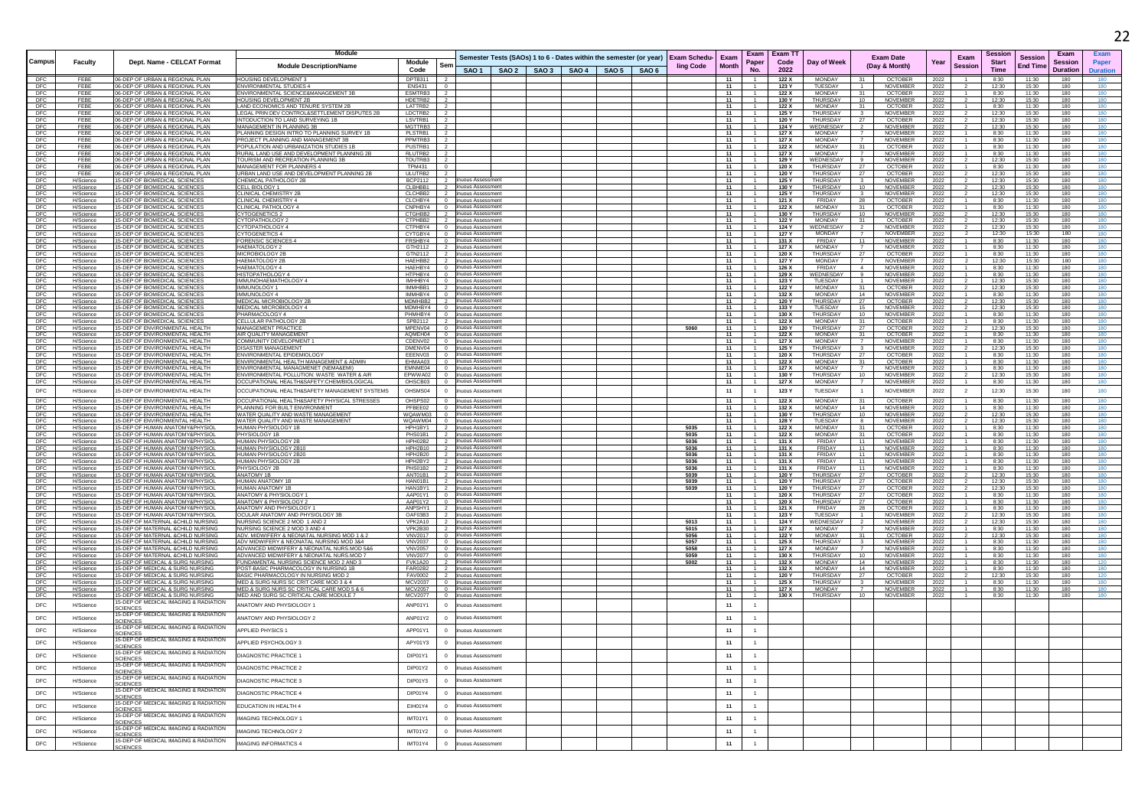|                          |                        |                                                                          | Module                                                                                    |                                                |                                                  |                                                                                                                                       |  |              |                                              | Exam Exam T1   |                                    |                                                           |              | Sessior                                        |                                   | Exam                       | Exan                     |
|--------------------------|------------------------|--------------------------------------------------------------------------|-------------------------------------------------------------------------------------------|------------------------------------------------|--------------------------------------------------|---------------------------------------------------------------------------------------------------------------------------------------|--|--------------|----------------------------------------------|----------------|------------------------------------|-----------------------------------------------------------|--------------|------------------------------------------------|-----------------------------------|----------------------------|--------------------------|
| Campus                   | <b>Faculty</b>         | Dept. Name - CELCAT Format                                               | <b>Module Description/Name</b>                                                            | Module<br>Sen<br>Code                          |                                                  | Semester Tests (SAOs) 1 to 6 - Dates within the semester (or year) Exam Schedu- Exam<br>SAO 1   SAO 2   SAO 3   SAO 4   SAO 5   SAO 6 |  | ling Code    | Paper<br><b>Month</b><br>N <sub>0</sub>      | Code<br>2022   | Day of Week                        | <b>Exam Date</b><br>(Day & Month)                         | Year         | Exam<br><b>Start</b><br><b>Session</b><br>Time | <b>Session</b><br><b>End Time</b> | <b>Session</b><br>Duration | Paper<br><b>Duration</b> |
| DFC                      | FEBE                   | 06-DEP OF URBAN & REGIONAL PLAN                                          | HOUSING DEVELOPMENT 3                                                                     | DPTB311                                        |                                                  |                                                                                                                                       |  |              | 11                                           | 122 X          | MONDAY                             | OCTOBER                                                   | 2022         | 8:30                                           | 11:30                             | 180                        |                          |
| DFC<br><b>DFC</b>        | FFBF<br>FEBE           | 06-DEP OF URBAN & REGIONAL PLAN<br>06-DEP OF URBAN & REGIONAL PLAN       | <b>ENVIRONMENTAL STUDIES 4</b><br>ENVIRONMENTAL SCIENCE&MANAGEMENT 3B                     | <b>FNS431</b><br>ESMTRB3                       |                                                  |                                                                                                                                       |  |              | 11<br>11                                     | 123 Y<br>122 X | TUESDAY<br>MONDAY                  | <b>NOVEMBER</b><br>31<br><b>OCTOBER</b>                   | 2022<br>2022 | 12:30<br>8:30                                  | 15:30<br>11:30                    | 180<br>180                 | 180                      |
| DFC                      | FEBE                   | 06-DEP OF URBAN & REGIONAL PLAN                                          | HOUSING DEVELOPMENT 2B                                                                    | HDETRB2                                        |                                                  |                                                                                                                                       |  |              | 11<br>-1.                                    | 130 Y          | <b>THURSDAY</b>                    | 10<br>NOVEMBER                                            | 2022         | 12:30                                          | 15:30                             | 180                        | 180                      |
| DFC<br>DFC               | FEBE                   | 06-DEP OF URBAN & REGIONAL PLAN<br>06-DEP OF URBAN & REGIONAL PLAN       | AND ECONOMICS AND TENURE SYSTEM 2E<br>LEGAL PRIN:DEV CONTROL&SETTLEMENT DISPUTES 2B       | LATTRB2<br>LDCTRB2                             |                                                  |                                                                                                                                       |  |              | 11<br>11                                     | 122X<br>125 Y  | <b>MONDAY</b><br>THURSDAY          | 31<br>OCTOBER<br>NOVEMBER<br>$\mathbf{3}$                 | 2022<br>2022 | 8:30<br>12:30                                  | 11:30<br>15:30                    | 180<br>180                 |                          |
| DFC                      | FEBE                   | 06-DEP OF URBAN & REGIONAL PLAN                                          | INTODUCTION TO LAND SURVEYING 1B                                                          | LSVTRB1                                        |                                                  |                                                                                                                                       |  |              | 11                                           | 120 Y          | THURSDAY                           | 27<br><b>OCTOBER</b>                                      | 2022         | 12:30                                          | 15:30                             | 180                        | 180                      |
| DFC<br><b>DFC</b>        | FEBE<br>FFBF           | 06-DEP OF URBAN & REGIONAL PLAN<br>06-DEP OF URBAN & REGIONAL PLAN       | MANAGEMENT IN PLANNING 3B<br>PLANNING DESIGN INTRO TO PLANNING SURVEY 1B                  | MGTTRB3<br>PI STRB1                            |                                                  |                                                                                                                                       |  |              | 11<br>11                                     | 124 Y<br>127 X | WEDNESDAY<br><b>MONDAY</b>         | NOVEMBER<br>$\overline{2}$<br>NOVEMBER                    | 2022<br>2022 | 12:30<br>8:30                                  | 15:30<br>11:30                    | 180<br>180                 | 180<br>180               |
| <b>DFC</b>               | FEBE                   | 06-DEP OF URBAN & REGIONAL PLAN                                          | PROJECT PLANNING AND MANAGEMENT 3B                                                        | PPMTRB3                                        |                                                  |                                                                                                                                       |  |              | 11                                           | 127 X          | MONDAY                             | <b>NOVEMBER</b>                                           | 2022         | 8:30                                           | 11:30                             | 180                        | 180                      |
| DFC                      | FEBE                   | 06-DEP OF URBAN & REGIONAL PLAN<br>06-DEP OF URBAN & REGIONAL PLAN       | POPULATION AND URBANIZATION STUDIES 1B<br>RURAL LAND USE AND DEVELOPMENT PLANNING 2B      | PUSTRB1<br>RLUTRB2                             |                                                  |                                                                                                                                       |  |              | 11                                           | 122 X          | <b>MONDAY</b><br><b>MONDAY</b>     | OCTOBER<br>31<br><b>NOVEMBER</b>                          | 2022         | 8:30                                           | 11:30                             | 180                        | 180                      |
| DFC<br>DFC               | FEB<br>FEBE            | 06-DEP OF URBAN & REGIONAL PLAN                                          | TOURISM AND RECREATION PLANNING 3B                                                        | TOUTRB3                                        |                                                  |                                                                                                                                       |  |              | 11<br>11                                     | 127 X<br>129 Y | WEDNESDAY                          | <b>NOVEMBER</b>                                           | 2022<br>2022 | 8:30<br>12:30                                  | 11:30<br>15:30                    | 180<br>180                 | 180                      |
| DFC                      | FEBE                   | 06-DEP OF URBAN & REGIONAL PLAN                                          | MANAGEMENT FOR PLANNERS 4                                                                 | <b>TPM431</b>                                  |                                                  |                                                                                                                                       |  |              | 11                                           | 120 X          | THURSDAY                           | <b>OCTOBER</b><br>27                                      | 2022         | 8:30                                           | 11:30                             | 180                        | 180                      |
| DFC<br><b>DFC</b>        | FEBE<br>H/Science      | 06-DEP OF URBAN & REGIONAL PLAN<br>15-DEP OF BIOMEDICAL SCIENCES         | URBAN LAND USE AND DEVELOPMENT PLANNING 2B<br>CHEMICAL PATHOLOGY 2B                       | ULUTRB2<br>BCP2112                             | uous Assessmen                                   |                                                                                                                                       |  |              | 11<br>11                                     | 120 Y<br>125 Y | THURSDAY<br>THURSDAY               | 27<br><b>OCTOBER</b><br>$\overline{3}$<br><b>NOVEMBER</b> | 2022<br>2022 | 12:30<br>12.30                                 | 15:30<br>15:30                    | 180<br>180                 | 180<br>180               |
| <b>DFC</b>               | H/Science              | 15-DEP OF BIOMEDICAL SCIENCES                                            | CELL BIOLOGY 1                                                                            | CLBHBB1                                        | uous Assessment<br>uous Assessmen                |                                                                                                                                       |  |              | 11                                           | 130 Y          | THURSDAY<br><b>THURSDAY</b>        | 10<br><b>NOVEMBER</b>                                     | 2022         | 12:30                                          | 15:30                             | 180                        | 180                      |
| DFC<br>DFC               | H/Science<br>H/Science | 15-DEP OF BIOMEDICAL SCIENCE<br>15-DEP OF BIOMEDICAL SCIENCE             | CLINICAL CHEMISTRY 2B<br><b>CLINICAL CHEMISTRY 4</b>                                      | CLCHBB2<br>CLCHBY4                             | uous Assessmer                                   |                                                                                                                                       |  |              | 11<br>11                                     | 125 Y<br>121 X | FRIDAY                             | <b>NOVEMBER</b><br>$\mathbf{3}$<br>OCTOBER<br>- 28        | 2022<br>2022 | 12:30<br>8:30                                  | 15:30<br>11:30                    | 180<br>180                 | 180<br>180               |
| DFC                      | H/Science              | 15-DEP OF BIOMEDICAL SCIENCES                                            | CLINICAL PATHOLOGY 4                                                                      | CNPHBY4                                        | uous Assessmen                                   |                                                                                                                                       |  |              | 11                                           | 122 X          | <b>MONDAY</b>                      | <b>OCTOBER</b><br>31                                      | 2022         | 8:30                                           | 11:30                             | 180                        | 180                      |
| DFC<br>DFC               | H/Science<br>H/Science | 15-DEP OF BIOMEDICAL SCIENCES<br>15-DEP OF BIOMEDICAL SCIENCE            | <b>CYTOGENETICS 2</b><br><b>CYTOPATHOLOGY:</b>                                            | CTGHBB <sub>2</sub><br>CTPHBB2                 | uous Assessmen<br>uous Assessment                |                                                                                                                                       |  |              | 11<br>11                                     | 130 Y<br>122 Y | THURSDAY<br><b>MONDAY</b>          | 10<br><b>NOVEMBER</b><br>31<br><b>OCTOBER</b>             | 2022<br>2022 | 12:30<br>12:30                                 | 15:30<br>15:30                    | 180<br>180                 | 180<br>180               |
| <b>DFC</b>               | H/Science              | 15-DEP OF BIOMEDICAL SCIENCES                                            | CYTOPATHOLOGY 4                                                                           | CTPHBY4                                        | uous Assessment                                  |                                                                                                                                       |  |              | 11                                           | 124 Y          | WEDNESDAY                          | <b>NOVEMBER</b><br>$\overline{2}$                         | 2022         | 12.30                                          | 15:30                             | 180                        | 180                      |
| <b>DFC</b><br>DFC        | H/Science<br>H/Science | 15-DEP OF BIOMEDICAL SCIENCE<br>15-DEP OF BIOMEDICAL SCIENCES            | <b>CYTOGENETICS 4</b><br><b>FORENSIC SCIENCES</b>                                         | CYTGBY4<br>FRSHBY4                             | uous Assessment<br>uous Assessmen                |                                                                                                                                       |  |              | 11<br>11                                     | 127 Y<br>131 X | <b>MONDAY</b><br>FRIDAY            | <b>NOVEMBER</b><br>11<br>NOVEMBER                         | 2022<br>2022 | 12:30<br>8:30                                  | 15:30<br>11:30                    | 180<br>180                 | 180<br>180               |
| DFC                      | H/Science              | 15-DEP OF BIOMEDICAL SCIENCE                                             | <b>HAEMATOLOGY 2</b>                                                                      | GTH2112                                        | uous Assessmer                                   |                                                                                                                                       |  |              | 11                                           | 127X           | <b>MONDAY</b>                      | NOVEMBER                                                  | 2022         | 8:30                                           | 11:30                             | 180                        | 180                      |
| DFC<br>DFC               | H/Science<br>H/Science | 15-DEP OF BIOMEDICAL SCIENCE<br>15-DEP OF BIOMEDICAL SCIENCE             | MICROBIOLOGY 2B<br><b>HAEMATOLOGY 2E</b>                                                  | GTN2112<br>HAFHBB2                             | <b>uous Assessment</b><br>uous Assessmen         |                                                                                                                                       |  |              | 11<br>11                                     | 120 X<br>127 Y | THURSDAY<br><b>MONDAY</b>          | 27<br><b>OCTOBER</b><br>NOVEMBER                          | 2022<br>2022 | 8:30<br>12:30                                  | 11:30<br>15:30                    | 180<br>180                 | 180                      |
| <b>DFC</b>               | H/Science              | 15-DEP OF BIOMEDICAL SCIENCE:                                            | HAFMATOLOGY 4                                                                             | HAFHRY4                                        | <b>JUQUS Assessment</b>                          |                                                                                                                                       |  |              | 11                                           | 126 X          | <b>FRIDAY</b>                      | <b>NOVEMBER</b><br>$\mathbf{A}$                           | 2022         | 8:30                                           | 11:30                             | 180                        | 180                      |
| <b>DFC</b>               | H/Science              | 15-DEP OF BIOMEDICAL SCIENCES                                            | HISTOPATHOLOGY 4                                                                          | HTPHRY4<br>$\Omega$                            | nuous Assessment                                 |                                                                                                                                       |  |              | 11                                           | 129 X          | WEDNESDAY                          | 9 <sup>1</sup><br><b>NOVEMBER</b>                         | 2022         | 8:30                                           | 11:30                             | 180                        | 180                      |
| <b>DFC</b><br>DFC        | H/Science<br>H/Science | 15-DEP OF BIOMEDICAL SCIENCES<br>15-DEP OF BIOMEDICAL SCIENCES           | IMMUNOHAEMATHOLOGY 4<br>IMMUNOLOGY 1                                                      | IMHHBY4<br>$\Omega$<br>IMMHBB1<br>2            | nuous Assessment<br>uous Assessment              |                                                                                                                                       |  |              | 11<br>11<br>- 1                              | 123 Y<br>122 Y | TUESDAY<br>MONDAY                  | <b>NOVEMBER</b><br>$\overline{1}$<br>31<br>OCTOBER        | 2022<br>2022 | 12:30<br>12:30                                 | 15:30<br>15:30                    | 180<br>180                 | 180<br>180               |
| DFC                      | H/Science              | 15-DEP OF BIOMEDICAL SCIENCE                                             | <b>IMMUNOLOGY</b>                                                                         | IMMHBY4                                        | uous Assessmer<br>uous Assessmen                 |                                                                                                                                       |  |              | 11                                           | 132 X          | <b>MONDAY</b>                      | 14<br><b>NOVEMBER</b>                                     | 2022         | 8:30                                           | 11:30                             | 180                        | 180                      |
| DFC<br>DFC               | H/Science<br>H/Science | 15-DEP OF BIOMEDICAL SCIENCE<br>15-DEP OF BIOMEDICAL SCIENCES            | MEDICAL MICROBIOLOGY 2B<br>MEDICAL MICROBIOLOGY 4                                         | MDMHBB2<br>MDMHBY4                             | uous Assessment                                  |                                                                                                                                       |  |              | 11<br>11                                     | 120 ነ<br>133 Y | THURSDAY<br>TUESDAY                | <b>OCTOBER</b><br>27<br>NOVEMBER<br>15                    | 2022<br>2022 | 12:30<br>12:30                                 | 15:30<br>15:30                    | 180<br>180                 | 180                      |
| DEC.                     | H/Science              | 15-DEP OF BIOMEDICAL SCIENCES                                            | PHARMACOLOGY 4                                                                            | PHMHRY4                                        | <b>JUOUS Assessment</b>                          |                                                                                                                                       |  |              | 11                                           | 130 X          | <b>THURSDAY</b>                    | 10<br><b>NOVEMBER</b>                                     | 2022         | 8:30                                           | 11:30                             | 180                        | 180                      |
| <b>DFC</b><br><b>DFC</b> | H/Science<br>H/Science | 15-DEP OF BIOMEDICAL SCIENCES<br>15-DEP OF ENVIRONMENTAL HEALTH          | <b>CELLULAR PATHOLOGY 2B</b><br><b>MANAGEMENT PRACTICE</b>                                | SPB2112<br>MPENV04                             | uous Assessment<br>huous Assessment              |                                                                                                                                       |  | 5060         | 11<br>11                                     | 122 X<br>120 Y | <b>MONDAY</b><br>THURSDAY          | 31<br><b>OCTOBER</b><br>27<br><b>OCTOBER</b>              | 2022<br>2022 | 8:30<br>12:30                                  | 11:30<br>15:30                    | 180<br>180                 | 180<br>180               |
| DFC                      | H/Science              | 15-DEP OF ENVIRONMENTAL HEALTH                                           | AIR QUALITY MANAGEMEN                                                                     | AQMEH04                                        | uous Assessment                                  |                                                                                                                                       |  |              | 11                                           | 122 X          | MONDAY                             | <b>OCTOBER</b><br>31                                      | 2022         | 8:30                                           | 11:30                             | 180                        | 180                      |
| DFC<br>DFC               | H/Science<br>H/Science | 15-DEP OF ENVIRONMENTAL HEALTH<br>15-DEP OF ENVIRONMENTAL HEALTH         | COMMUNITY DEVELOPMENT 1<br>DISASTER MANAGEMEN                                             | CDENV02<br>DMENV04                             | uous Assessmer<br>uous Assessment                |                                                                                                                                       |  |              | 11<br>11                                     | 127 X<br>125 Y | <b>MONDAY</b><br>THURSDAY          | NOVEMBE<br>NOVEMBER                                       | 2022<br>2022 | 8:30<br>12:30                                  | 11:30<br>15:30                    | 180<br>180                 |                          |
| DFC                      | H/Science              | 15-DEP OF ENVIRONMENTAL HEALTH                                           | ENVIRONMENTAL EPIDEMIOLOGY                                                                | EEENV03<br>$\Omega$                            | uous Assessment                                  |                                                                                                                                       |  |              | $-11$                                        | 120X           | <b>THURSDAY</b>                    | <b>OCTOBER</b><br>27                                      | 2022         | 8:30                                           | 11:30                             | 180                        | 180                      |
| DEC.<br>DFC              | H/Science<br>H/Science | 15-DEP OF ENVIRONMENTAL HEALTH<br>15-DEP OF ENVIRONMENTAL HEALTH         | <b>ENVIRONMENTAL HEALTH MANAGEMENT &amp; ADMIN</b><br>ENVIRONMENTAL MANAGMENET (NEMA&EMI) | FHMAA03<br>$\Omega$<br>EMNME04                 | uous Assessment<br>uous Assessment               |                                                                                                                                       |  |              | 11<br>11                                     | 122 X<br>127 X | <b>MONDAY</b><br><b>MONDAY</b>     | <b>OCTOBER</b><br>31<br>$\overline{7}$<br><b>NOVEMBER</b> | 2022<br>2022 | 8:30<br>8:30                                   | 11:30<br>11:30                    | 180<br>180                 | 180<br>180               |
| DFC                      | H/Science              | 15-DEP OF ENVIRONMENTAL HEALTH                                           | ENVIRONMENTAL POLLUTION: WASTE WATER & AIR                                                | EPWWA02<br>$\circ$                             | nuous Assessment                                 |                                                                                                                                       |  |              | 11                                           | 130 Y          | THURSDAY                           | 10<br>NOVEMBER                                            | 2022         | 12:30                                          | 15:30                             | 180                        | 180                      |
| DFC                      | H/Science              | 15-DEP OF ENVIRONMENTAL HEALTH                                           | OCCUPATIONAL HEALTH&SAFETY:CHEM/BIOLOGICAL                                                | OHSCB03<br>$\Omega$                            | uous Assessmen                                   |                                                                                                                                       |  |              | - 11<br>$\overline{1}$                       | 127 X          | MONDAY                             | $\overline{7}$<br>NOVEMBER                                | 2022         | 8:30                                           | 11:30                             | 180                        | 180                      |
| <b>DFC</b>               | H/Science              | 15-DEP OF ENVIRONMENTAL HEALTH                                           | OCCUPATIONAL HEALTH&SAFETY MANAGEMENT SYSTEMS                                             | OHSMS04<br>$\overline{0}$                      | uous Assessmen                                   |                                                                                                                                       |  |              | 11                                           | 123 Y          | TUESDAY                            | <b>NOVEMBER</b>                                           | 2022         | 12:30                                          | 15:30                             | 180                        | 180                      |
| DFC<br>DEC               | H/Science              | 15-DEP OF ENVIRONMENTAL HEALTH<br>15-DEP OF ENVIRONMENTAL HEALTH         | OCCUPATIONAL HEALTH&SAFETY PHYSICAL STRESSES<br>PLANNING FOR BUILT ENVIRONMENT            | OHSPS02<br>$\Omega$<br>PFBEE02                 | nuous Assessment                                 |                                                                                                                                       |  |              | 11<br>$\overline{1}$<br>11<br>$\overline{1}$ | 122X<br>132 X  | <b>MONDAY</b><br><b>MONDAY</b>     | <b>OCTOBER</b><br>31<br>14<br><b>NOVEMBER</b>             | 2022<br>2022 | 8:30<br>8:30                                   | 11:30<br>11:30                    | 180<br>180                 | 180<br>180               |
| DFC                      | H/Science<br>H/Science | 15-DEP OF ENVIRONMENTAL HEALTH                                           | WATER QUALITY AND WASTE MANAGEMEN                                                         | WQAWM03                                        | nuous Assessment<br>uous Assessmer               |                                                                                                                                       |  |              | 11                                           | 130 Y          | <b>THURSDA</b>                     | 10<br>NOVEMBER                                            | 2022         | 12:30                                          | 15:30                             | 180                        |                          |
| DFC                      | H/Science              | 15-DEP OF ENVIRONMENTAL HEALTH                                           | WATER QUALITY AND WASTE MANAGEMENT                                                        | WQAWM04                                        | <b>uous Assessment</b><br><b>IUQUS Assessmen</b> |                                                                                                                                       |  |              | 11                                           | 128 Y          | <b>TUESDAY</b>                     | <b>NOVEMBER</b>                                           | 2022         | 12:30                                          | 15:30                             | 180                        |                          |
| DFC<br><b>DFC</b>        | H/Science<br>H/Science | 15-DEP OF HUMAN ANATOMY&PHYSIOI<br>15-DEP OF HUMAN ANATOMY&PHYSIOL       | HUMAN PHYSIOLOGY 1B<br>PHYSIOLOGY 1B                                                      | HPH1BY1<br>PHS01B1                             | uous Assessment                                  |                                                                                                                                       |  | 5035<br>5035 | 11<br>11                                     | 122 X<br>122 X | MONDAY<br><b>MONDAY</b>            | 31<br>OCTOBER<br><b>OCTOBER</b><br>31                     | 2022<br>2022 | 8:30<br>8:30                                   | 11:30<br>11:30                    | 180<br>180                 | 180                      |
| DEC.                     | H/Science              | 15-DEP OF HUMAN ANATOMY&PHYSIOL                                          | HUMAN PHYSIOLOGY 2B                                                                       | HPH02B2                                        | uous Assessment                                  |                                                                                                                                       |  | 5036         | 11                                           | 131 X          | <b>FRIDAY</b>                      | 11<br><b>NOVEMBER</b>                                     | 2022         | 8:30                                           | 11:30                             | 180                        | 180                      |
| <b>DFC</b><br>DFC        | H/Science<br>H/Science | 15-DEP OF HUMAN ANATOMY&PHYSIOL<br>15-DEP OF HUMAN ANATOMY&PHYSIOL       | HUMAN PHYSIOLOGY 2B10<br>HUMAN PHYSIOLOGY 2B20                                            | HPH2B10<br><b>HPH2B20</b>                      | uous Assessment<br>uous Assessment               |                                                                                                                                       |  | 5036<br>5036 | 11<br>11                                     | 131 X<br>131 X | <b>FRIDAY</b><br>FRIDAY            | 11<br><b>NOVEMBER</b><br>11<br>NOVEMBER                   | 2022<br>2022 | 8:30<br>8:30                                   | 11:30<br>11:30                    | 180<br>180                 | 180<br>180               |
| DFC                      | H/Science              | 15-DEP OF HUMAN ANATOMY&PHYSIOL                                          | HUMAN PHYSIOLOGY 2B                                                                       | HPH2BY2                                        | iuous Assessmen                                  |                                                                                                                                       |  | 5036         | 11                                           | 131 X          | FRIDAY                             | 11<br>NOVEMBER                                            | 2022         | 8:30                                           | 11:30                             | 180                        | 180                      |
| DFC<br>DFC               | H/Science<br>H/Science | 15-DEP OF HUMAN ANATOMY&PHYSIOL<br>15-DEP OF HUMAN ANATOMY&PHYSIOL       | PHYSIOLOGY 2B<br><b>ANATOMY 1B</b>                                                        | PHS01B2<br>ANT01B1                             | uous Assessmen<br><b>NUOUS Assessment</b>        |                                                                                                                                       |  | 5036<br>5039 | 11<br>11                                     | 131 X<br>120 Y | <b>FRIDA</b><br>THURSDAY           | 11<br>NOVEMBER<br>27<br><b>OCTOBER</b>                    | 2022<br>2022 | 8:30<br>12:30                                  | 11:30<br>15:30                    | 180<br>180                 | 180                      |
| <b>DFC</b>               | H/Science              | 15-DEP OF HUMAN ANATOMY&PHYSIOL                                          | HUMAN ANATOMY 1P                                                                          | HAN01B1                                        | uous Assessmen                                   |                                                                                                                                       |  | 5039         | 11                                           | 120 Y          | THURSDAY                           | <b>OCTOBER</b><br>27                                      | 2022         | 12:30                                          | 15:30                             | 180                        | 180                      |
| DEC.<br>DFC              | H/Science<br>H/Science | 15-DEP OF HUMAN ANATOMY&PHYSIOL<br>15-DEP OF HUMAN ANATOMY&PHYSIOL       | HUMAN ANATOMY 1B<br>ANATOMY & PHYSIOLOGY                                                  | HAN1BY1<br>AAP01Y1                             | uous Assessment<br><b>nuous Assessment</b>       |                                                                                                                                       |  | 5039         | 11<br>11                                     | 120 Y<br>120 X | <b>THURSDAY</b><br>THURSDAY        | <b>OCTOBER</b><br>27<br>27<br><b>OCTOBER</b>              | 2022<br>2022 | 12:30<br>8:30                                  | 15:30<br>11:30                    | 180<br>180                 | 180<br>180               |
| DFC                      | H/Science              | 15-DEP OF HUMAN ANATOMY&PHYSIOL                                          | ANATOMY & PHYSIOLOGY 2                                                                    | AAP01Y2<br>$\circ$                             | inuous Assessment                                |                                                                                                                                       |  |              | 11                                           | 120 X          | THURSDAY                           | - 27<br>OCTOBER                                           | 2022         | 8:30                                           | 11:30                             | 180                        | 180                      |
| DFC<br>DFC               | H/Science<br>H/Science | 15-DEP OF HUMAN ANATOMY&PHYSIOL<br>15-DEP OF HUMAN ANATOMY&PHYSIOL       | ANATOMY AND PHYSIOLOGY<br>OCULAR ANATOMY AND PHYSIOLOGY 3B                                | ANPSHY1<br>OAF03B3                             | uous Assessment<br>uous Assessmen                |                                                                                                                                       |  |              | 11<br>11                                     | 121X<br>123 Y  | FRIDAY<br>TUESDAY                  | OCTOBER<br>28<br><b>NOVEMBER</b>                          | 2022<br>2022 | 8:30<br>12:30                                  | 11:30<br>15:30                    | 180<br>180                 | 180                      |
| DFC                      | H/Science              | 15-DEP OF MATERNAL &CHILD NURSING                                        | NURSING SCIENCE 2 MOD 1 AND 2                                                             | VPK2A10                                        | <b>NUOUS Assessment</b>                          |                                                                                                                                       |  | 5013         | 11                                           | 124 Y          | WEDNESDAY                          | <b>NOVEMBER</b>                                           | 2022         | 12:30                                          | 15:30                             | 180                        | 180                      |
| DFC                      | H/Science              | 15-DEP OF MATERNAL &CHILD NURSING<br>15-DEP OF MATERNAL &CHILD NURSING   | NURSING SCIENCE 2 MOD 3 AND 4<br>ADV. MIDWIFFRY & NEONATAL NURSING MOD 1 & 2              | VPK2B30                                        | uous Assessment<br>uous Assessment               |                                                                                                                                       |  | 5015<br>5056 | 11<br>11                                     | 127 X          | <b>MONDAY</b><br><b>MONDAY</b>     | <b>NOVEMBER</b><br>31                                     | 2022         | 8:30<br>12:30                                  | 11:30<br>15:30                    | 180<br>180                 | 180<br>180               |
| DFC<br><b>DFC</b>        | H/Science<br>H/Science | 15-DEP OF MATERNAL &CHILD NURSING                                        | ADV MIDWIFERY & NEONATAL NURSING MOD 3&4                                                  | <b>VNV2017</b><br><b>VNV2037</b><br>$\Omega$   | nuous Assessment                                 |                                                                                                                                       |  | 5057         | 11                                           | 122 Y<br>125 X | THURSDAY                           | <b>OCTOBER</b><br>$3^{\circ}$<br><b>NOVEMBER</b>          | 2022<br>2022 | 8:30                                           | 11:30                             | 180                        | 180                      |
| DFC<br>DFC               | H/Science<br>H/Science | 15-DEP OF MATERNAL &CHILD NURSING<br>15-DEP OF MATERNAL &CHILD NURSING   | ADVANCED MIDWIFERY & NEONATAL NURS.MOD 5&6<br>ADVANCED MIDWIFERY & NEONATAL NURS.MOD 7    | <b>VNV2057</b><br>$^{\circ}$<br><b>VNV2077</b> | inuous Assessment                                |                                                                                                                                       |  | 5058         | 11<br>11                                     | 127 X<br>130 X | MONDAY<br>THURSDAY                 | NOVEMBER<br>10<br>NOVEMBER                                | 2022         | 8:30<br>8:30                                   | 11:30<br>11:30                    | 180<br>180                 | 180<br>180               |
| DFC                      | H/Science              | 15-DEP OF MEDICAL & SURG NURSING                                         | FUNDAMENTAL NURSING SCIENCE MOD 2 AND 3                                                   | FVK1A20                                        | uous Assessment<br>nuous Assessment              |                                                                                                                                       |  | 5059<br>5002 | 11                                           | 132 X          | MONDAY                             | 14<br>NOVEMBER                                            | 2022<br>2022 | 8:30                                           | 11:30                             | 180                        | 120                      |
| DFC                      | H/Science              | 15-DEP OF MEDICAL & SURG NURSING<br>15-DEP OF MEDICAL & SURG NURSING     | POST-BASIC PHARMACOLOGY IN NURSING 1B<br>BASIC PHARMACOLOGY IN NURSING MOD 2              | <b>FAR02B2</b><br><b>FAV0002</b>               | <b>NUOUS Assessment</b><br>uous Assessment       |                                                                                                                                       |  |              | 11<br>11                                     | 132 X          | <b>MONDAY</b><br><b>THI IRSDAY</b> | 14<br>NOVEMBER                                            | 2022         | 8:30                                           | 11:30                             | 180<br>180                 | 180                      |
| DFC<br>DEC.              | H/Science<br>H/Science | 15-DEP OF MEDICAL & SURG NURSING                                         | MED & SURG NURS SC CRIT CARE MOD 3 & 4                                                    | <b>MCV2037</b>                                 | uous Assessmen                                   |                                                                                                                                       |  |              | 11                                           | 120 Y<br>125 X | THURSDAY                           | OCTOBER<br>27<br>NOVEMBER<br>$\mathbf{3}$                 | 2022<br>2022 | 12:30<br>8:30                                  | 15:30<br>11:30                    | 180                        | 120<br>180               |
| <b>DFC</b>               | H/Science              | 15-DEP OF MEDICAL & SURG NURSING                                         | MED.& SURG NURS SC CRITICAL CARE MOD 5 & 6                                                | MCV2057<br>$\Omega$                            | nuous Assessment                                 |                                                                                                                                       |  |              | 11<br>$\overline{1}$                         | 127 X          | MONDAY                             | 7<br>NOVEMBER                                             | 2022         | 8:30                                           | 11:30                             | 180                        | 180                      |
| DFC                      | H/Science              | 15-DEP OF MEDICAL & SURG NURSING<br>5-DEP OF MEDICAL IMAGING & RADIATION | MED AND SURG SC CRITICAL CARE MODULE 7                                                    | <b>MCV2077</b><br>$\overline{0}$               | huous Assessmen                                  |                                                                                                                                       |  |              | 11<br>$\overline{1}$                         | 130 X          | THURSDAY                           | 10<br>NOVEMBER                                            | 2022         | 8:30                                           | 11:30                             | 180                        |                          |
| DFC                      | H/Science              | <b>SCIENCES</b><br>15-DEP OF MEDICAL IMAGING & RADIATION                 | ANATOMY AND PHYSIOLOGY 1                                                                  | ANP01Y1                                        | uous Assessment                                  |                                                                                                                                       |  |              | 11                                           |                |                                    |                                                           |              |                                                |                                   |                            |                          |
| DEC.                     | H/Science              | <b>SCIENCES</b>                                                          | ANATOMY AND PHYSIOLOGY 2                                                                  | ANP01Y2                                        | uous Assessmen                                   |                                                                                                                                       |  |              | 11                                           |                |                                    |                                                           |              |                                                |                                   |                            |                          |
| DFC                      | H/Science              | 15-DEP OF MEDICAL IMAGING & RADIATION<br>SCIENCES                        | APPLIED PHYSICS '                                                                         | APP01Y1<br>$\mathbf 0$                         | uous Assessment                                  |                                                                                                                                       |  |              | 11<br>$\mathbf{1}$                           |                |                                    |                                                           |              |                                                |                                   |                            |                          |
| DFC                      | H/Science              | 15-DEP OF MEDICAL IMAGING & RADIATION                                    | APPLIED PSYCHOLOGY 3                                                                      | APY01Y3                                        | uous Assessment                                  |                                                                                                                                       |  |              | 11<br>1                                      |                |                                    |                                                           |              |                                                |                                   |                            |                          |
|                          |                        | <b>CIENCES</b><br>15-DEP OF MEDICAL IMAGING & RADIATION                  |                                                                                           |                                                |                                                  |                                                                                                                                       |  |              |                                              |                |                                    |                                                           |              |                                                |                                   |                            |                          |
| DFC                      | H/Science              | <b>SCIENCES</b>                                                          | DIAGNOSTIC PRACTICE 1                                                                     | DIP01Y1                                        | uous Assessmen                                   |                                                                                                                                       |  |              | 11                                           |                |                                    |                                                           |              |                                                |                                   |                            |                          |
| <b>DFC</b>               | H/Science              | 5-DEP OF MEDICAL IMAGING & RADIATION<br>CIENCES                          | <b>DIAGNOSTIC PRACTICE 2</b>                                                              | DIP01Y2                                        | uous Assessment                                  |                                                                                                                                       |  |              | 11<br>$\mathbf{1}$                           |                |                                    |                                                           |              |                                                |                                   |                            |                          |
| DFC                      | <b>H/Science</b>       | 15-DEP OF MEDICAL IMAGING & RADIATION<br><b>SCIENCES</b>                 | DIAGNOSTIC PRACTICE 3                                                                     | DIP01Y3                                        | uous Assessment                                  |                                                                                                                                       |  |              | 11<br>$\mathbf{1}$                           |                |                                    |                                                           |              |                                                |                                   |                            |                          |
| DFC                      | H/Science              | 15-DEP OF MEDICAL IMAGING & RADIATION                                    | DIAGNOSTIC PRACTICE 4                                                                     | DIP01Y4                                        | uous Assessmen                                   |                                                                                                                                       |  |              | 11                                           |                |                                    |                                                           |              |                                                |                                   |                            |                          |
|                          |                        | <b>SCIENCES</b><br>5-DEP OF MEDICAL IMAGING & RADIATION                  |                                                                                           |                                                |                                                  |                                                                                                                                       |  |              |                                              |                |                                    |                                                           |              |                                                |                                   |                            |                          |
| DFC                      | H/Science              | CIENCES                                                                  | EDUCATION IN HEALTH 4                                                                     | EIH01Y4<br>$\circ$                             | uous Assessmen                                   |                                                                                                                                       |  |              | 11<br>$\overline{1}$                         |                |                                    |                                                           |              |                                                |                                   |                            |                          |
| DFC                      | H/Science              | 15-DEP OF MEDICAL IMAGING & RADIATION<br><b>SCIENCES</b>                 | <b>IMAGING TECHNOLOGY 1</b>                                                               | IMT01Y1                                        | uous Assessment                                  |                                                                                                                                       |  |              | 11                                           |                |                                    |                                                           |              |                                                |                                   |                            |                          |
| DFC                      | H/Science              | 15-DEP OF MEDICAL IMAGING & RADIATION                                    | MAGING TECHNOLOGY 2                                                                       | IMT01Y2                                        | uous Assessmer                                   |                                                                                                                                       |  |              | 11                                           |                |                                    |                                                           |              |                                                |                                   |                            |                          |
| $\mathsf{DFC}$           | H/Science              | <b>SCIENCES</b><br>15-DEP OF MEDICAL IMAGING & RADIATION                 | <b>IMAGING INFORMATICS 4</b>                                                              | IMT01Y4<br>$\Omega$                            | uous Assessmen                                   |                                                                                                                                       |  |              | 11                                           |                |                                    |                                                           |              |                                                |                                   |                            |                          |
|                          |                        | <b>IFNCES</b>                                                            |                                                                                           |                                                |                                                  |                                                                                                                                       |  |              |                                              |                |                                    |                                                           |              |                                                |                                   |                            |                          |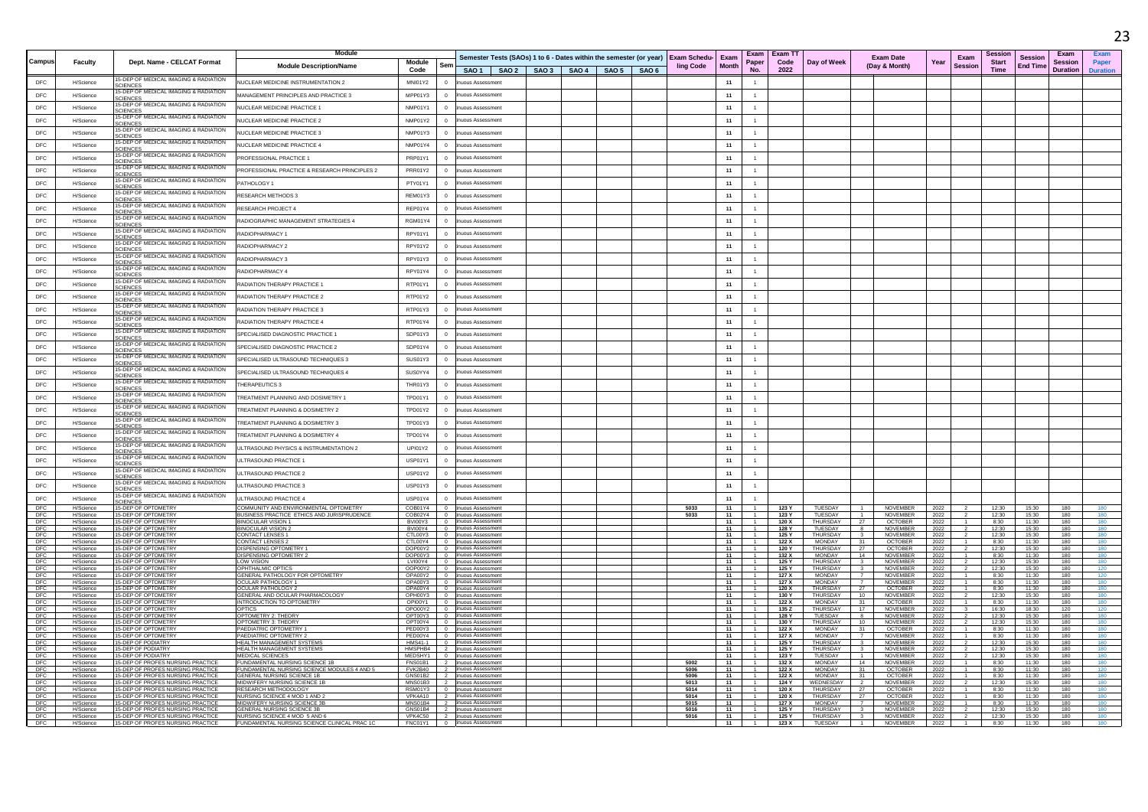|                   |                        |                                                                                                   | Module                                                                              |                        |                          |                                                                                                                                       |  |  |              |          |                                  | Exam   Exam T1 |                                    |                                         |                                    |              |                        | Sessior              |                                   | Exam                       |                         |
|-------------------|------------------------|---------------------------------------------------------------------------------------------------|-------------------------------------------------------------------------------------|------------------------|--------------------------|---------------------------------------------------------------------------------------------------------------------------------------|--|--|--------------|----------|----------------------------------|----------------|------------------------------------|-----------------------------------------|------------------------------------|--------------|------------------------|----------------------|-----------------------------------|----------------------------|-------------------------|
| Campu             | Faculty                | Dept. Name - CELCAT Format                                                                        | <b>Module Description/Name</b>                                                      | Module<br>Code         | Ser                      | Semester Tests (SAOs) 1 to 6 - Dates within the semester (or year) Exam Schedu- Exam<br>SAO 1   SAO 2   SAO 3   SAO 4   SAO 5   SAO 6 |  |  | ling Code    | Month    | Paper<br>N <sub>0</sub>          | Code<br>2022   | Day of Week                        |                                         | <b>Exam Date</b><br>(Day & Month)  | Year         | Exam<br><b>Session</b> | <b>Start</b><br>Time | <b>Session</b><br><b>End Time</b> | <b>Session</b><br>Duration | Paper<br><b>Duratio</b> |
| DFC               | H/Science              | 15-DEP OF MEDICAL IMAGING & RADIATION<br><b>SCIENCES</b>                                          | NUCLEAR MEDICINE INSTRUMENTATION 2                                                  | MNI01Y2                | $\overline{0}$           | uous Assessme                                                                                                                         |  |  |              | 11       |                                  |                |                                    |                                         |                                    |              |                        |                      |                                   |                            |                         |
| DEC.              | H/Science              | 15-DEP OF MEDICAL IMAGING & RADIATION<br><b>SCIENCES</b>                                          | MANAGEMENT PRINCIPI ES AND PRACTICE 3                                               | MPP01Y3                | $\Omega$                 | uous Assessment                                                                                                                       |  |  |              | 11       | $\overline{1}$                   |                |                                    |                                         |                                    |              |                        |                      |                                   |                            |                         |
| $\mathsf{DFC}$    | H/Science              | 15-DEP OF MEDICAL IMAGING & RADIATION<br>SCIENCES                                                 | NUCLEAR MEDICINE PRACTICE 1                                                         | NMP01Y1                |                          | uous Assessment                                                                                                                       |  |  |              | 11       |                                  |                |                                    |                                         |                                    |              |                        |                      |                                   |                            |                         |
| DFC               | H/Science              | 15-DEP OF MEDICAL IMAGING & RADIATION<br><b>SCIENCES</b>                                          | NUCLEAR MEDICINE PRACTICE 2                                                         | NMP01Y2                |                          | uous Assessment                                                                                                                       |  |  |              | 11       | $\mathbf{1}$                     |                |                                    |                                         |                                    |              |                        |                      |                                   |                            |                         |
| DFC               | H/Science              | 5-DEP OF MEDICAL IMAGING & RADIATION<br><b>SCIENCES</b>                                           | NUCLEAR MEDICINE PRACTICE 3                                                         | NMP01Y3                |                          | uous Assessment                                                                                                                       |  |  |              | 11       | $\overline{1}$                   |                |                                    |                                         |                                    |              |                        |                      |                                   |                            |                         |
| DEC.              | H/Science              | 15-DEP OF MEDICAL IMAGING & RADIATION                                                             | NUCLEAR MEDICINE PRACTICE 4                                                         | NMP01Y4                | $\Omega$                 | uous Assessment                                                                                                                       |  |  |              | 11       | 1                                |                |                                    |                                         |                                    |              |                        |                      |                                   |                            |                         |
| DFC               | H/Science              | 15-DEP OF MEDICAL IMAGING & RADIATION<br><b>SCIENCES</b><br>15-DEP OF MEDICAL IMAGING & RADIATION | <b>ROFESSIONAL PRACTICE 1</b>                                                       | PRP01Y1                |                          | uous Assessment                                                                                                                       |  |  |              | 11       | 1                                |                |                                    |                                         |                                    |              |                        |                      |                                   |                            |                         |
| DFC               | H/Science              | <b>SCIENCES</b>                                                                                   | PROFESSIONAL PRACTICE & RESEARCH PRINCIPLES 2                                       | PRR01Y2                |                          | uous Assessment                                                                                                                       |  |  |              | 11       | $\mathbf{1}$                     |                |                                    |                                         |                                    |              |                        |                      |                                   |                            |                         |
| DFC               | H/Science              | 15-DEP OF MEDICAL IMAGING & RADIATION<br>15-DEP OF MEDICAL IMAGING & RADIATION                    | PATHOLOGY 1                                                                         | PTY01Y1                | $\Omega$                 | uous Assessment                                                                                                                       |  |  |              | 11       | $-1$                             |                |                                    |                                         |                                    |              |                        |                      |                                   |                            |                         |
| DFC               | H/Scienc               | <b>SCIENCES</b><br>15-DEP OF MEDICAL IMAGING & RADIATION                                          | RESEARCH METHODS 3                                                                  | REM01Y3                |                          | uous Assessment                                                                                                                       |  |  |              | 11       | $\mathbf{1}$                     |                |                                    |                                         |                                    |              |                        |                      |                                   |                            |                         |
| DEC.              | H/Science              | <b>SCIENCES</b><br>15-DEP OF MEDICAL IMAGING & RADIATION                                          | RESEARCH PROJECT 4                                                                  | RFP01Y4                | $\sqrt{2}$               | uous Assessment                                                                                                                       |  |  |              | 11       | $\overline{1}$                   |                |                                    |                                         |                                    |              |                        |                      |                                   |                            |                         |
| DFC               | H/Science              | <b>SCIENCES</b><br>15-DEP OF MEDICAL IMAGING & RADIATION                                          | RADIOGRAPHIC MANAGEMENT STRATEGIES 4                                                | RGM01Y4                |                          | uous Assessment                                                                                                                       |  |  |              | 11       | $\mathbf{1}$                     |                |                                    |                                         |                                    |              |                        |                      |                                   |                            |                         |
| DEC               | H/Science              | CIENCES<br>15-DEP OF MEDICAL IMAGING & RADIATION                                                  | RADIOPHARMACY 1                                                                     | RPY01Y1                | $\sqrt{2}$               | uous Assessment                                                                                                                       |  |  |              | 11       | $-1$                             |                |                                    |                                         |                                    |              |                        |                      |                                   |                            |                         |
| DFC<br>DEC.       | H/Science              | <b>SCIENCES</b><br>15-DEP OF MEDICAL IMAGING & RADIATION                                          | RADIOPHARMACY 2                                                                     | RPY01Y2                | $\overline{0}$           | uous Assessment                                                                                                                       |  |  |              | 11       | $\overline{1}$                   |                |                                    |                                         |                                    |              |                        |                      |                                   |                            |                         |
|                   | H/Science              | SCIENCES<br>15-DEP OF MEDICAL IMAGING & RADIATION                                                 | RADIOPHARMACY 3                                                                     | RPY01Y3                |                          | <b>NIQUS Assessment</b>                                                                                                               |  |  |              | 11       | $\mathbf{1}$                     |                |                                    |                                         |                                    |              |                        |                      |                                   |                            |                         |
| <b>DFC</b>        | H/Science              | <b>SCIENCES</b><br>15-DEP OF MEDICAL IMAGING & RADIATION                                          | <b>ADIOPHARMACY 4</b>                                                               | RPY01Y4                |                          | uous Assessment<br>uous Assessment                                                                                                    |  |  |              | 11       | $\mathbf{1}$<br>$\overline{1}$   |                |                                    |                                         |                                    |              |                        |                      |                                   |                            |                         |
| DEC.<br>DFC       | H/Science              | <b>SCIENCES</b><br>5-DEP OF MEDICAL IMAGING & RADIATION                                           | RADIATION THERAPY PRACTICE<br>RADIATION THERAPY PRACTICE 2                          | RTP01Y1<br>RTP01Y2     | $\Omega$<br>$\Omega$     | uous Assessment                                                                                                                       |  |  |              | 11<br>11 | $\overline{1}$                   |                |                                    |                                         |                                    |              |                        |                      |                                   |                            |                         |
| DEC.              | H/Science<br>H/Science | CIENCES<br>15-DEP OF MEDICAL IMAGING & RADIATION                                                  | RADIATION THERAPY PRACTICE 3                                                        | RTP01Y3                | $\Omega$                 | uous Assessment                                                                                                                       |  |  |              | 11       | 1                                |                |                                    |                                         |                                    |              |                        |                      |                                   |                            |                         |
| DFC               | H/Science              | SCIENCES<br>15-DEP OF MEDICAL IMAGING & RADIATION                                                 | RADIATION THERAPY PRACTICE 4                                                        | RTP01Y4                | $\Omega$                 | uous Assessment                                                                                                                       |  |  |              | 11       | 1                                |                |                                    |                                         |                                    |              |                        |                      |                                   |                            |                         |
| DFC               | H/Science              | SCIENCES<br>15-DEP OF MEDICAL IMAGING & RADIATION                                                 | SPECIALISED DIAGNOSTIC PRACTICE 1                                                   | SDP01Y3                |                          | uous Assessment                                                                                                                       |  |  |              | 11       |                                  |                |                                    |                                         |                                    |              |                        |                      |                                   |                            |                         |
| DFC               | H/Science              | <b>SCIENCES</b><br>15-DEP OF MEDICAL IMAGING & RADIATION                                          | SPECIALISED DIAGNOSTIC PRACTICE 2                                                   | SDP01Y4                | $\Omega$                 | uous Assessment                                                                                                                       |  |  |              | 11       | $\overline{1}$                   |                |                                    |                                         |                                    |              |                        |                      |                                   |                            |                         |
| DFC               | H/Science              | <b>CIENCES</b><br>15-DEP OF MEDICAL IMAGING & RADIATION                                           | SPECIALISED ULTRASOUND TECHNIQUES 3                                                 | SUS01Y3                |                          | uous Assessment                                                                                                                       |  |  |              | 11       | $\mathbf{1}$                     |                |                                    |                                         |                                    |              |                        |                      |                                   |                            |                         |
| DEC.              | H/Science              | <b>SCIENCES</b><br>15-DEP OF MEDICAL IMAGING & RADIATION                                          | SPECIALISED ULTRASOUND TECHNIQUES 4                                                 | SUS0YY4                | $\Omega$                 | uous Assessment                                                                                                                       |  |  |              | 11       | $\sim$                           |                |                                    |                                         |                                    |              |                        |                      |                                   |                            |                         |
| DFC               | H/Science              | <b>CIENCES</b><br>15-DEP OF MEDICAL IMAGING & RADIATION                                           | <b>HERAPEUTICS 3</b>                                                                | THR01Y3                |                          | uous Assessment                                                                                                                       |  |  |              | 11       | $\mathbf{1}$                     |                |                                    |                                         |                                    |              |                        |                      |                                   |                            |                         |
| DFC               | H/Science              | <b>SCIENCES</b><br>15-DEP OF MEDICAL IMAGING & RADIATION<br><b>CIENCES</b>                        | TREATMENT PLANNING AND DOSIMETRY 1                                                  | TPD01Y1                |                          | uous Assessment                                                                                                                       |  |  |              | 11       | $\mathbf{1}$                     |                |                                    |                                         |                                    |              |                        |                      |                                   |                            |                         |
| DEC               | H/Science              | -DEP OF MEDICAL IMAGING & RADIATION<br><b>SCIENCES</b>                                            | TREATMENT PLANNING & DOSIMETRY 2                                                    | TPD01Y2                | $\Omega$                 | uous Assessment                                                                                                                       |  |  |              | 11       | $\overline{1}$                   |                |                                    |                                         |                                    |              |                        |                      |                                   |                            |                         |
| DEC.              | H/Science              | 15-DEP OF MEDICAL IMAGING & RADIATION<br><b>SCIENCES</b>                                          | TREATMENT PLANNING & DOSIMETRY 3                                                    | TPD01Y3                | $\Omega$                 | uous Assessment                                                                                                                       |  |  |              | 11       | 1                                |                |                                    |                                         |                                    |              |                        |                      |                                   |                            |                         |
| $\mathsf{DFC}$    | H/Science              | 15-DEP OF MEDICAL IMAGING & RADIATION<br><b>SCIENCES</b>                                          | <b>REATMENT PLANNING &amp; DOSIMETRY 4</b>                                          | TPD01Y4                |                          | uous Assessment                                                                                                                       |  |  |              | 11       | $\mathbf{1}$                     |                |                                    |                                         |                                    |              |                        |                      |                                   |                            |                         |
| DFC               | H/Science              | 15-DEP OF MEDICAL IMAGING & RADIATION<br>SCIENCES                                                 | JLTRASOUND PHYSICS & INSTRUMENTATION 2                                              | <b>UPI01Y2</b>         |                          | uous Assessment                                                                                                                       |  |  |              | 11       | $\mathbf{1}$                     |                |                                    |                                         |                                    |              |                        |                      |                                   |                            |                         |
| DEC               | H/Science              | 5-DEP OF MEDICAL IMAGING & RADIATION<br>CIENCES                                                   | <b>ULTRASOUND PRACTICE 1</b>                                                        | USP01Y1                | $\Omega$                 | uous Assessment                                                                                                                       |  |  |              | 11       | $\overline{1}$                   |                |                                    |                                         |                                    |              |                        |                      |                                   |                            |                         |
| <b>DFC</b>        | H/Science              | 15-DEP OF MEDICAL IMAGING & RADIATION<br><b>SCIENCES</b>                                          | ULTRASOUND PRACTICE 2                                                               | USP01Y2                | $\overline{0}$           | uous Assessment                                                                                                                       |  |  |              | 11       | $\mathbf{1}$                     |                |                                    |                                         |                                    |              |                        |                      |                                   |                            |                         |
| DEC.              | <b>H/Science</b>       | 15-DEP OF MEDICAL IMAGING & RADIATION<br><b>SCIENCES</b>                                          | <b>ILITRASOUND PRACTICE 3</b>                                                       | USP01Y3                | $\Omega$                 | nuous Assessment                                                                                                                      |  |  |              | 11       | $-1$                             |                |                                    |                                         |                                    |              |                        |                      |                                   |                            |                         |
| $\mathsf{DFC}$    | H/Scieno               | 15-DEP OF MEDICAL IMAGING & RADIATION<br><b>SCIENCES</b>                                          | <b>JLTRASOUND PRACTICE 4</b>                                                        | USP01Y4                | $\overline{0}$           | uous Assessmen                                                                                                                        |  |  |              | 11       |                                  |                |                                    |                                         |                                    |              |                        |                      |                                   |                            |                         |
| DFC<br>DEC        | H/Science<br>H/Science | 15-DEP OF OPTOMETRY<br>15-DEP OF OPTOMETRY                                                        | COMMUNITY AND ENVIRONMENTAL OPTOMETRY<br>BUSINESS PRACTICE ETHICS AND JURISPRUDENCE | COB01Y4<br>COB02Y4 0   | $\overline{0}$           | <b>uous Assessmen</b><br>inuous Assessment                                                                                            |  |  | 5033<br>5033 | 11<br>11 | 1                                | 123 Y<br>123 Y | TUESDAY<br>TUESDAY                 | $\overline{1}$                          | NOVEMBER<br><b>NOVEMBER</b>        | 2022<br>2022 |                        | 12:30<br>12:30       | 15:30<br>15:30                    | 180<br>180                 | 180                     |
| DFC<br>DFC        | H/Science<br>H/Science | 15-DEP OF OPTOMETRY<br>15-DEP OF OPTOMETRY                                                        | BINOCULAR VISION<br><b>BINOCULAR VISION 2</b>                                       | BVI00Y3 0<br>BVI00Y4 0 |                          | inuous Assessment<br>inuous Assessment                                                                                                |  |  |              | 11<br>11 |                                  | 120 X<br>128 Y | THURSDAY<br>TUESDAY                | 27<br>8                                 | <b>OCTOBER</b><br><b>NOVEMBER</b>  | 2022<br>2022 |                        | 8:30<br>12:30        | 11:30<br>15:30                    | 180<br>180                 | 180<br>180              |
| DFC<br>DFC        | H/Science<br>H/Science | 15-DEP OF OPTOMETRY<br>15-DEP OF OPTOMETRY                                                        | CONTACT LENSES<br><b>CONTACT LENSES</b>                                             | CTL00Y3<br>CTL00Y4 0   | $\overline{0}$           | nuous Assessmen<br>inuous Assessmen                                                                                                   |  |  |              | 11<br>11 |                                  | 125 Y<br>122X  | THURSDAY<br><b>MONDAY</b>          | $\overline{\mathbf{3}}$<br>31           | <b>NOVEMBER</b><br>OCTOBER         | 2022<br>2022 |                        | 12:30<br>8:30        | 15:30<br>11:30                    | 180<br>180                 | 180<br>180              |
| DFC<br>DFC        | H/Science<br>H/Science | 15-DEP OF OPTOMETRY<br>15-DEP OF OPTOMETRY                                                        | <b>ISPENSING OPTOMETRY 1</b><br>DISPENSING OPTOMETRY 2                              | DOP00Y2<br>DOP00Y3 0   | $\overline{\phantom{0}}$ | inuous Assessment<br>inuous Assessment                                                                                                |  |  |              | 11<br>11 |                                  | 120 ነ<br>132 X | THURSDAY<br>MONDAY                 | 27<br>14                                | <b>OCTOBER</b><br><b>NOVEMBER</b>  | 2022<br>2022 |                        | 12:30<br>8:30        | 15:30<br>11:30                    | 180<br>180                 | 180<br>180              |
| DFC<br>DFC        | H/Science<br>H/Science | 15-DEP OF OPTOMETRY<br>15-DEP OF OPTOMETRY                                                        | <b>LOW VISION</b><br>OPHTHAI MIC OPTICS                                             |                        |                          | LVI00Y4 0 inuous Assessment<br>OOP00Y2 0 inuous Assessment                                                                            |  |  |              | 11<br>11 | $-1$                             | 125 Y<br>125 Y | THURSDAY<br>THURSDAY               | $\overline{\mathbf{3}}$<br>$\mathbf{3}$ | NOVEMBER<br><b>NOVEMBER</b>        | 2022<br>2022 |                        | 12:30<br>12:30       | 15:30<br>15:30                    | 180<br>180                 | 180<br>120              |
| DFC<br>DFC        | H/Science<br>H/Science | 15-DEP OF OPTOMETRY<br>15-DEP OF OPTOMETRY                                                        | GENERAL PATHOLOGY FOR OPTOMETRY<br>OCULAR PATHOLOGY 1                               | OPA00Y2 0              |                          | nuous Assessment<br>OPA00Y3 0 tinuous Assessment                                                                                      |  |  |              | 11<br>11 |                                  | 127 X<br>127 X | MONDAY<br>MONDAY                   | 7<br>$\overline{7}$                     | <b>NOVEMBER</b><br><b>NOVEMBER</b> | 2022<br>2022 |                        | 8:30<br>8:30         | 11:30<br>11.30                    | 180<br>180                 | 120<br>180              |
| DFC<br>DFC<br>DFC | H/Science<br>H/Science | 15-DEP OF OPTOMETRY<br>15-DEP OF OPTOMETRY                                                        | OCULAR PATHOLOGY 2<br><b>GENERAL AND OCULAR PHARMACOLOGY</b>                        | OPH00Y3 0              |                          | OPA00Y4 0 tinuous Assessment<br>inuous Assessment                                                                                     |  |  |              | 11<br>11 |                                  | 120 X<br>130 Y | <b>THURSDAY</b><br><b>THURSDAY</b> | 27<br>10                                | <b>OCTOBER</b><br><b>NOVEMBER</b>  | 2022<br>2022 |                        | 8:30<br>12:30        | 11:30<br>15:30                    | 180<br>180                 | 180<br>180              |
| <b>DFC</b>        | H/Science<br>H/Science | 15-DEP OF OPTOMETRY<br>15-DEP OF OPTOMETRY                                                        | INTRODUCTION TO OPTOMETRY<br>OPTICS                                                 |                        |                          | OPI00Y1 0 tinuous Assessment<br>OPO00Y2   0 tinuous Assessment                                                                        |  |  |              | 11<br>11 |                                  | 122 X<br>135 Z | <b>MONDAY</b><br>THURSDAY          | 31<br>17                                | <b>OCTOBER</b><br><b>NOVEMBER</b>  | 2022         |                        | 8:30<br>16:30        | 11:30<br>18:30                    | 180<br>120                 | 180<br>120              |
| DFC               | H/Science              | 15-DEP OF OPTOMETRY<br>15-DEP OF OPTOMETRY                                                        | OPTOMETRY 2: THEORY<br>OPTOMETRY 3: THEORY                                          | OPT00Y4 0              |                          | OPT00Y3   0 tinuous Assessment                                                                                                        |  |  |              | 11<br>11 | $\overline{1}$                   | 128 Y          | TUESDAY<br>THURSDAY                | 8                                       | NOVEMBER                           | 2022<br>2022 |                        | 12:30                | 15:30                             | 180                        | 180<br>180              |
| DFC<br>DFC        | H/Science<br>H/Science | 15-DEP OF OPTOMETRY                                                                               | PAEDIATRIC OPTOMETRY                                                                |                        |                          | inuous Assessment<br>PED00Y3 0 inuous Assessment                                                                                      |  |  |              | 11       |                                  | 130 Y<br>122 X | <b>MONDAY</b>                      | 10<br>31                                | NOVEMBER<br><b>OCTOBER</b>         | 2022<br>2022 |                        | 12:30<br>8:30        | 15:30<br>11:30                    | 180<br>180                 | 180                     |
| DFC<br>DFC        | H/Science<br>H/Science | 15-DEP OF OPTOMETRY<br>15-DEP OF PODIATRY                                                         | PAEDIATRIC OPTOMETRY 2<br><b>HEALTH MANAGEMENT SYSTEMS</b>                          | PED00Y4 0              |                          | inuous Assessment<br>HMS41-1 0 tinuous Assessment                                                                                     |  |  |              | 11<br>11 |                                  | 127 X<br>125 Y | <b>MONDAY</b><br>THURSDAY          | $\overline{7}$<br>$\mathbf{3}$          | NOVEMBER<br>NOVEMBER               | 2022<br>2022 |                        | 8:30<br>12:30        | 11:30<br>15:30                    | 180<br>180                 | 180<br>180              |
| DEC<br>DFC        | H/Science<br>H/Science | 15-DEP OF PODIATRY<br>15-DEP OF PODIATRY                                                          | HEALTH MANAGEMENT SYSTEMS<br>MEDICAL SCIENCES                                       | MEDSHY1 0              |                          | HMSPHB4 2 inuous Assessment<br>inuous Assessmen                                                                                       |  |  |              | 11<br>11 | $\overline{1}$                   | 125 Y<br>123 Y | THURSDAY<br>TUESDAY                | $\overline{\mathbf{3}}$<br>$\sim$       | NOVEMBER<br><b>NOVEMBER</b>        | 2022<br>2022 |                        | 12:30<br>12:30       | 15:30<br>15:30                    | 180<br>180                 | 180<br>180              |
| DFC<br>DFC        | H/Science<br>H/Science | 15-DEP OF PROFES NURSING PRACTIC<br>15-DEP OF PROFES NURSING PRACTICI                             | FUNDAMENTAL NURSING SCIENCE 1B<br>FUNDAMENTAL NURSING SCIENCE MODULES 4 AND 5       | FNS01B1<br>FVK2B40 2   | $\frac{1}{2}$            | uous Assessmen<br>inuous Assessment                                                                                                   |  |  | 5002<br>5006 | 11<br>11 |                                  | 132 X<br>122 X | <b>MONDAY</b><br>MONDAY            | 14<br>31                                | <b>NOVEMBER</b><br>OCTOBER         | 2022<br>2022 |                        | 8:30<br>8:30         | 11:30<br>11:30                    | 180<br>180                 | 180<br>120              |
| DFC<br>DFC        | H/Science<br>H/Science | 15-DEP OF PROFES NURSING PRACTIC<br>15-DEP OF PROFES NURSING PRACTICE                             | GENERAL NURSING SCIENCE 1E<br>MIDWIFERY NURSING SCIENCE 1B                          | GNS01B2 2<br>MNS01B3 2 |                          | inuous Assessment<br>inuous Assessment                                                                                                |  |  | 5006<br>5013 | 11<br>11 | $-4$                             | 122 X<br>124 Y | <b>MONDAY</b><br>WEDNESDAY         | 31<br>$\overline{2}$                    | <b>OCTOBER</b><br><b>NOVEMBER</b>  | 2022<br>2022 |                        | 8:30<br>12:30        | 11:30<br>15:30                    | 180<br>180                 | 180<br>180              |
| DFC<br>DFC        | H/Science<br>H/Science | 15-DEP OF PROFES NURSING PRACTICE<br>15-DEP OF PROFES NURSING PRACTICE                            | RESEARCH METHODOLOGY<br>NURSING SCIENCE 4 MOD 1 AND 2                               | RSM01Y3 0<br>VPK4A10 2 |                          | inuous Assessment<br>inuous Assessment                                                                                                |  |  | 5014<br>5014 | 11<br>11 |                                  | 120 X<br>120 X | THURSDAY<br>THURSDAY               | 27<br>27                                | <b>OCTOBER</b><br><b>OCTOBER</b>   | 2022<br>2022 |                        | 8:30<br>8:30         | 11:30<br>11:30                    | 180<br>180                 | 180<br>180              |
| DFC<br>DFC        | H/Science<br>H/Science | 15-DEP OF PROFES NURSING PRACTICE<br>15-DEP OF PROFES NURSING PRACTICE                            | MIDWIFERY NURSING SCIENCE 3B<br><b>GENERAL NURSING SCIENCE 3B</b>                   | MNS01B4 2              |                          | inuous Assessment<br>GNS01B4 2 inuous Assessment                                                                                      |  |  | 5015<br>5016 | 11<br>11 | $-1$                             | 127 X<br>125 Y | <b>MONDAY</b><br>THURSDAY          | $\overline{\mathbf{3}}$                 | <b>NOVEMBER</b><br><b>NOVEMBER</b> | 2022<br>2022 |                        | 8:30<br>12:30        | 11:30<br>15:30                    | 180<br>180                 | 180<br>180              |
| DFC<br>DEC.       | H/Science<br>H/Science | 15-DEP OF PROFES NURSING PRACTICE<br>15-DEP OF PROFES NURSING PRACTICE                            | NURSING SCIENCE 4 MOD 5 AND 6<br>FUNDAMENTAL NURSING SCIENCE CLINICAL PRAC 1C       |                        |                          | VPK4C50 2 inuous Assessment<br>FNC01Y1 0 inuous Assessment                                                                            |  |  | 5016         | 11<br>11 | $\overline{1}$<br>1 <sup>1</sup> | 125 Y<br>123X  | THURSDAY<br>TUESDAY 1              | 3 <sup>1</sup>                          | <b>NOVEMBER</b><br>NOVEMBER 2022   | 2022         |                        | 12:30<br>8:30        | 15:30<br>11:30                    | 180<br>180                 | 180<br>180              |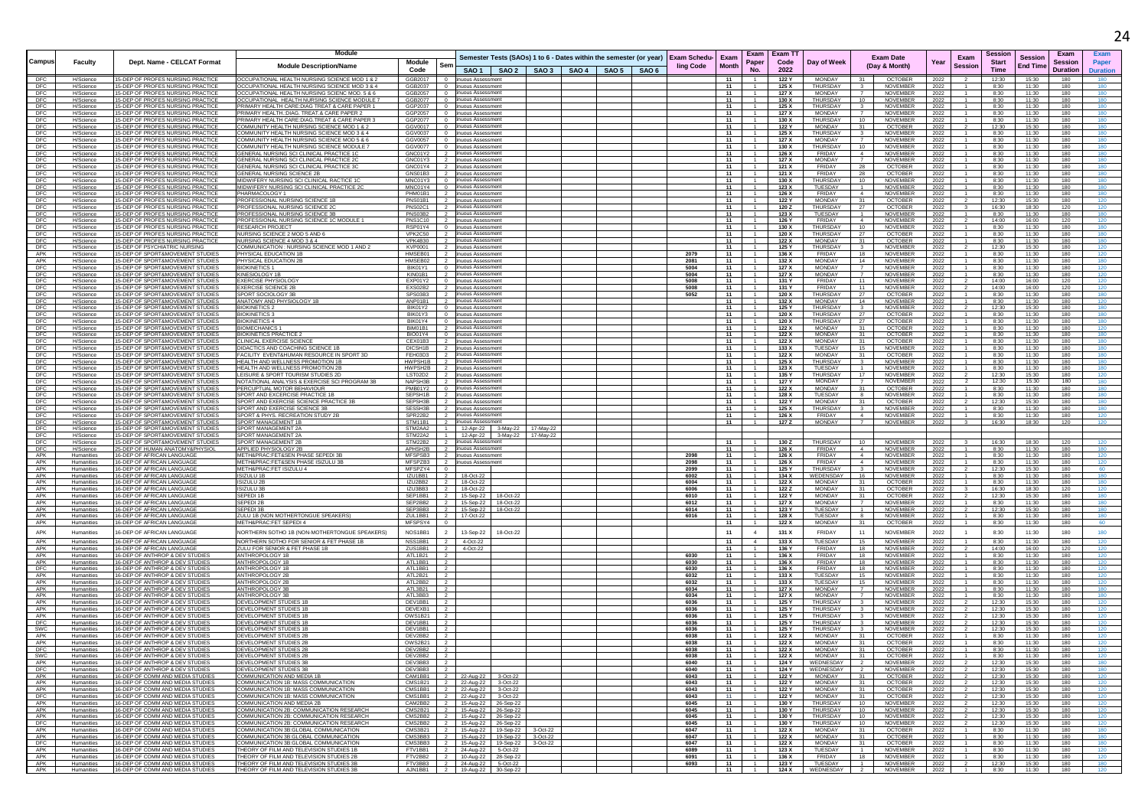|                   |                          |                                                                        | <b>Module</b>                                                                                 |                                                           |                                                                    |                                                                                   |                                                              | Exam   Exam TT |                                  |                                                             |              | Session                                |                            | Exam            |            |
|-------------------|--------------------------|------------------------------------------------------------------------|-----------------------------------------------------------------------------------------------|-----------------------------------------------------------|--------------------------------------------------------------------|-----------------------------------------------------------------------------------|--------------------------------------------------------------|----------------|----------------------------------|-------------------------------------------------------------|--------------|----------------------------------------|----------------------------|-----------------|------------|
| Campus            | <b>Faculty</b>           | Dept. Name - CELCAT Format                                             | <b>Module Description/Name</b>                                                                | Module<br>Ser                                             |                                                                    | Semester Tests (SAOs) 1 to 6 - Dates within the semester (or year)   Exam Schedu- | Exam<br>Paper<br>Month                                       | Code           | Day of Week                      | <b>Exam Date</b><br>(Day & Month)                           | Year         | Exam<br><b>Start</b><br><b>Session</b> | Session<br><b>End Time</b> | Sessior         |            |
|                   |                          |                                                                        |                                                                                               | Code                                                      |                                                                    | SAO 1   SAO 2   SAO 3   SAO 4   SAO 5   SAO 6                                     | ling Code<br>No.                                             | 2022           |                                  |                                                             |              | Time                                   |                            | <b>Duration</b> |            |
| DFC               | H/Science                | 15-DEP OF PROFES NURSING PRACTICI                                      | OCCUPATIONAL HEALTH NURSING SCIENCE MOD 1 & 2                                                 | GGB2017<br>- 0                                            | nuous Assessment                                                   |                                                                                   | 11                                                           | 122 Y          | <b>MONDAY</b>                    | <b>OCTOBER</b>                                              | 2022         | 12:30                                  | 15:30                      | 180             |            |
| DFC               | H/Science                | 15-DEP OF PROFES NURSING PRACTICI                                      | OCCUPATIONAL HEALTH NURSING SCIENCE MOD 3 & 4                                                 | GGB2037<br>$\overline{0}$                                 | nuous Assessment<br>inuous Assessment                              |                                                                                   | 11                                                           | 125 X          | THURSDAY                         | NOVEMBER                                                    | 2022         | 8:30                                   | 11:30                      | 180             | 180        |
| DFC<br><b>DFC</b> | H/Science<br>H/Science   | 15-DEP OF PROFES NURSING PRACTICE<br>15-DEP OF PROFES NURSING PRACTICI | OCCUPATIONAL HEALTH NURSING SCIENC MOD. 5 & 6<br>OCCUPATIONAL HEALTH NURSING SCIENCE MODULE 7 | GGB2057 0<br>GGB2077<br>$\overline{0}$                    | uous Assessmen                                                     |                                                                                   | $\overline{1}$<br>11<br>11                                   | 127 X<br>130 X | MONDAY<br><b>THURSDAY</b>        | $\overline{7}$<br>NOVEMBER<br>10<br><b>NOVEMBER</b>         | 2022<br>2022 | 8:30<br>8:30                           | 11:30<br>11:30             | 180<br>180      | 180<br>180 |
| DFC               | H/Science                | 15-DEP OF PROFES NURSING PRACTICI                                      | PRIMARY HEALTH CARE: DIAG TREAT & CARE PAPER 1                                                | GGP2037<br>$\overline{0}$                                 | nuous Assessment                                                   |                                                                                   | - 11                                                         | 125 X          | THURSDAY                         | <b>NOVEMBER</b>                                             | 2022         | 8:30                                   | 11:30                      | 180             | 180        |
| DFC               | H/Science                | 15-DEP OF PROFES NURSING PRACTICE                                      | PRIMARY HEALTH.: DIAG. TREAT.& CARE PAPER 2                                                   | GGP2057<br>$\overline{0}$                                 | inuous Assessment                                                  |                                                                                   | 11<br>$-1$                                                   | 127 X          | MONDAY                           | NOVEMBER                                                    | 2022         | 8:30                                   | 11:30                      | 180             | 180        |
| <b>DFC</b>        | H/Science                | 15-DEP OF PROFES NURSING PRACTICE                                      | PRIMARY HEALTH CARE:DIAG.TREAT & CARE PAPER :                                                 | GGP2077<br>$\overline{0}$                                 | nuous Assessmen                                                    |                                                                                   | 11                                                           | 130 X          | <b>THURSDAY</b>                  | 10<br>NOVEMBER                                              | 2022         | 8:30                                   | 11:30                      | 180             | 180        |
| DFC<br>DFC        | H/Science<br>H/Science   | 15-DEP OF PROFES NURSING PRACTICE<br>15-DEP OF PROFES NURSING PRACTICE | COMMUNITY HEALTH NURSING SCIENCE MOD 1 & 2<br>COMMUNITY HEALTH NURSING SCIENCE MOD 3 & 4      | GGV0017<br>$\Omega$<br>GGV0037                            | inuous Assessment<br>0 inuous Assessment                           |                                                                                   | 11<br>11<br>$-1$                                             | 122 Y<br>125 X | <b>MONDAY</b><br><b>THURSDAY</b> | 31<br><b>OCTOBER</b><br>NOVEMBER<br>$\mathbf{3}$            | 2022<br>2022 | 12:30<br>8:30                          | 15:30<br>11:30             | 180<br>180      | 180<br>180 |
| DFC               | H/Science                | 15-DEP OF PROFES NURSING PRACTIC                                       | OMMUNITY HEALTH NURSING SCIENCE MOD 5 & 6                                                     | GGV0057<br>$\overline{\phantom{0}}$                       | inuous Assessment                                                  |                                                                                   | 11<br>$\overline{1}$                                         | 127 X          | <b>MONDAY</b>                    | $\overline{7}$<br>NOVEMBER                                  | 2022         | 8:30                                   | 11:30                      | 180             |            |
| DEC               | H/Science                | 15-DEP OF PROFES NURSING PRACTICI                                      | OMMUNITY HEALTH NURSING SCIENCE MODULE 7                                                      | <b>GGV0077</b><br>$\sim$ 0                                | inuous Assessmen                                                   |                                                                                   | 11                                                           | 130 X          | <b>THURSDAY</b>                  | NOVEMBER<br>10                                              | 2022         | 8:30                                   | 11:30                      | 180             | 180        |
| DFC               | H/Science                | 15-DEP OF PROFES NURSING PRACTICE                                      | GENERAL NURSING SCI CLINICAL PRACTICE 1C                                                      | GNC01Y2<br>$\overline{\mathbf{2}}$                        | inuous Assessment                                                  |                                                                                   | 11                                                           | 126 X          | FRIDAY                           | NOVEMBER<br>4                                               | 2022         | 8:30                                   | 11:30                      | 180             | 180        |
| DFC<br>DFC        | H/Science<br>H/Science   | 15-DEP OF PROFES NURSING PRACTICI<br>15-DEP OF PROFES NURSING PRACTIC  | GENERAL NURSING SCI CLINICAL PRACTICE 2<br>SENERAL NURSING SCI CLINICAL PRACTICE 30           | $GNC01Y3$   2<br>GNC01Y4 2                                | nuous Assessment<br>inuous Assessment                              |                                                                                   | 11<br>11                                                     | 127 X<br>121 X | <b>MONDAY</b><br>FRIDAY          | $\overline{7}$<br><b>NOVEMBER</b><br>28<br><b>OCTOBER</b>   | 2022<br>2022 | 8:30<br>8:30                           | 11:30<br>11:30             | 180<br>180      | 180<br>180 |
| DFC               | H/Science                | 15-DEP OF PROFES NURSING PRACTICE                                      | <b>GENERAL NURSING SCIENCE 2B</b>                                                             | GNS01B3<br>$\overline{2}$                                 | tinuous Assessment                                                 |                                                                                   | 11                                                           | 121 X          | FRIDAY                           | 28<br><b>OCTOBER</b>                                        | 2022         | 8:30                                   | 11:30                      | 180             | 180        |
| DFC               | H/Science                | 15-DEP OF PROFES NURSING PRACTICE                                      | MIDWIFERY NURSING SCI CLINICAL RACTICE 1C                                                     | MNC01Y3 0                                                 | inuous Assessment                                                  |                                                                                   | 11<br>$-1$                                                   | 130 X          | THURSDAY                         | 10<br>NOVEMBER                                              | 2022         | 8:30                                   | 11:30                      | 180             | 180        |
| DFC               | H/Science                | 15-DEP OF PROFES NURSING PRACTICE                                      | MIDWIFERY NURSING SCI CLINICAL PRACTICE 2C                                                    | MNC01Y4 0                                                 | inuous Assessment                                                  |                                                                                   | 11<br>$-1$                                                   | 123 X          | TUESDAY                          | NOVEMBER                                                    | 2022         | 8:30                                   | 11:30                      | 180             | 180        |
| DFC<br>DEC        | H/Science<br>H/Science   | 15-DEP OF PROFES NURSING PRACTICE<br>15-DEP OF PROFES NURSING PRACTICI | PHARMACOLOGY 1<br><b>PROFESSIONAL NURSING SCIENCE 1E</b>                                      | PHM01B1<br>$\overline{2}$<br>PNS01B1 2 tinuous Assessment | inuous Assessmer                                                   |                                                                                   | 11<br>- 11                                                   | 126 X<br>122 Y | <b>FRIDAY</b><br><b>MONDAY</b>   | NOVEMBER<br><b>OCTOBER</b><br>31                            | 2022         | 8:30<br>12:30                          | 11:30<br>15:30             | 180<br>180      | 180<br>120 |
| DFC               | H/Science                | 15-DEP OF PROFES NURSING PRACTICE                                      | PROFESSIONAL NURSING SCIENCE 20                                                               | PNS02C1 2                                                 | inuous Assessment                                                  |                                                                                   | 11<br>$-1$                                                   | 120 Z          | THURSDAY                         | <b>OCTOBER</b><br>27                                        | 2022<br>2022 | 16:30                                  | 18:30                      | 120             | 120        |
| DFC               | H/Science                | 15-DEP OF PROFES NURSING PRACTICE                                      | PROFESSIONAL NURSING SCIENCE 3E                                                               | PNS03B2<br>$\overline{2}$                                 | inuous Assessmen                                                   |                                                                                   | 11<br>$\overline{1}$                                         | 123 X          | TUESDAY                          | $\overline{1}$<br>NOVEMBER                                  | 2022         | 8:30                                   | 11:30                      | 180             | 180        |
| DFC               | H/Science                | 15-DEP OF PROFES NURSING PRACTICE                                      | PROFESSIONAL NURSING SCIENCE 1C MODULE 1                                                      | PNS1C10 2                                                 | tinuous Assessment                                                 |                                                                                   | 1<br>11                                                      | 126 Y          | <b>FRIDAY</b>                    | $\overline{4}$<br>NOVEMBER                                  | 2022         | 14:00                                  | 16:00                      | 120             | 120        |
| DFC<br>DFC        | H/Science<br>H/Science   | 15-DEP OF PROFES NURSING PRACTICE<br>15-DEP OF PROFES NURSING PRACTICE | RESEARCH PROJECT<br>NURSING SCIENCE 2 MOD 5 AND                                               | RSP01Y4 0 tinuous Assessment<br><b>VPK2C50</b>            | 2 inuous Assessment                                                |                                                                                   | 11<br>$\overline{1}$<br>11<br>$\overline{1}$                 | 130 X<br>120 X | <b>THURSDAY</b><br>THURSDAY      | 10<br><b>NOVEMBER</b><br>27<br><b>OCTOBER</b>               | 2022<br>2022 | 8:30<br>8:30                           | 11:30<br>11:30             | 180<br>180      | 180        |
| DEC               | H/Science                | 15-DEP OF PROFES NURSING PRACTICI                                      | NURSING SCIENCE 4 MOD 3 & 4                                                                   | <b>VPK4B30</b><br>$\overline{2}$                          | inuous Assessmen                                                   |                                                                                   | 11                                                           | 122 X          | <b>MONDAY</b>                    | <b>OCTOBER</b><br>31                                        | 2022         | 8:30                                   | 11:30                      | 180             | 180        |
| DFC               | H/Science                | 15-DEP OF PSYCHIATRIC NURSING                                          | COMMUNICATION : NURSING SCIENCE MOD 1 AND 2                                                   | KVP0001<br>$\overline{2}$                                 | inuous Assessment                                                  |                                                                                   | 11                                                           | 125 Y          | THURSDAY                         | NOVEMBER<br>-3                                              | 2022         | 12:30                                  | 15:30                      | 180             | 120        |
| APK               | H/Science                | 15-DEP OF SPORT&MOVEMENT STUDIES                                       | PHYSICAL EDUCATION 1B                                                                         | HMSFB01   2 tinuous Assessment                            |                                                                    |                                                                                   | 2079<br>11<br>$-1$                                           | 136 X          | FRIDAY                           | 18<br>NOVEMBER                                              | 2022         | 8:30<br>$\overline{1}$                 | 11:30                      | 180             | 120        |
| APK<br>DFC        | H/Science<br>H/Science   | 15-DEP OF SPORT&MOVEMENT STUDIES<br>5-DEP OF SPORT&MOVEMENT STUDIES    | PHYSICAL EDUCATION 2I<br><b>BIOKINETICS 1</b>                                                 | HMSEB02 2<br>BIK01Y1<br>$\overline{\mathbf{0}}$           | inuous Assessment<br>inuous Assessment                             |                                                                                   | 2081<br>11<br>$-1$<br>5004<br>11                             | 132 X<br>127 X | <b>MONDAY</b><br><b>MONDAY</b>   | 14<br>NOVEMBER<br>NOVEMBER                                  | 2022<br>2022 | 8:30<br>8:30                           | 11:30<br>11:30             | 180<br>180      | 180<br>120 |
| <b>DFC</b>        | H/Science                | 15-DEP OF SPORT&MOVEMENT STUDIES                                       | KINESIOLOGY 1E                                                                                | KIN01B1<br>$\overline{2}$                                 | inuous Assessment                                                  |                                                                                   | 5004<br>11<br>$-1$                                           | 127 X          | <b>MONDAY</b>                    | $\overline{7}$<br><b>NOVEMBER</b>                           | 2022         | 8:30                                   | 11:30                      | 180             | 120        |
| DFC               | H/Science                | 15-DEP OF SPORT&MOVEMENT STUDIES                                       | <b>EXERCISE PHYSIOLOG</b>                                                                     | EXP01Y2 0                                                 | inuous Assessment                                                  |                                                                                   | 5008<br>11<br>$-1$                                           | 131 Y          | FRIDAY                           | 11<br><b>NOVEMBER</b>                                       | 2022         | 14:00                                  | 16:00                      | 120             | 120        |
| DFC<br>DEC        | H/Science                | 15-DEP OF SPORT&MOVEMENT STUDIES<br>15-DEP OF SPORT&MOVEMENT STUDIES   | <b>EXERCISE SCIENCE 2E</b><br>SPORT SOCIOLOGY 3B                                              | EXS02B2<br>$\overline{2}$<br>SPS03B3 2 tinuous Assessment | inuous Assessme                                                    |                                                                                   | 5008<br>11<br>$-1$                                           | 131 Y          | <b>FRIDAY</b><br>THURSDAY        | 11<br>NOVEMBER<br>27<br><b>OCTOBER</b>                      | 2022         | 14:00                                  | 16:00<br>11:30             | 120<br>180      | 120<br>180 |
| <b>DFC</b>        | H/Science<br>H/Science   | 5-DEP OF SPORT&MOVEMENT STUDIES                                        | ANATOMY AND PHYSIOLOGY 1B                                                                     | ANP01B1                                                   | inuous Assessment                                                  |                                                                                   | 5052<br>- 11<br>11                                           | 120 X<br>132 X | <b>MONDAY</b>                    | 14<br>NOVEMBER                                              | 2022<br>2022 | 8:30<br>8:30                           | 11:30                      | 180             | 120        |
| DFC               | H/Science                | 15-DEP OF SPORT&MOVEMENT STUDIES                                       | <b>BIOKINETICS 2</b>                                                                          | BIK01Y2<br>$\overline{0}$                                 | inuous Assessment                                                  |                                                                                   | 11                                                           | 125 \          | THURSDAY                         | NOVEMBER                                                    | 2022         | 12:30                                  | 15:30                      | 180             | 180        |
| DFC               | H/Science                | 15-DEP OF SPORT&MOVEMENT STUDIES                                       | <b>BIOKINETICS 3</b>                                                                          |                                                           | BIK01Y3 0 inuous Assessment                                        |                                                                                   | 11                                                           | 120 X          | THURSDAY                         | 27<br><b>OCTOBER</b>                                        | 2022         | 8:30                                   | 11:30                      | 180             | 180        |
| DEC               | H/Science                | 15-DEP OF SPORT&MOVEMENT STUDIES<br>15-DEP OF SPORT&MOVEMENT STUDIES   | <b>BIOKINETICS 4</b><br><b>IOMECHANICS</b>                                                    | BIK01Y4<br>$\sim$ 0<br>BIM01B1                            | inuous Assessment<br>inuous Assessment                             |                                                                                   | 11<br>$\overline{1}$<br>11                                   | 120 X<br>122 X | THURSDAY<br>MONDAY               | 27<br><b>OCTOBER</b><br>31<br><b>OCTOBER</b>                | 2022<br>2022 | 8:30<br>8:30                           | 11:30<br>11:30             | 180<br>180      | 180        |
| DFC<br><b>DFC</b> | H/Science<br>H/Science   | 5-DEP OF SPORT&MOVEMENT STUDIES                                        | <b>IOKINETICS PRACTICE:</b>                                                                   | BIO01Y4<br>$\overline{\phantom{0}}$                       | inuous Assessmen                                                   |                                                                                   |                                                              | 122 X          | <b>MONDAY</b>                    | <b>OCTOBER</b><br>31                                        | 2022         | 8:30                                   | 11:30                      | 180             | 180        |
| <b>DFC</b>        | H/Science                | 5-DEP OF SPORT&MOVEMENT STUDIES                                        | CLINICAL EXERCISE SCIENCI                                                                     | CEX01B3<br>$\overline{2}$                                 | inuous Assessment                                                  |                                                                                   | 11                                                           | 122 X          | MONDAY                           | <b>OCTOBER</b><br>-31                                       | 2022         | 8:30                                   | 11:30                      | 180             | 180        |
| DFC               | H/Science                | 15-DEP OF SPORT&MOVEMENT STUDIES                                       | DIDACTICS AND COACHING SCIENCE 1B                                                             | DICSH1B 2 tinuous Assessment                              |                                                                    |                                                                                   | 11<br>$-1$                                                   | 133 X          | TUESDAY                          | 15<br><b>NOVEMBER</b>                                       | 2022         | 8:30                                   | 11:30                      | 180             | 180        |
| DFC<br>DFC        | H/Science<br>H/Science   | 15-DEP OF SPORT&MOVEMENT STUDIES<br>5-DEP OF SPORT&MOVEMENT STUDIE     | FACILITY EVENT&HUMAN RESOURCE IN SPORT 3D<br>HEALTH AND WELLNESS PROMOTION 1E                 | FEH03D3 2 inuous Assessment<br>HWPSH1B                    | inuous Assessment                                                  |                                                                                   | 11<br>$-1$<br>11                                             | 122 X<br>125 X | MONDAY<br><b>THURSDAY</b>        | 31<br><b>OCTOBER</b><br>NOVEMBER                            | 2022         | 8:30<br>8:30                           | 11:30<br>11:30             | 180<br>180      | 180<br>180 |
| DFC               | H/Science                | 15-DEP OF SPORT&MOVEMENT STUDIES                                       | HEALTH AND WELLNESS PROMOTION 2E                                                              | HWPSH2B <sub>2</sub>                                      | inuous Assessment                                                  |                                                                                   | - 11                                                         | 123 X          | TUESDAY                          | NOVEMBER                                                    | 2022<br>2022 | 8:30                                   | 11:30                      | 180             | 180        |
| DFC               | H/Science                | 15-DEP OF SPORT&MOVEMENT STUDIES                                       | LEISURE & SPORT TOURISM STUDIES 2D                                                            | LST02D2 2                                                 | inuous Assessment                                                  |                                                                                   | 11<br>$\overline{1}$                                         | 135 Y          | <b>THURSDAY</b>                  | 17<br><b>NOVEMBER</b>                                       | 2022         | 12:30                                  | 15:30                      | 180             | 120        |
| DFC               | H/Science                | 15-DEP OF SPORT&MOVEMENT STUDIES                                       | NOTATIONAL ANALYSIS & EXERCISE SCI PROGRAM 3E                                                 | NAPSH3B<br>$\overline{2}$                                 | inuous Assessmen                                                   |                                                                                   | 11                                                           | 127 Y          | MONDAY                           | $\overline{7}$<br>NOVEMBER                                  | 2022         | 12:30                                  | 15:30                      | 180             |            |
| DFC               | H/Science<br>H/Science   | 15-DEP OF SPORT&MOVEMENT STUDIES<br>15-DEP OF SPORT&MOVEMENT STUDIES   | PERCUPTUAL MOTOR BEHAVIOUR<br>SPORT AND EXCERCISE PRACTICE 1                                  | PMB01Y2   0 tinuous Assessment<br>SEPSH1B <sub>2</sub>    | inuous Assessment                                                  |                                                                                   | 11<br>11<br>$-1$                                             | 122 X<br>128 X | <b>MONDAY</b><br>TUESDAY         | <b>OCTOBER</b><br>-31<br>NOVEMBER<br>-8                     | 2022<br>2022 | 8:30<br>8:30                           | 11:30<br>11:30             | 180<br>180      | 180<br>180 |
| DFC<br>DFC        | H/Science                | 15-DEP OF SPORT&MOVEMENT STUDIE                                        | SPORT AND EXERCISE SCIENCE PRACTICE 3B                                                        | SEPSH3B                                                   | inuous Assessmen                                                   |                                                                                   | 11                                                           | 122 Y          | <b>MONDAY</b>                    | <b>OCTOBER</b>                                              | 2022         | 12:30                                  | 15:30                      | 180             |            |
| DFC               | H/Science                | 15-DEP OF SPORT&MOVEMENT STUDIES                                       | SPORT AND EXERCISE SCIENCE 3B                                                                 | SESSH3B <sub>2</sub>                                      | inuous Assessmen                                                   |                                                                                   | 11                                                           | 125 X          | <b>THURSDAY</b>                  | <b>NOVEMBER</b><br>-3                                       | 2022         | 8:30                                   | 11:30                      | 180             | 180        |
| DFC               | H/Science                | 15-DEP OF SPORT&MOVEMENT STUDIES                                       | ISPORT & PHYS. RECREATION STUDY 2B                                                            | SPR22B2   2<br>STM11B1                                    | inuous Assessment                                                  |                                                                                   | 11<br>$\overline{1}$                                         | 126 X          | FRIDAY                           | $\overline{4}$<br>NOVEMBER                                  | 2022         | 8:30                                   | 11:30                      | 180             | 120        |
| DFC<br><b>DFC</b> | H/Science<br>H/Science   | 5-DEP OF SPORT&MOVEMENT STUDIES<br>15-DEP OF SPORT&MOVEMENT STUDIES    | SPORT MANAGEMENT 1E<br>SPORT MANAGEMENT 2A                                                    | STM2AA2                                                   | huous Assessment<br>12-Apr-22 3-May-22<br>17-May-22                |                                                                                   | 11                                                           | 127 Z          | <b>MONDAY</b>                    | $\overline{7}$<br>NOVEMBER                                  | 2022         | 16:30                                  | 18:30                      | 120             |            |
| DFC               | H/Science                | 15-DEP OF SPORT&MOVEMENT STUDIES                                       | SPORT MANAGEMENT 2A                                                                           | STM22A2                                                   | 17-May-22<br>12-Apr-22 3-May-22                                    |                                                                                   |                                                              |                |                                  |                                                             |              |                                        |                            |                 |            |
| DFC               | H/Science                | 15-DEP OF SPORT&MOVEMENT STUDIES                                       | SPORT MANAGEMENT 2P                                                                           | STM22B2 I<br>$\overline{2}$                               | inuous Assessment                                                  |                                                                                   | 11                                                           | 130 Z          | <b>THURSDAY</b>                  | 10<br><b>NOVEMBER</b>                                       | 2022         | 16:30                                  | 18:30                      | 120             | 120        |
| DFC<br>APK        | H/Science                | 25-DEP OF HUMAN ANATOMY&PHYSIOL<br>16-DEP OF AFRICAN LANGUAG           | APPLIED PHYSIOLOGY 2E<br>METH&PRAC:FET&SEN PHASE SEPEDI 3E                                    | APHSH2B 2<br>MFSPSB3                                      | tinuous Assessment<br>uous Assessmen                               |                                                                                   | 11<br>$-1$<br>2098                                           | 126 X<br>126 X | FRIDAY<br><b>FRIDAY</b>          | 4<br>NOVEMBER<br>NOVEMBER                                   | 2022         | $\overline{1}$<br>8:30<br>8:30         | 11:30<br>11:30             | 180<br>180      | 180<br>120 |
| APK               | Humanities<br>Humanities | 16-DEP OF AFRICAN LANGUAG                                              | METH&PRAC:FET&SEN PHASE ISIZULU 3                                                             | MFSPZB3                                                   | nuous Assessment                                                   |                                                                                   | 2098<br>-11                                                  | 126 X          | FRIDAY                           | $\sim$<br>NOVEMBER                                          | 2022<br>2022 | 8:30                                   | 11:30                      | 180             | 120        |
| APK               | Humanities               | 16-DEP OF AFRICAN LANGUAGE                                             | METH&PRAC:FET ISIZULU 4                                                                       | MFSPZY4                                                   |                                                                    |                                                                                   | 2099<br>11<br>$-1$                                           | 125 Y          | THURSDAY                         | $\mathbf{3}$<br><b>NOVEMBER</b>                             | 2022         | 12:30                                  | 15:30                      | 180             | 60         |
| APK               | Humanities               | 16-DEP OF AFRICAN LANGUAG                                              | <b>ISIZULU 1E</b>                                                                             | IZU1BB1                                                   | 18-Oct-22                                                          |                                                                                   | 6002<br>11<br>$\overline{1}$                                 | 134 X          | WEDENSDAY                        | 16<br>NOVEMBER                                              | 2022         | 8:30                                   | 11:30                      | 180             | 180<br>180 |
| <b>APK</b><br>APK | Humanities<br>Humanities | 16-DEP OF AFRICAN LANGUAGE<br>16-DEP OF AFRICAN LANGUAGE               | <b>SIZULU 2B</b><br><b>ISIZULU 3B</b>                                                         | IZU2BB2<br>IZU3BB3                                        | 18-Oct-22<br>18-Oct-22                                             |                                                                                   | 6004<br>11<br>6006<br>11<br>$-1$                             | 122 X<br>122 Z | <b>MONDAY</b><br><b>MONDAY</b>   | <b>OCTOBER</b><br>31<br><b>OCTOBER</b><br>31                | 2022<br>2022 | 8:30<br>16:30                          | 11:30<br>18:30             | 180<br>120      | 120        |
| APK               | Humanities               | 16-DEP OF AFRICAN LANGUAO                                              | EPEDI 11                                                                                      | SEP1BB1                                                   | 15-Sep-22<br>18-Oct-22                                             |                                                                                   | 6010<br>11                                                   | 122 Y          | <b>MONDAY</b>                    | <b>OCTOBER</b>                                              | 2022         | 12:30                                  | 15:30                      | 180             |            |
| APK               | Humanities               | 16-DEP OF AFRICAN LANGUAGE                                             | SEPEDI 2B                                                                                     | SEP2BB2                                                   | 15-Sep-22 18-Oct-22                                                |                                                                                   | 6012<br>11                                                   | 127 X          | <b>MONDAY</b>                    | NOVEMBER<br>$\overline{7}$                                  | 2022         | 8:30                                   | 11:30                      | 180             | 180        |
| APK<br>APK        | Humanities<br>Humanities | 16-DEP OF AFRICAN LANGUAGE<br>16-DEP OF AFRICAN LANGUAG                | SEPEDI 3B<br>ZULU 1B (NON MOTHERTONGUE SPEAKERS                                               | SEP3BB3<br>$\overline{2}$<br>ZUL1BB1                      | 15-Sep-22 18-Oct-22<br>17-Oct-22                                   |                                                                                   | 6014<br>11<br>$\overline{1}$<br>6016<br>11<br>$\overline{1}$ | 123 Y<br>128 X | TUESDAY<br>TUESDAY               | $\overline{1}$<br>NOVEMBER<br><b>NOVEMBER</b><br>-8         | 2022<br>2022 | 12:30<br>8:30                          | 15:30<br>11:30             | 180<br>180      | 180<br>180 |
| APK               | Humanities               | 16-DEP OF AFRICAN LANGUAGE                                             | METH&PRAC:FET SEPEDI 4                                                                        | MFSPSY4                                                   |                                                                    |                                                                                   | 11                                                           | 122 X          | <b>MONDAY</b>                    | <b>OCTOBER</b>                                              | 2022         | 8:30                                   | 11:30                      | 180             | 60         |
| APK               | Humanities               | 6-DEP OF AFRICAN LANGUAGE                                              | NORTHERN SOTHO 1B (NON-MOTHERTONGUE SPEAKERS)                                                 | NOS1BB1                                                   | 13-Sep-22<br>18-Oct-22                                             |                                                                                   | 11<br>$\overline{4}$                                         | 131 X          | <b>FRIDAY</b>                    | 11<br><b>NOVEMBER</b>                                       | 2022         | $\mathbf{1}$<br>8:30                   | 11:30                      | 180             | 180        |
| APK               | Humanities               | 16-DEP OF AFRICAN LANGUAGE                                             | NORTHERN SOTHO FOR SENIOR & FET PHASE 1B                                                      | NSS1BB1                                                   | 4-Oct-22                                                           |                                                                                   | 11<br>$\sim$                                                 | 133 X          | TUESDAY                          | <b>NOVEMBER</b><br>15                                       | 2022         | 8:30                                   | 11:30                      | 180             | 120        |
| APK               | Humanities               | 16-DEP OF AFRICAN LANGUAGE                                             | ZULU FOR SENIOR & FET PHASE 1B                                                                | ZUS1BB1 2                                                 | 4-Oct-22                                                           |                                                                                   | 11<br>$\overline{1}$                                         | 136 Y          | FRIDAY                           | 18<br><b>NOVEMBER</b>                                       | 2022         | 14:00<br>$\overline{2}$                | 16:00                      | 120             | 120        |
| APK               | Humanities               | 16-DEP OF ANTHROP & DEV STUDIES                                        | ANTHROPOLOGY 1B                                                                               | ATL1B21 2                                                 |                                                                    |                                                                                   | 6030<br>11<br>$-1$                                           | 136 X          | FRIDAY                           | 18<br><b>NOVEMBER</b>                                       | 2022         | 8:30                                   | 11:30                      | 180             | 120        |
| APK               | Humanities               | 16-DEP OF ANTHROP & DEV STUDIES                                        | ANTHROPOLOGY 1E                                                                               | ATL1BB1                                                   |                                                                    |                                                                                   | 11<br>6030                                                   | 136 X          | FRIDAY                           | <b>NOVEMBER</b><br>18                                       | 2022         | 8:30                                   | 11:30                      | 180             | 120        |
| DFC<br>APK        | Humanities<br>Humanities | 16-DEP OF ANTHROP & DEV STUDIES<br>16-DEP OF ANTHROP & DEV STUDIES     | ANTHROPOLOGY 1E<br>ANTHROPOLOGY 2E                                                            | ATI 1BB1<br>$\overline{2}$<br>ATL2B21                     |                                                                    |                                                                                   | 6030<br>11<br>$\overline{1}$<br>6032<br>11<br>$-1$           | 136 X<br>133 X | <b>FRIDAY</b><br>TUESDAY         | 18<br>NOVEMBER<br>15<br><b>NOVEMBER</b>                     | 2022<br>2022 | 8:30<br>8:30                           | 11:30<br>11:30             | 180<br>180      | 120<br>120 |
| APK               | Humanities               | 16-DEP OF ANTHROP & DEV STUDIES                                        | <b>ANTHROPOLOGY 2E</b>                                                                        | ATL2BB2                                                   |                                                                    |                                                                                   | 11<br>6032                                                   | 133 X          | TUESDAY                          | 15<br><b>NOVEMBER</b>                                       | 2022         | 8:30                                   | 11:30                      | 180             | 120        |
| APK               | Humanities               | 16-DEP OF ANTHROP & DEV STUDIES                                        | ANTHROPOLOGY 3E                                                                               | $\overline{2}$<br>ATL3B21                                 |                                                                    |                                                                                   | 6034<br>11                                                   | 127 X          | <b>MONDAY</b>                    | $\overline{7}$<br><b>NOVEMBER</b>                           | 2022         | 8:30                                   | 11:30                      | 180             | 180        |
| APK               | Humanities               | 16-DEP OF ANTHROP & DEV STUDIES                                        | ANTHROPOLOGY 3E                                                                               | ATL3BB3                                                   |                                                                    |                                                                                   | 6034<br>11                                                   | 127 X          | <b>MONDAY</b>                    | <b>NOVEMBER</b>                                             | 2022         | 8:30                                   | 11:30                      | 180             | 180        |
| APK<br>APK        | Humanities<br>Humanities | 16-DEP OF ANTHROP & DEV STUDIES<br>16-DEP OF ANTHROP & DEV STUDIES     | DEVELOPMENT STUDIES<br>DEVELOPMENT STUDIES 1B                                                 | DEV1BB1<br>DEVEXB1<br>$\overline{\phantom{0}}$            |                                                                    |                                                                                   | 6036<br>11<br>6036<br>11                                     | 125 Y<br>125 Y | THURSDAY<br>THURSDAY             | 3<br>NOVEMBER<br><b>NOVEMBER</b><br>$\overline{\mathbf{3}}$ | 2022<br>2022 | 12:30<br>12:30                         | 15:30<br>15:30             | 180<br>180      | 120<br>120 |
| APK               | Humanities               | 16-DEP OF ANTHROP & DEV STUDIES                                        | DEVELOPMENT STUDIES 1B                                                                        | OWS1B21                                                   |                                                                    |                                                                                   | 6036<br>11                                                   | 125 Y          | THURSDAY                         | <b>NOVEMBER</b>                                             | 2022         | 12:30                                  | 15:30                      | 180             | 120        |
| DFC               | Humanities               | 16-DEP OF ANTHROP & DEV STUDIES                                        | <b>DEVELOPMENT STUDIES 1B</b>                                                                 | DEV1BB1                                                   |                                                                    |                                                                                   | 6036<br>11<br>$-1$                                           | 125 Y          | THURSDAY                         | $\overline{\mathbf{3}}$<br><b>NOVEMBER</b>                  | 2022         | 12:30                                  | 15:30                      | 180             | 120        |
| SWC<br>APK        | Humanities<br>Humanities | 16-DEP OF ANTHROP & DEV STUDIES<br>16-DEP OF ANTHROP & DEV STUDIES     | DEVELOPMENT STUDIES 1B<br>DEVELOPMENT STUDIES 2B                                              | DEV1BB1<br>DEV2BB2                                        |                                                                    |                                                                                   | 6036<br>6038<br>11                                           | 125 Y<br>122 X | THURSDAY<br>MONDAY               | NOVEMBER<br>-31                                             | 2022<br>2022 | 12:30<br>8:30                          | 15:30<br>11:30             | 180<br>180      | 120        |
| APK               | Humanities               | 16-DEP OF ANTHROP & DEV STUDIES                                        | DEVELOPMENT STUDIES 2B                                                                        | OWS2B21<br>$\overline{2}$                                 |                                                                    |                                                                                   | 6038<br>11<br>$-1$                                           | 122 X          | <b>MONDAY</b>                    | <b>OCTOBER</b><br>31<br>OCTOBER                             | 2022         | 8:30                                   | 11:30                      | 180             | 120<br>120 |
| DFC               | Humanities               | 16-DEP OF ANTHROP & DEV STUDIES                                        | DEVELOPMENT STUDIES 2B                                                                        | DEV2BB2                                                   |                                                                    |                                                                                   | $\overline{1}$<br>6038<br>11                                 | 122 X          | MONDAY                           | 31<br><b>OCTOBER</b>                                        | 2022         | 8:30                                   | 11:30                      | 180             | 120        |
| SWC               | Humanities               | 16-DEP OF ANTHROP & DEV STUDIES                                        | DEVELOPMENT STUDIES 2B                                                                        | DEV2BB2                                                   |                                                                    |                                                                                   | 11<br>6038                                                   | 122 X          | MONDAY                           | <b>OCTOBER</b>                                              | 2022         | 8:30                                   | 11:30                      |                 |            |
| APK<br>DFC        | Humanities<br>Humanities | 16-DEP OF ANTHROP & DEV STUDIES<br>16-DEP OF ANTHROP & DEV STUDIES     | DEVELOPMENT STUDIES 3B<br>DEVELOPMENT STUDIES 3B                                              | DEV3BB3<br>DEV3BB3 2                                      |                                                                    |                                                                                   | 6040<br>-11<br>6040<br>11<br>$-1$                            | 124 Y<br>124 Y | WEDNESDAY<br>WEDNESDAY           | NOVEMBER<br>NOVEMBER                                        | 2022<br>2022 | 12:30<br>12:30                         | 15:30<br>15:30             | 180<br>180      | 180<br>180 |
| APK               | Humanities               | 16-DEP OF COMM AND MEDIA STUDIES                                       | COMMUNICATION AND MEDIA 1B                                                                    | CAM1BB1<br>$\overline{2}$                                 | 22-Aug-22<br>3-Oct-22                                              |                                                                                   | 6043<br>11                                                   | 122 Y          | MONDAY                           | <b>OCTOBER</b><br>31                                        | 2022         | 12:30                                  | 15:30                      | 180             | 120        |
| APK               | Humanities               | 16-DEP OF COMM AND MEDIA STUDIES                                       | COMMUNICATION 1B: MASS COMMUNICATION                                                          |                                                           | CMS1B21 2 22-Aug-22 3-Oct-22                                       |                                                                                   | 6043<br>$-1$<br>- 11                                         | 122 Y          | <b>MONDAY</b>                    | 31<br><b>OCTOBER</b>                                        | 2022         | 12:30                                  | 15:30                      | 180             | 120        |
| APK               | Humanities               | 16-DEP OF COMM AND MEDIA STUDIES                                       | OMMUNICATION 1B: MASS COMMUNICATION                                                           | CMS1BB1                                                   | 22-Aug-22 3-Oct-22                                                 |                                                                                   | 6043<br>11<br>$-1$                                           | 122 Y          | <b>MONDAY</b>                    | <b>OCTOBER</b><br>31                                        | 2022         | 12:30                                  | 15:30                      | 180             | 120        |
| DFC<br>APK        | Humanities<br>Humanities | 16-DEP OF COMM AND MEDIA STUDIES<br>16-DEP OF COMM AND MEDIA STUDIES   | COMMUNICATION 1B: MASS COMMUNICATION<br>COMMUNICATION AND MEDIA 2B                            | CMS1BB1<br>CAM2BB2 2                                      | 22-Aug-22 3-Oct-22<br>15-Aug-22 26-Sep-22                          |                                                                                   | 6043<br>11<br>6045<br>11<br>1                                | 122 Y<br>130 Y | MONDAY<br>THURSDAY               | <b>OCTOBER</b><br>31<br>10<br><b>NOVEMBER</b>               | 2022<br>2022 | 12:30<br>12:30                         | 15:30<br>15:30             | 180<br>180      | 120<br>120 |
| APK               | Humanities               | 16-DEP OF COMM AND MEDIA STUDIES                                       | COMMUNICATION 2B: COMMUNICATION RESEARCH                                                      | CMS2B21<br>$\overline{\mathbf{2}}$                        | 15-Aug-22 26-Sep-22                                                |                                                                                   | 6045<br>11<br>$\overline{1}$                                 | 130 Y          | THURSDAY                         | 10<br>NOVEMBER                                              | 2022         | 12:30                                  | 15:30                      | 180             | 120        |
| APK               | Humanities               | 16-DEP OF COMM AND MEDIA STUDIES                                       | COMMUNICATION 2B: COMMUNICATION RESEARCH                                                      | CMS2BB2<br>$\overline{2}$                                 | 15-Aug-22 26-Sep-22                                                |                                                                                   | 6045<br>11<br>$\overline{1}$                                 | 130 Y          | <b>THURSDAY</b>                  | 10<br>NOVEMBER                                              | 2022         | 12:30                                  | 15:30                      | 180             | 120        |
| DFC               | Humanities               | 16-DEP OF COMM AND MEDIA STUDIES                                       | COMMUNICATION 2B: COMMUNICATION RESEARCH                                                      | CMS2BB2 2                                                 | 15-Aug-22 26-Sep-22                                                |                                                                                   | 6045<br>$11 \quad$<br>1                                      | 130 Y          | THURSDAY                         | 10<br><b>NOVEMBER</b>                                       | 2022         | 12:30                                  | 15:30                      | 180             | 120        |
| APK<br>APK        | Humanities<br>Humanities | 16-DEP OF COMM AND MEDIA STUDIES<br>16-DEP OF COMM AND MEDIA STUDIES   | COMMUNICATION 3B:GLOBAL COMMUNICATION<br>COMMUNICATION 3B:GLOBAL COMMUNICATION                | CMS3B21<br>- 2<br>CMS3BB3 2                               | 15-Aug-22 19-Sep-22<br>3-Oct-22<br>15-Aug-22 19-Sep-22<br>3-Oct-22 |                                                                                   | 6047<br>11<br>6047<br>11<br>$\overline{1}$                   | 122 X<br>122 X | MONDAY<br><b>MONDAY</b>          | <b>OCTOBER</b><br>31<br>31<br><b>OCTOBER</b>                | 2022<br>2022 | 8:30<br>8:30<br>$\overline{1}$         | 11:30<br>11:30             | 180<br>180      | 180<br>180 |
| DFC               | Humanities               | 16-DEP OF COMM AND MEDIA STUDIES                                       | COMMUNICATION 3B:GLOBAL COMMUNICATION                                                         | CMS3BB3 2                                                 | 15-Aug-22 19-Sep-22<br>3-Oct-22                                    |                                                                                   | 6047<br>$-1$<br>11                                           | 122 X          | MONDAY                           | OCTOBER<br>31                                               | 2022         | $\overline{1}$<br>8:30                 | 11:30                      | 180             | 180        |
| APK               | Humanities               | 16-DEP OF COMM AND MEDIA STUDIE:                                       | HEORY OF FILM AND TELEVISION STUDIES 1B                                                       | FTV1BB1                                                   | 24-Aug-22 5-Oct-22                                                 |                                                                                   | 11<br>6089                                                   | 123 X          | TUESDAY                          | NOVEMBER                                                    | 2022         | 8:30                                   | 11:30                      | 180             | 120        |
| APK<br>APK        | Humanities<br>Humanities | 16-DEP OF COMM AND MEDIA STUDIES<br>16 DEP OF COMM AND MEDIA STUDIES.  | THEORY OF FILM AND TELEVISION STUDIES 2B<br>THEORY OF FILM AND TELEVISION STUDIES 3B.         |                                                           | FTV2BB2 2 10-Aug-22 28-Sep-22<br>FTV3BB3 2 24-Aug-22 5-Oct-22      |                                                                                   | 6091<br>$\overline{1}$<br>11  <br>6093<br>11 1               | 136 X<br>123 Y | FRIDAY<br>TUESDAY                | <b>NOVEMBER</b><br>18<br>1<br>NOVEMBER                      | 2022<br>2022 | 8:30<br>12:30<br>$\overline{2}$        | 11:30<br>15:30             | 180<br>180      | 120<br>180 |
| APK               | Humanities               | 16-DEP OF COMM AND MEDIA STUDIES                                       | THEORY OF FILM AND TELEVISION STUDIES 3B                                                      |                                                           | AJN1BB1 2 19-Aug-22 30-Sep-22                                      |                                                                                   | 11   1   124 X                                               |                | WEDNESDAY                        | 2<br><b>NOVEMBER</b>                                        | 2022         | $\blacksquare$<br>8:30                 | 11:30                      | 180             | 120        |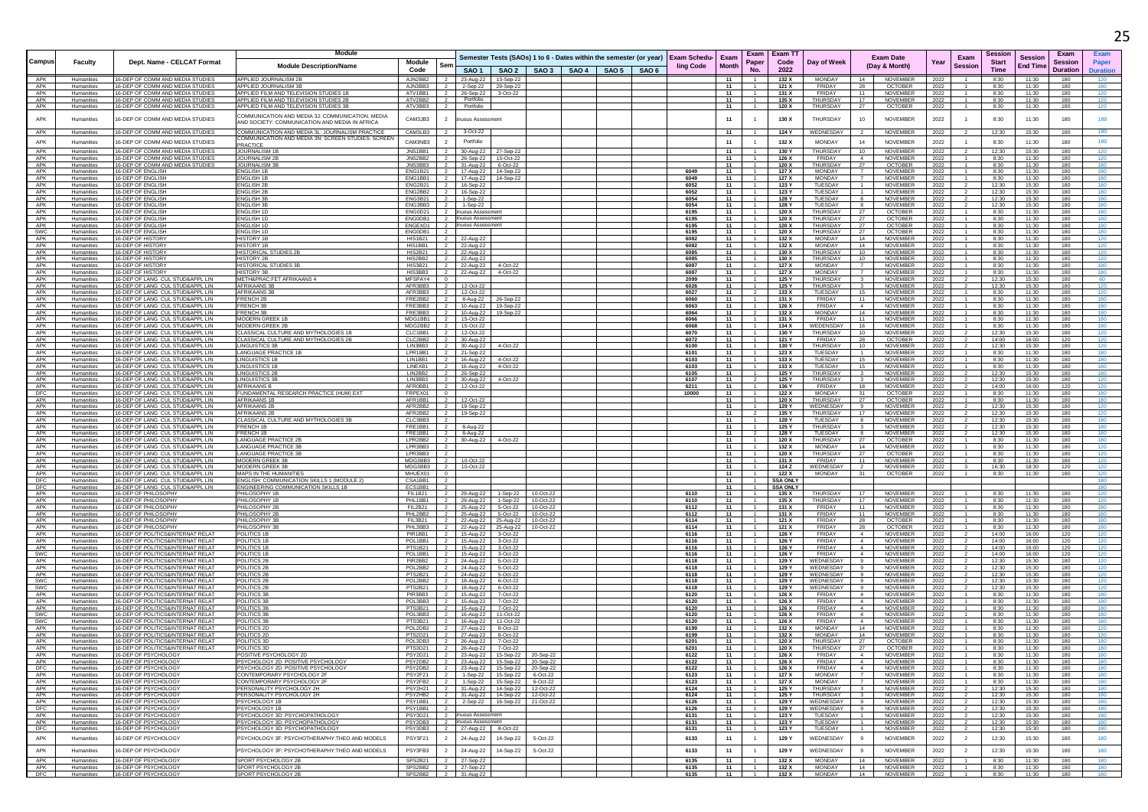|                   |                          |                                                                        | <b>Module</b>                                                                                      |                                                                                 |                                                      |           |                                                                    |  |                                  |                      |                                  | Exam Exam T1    |                                         |                                  |                                   |                                | Sessior        |                            | Exam            |                 |
|-------------------|--------------------------|------------------------------------------------------------------------|----------------------------------------------------------------------------------------------------|---------------------------------------------------------------------------------|------------------------------------------------------|-----------|--------------------------------------------------------------------|--|----------------------------------|----------------------|----------------------------------|-----------------|-----------------------------------------|----------------------------------|-----------------------------------|--------------------------------|----------------|----------------------------|-----------------|-----------------|
| Campus            | <b>Faculty</b>           | Dept. Name - CELCAT Format                                             | <b>Module Description/Name</b>                                                                     | Module<br>Sem                                                                   |                                                      |           | Semester Tests (SAOs) 1 to 6 - Dates within the semester (or year) |  | <b>Exam Schedu-</b><br>ling Code | Exam<br><b>Month</b> | Paper                            | Code            | Day of Week                             |                                  | <b>Exam Date</b><br>(Day & Month) | Exam<br>Year<br><b>Session</b> | <b>Start</b>   | Sessior<br><b>End Time</b> | Session         | Paper           |
|                   |                          |                                                                        |                                                                                                    | Code                                                                            |                                                      |           | SAO 1   SAO 2   SAO 3   SAO 4   SAO 5   SAO 6                      |  |                                  |                      | No.                              | 2022            |                                         |                                  |                                   |                                | Time           |                            | <b>Duration</b> | <b>Duration</b> |
| APK<br>APK        | Humanities<br>Humanities | 16-DEP OF COMM AND MEDIA STUDIES<br>16-DEP OF COMM AND MEDIA STUDIES   | APPLIED JOURNALISM 2B<br>APPLIED JOURNALISM 3B                                                     | AJN2BB2<br>$\overline{2}$<br>AJN3BB3<br>$\overline{2}$                          | 23-Aug-22 13-Sep-22                                  |           |                                                                    |  |                                  | 11<br>- 11           | -1.                              | 132 X<br>121 X  | MONDAY<br>FRIDAY                        | 14<br>-28                        | <b>NOVEMBER</b><br><b>OCTOBER</b> | 2022                           | 8:30<br>8:30   | 11:30<br>11:30             | 180<br>180      | 180             |
| APK               | Humanities               | 16-DEP OF COMM AND MEDIA STUDIES                                       | APPLIED FILM AND TELEVISION STUDIES 1F                                                             | ATV1BB1                                                                         | 2-Sep-22 29-Sep-22<br>26-Sep-22 3-Oct-22             |           |                                                                    |  |                                  | 11                   | $\overline{1}$                   | 131 X           | FRIDAY                                  | 11                               | NOVEMBER                          | 2022<br>2022                   | 8:30           | 11:30                      | 180             | 120             |
| APK               | Humanities               | 16-DEP OF COMM AND MEDIA STUDIES                                       | APPLIED FILM AND TELEVISION STUDIES 2E                                                             | ATV2BB2                                                                         | Portfolio                                            |           |                                                                    |  |                                  | 11                   | $\overline{1}$                   | 135 X           | THURSDAY                                | 17                               | NOVEMBER                          | 2022                           | 8:30           | 11:30                      | 180             | 120             |
| APK               | Humanities               | 16-DEP OF COMM AND MEDIA STUDIES                                       | APPLIED FILM AND TELEVISION STUDIES 3B                                                             | ATV3BB3                                                                         | Portfolio                                            |           |                                                                    |  |                                  | 11                   |                                  | 120 X           | THURSDAY                                | 27                               | OCTOBER                           | 2022                           | 8:30           | 11:30                      | 180             | 120             |
| APK               | Humanities               | 16-DEP OF COMM AND MEDIA STUDIES                                       | COMMUNICATION AND MEDIA 3J: COMMUNICATION, MEDIA<br>AND SOCIETY: COMMUNICATION AND MEDIA IN AFRICA | CAM3JB3<br>$\overline{2}$                                                       | uous Assessmen                                       |           |                                                                    |  |                                  | 11                   |                                  | 130 X           | THURSDAY                                | 10                               | <b>NOVEMBER</b>                   | 2022                           | 8:30           | 11:30                      | 180             | 180             |
| APK               | Humanities               | 16-DEP OF COMM AND MEDIA STUDIE:                                       | COMMUNICATION AND MEDIA 3L: JOURNALISM PRACTICE                                                    | CAM3LB3                                                                         | 3-Oct-22                                             |           |                                                                    |  |                                  | 11                   |                                  | 124 Y           | WEDNESDAY                               |                                  | NOVEMBER                          | 2022                           | 12:30          | 15:30                      | 180             | 180             |
| APK               | Humanities               | 16-DEP OF COMM AND MEDIA STUDIES                                       | OMMUNICATION AND MEDIA 3N: SCREEN STUDIES: SCREEN                                                  | CAM3NB3                                                                         | Portfolio                                            |           |                                                                    |  |                                  | 11                   | $\overline{1}$                   | 132 X           | <b>MONDAY</b>                           | 14                               | <b>NOVEMBER</b>                   | 2022                           | 8:30           | 11:30                      | 180             | 180             |
| APK               |                          | 16-DEP OF COMM AND MEDIA STUDIES                                       | PRACTICE<br>JOURNALISM 1B                                                                          | JNS1BB1                                                                         |                                                      |           |                                                                    |  |                                  | 11                   |                                  | 130 Y           | <b>THURSDAY</b>                         |                                  | NOVEMBER                          | 2022                           | 12:30          | 15:30                      | 180             |                 |
| APK               | Humanities<br>Humanities | 16-DEP OF COMM AND MEDIA STUDIES                                       | JOURNALISM 2B                                                                                      | JNS2BB2<br>- 2                                                                  | 30-Aug-22<br>26-Sep-22 10-Oct-22                     | 27-Sep-22 |                                                                    |  |                                  | 11                   | $\overline{1}$                   | 126 X           | FRIDAY                                  | 10<br>4                          | NOVEMBER                          | 2022                           | 8:30           | 11:30                      | 180             | 120<br>120      |
| APK               | Humanities               | 16-DEP OF COMM AND MEDIA STUDIES                                       | JOURNALISM 3B                                                                                      | JNS3BB3                                                                         | 31-Aug-22                                            | 6-Oct-22  |                                                                    |  |                                  | 11                   | 1                                | 120 X           | THURSDAY                                | 27                               | <b>OCTOBER</b>                    | 2022                           | 8:30           | 11:30                      | 180             | 180             |
| APK<br>APK        | Humanities               | 16-DEP OF ENGLISH<br>16-DEP OF ENGLISH                                 | <b>ENGLISH 1B</b>                                                                                  | ENG1B21<br>ENG1BB1<br>$\overline{2}$                                            | 17-Aug-22 14-Sep-22                                  |           |                                                                    |  | 6049<br>6049                     | 11<br>11             | $\overline{1}$                   | 127 X<br>127 X  | MONDAY<br><b>MONDAY</b>                 | 7<br>$\overline{7}$              | NOVEMBER<br>NOVEMBER              | 2022                           | 8:30<br>8:30   | 11:30<br>11:30             | 180<br>180      | 180<br>180      |
| APK               | Humanities<br>Humanities | 16-DEP OF ENGLISH                                                      | <b>ENGLISH 1E</b><br><b>ENGLISH 2B</b>                                                             | ENG2B21                                                                         | 17-Aug-22 14-Sep-22<br>16-Sep-22                     |           |                                                                    |  | 6052                             | 11                   | -1                               | 123 Y           | TUESDAY                                 | $\overline{1}$                   | NOVEMBER                          | 2022<br>2022                   | 12:30          | 15:30                      | 180             | 180             |
| APK               | Humanities               | 16-DEP OF ENGLIS                                                       | NGLISH 21                                                                                          | ENG2BB2                                                                         | 16-Sep-22                                            |           |                                                                    |  | 6052                             | 11                   |                                  | 123 \           | <b>TUESDAY</b>                          |                                  | NOVEMBER                          | 2022                           | 12:30          | 15:30                      | 180             |                 |
| APK<br>APK        | Humanities<br>Humanities | 16-DEP OF ENGLISH<br><b>16-DEP OF ENGLISH</b>                          | <b>ENGLISH 3B</b><br><b>ENGLISH 3B</b>                                                             | ENG3B21<br>ENG3BB3<br>$\overline{z}$                                            | 1-Sep-22<br>1-Sep-22                                 |           |                                                                    |  | 6054<br>6054                     | 11<br>- 11           | $\overline{1}$                   | 128 Y<br>128 Y  | TUESDAY<br>TUESDAY                      | 8<br>8                           | <b>NOVEMBER</b><br>NOVEMBER       | 2022<br>2022                   | 12:30<br>12:30 | 15:30<br>15:30             | 180<br>180      | 180<br>180      |
| APK               | Humanities               | 16-DEP OF ENGLISH                                                      | <b>ENGLISH 1D</b>                                                                                  | ENG0D21                                                                         | uous Assessmer                                       |           |                                                                    |  | 6195                             | 11                   | $-1$                             | 120 X           | THURSDAY                                | 27                               | <b>OCTOBER</b>                    | 2022                           | 8:30           | 11:30                      | 180             | 180             |
| APK               | Humanities               | 16-DEP OF ENGLISH                                                      | ENGLISH 1D                                                                                         | ENG0DB1                                                                         | uous Assessmen                                       |           |                                                                    |  | 6195                             | 11                   |                                  | 120 X           | THURSDAY                                | 27                               | OCTOBER                           | 2022                           | 8:30           | 11:30                      | 180             | 180             |
| APK               | Humanities               | <b>16-DEP OF ENGLISH</b><br>16-DEP OF ENGLISH                          | <b>ENGLISH 1D</b><br><b>ENGLISH 1D</b>                                                             | ENGEXD1<br>- 2                                                                  | huous Assessment                                     |           |                                                                    |  | 6195                             | - 11                 | $\overline{1}$<br>$\overline{1}$ | 120 X           | THURSDAY<br><b>THURSDAY</b>             | - 27                             | <b>OCTOBER</b>                    | 2022                           | 8:30           | 11:30                      | 180<br>180      | 180<br>180      |
| <b>SWC</b><br>APK | Humanities<br>Humanities | 16-DEP OF HISTOR'                                                      | <b>HISTORY 1E</b>                                                                                  | ENG0DB1<br><b>HIS1B21</b>                                                       | 22-Aug-22                                            |           |                                                                    |  | 6195<br>6082                     | 11<br>11             |                                  | 120 X<br>132 X  | <b>MONDAY</b>                           | 27<br>14                         | <b>OCTOBER</b><br>NOVEMBER        | 2022<br>2022                   | 8:30<br>8:30   | 11:30<br>11:30             | 180             | 120             |
| APK               | Humanities               | 16-DEP OF HISTORY                                                      | <b>HISTORY 1E</b>                                                                                  | HIS1BB1                                                                         | 22-Aug-22                                            |           |                                                                    |  | 6082                             | 11                   |                                  | 132 X           | <b>MONDAY</b>                           | 14                               | NOVEMBER                          | 2022                           | 8:30           | 11:30                      | 180             | 120             |
| APK<br>APK        | Humanities               | 16-DEP OF HISTORY<br>16-DEP OF HISTORY                                 | <b>HISTORICAL STUDIES 2B</b><br><b>HISTORY 2E</b>                                                  | $\overline{2}$<br>HIS2B21<br>HIS2BB2                                            | 22-Aug-22                                            |           |                                                                    |  | 6085<br>6085                     | 11<br>11             | $\overline{1}$                   | 130 X<br>130 X  | THURSDAY<br>THURSDAY                    | 10<br>10                         | NOVEMBER<br>NOVEMBER              | 2022                           | 8:30           | 11:30<br>11:30             | 180<br>180      | 120<br>120      |
| APK               | Humanities<br>Humanities | 16-DEP OF HISTORY                                                      | HISTORICAL STUDIES 3E                                                                              | <b>HIS3B21</b>                                                                  | 22-Aug-22<br>22-Aug-22                               | 4-Oct-22  |                                                                    |  | 6087                             | 11                   |                                  | 127 X           | <b>MONDAY</b>                           |                                  | NOVEMBER                          | 2022<br>2022                   | 8:30<br>8:30   | 11:30                      | 180             | 180             |
| APK               | Humanities               | 16-DEP OF HISTORY                                                      | <b>HISTORY 3B</b>                                                                                  | HIS3BB3                                                                         | 22-Aug-22                                            | 4-Oct-22  |                                                                    |  | 6087                             | 11                   | $-1$                             | 127 X           | <b>MONDAY</b>                           | $\overline{7}$                   | NOVEMBER                          | 2022                           | 8:30           | 11:30                      | 180             | 180             |
| APK               | Humanities               | 16-DEP OF LANG CUL STUD&APPL LIN                                       | METH&PRAC:FET AFRIKAANS 4                                                                          | MFSPAY4                                                                         |                                                      |           |                                                                    |  | 2099                             | 11                   | $\overline{1}$                   | 125 Y           | THURSDAY                                | $\overline{\mathbf{3}}$          | NOVEMBER                          | 2022                           | 12:30          | 15:30                      | 180             | 60              |
| APK<br>APK        | Humanities<br>Humanities | 16-DEP OF LANG CUL STUD&APPL LIN<br>16-DEP OF LANG CUL STUD&APPL LIN   | <b>AFRIKAANS 3E</b><br>AFRIKAANS 3E                                                                | AFR3BB3<br>AFR3BB3                                                              | 12-Oct-22<br>12-Oct-22                               |           |                                                                    |  | 6026<br>6027                     | 11<br>11             |                                  | 125 Y<br>133 X  | THURSDAY<br>TUESDAY                     | 3<br>15                          | NOVEMBER<br><b>NOVEMBER</b>       | 2022<br>2022                   | 12:30<br>8:30  | 15:30<br>11:30             | 180<br>180      | 120<br>120      |
| APK               | Humanities               | 16-DEP OF LANG CUL STUD&APPL LIN                                       | <b>FRENCH 2B</b>                                                                                   | FRE2BB2                                                                         | 8-Aug-22                                             | 26-Sep-22 |                                                                    |  | 6060                             | - 11                 | $\overline{1}$                   | 131 X           | FRIDAY                                  | - 11                             | NOVEMBER                          | 2022                           | 8:30           | 11:30                      | 180             | 180             |
| APK<br>APK        | Humanities<br>Humanities | 16-DEP OF LANG CUL STUD&APPL LIN<br>16-DEP OF LANG CUL STUD&APPL LIN   | <b>FRENCH 3E</b><br><b>FRENCH 3E</b>                                                               | FRE3BB3<br>FRE3BB3                                                              | 10-Aug-22                                            | 19-Sep-22 |                                                                    |  | 6063<br>6064                     | 11<br>11             | $\overline{1}$                   | 126 X<br>132 X  | FRIDAY<br><b>MONDAY</b>                 | $\overline{4}$<br>14             | NOVEMBER<br>NOVEMBER              | 2022                           | 8:30<br>8:30   | 11:30<br>11:30             | 180<br>180      | 180<br>180      |
| APK               | Humanities               | 16-DEP OF LANG CUL STUD&APPL LIN                                       | MODERN GREEK 1                                                                                     | MDG1BB1                                                                         | 10-Aug-22 19-Sep-22<br>15-Oct-22                     |           |                                                                    |  | 6066                             | 11                   |                                  | 131 X           | FRIDAY                                  | - 11                             | NOVEMBER                          | 2022<br>2022                   | 8:30           | 11:30                      | 180             | 180             |
| APK               | Humanities               | 16-DEP OF LANG CUL STUD&APPL LIN                                       | <b>MODERN GREEK 2B</b>                                                                             | MDG2BB2<br>$\overline{2}$                                                       | 15-Oct-22                                            |           |                                                                    |  | 6068                             | 11                   | $\overline{1}$                   | 134 X           | WEDENSDAY                               | 16                               | NOVEMBER                          | 2022                           | 8:30           | 11:30                      | 180             | 180             |
| APK               | Humanities<br>Humanities | 16-DEP OF LANG CUL STUD&APPL LIN<br>16-DEP OF LANG CUL STUD&APPL LIN   | CLASSICAL CULTURE AND MYTHOLOGIES 1B<br>CLASSICAL CULTURE AND MYTHOLOGIES 2E                       | CLC1BB1<br>$\overline{2}$<br>CLC2BB2                                            | 12-Oct-22                                            |           |                                                                    |  | 6070<br>6072                     | 11                   | $\overline{1}$                   | 130 Y           | THURSDAY<br>FRIDAY                      | 10                               | NOVEMBER                          | 2022                           | 12:30          | 15:30                      | 180             | 120             |
| APK<br>APK        | Humanities               | 16-DEP OF LANG CUL STUD&APPL LIN                                       | <b>LINGUISTICS 3B</b>                                                                              | LIN3BB3                                                                         | 30-Aug-22<br>30-Aug-22                               | 4-Oct-22  |                                                                    |  | 6100                             | 11<br>11             | 1                                | 121 Y<br>130 Y  | THURSDAY                                | 28<br>10                         | <b>OCTOBER</b><br><b>NOVEMBER</b> | 2022<br>2022                   | 14:00<br>12:30 | 16:00<br>15:30             | 120<br>180      | 120<br>120      |
| APK               | Humanities               | 16-DEP OF LANG CUL STUD&APPL LIN                                       | LANGUAGE PRACTICE 1E                                                                               | LPR1BB1                                                                         | 21-Sep-22                                            |           |                                                                    |  | 6101                             | 11                   | $\overline{1}$                   | 123 X           | TUESDAY                                 | $\overline{1}$                   | NOVEMBER                          | 2022                           | 8:30           | 11:30                      | 180             | 180             |
| APK               | Humanities               | 16-DEP OF LANG CUL STUD&APPL LIN<br>16-DEP OF LANG CUL STUD&APPL LIN   | <b>INGUISTICS 1B</b>                                                                               | LIN1BB1<br>LINEXB1                                                              | 16-Aug-22                                            | 4-Oct-22  |                                                                    |  | 6103<br>6103                     | 11<br>11             | $\overline{1}$                   | 133 X<br>133 X  | TUESDAY                                 | 15<br>15                         | NOVEMBER                          | 2022                           | 8:30           | 11:30                      | 180<br>180      | 180<br>180      |
| APK<br>APK        | Humanities<br>Humanities | 16-DEP OF LANG CULSTUD&APPL LIN                                        | <b>LINGUISTICS 1B</b><br><b>LINGUISTICS 2B</b>                                                     | I IN2BB2<br>$\overline{2}$                                                      | 16-Aug-22<br>26-Sep-22                               | 4-Oct-22  |                                                                    |  | 6105                             | 11                   | $\overline{1}$                   | 125 Y           | TUESDAY<br>THURSDAY                     | $\overline{\mathbf{3}}$          | NOVEMBER<br><b>NOVEMBER</b>       | 2022<br>2022                   | 8:30<br>12:30  | 11:30<br>15:30             | 180             | 180             |
| APK               | Humanities               | 16-DEP OF LANG CUL STUD&APPL LIN                                       | <b>LINGUISTICS 3E</b>                                                                              | LIN3BB3                                                                         | 30-Aug-22                                            | 4-Oct-22  |                                                                    |  | 6107                             | 11                   | $\overline{2}$                   | 125 Y           | THURSDAY                                | $\overline{\mathbf{3}}$          | NOVEMBER                          | 2022                           | 12:30          | 15:30                      | 180             | 120             |
| APK<br>DEC        | Humanities               | 16-DEP OF LANG CUL STUD&APPL LIN                                       | AFRIKAANS E<br>UNDAMENTAL RESEARCH PRACTICE (HUM) EXT                                              | AFR0BB1<br>FRPEX01                                                              | 12-Oct-22                                            |           |                                                                    |  | 6211                             | 11                   |                                  | 136 Y           | FRIDAY<br><b>MONDAY</b>                 | 18                               | NOVEMBER                          | 2022                           | 14:00          | 16:00                      | 120             | 120             |
| APK               | Humanities<br>Humanities | 16-DEP OF LANG CUL STUD&APPL LIN<br>16-DEP OF LANG CUL STUD&APPL LIN   | AFRIKAANS 1B                                                                                       | AFR1BB1<br>$\overline{2}$                                                       | 12-Oct-22                                            |           |                                                                    |  | 10000                            | - 11<br>11           | $-1$                             | 122 X<br>120 X  | THURSDAY                                | -31<br>27                        | OCTOBER<br><b>OCTOBER</b>         | 2022<br>2022                   | 8:30<br>8:30   | 11:30<br>11:30             | 180<br>180      | 180<br>180      |
| APK               | Humanities               | 16-DEP OF LANG CUL STUD&APPL LIN                                       | AFRIKAANS 2E                                                                                       | AFR2BB2 2                                                                       | 19-Sep-22                                            |           |                                                                    |  |                                  | 11                   | $-1$                             | 129 Y           | WEDNESDAY                               | 9                                | NOVEMBER                          | 2022                           | 12:30          | 15:30                      | 180             | 120             |
| APK               | Humanities               | 16-DEP OF LANG CUL STUD&APPL LIN<br>16-DEP OF LANG CUL STUD&APPL LIN   | AFRIKAANS 2E<br>CLASSICAL CULTURE AND MYTHOLOGIES 3E                                               | AFR2BB2<br>CLC3BB3                                                              | 19-Sep-22                                            |           |                                                                    |  |                                  | 11<br>11             | $\overline{1}$                   | 135 Y<br>128 Y  | THURSDAY<br>TUESDAY                     | 17<br>-8                         | NOVEMBER                          | 2022                           | 12:30<br>12:30 | 15:30<br>15:30             | 180<br>180      | 120<br>180      |
| APK<br>APK        | Humanities<br>Humanities | 16-DEP OF LANG CUL STUD&APPL LIN                                       | FRENCH 1B                                                                                          | FRE1BB1                                                                         | 8-Aug-22                                             |           |                                                                    |  |                                  | 11                   | $-1$                             | 125 Y           | THURSDAY                                | $\overline{\mathbf{3}}$          | <b>NOVEMBER</b><br>NOVEMBER       | 2022<br>2022                   | 12:30          | 15:30                      | 180             | 180             |
| APK               | Humanities               | 16-DEP OF LANG CUL STUD&APPL LIN                                       | RENCH <sub>11</sub>                                                                                | FRE1BB1                                                                         | 8-Aug-22                                             |           |                                                                    |  |                                  | 11                   |                                  | 128 Y           | TUESDAY                                 | -8                               | <b>NOVEMBER</b>                   | 2022                           | 12:30          | 15:30                      | 180             | 180             |
| APK<br>APK        | Humanities<br>Humanities | 16-DEP OF LANG CUL STUD&APPL LIN<br>16-DEP OF LANG CUL STUD&APPL LIN   | LANGUAGE PRACTICE 2E<br>LANGUAGE PRACTICE 3B                                                       | LPR2BB2<br>I PR3BB3                                                             | 30-Aug-22                                            | 4-Oct-22  |                                                                    |  |                                  | 11<br>11             | $-1$<br>$\overline{1}$           | 120 X<br>132 X  | <b>THURSDAY</b><br>MONDAY               | - 27<br>14                       | <b>OCTOBER</b><br><b>NOVEMBER</b> | 2022<br>2022                   | 8:30<br>8:30   | 11:30<br>11:30             | 180<br>180      | 180<br>120      |
| APK               | Humanities               | 16-DEP OF LANG CUL STUD&APPL LIN                                       | LANGUAGE PRACTICE 3E                                                                               | LPR3BB3                                                                         |                                                      |           |                                                                    |  |                                  | 11                   | $\overline{1}$                   | 120 X           | THURSDAY                                | 27                               | <b>OCTOBER</b>                    | 2022                           | 8:30           | 11:30                      | 180             | 120             |
| APK               | Humanities               | 16-DEP OF LANG CUL STUD&APPL LIN                                       | <b>MODERN GREEK 3</b>                                                                              | MDG3BB3                                                                         | 10-Oct-22                                            |           |                                                                    |  |                                  | 11                   | 1                                | 131 X           | FRIDAY                                  | 11                               | NOVEMBER                          | 2022                           | 8:30           | 11:30                      | 180             | 120             |
| APK<br>APK        | Humanities<br>Humanities | 16-DEP OF LANG CUL STUD&APPL LIN<br>16-DEP OF LANG CUL STUD&APPL LIN   | MODERN GREEK 31<br>MAPS IN THE HUMANITIES                                                          | MDG3BB3<br>MHUEX01                                                              | 10-Oct-22                                            |           |                                                                    |  |                                  | - 11<br>11           | $\overline{1}$<br>$\overline{1}$ | 124 Z<br>122 X  | WEDNESDAY<br>MONDAY                     | $\overline{2}$<br>31             | NOVEMBER<br><b>OCTOBER</b>        | 2022<br>2022                   | 16:30<br>8:30  | 18:30<br>11:30             | 120<br>180      | 120<br>120      |
| DFC               | Humanities               | 16-DEP OF LANG CUL STUD&APPL LIN                                       | ENGLISH: COMMUNICATION SKILLS 1 (MODULE 2)                                                         | CSA1BB1                                                                         |                                                      |           |                                                                    |  |                                  | 11                   |                                  | <b>SSA ONL</b>  |                                         |                                  |                                   |                                |                |                            |                 | 180             |
| <b>DFC</b>        | Humanities               | 16-DEP OF LANG CUL STUD&APPL LIN                                       | ENGINEERING COMMUNICATION SKILLS 1B                                                                | ECS1BB1                                                                         |                                                      |           |                                                                    |  |                                  | - 11                 | -1.                              | <b>SSA ONLY</b> |                                         |                                  |                                   |                                |                |                            |                 | 180             |
| APK<br>APK        | Humanities<br>Humanities | 16-DEP OF PHILOSOPHY<br>16-DEP OF PHILOSOPHY                           | PHILOSOPHY 1B<br>PHILOSOPHY 1B                                                                     | FII 1B21<br>PHL1BB1                                                             | 29-Aug-22<br>29-Aug-22 1-Sep-22                      | 1-Sep-22  | 10-Oct-22<br>10-Oct-22                                             |  | 6110<br>6110                     | 11<br>11             | $\overline{1}$<br>$-1$           | 135 X<br>135 X  | THURSDAY<br>THURSDAY                    | 17<br>17                         | NOVEMBER<br>NOVEMBER              | 2022<br>2022                   | 8:30<br>8:30   | 11:30<br>11:30             | 180<br>180      | 120<br>120      |
| APK               | Humanities               | 16-DEP OF PHILOSOPHY                                                   | PHILOSOPHY 2E                                                                                      | <b>FIL2B21</b>                                                                  | 25-Aug-22                                            | 5-Oct-22  | 10-Oct-22                                                          |  | 6112                             | 11                   |                                  | 131 X           | FRIDAY                                  | 11                               | NOVEMBER                          | 2022                           | 8:30           | 11:30                      | 180             | 180             |
| APK               | Humanities               | 16-DEP OF PHILOSOPHY                                                   | PHILOSOPHY 2E                                                                                      | PHL2BB2<br>- 2                                                                  | 25-Aug-22 5-Oct-22                                   |           | 10-Oct-22                                                          |  | 6112                             | 11                   |                                  | 131 X           | FRIDAY                                  | - 11                             | NOVEMBER                          | 2022                           | 8:30           | 11:30                      | 180             | 180             |
| APK<br>APK        | Humanities<br>Humanities | 16-DEP OF PHILOSOPHY<br>16-DEP OF PHILOSOPHY                           | PHILOSOPHY 3B<br>PHILOSOPHY 31                                                                     | <b>FIL3B21</b><br>PHL3BB3                                                       | 22-Aug-22 25-Aug-22 10-Oct-22<br>22-Aug-22 25-Aug-22 |           | 10-Oct-22                                                          |  | 6114<br>6114                     | 11<br>11             | $-1$                             | 121 X<br>121 X  | FRIDAY<br>FRIDAY                        | 28<br>28                         | <b>OCTOBER</b><br><b>OCTOBER</b>  | 2022<br>2022                   | 8:30<br>8:30   | 11:30<br>11:30             | 180<br>180      | 180<br>180      |
| APK               | Humanities               | 16-DEP OF POLITICS&INTERNAT RELAT                                      | POLITICS 1B                                                                                        | PIR1BB1                                                                         | 15-Aug-22                                            | 3-Oct-22  |                                                                    |  | 6116                             | 11                   |                                  | 126 Y           | FRIDAY                                  | 4                                | NOVEMBER                          | 2022                           | 14:00          | 16:00                      | 120             | 120             |
| APK               | Humanities               | 16-DEP OF POLITICS&INTERNAT RELAT                                      | POLITICS 1B                                                                                        | POI 1BB1                                                                        | 15-Aug-22 3-Oct-22                                   |           |                                                                    |  | 6116                             | 11                   | $\overline{1}$                   | 126 Y           | FRIDAY                                  | $\sim$ 4                         | <b>NOVEMBER</b>                   | 2022                           | 14:00          | 16:00                      | 120             | 120             |
| APK<br>SWC        | Humanities<br>Humanities | 16-DEP OF POLITICS&INTERNAT RELA'<br>16-DEP OF POLITICS&INTERNAT RELAY | POLITICS 1E<br>POLITICS 1B                                                                         | PTS1B21<br>POL1BB1                                                              | 15-Aug-22<br>15-Aug-22 3-Oct-22                      | 3-Oct-22  |                                                                    |  | 6116<br>6116                     | 11<br>11             |                                  | 126 Y<br>126 Y  | FRIDAY<br>FRIDAY                        | $\overline{4}$<br>$\overline{4}$ | NOVEMBER<br>NOVEMBER              | 2022<br>2022                   | 14:00<br>14:00 | 16:00<br>16:00             | 120<br>120      | 120<br>120      |
| APK               | Humanities               | 16-DEP OF POLITICS&INTERNAT RELAT                                      | POLITICS 2B                                                                                        | PIR2BB2                                                                         | 24-Aug-22 5-Oct-22                                   |           |                                                                    |  | 6118                             | - 11                 | -1.                              | 129 Y           | WEDNESDAY                               | 9                                | NOVEMBER                          | 2022                           | 12:30          | 15:30                      | 180             | 120             |
| APK               | Humanities               | 16-DEP OF POLITICS&INTERNAT RELAT                                      | POLITICS 2B                                                                                        | POL2BB2<br>PTS2B21                                                              | 24-Aug-22 5-Oct-22                                   |           |                                                                    |  | 6118                             | 11                   | $\overline{1}$                   | 129 Y           | WEDNESDAY                               | 9<br>9                           | NOVEMBER                          | 2022                           | 12:30          | 15:30                      | 180             | 120             |
| APK<br><b>SWC</b> | Humanities<br>Humanities | 16-DEP OF POLITICS&INTERNAT RELAT<br>16-DEP OF POLITICS&INTERNAT RELAT | POLITICS 2B<br>POLITICS 2B                                                                         | POL2BB2                                                                         | 24-Aug-22 5-Oct-22<br>18-Aug-22 6-Oct-22             |           |                                                                    |  | 6118<br>6118                     | 11<br>- 11           | $\overline{1}$                   | 129 Y<br>129 Y  | WEDNESDAY<br>WEDNESDAY                  | 9                                | <b>NOVEMBER</b><br>NOVEMBER       | 2022<br>2022                   | 12:30<br>12:30 | 15:30<br>15:30             | 180<br>180      | 120<br>120      |
| <b>SWC</b>        | Humanities               | 16-DEP OF POLITICS&INTERNAT RELAT                                      | POLITICS 2B                                                                                        | PTS2B21                                                                         | 18-Aug-22                                            | 6-Oct-22  |                                                                    |  | 6118                             | 11                   | $\overline{1}$                   | 129 Y           | WEDNESDAY                               | 9                                | NOVEMBER                          | 2022                           | 12:30          | 15:30                      | 180             | 120             |
| APK<br>APK        | Humanities               | 16-DEP OF POLITICS&INTERNAT RELA'<br>16-DEP OF POLITICS&INTERNAT RELAT | POLITICS 3E                                                                                        | PIR3BB3<br>POL3BB3                                                              | 15-Aug-22 7-Oct-22<br>15-Aug-22 7-Oct-22             |           |                                                                    |  | 6120<br>6120                     | 11<br>11             |                                  | 126 X<br>126 X  | FRIDAY<br>FRIDAY                        | $\overline{4}$<br>$\sim$         | NOVEMBER<br>NOVEMBER              | 2022                           | 8:30           | 11:30<br>11:30             | 180             | 180             |
| APK               | Humanities<br>Humanities | 16-DEP OF POLITICS&INTERNAT RELAT                                      | POLITICS 3B<br><b>POLITICS 3B</b>                                                                  | PTS3B21<br>$\overline{\mathbf{2}}$                                              | 15-Aug-22                                            | 7-Oct-22  |                                                                    |  | 6120                             | 11                   | $\overline{1}$                   | 126 X           | FRIDAY                                  | 4                                | NOVEMBER                          | 2022<br>2022                   | 8:30<br>8:30   | 11:30                      | 180<br>180      | 180<br>180      |
| <b>SWC</b>        | Humanities               | 16-DEP OF POLITICS&INTERNAT RELAT                                      | POLITICS 3B                                                                                        | <b>POL3BB3</b>                                                                  | 16-Aug-22 11-Oct-22                                  |           |                                                                    |  | 6120                             | 11                   | $\overline{1}$                   | 126 X           | FRIDAY                                  | $\sim$ 4                         | NOVEMBER                          | 2022                           | 8:30           | 11:30                      | 180             | 180             |
| SWC<br>APK        | Humanities               | 16-DEP OF POLITICS&INTERNAT RELAT<br>16-DEP OF POLITICS&INTERNAT RELAT | POLITICS 38                                                                                        | PTS3B21<br>POL2DB2                                                              | 16-Aug-22                                            | 11-Oct-22 |                                                                    |  | 6120                             | 11<br>11             |                                  | 126 X           | <b>FRIDAY</b><br>MONDAY                 | $\overline{4}$<br>- 14           | NOVEMBER                          | 2022                           | 8:30<br>8:30   | 11:30<br>11:30             | 180<br>180      | 180<br>120      |
| APK               | Humanities<br>Humanities | 16-DEP OF POLITICS&INTERNAT RELAT                                      | POLITICS 2D<br>POLITICS 2D                                                                         | PTS2D21                                                                         | 27-Aug-22<br>27-Aug-22 8-Oct-22                      | 8-Oct-22  |                                                                    |  | 6199<br>6199                     | 11                   | $-1$                             | 132 X<br>132 X  | <b>MONDAY</b>                           | 14                               | NOVEMBER<br>NOVEMBER              | 2022<br>2022                   | 8:30           | 11:30                      | 180             | 120             |
| APK               | Humanities               | 16-DEP OF POLITICS&INTERNAT RELAT                                      | POLITICS 3D                                                                                        | POL3DB3                                                                         | 26-Aug-22                                            | 7-Oct-22  |                                                                    |  | 6201                             | 11                   |                                  | 120 X           | THURSDAY                                | 27                               | <b>OCTOBER</b>                    | 2022                           | 8:30           | 11:30                      | 180             |                 |
| APK<br>APK        | Humanities<br>Humanities | 16-DEP OF POLITICS&INTERNAT RELAT<br>16-DEP OF PSYCHOLOGY              | POLITICS 3D<br>POSITIVE PSYCHOLOGY 2D                                                              | PTS3D21 2 26-Aug-22 7-Oct-22                                                    |                                                      |           |                                                                    |  | 6201                             | 11 1<br>11           | $\overline{1}$<br>1              | 120 X<br>126 X  | THURSDAY<br>FRIDAY                      | 27<br>4 <sup>1</sup>             | <b>OCTOBER</b><br>NOVEMBER        | 2022<br>2022                   | 8:30<br>8:30   | 11:30<br>11:30             | 180<br>180      | 180             |
| APK               | Humanities               | 16-DEP OF PSYCHOLOGY                                                   | PSYCHOLOGY 2D: POSITIVE PSYCHOLOGY                                                                 | PSY2D21 2 23-Aug-22 15-Sep-22 20-Sep-22<br>PSY2DB2                              | 2 23-Aug-22 15-Sep-22 20-Sep-22                      |           |                                                                    |  | 6122<br>6122                     | 11                   | 1                                | 126 X           | <b>FRIDAY</b>                           | $\sim$ 4                         | <b>NOVEMBER</b>                   | 2022                           | 8:30           | 11:30                      | 180             | 180             |
| DFC               | Humanities               | 16-DEP OF PSYCHOLOGY                                                   | PSYCHOLOGY 2D: POSITIVE PSYCHOLOGY                                                                 | PSY2DB2 2 23-Aug-22 15-Sep-22 20-Sep-22                                         |                                                      |           |                                                                    |  | 6122                             | 11                   | 1                                | 126 X           | FRIDAY                                  | 4 <sup>1</sup>                   | NOVEMBER                          | 2022                           | 8:30           | 11:30                      | 180             | 180             |
| APK<br>APK        | Humanities<br>Humanities | 16-DEP OF PSYCHOLOGY<br>16-DEP OF PSYCHOLOGY                           | CONTEMPORARY PSYCHOLOGY 2F<br>CONTEMPORARY PSYCHOLOGY 2F                                           | PSY2F21 2 1-Sep-22 15-Sep-22 6-Oct-22<br>PSY2FB2 2 1-Sep-22 15-Sep-22 6-Oct-22  |                                                      |           |                                                                    |  | 6123<br>6123                     | 11<br>11             | $\overline{1}$<br>$\sim$ 1       | 127 X<br>127 X  | MONDAY<br>MONDAY                        | 7<br>7                           | NOVEMBER<br>NOVEMBER              | 2022                           | 8:30<br>8:30   | 11:30<br>11:30             | 180<br>180      | 180<br>180      |
| APK               | Humanities               | 16-DEP OF PSYCHOLOGY                                                   | PERSONALITY PSYCHOLOGY 2H                                                                          | PSY2H21 2 31-Aug-22 14-Sep-22 12-Oct-22                                         |                                                      |           |                                                                    |  | 6124                             | 11                   | $-1$                             | 125 Y           | THURSDAY                                | $3^{\circ}$                      | NOVEMBER                          | 2022<br>2022<br>$\overline{2}$ | 12:30          | 15:30                      | 180             | 180             |
| APK               | Humanities               | 16-DEP OF PSYCHOLOGY                                                   | PERSONALITY PSYCHOLOGY 2H                                                                          | PSY2HB2                                                                         | 2 31-Aug-22 14-Sep-22 12-Oct-22                      |           |                                                                    |  | 6124                             | 11                   | $-1$                             | 125 Y           | THURSDAY                                | $\overline{\mathbf{3}}$          | NOVEMBER                          | 2022                           | 12:30          | 15:30                      | 180             | 180             |
| APK<br>DFC        | Humanities<br>Humanities | 16-DEP OF PSYCHOLOGY<br>16-DEP OF PSYCHOLOGY                           | PSYCHOLOGY 1B<br>PSYCHOLOGY 1B                                                                     | PSY1BB1 2 2-Sep-22 16-Sep-22 21-Oct-22<br>PSY1BB1 I<br>$\overline{\phantom{0}}$ |                                                      |           |                                                                    |  | 6126<br>6126                     | 11<br>11             | $-1$<br>1                        | 129 Y           | 129 Y WEDNESDAY<br>WEDNESDAY            | 9<br>9                           | <b>NOVEMBER</b><br>NOVEMBER       | 2022                           | 12:30          | 15:30                      | 180<br>180      | 180<br>180      |
| APK               | Humanities               | 16-DEP OF PSYCHOLOGY                                                   | PSYCHOLOGY 3D: PSYCHOPATHOLOGY                                                                     | PSY3D21                                                                         | 2 inuous Assessment                                  |           |                                                                    |  | 6131                             | 11                   | $\overline{1}$                   | 123 Y           | TUESDAY                                 |                                  | NOVEMBER                          | 2022<br>2022                   | 12:30<br>12:30 | 15:30<br>15:30             | 180             | 180             |
| APK               | Humanities               | 16-DEP OF PSYCHOLOGY                                                   | PSYCHOLOGY 3D: PSYCHOPATHOLOGY                                                                     | PSY3DB3 2 inuous Assessment                                                     |                                                      |           |                                                                    |  | 6131                             | 11                   | $\overline{1}$                   | 123 Y           | TUESDAY                                 | 1                                | <b>NOVEMBER</b>                   | 2022                           | 12:30          | 15:30                      | 180             | 180             |
| DFC               | Humanities               | 16-DEP OF PSYCHOLOGY                                                   | PSYCHOLOGY 3D: PSYCHOPATHOLOGY                                                                     | PSY3DB3 2 27-Aug-22 8-Oct-22                                                    |                                                      |           |                                                                    |  | 6131                             | 11                   | $-1$                             | 123 Y           | TUESDAY                                 | $-1$                             | NOVEMBER                          | 2022                           | 12:30          | 15:30                      | 180             | 180             |
| APK               | Humanities               | 16-DEP OF PSYCHOLOGY                                                   | PSYCHOLOGY 3F: PSYCHOTHERAPHY:THEO AND MODELS                                                      | PSY3F21<br>$\overline{2}$                                                       | 24-Aug-22                                            | 14-Sep-22 | 5-Oct-22                                                           |  | 6133                             | 11                   | $\overline{1}$                   | 129 Y           | WEDNESDAY                               | 9                                | <b>NOVEMBER</b>                   | 2022<br>$\overline{2}$         | 12:30          | 15:30                      | 180             | 180             |
| APK               | Humanities               | 16-DEP OF PSYCHOLOGY                                                   | PSYCHOLOGY 3F: PSYCHOTHERAPHY:THEO AND MODELS                                                      | PSY3FB3<br>$\overline{2}$                                                       | 24-Aug-22                                            | 14-Sep-22 | 5-Oct-22                                                           |  | 6133                             | 11                   | $\overline{1}$                   | 129 Y           | WEDNESDAY                               | -9                               | <b>NOVEMBER</b>                   | 2022<br>$\overline{2}$         | 12:30          | 15:30                      | 180             | 180             |
| APK               | Humanities               | 16-DEP OF PSYCHOLOGY                                                   | SPORT PSYCHOLOGY 2B                                                                                | SPS2B21                                                                         | 27-Sep-22                                            |           |                                                                    |  | 6135                             | 11                   | $\overline{1}$                   | 132X            | <b>MONDAY</b>                           | 14                               | NOVEMBER                          | 2022                           | 8:30           | 11:30                      | 180             | 180             |
| APK               | Humanities               | 16-DEP OF PSYCHOLOGY                                                   | SPORT PSYCHOLOGY 2B                                                                                | SPS2BB2                                                                         | 2 27-Sep-22                                          |           |                                                                    |  | 6135                             | 11                   | 1                                | 132 X           | <b>MONDAY</b>                           | 14                               | <b>NOVEMBER</b>                   | 2022                           | 8:30           | 11:30                      | 180             | 180             |
| <b>DFC</b>        | Humanities               | 16-DEP OF PSYCHOLOGY                                                   | SPORT PSYCHOLOGY 2B                                                                                | SPS2BB2 2 31-Aug-22                                                             |                                                      |           |                                                                    |  | 6135                             |                      |                                  |                 | 11   1   132 X   MONDAY   14   NOVEMBER |                                  |                                   | $\overline{1}$<br>2022         | 8:30           | 11:30                      | 180             | 180             |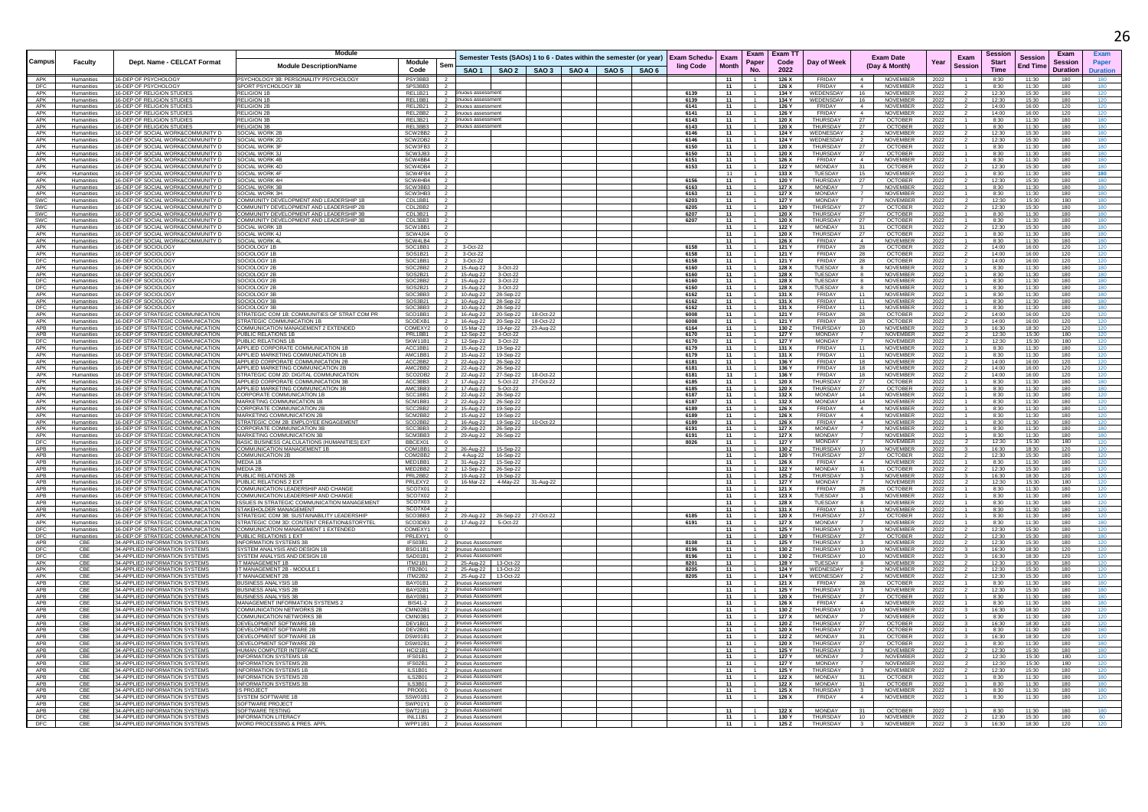|            |                          |                                                                        | Module                                                                                   |                                                        |                                                                                      |  |  |              |              |                |                        |                                  |                                                                    |              |                |                         |                 |                        |                 |
|------------|--------------------------|------------------------------------------------------------------------|------------------------------------------------------------------------------------------|--------------------------------------------------------|--------------------------------------------------------------------------------------|--|--|--------------|--------------|----------------|------------------------|----------------------------------|--------------------------------------------------------------------|--------------|----------------|-------------------------|-----------------|------------------------|-----------------|
| Campus     | Faculty                  | Dept. Name - CELCAT Format                                             |                                                                                          | Module                                                 | Semester Tests (SAOs) 1 to 6 - Dates within the semester (or year) Exam Schedu- Exam |  |  |              |              | Paper          | Exam   Exam TT<br>Code |                                  | <b>Exam Date</b>                                                   | Year         | Exam           | Sessior<br><b>Start</b> | <b>Session</b>  | Exam<br><b>Session</b> | Pape            |
|            |                          |                                                                        | <b>Module Description/Name</b>                                                           |                                                        |                                                                                      |  |  | ling Code    | <b>Month</b> |                |                        | Day of Week                      | (Day & Month)                                                      |              | <b>Session</b> |                         | <b>End Time</b> |                        |                 |
|            |                          |                                                                        |                                                                                          | Code                                                   | SAO 1   SAO 2   SAO 3   SAO 4   SAO 5   SAO 6                                        |  |  |              |              | No.            | 2022                   |                                  |                                                                    |              |                | <b>Time</b>             |                 | <b>Duration</b>        | <b>Duration</b> |
| APK        | Humanities               | 16-DEP OF PSYCHOLOGY                                                   | PSYCHOLOGY 3B: PERSONALITY PSYCHOLOGY                                                    | PSY3BB3                                                |                                                                                      |  |  |              | 11           |                | 126 X                  | FRIDAY                           | NOVEMBER                                                           | 2022         |                | 8:30                    | 11:30           | 180                    |                 |
| DFC<br>APK | Humanities<br>Humanities | 16-DEP OF PSYCHOLOGY<br>16-DEP OF RELIGION STUDIE                      | SPORT PSYCHOLOGY 3B<br><b>RELIGION 1B</b>                                                | SPS3BB3<br>REL1B21                                     | uous assessme                                                                        |  |  | 6139         | 11<br>11     |                | 126 X<br>134 Y         | FRIDAY<br>WEDENSDAY              | <b>NOVEMBER</b><br>16<br><b>NOVEMBER</b>                           | 2022<br>2022 |                | 8:30<br>12:30           | 11:30<br>15:30  | 180<br>180             | 120             |
| APK        | Humanities               | 16-DEP OF RELIGION STUDIES                                             | <b>RELIGION 1E</b>                                                                       | REL1BB1                                                | inuous assessmen                                                                     |  |  | 6139         | 11           |                | 134 Y                  | WEDENSDAY                        | 16<br>NOVEMBER                                                     | 2022         |                | 12:30                   | 15:30           | 180                    |                 |
| APK        | Humanities               | 16-DEP OF RELIGION STUDIE:                                             | RELIGION 2                                                                               | REL2B21<br>$\overline{2}$                              | inuous assessmen                                                                     |  |  | 6141         | 11           |                | 126 Y                  | FRIDAY                           | 4<br>NOVEMBER                                                      | 2022         |                | 14:00                   | 16:00           | 120                    | 120             |
| APK        | Humanities               | 16-DEP OF RELIGION STUDIE:                                             | <b>RELIGION 2E</b>                                                                       | REL2BB2<br>$\overline{2}$                              | inuous assessmen                                                                     |  |  | 6141         | 11           |                | 126 Y                  | <b>FRIDAY</b>                    | 4<br>NOVEMBER                                                      | 2022         |                | 14:00                   | 16:00           | 120                    |                 |
| APK        | Humanities               | 16-DEP OF RELIGION STUDIES                                             | <b>RELIGION 3E</b>                                                                       | REL3B21<br>$\overline{2}$                              | tinuous assessmen                                                                    |  |  | 6143         | 11           |                | 120 X                  | THURSDAY                         | 27<br>OCTOBER                                                      | 2022         |                | 8:30                    | 11:30           | 180                    |                 |
| APK        | Humanities               | 16-DEP OF RELIGION STUDIE:                                             | RELIGION 3                                                                               | REL3BB3                                                | inuous assessm                                                                       |  |  | 6143         | 11           |                | 120 X                  | THURSDAY                         | 27<br><b>OCTOBER</b>                                               | 2022         |                | 8:30                    | 11:30           | 180                    |                 |
| APK        | Humanities               | 16-DEP OF SOCIAL WORK&COMMUNITY I                                      | SOCIAL WORK 2                                                                            | SCW2BB2                                                |                                                                                      |  |  | 6146         | 11           |                | 124 Y                  | WEDNESDAY                        | <b>NOVEMBER</b><br>$\overline{2}$                                  | 2022         |                | 12:30                   | 15:30           | 180                    |                 |
| APK<br>APK | Humanities               | 16-DEP OF SOCIAL WORK&COMMUNITY D                                      | SOCIAL WORK 2D                                                                           | SCW2DB2<br>$\overline{2}$                              |                                                                                      |  |  | 6146         | 11<br>11     | $\overline{1}$ | 124 Y                  | WEDNESDAY<br>THURSDAY            | NOVEMBER<br>2<br>27                                                | 2022         |                | 12:30                   | 15:30<br>11:30  | 180<br>180             | 180             |
| APK        | Humanities<br>Humanities | 16-DEP OF SOCIAL WORK&COMMUNITY D<br>16-DEP OF SOCIAL WORK&COMMUNITY D | <b>SOCIAL WORK 3F</b><br><b>SOCIAL WORK 3.</b>                                           | SCW3FB3<br>SCW3JB3                                     |                                                                                      |  |  | 6150<br>6150 | 11           |                | 120 X<br>120 X         | THURSDAY                         | OCTOBER<br>27<br><b>OCTOBER</b>                                    | 2022         |                | 8:30<br>8:30            | 11:30           | 180                    | 180             |
| APK        | Humanities               | 16-DEP OF SOCIAL WORK&COMMUNITY D                                      | SOCIAL WORK 4B                                                                           | SCW4BB4                                                |                                                                                      |  |  | 6151         | 11           |                | 126 X                  | FRIDAY                           | $\sim$<br><b>NOVEMBER</b>                                          | 2022<br>2022 |                | 8:30                    | 11:30           | 180                    | 180             |
| APK        | Humanities               | 16-DEP OF SOCIAL WORK&COMMUNITY D                                      | SOCIAL WORK 4D                                                                           | SCW4DB4                                                |                                                                                      |  |  | 6153         | 11           |                | 122 Y                  | <b>MONDAY</b>                    | 31<br><b>OCTOBER</b>                                               | 2022         |                | 12:30                   | 15:30           | 180                    | 180             |
| APK        | Humanities               | 16-DEP OF SOCIAL WORK&COMMUNITY D                                      | SOCIAL WORK 4F                                                                           | SCW4FB4                                                |                                                                                      |  |  |              | 11           |                | 133 X                  | TUESDAY                          | 15<br>NOVEMBER                                                     | 2022         |                | 8:30                    | 11:30           | 180                    | 180             |
| APK        | Humanities               | 16-DEP OF SOCIAL WORK&COMMUNITY D                                      | SOCIAL WORK 4H                                                                           | SCW4HB4                                                |                                                                                      |  |  | 6156         | 11           |                | 120 Y                  | THURSDAY                         | 27<br><b>OCTOBER</b>                                               | 2022         |                | 12:30                   | 15:30           | 180                    | 180             |
| APK        | Humanities               | 16-DEP OF SOCIAL WORK&COMMUNITY D                                      | SOCIAL WORK 3B                                                                           | SCW3BB3                                                |                                                                                      |  |  | 6163         | 11           |                | 127 X                  | <b>MONDAY</b>                    | <b>NOVEMBER</b>                                                    | 2022         |                | 8:30                    | 11:30           | 180                    | 180             |
| APK        | Humanities               | 16-DEP OF SOCIAL WORK&COMMUNITY D                                      | SOCIAL WORK 3H                                                                           | SCW3HB3<br>2                                           |                                                                                      |  |  | 6163         | 11           |                | 127 X                  | <b>MONDAY</b>                    | 7<br><b>NOVEMBER</b>                                               | 2022         |                | 8:30                    | 11:30           | 180                    | 180             |
| SWC        | Humanities               | 16-DEP OF SOCIAL WORK&COMMUNITY D                                      | OMMUNITY DEVELOPMENT AND LEADERSHIP 1B                                                   | CDL1BB1                                                |                                                                                      |  |  | 6203         | 11           |                | 127 Y                  | <b>MONDAY</b><br><b>THURSDAY</b> | <b>NOVEMBER</b>                                                    | 2022         |                | 12:30                   | 15:30           | 180                    | 180             |
| SWC        | Humanities               | 16-DEP OF SOCIAL WORK&COMMUNITY D                                      | OMMUNITY DEVELOPMENT AND LEADERSHIP 2B<br>COMMUNITY DEVELOPMENT AND LEADERSHIP 3B        | CDL2BB2<br>$\overline{2}$                              |                                                                                      |  |  | 6205<br>6207 | 11           |                | 120 Y                  | THURSDAY                         | 27<br><b>OCTOBER</b>                                               | 2022         |                | 12:30                   | 15:30           | 180                    |                 |
| SWC<br>SWC | Humanities<br>Humanities | 16-DEP OF SOCIAL WORK&COMMUNITY D<br>16-DEP OF SOCIAL WORK&COMMUNITY D | OMMUNITY DEVELOPMENT AND LEADERSHIP 3B                                                   | CDL3B21<br>CDL3BB3                                     |                                                                                      |  |  | 6207         | 11<br>11     |                | 120 X<br>120 X         | THURSDAY                         | 27<br><b>OCTOBER</b><br>27<br>OCTOBER                              | 2022<br>2022 |                | 8:30<br>8:30            | 11:30<br>11:30  | 180<br>180             |                 |
| APK        | Humanities               | 16-DEP OF SOCIAL WORK&COMMUNITY D                                      | SOCIAL WORK 1B                                                                           | SCW1BB1                                                |                                                                                      |  |  |              | 11           |                | 122 Y                  | <b>MONDAY</b>                    | 31<br><b>OCTOBER</b>                                               | 2022         |                | 12:30                   | 15:30           | 180                    |                 |
| APK        | Humanities               | 16-DEP OF SOCIAL WORK&COMMUNITY D                                      | SOCIAL WORK 4J                                                                           | SCW4J04                                                |                                                                                      |  |  |              | 11           |                | 120 X                  | THURSDAY                         | 27<br>OCTOBER                                                      | 2022         |                | 8:30                    | 11:30           | 180                    |                 |
| APK        | Humanities               | 16-DEP OF SOCIAL WORK&COMMUNITY D                                      | SOCIAL WORK 4                                                                            | SCW4LB4                                                |                                                                                      |  |  |              | 11           |                | 126 X                  | FRIDAY                           | <b>NOVEMBER</b><br>$\overline{4}$                                  | 2022         |                | 8:30                    | 11:30           | 180                    |                 |
| APK        | Humanities               | 16-DEP OF SOCIOLOGY                                                    | SOCIOLOGY 1E                                                                             | SOC1BB1                                                | 3-Oct-22                                                                             |  |  | 6158         | 11           |                | 121 Y                  | <b>FRIDAY</b>                    | 28<br>OCTOBER                                                      | 2022         |                | 14:00                   | 16:00           | 120                    |                 |
| APK        | Humanities               | 16-DEP OF SOCIOLOG'                                                    | OCIOLOGY 1E                                                                              | SOS1B21                                                | 3-Oct-22                                                                             |  |  | 6158         | 11           |                | 121 Y                  | FRIDAY                           | 28<br>OCTOBER                                                      | 2022         |                | 14:00                   | 16:00           | 120                    |                 |
| DFC        | Humanities               | 16-DEP OF SOCIOLOG'                                                    | SOCIOLOGY 1E                                                                             | SOC1BB1                                                | 3-Oct-22                                                                             |  |  | 6158         | 11           |                | 121 Y                  | FRIDAY                           | <b>OCTOBER</b><br>28                                               | 2022         |                | 14:00                   | 16:00           | 120                    |                 |
| APK        | Humanities               | 16-DEP OF SOCIOLOGY                                                    | SOCIOLOGY 2E                                                                             | SOC2BB2                                                | 15-Aug-22<br>3-Oct-22                                                                |  |  | 6160         | 11           |                | 128 X                  | TUESDAY                          | NOVEMBER<br>8                                                      | 2022         |                | 8:30                    | 11:30           | 180                    |                 |
| APK<br>DFC | Humanities<br>Humanities | 16-DEP OF SOCIOLOGY<br>16-DEP OF SOCIOLOGY                             | SOCIOLOGY 2E<br>SOCIOLOGY 2E                                                             | SOS2B21<br>SOC2BB2                                     | 15-Aug-22<br>3-Oct-22<br>15-Aug-22<br>3-Oct-22                                       |  |  | 6160<br>6160 | 11<br>11     |                | 128 X<br>128 X         | TUESDAY<br>TUESDAY               | <b>NOVEMBER</b><br>8<br><b>NOVEMBER</b>                            | 2022         |                | 8:30<br>8:30            | 11:30<br>11:30  | 180<br>180             |                 |
| DFC        | Humanities               | 16-DEP OF SOCIOLOGY                                                    | OCIOLOGY 2E                                                                              | SOS2B21                                                | 15-Aug-22<br>3-Oct-22                                                                |  |  | 6160         | 11           |                | 128 X                  | TUESDAY                          | NOVEMBER<br>8                                                      | 2022<br>2022 |                | 8:30                    | 11:30           | 180                    | 180             |
| APK        | Humanities               | 16-DEP OF SOCIOLOGY                                                    | OCIOLOGY 3E                                                                              | SOC3BB3                                                | 10-Aug-22<br>28-Sep-22                                                               |  |  | 6162         | 11           |                | 131 X                  | <b>FRIDAY</b>                    | NOVEMBER<br>11                                                     | 2022         |                | 8:30                    | 11:30           | 180                    |                 |
| APK        | Humanities               | 16-DEP OF SOCIOLOGY                                                    | SOCIOLOGY 3E                                                                             | SOS3B21                                                | 10-Aug-22<br>28-Sep-22                                                               |  |  | 6162         | 11           |                | 131 X                  | <b>FRIDAY</b>                    | 11<br><b>NOVEMBER</b>                                              | $-2022$      |                | 8:30                    | 11:30           | 180                    | 180             |
| DFC        | Humanities               | 16-DEP OF SOCIOLOGY                                                    | SOCIOLOGY 3E                                                                             | SOC3BB3<br>$\overline{2}$                              | 10-Aug-22<br>28-Sep-22                                                               |  |  | 6162         | 11           |                | 131 X                  | <b>FRIDAY</b>                    | 11<br><b>NOVEMBER</b>                                              | 2022         |                | 8:30                    | 11:30           | 180                    |                 |
| APK        | Humanities               | 16-DEP OF STRATEGIC COMMUNICATION                                      | TRATEGIC COM 1B: COMMUNITIES OF STRAT COM PR                                             | SCO1BB1                                                | 16-Aug-22 20-Sep-22 18-Oct-22                                                        |  |  | 6008         | 11           |                | 121 Y                  | <b>FRIDAY</b>                    | 28<br>OCTOBER                                                      | 2022         |                | 14:00                   | 16:00           | 120                    | 120             |
| APK        | Humanities               | 16-DEP OF STRATEGIC COMMUNICATION                                      | STRATEGIC COMMUNICATION 1B                                                               | SCOEXB1<br>$\overline{2}$                              | 16-Aug-22 20-Sep-22 18-Oct-22                                                        |  |  | 6008         | 11           |                | 121 Y                  | FRIDAY                           | 28<br><b>OCTOBER</b>                                               | 2022         |                | 14:00                   | 16:00           | 120                    | 120             |
| APB        | Humanities               | 16-DEP OF STRATEGIC COMMUNICATION                                      | COMMUNICATION MANAGEMENT 2 EXTENDED                                                      | COMEXY2<br>$\Omega$                                    | 15-Mar-22  19-Apr-22  23-Aug-22                                                      |  |  | 6164         | 11           |                | 130 Z                  | <b>THURSDAY</b>                  | 10<br><b>NOVEMBER</b>                                              | 2022         |                | 16:30                   | 18:30           | 120<br>180             | 120             |
| APB        | Humanities               | 16-DEP OF STRATEGIC COMMUNICATION<br>16-DEP OF STRATEGIC COMMUNICATION | PUBLIC RELATIONS 1B                                                                      | PRI 1BB1<br>$\overline{2}$                             | 12-Sep-22<br>3-Oct-22                                                                |  |  | 6170         | 11           |                | 127 Y                  | MONDAY<br><b>MONDAY</b>          | 7<br>NOVEMBER<br><b>NOVEMBER</b><br>$\overline{7}$                 | 2022         |                | 12:30<br>12:30          | 15:30<br>15:30  | 180                    | 120             |
| DFC<br>APK | Humanities<br>Humanities | 16-DEP OF STRATEGIC COMMUNICATION                                      | PUBLIC RELATIONS 1E<br>APPLIED CORPORATE COMMUNICATION 1B                                | SKW11B1<br>ACC1BB1<br>$\overline{2}$                   | 12-Sep-22<br>3-Oct-22<br>15-Aug-22<br>19-Sep-22                                      |  |  | 6170<br>6179 | 11<br>11     |                | 127 Y<br>131 X         | FRIDAY                           | <b>NOVEMBER</b><br>11                                              | 2022<br>2022 |                | 8:30                    | 11:30           | 180                    | 120<br>120      |
| APK        | Humanities               | 16-DEP OF STRATEGIC COMMUNICATION                                      | APPLIED MARKETING COMMUNICATION 1B                                                       | AMC1BB1<br>$\overline{2}$                              | 15-Aug-22 19-Sep-22                                                                  |  |  | 6179         | - 11         |                | 131 X                  | FRIDAY                           | 11<br>NOVEMBER                                                     | 2022         |                | 8:30                    | 11:30           | 180                    | 120             |
| APK        | Humanities               | 16-DEP OF STRATEGIC COMMUNICATION                                      | APPLIED CORPORATE COMMUNICATION 2B                                                       | ACC2BB2<br>$\overline{2}$                              | 22-Aug-22<br>26-Sep-22                                                               |  |  | 6181         | 11           |                | 136 Y                  | <b>FRIDAY</b>                    | 18<br><b>NOVEMBER</b>                                              | 2022         |                | 14:00                   | 16:00           | 120                    | 120             |
| APK        | Humanities               | 16-DEP OF STRATEGIC COMMUNICATION                                      | APPLIED MARKETING COMMUNICATION 2                                                        | AMC2BB2                                                | 22-Aug-22<br>26-Sep-22                                                               |  |  | 6181         | 11           |                | 136 Y                  | FRIDAY                           | 18<br><b>NOVEMBER</b>                                              | 2022         |                | 14:00                   | 16:00           | 120                    |                 |
| APK        | Humanities               | 16-DEP OF STRATEGIC COMMUNICATION                                      | STRATEGIC COM 2D: DIGITAL COMMUNICATION                                                  | SCO2DB2<br>$\overline{2}$                              | 27-Sep-22 18-Oct-22<br>22-Aug-22                                                     |  |  | 6181         | 11           |                | 136 Y                  | <b>FRIDA</b>                     | 18<br><b>NOVEMBER</b>                                              | 2022         |                | 14:00                   | 16:00           | 120                    |                 |
| APK        | Humanities               | 16-DEP OF STRATEGIC COMMUNICATION                                      | APPLIED CORPORATE COMMUNICATION 3B                                                       | ACC3BB3                                                | 17-Aug-22<br>5-Oct-22 27-Oct-22                                                      |  |  | 6185         | 11           |                | 120 X                  | <b>THURSDAY</b>                  | 27<br><b>OCTOBER</b>                                               | 2022         |                | 8:30                    | 11:30           | 180                    |                 |
| APK        | Humanities               | 16-DEP OF STRATEGIC COMMUNICATION                                      | APPLIED MARKETING COMMUNICATION 3B                                                       | AMC3BB3                                                | 17-Aug-22<br>5-Oct-22                                                                |  |  | 6185         | 11           |                | 120 X                  | THURSDAY                         | 27<br><b>OCTOBER</b>                                               | 2022         |                | 8:30                    | 11:30           | 180                    |                 |
| APK<br>APK | Humanities               | 16-DEP OF STRATEGIC COMMUNICATION                                      | ORPORATE COMMUNICATION 1B                                                                | SCC1BB1                                                | 22-Aug-22<br>26-Sep-22                                                               |  |  | 6187         | 11           |                | 132 X                  | <b>MONDAY</b>                    | 14<br><b>NOVEMBER</b>                                              | 2022         |                | 8:30                    | 11:30           | 180                    |                 |
| APK        | Humanities<br>Humanities | 16-DEP OF STRATEGIC COMMUNICATION<br>16-DEP OF STRATEGIC COMMUNICATION | <b>MARKETING COMMUNICATION 1E</b><br>CORPORATE COMMUNICATION 2B                          | SCM1BB1<br>SCC2BB2<br>$\overline{2}$                   | 26-Sep-22<br>22-Aug-22<br>15-Aug-22  19-Sep-22                                       |  |  | 6187<br>6189 | 11<br>11     |                | 132 X<br>126 X         | MONDAY<br>FRIDAY                 | 14<br><b>NOVEMBER</b><br>4<br><b>NOVEMBER</b>                      | 2022<br>2022 |                | 8:30<br>8:30            | 11:30<br>11:30  | 180<br>180             | 120             |
| APK        | Humanities               | 16-DEP OF STRATEGIC COMMUNICATION                                      | MARKETING COMMUNICATION 2E                                                               | SCM2BB2                                                | 15-Aug-22<br>19-Sep-22                                                               |  |  | 6189         | 11           |                | 126 X                  | <b>FRIDAY</b>                    | <b>NOVEMBER</b><br>4                                               | 2022         |                | 8:30                    | 11:30           | 180                    |                 |
| APK        | Humanities               | 16-DEP OF STRATEGIC COMMUNICATION                                      | STRATEGIC COM 2B: EMPLOYEE ENGAGEMENT                                                    | SCO2BB2                                                | 16-Aug-22<br>19-Sep-22                                                               |  |  | 6189         | 11           |                | 126 X                  | FRIDAY                           | $\overline{4}$<br>NOVEMBER                                         | 2022         |                | 8:30                    | 11:30           | 180                    |                 |
| APK        | Humanities               | 16-DEP OF STRATEGIC COMMUNICATION                                      | CORPORATE COMMUNICATION 3B                                                               | SCC3BB3                                                | 29-Aug-22<br>26-Sep-22                                                               |  |  | 6191         | 11           |                | 127 X                  | MONDAY                           | 7<br><b>NOVEMBER</b>                                               | 2022         |                | 8:30                    | 11:30           | 180                    | 180             |
| APK        | Humanities               | 16-DEP OF STRATEGIC COMMUNICATION                                      | MARKETING COMMUNICATION 3B                                                               | SCM3BB3<br>$\overline{2}$                              | 29-Aug-22<br>26-Sep-22                                                               |  |  | 6191         | 11           |                | 127 X                  | <b>MONDAY</b>                    | 7<br>NOVEMBER                                                      | 2022         |                | 8:30                    | 11:30           | 180                    |                 |
| DFC        | Humanities               | 16-DEP OF STRATEGIC COMMUNICATION                                      | BASIC BUSINESS CALCULATIONS (HUMANITIES) EXT                                             | BBCEX01<br>$\Omega$                                    |                                                                                      |  |  | 8026         | $-11$        |                | 127Y                   | MONDAY                           | 7<br><b>NOVEMBER</b>                                               | 2022         |                | 12:30                   | 15:30           | 180                    | 120             |
| APB        | Humanities               | 16-DEP OF STRATEGIC COMMUNICATION                                      | OMMUNICATION MANAGEMENT 1B                                                               | COM1BB1<br>$\overline{2}$                              | 26-Aug-22<br>15-Sep-22                                                               |  |  |              | 11           |                | 130 Z                  | <b>THURSDAY</b>                  | 10<br><b>NOVEMBER</b>                                              | 2022         |                | 16:30                   | 18:30           | 120                    |                 |
| APB<br>APB | Humanities               | 16-DEP OF STRATEGIC COMMUNICATION                                      | OMMUNICATION 2B<br>MEDIA 1B                                                              | COM2BB2<br>MED1BB1<br>$\overline{2}$                   | 4-Aug-22<br>16-Sep-22                                                                |  |  |              | 11<br>11     |                | 120 Y                  | THURSDAY<br><b>FRIDAY</b>        | 27<br><b>OCTOBER</b><br>$\sim$                                     | 2022         |                | 12:30                   | 15:30<br>11:30  | 180<br>180             | 120             |
| APB        | Humanities<br>Humanities | 16-DEP OF STRATEGIC COMMUNICATION<br>16-DEP OF STRATEGIC COMMUNICATION | MEDIA 2B                                                                                 | MED2BB2<br>$\overline{2}$                              | 31-Aug-22<br>15-Sep-22                                                               |  |  |              | 11           |                | 126 X<br>122 Y         | <b>MONDAY</b>                    | <b>NOVEMBER</b><br>31<br><b>OCTOBER</b>                            | 2022         |                | 8:30<br>12:30           | 15:30           | 180                    | 120             |
| APB        | Humanities               | 16-DEP OF STRATEGIC COMMUNICATION                                      | PUBLIC RELATIONS 2E                                                                      | PRL2BB2<br>$\overline{2}$                              | 12-Sep-22 26-Sep-22<br>19-Aug-22  19-Sep-22                                          |  |  |              | 11           |                | 125 Z                  | THURSDAY                         | $3^{\circ}$<br><b>NOVEMBER</b>                                     | 2022<br>2022 |                | 16:30                   | 18:30           | 120                    | 120             |
| <b>APB</b> | Humanities               | 16-DEP OF STRATEGIC COMMUNICATION                                      | PUBLIC RELATIONS 2 EXT                                                                   | PRLEXY2<br>$\Omega$                                    | 16-Mar-22 4-May-22 31-Aug-22                                                         |  |  |              | 11           |                | 127 Y                  | <b>MONDAY</b>                    | NOVEMBER<br>$\overline{7}$                                         | 2022         |                | 12:30                   | 15:30           | 180                    | 120             |
| APB        | Humanities               | 16-DEP OF STRATEGIC COMMUNICATION                                      | COMMUNICATION LEADERSHIP AND CHANGI                                                      | SCO7X01<br>$\overline{2}$                              |                                                                                      |  |  |              | 11           |                | 121 X                  | FRIDAY                           | 28<br><b>OCTOBER</b>                                               | 2022         |                | 8:30                    | 11:30           | 180                    | 120             |
| APB        | Humanities               | 16-DEP OF STRATEGIC COMMUNICATION                                      | OMMUNICATION LEADERSHIP AND CHANGE:                                                      | SCO7X02                                                |                                                                                      |  |  |              | 11           |                | 123 X                  | TUESDAY                          | $\overline{1}$<br>NOVEMBER                                         | 2022         |                | 8:30                    | 11:30           | 180                    | 120             |
| APB        | Humanities               | 16-DEP OF STRATEGIC COMMUNICATION                                      | SSUES IN STRATEGIC COMMUNICATION MANAGEMENT                                              | SCO7X03                                                |                                                                                      |  |  |              | 11           |                | 128 X                  | TUESDAY                          | <b>NOVEMBER</b><br>8                                               | 2022         |                | 8:30                    | 11:30           | 180                    | 120             |
| APB        | Humanities               | 16-DEP OF STRATEGIC COMMUNICATION                                      | STAKEHOLDER MANAGEMENT                                                                   | SCO7X04                                                |                                                                                      |  |  |              | - 11         |                | 131 X                  | FRIDAY                           | 11<br><b>NOVEMBER</b>                                              | 2022         |                | 8:30                    | 11:30           | 180                    | 120             |
| APK<br>APK | Humanities               | 16-DEP OF STRATEGIC COMMUNICATION<br>16-DEP OF STRATEGIC COMMUNICATION | STRATEGIC COM 3B: SUSTAINABILITY LEADERSHI<br>TRATEGIC COM 3D: CONTENT CREATION&STORYTEL | SCO3BB3<br>$\overline{2}$<br>SCO3DB3<br>$\overline{2}$ | 29-Aug-22 26-Sep-22 27-Oct-22                                                        |  |  | 6185<br>6191 | 11<br>11     |                | 120 X<br>127 X         | THURSDAY<br><b>MONDAY</b>        | 27<br><b>OCTOBER</b><br><b>NOVEMBER</b>                            | 2022<br>2022 |                | 8:30<br>8:30            | 11:30<br>11:30  | 180<br>180             | 120             |
| DFC        | Humanities<br>Humanities | 16-DEP OF STRATEGIC COMMUNICATION                                      | COMMUNICATION MANAGEMENT 1 EXTENDED                                                      | COMEXY1                                                | 17-Aug-22   5-Oct-22                                                                 |  |  |              | 11           |                | 125 Y                  | THURSDAY                         | NOVEMBER<br>$\overline{\mathbf{3}}$                                | 2022         |                | 12:30                   | 15:30           | 180                    |                 |
| DFC        | Humanities               | 16-DEP OF STRATEGIC COMMUNICATION                                      | PUBLIC RELATIONS 1 EXT                                                                   | PRLEXY1                                                |                                                                                      |  |  |              | 11           |                | 120 Y                  | THURSDAY                         | 27<br><b>OCTOBER</b>                                               | 2022         |                | 12:30                   | 15:30           | 180                    | 180             |
| APB        | CBE                      | 34-APPLIED INFORMATION SYSTEMS                                         | NFORMATION SYSTEMS 3B                                                                    | IFS03B1                                                | nuous Assessmer                                                                      |  |  | 8108         | 11           |                | 125 Y                  | THURSDAY                         | NOVEMBER<br>$\overline{\mathbf{3}}$                                | 2022         |                | 12:30                   | 15:30           | 180                    | 120             |
| DFC        | CB                       | 34-APPLIED INFORMATION SYSTEMS                                         | SYSTEM ANALYSIS AND DESIGN 1B                                                            | <b>BSO11B1</b>                                         | inuous Assessmen                                                                     |  |  | 8196         | 11           |                | 130 Z                  | THURSDAY                         | 10<br>NOVEMBER                                                     | 2022         |                | 16:30                   | 18:30           | 120                    | 120             |
| DFC        | CB                       | 34-APPLIED INFORMATION SYSTEMS                                         | YSTEM ANALYSIS AND DESIGN 1B                                                             | SAD01B1                                                | inuous Assessmen                                                                     |  |  | 8196         | 11           |                | 130Z                   | THURSDAY                         | 10<br>NOVEMBER                                                     | 2022         |                | 16:30                   | 18:30           | 120                    |                 |
| APK        | CB                       | 34-APPLIED INFORMATION SYSTEMS                                         | MANAGEMENT 1B                                                                            | <b>ITM21B1</b><br>$\overline{2}$                       | 25-Aug-22 13-Oct-22                                                                  |  |  | 8201         | 11           |                | 128 Y                  | TUESDAY                          | <b>NOVEMBER</b><br>8                                               | 2022         |                | 12:30                   | 15:30           | 180                    | 120             |
| APK<br>APK | CBE<br>CBE               | 34-APPLIED INFORMATION SYSTEMS<br>34-APPLIED INFORMATION SYSTEMS       | T MANAGEMENT 2B - MODULE 1<br>T MANAGEMENT 2B                                            | TTB2B01<br><b>ITM22B2</b><br>$\overline{2}$            | 25-Aug-22 13-Oct-22                                                                  |  |  | 8205         | $-11$<br>11  |                | 124 Y                  | WEDNESDAY<br>WEDNESDAY           | <b>NOVEMBER</b><br>NOVEMBER                                        | 2022         |                | 12:30                   | 15:30<br>15:30  | 180<br>180             | 120<br>120      |
|            |                          |                                                                        |                                                                                          |                                                        | 25-Aug-22 13-Oct-22                                                                  |  |  | 8205         |              |                | 124 Y                  |                                  |                                                                    | 2022         |                | 12:30                   |                 |                        |                 |
| APB<br>APB | CBE<br>CBE               | 34-APPLIED INFORMATION SYSTEMS<br>34-APPLIED INFORMATION SYSTEMS       | <b>BUSINESS ANALYSIS 1I</b><br>BUSINESS ANALYSIS 2B                                      | BAY01B1<br>BAY02B1<br>$\overline{2}$                   | inuous Assessmer<br>inuous Assessment                                                |  |  |              | 11<br>11     |                | 121 X<br>125 Y         | FRIDAY<br>THURSDAY               | <b>OCTOBER</b><br>NOVEMBER                                         | 2022<br>2022 |                | 8:30<br>12:30           | 11:30<br>15:30  | 180<br>180             | 180             |
| APB        | CBE                      | 34-APPLIED INFORMATION SYSTEMS                                         | <b>BUSINESS ANALYSIS 3P</b>                                                              | BAY03B1<br>$\overline{2}$                              | inuous Assessment                                                                    |  |  |              | 11           |                | 120 X                  | THURSDAY                         | <b>OCTOBER</b><br>27                                               | 2022         |                | 8:30                    | 11:30           | 180                    | 180             |
| APB        | CBE                      | 34-APPLIED INFORMATION SYSTEMS                                         | MANAGEMENT INFORMATION SYSTEMS 2                                                         | <b>BIS41-2</b><br>$\overline{2}$                       | inuous Assessm                                                                       |  |  |              | 11           |                | 126 X                  | <b>FRIDAY</b>                    | $\sim$<br><b>NOVEMBER</b>                                          | 2022         |                | 8:30                    | 11:30           | 180                    | 180             |
| APB        | CB                       | 34-APPLIED INFORMATION SYSTEMS                                         | OMMUNICATION NETWORKS 2E                                                                 | CMN02B1                                                | inuous Assessment                                                                    |  |  |              | 11           |                | 130 Z                  | <b>THURSDAY</b>                  | 10<br><b>NOVEMBER</b>                                              | 2022         |                | 16:30                   | 18:30           | 120                    | 120             |
| APB        | CBE                      | 34-APPLIED INFORMATION SYSTEMS                                         | COMMUNICATION NETWORKS 3F                                                                | CMN03B1<br>$\overline{2}$                              | inuous Assessmen                                                                     |  |  |              | 11           |                | 127 X                  | <b>MONDAY</b>                    | 7<br>NOVEMBER                                                      | 2022         |                | 8:30                    | 11:30           | 180                    | 120             |
| APB        | CBE                      | 34-APPLIED INFORMATION SYSTEMS                                         | DEVELOPMENT SOFTWARE 1B                                                                  | DEV1B01<br>$\overline{2}$                              | inuous Assessment                                                                    |  |  |              | 11           |                | 120 Z                  | THURSDAY                         | 27<br><b>OCTOBER</b>                                               | 2022         |                | 16:30                   | 18:30           | 120                    | 120             |
| APB        | CBE                      | 34-APPLIED INFORMATION SYSTEMS                                         | DEVELOPMENT SOFTWARE 2B                                                                  | DEV2B01<br>$\overline{2}$                              | inuous Assessment                                                                    |  |  |              | 11           |                | 120 X                  | THURSDAY                         | 27<br><b>OCTOBER</b>                                               | 2022         |                | 8:30                    | 11:30           | 180                    | 180             |
| APB<br>APB | CBE<br>CBE               | 34-APPLIED INFORMATION SYSTEMS<br>34-APPLIED INFORMATION SYSTEMS       | DEVELOPMENT SOFTWARE 1B<br>DEVELOPMENT SOFTWARE 2B                                       | DSW01B1<br>$\overline{2}$<br>DSW02B1                   | inuous Assessment<br>inuous Assessment                                               |  |  |              | 11<br>11     |                | 122 Z                  | MONDAY<br>THURSDAY               | <b>OCTOBER</b><br>31                                               | 2022         |                | 16:30                   | 18:30<br>11:30  | 120<br>180             | 120<br>180      |
| APB        | CBE                      | 34-APPLIED INFORMATION SYSTEMS                                         | HUMAN COMPUTER INTERFACE                                                                 | $\overline{2}$<br><b>HCI21B1</b><br>$\overline{2}$     | inuous Assessment                                                                    |  |  |              | 11           |                | 120 X<br>125 Y         | THURSDAY                         | 27<br><b>OCTOBER</b><br><b>NOVEMBER</b><br>$\overline{\mathbf{3}}$ | 2022<br>2022 |                | 8:30<br>12:30           | 15:30           | 180                    | 180             |
| APB        | CBE                      | 34-APPLIED INFORMATION SYSTEMS                                         | <b>INFORMATION SYSTEMS 1B</b>                                                            | IFS01B1<br>$\overline{2}$                              | inuous Assessmer                                                                     |  |  |              | - 11         |                | 127 Y                  | <b>MONDAY</b>                    | <b>NOVEMBE</b>                                                     | 2022         |                | 12:30                   | 15:30           | 180                    | 120             |
| APB        | CB                       | 34-APPLIED INFORMATION SYSTEMS                                         | <b>INFORMATION SYSTEMS 2B</b>                                                            | IFS02B1<br>$\overline{2}$                              | inuous Assessmer                                                                     |  |  |              | 11           |                | 127 Y                  | MONDAY                           | NOVEMBER                                                           | 2022         |                | 12:30                   | 15:30           | 180                    | 120             |
| APB        | CBE                      | 34-APPLIED INFORMATION SYSTEMS                                         | <b>INFORMATION SYSTEMS 1B</b>                                                            | ILS1B01<br>$\overline{2}$                              | inuous Assessment                                                                    |  |  |              | 11           |                | 125 Y                  | THURSDAY                         | <b>NOVEMBER</b><br>$\overline{\mathbf{3}}$                         | 2022         |                | 12:30                   | 15:30           | 180                    | 120             |
| APB        | CBE                      | 34-APPLIED INFORMATION SYSTEMS                                         | <b>INFORMATION SYSTEMS 2B</b>                                                            | ILS2B01<br>$\overline{2}$                              | inuous Assessmen                                                                     |  |  |              | 11           |                | 122 X                  | <b>MONDAY</b>                    | 31<br><b>OCTOBER</b>                                               | 2022         |                | 8:30                    | 11:30           | 180                    | 180             |
| APB        | CBE                      | 34-APPLIED INFORMATION SYSTEMS                                         | <b>INFORMATION SYSTEMS 3E</b>                                                            | ILS3B01<br>$\overline{2}$                              | inuous Assessmen                                                                     |  |  |              | 11           |                | 122 X                  | MONDAY                           | 31<br><b>OCTOBER</b>                                               | 2022         |                | 8:30                    | 11:30           | 180                    |                 |
| APB        | CBE                      | 34-APPLIED INFORMATION SYSTEMS                                         | <b>IS PROJECT</b>                                                                        | <b>PRO001</b><br>$\overline{0}$                        | inuous Assessment                                                                    |  |  |              | 11           |                | 125 X                  | <b>THURSDAY</b>                  | NOVEMBER<br>$\mathbf{3}$                                           | 2022         |                | 8:30                    | 11:30           | 180                    |                 |
| APB<br>APB | CBE<br>CB                | 34-APPLIED INFORMATION SYSTEMS<br>34-APPLIED INFORMATION SYSTEMS       | SYSTEM SOFTWARE 1E<br>SOFTWARE PROJECT                                                   | SSW01B1<br>$\overline{2}$                              | inuous Assessmer<br>inuous Assessmen                                                 |  |  |              | 11           |                | 126 X                  | FRIDAY                           | <b>NOVEMBER</b>                                                    | 2022         |                | 8:30                    | 11:30           | 180                    | 120             |
| APB        | CBE                      | 34-APPLIED INFORMATION SYSTEMS                                         | SOFTWARE TESTING                                                                         | SWT21B1<br>$\overline{2}$                              | inuous Assessment                                                                    |  |  |              | 11           |                | 122X                   | <b>MONDAY</b>                    | 31<br><b>OCTOBER</b>                                               | 2022         |                | 8:30                    | 11:30           | 180                    |                 |
| DFC        | CBE                      | 34-APPLIED INFORMATION SYSTEMS                                         | <b>INFORMATION LITERACY</b>                                                              | <b>INL11B1</b><br>$\overline{2}$                       | inuous Assessment                                                                    |  |  |              | 11           | $\overline{1}$ | 130 Y                  | THURSDAY                         | 10<br><b>NOVEMBER</b>                                              | 2022         |                | 12:30                   | 15:30           | 180                    |                 |
| <b>DFC</b> | CBE                      | 34-APPLIED INFORMATION SYSTEMS                                         | WORD PROCESSING & PRES, APPL                                                             | WPP11B1<br>$\overline{2}$                              | inuous Assessment                                                                    |  |  |              | 11           |                | 125Z                   | THURSDAY                         | NOVEMBER                                                           | 2022         |                | 16:30                   | 18:30           | 120                    |                 |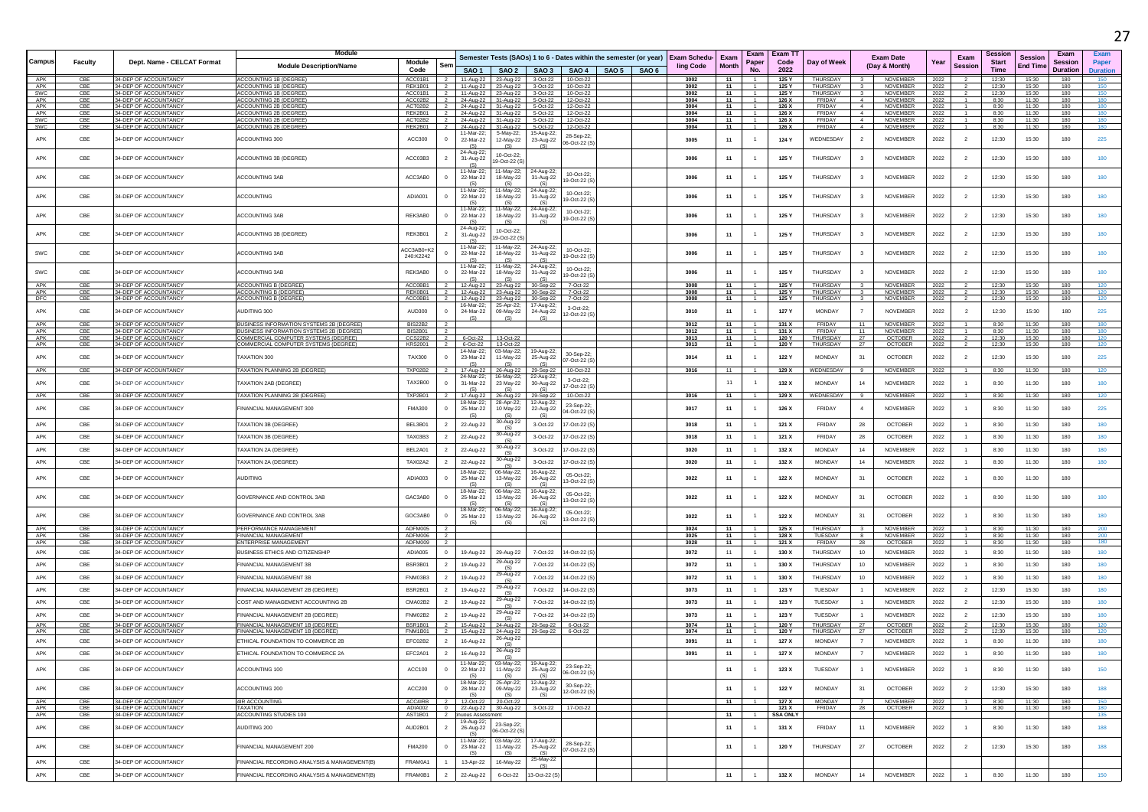|            |                |                                                | <b>Module</b>                                                                           |                                             |                                |                                            |                                         |                                                                                                                     |  |                                  |               |                                  | <b>Exam T</b>   |                      |                          |                                   |              |                        | Sessior                     |                                   |                                           |                                  |
|------------|----------------|------------------------------------------------|-----------------------------------------------------------------------------------------|---------------------------------------------|--------------------------------|--------------------------------------------|-----------------------------------------|---------------------------------------------------------------------------------------------------------------------|--|----------------------------------|---------------|----------------------------------|-----------------|----------------------|--------------------------|-----------------------------------|--------------|------------------------|-----------------------------|-----------------------------------|-------------------------------------------|----------------------------------|
| Campus     | <b>Faculty</b> | Dept. Name - CELCAT Format                     | <b>Module Description/Name</b>                                                          | Module<br>Sen<br>Code                       |                                |                                            |                                         | Semester Tests (SAOs) 1 to 6 - Dates within the semester (or year)<br>SAO 1   SAO 2   SAO 3   SAO 4   SAO 5   SAO 6 |  | <b>Exam Schedu-</b><br>ling Code | Exam<br>Month | Exam<br>Paper<br>No.             | Code<br>2022    | Day of Week          |                          | <b>Exam Date</b><br>(Day & Month) | Year         | Exam<br><b>Session</b> | <b>Start</b><br><b>Time</b> | <b>Session</b><br><b>End Time</b> | Exam<br><b>Session</b><br><b>Duration</b> | Exam<br>Paper<br><b>Duration</b> |
| APK        | CBE            | 34-DEP OF ACCOUNTANCY                          | <b>ACCOUNTING 1B (DEGREE</b>                                                            | ACC01B1                                     |                                | 11-Aug-22 23-Aug-22                        |                                         | 3-Oct-22<br>10-Oct-22                                                                                               |  | 3002                             | 11            |                                  | 125 Y           | THURSDAY             |                          | <b>NOVEMBER</b>                   | 2022         |                        | 12:30                       | 15:30                             | 180                                       | 150                              |
| APK        | CBE            | 34-DEP OF ACCOUNTANCY                          | ACCOUNTING 1R (DEGREE)                                                                  | RFK1B01                                     |                                | 11-Aug-22 23-Aug-22                        |                                         | 3-Oct-22<br>10-Oct-22                                                                                               |  | 3002                             | 11            | $\overline{1}$                   | 125 Y           | <b>THURSDAY</b>      | $\mathbf{R}$             | <b>NOVEMBER</b>                   | 2022         |                        | 12:30                       | 15:30                             | 180                                       | 150                              |
| SWC<br>APK | CBE<br>CBE     | 34-DEP OF ACCOUNTANCY<br>34-DEP OF ACCOUNTANC' | ACCOUNTING 1B (DEGREE)<br>CCOUNTING 2B (DEGREE                                          | ACC01B1<br>ACC02B2                          | 24-Aug-22                      | 11-Aug-22 23-Aug-22                        | 31-Aug-22                               | 3-Oct-22<br>10-Oct-22<br>12-Oct-22<br>5-Oct-22                                                                      |  | 3002<br>3004                     | 11<br>11      | $-1$                             | 125 Y<br>126 X  | THURSDAY<br>FRIDAY   |                          | NOVEMBER<br><b>NOVEMBER</b>       | 2022<br>2022 |                        | 12:30<br>8:30               | 15:30<br>11:30                    | 180<br>180                                | 150<br>180                       |
| APK        | CBE            | 34-DEP OF ACCOUNTANCY                          | ACCOUNTING 2B (DEGREE)                                                                  | ACT02B2                                     | $\overline{2}$                 | 24-Aug-22 31-Aug-22                        |                                         | 5-Oct-22<br>12-Oct-22                                                                                               |  | 3004                             | 11            | $\overline{1}$                   | 126 X           | FRIDAY               | $\sim$                   | NOVEMBER                          | 2022         |                        | 8:30                        | 11:30                             | 180                                       | 180                              |
| APK<br>SWC | CBE<br>CBE     | 34-DEP OF ACCOUNTANCY<br>34-DEP OF ACCOUNTANC' | ACCOUNTING 2B (DEGREE)<br><b>ACCOUNTING 2B (DEGREE</b>                                  | REK2B01<br>ACT02B2                          | $\overline{2}$                 | 24-Aug-22 31-Aug-22<br>24-Aug-22           | 31-Aug-22                               | 5-Oct-22<br>12-Oct-22<br>5-Oct-22<br>12-Oct-22                                                                      |  | 3004<br>3004                     | 11<br>11      | $\overline{1}$<br>$\overline{1}$ | 126 X<br>126 X  | FRIDAY<br>FRIDAY     | $\sim$<br>$\overline{4}$ | NOVEMBER<br><b>NOVEMBER</b>       | 2022<br>2022 | $\mathbf{1}$           | 8:30<br>8:30                | 11:30<br>11:30                    | 180<br>180                                | 180                              |
| SWC        | CBE            | 34-DEP OF ACCOUNTANCY                          | ACCOUNTING 2B (DEGREE)                                                                  | REK2B01<br>$\overline{z}$                   | 24-Aug-22                      |                                            | 31-Aug-22                               | 5-Oct-22<br>12-Oct-22                                                                                               |  | 3004                             | 11            | $\mathbf{1}$                     | 126 X           | FRIDAY               | $\sim$                   | <b>NOVEMBER</b>                   | 2022         | -1                     | 8:30                        | 11:30                             | 180                                       | 180                              |
| APK        | CBE            | 34-DEP OF ACCOUNTANCY                          | ACCOUNTING 300                                                                          | ACC300                                      | 11-Mar-22:<br>22-Mar-22        |                                            | 5-May-22;<br>12-May-22                  | 15-Aug-22<br>28-Sep-22;<br>23-Aug-22                                                                                |  | 3005                             | 11            | $\mathbf{1}$                     | 124 Y           | WEDNESDAY            |                          | NOVEMBER                          | 2022         | $\overline{2}$         | 12:30                       | 15:30                             | 180                                       | 225                              |
| APK        | CBE            | 34-DEP OF ACCOUNTANCY                          | ACCOUNTING 3B (DEGREE)                                                                  | ACC03B3                                     | (S)<br>24-Aug-22<br>31-Aug-22  |                                            | (S)<br>10-Oct-22                        | 06-Oct-22 (S)<br>(S)                                                                                                |  | 3006                             | 11            |                                  | 125 Y           | THURSDAY             | 3                        | NOVEMBER                          | 2022         | $\overline{2}$         | 12:30                       | 15:30                             | 180                                       | 180                              |
| APK        | CBE            | 34-DEP OF ACCOUNTANCY                          | <b>ACCOUNTING 3AB</b>                                                                   | ACC3AB0                                     | (S)<br>11-Mar-22<br>22-Mar-22  |                                            | 19-Oct-22 (S)<br>1-May-22;<br>18-May-22 | 24-Aug-22<br>10-Oct-22<br>31-Aug-22                                                                                 |  | 3006                             | 11            | $\overline{1}$                   | 125 Y           | THURSDAY             |                          | NOVEMBER                          | 2022         | $\overline{2}$         | 12:30                       | 15:30                             | 180                                       | 180                              |
| APK        | CBE            | 34-DEP OF ACCOUNTANCY                          | <b>ACCOUNTING</b>                                                                       | ADIA001                                     | (S)<br>22-Mar-22               | 1-Mar-22                                   | <b>65</b><br>1-May-22:<br>18-May-22     | 9-Oct-22 (S<br>(S)<br>24-Aug-22<br>10-Oct-22;                                                                       |  | 3006                             |               | $\overline{1}$                   |                 | THURSDAY             |                          | <b>NOVEMBER</b>                   |              |                        |                             |                                   |                                           | 180                              |
|            |                |                                                |                                                                                         |                                             | (S)<br>11-Mar-22               |                                            | 1-May-22;                               | 31-Aug-22<br>9-Oct-22 (S<br>24-Aug-22<br>10-Oct-22:                                                                 |  |                                  | 11            |                                  | 125 Y           |                      |                          |                                   | 2022         | $\overline{2}$         | 12:30                       | 15:30                             | 180                                       |                                  |
| APK        | CBE            | 34-DEP OF ACCOUNTANCY                          | <b>ACCOUNTING 3AB</b>                                                                   | REK3AB0<br>$\Omega$                         | 22-Mar-22<br>(S)<br>24-Aug-22  |                                            | 18-May-22<br>10-Oct-22                  | 31-Aug-22<br>9-Oct-22 (S)                                                                                           |  | 3006                             | 11            |                                  | 125 Y           | THURSDAY             | $\mathbf{3}$             | <b>NOVEMBER</b>                   | 2022         | $\overline{2}$         | 12:30                       | 15:30                             | 180                                       | 180                              |
| APK        | CBE            | 34-DEP OF ACCOUNTANCY                          | <b>ACCOUNTING 3B (DEGREE)</b>                                                           | REK3B01                                     | 31-Aug-22<br>(S)               | 1-Mar-22                                   | 19-Oct-22 (S<br>1-May-22;               | 24-Aug-22                                                                                                           |  | 3006                             | 11            |                                  | 125 Y           | THURSDAY             |                          | NOVEMBER                          | 2022         | $\overline{2}$         | 12:30                       | 15:30                             | 180                                       | 180                              |
| SWC        | CBE            | 34-DEP OF ACCOUNTANCY                          | ACCOUNTING 3AB                                                                          | ACC3AB0+K3<br>240:K2242                     | 22-Mar-22<br>(S)               |                                            | 18-May-22<br><b>65</b>                  | 10-Oct-22:<br>31-Aug-22<br>9-Oct-22 (S)<br>(S)                                                                      |  | 3006                             | 11            | $\overline{1}$                   | 125 Y           | THURSDAY             |                          | <b>NOVEMBER</b>                   | 2022         | $\overline{2}$         | 12:30                       | 15:30                             | 180                                       | 180                              |
| SWC        | CBE            | 34-DEP OF ACCOUNTANCY                          | <b>ACCOUNTING 3AB</b>                                                                   | REK3AB0                                     | 11-Mar-22<br>22-Mar-22<br>(S)  |                                            | 1-May-22;<br>18-May-22<br>(S)           | 24-Aug-22<br>10-Oct-22:<br>31-Aug-22<br>9-Oct-22 (S)                                                                |  | 3006                             | 11            |                                  | 125 Y           | <b>THURSDAY</b>      |                          | NOVEMBER                          | 2022         | $\overline{2}$         | 12:30                       | 15:30                             | 180                                       | 180                              |
| APK<br>APK | CBE<br>CBE     | 34-DEP OF ACCOUNTANCY<br>34-DEP OF ACCOUNTANCY | ACCOUNTING B (DEGREE)<br><b>ACCOUNTING B (DEGREE)</b>                                   | ACC0BB1<br>REK0B01                          | 12-Aug-22<br>12-Aug-22         |                                            | 23-Aug-22<br>23-Aug-22                  | 7-Oct-22<br>30-Sep-22<br>7-Oct-22<br>30-Sep-22                                                                      |  | 3008<br>3008                     | 11<br>11      | $\overline{1}$                   | 125 Y<br>125 Y  | THURSDAY<br>THURSDAY |                          | NOVEMBER<br>NOVEMBER              | 2022<br>2022 |                        | 12:30<br>12:30              | 15:30<br>15:30                    | 180<br>180                                | 120<br>120                       |
| DFC        | CBE            | 34-DEP OF ACCOUNTANCY                          | ACCOUNTING B (DEGREE)                                                                   | ACC0BB1                                     | 12-Aug-22<br>$\overline{2}$    |                                            | 23-Aug-22                               | 30-Sep-22<br>7-Oct-22                                                                                               |  | 3008                             | 11            | $-1$                             | 125 Y           | THURSDAY             | $\mathbf{3}$             | <b>NOVEMBER</b>                   | 2022         | $\overline{2}$         | 12:30                       | 15:30                             | 180                                       | 120                              |
| APK        | CBE            | 34-DEP OF ACCOUNTANCY                          | AUDITING 300                                                                            | AUD300                                      | 16-Mar-22:<br>24-Mar-22        |                                            | 25-Apr-22;<br>09-May-22                 | 17-Aug-22;<br>3-Oct-22;<br>24-Aug-22<br>2-Oct-22 (S)                                                                |  | 3010                             | 11            |                                  | 127 Y           | <b>MONDAY</b>        |                          | <b>NOVEMBER</b>                   | 2022         | $\overline{2}$         | 12:30                       | 15:30                             | 180                                       | 225                              |
| APK        | CBE            | 34-DEP OF ACCOUNTANCY                          | <b>BUSINESS INFORMATION SYSTEMS 2B (DEGREE)</b>                                         | <b>BIS22B2</b>                              |                                |                                            |                                         |                                                                                                                     |  | 3012                             | 11            |                                  | 131 X           | FRIDAY               |                          | <b>NOVEMBER</b>                   | 2022         |                        | 8:30                        | 11:30                             | 180                                       | 180                              |
| APK<br>APK | CBE<br>CBE     | 34-DEP OF ACCOUNTANCY<br>34-DEP OF ACCOUNTANCY | <b>BUSINESS INFORMATION SYSTEMS 2B (DEGREE)</b><br>COMMERCIAL COMPUTER SYSTEMS (DEGREE) | BIS2B01                                     |                                |                                            | 13-Oct-22                               |                                                                                                                     |  | 3012<br>3013                     | 11<br>11      | $\overline{1}$<br>$\overline{1}$ | 131 X<br>120 Y  | FRIDAY<br>THURSDAY   | 11<br>27                 | <b>NOVEMBER</b>                   | 2022<br>2022 |                        | 8:30<br>12:30               | 11:30<br>15:30                    | 180<br>180                                | 180                              |
| APK        | CBE            | 34-DEP OF ACCOUNTANCY                          | COMMERCIAL COMPUTER SYSTEMS (DEGREE)                                                    | CCS22B2<br><b>KRS2001</b><br>$\overline{2}$ | 6-Oct-22                       | 6-Oct-22                                   | 13-Oct-22                               |                                                                                                                     |  | 3013                             | 11            | $\overline{1}$                   | 120 Y           | THURSDAY             | 27                       | <b>OCTOBER</b><br><b>OCTOBER</b>  | 2022         | $\overline{2}$         | 12:30                       | 15:30                             | 180                                       | 120<br>120                       |
| APK        | CBE            | 34-DEP OF ACCOUNTANCY                          | <b>FAXATION 300</b>                                                                     | <b>TAX300</b>                               | 23-Mar-22                      | 14-Mar-22;                                 | 03-May-22;<br>11-May-22                 | 19-Aug-22<br>30-Sep-22<br>25-Aug-22<br>7-Oct-22 (S)                                                                 |  | 3014                             | 11            | $\overline{1}$                   | 122 Y           | <b>MONDAY</b>        | 31                       | <b>OCTOBER</b>                    | 2022         | $\overline{2}$         | 12:30                       | 15:30                             | 180                                       | 225                              |
| APK        | CBE            | 34-DEP OF ACCOUNTANCY                          | TAXATION PLANNING 2B (DEGREE)                                                           | TXP02B2                                     | (S)<br>17-Aug-22<br>24-Mar-22  |                                            | (S)<br>26-Aug-22                        | (S)<br>29-Sep-22<br>10-Oct-22                                                                                       |  | 3016                             | 11            | $\overline{1}$                   | 129 X           | WEDNESDAY            | -9.                      | <b>NOVEMBER</b>                   | 2022         | $\overline{1}$         | 8:30                        | 11:30                             | 180                                       | 120                              |
| APK        | CBE            | 34-DEP OF ACCOUNTANCY                          | <b>FAXATION 2AB (DEGREE)</b>                                                            | <b>TAX2B00</b>                              | 31-Mar-22                      |                                            | 16-May-22;<br>23 May-22                 | 22-Aug-22<br>3-Oct-22:<br>30-Aug-22<br>7-Oct-22 (S)                                                                 |  |                                  | 11            |                                  | 132 X           | <b>MONDAY</b>        | 14                       | NOVEMBER                          | 2022         |                        | 8:30                        | 11:30                             | 180                                       | 180                              |
| APK        | CBE            | 34-DEP OF ACCOUNTANCY                          | TAXATION PLANNING 2B (DEGREE)                                                           | <b>TXP2B01</b>                              | (S)<br>17-Aug-22               | 18-Mar-22;                                 | (S)<br>26-Aug-22<br>28-Apr-22;          | (S)<br>29-Sep-22<br>10-Oct-22<br>12-Aug-22                                                                          |  | 3016                             | 11            |                                  | 129 X           | WEDNESDAY            |                          | <b>NOVEMBER</b>                   | 2022         |                        | 8:30                        | 11:30                             | 180                                       | 120                              |
| APK        | CBE            | 34-DEP OF ACCOUNTANCY                          | <b>FINANCIAL MANAGEMENT 300</b>                                                         | <b>FMA300</b>                               | 25-Mar-22<br>(S)               |                                            | 10 May-22<br><b>65</b>                  | 23-Sep-22<br>22-Aug-22<br>04-Oct-22 (S)<br>(S)                                                                      |  | 3017                             | 11            | $\overline{1}$                   | 126 X           | FRIDAY               |                          | <b>NOVEMBER</b>                   | 2022         |                        | 8:30                        | 11:30                             | 180                                       | 225                              |
| APK        | CBE            | 34-DEP OF ACCOUNTANCY                          | <b>FAXATION 3B (DEGREE)</b>                                                             | BEL3B01                                     | 22-Aug-22                      |                                            | 30-Aug-22                               | 3-Oct-22<br>17-Oct-22 (S)                                                                                           |  | 3018                             | 11            | $\overline{1}$                   | 121 X           | FRIDAY               | 28                       | OCTOBER                           | 2022         | $\overline{1}$         | 8:30                        | 11:30                             | 180                                       | 180                              |
| APK        | CBE            | 34-DEP OF ACCOUNTANCY                          | <b>FAXATION 3B (DEGREE)</b>                                                             | <b>TAX03B3</b>                              | 22-Aug-22                      |                                            | 30-Aug-22                               | 3-Oct-22<br>7-Oct-22 (S)                                                                                            |  | 3018                             | 11            | $\overline{1}$                   | 121 X           | FRIDAY               | 28                       | OCTOBER                           | 2022         |                        | 8:30                        | 11:30                             | 180                                       | 180                              |
| APK        | CBE            | 34-DEP OF ACCOUNTANCY                          | <b>FAXATION 2A (DEGREE)</b>                                                             | BEL2A01                                     | 22-Aug-22                      |                                            | 30-Aug-22                               | 3-Oct-22<br>7-Oct-22 (S)                                                                                            |  | 3020                             | 11            | $\overline{1}$                   | 132 X           | <b>MONDAY</b>        | 14                       | <b>NOVEMBER</b>                   | 2022         | $\overline{1}$         | 8:30                        | 11:30                             | 180                                       | 180                              |
| APK        | CBE            | 34-DEP OF ACCOUNTANCY                          | <b>FAXATION 2A (DEGREE)</b>                                                             | <b>TAX02A2</b>                              | 22-Aug-22                      |                                            | 30-Aug-22<br>(S)                        | 3-Oct-22<br>7-Oct-22 (S)                                                                                            |  | 3020                             | 11            | $\overline{1}$                   | 132 X           | <b>MONDAY</b>        | 14                       | <b>NOVEMBER</b>                   | 2022         | $\overline{1}$         | 8:30                        | 11:30                             | 180                                       | 180                              |
| APK        | CBE            | 34-DEP OF ACCOUNTANCY                          | AUDITING                                                                                | ADIA003                                     | 25-Mar-22<br>(S)               | 8-Mar-22;                                  | 06-May-22;<br>13-May-22                 | 16-Aug-22<br>05-Oct-22:<br>26-Aug-22<br>13-Oct-22 (S)<br>(S)                                                        |  | 3022                             | 11            |                                  | 122 X           | <b>MONDAY</b>        | 31                       | OCTOBER                           | 2022         |                        | 8:30                        | 11:30                             | 180                                       |                                  |
| APK        | CBE            | 34-DEP OF ACCOUNTANCY                          | GOVERNANCE AND CONTROL 3AB                                                              | GAC3AB0                                     | 18-Mar-22:<br>25-Mar-22<br>(S) |                                            | 06-May-22:<br>13-May-22                 | 16-Aug-22<br>05-Oct-22<br>26-Aug-22<br>3-Oct-22 (S)                                                                 |  | 3022                             | 11            | $\mathbf{1}$                     | 122 X           | <b>MONDAY</b>        | 31                       | <b>OCTOBER</b>                    | 2022         |                        | 8:30                        | 11:30                             | 180                                       | 180                              |
| APK        | CBE            | 34-DEP OF ACCOUNTANCY                          | GOVERNANCE AND CONTROL 3AB                                                              | GOC3AB0                                     | 18-Mar-22:<br>25-Mar-22<br>(S) |                                            | 06-May-22;<br>13-May-22<br>(S)          | 16-Aug-22<br>05-Oct-22;<br>26-Aug-22<br>3-Oct-22 (S)<br>(S)                                                         |  | 3022                             | 11            |                                  | 122 X           | <b>MONDAY</b>        | 31                       | <b>OCTOBER</b>                    | 2022         |                        | 8:30                        | 11:30                             | 180                                       | 180                              |
| APK        | CBE            | 34-DEP OF ACCOUNTANCY                          | PERFORMANCE MANAGEMENT                                                                  | ADFM005                                     |                                |                                            |                                         |                                                                                                                     |  | 3024                             | 11            |                                  | 125 X           | THURSDAY             |                          | NOVEMBER                          | 2022         |                        | 8:30                        | 11:30                             | 180                                       | 200                              |
| APK<br>APK | CBE<br>CBE     | 34-DEP OF ACCOUNTANCY<br>34-DEP OF ACCOUNTANCY | <b>FINANCIAL MANAGEMENT</b><br><b>ENTERPRISE MANAGEMENT</b>                             | ADFM006<br>ADFM009                          |                                |                                            |                                         |                                                                                                                     |  | 3025<br>3028                     | 11<br>11      | $\overline{1}$<br>$\overline{1}$ | 128 X<br>121 X  | TUESDAY<br>FRIDAY    | 8<br>28                  | <b>NOVEMBER</b><br><b>OCTOBER</b> | 2022<br>2022 | $\mathbf{1}$           | 8:30<br>8:30                | 11:30<br>11:30                    | 180<br>180                                | 180                              |
| APK        | CBE            | 34-DEP OF ACCOUNTANCY                          | <b>BUSINESS ETHICS AND CITIZENSHIP</b>                                                  | ADIA005<br>$\Omega$                         | 19-Aug-22                      |                                            | 29-Aug-22                               | 7-Oct-22<br>4-Oct-22 (S)                                                                                            |  | 3072                             | 11            | $\overline{1}$                   | 130 X           | THURSDAY             | 10                       | <b>NOVEMBER</b>                   | 2022         | $\mathbf{1}$           | 8:30                        | 11:30                             | 180                                       | 180                              |
| APK        | CBE            | 34-DEP OF ACCOUNTANCY                          | FINANCIAL MANAGEMENT 3B                                                                 | <b>BSR3B01</b>                              | 19-Aug-22                      |                                            | 29-Aug-22<br>(S)                        | 7-Oct-22<br>4-Oct-22 (S)                                                                                            |  | 3072                             | 11            | $\overline{1}$                   | 130 X           | THURSDAY             | 10                       | NOVEMBER                          | 2022         | $\overline{1}$         | 8:30                        | 11:30                             | 180                                       | 180                              |
| APK        | CBE            | 34-DEP OF ACCOUNTANCY                          | FINANCIAL MANAGEMENT 3B                                                                 | FNM03B3                                     | 19-Aug-22                      |                                            | 29-Aug-22                               | 7-Oct-22<br>4-Oct-22 (S                                                                                             |  | 3072                             | 11            | $\overline{1}$                   | 130 X           | THURSDAY             | 10                       | NOVEMBER                          | 2022         | $\overline{1}$         | 8:30                        | 11:30                             | 180                                       | 180                              |
| APK        | CBE            | 34-DEP OF ACCOUNTANCY                          | FINANCIAL MANAGEMENT 2B (DEGREE)                                                        | BSR2B01                                     | 19-Aug-22                      |                                            | 29-Aug-22<br>(S)                        | 7-Oct-22<br>4-Oct-22 (S)                                                                                            |  | 3073                             | 11            | $\overline{1}$                   | 123 Y           | TUESDAY              |                          | NOVEMBER                          | 2022         | $\overline{2}$         | 12:30                       | 15:30                             | 180                                       | 180                              |
| APK        | CBE            | 34-DEP OF ACCOUNTANCY                          | COST AND MANAGEMENT ACCOUNTING 2B                                                       | CMA02B2                                     | 19-Aug-22                      |                                            | 29-Aug-22<br>(S)                        | 7-Oct-22<br>4-Oct-22 (S)                                                                                            |  | 3073                             | 11            | $\overline{1}$                   | 123 Y           | TUESDAY              |                          | NOVEMBER                          | 2022         | $\overline{2}$         | 12:30                       | 15:30                             | 180                                       | 180                              |
| APK        | CBE            | 34-DEP OF ACCOUNTANCY                          | INANCIAL MANAGEMENT 2B (DEGREE)                                                         | FNM02B2                                     | 19-Aug-22                      |                                            | 29-Aug-22                               | 7-Oct-22<br>4-Oct-22 (S)                                                                                            |  | 3073                             | 11            | $\overline{1}$                   | 123 Y           | TUESDAY              |                          | NOVEMBER                          | 2022         | $\overline{2}$         | 12:30                       | 15:30                             | 180                                       | 180                              |
| APK        | CBE            | 34-DEP OF ACCOUNTANCY                          | FINANCIAL MANAGEMENT 1B (DEGREE)                                                        | BSR1B01                                     |                                | 15-Aug-22                                  | (S)<br>24-Aug-22                        | 29-Sep-22<br>6-Oct-22                                                                                               |  | 3074                             | 11            | $-1$                             | 120 Y           | THURSDAY             | 27                       | OCTOBER                           | 2022         | $\overline{2}$         | 12:30                       | 15:30                             | 180                                       | 120                              |
| APK        | CBE            | 34-DEP OF ACCOUNTANCY                          | INANCIAL MANAGEMENT 1B (DEGREE                                                          | <b>FNM1B01</b>                              | 15-Aug-22                      |                                            | 24-Aug-22<br>26-Aug-22                  | 6-Oct-22<br>29-Sep-22                                                                                               |  | 3074                             | 11            |                                  | 120 Y           | THURSDAY             | 27                       | OCTOBER                           | 2022         |                        | 12:30                       | 15:30                             | 180                                       | 120                              |
| APK<br>APK | CBE<br>CBE     | 34-DEP OF ACCOUNTANCY<br>34-DEP OF ACCOUNTANCY | ETHICAL FOUNDATION TO COMMERCE 2B<br>ETHICAL FOUNDATION TO COMMERCE 2A                  | EFC02B2<br>$\overline{2}$<br>EFC2A01        | 16-Aug-22<br>16-Aug-22         |                                            | 26-Aug-22                               |                                                                                                                     |  | 3091<br>3091                     | 11<br>11      | $\overline{1}$                   | 127 X<br>127 X  | MONDAY<br>MONDAY     | $\overline{7}$           | NOVEMBER<br><b>NOVEMBER</b>       | 2022<br>2022 | $\overline{1}$         | 8:30<br>8:30                | 11:30<br>11:30                    | 180<br>180                                | 180                              |
| APK        | CBE            | 34-DEP OF ACCOUNTANCY                          | ACCOUNTING 100                                                                          | ACC100<br>$\overline{0}$                    | 22-Mar-22                      | 11-Mar-22;                                 | 03-May-22;<br>11-May-22                 | 19-Aug-22;<br>23-Sep-22;<br>25-Aug-22                                                                               |  |                                  | 11            | $\overline{1}$                   | 123 X           | TUESDAY              |                          | NOVEMBER                          | 2022         |                        | 8:30                        | 11:30                             | 180                                       | 150                              |
|            |                |                                                |                                                                                         |                                             | (S)<br>18-Mar-22;              |                                            | (S)<br>25-Apr-22;                       | 06-Oct-22 (S)<br>(S)<br>12-Aug-22<br>30-Sep-22:                                                                     |  |                                  |               |                                  |                 |                      |                          |                                   |              |                        |                             |                                   |                                           |                                  |
| APK        | CBE            | 34-DEP OF ACCOUNTANCY                          | <b>ACCOUNTING 200</b>                                                                   | ACC200                                      | 28-Mar-22<br>(S)               |                                            | 09-May-22<br>(S)                        | 23-Aug-22<br>12-Oct-22 (S)<br>(S)                                                                                   |  |                                  | 11            | $\overline{1}$                   | 122 Y           | <b>MONDAY</b>        | 31                       | <b>OCTOBER</b>                    | 2022         | $\overline{2}$         | 12:30                       | 15:30                             | 180                                       | 188                              |
| APK<br>APK | CBE<br>CBE     | 34-DEP OF ACCOUNTANCY<br>34-DEP OF ACCOUNTANCY | 4IR ACCOUNTING<br>TAXATION                                                              | ACC4IRB<br>ADIA002                          | $\Omega$                       | 12-Oct-22 20-Oct-22<br>22-Aug-22 30-Aug-22 |                                         | 17-Oct-22<br>3-Oct-22                                                                                               |  |                                  | 11            |                                  | 127 X<br>121 X  | MONDAY<br>FRIDAY     | 28                       | NOVEMBER<br><b>OCTOBER</b>        | 2022<br>2022 | $\overline{1}$         | 8:30<br>8:30                | 11:30<br>11:30                    | 180<br>180                                | 150<br>180                       |
| APK        | CBE            | 34-DEP OF ACCOUNTANCY                          | ACCOUNTING STUDIES 100                                                                  | AST1B01<br>$\overline{2}$                   |                                | nuous Assessment                           |                                         |                                                                                                                     |  |                                  | 11            | $-1$                             | <b>SSA ONLY</b> |                      |                          |                                   |              |                        |                             |                                   |                                           | 135                              |
| APK        | CBE            | 34-DEP OF ACCOUNTANCY                          | AUDITING 200                                                                            | AUD2B01                                     | 26-Aug-22<br>(S)               | 19-Aug-22;                                 | 23-Sep-22;<br>06-Oct-22 (S)             |                                                                                                                     |  |                                  | 11            | $\overline{1}$                   | 131 X           | FRIDAY               | 11                       | NOVEMBER                          | 2022         |                        | 8:30                        | 11:30                             | 180                                       | 188                              |
| APK        | CBE            | 34-DEP OF ACCOUNTANCY                          | FINANCIAL MANAGEMENT 200                                                                | <b>FMA200</b><br>$^{\circ}$                 | 11-Mar-22:<br>23-Mar-22<br>(S) |                                            | 03-May-22;<br>11-May-22<br><b>1S</b>    | 17-Aug-22;<br>28-Sep-22;<br>25-Aug-22<br>07-Oct-22 (S)<br>(S)                                                       |  |                                  | 11            | $\overline{1}$                   | 120 Y           | THURSDAY             | 27                       | <b>OCTOBER</b>                    | 2022         | $\overline{2}$         | 12:30                       | 15:30                             | 180                                       | 188                              |
| APK        | CBE            | 34-DEP OF ACCOUNTANCY                          | FINANCIAL RECORDING ANALYSIS & MANAGEMENT(B)                                            | FRAM0A1                                     |                                | 13-Apr-22                                  | 16-May-22                               | 25-May-22<br>(S)                                                                                                    |  |                                  |               |                                  |                 |                      |                          |                                   |              |                        |                             |                                   |                                           |                                  |
| APK        | CBE            | 34-DEP OF ACCOUNTANCY                          | FINANCIAL RECORDING ANALYSIS & MANAGEMENT(B)                                            | FRAM0B1                                     | 22-Aug-22                      |                                            | 6-Oct-22                                | 13-Oct-22 (S)                                                                                                       |  |                                  | 11            | $\overline{1}$                   | 132 X           | <b>MONDAY</b>        | 14                       | NOVEMBER                          | 2022         | $\overline{1}$         | 8:30                        | 11:30                             | 180                                       | 150                              |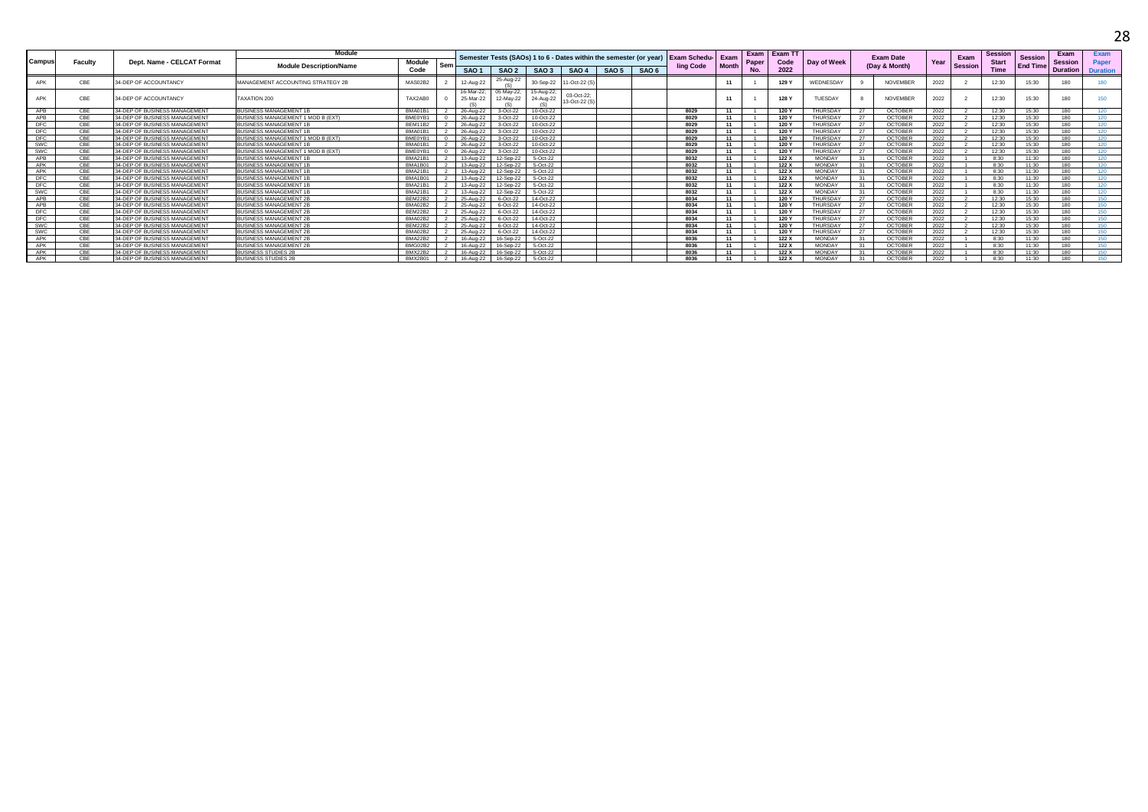|            |         |                               | Module                                    |                |     |                         |                         |                        |                            |       |                  |                                                                                 |              | Exam  | Exam TT |                 |    |                  |      |                | <b>Session</b> |                 | Exam            | Exam             |
|------------|---------|-------------------------------|-------------------------------------------|----------------|-----|-------------------------|-------------------------|------------------------|----------------------------|-------|------------------|---------------------------------------------------------------------------------|--------------|-------|---------|-----------------|----|------------------|------|----------------|----------------|-----------------|-----------------|------------------|
| Campus     | Faculty | Dept. Name - CELCAT Format    |                                           | <b>Module</b>  |     |                         |                         |                        |                            |       |                  | Semester Tests (SAOs) 1 to 6 - Dates within the semester (or year) Exam Schedu- | Exam         | Paper | Code    | Day of Week     |    | <b>Exam Date</b> | Year | Exam           | <b>Start</b>   | <b>Session</b>  | <b>Session</b>  | Paper            |
|            |         |                               | <b>Module Description/Name</b>            | Code           | Sen | SAO <sub>1</sub>        | SAO <sub>2</sub>        | SAO <sub>3</sub>       | SAO 4                      | SAO 5 | SAO <sub>6</sub> | ling Code                                                                       | <b>Month</b> | No.   | 2022    |                 |    | (Day & Month)    |      | <b>Session</b> | Time           | <b>End Time</b> | <b>Duration</b> | <b>Duration</b>  |
|            |         |                               |                                           |                |     |                         | 25-Aug-22               |                        |                            |       |                  |                                                                                 |              |       |         |                 |    |                  |      |                |                |                 |                 |                  |
|            | CBE     | 34-DEP OF ACCOUNTANCY         | <b>MANAGEMENT ACCOUNTING STRATEGY 2B</b>  | MAS02B2        |     | 12-Aug-22               |                         | 30-Sep-22              | 1-Oct-22 (S)               |       |                  |                                                                                 |              |       | 129'    | WEDNESDAY       |    | <b>NOVEMBER</b>  | 2022 |                | 12:30          | 15:30           | 180             | 180              |
|            | CBE     | 34-DEP OF ACCOUNTANCY         | TAXATION 200                              | TAX2AB0        |     | 16-Mar-22:<br>25-Mar-22 | 05 May-22:<br>12-May-22 | 15-Aug-22<br>24-Aug-22 | 03-Oct-22<br>13-Oct-22 (S) |       |                  |                                                                                 |              |       | 128'    | <b>TUESDAY</b>  |    | <b>NOVEMBER</b>  | 2022 |                | 12:30          | 15:30           | 180             | 150              |
| APB        | CBE     | 34-DEP OF BUSINESS MANAGEMENT | <b>USINESS MANAGEMENT 1P</b>              | BMA01B1        |     | 26-Aug-22               | $3-Oct-22$              | 10-Oct-22              |                            |       |                  | 8029                                                                            |              |       | 120 Y   | <b>THURSDAY</b> |    | <b>OCTOBER</b>   | 2022 |                | 12.30          | 15.30           | 180             | 120              |
| APB        | CBE     | 34-DEP OF BUSINESS MANAGEMENT | <b>ILISINESS MANAGEMENT 1 MOD B (EXT)</b> | BMF0YB1        |     | 26-Aug-22               | 3-Oct-22                | 10-Oct-22              |                            |       |                  | 8029                                                                            |              |       | 120 Y   | <b>THURSDAY</b> |    | OCTOBER          | 2022 |                | 12:30          | 15:30           | 180             | 120              |
| <b>DFC</b> | CBE     | 34-DEP OF BUSINESS MANAGEMENT | <b>IUSINESS MANAGEMENT 1E</b>             | <b>BEM11B2</b> |     | 26-Aug-22               | 3-Oct-22                | 10-Oct-22              |                            |       |                  | 8029                                                                            |              |       | 120 Y   | THURSDAY        |    | OCTOBER          | 2022 |                | 12:30          | 15:30           | 180             | 120              |
| <b>DFC</b> | CBE     | 34-DEP OF BUSINESS MANAGEMENT | <b>BUSINESS MANAGEMENT 1E</b>             | BMA01B1        |     | 26-Aug-22               | 3-Oct-22                | 10-Oct-22              |                            |       |                  | 8029                                                                            | 11           |       | 120 Y   | THURSDAY        | 27 | OCTOBER          | 2022 |                | 12:30          | 15:30           | 180             | 120              |
| DFC        | CBE     | 34-DEP OF BUSINESS MANAGEMENT | BUSINESS MANAGEMENT 1 MOD B (EXT)         | BMF0YB1        |     | 26-Aug-22               | 3-Oct-22                | 10-Oct-22              |                            |       |                  | 8029                                                                            | 11           |       | 120 Y   | <b>THURSDAY</b> |    | OCTOBER          | 2022 |                | 12:30          | 15:30           | 180             | 120              |
| SWC        | CBE     | 34-DEP OF BUSINESS MANAGEMENT | <b>BUSINESS MANAGEMENT 1</b>              | BMA01B1        |     | 26-Aug-22               | 3-Oct-22                | 10-Oct-22              |                            |       |                  | 8029                                                                            | 11           |       | 120 Y   | <b>THURSDAY</b> |    | OCTOBER          | 2022 |                | 12:30          | 15:30           | 180             | 120 <sub>1</sub> |
| <b>SWC</b> | CBE     | 34-DEP OF BUSINESS MANAGEMENT | BUSINESS MANAGEMENT 1 MOD B (EXT)         | BME0YB1        |     | 26-Aug-22               | 3-Oct-22                | 10-Oct-22              |                            |       |                  | 8029                                                                            |              |       | 120 Y   | THURSDAY        |    | <b>OCTOBER</b>   | 2022 |                | 12:30          | 15:30           | 180             | 120              |
| APB        | CBE     | 34-DEP OF BUSINESS MANAGEMENT | <b>BUSINESS MANAGEMENT 1E</b>             | <b>BMA21B1</b> |     | 13-Aug-22               | 12-Sep-22               | 5-Oct-22               |                            |       |                  | 8032                                                                            |              |       | 122 X   | <b>MONDAY</b>   |    | OCTOBER          | 2022 |                | 8:30           | 11:30           | 180             | 120              |
| APK        | CBE     | 34-DEP OF BUSINESS MANAGEMENT | <b>BUSINESS MANAGEMENT 1</b>              | BMA1B01        |     | 13-Aug-22               | 12-Sep-22               | 5-Oct-22               |                            |       |                  | 8032                                                                            |              |       | 122 X   | <b>MONDAY</b>   |    | OCTOBEI          | 2022 |                | 8:30           | 11:30           | 180             | 120              |
| APK        | CBE     | 34-DEP OF BUSINESS MANAGEMENT | <b>BUSINESS MANAGEMENT 1E</b>             | <b>BMA21B1</b> |     | 13-Aug-22               | 12-Sep-22               | 5-Oct-22               |                            |       |                  | 8032                                                                            | 11           |       | 122 X   | <b>MONDAY</b>   |    | OCTOBER          | 2022 |                | 8:30           | 11:30           | 180             | 120              |
| DFC        | CBE     | 34-DEP OF BUSINESS MANAGEMENT | <b>BUSINESS MANAGEMENT 1E</b>             | BMA1B01        |     | 13-Aug-22               | 12-Sep-22               | 5-Oct-22               |                            |       |                  | 8032                                                                            | 11           |       | 122 X   | <b>MONDAY</b>   |    | OCTOBER          | 2022 |                | 8:30           | 11:30           | 180             | 120              |
| <b>DFC</b> | CBE     | 34-DEP OF BUSINESS MANAGEMENT | <b>BUSINESS MANAGEMENT 1</b>              | <b>BMA21B1</b> |     | 13-Aug-22               | 12-Sep-22               | 5-Oct-22               |                            |       |                  | 8032                                                                            | 11           |       | 122X    | <b>MONDAY</b>   |    | OCTOBER          | 2022 |                | 8:30           | 11:30           | 180             | 120              |
| SWC        | CBE     | 34-DEP OF BUSINESS MANAGEMENT | <b>BUSINESS MANAGEMENT 1E</b>             | <b>BMA21B1</b> |     | 13-Aug-22               | 12-Sep-22               | 5-Oct-22               |                            |       |                  | 8032                                                                            |              |       | 122 X   | <b>MONDAY</b>   |    | <b>OCTOBER</b>   | 2022 |                | 8:30           | 11:30           | 180             | 120              |
| APB        | CBE     | 34-DEP OF BUSINESS MANAGEMENT | <b>BUSINESS MANAGEMENT 2E</b>             | <b>BEM22B2</b> |     | 25-Aug-22               | 6-Oct-22                | 14-Oct-22              |                            |       |                  | 8034                                                                            | 11           |       | 120 Y   | THURSDAY        | 27 | OCTOBER          | 2022 |                | 12:30          | 15:30           | 180             | 150              |
| APB        | CBE     | 34-DEP OF BUSINESS MANAGEMENT | <b>BUSINESS MANAGEMENT 2P</b>             | BMA02B2        |     | 25-Aug-22               | 6-Oct-22                | 14-Oct-22              |                            |       |                  | 8034                                                                            | 11           |       | 120 Y   | <b>THURSDAY</b> |    | OCTOBER          | 2022 |                | 12:30          | 15:30           | 180             | 150              |
| <b>DFC</b> | CBE     | 34-DEP OF BUSINESS MANAGEMENT | <b>BUSINESS MANAGEMENT 2E</b>             | <b>BFM22B2</b> |     | 25-Aug-22               | 6-Oct-22                | 14-Oct-22              |                            |       |                  | 8034                                                                            |              |       | 120 Y   | <b>THURSDAY</b> | 27 | <b>OCTOBEI</b>   | 2022 |                | 12.30          | 15:30           | 190             | 150              |
| <b>DFC</b> | CBE     | 34-DEP OF BUSINESS MANAGEMENT | <b>BUSINESS MANAGEMENT 2F</b>             | BMA02B2        |     | 25-Aug-22               | 6-Oct-22                | 14-Oct-22              |                            |       |                  | 8034                                                                            |              |       | 120 Y   | <b>THURSDAY</b> |    | OCTOBER          | 2022 |                | 12:30          | 15:30           | 180             | 150              |
| SWC        | CBE     | 34-DEP OF BUSINESS MANAGEMENT | <b>BUSINESS MANAGEMENT 2E</b>             | <b>BFM22B2</b> |     | 25-Aug-22               | 6-Oct-22                | 14-Oct-22              |                            |       |                  | 8034                                                                            |              |       | 120 Y   | THURSDAY        |    | OCTOBER          | 2022 |                | 12:30          | 15.30           | 180             | 150              |
| SWC        | CBE     | 34-DEP OF BUSINESS MANAGEMENT | <b>BUSINESS MANAGEMENT 2E</b>             | BMA02B2        |     | 25-Aug-22               | 6-Oct-22                | 14-Oct-22              |                            |       |                  | 8034                                                                            |              |       | 120 Y   | THURSDAY        |    | <b>OCTOBER</b>   | 2022 |                | 12:30          | 15:30           | 180             | 150              |
| APK        | CBE     | 34-DEP OF BUSINESS MANAGEMENT | <b>BUSINESS MANAGEMENT 2E</b>             | <b>BMA22B2</b> |     | 16-Aug-22               | 16-Sep-22               | 5-Oct-22               |                            |       |                  | 8036                                                                            | 11           |       | 122 X   | <b>MONDAY</b>   | 31 | OCTOBER          | 2022 |                | 8:30           | 11:30           | 180             | 150              |
| APK        | CBE     | 34-DEP OF BUSINESS MANAGEMENT | <b>BUSINESS MANAGEMENT 2F</b>             | BMG02B2        |     | 16-Aug-22               | 16-Sep-22               | 5-Oct-22               |                            |       |                  | 8036                                                                            | 11           |       | 122 X   | <b>MONDAY</b>   |    | OCTOBER          | 2022 |                | 8:30           | 11:30           | 180             | 150              |
| APK        | CBE     | 34-DEP OF BUSINESS MANAGEMENT | <b>BUSINESS STUDIES 2E</b>                | <b>BMX22B2</b> |     | 16-Aug-22               | 16-Sep-22               | 5-Oct-22               |                            |       |                  | 8036                                                                            |              |       | 122 X   | <b>MONDAY</b>   |    | OCTOBER          | 2022 |                | 8:30           | 11:30           | 180             | 150              |
| APK        | CBE     | 34-DEP OF BUSINESS MANAGEMENT | <b>BUSINESS STUDIES 2B</b>                | BMX2B01        |     | 16-Aug-22               | 16-Sep-22               | 5-Oct-22               |                            |       |                  | 8036                                                                            |              |       | 122 X   | <b>MONDAY</b>   |    | OCTOBER          | 2022 |                | 8:30           | 11:30           | 180             | 150              |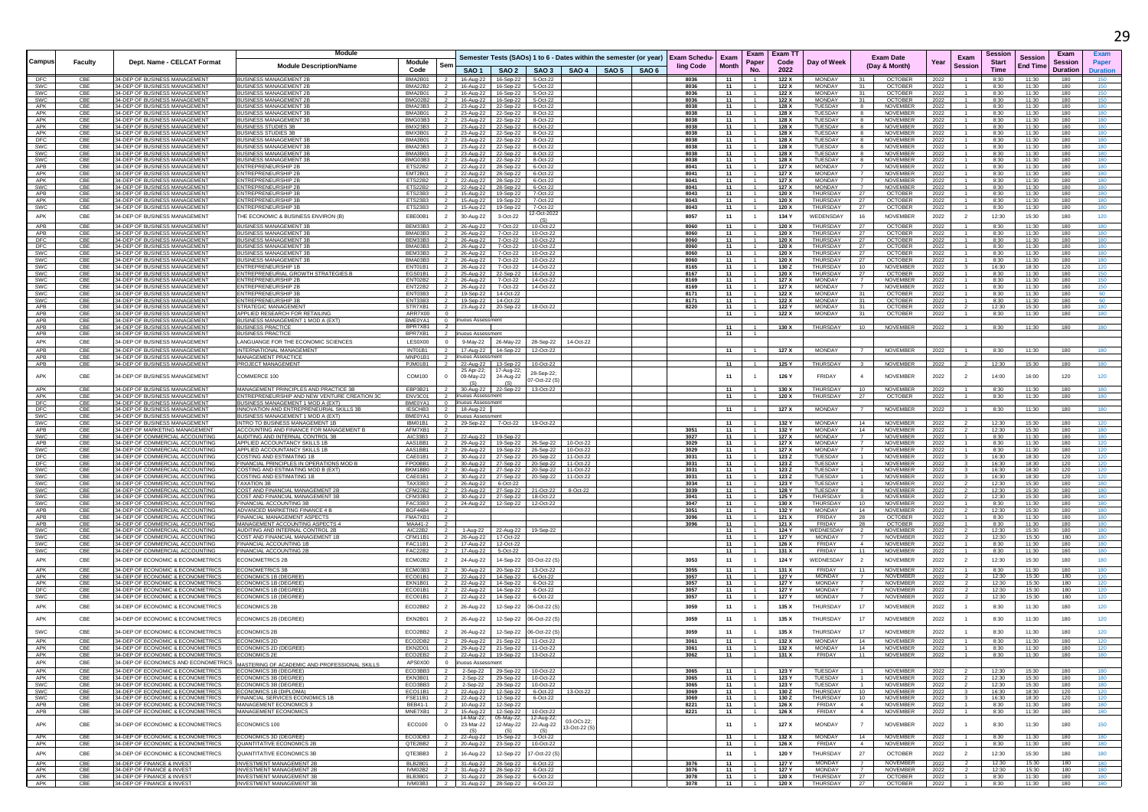|                          |                |                                                                           | Module                                                                            |                               |                                  |                                                                |                                            |                        |                                                                    |                                  |                      | Exam                             | Exam T         |                                |                                                                 |              |                                  | Sessior        |                            | Exam            |                 |
|--------------------------|----------------|---------------------------------------------------------------------------|-----------------------------------------------------------------------------------|-------------------------------|----------------------------------|----------------------------------------------------------------|--------------------------------------------|------------------------|--------------------------------------------------------------------|----------------------------------|----------------------|----------------------------------|----------------|--------------------------------|-----------------------------------------------------------------|--------------|----------------------------------|----------------|----------------------------|-----------------|-----------------|
| Campus                   | <b>Faculty</b> | Dept. Name - CELCAT Format                                                | <b>Module Description/Name</b>                                                    | Module                        | Ser                              |                                                                |                                            |                        | Semester Tests (SAOs) 1 to 6 - Dates within the semester (or year) | <b>Exam Schedu-</b><br>ling Code | Exam<br><b>Month</b> | Paper                            | Code           | Day of Week                    | <b>Exam Date</b><br>(Day & Month)                               | Year         | Exam<br>Session                  | <b>Start</b>   | <b>Session</b><br>End Time | Session         | <b>Paper</b>    |
|                          |                |                                                                           |                                                                                   | Code                          |                                  |                                                                | $SAO1$ SAO 2                               |                        | SAO 3   SAO 4   SAO 5   SAO 6                                      |                                  |                      | No.                              | 2022           |                                |                                                                 |              |                                  | <b>Time</b>    |                            | <b>Duration</b> | <b>Duration</b> |
| DFC<br>SWC               | CBE<br>CBE     | 34-DEP OF BUSINESS MANAGEMENT<br>34-DEP OF BUSINESS MANAGEMENT            | <b>BUSINESS MANAGEMENT 2E</b><br><b>BUSINESS MANAGEMENT 2B</b>                    | BMA2B01<br>BMA22B2            | $\overline{2}$                   |                                                                | 16-Aug-22 16-Sep-22<br>16-Aug-22 16-Sep-22 | 5-Oct-22<br>5-Oct-22   |                                                                    | 8036<br>8036                     | 11<br>11             | $-1$                             | 122 X<br>122 X | MONDAY<br><b>MONDAY</b>        | <b>OCTOBER</b><br>31<br><b>OCTOBER</b><br>31                    | 2022<br>2022 | $\sim$                           | 8:30<br>8:30   | 11:30<br>11:30             | 180<br>180      | 150<br>150      |
| SWC                      | CBE            | 34-DEP OF BUSINESS MANAGEMENT                                             | <b>BUSINESS MANAGEMENT 2E</b>                                                     | BMA2B01                       |                                  | 16-Aug-22                                                      | 16-Sep-22                                  | 5-Oct-22               |                                                                    | 8036                             | 11                   |                                  | 122 X          | <b>MONDAY</b>                  | <b>OCTOBER</b>                                                  | 2022         |                                  | 8:30           | 11:30                      | 180             | 150             |
| <b>SWC</b><br>APK        | CBE<br>CBE     | 34-DEP OF BUSINESS MANAGEMENT<br>34-DEP OF BUSINESS MANAGEMENT            | <b>BUSINESS MANAGEMENT 2B</b><br><b>BUSINESS MANAGEMENT 3B</b>                    | BMG02B2<br>BMA23B3            | $\overline{2}$<br>$\overline{2}$ | 23-Aug-22 22-Sep-22                                            | 16-Aug-22 16-Sep-22                        | 5-Oct-22<br>8-Oct-22   |                                                                    | 8036<br>8038                     | - 11<br>11           | -1.<br>$\overline{1}$            | 122 X<br>128 X | <b>MONDAY</b><br>TUESDAY       | <b>OCTOBER</b><br>31<br><b>NOVEMBER</b><br>-8                   | 2022<br>2022 |                                  | 8:30<br>8:30   | 11:30<br>11:30             | 180<br>180      | 150<br>180      |
| APK                      | CBE            | 34-DEP OF BUSINESS MANAGEMENT                                             | <b>BUSINESS MANAGEMENT 3E</b>                                                     | BMA3B01                       |                                  |                                                                | 23-Aug-22 22-Sep-22                        | 8-Oct-22               |                                                                    | 8038                             | 11                   | 1                                | 128 X          | TUESDAY                        | 8<br><b>NOVEMBER</b>                                            | 2022         |                                  | 8:30           | 11:30                      | 180             | 180             |
| APK<br>APK               | CBE<br>CBE     | 34-DEP OF BUSINESS MANAGEMENT<br>34-DEP OF BUSINESS MANAGEMENT            | BUSINESS MANAGEMENT 3E<br><b>BUSINESS STUDIES 3E</b>                              | BMG03B3<br>BMX23B3            |                                  | 23-Aug-22<br>23-Aug-22 22-Sep-22                               | 22-Sep-22                                  | 8-Oct-22<br>8-Oct-22   |                                                                    | 8038<br>8038                     | 11<br>11             |                                  | 128 X<br>128 X | TUESDAY<br>TUESDAY             | NOVEMBER<br>NOVEMBER                                            | 2022<br>2022 |                                  | 8:30<br>8:30   | 11:30<br>11:30             | 180<br>180      | 180<br>180      |
| APK                      | CBE            | 4-DEP OF BUSINESS MANAGEMEN'                                              | USINESS STUDIES 3                                                                 | BMX3B01                       |                                  | 23-Aug-22 22-Sep-22                                            |                                            | 8-Oct-22               |                                                                    | 8038                             | 11                   |                                  | 128 X          | TUESDAY                        | NOVEMBEI                                                        | 2022         |                                  | 8:30           | 11:30                      | 180             |                 |
| DFC<br><b>SWC</b>        | CBE<br>CBE     | 34-DEP OF BUSINESS MANAGEMENT<br>34-DEP OF BUSINESS MANAGEMENT            | <b>BUSINESS MANAGEMENT 3</b><br>BUSINESS MANAGEMENT 3B                            | BMA3B01<br>BMA23B3 2          | $\overline{2}$                   | 23-Aug-22 22-Sep-22<br>23-Aug-22 22-Sep-22                     |                                            | 8-Oct-22<br>8-Oct-22   |                                                                    | 8038<br>8038                     | 11<br>- 11           | -1.                              | 128 X<br>128 X | TUESDAY<br>TUESDAY             | NOVEMBER<br>-8<br>NOVEMBER<br>-8                                | 2022<br>2022 |                                  | 8:30<br>8:30   | 11:30<br>11:30             | 180<br>180      | 180<br>180      |
| SWC                      | CBE            | 34-DEP OF BUSINESS MANAGEMENT                                             | <b>BUSINESS MANAGEMENT 3P</b>                                                     | RMA3B01 2                     |                                  | 23-Aug-22 22-Sep-22                                            |                                            | 8-Oct-22               |                                                                    | 8038                             | 11                   | $-1$                             | 128 X          | TUESDAY                        | <b>NOVEMBER</b><br>-8                                           | 2022         |                                  | 8:30           | 11:30                      | 180             | 180             |
| SWC<br>APB               | CBE<br>CBE     | 34-DEP OF BUSINESS MANAGEMENT<br>34-DEP OF BUSINESS MANAGEMENT            | <b>BUSINESS MANAGEMENT 3</b><br><b>ENTREPRENEURSHIP 2B</b>                        | BMG03B3 2<br>ETS22B2 2        |                                  | 23-Aug-22 22-Sep-22<br>22-Aug-22 28-Sep-22                     |                                            | 8-Oct-22<br>6-Oct-22   |                                                                    | 8038<br>8041                     | 11<br>11             |                                  | 128 X<br>127 X | TUESDAY<br><b>MONDAY</b>       | <b>NOVEMBER</b><br>NOVEMBER                                     | 2022<br>2022 |                                  | 8:30<br>8:30   | 11:30<br>11:30             | 180<br>180      | 180<br>180      |
| APK                      | CBE            | 34-DEP OF BUSINESS MANAGEMENT                                             | <b>ENTREPRENEURSHIP 2B</b>                                                        | EMT2B01 2                     |                                  | 22-Aug-22 28-Sep-22                                            |                                            | 6-Oct-22               |                                                                    | 8041                             | 11                   | $-1$                             | 127 X          | MONDAY                         | $\overline{7}$<br><b>NOVEMBER</b>                               | 2022         |                                  | 8:30           | 11:30                      | 180             | 180             |
| APK<br>SWC               | CBE<br>CBE     | 34-DEP OF BUSINESS MANAGEMENT<br>34-DEP OF BUSINESS MANAGEMENT            | ENTREPRENEURSHIP 2B<br><b>INTREPRENEURSHIP 2E</b>                                 | ETS22B2 2<br>ETS22B2          | $\overline{2}$                   | 22-Aug-22 28-Sep-22<br>22-Aug-22 28-Sep-22                     |                                            | 6-Oct-22<br>6-Oct-22   |                                                                    | 8041<br>8041                     | 11<br>11             | $\sim$                           | 127 X<br>127 X | MONDAY<br><b>MONDAY</b>        | $\overline{7}$<br>NOVEMBER<br>NOVEMBER                          | 2022<br>2022 |                                  | 8:30<br>8:30   | 11:30<br>11:30             | 180<br>180      | 180<br>180      |
| APB                      | CBE            | 34-DEP OF BUSINESS MANAGEMENT                                             | <b>ENTREPRENEURSHIP 3P</b>                                                        | ETS23B3 2                     |                                  | 15-Aug-22   19-Sep-22                                          |                                            | 7-Oct-22               |                                                                    | 8043                             | 11                   | $\overline{1}$                   | 120 X          | THURSDAY                       | <b>OCTOBER</b><br>27                                            | 2022         |                                  | 8:30           | 11:30                      | 180             | 180             |
| APK<br>SWC               | CBE<br>CBE     | 34-DEP OF BUSINESS MANAGEMENT<br>34-DEP OF BUSINESS MANAGEMENT            | ENTREPRENEURSHIP 3E<br>NTREPRENEURSHIP 3B                                         | ETS23B3 2<br>ETS23B3          |                                  | 15-Aug-22  19-Sep-22<br>15-Aug-22                              | 19-Sep-22                                  | 7-Oct-22<br>7-Oct-22   |                                                                    | 8043<br>8043                     | 11<br>11             |                                  | 120 X<br>120 X | THURSDAY<br>THURSDAY           | 27<br><b>OCTOBER</b><br>27<br><b>OCTOBER</b>                    | 2022<br>2022 |                                  | 8:30<br>8:30   | 11:30<br>11:30             | 180<br>180      | 180<br>180      |
| APK                      | CBE            | 34-DEP OF BUSINESS MANAGEMENT                                             | THE ECONOMIC & BUSINESS ENVIRON (B)                                               | FBF00B1                       | $\overline{z}$                   | 30-Aug-22                                                      | 3-Oct-22                                   | 2-Oct-2022             |                                                                    | 8057                             | 11                   | $\sim$                           | 134 Y          | WEDENSDAY                      | 16<br><b>NOVEMBER</b>                                           | 2022         | $\overline{2}$                   | 12:30          | 15:30                      | 180             | 120             |
| APB                      | CBE            | 34-DEP OF BUSINESS MANAGEMENT                                             | <b>BUSINESS MANAGEMENT 3B</b>                                                     | BEM33B3                       | $\overline{2}$                   | 26-Aug-22                                                      | 7-Oct-22                                   | (S)<br>10-Oct-22       |                                                                    | 8060                             | 11                   | $\overline{1}$                   | 120 X          | THURSDAY                       | 27<br><b>OCTOBER</b>                                            | 2022         | $\overline{1}$                   | 8:30           | 11:30                      | 180             | 180             |
| APB                      | CBE            | 34-DEP OF BUSINESS MANAGEMENT                                             | <b>BUSINESS MANAGEMENT 3E</b>                                                     | BMA03B3                       |                                  | 26-Aug-22                                                      | 7-Oct-22                                   | 10-Oct-22              |                                                                    | 8060                             | 11                   |                                  | 120 X          | <b>THURSDAY</b>                | 27<br><b>OCTOBER</b>                                            | 2022         |                                  | 8:30           | 11:30                      | 180             | 180             |
| DFC<br>DFC               | CBE<br>CBE     | 34-DEP OF BUSINESS MANAGEMENT<br>34-DEP OF BUSINESS MANAGEMENT            | <b>BUSINESS MANAGEMENT 3</b><br><b>BUSINESS MANAGEMENT 3E</b>                     | BEM33B3<br>BMA03B3 2          |                                  | 26-Aug-22<br>26-Aug-22 7-Oct-22                                | 7-Oct-22                                   | 10-Oct-22<br>10-Oct-22 |                                                                    | 8060<br>8060                     | 11<br>11             |                                  | 120 X<br>120 X | THURSDAY<br>THURSDAY           | 27<br><b>OCTOBER</b><br>OCTOBER<br>27                           | 2022<br>2022 |                                  | 8:30<br>8:30   | 11:30<br>11:30             | 180<br>180      | 180             |
| <b>SWC</b>               | CBE            | 34-DEP OF BUSINESS MANAGEMENT                                             | <b>BUSINESS MANAGEMENT 3E</b>                                                     | BEM33B3 2                     |                                  | 26-Aug-22 7-Oct-22                                             |                                            | 10-Oct-22              |                                                                    | 8060                             | 11                   | $\overline{1}$                   | 120 X          | THURSDAY                       | 27<br><b>OCTOBER</b>                                            | 2022         |                                  | 8:30           | 11:30                      | 180             | 180             |
| SWC<br>SWC               | CBE<br>CBE     | 34-DEP OF BUSINESS MANAGEMENT<br>34-DEP OF BUSINESS MANAGEMENT            | <b>BUSINESS MANAGEMENT 3E</b><br><b>ENTREPRENEURSHIP 1B</b>                       | BMA03B3<br>ENT01B1 2          | $\overline{2}$                   | 26-Aug-22<br>26-Aug-22                                         | 7-Oct-22<br>7-Oct-22                       | 10-Oct-22<br>14-Oct-22 |                                                                    | 8060<br>8165                     | 11<br>11             | $\sim$                           | 120 X<br>130 Z | THURSDAY<br>THURSDAY           | 27<br><b>OCTOBER</b><br>10<br>NOVEMBER                          | 2022<br>2022 |                                  | 8:30<br>16:30  | 11:30<br>18:30             | 180<br>120      | 180<br>120      |
| SWC                      | CBE            | 34-DEP OF BUSINESS MANAGEMENT                                             | ENTREPRENEURIAL GROWTH STRATEGIES E                                               | EGS01B1                       | $\overline{2}$                   | 25-Aug-22                                                      | 22-Sep-22                                  | 16-Oct-22              |                                                                    | 8167                             | 11                   |                                  | 120 X          | THURSDAY                       | <b>OCTOBER</b><br>27                                            | 2022         |                                  | 8:30           | 11:30                      | 180             | 150             |
| SWC                      | CBE            | 34-DEP OF BUSINESS MANAGEMENT                                             | ENTREPRENEURSHIP 2E                                                               | ENT02B2                       | $\overline{2}$                   | 26-Aug-22                                                      | 7-Oct-22                                   | 14-Oct-22              |                                                                    | 8169                             | 11                   |                                  | 127 X          | <b>MONDAY</b>                  | <b>NOVEMBER</b><br>$\overline{7}$                               | 2022         |                                  | 8:30           | 11:30                      | 180             | 150             |
| <b>SWC</b><br>SWC        | CBE<br>CBE     | 34-DEP OF BUSINESS MANAGEMENT<br>34-DEP OF BUSINESS MANAGEMENT            | ENTREPRENEURSHIP 2B<br>ENTREPRENEURSHIP 3E                                        | ENT22B2 2<br>ENT03B3          | $\overline{2}$                   | 26-Aug-22 7-Oct-22<br>19-Sep-22 14-Oct-22                      |                                            | 14-Oct-22              |                                                                    | 8169<br>8171                     | 11<br>11             |                                  | 127 X<br>122 X | MONDAY<br><b>MONDAY</b>        | <b>NOVEMBER</b><br>31<br><b>OCTOBER</b>                         | 2022<br>2022 |                                  | 8:30<br>8:30   | 11:30<br>11:30             | 180<br>180      | 150<br>60       |
| <b>SWC</b>               | CBE            | 34-DEP OF BUSINESS MANAGEMENT                                             | <b>ENTREPRENEURSHIP 3B</b>                                                        | ENT33B3 2                     |                                  | 19-Sep-22 14-Oct-22                                            |                                            |                        |                                                                    | 8171                             | - 11                 | $\overline{1}$                   | 122 X          | <b>MONDAY</b>                  | <b>OCTOBER</b><br>31                                            | 2022         |                                  | 8:30           | 11:30                      | 180             | 60              |
| <b>APB</b><br>APB        | CBE<br>CBE     | 34-DEP OF BUSINESS MANAGEMENT<br>4-DEP OF BUSINESS MANAGEMENT             | STRATEGIC MANAGEMEN<br><b>APPLIED RESEARCH FOR RETAILING</b>                      | STR7XB1<br>ARR7X00            |                                  |                                                                | 23-Aug-22 20-Sep-22                        | 18-Oct-22              |                                                                    | 8220                             | 11<br>11             |                                  | 122 Y<br>122 X | <b>MONDAY</b><br><b>MONDAY</b> | 31<br><b>OCTOBER</b><br>31<br><b>OCTOBER</b>                    | 2022<br>2022 |                                  | 12:30<br>8:30  | 15:30<br>11:30             | 180<br>180      | 180<br>180      |
| APB                      | CBE            | 34-DEP OF BUSINESS MANAGEMENT                                             | BUSINESS MANAGEMENT 1 MOD A (EXT)                                                 | BME0YA1                       | $\overline{0}$                   | inuous Assessment                                              |                                            |                        |                                                                    |                                  |                      |                                  |                |                                |                                                                 |              |                                  |                |                            |                 |                 |
| APB<br>APB               | CBE<br>CBE     | 34-DEP OF BLISINESS MANAGEMENT<br>34-DEP OF BUSINESS MANAGEMENT           | <b>BUSINESS PRACTICE</b><br><b>BUSINESS PRACTICE</b>                              | BPR7XB1<br>BPR7XB1            | $\overline{2}$<br>$\overline{2}$ | huous Assessment                                               |                                            |                        |                                                                    |                                  | 11<br>11             | $-1$                             | 130 X          | THURSDAY                       | <b>NOVEMBER</b><br>10                                           | 2022         |                                  | 8:30           | 11:30                      | 180             | 180             |
| APK                      | CBE            | 34-DEP OF BUSINESS MANAGEMENT                                             | ANGUANGE FOR THE ECONOMIC SCIENCES                                                | LES0X00                       |                                  | 9-May-22                                                       | 26-May-22                                  | 28-Sep-22              | 14-Oct-22                                                          |                                  |                      |                                  |                |                                |                                                                 |              |                                  |                |                            |                 |                 |
| APB                      | CBE            | 34-DEP OF BUSINESS MANAGEMENT                                             | INTERNATIONAL MANAGEMENT                                                          | INT01B1                       | $\overline{2}$                   | 17-Aug-22 14-Sep-22                                            |                                            | 12-Oct-22              |                                                                    |                                  | 11                   |                                  | 127 X          | MONDAY                         | NOVEMBER                                                        | 2022         | $\mathbf{1}$                     | 8:30           | 11:30                      | 180             | 180             |
| APB<br>APB               | CBE<br>CBE     | 34-DEP OF BUSINESS MANAGEMENT<br>34-DEP OF BUSINESS MANAGEMENT            | MANAGEMENT PRACTICE<br>PROJECT MANAGEMENT                                         | MNP01B1<br>PJM01B1            |                                  | huous Assessment                                               | 22-Aug-22 13-Sep-22                        | 10-Oct-22              |                                                                    |                                  | 11                   |                                  | 125 Y          | THURSDAY                       | NOVEMBER                                                        | 2022         |                                  | 12:30          | 15:30                      | 180             | 180             |
|                          |                |                                                                           |                                                                                   |                               |                                  | 25 Apr-22;                                                     | 17-Aug-22                                  | 28-Sep-22:             |                                                                    |                                  |                      |                                  |                |                                |                                                                 |              |                                  |                |                            |                 |                 |
| APK                      | CBE            | 34-DEP OF BUSINESS MANAGEMENT                                             | COMMERCE 100                                                                      | COM100                        |                                  | 09-May-22<br>(S)                                               | 24-Aug-22<br>(S)                           | 07-Oct-22 (S)          |                                                                    |                                  | 11                   |                                  | 126 Y          | FRIDAY                         | NOVEMBER                                                        | 2022         | $\overline{2}$                   | 14:00          | 16:00                      | 120             | 120             |
| APK                      | CBE            | 34-DEP OF BUSINESS MANAGEMENT                                             | MANAGEMENT PRINCIPLES AND PRACTICE 3B                                             | EBP3B21                       |                                  | 30-Aug-22 22-Sep-22                                            |                                            | 13-Oct-22              |                                                                    |                                  | 11                   |                                  | 130 X          | THURSDAY                       | 10<br><b>NOVEMBER</b>                                           | 2022         |                                  | 8:30           | 11:30                      | 180             | 180             |
| APK<br>DFC               | CBE<br>CBE     | 34-DEP OF BUSINESS MANAGEMENT<br>34-DEP OF BUSINESS MANAGEMENT            | ENTREPRENEURSHIP AND NEW VENTURE CREATION 3C<br>BUSINESS MANAGEMENT 1 MOD A (EXT) | ENV3C01<br>BMF0YA1            | $\overline{2}$<br>$\Omega$       | inuous Assessment<br>uous Assessment                           |                                            |                        |                                                                    |                                  | 11                   | $\overline{1}$                   | 120 X          | THURSDAY                       | <b>OCTOBER</b><br>27                                            | 2022         |                                  | 8:30           | 11:30                      | 180             | 180             |
| DFC                      | CBE            | 34-DEP OF BUSINESS MANAGEMENT                                             | INNOVATION AND ENTREPRENEURIAL SKILLS 3                                           | IESCHB3                       | $\overline{\phantom{a}}$         | 18-Aug-22                                                      |                                            |                        |                                                                    |                                  | 11                   |                                  | 127 X          | <b>MONDAY</b>                  | <b>NOVEMBER</b>                                                 | 2022         |                                  | 8:30           | 11:30                      | 180             |                 |
| SWC<br><b>SWC</b>        | CBE<br>CBE     | 34-DEP OF BUSINESS MANAGEMENT<br>34-DEP OF BUSINESS MANAGEMENT            | BUSINESS MANAGEMENT 1 MOD A (EXT)<br>INTRO TO BUSINESS MANAGEMENT 1B              | BME0YA1<br>IBM01B1            | $\sim$ 0<br>$\overline{2}$       | inuous Assessment<br>29-Sep-22                                 | 7-Oct-22                                   | 19-Oct-22              |                                                                    |                                  | 11                   |                                  | 132 Y          | <b>MONDAY</b>                  | 14<br>NOVEMBER                                                  | 2022         |                                  | 12:30          | 15:30                      | 180             | 120             |
| APB                      | CBE            | 34-DEP OF MARKETING MANAGEMENT                                            | ACCOUNTING AND FINANCE FOR MANAGEMENT B                                           | AFM7XB1 2                     |                                  |                                                                |                                            |                        |                                                                    | 3051                             | 11                   |                                  | 132 Y          | MONDAY                         | 14<br>NOVEMBER                                                  | 2022         |                                  | 12:30          | 15:30                      | 180             | 180             |
| SWC<br>APB               | CBE<br>CBE     | 34-DEP OF COMMERCIAL ACCOUNTING<br>34-DEP OF COMMERCIAL ACCOUNTING        | AUDITING AND INTERNAL CONTROL 3B<br>APPLIED ACCOUNTANCY SKILLS 1B                 | AIC33B3<br>AAS1BB1            |                                  | 22-Aug-22<br>29-Aug-22                                         | 19-Sep-22<br>19-Sep-22                     | 26-Sep-22              | 10-Oct-22                                                          | 3027<br>3029                     | 11<br>- 11           |                                  | 127 X<br>127 X | <b>MONDAY</b><br><b>MONDAY</b> | NOVEMBER<br><b>NOVEMBER</b>                                     | 2022<br>2022 |                                  | 8:30<br>8:30   | 11:30<br>11:30             | 180<br>180      | 180<br>120      |
| <b>SWC</b>               | CBE            | 34-DEP OF COMMERCIAL ACCOUNTING                                           | APPLIED ACCOUNTANCY SKILLS 1B                                                     | AAS1BB1 2                     |                                  | 29-Aug-22 19-Sep-22                                            |                                            |                        | 26-Sep-22 10-Oct-22                                                | 3029                             | 11                   | $\mathbf{1}$                     | 127 X          | MONDAY                         | NOVEMBER                                                        | 2022         |                                  | 8:30           | 11:30                      | 180             | 120             |
| DFC<br>DFC               | CBE<br>CBE     | 34-DEP OF COMMERCIAL ACCOUNTING<br>34-DEP OF COMMERCIAL ACCOUNTING        | COSTING AND ESTIMATING 1B<br>INANCIAL PRINCIPLES IN OPERATIONS MOD B              | CAE01B1<br>FPO0BB1 2          | $\overline{2}$                   |                                                                | 30-Aug-22 27-Sep-22<br>30-Aug-22 27-Sep-22 |                        | 20-Sep-22 11-Oct-22<br>20-Sep-22 11-Oct-22                         | 3031<br>3031                     | 11<br>11             |                                  | 123 Z<br>123 Z | TUESDAY<br>TUESDAY             | <b>NOVEMBER</b><br>NOVEMBER                                     | 2022<br>2022 |                                  | 16:30<br>16:30 | 18:30<br>18:30             | 120<br>120      | 120<br>120      |
| SWC                      | CBE            | 34-DEP OF COMMERCIAL ACCOUNTING                                           | COSTING AND ESTIMATING MOD B (EXT)                                                | BKM1BB0                       |                                  | 30-Aug-22 27-Sep-22                                            |                                            |                        | 20-Sep-22 11-Oct-22                                                | 3031                             | 11                   |                                  | 123 Z          | TUESDAY                        | NOVEMBER                                                        | 2022         |                                  | 16:30          | 18:30                      | 120             | 120             |
| SWC<br>SWC               | CBE<br>CBE     | 34-DEP OF COMMERCIAL ACCOUNTING<br>34-DEP OF COMMERCIAL ACCOUNTING        | OSTING AND ESTIMATING 1B<br><b>FAXATION 3E</b>                                    | CAE01B1<br>TAX33B3            | $\begin{array}{ccc} \end{array}$ | 30-Aug-22 27-Sep-22<br>26-Aug-22 6-Oct-22                      |                                            | 20-Sep-22              | 11-Oct-22                                                          | 3031<br>3034                     | 11<br>11             |                                  | 123 Z<br>123 Y | TUESDAY<br>TUESDAY             | NOVEMBER<br>NOVEMBER                                            | 2022<br>2022 |                                  | 16:30<br>12:30 | 18:30<br>15:30             | 120<br>180      | 120<br>180      |
| SWC                      | CBE            | 34-DEP OF COMMERCIAL ACCOUNTING                                           | COST AND FINANCIAL MANAGEMENT 2B                                                  | CFM22B2                       | $\overline{2}$                   | 23-Aug-22 27-Sep-22                                            |                                            |                        | 21-Oct-22   8-Oct-22                                               | 3039                             | 11                   |                                  | 128 Y          | TUESDAY                        | NOVEMBER                                                        | 2022         |                                  | 12:30          | 15:30                      | 180             | 180             |
| SWC<br>SWC               | CBE<br>CBE     | 34-DEP OF COMMERCIAL ACCOUNTING<br>34-DEP OF COMMERCIAL ACCOUNTING        | COST AND FINANCIAL MANAGEMENT 3B<br>FINANCIAL ACCOUNTING 3B                       |                               |                                  | CFM33B3 2 30-Aug-22 27-Sep-22<br>FAC33B3 2 24-Aug-22 12-Sep-22 |                                            | 18-Oct-22<br>12-Oct-22 |                                                                    | 3041<br>3047                     | 11<br>11             | $\overline{1}$                   | 125 Y<br>130 X | <b>THURSDAY</b><br>THURSDAY    | NOVEMBER<br>$\mathbf{3}$<br>10<br><b>NOVEMBER</b>               | 2022<br>2022 |                                  | 12:30<br>8:30  | 15:30<br>11:30             | 180<br>180      | 180<br>180      |
| APB                      | CBE            | 34-DEP OF COMMERCIAL ACCOUNTING                                           | ADVANCED MARKETING FINANCE 4 B                                                    | BGF44B4                       |                                  |                                                                |                                            |                        |                                                                    | 3051                             | 11                   |                                  | 132 Y          | <b>MONDAY</b>                  | 14<br><b>NOVEMBER</b>                                           | 2022         |                                  | 12:30          | 15:30                      | 180             | 180             |
| APB<br>APB               | CBE<br>CBE     | 34-DEP OF COMMERCIAL ACCOUNTING<br>34-DEP OF COMMERCIAL ACCOUNTING        | FINANCIAL MANAGEMENT ASPECTS<br>MANAGEMENT ACCOUNTING ASPECTS 4                   | FMA7XB1<br>MAA41-2            | $\overline{z}$                   |                                                                |                                            |                        |                                                                    | 3096<br>3096                     | - 11<br>11           | $-1$                             | 121 X<br>121 X | FRIDAY<br>FRIDAY               | <b>OCTOBER</b><br>28<br>28<br><b>OCTOBER</b>                    | 2022<br>2022 |                                  | 8:30<br>8:30   | 11:30<br>11:30             | 180<br>180      | 180<br>180      |
| SWC                      | CBE            | 34-DEP OF COMMERCIAL ACCOUNTING                                           | AUDITING AND INTERNAL CONTROL 2B                                                  | AIC22B2                       | $\overline{2}$                   | 1-Aug-22                                                       | 22-Aug-22                                  | 19-Sep-22              |                                                                    |                                  | 11                   |                                  | 124 Y          | WEDNESDAY                      | NOVEMBER                                                        | 2022         |                                  | 12:30          | 15:30                      | 180             | 180             |
| SWC<br><b>SWC</b>        | CBE<br>CBE     | 34-DEP OF COMMERCIAL ACCOUNTING                                           | COST AND FINANCIAL MANAGEMENT 1B<br>FINANCIAL ACCOUNTING 1B                       | CFM11B1 2<br>FAC11B1 2        |                                  | 26-Aug-22 17-Oct-22                                            |                                            |                        |                                                                    |                                  | 11<br>11             | $\overline{1}$<br>-1             | 127 Y<br>126 X | MONDAY<br>FRIDAY               | NOVEMBER<br>7<br>$\overline{a}$<br><b>NOVEMBER</b>              | 2022         |                                  | 12:30<br>8:30  | 15:30<br>11:30             | 180<br>180      | 180<br>180      |
| <b>SWC</b>               | CBE            | 34-DEP OF COMMERCIAL ACCOUNTING<br>34-DEP OF COMMERCIAL ACCOUNTING        | INANCIAL ACCOUNTING                                                               | FAC22B2                       |                                  | 17-Aug-22   12-Oct-22<br>17-Aug-22                             | 5-Oct-22                                   |                        |                                                                    |                                  | 11                   |                                  | 131 X          | FRIDAY                         | 11<br>NOVEMBER                                                  | 2022<br>2022 |                                  | 8:30           | 11:30                      | 180             |                 |
| APK                      | CBE            | 34-DEP OF ECONOMIC & ECONOMETRICS                                         | <b>ECONOMETRICS 2B</b>                                                            | ECM02B2                       | $\overline{2}$                   | 24-Aug-22                                                      | 14-Sep-22                                  | 03-Oct-22 (S)          |                                                                    | 3053                             | 11                   | $\overline{1}$                   | 124 Y          | WEDNESDAY                      | $\overline{2}$<br>NOVEMBER                                      | 2022         | $\overline{2}$                   | 12:30          | 15:30                      | 180             | 180             |
| APK                      | CBE            | 34-DEP OF ECONOMIC & ECONOMETRICS                                         | <b>ECONOMETRICS 3E</b>                                                            | ECM03B3                       |                                  | 30-Aug-22                                                      | 20-Sep-22                                  | 13-Oct-22              |                                                                    | 3055                             | 11                   |                                  | 131 X          | FRIDAY                         | 11<br>NOVEMBER                                                  | 2022         |                                  | 8:30           | 11:30                      | 180             | 180             |
| APK<br>APK               | CBE<br>CBE     | 34-DEP OF ECONOMIC & ECONOMETRICS<br>34-DEP OF ECONOMIC & ECONOMETRICS    | ECONOMICS 1B (DEGREE)<br><b>ECONOMICS 1B (DEGREE)</b>                             | ECO01B1<br>EKN1B01            | $\overline{2}$<br>$\overline{2}$ | 22-Aug-22 14-Sep-22<br>22-Aug-22                               | 14-Sep-22                                  | 6-Oct-22<br>6-Oct-22   |                                                                    | 3057<br>3057                     | 11<br>11             | $\overline{1}$<br>$\overline{1}$ | 127 Y<br>127 Y | <b>MONDAY</b><br>MONDAY        | <b>NOVEMBER</b><br>$\overline{7}$<br>NOVEMBER<br>$\overline{7}$ | 2022<br>2022 |                                  | 12:30<br>12:30 | 15:30<br>15:30             | 180<br>180      | 120<br>120      |
| DFC                      | CBE            | 34-DEP OF ECONOMIC & ECONOMETRICS                                         | CONOMICS 1B (DEGREE                                                               | ECO01B1                       |                                  | 22-Aug-22                                                      | 14-Sep-22                                  | 6-Oct-22               |                                                                    | 3057                             | 11                   |                                  | 127 Y          | <b>MONDAY</b>                  | NOVEMBER                                                        | 2022         |                                  | 12:30          | 15:30                      | 180             | 120             |
| SWC                      | CBE            | 34-DEP OF ECONOMIC & ECONOMETRICS                                         | ECONOMICS 1B (DEGREE)                                                             | ECO01B1                       |                                  | 22-Aug-22                                                      | 14-Sep-22                                  | 6-Oct-22               |                                                                    | 3057                             | 11                   | $\overline{1}$                   | 127 Y          | MONDAY                         | NOVEMBER                                                        | 2022         |                                  | 12:30          | 15:30                      | 180             | 120             |
| APK                      | CBE            | 34-DEP OF ECONOMIC & ECONOMETRICS                                         | <b>ECONOMICS 2B</b>                                                               | ECO2BB2                       |                                  | 26-Aug-22                                                      | 12-Sep-22                                  | 6-Oct-22 (S)           |                                                                    | 3059                             | 11                   | $\overline{1}$                   | 135 X          | THURSDAY                       | 17<br>NOVEMBER                                                  | 2022         |                                  | 8:30           | 11:30                      | 180             | 120             |
| APK                      | CBE            | 34-DEP OF ECONOMIC & ECONOMETRICS                                         | ECONOMICS 2B (DEGREE)                                                             | EKN2B01                       |                                  | 26-Aug-22                                                      | 12-Sep-22                                  | 6-Oct-22 (S)           |                                                                    | 3059                             | 11                   | $\overline{1}$                   | 135 X          | <b>THURSDAY</b>                | 17<br><b>NOVEMBER</b>                                           | 2022         | $\overline{1}$                   | 8:30           | 11:30                      | 180             | 120             |
| SWC                      | CBE            | 34-DEP OF ECONOMIC & ECONOMETRICS                                         | <b>ECONOMICS 2B</b>                                                               | ECO2BB2                       |                                  | 26-Aug-22                                                      | 12-Sep-22                                  | 6-Oct-22 (S            |                                                                    | 3059                             | 11                   |                                  | 135 X          | <b>THURSDAY</b>                | 17<br><b>NOVEMBER</b>                                           | 2022         |                                  | 8:30           | 11:30                      | 180             | 120             |
| APK                      | CBE            | 34-DEP OF ECONOMIC & ECONOMETRICS                                         | <b>ECONOMICS 2D</b>                                                               | ECO2DB2                       |                                  | 29-Aug-22                                                      | 21-Sep-22                                  | 11-Oct-22              |                                                                    | 3061                             | 11                   | $\overline{1}$                   | 132 X          | <b>MONDAY</b>                  | 14<br><b>NOVEMBER</b>                                           | 2022         |                                  | 8:30           | 11:30                      | 180             | 120             |
| APK                      | CBE            | 34-DEP OF ECONOMIC & ECONOMETRICS                                         | ECONOMICS 2D (DEGREE)                                                             | EKN2D01                       | $\overline{2}$                   | 29-Aug-22 21-Sep-22                                            |                                            | 11-Oct-22              |                                                                    | 3061                             | 11                   | $\overline{1}$                   | 132 X          | MONDAY                         | 14<br><b>NOVEMBER</b>                                           | 2022         | $\sim$                           | 8:30           | 11:30                      | 180             | 120             |
| APK<br>APK               | CBE<br>CBE     | 34-DEP OF ECONOMIC & ECONOMETRICS<br>34-DEP OF ECONOMICS AND ECONOMETRICS | <b>ECONOMICS 2E</b>                                                               | ECO2EB2<br>APS0X00            | $\overline{2}$                   | 22-Aug-22<br>0 inuous Assessment                               | 19-Sep-22                                  | 13-Oct-22              |                                                                    | 3062                             | 11                   |                                  | 131 X          | FRIDAY                         | 11<br>NOVEMBER                                                  | 2022         |                                  | 8:30           | 11:30                      | 180             |                 |
| APK                      | CBE            | 34-DEP OF ECONOMIC & ECONOMETRICS                                         | MASTERING OF ACADEMIC AND PROFESSIONAL SKILLS<br>ECONOMICS 3B (DEGREE)            |                               |                                  | ECO3BB3 2 2-Sep-22 29-Sep-22                                   |                                            | 10-Oct-22              |                                                                    | 3065                             | 11                   |                                  | 123 Y          | TUESDAY                        | NOVEMBER                                                        | 2022         |                                  | 12:30          | 15:30                      | 180             | 180             |
| APK                      | CBE            | 34-DEP OF ECONOMIC & ECONOMETRIC                                          | CONOMICS 3B (DEGREE                                                               | EKN3B01                       |                                  |                                                                | 2-Sep-22 29-Sep-22                         | 10-Oct-22              |                                                                    | 3065                             | 11                   |                                  | 123 Y          | TUESDAY                        | <b>NOVEMBER</b>                                                 | 2022         |                                  | 12:30          | 15:30                      | 180             | 180             |
| <b>SWC</b><br><b>SWC</b> | CBE<br>CBE     | 34-DEP OF ECONOMIC & ECONOMETRICS<br>34-DEP OF ECONOMIC & ECONOMETRICS    | ECONOMICS 3B (DEGREE)<br>ECONOMICS 1B (DIPLOMA)                                   | ECO3BB3 2                     |                                  | ECO11B1 2 22-Aug-22 12-Sep-22                                  | 2-Sep-22 29-Sep-22                         | 10-Oct-22              | 6-Oct-22 13-Oct-22                                                 | 3065<br>3069                     | 11<br>11             | $\overline{1}$<br>$\overline{1}$ | 123 Y<br>130 Z | TUESDAY<br>THURSDAY            | NOVEMBER<br>10 <sup>1</sup><br>NOVEMBER                         | 2022<br>2022 | 3                                | 12:30<br>16:30 | 15:30<br>18:30             | 180<br>120      | 180<br>120      |
| SWC                      | CBE            | 34-DEP OF ECONOMIC & ECONOMETRICS                                         | FINANCIAL SERVICES ECONOMICS 1B                                                   | FSE11B1 2                     |                                  | 22-Aug-22 12-Sep-22                                            |                                            | 6-Oct-22               |                                                                    | 3069                             | 11                   | $\overline{1}$                   | 130 Z          | THURSDAY                       | 10<br><b>NOVEMBER</b>                                           | 2022         |                                  | 16:30          | 18:30                      | 120             | 120             |
| APB<br><b>APB</b>        | CBE<br>CBE     | 34-DEP OF ECONOMIC & ECONOMETRICS<br>34-DEP OF ECONOMIC & ECONOMETRICS    | <b>MANAGEMENT ECONOMICS 3</b><br>MANAGEMENT FCONOMICS                             | BEB41-1 2<br>MNE7XB1 2        |                                  | 10-Aug-22 12-Sep-22<br>15-Aug-22 12-Sep-22                     |                                            | 10-Oct-22              |                                                                    | 8221<br>8221                     | 11<br>11             | $\overline{1}$<br>$\overline{1}$ | 126 X<br>126 X | FRIDAY<br>FRIDAY               | <b>NOVEMBER</b><br>4<br>$\sim$<br>NOVEMBER                      | 2022<br>2022 | $\overline{1}$<br>$\overline{1}$ | 8:30<br>8:30   | 11:30<br>11:30             | 180<br>180      | 180<br>180      |
| APK                      |                |                                                                           |                                                                                   |                               | $\overline{0}$                   | 14-Mar-22;                                                     | 05-May-22;                                 | 12-Aug-22;             | 03-OCt-22;                                                         |                                  |                      |                                  | 127 X          |                                |                                                                 |              |                                  |                |                            |                 |                 |
|                          | CBE            | 34-DEP OF ECONOMIC & ECONOMETRICS                                         | ECONOMICS 100                                                                     | ECO100                        |                                  | 23-Mar-22<br>(S)                                               | 12-May-22<br>(S)                           | 22-Aug-22<br>(S)       | 13-Oct-22 (S)                                                      |                                  | 11                   |                                  |                | MONDAY                         | NOVEMBER<br>$\overline{7}$                                      | 2022         |                                  | 8:30           | 11:30                      | 180             | 150             |
| APK<br>APK               | CBE<br>CBE     | 34-DEP OF ECONOMIC & ECONOMETRICS<br>34-DEP OF ECONOMIC & ECONOMETRICS    | ECONOMICS 3D (DEGREE)<br>QUANTITATIVE ECONOMICS 2B                                | $ECO3DB3$ 2<br>QTE2BB2 2      |                                  | 22-Aug-22 15-Sep-22                                            |                                            | 3-Oct-22<br>10-Oct-22  |                                                                    |                                  | 11<br>- 11           | $\overline{1}$<br>$\overline{1}$ | 132X<br>126 X  | MONDAY<br>FRIDAY               | 14<br>NOVEMBER<br><b>NOVEMBER</b><br>4                          | 2022         | $\overline{1}$                   | 8:30<br>8:30   | 11:30<br>11:30             | 180<br>180      | 180<br>180      |
| APK                      | CBE            | 34-DEP OF ECONOMIC & ECONOMETRICS                                         | QUANTITATIVE ECONOMICS 3B                                                         | QTE3BB3                       | $\overline{2}$                   | 20-Aug-22 23-Sep-22<br>16-Aug-22                               | 12-Sep-22                                  | 7-Oct-22 (S)           |                                                                    |                                  | 11                   | $\overline{1}$                   | 120 Y          | THURSDAY                       | 27<br><b>OCTOBER</b>                                            | 2022<br>2022 | $\overline{2}$                   | 12:30          | 15:30                      | 180             | 180             |
| APK                      | CBE            | 34-DEP OF FINANCE & INVEST                                                | INVESTMENT MANAGEMENT 2B                                                          | BLB2B01                       |                                  | 31-Aug-22                                                      | 28-Sep-22                                  | 6-Oct-22               |                                                                    | 3076                             | 11                   |                                  | 127 Y          | <b>MONDAY</b>                  | <b>NOVEMBER</b>                                                 | 2022         |                                  | 12:30          | 15:30                      | 180             | 180             |
| APK                      | CBE            | 34-DEP OF FINANCE & INVEST                                                | <b>INVESTMENT MANAGEMENT 2B</b>                                                   |                               |                                  | IVM02B2 2 31-Aug-22 28-Sep-22                                  |                                            | 6-Oct-22               |                                                                    | 3076                             | 11                   | $\overline{1}$                   | 127 Y          | <b>MONDAY</b>                  | NOVEMBER                                                        | 2022         |                                  | 12:30          | 15:30                      | 180             | 180             |
| APK<br>APK               | CBE<br>CBE     | 34-DEP OF FINANCE & INVEST<br>34-DEP OF FINANCE & INVEST                  | <b>INVESTMENT MANAGEMENT 3B</b><br><b>INVESTMENT MANAGEMENT 3B</b>                | IVM03B3 2 31-Aug-22 28-Sep-22 |                                  | BLB3B01 2 31-Aug-22 28-Sep-22                                  |                                            | 6-Oct-22<br>6-Oct-22   |                                                                    | 3078<br>3078                     | 11<br>11             | $\overline{1}$<br>$\sim$ 1       | 120 X<br>120 X | THURSDAY<br>THURSDAY 27        | 27<br><b>OCTOBER</b><br><b>OCTOBER</b>                          | 2022<br>2022 | -1<br>$\overline{1}$             | 8:30<br>8:30   | 11:30<br>11:30             | 180<br>180      | 180<br>180      |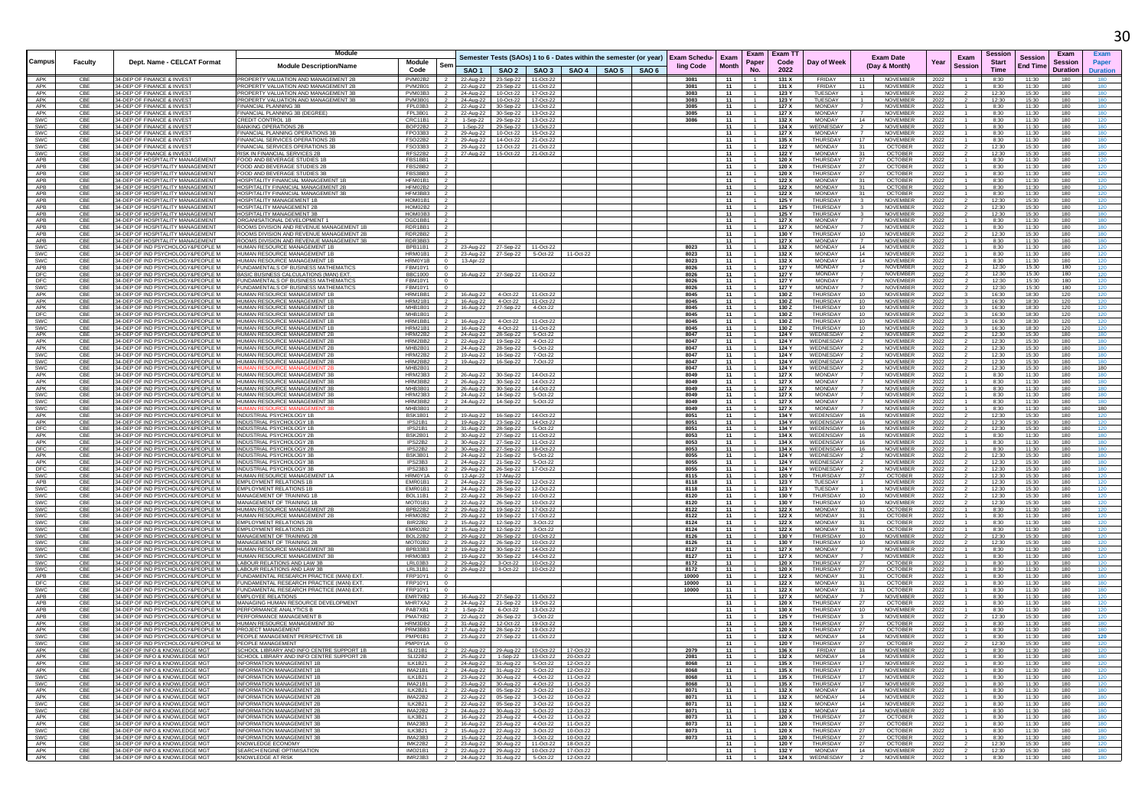|                          |            |                                                                        | Module                                                                               |                                                               |                        |                                                                         |                    |                                 |  |                                                                                              | Exam                  | Exam           | Exam T1        |                                |                                           | <b>Exam Date</b>                   |              | Exam           |                | <b>Session</b>  | Exam            |                 |
|--------------------------|------------|------------------------------------------------------------------------|--------------------------------------------------------------------------------------|---------------------------------------------------------------|------------------------|-------------------------------------------------------------------------|--------------------|---------------------------------|--|----------------------------------------------------------------------------------------------|-----------------------|----------------|----------------|--------------------------------|-------------------------------------------|------------------------------------|--------------|----------------|----------------|-----------------|-----------------|-----------------|
| Campus                   | Faculty    | Dept. Name - CELCAT Format                                             | <b>Module Description/Name</b>                                                       | Module<br>Ser                                                 |                        |                                                                         |                    |                                 |  | Semester Tests (SAOs) 1 to 6 - Dates within the semester (or year) Exam Schedu-<br>ling Code | <b>Month</b>          | Paper          | Code           | Day of Week                    |                                           | (Day & Month)                      | Year         | <b>Session</b> | <b>Start</b>   | <b>End Time</b> | <b>Session</b>  | Paper           |
|                          |            |                                                                        |                                                                                      | Code                                                          |                        | SAO 1   SAO 2   SAO 3   SAO 4   SAO 5   SAO 6                           |                    |                                 |  |                                                                                              |                       | No.            | 2022           |                                |                                           |                                    |              |                | Time           |                 | <b>Duration</b> | <b>Duration</b> |
| APK                      |            | 34-DEP OF FINANCE & INVES                                              | PROPERTY VALUATION AND MANAGEMENT 28                                                 | PVM02B2                                                       | 22-Aug-22              | 23-Sep-22 11-Oct-22                                                     |                    |                                 |  |                                                                                              |                       |                | 131X           | <b>FRIDAY</b>                  |                                           | <b>NOVEMBER</b>                    | 2022         |                | 8:30           | 11:30           | 180             |                 |
| APK<br>APK               | CBE<br>CBE | 34-DEP OF FINANCE & INVES<br>34-DEP OF FINANCE & INVES                 | PROPERTY VALUATION AND MANAGEMENT 2B<br>PROPERTY VALUATION AND MANAGEMENT 3B         | PVM2B01<br>PVM03B3 2                                          | 22-Aug-22              | 23-Sep-22 11-Oct-22<br>24-Aug-22 10-Oct-22 17-Oct-22                    |                    |                                 |  | 3081<br>3083                                                                                 | 11<br>11              |                | 131 X<br>123 Y | FRIDAY<br>TUESDAY              | -11<br>$\overline{1}$                     | <b>NOVEMBER</b><br><b>NOVEMBER</b> | 2022<br>2022 |                | 8:30<br>12:30  | 11:30<br>15:30  | 180<br>180      |                 |
| APK                      | CB         | 34-DEP OF FINANCE & INVE                                               | PROPERTY VALUATION AND MANAGEMENT 3E                                                 | PVM3B01<br>$\overline{2}$                                     | 24-Aug-22              | 10-Oct-22                                                               | 17-Oct-22          |                                 |  | 3083                                                                                         | 11                    |                | 123 Y          | TUESDAY                        |                                           | <b>NOVEMBER</b>                    | 2022         |                | 12:30          | 15:30           | 180             |                 |
| APK<br>APK               | CBE<br>CBE | 34-DEP OF FINANCE & INVE<br>34-DEP OF FINANCE & INVEST                 | FINANCIAL PLANNING 38<br>FINANCIAL PLANNING 3B (DEGREE)                              | FPL03B3<br>$\overline{\phantom{a}}$<br>FPL3B01 2              | 22-Aug-22              | 30-Sep-22 13-Oct-22                                                     |                    |                                 |  | 3085<br>3085                                                                                 | 11<br>11              | $\overline{1}$ | 127 X<br>127 X | MONDAY<br>MONDAY               | $\overline{7}$                            | <b>NOVEMBER</b><br><b>NOVEMBER</b> | 2022         |                | 8:30<br>8:30   | 11:30<br>11:30  | 180<br>180      |                 |
| SWC                      | CBE        | 34-DEP OF FINANCE & INVEST                                             | CREDIT CONTROL 1B                                                                    | CRC11B1 2                                                     | 22-Aug-22<br>1-Sep-22  | 30-Sep-22 13-Oct-22<br>29-Sep-22 13-Oct-22                              |                    |                                 |  | 3086                                                                                         | 11                    |                | 132 X          | MONDAY                         | 14                                        | <b>NOVEMBER</b>                    | 2022<br>2022 |                | 8:30           | 11:30           | 180             |                 |
| SWC                      | CBE        | 34-DEP OF FINANCE & INVEST                                             | <b>BANKING OPERATIONS 2E</b>                                                         | BOP22B2 2                                                     | 1-Sep-22               | 29-Sep-22 13-Oct-22                                                     |                    |                                 |  |                                                                                              | 11                    |                | 124 X          | WEDNESDAY                      | 2                                         | NOVEMBER                           | 2022         |                | 8:30           | 11:30           | 180             |                 |
| SWC                      | CB         | 34-DEP OF FINANCE & INVES                                              | <b>INANCIAL PLANNING OPERATIONS 3B</b>                                               | FPO33B3<br>$\overline{2}$                                     | 29-Aug-22              | 10-Oct-22   15-Oct-22                                                   |                    |                                 |  |                                                                                              | 11                    |                | 127 X          | MONDAY                         |                                           | <b>NOVEMBER</b>                    | 2022         |                | 8:30           | 11:30           | 180             |                 |
| SWC<br>SWC               | CBE<br>CBE | 34-DEP OF FINANCE & INVES<br>34-DEP OF FINANCE & INVES                 | <b>INANCIAL SERVICES OPERATIONS 2E</b><br>FINANCIAL SERVICES OPERATIONS 3E           | FSO22B2 2<br>FSO33B3 2                                        | 29-Aug-22              | 14-Oct-22 21-Oct-22<br>12-Oct-22 21-Oct-22                              |                    |                                 |  |                                                                                              | 11<br>11              |                | 135 X<br>122 Y | THURSDAY<br><b>MONDAY</b>      | 17<br>31                                  | NOVEMBER<br><b>OCTOBER</b>         | 2022<br>2022 |                | 8:30<br>12:30  | 11:30<br>15:30  | 180<br>180      |                 |
| SWC                      |            | 34-DEP OF FINANCE & INVEST                                             | RISK IN FINANCIAL SERVICES 2B                                                        | RFS22B2 2                                                     | 29-Aug-22<br>27-Aug-22 | 15-Oct-22 21-Oct-22                                                     |                    |                                 |  |                                                                                              | 11                    |                | 122 Y          | <b>MONDAY</b>                  | 31                                        | OCTOBER                            | 2022         |                | 12:30          | 15:30           | 180             |                 |
| APB                      | CBE        | 34-DEP OF HOSPITALITY MANAGEMENT                                       | FOOD AND BEVERAGE STUDIES 1E                                                         | FBS1BB1 2                                                     |                        |                                                                         |                    |                                 |  |                                                                                              | 11                    |                | 120 X          | THURSDAY                       | 27                                        | OCTOBER                            | 2022         |                | 8:30           | 11:30           | 180             |                 |
| APB                      | CBE        | 34-DEP OF HOSPITALITY MANAGEMENT                                       | FOOD AND BEVERAGE STUDIES 2B                                                         | FBS2BB2 2                                                     |                        |                                                                         |                    |                                 |  |                                                                                              | 11                    |                | 120 X          | THURSDAY                       | 27                                        | OCTOBER                            | 2022         |                | 8:30           | 11:30           | 180             | 120             |
| APB<br>APB               | CBE<br>CB  | 34-DEP OF HOSPITALITY MANAGEMENT<br>34-DEP OF HOSPITALITY MANAGEMENT   | FOOD AND BEVERAGE STUDIES 3B<br>HOSPITALITY FINANCIAL MANAGEMENT 1B                  | FBS3BB3 2<br>$\overline{2}$                                   |                        |                                                                         |                    |                                 |  |                                                                                              | 11<br>11              |                | 120 X<br>122 X | THURSDAY<br>MONDAY             | 27<br>31                                  | <b>OCTOBER</b><br>OCTOBER          | 2022<br>2022 |                | 8:30<br>8:30   | 11:30<br>11:30  | 180<br>180      |                 |
| APB                      | CB         | 34-DEP OF HOSPITALITY MANAGEMENT                                       | HOSPITALITY FINANCIAL MANAGEMENT 2E                                                  | HFM02B2                                                       |                        |                                                                         |                    |                                 |  |                                                                                              | 11                    |                | 122 X          | <b>MONDAY</b>                  | 31                                        | <b>OCTOBER</b>                     | 2022         |                | 8:30           | 11:30           | 180             |                 |
| APB                      | CBE        | 34-DEP OF HOSPITALITY MANAGEMENT                                       | HOSPITALITY FINANCIAL MANAGEMENT 3B                                                  | HFM3BB3 2                                                     |                        |                                                                         |                    |                                 |  |                                                                                              | 11                    |                | 122 X          | <b>MONDAY</b>                  | 31                                        | OCTOBER                            | 2022         |                | 8:30           | 11:30           | 180             |                 |
| APB<br>APB               | CBE<br>CBE | 34-DEP OF HOSPITALITY MANAGEMENT<br>34-DEP OF HOSPITALITY MANAGEMENT   | HOSPITALITY MANAGEMENT 1B<br>HOSPITALITY MANAGEMENT 2B                               | $HOMO1B1$ 2<br>HOM02B2<br>$\begin{array}{ccc} \end{array}$    |                        |                                                                         |                    |                                 |  |                                                                                              | 11<br>11              |                | 125 Y<br>125 Y | THURSDAY<br><b>THURSDAY</b>    | 3 <sup>3</sup><br>$\overline{\mathbf{3}}$ | <b>NOVEMBER</b><br><b>NOVEMBER</b> | 2022<br>2022 |                | 12:30<br>12:30 | 15:30<br>15:30  | 180<br>180      |                 |
| APB                      |            | 34-DEP OF HOSPITALITY MANAGEMENT                                       | HOSPITALITY MANAGEMENT 3                                                             | HOM03B3                                                       |                        |                                                                         |                    |                                 |  |                                                                                              | 11                    |                | 125 Y          | <b>THURSDAY</b>                |                                           | NOVEMBER                           | 2022         |                | 12:30          | 15:30           | 180             |                 |
| APR                      | CBE        | 34-DEP OF HOSPITALITY MANAGEMENT                                       | ORGANISATIONAL DEVELOPMENT 1                                                         | OGD1BB1                                                       |                        |                                                                         |                    |                                 |  |                                                                                              | 11                    |                | 127X           | <b>MONDAY</b>                  |                                           | <b>NOVEMBER</b>                    | 2022         |                | 8:30           | 11:30           | 180             |                 |
| APB<br><b>APB</b>        | CBE<br>CBE | 34-DEP OF HOSPITALITY MANAGEMENT<br>34-DEP OF HOSPITALITY MANAGEMENT   | ROOMS DIVISION AND REVENUE MANAGEMENT 1B<br>ROOMS DIVISION AND REVENUE MANAGEMENT 2B | RDR1BB1<br>$\overline{2}$<br>RDR2BB2 2                        |                        |                                                                         |                    |                                 |  |                                                                                              | 11<br>11              |                | 127 X<br>130 Y | <b>MONDAY</b><br>THURSDAY      | $\overline{7}$<br>10 <sup>1</sup>         | <b>NOVEMBER</b><br><b>NOVEMBER</b> | 2022         |                | 8:30<br>12:30  | 11:30<br>15:30  | 180<br>180      |                 |
| APB                      | CBE        | 34-DEP OF HOSPITALITY MANAGEMENT                                       | ROOMS DIVISION AND REVENUE MANAGEMENT 3B                                             | RDR3BB3 2                                                     |                        |                                                                         |                    |                                 |  |                                                                                              | 11                    |                | 127 X          | MONDAY                         | $\overline{7}$                            | <b>NOVEMBER</b>                    | 2022<br>2022 |                | 8:30           | 11:30           | 180             |                 |
| SWC                      | CBE        | 34-DEP OF IND PSYCHOLOGY&PEOPLE M                                      | HUMAN RESOURCE MANAGEMENT 1B                                                         | BPB11B1 2                                                     | 23-Aug-22              | 27-Sep-22 11-Oct-22                                                     |                    |                                 |  | 8023                                                                                         | 11                    |                | 132 X          | <b>MONDAY</b>                  | 14                                        | <b>NOVEMBER</b>                    | 2022         |                | 8:30           | 11:30           | 180             |                 |
| <b>SWC</b>               | CBE<br>CB  | 34-DEP OF IND PSYCHOLOGY&PEOPLE M                                      | HUMAN RESOURCE MANAGEMENT 1E                                                         | HRM01B1 2 23-Aug-22 27-Sep-22 5-Oct-22 11-Oct-22              |                        |                                                                         |                    |                                 |  | 8023                                                                                         | 11                    |                | 132X           | <b>MONDAY</b><br>MONDAY        | 14<br>14                                  | NOVEMBER                           | 2022         |                | 8:30           | 11:30<br>11:30  | 180             |                 |
| SWC<br>APB               | CBE        | 34-DEP OF IND PSYCHOLOGY&PEOPLE M<br>34-DEP OF IND PSYCHOLOGY&PEOPLE M | HUMAN RESOURCE MANAGEMENT 1B<br>UNDAMENTALS OF BUSINESS MATHEMATICS                  | HRM0Y1B 0<br>FBM10Y1 0                                        | 13-Apr-22              |                                                                         |                    |                                 |  | 8023<br>8026                                                                                 | 11<br>11              |                | 132 X<br>127 Y | MONDAY                         | $\overline{7}$                            | NOVEMBER<br><b>NOVEMBER</b>        | 2022<br>2022 |                | 8:30<br>12:30  | 15:30           | 180<br>180      |                 |
| <b>DFC</b>               | CBE        | 34-DEP OF IND PSYCHOLOGY&PEOPLE M                                      | BASIC BUSINESS CALCULATIONS (MAN) EXT.                                               | BBC1000 0                                                     | 16-Aug-22              | 27-Sep-22 11-Oct-22                                                     |                    |                                 |  | 8026                                                                                         | - 11 - I              |                | 127 Y          | <b>MONDAY</b>                  | 7                                         | NOVEMBER                           | 2022         |                | 12:30          | 15:30           | 180             |                 |
| <b>DFC</b>               | CBE        | 34-DEP OF IND PSYCHOLOGY&PEOPLE M                                      | FUNDAMENTALS OF BUSINESS MATHEMATICS                                                 | FBM10Y1 0                                                     |                        |                                                                         |                    |                                 |  | 8026                                                                                         | 11                    |                | 127 Y          | <b>MONDAY</b><br>MONDAY        | $\overline{7}$                            | <b>NOVEMBER</b>                    | 2022         |                | 12:30          | 15:30           | 180             |                 |
| SWC<br>APK               | CBE        | 34-DEP OF IND PSYCHOLOGY&PEOPLE M<br>34-DEP OF IND PSYCHOLOGY&PEOPLE M | FUNDAMENTALS OF BUSINESS MATHEMATICS<br>IUMAN RESOURCE MANAGEMENT 1E                 | FBM10Y1 0<br>HRM1BB1<br>$\overline{2}$                        | 16-Aug-22              | 4-Oct-22 11-Oct-22                                                      |                    |                                 |  | 8026<br>8045                                                                                 | 11<br>11              |                | 127 Y<br>130 Z | THURSDAY                       | $\overline{7}$<br>10                      | NOVEMBER<br><b>NOVEMBER</b>        | 2022<br>2022 |                | 12:30<br>16:30 | 15:30<br>18:30  | 180<br>120      |                 |
| APK                      | CB         | 34-DEP OF IND PSYCHOLOGY&PEOPLE M                                      | HUMAN RESOURCE MANAGEMENT 1E                                                         | <b>HRM21B1</b>                                                | 16-Aug-22              | 4-Oct-22 11-Oct-22                                                      |                    |                                 |  | 8045                                                                                         | 11                    |                | 130Z           | <b>THURSDAY</b>                | 10                                        | NOVEMBER                           | 2022         |                | 16:30          | 18:30           | 120             |                 |
| APK                      | CBE        | 34-DEP OF IND PSYCHOLOGY&PEOPLE M                                      | HUMAN RESOURCE MANAGEMENT 1B                                                         | MHB1B01 2                                                     | 16-Aug-22              | 27-Sep-22                                                               | 4-Oct-22           |                                 |  | 8045                                                                                         | 11                    |                | 130Z           | <b>THURSDAY</b>                | 10                                        | <b>NOVEMBER</b>                    | 2022         |                | 16:30          | 18:30           | 120             |                 |
| <b>DFC</b><br>SWC        | CB<br>CBE  | 34-DEP OF IND PSYCHOLOGY&PEOPLE M<br>34-DEP OF IND PSYCHOLOGY&PEOPLE M | HUMAN RESOURCE MANAGEMENT 1E<br>HUMAN RESOURCE MANAGEMENT 1E                         | MHB1B01<br>HRM1BB1<br>$\frac{1}{2}$                           | 16-Aug-22              | 4-Oct-22                                                                | 11-Oct-22          |                                 |  | 8045<br>8045                                                                                 | 11<br>11              |                | 130 Z<br>130 Z | THURSDAY<br>THURSDAY           | 10<br>10                                  | <b>NOVEMBER</b><br>NOVEMBER        | 2022<br>2022 |                | 16:30<br>16:30 | 18:30<br>18:30  | 120<br>120      |                 |
| SWC                      | CBE        | 34-DEP OF IND PSYCHOLOGY&PEOPLE M                                      | HUMAN RESOURCE MANAGEMENT 1B                                                         | HRM21B1 2                                                     | 16-Aug-22              | 4-Oct-22 11-Oct-22                                                      |                    |                                 |  | 8045                                                                                         | 11                    |                | 130 Z          | THURSDAY                       | 10                                        | <b>NOVEMBER</b>                    | 2022         |                | 16:30          | 18:30           | 120             | 120             |
| APK                      | CBE        | 34-DEP OF IND PSYCHOLOGY&PEOPLE M                                      | HUMAN RESOURCE MANAGEMENT 2E                                                         | <b>HRM22B2</b><br>$\overline{2}$                              | 24-Aug-22              | 28-Sep-22                                                               | 5-Oct-22           |                                 |  | 8047                                                                                         | 11                    |                | 124 Y          | WEDNESDAY                      | $\overline{2}$                            | NOVEMBER                           | 2022         |                | 12:30          | 15:30           | 180             |                 |
| APK<br>APK               | CBE        | 34-DEP OF IND PSYCHOLOGY&PEOPLE M<br>34-DEP OF IND PSYCHOLOGY&PEOPLE M | HUMAN RESOURCE MANAGEMENT 2E<br>HUMAN RESOURCE MANAGEMENT 2E                         | HRM2BB2<br>$\overline{2}$<br>MHB2B01                          | 22-Aug-22              | 19-Sep-22                                                               | 4-Oct-22           |                                 |  | 8047<br>8047                                                                                 | 11<br>11              |                | 124 Y<br>124 Y | WEDNESDAY<br>WEDNESDAY         |                                           | NOVEMBER<br><b>NOVEMBER</b>        | 2022         |                | 12:30<br>12:30 | 15:30<br>15:30  | 180<br>180      |                 |
| <b>SWC</b>               | CBE        | 34-DEP OF IND PSYCHOLOGY&PEOPLE M                                      | HUMAN RESOURCE MANAGEMENT 2B                                                         | HRM22B2 2                                                     | 24-Aug-22              | 28-Sep-22<br>19-Aug-22  16-Sep-22  7-Oct-22                             | 5-Oct-22           |                                 |  | 8047                                                                                         | 11 I                  |                | 124 Y          | WEDNESDAY                      | $\overline{2}$                            | <b>NOVEMBER</b>                    | 2022<br>2022 |                | 12:30          | 15:30           | 180             |                 |
| SWC                      | CBE        | 34-DEP OF IND PSYCHOLOGY&PEOPLE M                                      | HUMAN RESOURCE MANAGEMENT 2B                                                         | HRM2BB2 2                                                     | 19-Aug-22              | 16-Sep-22                                                               | 7-Oct-22           |                                 |  | 8047                                                                                         | 11                    |                | 124 Y          | WEDNESDAY                      |                                           | NOVEMBER                           | 2022         |                | 12:30          | 15:30           | 180             |                 |
| SWC<br>APK               | CB         | 34-DEP OF IND PSYCHOLOGY&PEOPLE M                                      |                                                                                      | MHB2B01                                                       |                        |                                                                         |                    |                                 |  | 8047<br>8049                                                                                 | 11<br>11              |                | 124 Y          | WEDNESDAY<br><b>MONDAY</b>     | $\overline{2}$                            | NOVEMBER<br>NOVEMBER               | 2022         |                | 12:30          | 15:30           | 180             |                 |
| APK                      | CBE        | 34-DEP OF IND PSYCHOLOGY&PEOPLE M<br>34-DEP OF IND PSYCHOLOGY&PEOPLE M | HUMAN RESOURCE MANAGEMENT 3E<br>HUMAN RESOURCE MANAGEMENT 3B                         | <b>HRM23B3</b><br>$\overline{2}$<br>HRM3BB2                   | 26-Aug-22<br>26-Aug-22 | 30-Sep-22<br>30-Sep-22 14-Oct-22                                        | 14-Oct-22          |                                 |  | 8049                                                                                         | 11                    |                | 127 X<br>127 X | MONDAY                         |                                           | NOVEMBER                           | 2022<br>2022 |                | 8:30<br>8:30   | 11:30<br>11:30  | 180<br>180      |                 |
| APK                      | CBE        | 34-DEP OF IND PSYCHOLOGY&PEOPLE M                                      | HUMAN RESOURCE MANAGEMENT 3B                                                         | MHB3B01<br>$\overline{2}$                                     | 26-Aug-22              | 30-Sep-22                                                               | 14-Oct-22          |                                 |  | 8049                                                                                         | 11                    |                | 127 X          | <b>MONDAY</b>                  | $\overline{7}$                            | <b>NOVEMBER</b>                    | 2022         |                | 8:30           | 11:30           | 180             |                 |
| SWC                      | CBE        | 34-DEP OF IND PSYCHOLOGY&PEOPLE M                                      | HUMAN RESOURCE MANAGEMENT 3B                                                         | HRM23B3 2                                                     | 24-Aug-22              | 14-Sep-22 5-Oct-22                                                      |                    |                                 |  | 8049                                                                                         | 11                    |                | 127 X          | <b>MONDAY</b>                  |                                           | <b>NOVEMBER</b>                    | 2022         |                | 8:30           | 11:30           | 180             |                 |
| <b>SWC</b><br><b>SWC</b> | CBE<br>CB  | 34-DEP OF IND PSYCHOLOGY&PEOPLE M<br>34-DEP OF IND PSYCHOLOGY&PEOPLE M | HUMAN RESOURCE MANAGEMENT 3E                                                         | HRM3BB2<br>$\overline{2}$<br>MHB3B01 2                        | 24-Aug-22              | 14-Sep-22                                                               | 5-Oct-22           |                                 |  | 8049<br>8049                                                                                 | 11<br>11              |                | 127 X<br>127X  | <b>MONDAY</b><br><b>MONDAY</b> |                                           | NOVEMBER<br>NOVEMBER               | 2022<br>2022 |                | 8:30<br>8:30   | 11:30<br>11:30  | 180<br>180      |                 |
| APK                      | CBE        | 34-DEP OF IND PSYCHOLOGY&PEOPLE M                                      | INDUSTRIAL PSYCHOLOGY 1B                                                             | <b>BSK1B01</b>                                                | 19-Aug-22              | 16-Sep-22                                                               | 14-Oct-22          |                                 |  | 8051                                                                                         | 11                    |                | 134 Y          | WEDENSDAY                      | 16                                        | NOVEMBER                           | 2022         |                | 12:30          | 15:30           | 180             |                 |
| APK                      | CBE        | 34-DEP OF IND PSYCHOLOGY&PEOPLE M                                      | INDUSTRIAL PSYCHOLOGY 1B                                                             | IPS21B1<br>$\overline{2}$                                     | 19-Aug-22              | 23-Sep-22                                                               | 14-Oct-22          |                                 |  | 8051                                                                                         | 11                    |                | 134 Y          | WEDENSDAY                      | 16                                        | <b>NOVEMBER</b>                    | 2022         |                | 12:30          | 15:30           | 180             |                 |
| DFC<br>APK               | CBE<br>CBE | 34-DEP OF IND PSYCHOLOGY&PEOPLE M<br>34-DEP OF IND PSYCHOLOGY&PEOPLE M | INDUSTRIAL PSYCHOLOGY 1B<br><b>INDUSTRIAL PSYCHOLOGY 2B</b>                          | IPS21B1 2<br>BSK2B01 2                                        | 31-Aug-22<br>30-Aug-22 | 28-Sep-22 5-Oct-22<br>27-Sep-22 11-Oct-22                               |                    |                                 |  | 8051<br>8053                                                                                 | 11<br>11 I            |                | 134 X          | 134 Y WEDENSDAY<br>WEDENSDAY   | 16<br>16                                  | <b>NOVEMBER</b><br><b>NOVEMBER</b> | 2022<br>2022 |                | 12.30<br>8:30  | 15:30<br>11:30  | 180<br>180      |                 |
| APK                      | CBE        | 34-DEP OF IND PSYCHOLOGY&PEOPLE M                                      | INDUSTRIAL PSYCHOLOGY 2B                                                             | IPS22B2 2                                                     |                        | 30-Aug-22 27-Sep-22 11-Oct-22                                           |                    |                                 |  | 8053                                                                                         | 11                    |                |                | 134 X WEDENSDAY                | 16                                        | <b>NOVEMBER</b>                    | 2022         |                | 8:30           | 11:30           | 180             |                 |
| DFC                      | CB         | 34-DEP OF IND PSYCHOLOGY&PEOPLE M                                      | INDUSTRIAL PSYCHOLOGY 2E                                                             | IPS22B2                                                       | 30-Aug-22              | 27-Sep-22 18-Oct-22                                                     |                    |                                 |  | 8053                                                                                         | 11                    |                | 134 X          | WEDENSDAY                      | 16                                        | <b>NOVEMBER</b>                    | 2022         |                | 8:30           | 11:30           | 180             |                 |
| APK<br>APK               | CB<br>CBE  | 34-DEP OF IND PSYCHOLOGY&PEOPLE M<br>34-DEP OF IND PSYCHOLOGY&PEOPLE M | INDUSTRIAL PSYCHOLOGY 3E<br>INDUSTRIAL PSYCHOLOGY 3B                                 | BSK3B01<br>$\overline{2}$<br>$IPS23B3$ 2                      | 24-Aug-22              | 21-Sep-22                                                               | 5-Oct-22           |                                 |  | 8055<br>8055                                                                                 | 11<br>11              |                | 124 Y<br>124 Y | WEDNESDAY<br>WEDNESDAY         |                                           | NOVEMBER<br><b>NOVEMBER</b>        | 2022<br>2022 |                | 12:30<br>12:30 | 15:30<br>15:30  | 180<br>180      |                 |
| <b>DFC</b>               | CBE        | 34-DEP OF IND PSYCHOLOGY&PEOPLE M                                      | INDUSTRIAL PSYCHOLOGY 3B                                                             | $IPS23B3$ 2                                                   | 24-Aug-22<br>29-Aug-22 | 21-Sep-22 5-Oct-22<br>26-Sep-22                                         | 17-Oct-22          |                                 |  | 8055                                                                                         | $11 \quad$            |                | 124 Y          | WEDNESDAY                      | $\overline{2}$                            | <b>NOVEMBER</b>                    | 2022         |                | 12:30          | 15:30           | 180             |                 |
| SWC                      | CB         | 34-DEP OF IND PSYCHOLOGY&PEOPLE M                                      | HUMAN RESOURCE MANAGEMENT 1A                                                         | HRM0Y1A 0                                                     | 12-Apr-22              | 17-May-22                                                               |                    |                                 |  | 8115                                                                                         | 11                    |                | 120 Y          | THURSDAY                       | 27                                        | <b>OCTOBER</b>                     | 2022         |                | 12:30          | 15:30           | 180             |                 |
| <b>APB</b>               | CBE        | 34-DEP OF IND PSYCHOLOGY&PEOPLE M                                      | EMPLOYMENT RELATIONS 1B                                                              | EMR01B1 2                                                     | 24-Aug-22              | 28-Sep-22 12-Oct-22                                                     |                    |                                 |  | 8118                                                                                         | 11 <b>I</b>           |                | 123 Y          | TUESDAY                        | 1                                         | <b>NOVEMBER</b>                    | 2022         |                | 12:30          | 15:30           | 180             |                 |
| SWC<br><b>SWC</b>        | CB<br>CBE  | 34-DEP OF IND PSYCHOLOGY&PEOPLE M<br>34-DEP OF IND PSYCHOLOGY&PEOPLE M | EMPLOYMENT RELATIONS 1<br>MANAGEMENT OF TRAINING 1B                                  | EMR01B1 2<br>BOL11B1 2                                        | 22-Aug-22              | 24-Aug-22 28-Sep-22 12-Oct-22<br>26-Sep-22 10-Oct-22                    |                    |                                 |  | 8118<br>8120                                                                                 | 11<br>11              |                | 123 Y<br>130 Y | TUESDAY<br>THURSDAY            | 10                                        | NOVEMBER<br><b>NOVEMBER</b>        | 2022<br>2022 |                | 12:30<br>12:30 | 15:30<br>15:30  | 180<br>180      |                 |
| SWC                      | CBE        | 34-DEP OF IND PSYCHOLOGY&PEOPLE M.                                     | MANAGEMENT OF TRAINING 1B                                                            | MOT01B1 2                                                     | 22-Aug-22              | 26-Sep-22 10-Oct-22                                                     |                    |                                 |  | 8120                                                                                         | 11                    |                | 130 Y          | THURSDAY                       | 10                                        | <b>NOVEMBER</b>                    | 2022         |                | 12.30          | 15:30           | 180             |                 |
| $SW\overline{C}$         | CB         | 34-DEP OF IND PSYCHOLOGY&PEOPLE M                                      | HUMAN RESOURCE MANAGEMENT 2B                                                         | BPB22B2<br>$\overline{2}$                                     | 29-Aug-22              | 19-Sep-22                                                               | 17-Oct-22          |                                 |  | 8122                                                                                         | 11                    |                | 122 X          | <b>MONDAY</b>                  | 31                                        | <b>OCTOBER</b>                     | 2022         |                | 8:30           | 11:30           | 180             |                 |
| SWC<br>SWC               | CBE<br>CB  | 34-DEP OF IND PSYCHOLOGY&PEOPLE M<br>34-DEP OF IND PSYCHOLOGY&PEOPLE M | HUMAN RESOURCE MANAGEMENT 2E<br><b>EMPLOYMENT RELATIONS 2B</b>                       | $HRM02B2$   2<br>BIR22B2<br>$\overline{2}$                    | 29-Aug-22<br>15-Aug-22 | 19-Sep-22 17-Oct-22<br>12-Sep-22                                        | 3-Oct-22           |                                 |  | 8122<br>8124                                                                                 | 11<br>11              |                | 122 X<br>122 X | MONDAY<br><b>MONDAY</b>        | 31<br>31                                  | OCTOBER<br><b>OCTOBER</b>          | 2022<br>2022 |                | 8:30<br>8:30   | 11:30<br>11:30  | 180<br>180      |                 |
| <b>SWC</b>               | CB         | 34-DEP OF IND PSYCHOLOGY&PEOPLE M                                      | <b>EMPLOYMENT RELATIONS 2E</b>                                                       | EMR02B2                                                       | 15-Aug-22              | 12-Sep-22                                                               | $3-0ct-22$         |                                 |  | 8124                                                                                         | 11                    |                | 122X           | MONDAY                         | 31                                        | <b>OCTOBER</b>                     | 2022         |                | 8:30           | 11:30           | 180             |                 |
| SWC                      | CBE        | 34-DEP OF IND PSYCHOLOGY&PEOPLE M                                      | MANAGEMENT OF TRAINING 2B                                                            | BOL22B2 2                                                     | 29-Aug-22              | 26-Sep-22                                                               | 10-Oct-22          |                                 |  | 8126                                                                                         | 11                    |                | 130 Y          | THURSDAY                       | 10                                        | NOVEMBER                           | 2022         |                | 12:30          | 15:30           | 180             |                 |
| SWC<br><b>SWC</b>        | CBE<br>CBE | 34-DEP OF IND PSYCHOLOGY&PEOPLE M<br>34-DEP OF IND PSYCHOLOGY&PEOPLE M | MANAGEMENT OF TRAINING 2B<br>HUMAN RESOURCE MANAGEMENT 3E                            | MOT02B2<br>$\overline{2}$<br>BPB33B3 2                        | 29-Aug-22<br>19-Aug-22 | 26-Sep-22<br>30-Sep-22 14-Oct-22                                        | 10-Oct-22          |                                 |  | 8126<br>8127                                                                                 | 11<br>$\overline{11}$ |                | 130 Y<br>127 X | THURSDAY<br>MONDAY             | 10<br>7                                   | <b>NOVEMBER</b><br>NOVEMBER        | 2022<br>2022 |                | 12:30<br>8:30  | 15:30<br>11:30  | 180<br>180      |                 |
| SWC                      | CB         | 34-DEP OF IND PSYCHOLOGY&PEOPLE M                                      | <b>IUMAN RESOURCE MANAGEMENT 3B</b>                                                  | HRM03B3 2                                                     | 19-Aug-22              | 30-Sep-22 14-Oct-22                                                     |                    |                                 |  | 8127                                                                                         | 11                    |                | 127 X          | <b>MONDAY</b>                  |                                           | NOVEMBER                           | 2022         |                | 8:30           | 11:30           | 180             |                 |
| SWC                      | CB         | 34-DEP OF IND PSYCHOLOGY&PEOPLE M                                      | ABOUR RELATIONS AND LAW 3E                                                           | LRL03B3 2                                                     |                        | 29-Aug-22 3-Oct-22 10-Oct-22                                            |                    |                                 |  | 8172                                                                                         | 11                    |                | 120 X          | THURSDAY                       | 27                                        | <b>OCTOBER</b>                     | 2022         |                | 8:30           | 11:30           | 180             |                 |
| SWC<br>APB               | CBE<br>CBE | 34-DEP OF IND PSYCHOLOGY&PEOPLE M<br>34-DEP OF IND PSYCHOLOGY&PEOPLE M | LABOUR RELATIONS AND LAW 3B<br>FUNDAMENTAL RESEARCH PRACTICE (MAN) EXT               | LRL31B1 2<br>FRP10Y1 0                                        | 29-Aug-22              | 3-Oct-22   10-Oct-22                                                    |                    |                                 |  | 8172<br>10000                                                                                | 11<br>11              |                | 120 X<br>122 X | THURSDAY<br><b>MONDAY</b>      | 27<br>31                                  | OCTOBER<br><b>OCTOBER</b>          | 2022<br>2022 |                | 8:30<br>8:30   | 11:30<br>11:30  | 180<br>180      |                 |
| DFC                      | CBE        | 34-DEP OF IND PSYCHOLOGY&PEOPLE M                                      | FUNDAMENTAL RESEARCH PRACTICE (MAN) EXT                                              | FRP10Y1 0                                                     |                        |                                                                         |                    |                                 |  | 10000                                                                                        | 11                    |                | 122 X          | <b>MONDAY</b>                  | 31                                        | OCTOBER                            | 2022         |                | 8:30           | 11:30           | 180             |                 |
| SWC                      | CBE        | 34-DEP OF IND PSYCHOLOGY&PEOPLE M                                      | FUNDAMENTAL RESEARCH PRACTICE (MAN) EXT                                              | FRP10Y1 0                                                     |                        |                                                                         |                    |                                 |  | 10000                                                                                        | 11                    |                | 122 X          | MONDAY                         | 31                                        | <b>OCTOBER</b>                     | 2022         |                | 8:30           | 11:30           | 180             |                 |
| APB<br>APB               | CBE<br>CB  | 34-DEP OF IND PSYCHOLOGY&PEOPLE M<br>34-DEP OF IND PSYCHOLOGY&PEOPLE M | <b>EMPLOYEE RELATIONS</b><br>MANAGING HUMAN RESOURCE DEVELOPMENT                     | EMR7XB2 2<br>MHR7XA2 2                                        | 16-Aug-22              | 27-Sep-22 11-Oct-22<br>24-Aug-22 21-Sep-22 19-Oct-22                    |                    |                                 |  |                                                                                              | 11<br>11              |                | 127 X<br>120 X | MONDAY<br>THURSDAY             | $\overline{7}$<br>27                      | NOVEMBER<br><b>OCTOBER</b>         | 2022<br>2022 |                | 8:30<br>8:30   | 11:30<br>11:30  | 180<br>180      |                 |
| APB                      | CBE        | 34-DEP OF IND PSYCHOLOGY&PEOPLE M                                      | PERFORMANCE ANALYTICS B                                                              | PAB7XB1 2                                                     | $1-Sep-22$             | 6-Oct-22  13-Oct-22                                                     |                    |                                 |  |                                                                                              | 11                    |                | 130 X          | THURSDAY                       | 10                                        | <b>NOVEMBER</b>                    | 2022         |                | 8:30           | 11:30           | 180             |                 |
| APB                      | CB         | 34-DEP OF IND PSYCHOLOGY&PEOPLE M                                      | PERFORMANCE MANAGEMENT I                                                             | PMA7XB2 2                                                     | 22-Aug-22              | 26-Sep-22                                                               | 3-Oct-22           |                                 |  |                                                                                              | 11                    |                | 125 Y          | THURSDAY                       | $\overline{\mathbf{3}}$                   | NOVEMBER                           | 2022         |                | 12:30          | 15:30           | 180             |                 |
| APK<br>APK               | CBE<br>CBE | 34-DEP OF IND PSYCHOLOGY&PEOPLE M<br>34-DEP OF IND PSYCHOLOGY&PEOPLE M | HUMAN RESOURCE MANAGEMENT 3D<br>PROJECT MANAGEMENT                                   | HRM3DB2 2<br>PRM3BB3 2                                        |                        | 31-Aug-22 12-Oct-22 19-Oct-22                                           |                    |                                 |  |                                                                                              | 11<br>11              |                | 120 X<br>120 X | THURSDAY<br>THURSDAY           | 27<br>27                                  | <b>OCTOBER</b><br>OCTOBER          | 2022         |                | 8:30<br>8:30   | 11:30<br>11:30  | 180<br>180      |                 |
| SWC                      | CBE        | 34-DEP OF IND PSYCHOLOGY&PEOPLE M                                      | PEOPLE MANAGEMENT PERSPECTIVE 1B                                                     | PMP01B1 2                                                     | 23-Aug-22              | 17-Aug-22 28-Sep-22 19-Oct-22<br>27-Sep-22                              | 11-Oct-22          |                                 |  |                                                                                              | 11                    |                | 132 X          | <b>MONDAY</b>                  | 14                                        | NOVEMBER                           | 2022<br>2022 |                | 8:30           | 11:30           | 180             |                 |
| SWC                      | CBE        | 34-DEP OF IND PSYCHOLOGY&PEOPLE M                                      | PEOPLE MANAGEMENT                                                                    | PMP0Y1A                                                       |                        |                                                                         |                    |                                 |  |                                                                                              | 11                    |                | 120 Y          | THURSDAY                       | 27                                        | <b>OCTOBER</b>                     | 2022         |                | 12:30          | 15:30           | 180             |                 |
| APK                      | CB         | 34-DEP OF INFO & KNOWLEDGE MGT                                         | SCHOOL LIBRARY AND INFO CENTRE SUPPORT 1B                                            | <b>SLI21B1</b><br>$\overline{2}$                              | 22-Aug-22              | 29-Aug-22                                                               |                    | 10-Oct-22 17-Oct-22             |  | 2079                                                                                         | 11                    |                | 136 X          | FRIDAY                         | 18                                        | <b>NOVEMBER</b>                    | 2022         |                | 8:30           | 11:30           | 180             |                 |
| APK<br>APK               | CBE<br>CBE | 34-DEP OF INFO & KNOWLEDGE MGT<br>34-DEP OF INFO & KNOWLEDGE MGT       | SCHOOL LIBRARY AND INFO CENTRE SUPPORT 2B<br><b>INFORMATION MANAGEMENT 1B</b>        | SLI22B2 2<br>ILK1B21 2                                        | 25-Aug-22<br>24-Aug-22 | 1-Sep-22 13-Oct-22 20-Oct-22<br>31-Aug-22 5-Oct-22 12-Oct-22            |                    |                                 |  | 2081<br>8068                                                                                 | 11<br>11              |                | 132 X<br>135 X | MONDAY<br><b>THURSDAY</b>      | 14<br>17                                  | NOVEMBER<br><b>NOVEMBER</b>        | 2022<br>2022 |                | 8:30<br>8:30   | 11:30<br>11:30  | 180<br>180      |                 |
| APK                      | CB         | 34-DEP OF INFO & KNOWLEDGE MG                                          | <b>INFORMATION MANAGEMENT 1</b>                                                      | <b>IMA21B1</b><br>$\overline{2}$                              | 24-Aug-22              | 31-Aug-22 5-Oct-22                                                      |                    | 12-Oct-22                       |  | 8068                                                                                         | 11                    |                | 135 X          | THURSDAY                       | 17                                        | NOVEMBER                           | 2022         |                | 8:30           | 11:30           | 180             |                 |
| SWC                      | CB         | 34-DEP OF INFO & KNOWLEDGE MGT                                         | <b>INFORMATION MANAGEMENT 1</b>                                                      | ILK1B21<br>$\overline{2}$                                     | 23-Aug-22              | 30-Aug-22                                                               | 4-Oct-22           | 11-Oct-22                       |  | 8068<br>8068                                                                                 | 11                    |                | 135 X          | THURSDAY<br><b>THURSDAY</b>    | 17<br>17                                  | <b>NOVEMBER</b>                    | 2022         |                | 8:30           | 11:30<br>11:30  | 180<br>180      |                 |
| SWC<br>APK               | CBE<br>CBE | 34-DEP OF INFO & KNOWLEDGE MGT<br>34-DEP OF INFO & KNOWLEDGE MGT       | INFORMATION MANAGEMENT 1E<br><b>INFORMATION MANAGEMENT 2B</b>                        | <b>IMA21B1</b><br>$\overline{2}$<br>$\overline{2}$<br>ILK2B21 | 23-Aug-22<br>22-Aug-22 | 30-Aug-22  4-Oct-22  11-Oct-22<br>05-Sep-22                             |                    | 3-Oct-22 10-Oct-22              |  | 8071                                                                                         | 11<br>11              |                | 135 X<br>132 X | MONDAY                         | 14                                        | <b>NOVEMBER</b><br>NOVEMBER        | 2022<br>2022 |                | 8:30<br>8:30   | 11:30           | 180             |                 |
| APK                      | CBE        | 34-DEP OF INFO & KNOWLEDGE MGT                                         | <b>INFORMATION MANAGEMENT 2B</b>                                                     | IMA22B2 2                                                     | 22-Aug-22              | 05-Sep-22                                                               |                    | 3-Oct-22 10-Oct-22              |  | 8071                                                                                         | 11                    |                | 132 X          | MONDAY                         | 14                                        | <b>NOVEMBER</b>                    | 2022         |                | 8:30           | 11:30           | 180             |                 |
| SWC                      | CB         | 34-DEP OF INFO & KNOWLEDGE MGT                                         | <b>INFORMATION MANAGEMENT 2B</b>                                                     | ILK2B21<br>$\overline{2}$                                     | 22-Aug-22              | 05-Sep-22 3-Oct-22 10-Oct-22                                            |                    |                                 |  | 8071                                                                                         | 11                    |                | 132 X          | <b>MONDAY</b>                  | 14                                        | <b>NOVEMBER</b>                    | 2022         |                | 8:30           | 11:30           | 180             |                 |
| SWC<br>APK               | CBE<br>CB  | 34-DEP OF INFO & KNOWLEDGE MGT<br>34-DEP OF INFO & KNOWLEDGE MGT       | <b>INFORMATION MANAGEMENT 28</b><br><b>INFORMATION MANAGEMENT 38</b>                 | <b>IMA22B2</b><br>$\frac{1}{2}$<br>ILK3B21<br>$\overline{2}$  | 24-Aug-22<br>16-Aug-22 | 30-Aug-22<br>23-Aug-22                                                  | 4-Oct-22           | 5-Oct-22 12-Oct-22<br>11-Oct-22 |  | 8071<br>8073                                                                                 | 11<br>11              |                | 132 X<br>120 X | <b>MONDAY</b><br>THURSDAY      | 14<br>27                                  | NOVEMBER<br><b>OCTOBER</b>         | 2022<br>2022 |                | 8:30<br>8:30   | 11:30<br>11:30  | 180<br>180      |                 |
| APK                      |            | 34-DEP OF INFO & KNOWLEDGE MGT                                         | <b>INFORMATION MANAGEMENT 38</b>                                                     | IMA23B3                                                       | 16-Aug-22              | 23-Aug-22                                                               | 4-Oct-22 11-Oct-22 |                                 |  | 8073                                                                                         | 11                    |                | 120 X          | THURSDAY                       |                                           | <b>OCTOBER</b>                     | 2022         |                | 8:30           | 11:30           | 180             |                 |
| <b>SWC</b>               | CBE        | 34-DEP OF INFO & KNOWLEDGE MGT                                         | <b>INFORMATION MANAGEMENT 3B</b>                                                     | $ LK3B21$ 2                                                   | 15-Aug-22              | 22-Aug-22 3-Oct-22 10-Oct-22                                            |                    |                                 |  | 8073                                                                                         | - 11 - I              |                | 120 X          | THURSDAY                       | 27                                        | OCTOBER                            | 2022         |                | 8:30           | 11:30           | 180             |                 |
| SWC<br>APK               | CBE<br>CBE | 34-DEP OF INFO & KNOWLEDGE MGT<br>34-DEP OF INFO & KNOWLEDGE MGT       | INFORMATION MANAGEMENT 3B<br>KNOWLEDGE ECONOMY                                       | IMA23B3 2<br><b>IMK22B2</b><br>$\vert$ 2                      | 23-Aug-22              | 15-Aug-22 22-Aug-22 3-Oct-22 10-Oct-22<br>30-Aug-22 11-Oct-22 18-Oct-22 |                    |                                 |  | 8073                                                                                         | 11<br>11              | $-1$           | 120 X<br>120 Y | THURSDAY<br>THURSDAY           | 27<br>27                                  | <b>OCTOBER</b><br><b>OCTOBER</b>   | 2022<br>2022 |                | 8:30<br>12:30  | 11:30<br>15:30  | 180<br>180      |                 |
| APK                      |            | 34-DEP OF INFO & KNOWLEDGE MGT                                         | SEARCH ENGINE OPTIMISATION                                                           | <b>IMO21B1</b>                                                |                        | 2 22-Aug-22 29-Aug-22 10-Oct-22 17-Oct-22                               |                    |                                 |  |                                                                                              | 11                    | $\overline{1}$ | 132 Y          | <b>MONDAY</b>                  | 14                                        | NOVEMBER                           | 2022         |                | 12:30          | 15:30           | 180             |                 |
| APK                      |            | 34-DEP OF INFO & KNOWLEDGE MGT                                         | KNOWLEDGE AT RISK                                                                    | <b>IMR23B3</b>                                                | 2 24-Aug-22            | 31-Aug-22                                                               | 5-Oct-22           | 12-Oct-22                       |  |                                                                                              | 11                    |                | 124X           | WEDNESDAY                      |                                           | NOVEMBER                           | 2022         |                | 8:30           | 11:30           |                 |                 |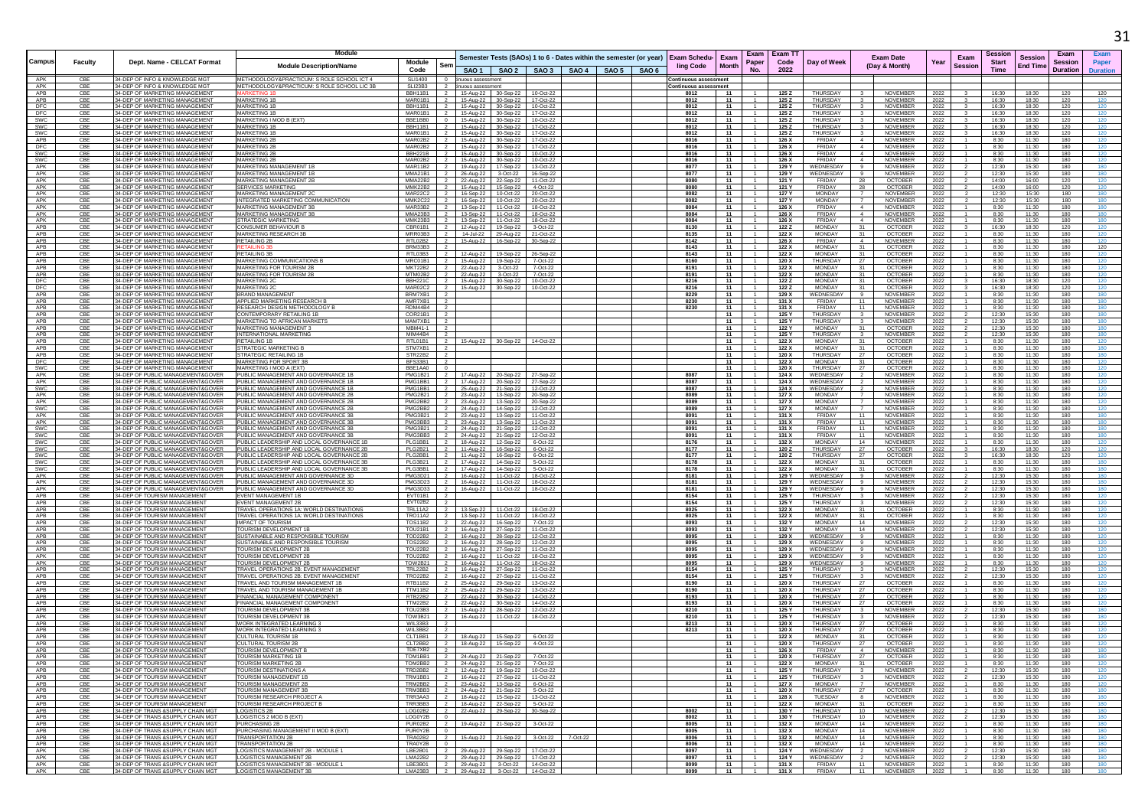|                   |                |                                                                          | Module                                                                           |                                  |                                  |                                                                                          |                        |                   |                       |              |                                  | Exam   Exam TT                |                                                                        |                                  |                                    |              |                                  | Sessior        |                 | Exam            |                 |
|-------------------|----------------|--------------------------------------------------------------------------|----------------------------------------------------------------------------------|----------------------------------|----------------------------------|------------------------------------------------------------------------------------------|------------------------|-------------------|-----------------------|--------------|----------------------------------|-------------------------------|------------------------------------------------------------------------|----------------------------------|------------------------------------|--------------|----------------------------------|----------------|-----------------|-----------------|-----------------|
| Campus            | <b>Faculty</b> | Dept. Name - CELCAT Format                                               |                                                                                  | Module                           | Ser                              | Semester Tests (SAOs) 1 to 6 - Dates within the semester (or year)   Exam Schedu-   Exam |                        |                   |                       |              | Paper                            | Code                          | Day of Week                                                            |                                  | <b>Exam Date</b>                   | Year         | Exam                             | <b>Start</b>   | <b>Session</b>  | <b>Session</b>  | Paper           |
|                   |                |                                                                          | <b>Module Description/Name</b>                                                   | Code                             |                                  | SAO 1   SAO 2   SAO 3   SAO 4   SAO 5   SAO 6                                            |                        |                   | ling Code             | <b>Month</b> | No.                              | 2022                          |                                                                        |                                  | (Day & Month)                      |              | <b>Session</b>                   | Time           | <b>End Time</b> | <b>Duration</b> | <b>Duration</b> |
| APK               | CB             | 34-DEP OF INFO & KNOWLEDGE MG                                            | METHODOLOGY&PRACTICUM: S ROLE SCHOOL ICT 4                                       | <b>SLI1400</b>                   |                                  | nuous assessment                                                                         |                        |                   | ontinuous assessment  |              |                                  |                               |                                                                        |                                  |                                    |              |                                  |                |                 |                 |                 |
| APK               | CBE            | 34-DEP OF INFO & KNOWLEDGE MGT                                           | METHODOLOGY&PRACTICUM: S.ROLE SCHOOL LIC 3B                                      | SI 123B3                         | $\overline{2}$                   | nuous assessment                                                                         |                        |                   | ontinuous assessment; |              |                                  |                               |                                                                        |                                  |                                    |              |                                  |                |                 |                 |                 |
| APB<br>APB        | CBE<br>CB      | 34-DEP OF MARKETING MANAGEMENT<br>34-DEP OF MARKETING MANAGEMENT         | <b>MARKETING 1</b>                                                               | BBH11B1<br>MAR01B                | $\overline{2}$                   | 15-Aug-22 30-Sep-22<br>5-Aug-22 30-Sep-22                                                | 10-Oct-22<br>17-Oct-22 |                   | 8012<br>8012          | 11<br>11     |                                  | 125 Z<br>125 Z                | THURSDAY<br>THURSDAY                                                   |                                  | NOVEMBER<br>NOVEMBER               | 2022<br>2022 |                                  | 16:30<br>16:30 | 18:30<br>18:30  | 120<br>120      | 120<br>120      |
| DFC               | CBE            | 34-DEP OF MARKETING MANAGEMENT                                           | <b>MARKETING 1E</b>                                                              | <b>BBH11B1</b>                   |                                  | 15-Aug-22 30-Sep-22                                                                      | 10-Oct-22              |                   | 8012                  | - 11         |                                  | 125 Z                         | THURSDAY                                                               |                                  | <b>NOVEMBER</b>                    | 2022         |                                  | 16:30          | 18:30           | 120             | 120             |
| DFC               | CBE            | 34-DEP OF MARKETING MANAGEMENT                                           | <b>MARKETING 1B</b>                                                              | MAR01B1                          |                                  | 15-Aug-22 30-Sep-22                                                                      | 17-Oct-22              |                   | 8012                  | 11           |                                  | 125 Z                         | <b>THURSDAY</b>                                                        |                                  | NOVEMBER                           | 2022         |                                  | 16:30          | 18:30           | 120             | 120             |
| SWC               | CB             | 34-DEP OF MARKETING MANAGEMENT                                           | <b>IARKETING I MOD B (EXT)</b>                                                   | BBE1BB0                          |                                  | 15-Aug-22<br>30-Sep-22                                                                   | 10-Oct-22              |                   | 8012                  | 11           |                                  | 125 Z                         | <b>THURSDAY</b><br>THURSDAY                                            |                                  | NOVEMBER                           | 2022         |                                  | 16:30          | 18:30           | 120             | 120             |
| <b>SWC</b><br>SWC | CBE<br>CBE     | 34-DEP OF MARKETING MANAGEMENT<br>34-DEP OF MARKETING MANAGEMENT         | <b>MARKETING 1B</b><br><b>MARKETING 1E</b>                                       | BBH11B1<br>MAR01B1               |                                  | 15-Aug-22 30-Sep-22<br>15-Aug-22 30-Sep-22                                               | 17-Oct-22<br>17-Oct-22 |                   | 8012<br>8012          | - 11<br>11   |                                  | 125 Z<br>125 Z                | THURSDAY                                                               |                                  | <b>NOVEMBER</b><br><b>NOVEMBER</b> | 2022<br>2022 |                                  | 16:30<br>16:30 | 18:30<br>18:30  | 120<br>120      | 120             |
| APB               | CB             | 34-DEP OF MARKETING MANAGEMENT                                           | <b>MARKETING 28</b>                                                              | MAR02B2                          |                                  | 15-Aug-22<br>30-Sep-22                                                                   | 17-Oct-22              |                   | 8016                  | 11           |                                  | 126 X                         | FRIDAY                                                                 | $\overline{4}$                   | NOVEMBER                           | 2022         |                                  | 8:30           | 11:30           | 180             | 120             |
| DFC               | CBE            | 34-DEP OF MARKETING MANAGEMENT                                           | <b>MARKETING 2E</b>                                                              | MAR02B2                          |                                  | 15-Aug-22 30-Sep-22                                                                      | 17-Oct-22              |                   | 8016                  | 11           |                                  | 126 X                         | FRIDAY                                                                 |                                  | NOVEMBER                           | 2022         |                                  | 8:30           | 11:30           | 180             | 120             |
| <b>SWC</b><br>SWC | CB<br>CBE      | 34-DEP OF MARKETING MANAGEMENT<br>34-DEP OF MARKETING MANAGEMENT         | <b>MARKETING 28</b><br><b>MARKETING 2B</b>                                       | <b>BBH221B</b><br>MAR02B2        |                                  | 15-Aug-22 30-Sep-22<br>15-Aug-22 30-Sep-22                                               | 10-Oct-22<br>10-Oct-22 |                   | 8016<br>8016          | 11<br>11     |                                  | 126 X<br>126 X                | FRIDAY<br>FRIDAY                                                       | $\sim$<br>$\sim$                 | <b>NOVEMBER</b><br>NOVEMBER        | 2022<br>2022 |                                  | 8:30<br>8:30   | 11:30<br>11:30  | 180<br>180      | 120<br>120      |
| APK               | CBE            | 34-DEP OF MARKETING MANAGEMENT                                           | MARKETING MANAGEMENT 1B                                                          | MAR11B2                          | $\overline{2}$                   | 19-Aug-22 17-Sep-22                                                                      | 13-Oct-22              |                   | 8077                  | 11           |                                  | 129 Y                         | WEDNESDAY                                                              | 9                                | NOVEMBER                           | 2022         |                                  | 12:30          | 15:30           | 180             | 180             |
| APK               | CB             | 34-DEP OF MARKETING MANAGEMENT                                           | WARKETING MANAGEMENT 11                                                          | <b>MMA21B1</b>                   |                                  | 26-Aug-22 3-Oct-22                                                                       | 16-Sep-22              |                   | 8077                  | 11           |                                  | 129 Y                         | WEDNESDAY                                                              |                                  | NOVEMBER                           | 2022         |                                  | 12:30          | 15:30           | 180             | 180             |
| APK               | CBE            | 34-DEP OF MARKETING MANAGEMENT                                           | MARKETING MANAGEMENT 2F                                                          | <b>MMA22B2</b>                   |                                  | 22-Aug-22 22-Sep-22                                                                      | 11-Oct-22              |                   | 8080                  | 11           | $-1$                             | 121 Y                         | FRIDAY                                                                 | 28                               | <b>OCTOBER</b>                     | 2022         |                                  | 14:00          | 16:00           | 120             | 120             |
| APK<br>APK        | CB<br>CBE      | 34-DEP OF MARKETING MANAGEMENT<br>34-DEP OF MARKETING MANAGEMENT         | <b>SERVICES MARKETING</b><br><b><i>MARKETING MANAGEMENT 20</i></b>               | MMK22B2<br>MAR22C2               |                                  | 15-Aug-22<br>15-Sep-22<br>16-Sep-22   10-Oct-22                                          | 4-Oct-22<br>20-Oct-22  |                   | 8080<br>8082          | 11<br>11     |                                  | 121 Y<br>127 Y                | FRIDAY<br><b>MONDAY</b>                                                | 28                               | <b>OCTOBER</b><br><b>NOVEMBER</b>  | 2022<br>2022 |                                  | 14:00<br>12:30 | 16:00<br>15:30  | 120<br>180      | 180             |
| APK               | CBE            | 34-DEP OF MARKETING MANAGEMENT                                           | INTEGRATED MARKETING COMMUNICATION                                               | MMK2C22                          | $\overline{2}$                   | 16-Sep-22 10-Oct-22                                                                      | 20-Oct-22              |                   | 8082                  | 11           |                                  | 127 Y                         | <b>MONDAY</b>                                                          | $\overline{7}$                   | <b>NOVEMBER</b>                    | 2022         |                                  | 12:30          | 15:30           | 180             | 180             |
| APK               | CBE            | 34-DEP OF MARKETING MANAGEMENT                                           | MARKETING MANAGEMENT 3E                                                          | MAR33B2                          |                                  | 13-Sep-22 11-Oct-22                                                                      | 18-Oct-22              |                   | 8084                  | 11           |                                  | 126 X                         | FRIDAY                                                                 | $\sim$                           | NOVEMBER                           | 2022         |                                  | 8:30           | 11:30           | 180             | 180             |
| APK<br>APK        | CB<br>CBE      | 34-DEP OF MARKETING MANAGEMENT<br>34-DEP OF MARKETING MANAGEMENT         | <b>MARKETING MANAGEMENT :</b><br><b>STRATEGIC MARKETING</b>                      | MMA23B3<br>MMK23B3               |                                  | 13-Sep-22<br>11-Oct-22<br>13-Sep-22 11-Oct-22                                            | 18-Oct-22<br>18-Oct-22 |                   | 8084<br>8084          | 11<br>11     |                                  | 126 X<br>126 X                | FRIDAY<br>FRIDAY                                                       | $\overline{4}$<br>$\overline{4}$ | NOVEMBER<br><b>NOVEMBER</b>        | 2022         |                                  | 8:30<br>8:30   | 11:30<br>11:30  | 180<br>180      | 180             |
| APB               | CBE            | 34-DEP OF MARKETING MANAGEMENT                                           | CONSUMER BEHAVIOUR P                                                             | CBR01B1                          |                                  | 12-Aug-22  19-Sep-22                                                                     | 3-Oct-22               |                   | 8130                  | 11           |                                  | 122Z                          | <b>MONDAY</b>                                                          | 31                               | <b>OCTOBER</b>                     | 2022<br>2022 |                                  | 16:30          | 18:30           | 120             | 120             |
| APB               | CBE            | 34-DEP OF MARKETING MANAGEMENT                                           | <b>MARKETING RESEARCH 3E</b>                                                     | MRR03B3                          |                                  | 14-Jul-22<br>29-Aug-22                                                                   | 21-Oct-22              |                   | 8135                  | 11           |                                  | 122 X                         | MONDAY                                                                 | 31                               | <b>OCTOBER</b>                     | 2022         |                                  | 8:30           | 11:30           | 180             | 120             |
| APB               | CB             | 34-DEP OF MARKETING MANAGEMENT                                           | <b>RETAILING 2B</b>                                                              | RTL02B2                          |                                  | 15-Aug-22<br>16-Sep-22                                                                   | 30-Sep-22              |                   | 8142                  | 11           |                                  | 126 X                         | FRIDAY                                                                 |                                  | NOVEMBER                           | 2022         |                                  | 8:30           | 11:30           | 180             |                 |
| APB<br>APB        | CBE<br>CBE     | 34-DEP OF MARKETING MANAGEMENT<br>34-DEP OF MARKETING MANAGEMENT         | RETAILING 3B                                                                     | <b>BRM33B3</b><br>RTI 03B3       |                                  | 12-Aug-22                                                                                |                        |                   | 8143<br>8143          | 11<br>11     |                                  | 122 X<br>122 X                | <b>MONDAY</b><br><b>MONDAY</b>                                         | 31<br>31                         | OCTOBER<br><b>OCTOBER</b>          | 2022         |                                  | 8:30<br>8:30   | 11:30<br>11:30  | 180<br>180      | 120<br>120      |
| APB               | CBE            | 34-DEP OF MARKETING MANAGEMENT                                           | MARKETING COMMUNICATIONS B                                                       | MRC01B1                          |                                  | 19-Sep-22<br>15-Aug-22<br>19-Sep-22                                                      | 26-Sep-22<br>7-Oct-22  |                   | 8160                  | 11           |                                  | 120 X                         | THURSDAY                                                               | 27                               | <b>OCTOBER</b>                     | 2022<br>2022 |                                  | 8:30           | 11:30           | 180             | 120             |
| APB               | CBE            | 34-DEP OF MARKETING MANAGEMENT                                           | <b><i>IARKETING FOR TOURISM 2B</i></b>                                           | <b>MKT22B2</b>                   |                                  | 22-Aug-22<br>3-Oct-22                                                                    | 7-Oct-22               |                   | 8191                  | 11           |                                  | 122 X                         | MONDAY                                                                 | -31                              | <b>OCTOBER</b>                     | 2022         |                                  | 8:30           | 11:30           | 180             | 120             |
| APB               | CBE            | 34-DEP OF MARKETING MANAGEMENT                                           | MARKETING FOR TOURISM 2B                                                         | MTM02B2                          | $\overline{2}$                   | 22-Aug-22 3-Oct-22                                                                       | 7-Oct-22               |                   | 8191                  | 11           |                                  | 122 X                         | MONDAY                                                                 | 31                               | <b>OCTOBER</b>                     | 2022         |                                  | 8:30           | 11:30           | 180             | 120             |
| DFC<br>DFC        | CBE<br>CB      | 34-DEP OF MARKETING MANAGEMENT<br>34-DEP OF MARKETING MANAGEMENT         | <b>MARKETING 20</b><br><b>AARKETING 2</b>                                        | BBH221C<br>MAR02C2               | $\overline{2}$                   | 15-Aug-22 30-Sep-22<br>15-Aug-22 30-Sep-22                                               | 10-Oct-22<br>10-Oct-22 |                   | 8216<br>8216          | 11<br>11     |                                  | 122 Z<br>122 Z                | MONDAY<br><b>MONDAY</b>                                                | 31<br>31                         | <b>OCTOBER</b><br><b>OCTOBER</b>   | 2022         |                                  | 16:30<br>16:30 | 18:30<br>18:30  | 120<br>120      | 120<br>120      |
| APB               | CBE            | 34-DEP OF MARKETING MANAGEMENT                                           | <b>BRAND MANAGEMENT</b>                                                          | BRM7XB1                          |                                  |                                                                                          |                        |                   | 8229                  | 11           |                                  | 129 X                         | WEDNESDAY                                                              | -9                               | <b>NOVEMBEI</b>                    | 2022<br>2022 |                                  | 8:30           | 11:30           | 180             | 180             |
| APB               | CBE            | 34-DEP OF MARKETING MANAGEMENT                                           | APPLIED MARKETING RESEARCH B                                                     | AMR7XB1                          |                                  |                                                                                          |                        |                   | 8230                  | 11           |                                  | 131 X                         | <b>FRIDAY</b>                                                          | 11                               | NOVEMBER                           | 2022         |                                  | 8:30           | 11:30           | 180             | 180             |
| APB               | CBE            | 34-DEP OF MARKETING MANAGEMENT                                           | RESEARCH DESIGN METHODOLOGY I                                                    | RDM44B4                          |                                  |                                                                                          |                        |                   | 8230                  | 11           |                                  | 131 X                         | FRIDAY                                                                 | 11                               | <b>NOVEMBER</b>                    | 2022         |                                  | 8:30           | 11:30           | 180             | 180             |
| APB<br>APB        | CB<br>CBE      | 34-DEP OF MARKETING MANAGEMENT<br>34-DEP OF MARKETING MANAGEMENT         | CONTEMPORARY RETAILING 1B<br>WARKETING TO AFRICAN MARKET                         | COR21B1<br>MAM7XB1               |                                  |                                                                                          |                        |                   |                       | 11<br>11     |                                  | 125 Y<br>125 Y                | THURSDAY<br><b>THURSDAY</b>                                            |                                  | <b>NOVEMBER</b><br>NOVEMBER        | 2022<br>2022 |                                  | 12:30<br>12:30 | 15:30<br>15:30  | 180<br>180      | 180<br>180      |
| APB               | CBE            | 34-DEP OF MARKETING MANAGEMENT                                           | <b>MARKETING MANAGEMENT :</b>                                                    | MBM41-1                          |                                  |                                                                                          |                        |                   |                       | 11           |                                  | 122 Y                         | MONDAY                                                                 | 31                               | <b>OCTOBER</b>                     | 2022         |                                  | 12:30          | 15:30           | 180             |                 |
| APB               | CBE            | 34-DEP OF MARKETING MANAGEMENT                                           | <b>INTERNATIONAL MARKETING</b>                                                   | MIM44B4                          |                                  |                                                                                          |                        |                   |                       | 11           |                                  | 125 Y                         | THURSDAY                                                               |                                  | NOVEMBER                           | 2022         |                                  | 12:30          | 15:30           | 180             | 180             |
| APB<br>APB        | CBE            | 34-DEP OF MARKETING MANAGEMENT<br>34-DEP OF MARKETING MANAGEMENT         | RETAILING 1B<br><b>STRATEGIC MARKETING</b>                                       | RTL01B1<br>STM7XB1               | -2                               | 15-Aug-22 30-Sep-22                                                                      | 14-Oct-22              |                   |                       | 11<br>11     |                                  | 122 X                         | MONDAY<br><b>MONDAY</b>                                                | -31<br>31                        | <b>OCTOBER</b><br><b>OCTOBER</b>   | 2022         |                                  | 8:30           | 11:30<br>11:30  | 180<br>180      | 120             |
| APB               | CB<br>CBE      | 34-DEP OF MARKETING MANAGEMENT                                           | STRATEGIC RETAILING 1E                                                           | STR22B2                          |                                  |                                                                                          |                        |                   |                       | 11           |                                  | 122 X<br>120 X                | THURSDAY                                                               | 27                               | <b>OCTOBER</b>                     | 2022<br>2022 |                                  | 8:30<br>8:30   | 11:30           | 180             | 180             |
| DFC               | CBE            | 34-DEP OF MARKETING MANAGEMENT                                           | <b>MARKETING FOR SPORT 3E</b>                                                    | <b>BFS33B1</b>                   |                                  |                                                                                          |                        |                   |                       | 11           |                                  | 122 X                         | <b>MONDAY</b>                                                          | -31                              | <b>OCTOBER</b>                     | 2022         |                                  | 8:30           | 11:30           | 180             | 120             |
| SWC               | CBE            | 34-DEP OF MARKETING MANAGEMENT                                           | MARKETING I MOD A (EXT)                                                          | BBE1AA0                          |                                  |                                                                                          |                        |                   |                       | - 11         |                                  | 120 X                         | THURSDAY                                                               | 27                               | <b>OCTOBER</b>                     | 2022         |                                  | 8:30           | 11:30           | 180             | 120             |
| APK<br>APK        | CBE<br>CBE     | 34-DEP OF PUBLIC MANAGEMENT&GOVE<br>34-DEP OF PUBLIC MANAGEMENT&GOVER    | PUBLIC MANAGEMENT AND GOVERNANCE 1E<br>PUBLIC MANAGEMENT AND GOVERNANCE 1        | <b>PMG1B21</b><br>PMG1BB1        |                                  | 17-Aug-22 20-Sep-22<br>17-Aug-22 20-Sep-22                                               | 27-Sep-22              |                   | 8087<br>8087          | 11<br>11     |                                  | 124 X<br>124 X                | WEDNESDAY<br>WEDNESDAY                                                 |                                  | NOVEMBER<br><b>NOVEMBER</b>        | 2022<br>2022 |                                  | 8:30<br>8:30   | 11:30<br>11:30  | 180<br>180      | 120             |
| SWC               | CBE            | 34-DEP OF PUBLIC MANAGEMENT&GOVER                                        | PUBLIC MANAGEMENT AND GOVERNANCE 1                                               | PMG1BB1                          |                                  | 25-Aug-22 21-Sep-22                                                                      | 27-Sep-22<br>12-Oct-22 |                   | 8087                  | 11           |                                  | 124 X                         | WEDNESDAY                                                              |                                  | <b>NOVEMBER</b>                    | 2022         |                                  | 8:30           | 11:30           | 180             | 120             |
| APK               | CBE            | 34-DEP OF PUBLIC MANAGEMENT&GOVER                                        | PUBLIC MANAGEMENT AND GOVERNANCE 2E                                              | PMG2B21                          |                                  | 23-Aug-22 13-Sep-22 20-Sep-22                                                            |                        |                   | 8089                  | 11           | $-1$                             | 127 X                         | <b>MONDAY</b>                                                          |                                  | <b>NOVEMBER</b>                    | 2022         |                                  | 8:30           | 11:30           | 180             | 120             |
| APK               |                | 34-DEP OF PUBLIC MANAGEMENT&GOVER                                        | PUBLIC MANAGEMENT AND GOVERNANCE<br>PUBLIC MANAGEMENT AND GOVERNANCE 2           | PMG2BB:                          |                                  | 23-Aug-22<br>13-Sep-22                                                                   | 20-Sep-22              |                   | 8089                  | 11           |                                  | 127 X<br>127 X                | <b>MONDAY</b>                                                          |                                  | NOVEMBER<br>NOVEMBER               | 2022         |                                  | 8:30           | 11:30<br>11:30  | 180<br>180      |                 |
| SWC<br>APK        | CBE<br>CBE     | 34-DEP OF PUBLIC MANAGEMENT&GOVER<br>34-DEP OF PUBLIC MANAGEMENT&GOVER   | PUBLIC MANAGEMENT AND GOVERNANCE 3B                                              | PMG2BB2<br>PMG3B21               |                                  | 24-Aug-22 14-Sep-22<br>23-Aug-22 13-Sep-22                                               | 12-Oct-22<br>11-Oct-22 |                   | 8089<br>8091          | 11<br>11     |                                  | 131 X                         | <b>MONDAY</b><br>FRIDAY                                                | 11                               | NOVEMBER                           | 2022<br>2022 |                                  | 8:30<br>8:30   | 11:30           | 180             | 180             |
| APK               | CBE            | 34-DEP OF PUBLIC MANAGEMENT&GOVER                                        | PUBLIC MANAGEMENT AND GOVERNANCE 3                                               | PMG3BB3                          |                                  | 23-Aug-22<br>13-Sep-22                                                                   | 11-Oct-22              |                   | 8091                  | 11           |                                  | 131 X                         | FRIDAY                                                                 | 11                               | NOVEMBER                           | 2022         |                                  | 8:30           | 11:30           | 180             |                 |
| SWC               | CBE            | 34-DEP OF PUBLIC MANAGEMENT&GOVER                                        | PUBLIC MANAGEMENT AND GOVERNANCE 3                                               | <b>PMG3B21</b>                   |                                  | 24-Aug-22 21-Sep-22                                                                      | 12-Oct-22              |                   | 8091                  | 11           |                                  | 131 X                         | FRIDAY                                                                 | 11                               | NOVEMBER                           | 2022         |                                  | 8:30           | 11:30           | 180             |                 |
| SWC<br>SWC        | CB<br>CBE      | 34-DEP OF PUBLIC MANAGEMENT&GOVER<br>34-DEP OF PUBLIC MANAGEMENT&GOVER   | PUBLIC MANAGEMENT AND GOVERNANCE 3<br>PUBLIC LEADERSHIP AND LOCAL GOVERNANCE     | PMG3BB3<br>PLG1BB1               | $\overline{2}$                   | 24-Aug-22 21-Sep-22<br>18-Aug-22 12-Sep-22                                               | 12-Oct-22<br>6-Oct-22  |                   | 8091<br>8176          | 11<br>11     |                                  | 131 X<br>132 X                | FRIDAY<br><b>MONDAY</b>                                                | 11<br>14                         | NOVEMBER<br><b>NOVEMBER</b>        | 2022         |                                  | 8:30<br>8:30   | 11:30<br>11:30  | 180<br>180      | 180<br>120      |
| SWC               | CBE            | 34-DEP OF PUBLIC MANAGEMENT&GOVER                                        | PUBLIC LEADERSHIP AND LOCAL GOVERNANCE 2E                                        | PLG2B21                          | $\overline{2}$                   | 11-Aug-22 16-Sep-22                                                                      | 6-Oct-22               |                   | 8177                  | 11           |                                  | 120 Z                         | THURSDAY                                                               | 27                               | <b>OCTOBER</b>                     | 2022<br>2022 |                                  | 16:30          | 18:30           | 120             | 120             |
| SWC               |                | 34-DEP OF PUBLIC MANAGEMENT&GOVER                                        | UBLIC LEADERSHIP AND LOCAL GOVERNANCE                                            | PLG2BB1                          |                                  | 11-Aug-22<br>16-Sep-22                                                                   | 6-Oct-22               |                   | 8177                  | 11           |                                  | 120Z                          | <b>THURSDAY</b>                                                        |                                  | <b>OCTOBER</b>                     | 2022         |                                  | 16:30          | 18:30           | 120             |                 |
| SWC               | CBE            | 34-DEP OF PUBLIC MANAGEMENT&GOVER                                        | PUBLIC LEADERSHIP AND LOCAL GOVERNANCE 3                                         | PLG3B21                          |                                  | 17-Aug-22  14-Sep-22                                                                     | 5-Oct-22               |                   | 8178                  | - 11         |                                  | 122 X                         | <b>MONDAY</b>                                                          | 31                               | <b>OCTOBER</b>                     | 2022         |                                  | 8:30           | 11:30           | 180             | 180             |
| SWC<br>APK        | CBE<br>CBE     | 34-DEP OF PUBLIC MANAGEMENT&GOVER<br>34-DEP OF PUBLIC MANAGEMENT&GOVER   | PUBLIC LEADERSHIP AND LOCAL GOVERNANCE 3E<br>PUBLIC MANAGEMENT AND GOVERNANCE 3I | PLG3BB1<br>PMG3D2                |                                  | 17-Aug-22 14-Sep-22<br>16-Aug-22<br>11-Oct-22                                            | 5-Oct-22<br>18-Oct-22  |                   | 8178<br>8181          | 11<br>11     |                                  | 122 X<br>129 Y                | <b>MONDAY</b><br>WEDNESDAY                                             | 31<br>9                          | <b>OCTOBER</b><br>NOVEMBER         | 2022<br>2022 |                                  | 8:30<br>12:30  | 11:30<br>15:30  | 180<br>180      | 180<br>180      |
| APK               | CBE            | 34-DEP OF PUBLIC MANAGEMENT&GOVER                                        | PUBLIC MANAGEMENT AND GOVERNANCE 3D                                              | PMG3D23                          |                                  | 16-Aug-22<br>11-Oct-22                                                                   | 18-Oct-22              |                   | 8181                  | 11           |                                  | 129 Y                         | WEDNESDAY                                                              |                                  | NOVEMBER                           | 2022         |                                  | 12:30          | 15:30           | 180             |                 |
| APK               | CBE            | 34-DEP OF PUBLIC MANAGEMENT&GOVER                                        | PUBLIC MANAGEMENT AND GOVERNANCE 3D                                              | <b>PMG3D33</b>                   | $\overline{2}$                   | 16-Aug-22<br>11-Oct-22                                                                   | 18-Oct-22              |                   | 8181                  | 11           |                                  | 129 Y                         | WEDNESDAY                                                              | -9                               | NOVEMBER                           | 2022         |                                  | 12:30          | 15:30           | 180             | 180             |
| APB<br>APB        | CB<br>CBE      | 34-DEP OF TOURISM MANAGEMEN'<br>34-DEP OF TOURISM MANAGEMEN              | <b>EVENT MANAGEMENT 1E</b><br>EVENT MANAGEMENT 2B                                | FVT01B1<br>EVT02B2               |                                  |                                                                                          |                        |                   | 8154<br>8154          | 11<br>11     |                                  | 125 \<br>125 Y                | THURSDAY<br>THURSDAY                                                   |                                  | NOVEMBER<br><b>NOVEMBER</b>        | 2022         |                                  | 12:30<br>12:30 | 15:30<br>15:30  | 180<br>180      | 120             |
| APB               | CB             | 34-DEP OF TOURISM MANAGEMEN'                                             | FRAVEL OPERATIONS 1A: WORLD DESTINATIONS                                         | <b>TRL11A2</b>                   |                                  | 13-Sep-22<br>11-Oct-22                                                                   | 18-Oct-22              |                   | 8025                  | 11           |                                  | 122 X                         | MONDAY                                                                 | 31                               | OCTOBER                            | 2022<br>2022 |                                  | 8:30           | 11:30           | 180             | 120             |
| APB               | CBE            | 34-DEP OF TOURISM MANAGEMENT                                             | TRAVEL OPERATIONS 1A: WORLD DESTINATIONS                                         | <b>TRO11A2</b>                   |                                  | 11-Oct-22<br>13-Sep-22                                                                   | 18-Oct-22              |                   | 8025                  | 11           |                                  | 122 X                         | <b>MONDAY</b>                                                          | 31                               | <b>OCTOBER</b>                     | 2022         |                                  | 8:30           | 11:30           | 180             |                 |
| APB               | CBE            | 34-DEP OF TOURISM MANAGEMENT                                             | <b>IMPACT OF TOURISM</b>                                                         | <b>TOS11B2</b>                   |                                  | 22-Aug-22 16-Sep-22                                                                      | 7-Oct-22               |                   | 8093                  | 11           |                                  | 132 Y                         | MONDAY                                                                 | 14                               | <b>NOVEMBER</b>                    | 2022         |                                  | 12:30          | 15:30           | 180             | 120             |
| APB               | CB             | 34-DEP OF TOURISM MANAGEMEN'                                             | <b>FOURISM DEVELOPMENT 1</b>                                                     | TOU21B1                          |                                  | 16-Aug-22<br>27-Sep-22                                                                   | 11-Oct-22              |                   | 8093                  | 11           |                                  | 132 Y                         | <b>MONDAY</b>                                                          | 14<br>$\mathbf{q}$               | NOVEMBER                           | 2022         |                                  | 12:30          | 15:30<br>11:30  | 180             |                 |
| APB<br>APB        | CBE<br>CBE     | 34-DEP OF TOURISM MANAGEMENT<br>34-DEP OF TOURISM MANAGEMENT             | SUSTAINABLE AND RESPONSIBLE TOURISM<br>SUSTAINABLE AND RESPONSIBLE TOURISM       | <b>TOD22B2</b><br><b>TOS22B2</b> |                                  | 16-Aug-22<br>28-Sep-22<br>16-Aug-22 28-Sep-22                                            | 12-Oct-22<br>12-Oct-22 |                   | 8095<br>8095          | 11<br>11     |                                  | 129 X<br>129 X                | WEDNESDAY<br>WEDNESDAY                                                 | $\mathbf{q}$                     | <b>NOVEMBER</b><br><b>NOVEMBER</b> | 2022<br>2022 |                                  | 8:30<br>8:30   | 11:30           | 180<br>180      | 120             |
| APB               | CBE            | 34-DEP OF TOURISM MANAGEMEN'                                             | <b><i>FOURISM DEVELOPMENT 2E</i></b>                                             | TOU22B2                          |                                  | 16-Aug-22 27-Sep-22                                                                      | 11-Oct-22              |                   | 8095                  | 11           |                                  | 129 X                         | WEDNESDAY                                                              |                                  | NOVEMBER                           | 2022         |                                  | 8:30           | 11:30           | 180             | 120             |
| APK<br>APK        | CBE            | <b>134-DEP OF TOURISM MANAGEMENT</b>                                     | <b>TOURISM DEVELOPMENT 2E</b>                                                    | TOU22B2                          | $\overline{2}$                   | 16-Aug-22 11-Oct-22                                                                      | 18-Oct-22              |                   | 8095                  | 11           |                                  | 129 X                         | WEDNESDAY                                                              | -9                               | NOVEMBER                           | 2022         |                                  | 8:30           | 11:30<br>11:30  | 180             | 120             |
| APB               | CBE<br>CB      | 34-DEP OF TOURISM MANAGEMENT<br>34-DEP OF TOURISM MANAGEMEN              | <b>TOURISM DEVELOPMENT 21</b><br><b>TRAVEL OPERATIONS 2B: EVENT MANAGEMENT</b>   | TOW2B21<br><b>TRL22B2</b>        |                                  | 16-Aug-22 11-Oct-22<br>16-Aug-22 27-Sep-22                                               | 18-Oct-22<br>11-Oct-22 |                   | 8095<br>8154          | - 11<br>11   |                                  | 129 X<br>125 \                | WEDNESDAY<br>THURSDAY                                                  | -9                               | NOVEMBER<br>NOVEMBEI               | 2022<br>2022 |                                  | 8:30<br>12:30  | 15:30           | 180<br>180      | 120             |
| APB               | CBE            | 34-DEP OF TOURISM MANAGEMENT                                             | TRAVEL OPERATIONS 2B: EVENT MANAGEMENT                                           | <b>TRO22B2</b>                   |                                  | 16-Aug-22 27-Sep-22                                                                      | $11-Oct-22$            |                   | 8154                  | 11           |                                  | 125 Y                         | THURSDAY                                                               |                                  | <b>NOVEMBER</b>                    | 2022         |                                  | 12:30          | 15:30           | 180             | 120             |
| APB               | CBE            | 34-DEP OF TOURISM MANAGEMENT                                             | TRAVEL AND TOURISM MANAGEMENT 1B                                                 | <b>RTB11B2</b>                   |                                  | 25-Aug-22 29-Sep-22                                                                      | 13-Oct-22              |                   | 8190                  | 11           |                                  | 120 X                         | THURSDAY                                                               | 27                               | <b>OCTOBER</b>                     | 2022         |                                  | 8:30           | 11:30           | 180             | 120             |
| APB<br>APB        | CBE<br>CB      | 34-DEP OF TOURISM MANAGEMENT<br>34-DEP OF TOURISM MANAGEMEN'             | TRAVEL AND TOURISM MANAGEMENT 1<br>INANCIAL MANAGEMENT COMPONENT                 | <b>TTM11B2</b><br>RTB22B2        |                                  | 25-Aug-22<br>29-Sep-22<br>22-Aug-22 30-Sep-22                                            | 13-Oct-22<br>14-Oct-22 |                   | 8190<br>8193          | 11<br>11     |                                  | 120 X<br>120 X                | THURSDAY<br>THURSDAY                                                   | 27<br>27                         | <b>OCTOBER</b><br>OCTOBER          | 2022         |                                  | 8:30<br>8:30   | 11:30<br>11:30  | 180<br>180      | 120<br>120      |
| APB               | CBE            | 34-DEP OF TOURISM MANAGEMENT                                             | FINANCIAL MANAGEMENT COMPONENT                                                   | <b>TTM22B2</b>                   |                                  | 22-Aug-22 30-Sep-22                                                                      | 14-Oct-22              |                   | 8193                  | 11           |                                  | 120 X                         | THURSDAY                                                               | 27                               | <b>OCTOBER</b>                     | 2022<br>2022 |                                  | 8:30           | 11:30           | 180             | 120             |
| APB               | CBE            | 34-DEP OF TOURISM MANAGEMENT                                             | TOURISM DEVELOPMENT 3B                                                           | TOU23B3                          | $\overline{2}$                   | 15-Aug-22 28-Sep-22                                                                      | 12-Oct-22              |                   | 8210                  | 11           |                                  | 125 Y                         | <b>THURSDAY</b>                                                        | $\mathbf{3}$                     | <b>NOVEMBER</b>                    | 2022         |                                  | 12:30          | 15:30           | 180             | 180             |
| APK               | CBE            | 34-DEP OF TOURISM MANAGEMENT                                             | TOURISM DEVELOPMENT 3B                                                           | <b>TOW3B21</b>                   | $\overline{2}$                   | 16-Aug-22  11-Oct-22  18-Oct-22                                                          |                        |                   | 8210                  | 11           |                                  | 125 Y                         | THURSDAY                                                               |                                  | NOVEMBER                           | 2022         |                                  | 12:30          | 15:30           | 180             | 180             |
| APB<br>APB        | CB<br>CBE      | 34-DEP OF TOURISM MANAGEMEN'<br>34-DEP OF TOURISM MANAGEMENT             | VORK INTEGRATED LEARNING :<br><b>WORK INTEGRATED LEARNING 3</b>                  | WIL33B3<br>WIL3BB2               |                                  |                                                                                          |                        |                   | 8213<br>8213          | 11<br>- 11   |                                  | 120 X<br>120 X                | <b>THURSDAY</b><br><b>THURSDAY</b>                                     | 27                               | OCTOBER<br><b>OCTOBER</b>          | 2022<br>2022 |                                  | 8:30<br>8:30   | 11:30<br>11:30  | 180<br>180      | 120<br>120      |
| APB               | CBE            | 34-DEP OF TOURISM MANAGEMEN'                                             | CULTURAL TOURISM 1E                                                              | CLT1BB1                          |                                  | 18-Aug-22  15-Sep-22                                                                     | 6-Oct-22               |                   |                       | 11           |                                  | 122 X                         | MONDAY                                                                 |                                  | <b>OCTOBER</b>                     | 2022         |                                  | 8:30           | 11:30           | 180             | 120             |
| APB               | CBE            | 34-DEP OF TOURISM MANAGEMEN'                                             | CULTURAL TOURISM 2E                                                              |                                  |                                  | 18-Aug-22 15-Sep-22                                                                      | 4-Oct-22               |                   |                       | 11           |                                  | 120 X                         | THURSDAY                                                               | 27                               | <b>OCTOBER</b>                     | 2022         |                                  | 8:30           | 11:30           | 180             | 120             |
| APB               | CBE            | 34-DEP OF TOURISM MANAGEMENT                                             | <b><i>FOURISM DEVELOPMENT</i></b><br>TOURISM MARKETING 1B                        | TDE7XB2<br>TOM1BB1               | $\overline{2}$                   |                                                                                          |                        |                   |                       | - 11         |                                  | 126 X                         | FRIDAY                                                                 | 4                                | <b>NOVEMBER</b>                    | 2022         |                                  | 8:30           | 11:30           | 180             | 180             |
| APB<br>APB        | CBE<br>CBE     | 34-DEP OF TOURISM MANAGEMENT<br>34-DEP OF TOURISM MANAGEMENT             | TOURISM MARKETING 2B                                                             |                                  |                                  | 24-Aug-22 21-Sep-22<br>TOM2BB2 2 24-Aug-22 21-Sep-22 7-Oct-22                            | 7-Oct-22               |                   |                       | 11<br>11     |                                  | 120 X<br>$\overline{1}$ 122 X | <b>THURSDAY</b><br>MONDAY                                              | 27<br>31                         | <b>OCTOBER</b><br><b>OCTOBER</b>   | 2022<br>2022 |                                  | 8:30<br>8:30   | 11:30<br>11:30  | 180<br>180      | 120             |
| APB               | CBE            | 34-DEP OF TOURISM MANAGEMENT                                             | TOURISM DESTINATIONS A                                                           | TRD2BB2                          | $\overline{2}$                   | 12-Aug-22  19-Sep-22  10-Oct-22                                                          |                        |                   |                       | 11           | $\overline{1}$                   | 125 Y                         | THURSDAY                                                               | $\overline{\mathbf{3}}$          | <b>NOVEMBER</b>                    | 2022         |                                  | 12:30          | 15:30           | 180             | 120             |
| APB               | CBE            | 34-DEP OF TOURISM MANAGEMENT                                             | TOURISM MANAGEMENT 1B                                                            | TRM1BB1                          | 2                                | 16-Aug-22 27-Sep-22 11-Oct-22                                                            |                        |                   |                       | - 11         | $\overline{1}$                   | 125 Y                         | THURSDAY                                                               |                                  | <b>NOVEMBER</b>                    | 2022         |                                  | 12:30          | 15:30           | 180             | 120             |
| <b>APB</b><br>APB | CBE<br>CBE     | 34-DEP OF TOURISM MANAGEMENT<br>34-DEP OF TOURISM MANAGEMENT             | TOURISM MANAGEMENT 2B<br>TOURISM MANAGEMENT 3B                                   | TRM2BB2<br>TRM3BB3 2             | 2                                | 23-Aug-22 13-Sep-22 6-Oct-22<br>24-Aug-22 21-Sep-22 5-Oct-22                             |                        |                   |                       | 11<br>11     | $-1$<br>1                        | 127 X<br>120 X                | <b>MONDAY</b><br>THURSDAY                                              | 7<br>27                          | NOVEMBER<br><b>OCTOBER</b>         | 2022<br>2022 | $\overline{1}$<br>$\overline{1}$ | 8:30<br>8:30   | 11:30<br>11:30  | 180<br>180      | 120<br>180      |
| APB               | CBE            | 34-DEP OF TOURISM MANAGEMENT                                             | TOURISM RESEARCH PROJECT A                                                       | TRR3AA3                          | 2                                | 18-Aug-22 15-Sep-22 13-Oct-22                                                            |                        |                   |                       | - 11         | $\overline{1}$                   | 128 X                         | TUESDAY                                                                | -8                               | <b>NOVEMBER</b>                    | 2022         |                                  | 8:30           | 11:30           | 180             | 180             |
| APB               | CBE            | 34-DEP OF TOURISM MANAGEMENT                                             | TOURISM RESEARCH PROJECT B                                                       | TRR3BB3                          | $\overline{2}$                   | 18-Aug-22 22-Sep-22 5-Oct-22                                                             |                        |                   |                       | 11           | $\blacksquare$                   | 122 X                         | <b>MONDAY</b>                                                          | 31                               | OCTOBER                            | 2022         | $\overline{1}$                   | 8:30           | 11:30           | 180             | 180             |
| APB<br>APB        | CBE<br>CBE     | 34-DEP OF TRANS &SUPPLY CHAIN MGT<br>34-DEP OF TRANS & SUPPLY CHAIN MGT  | <b>LOGISTICS 2B</b><br>LOGISTICS 2 MOD B (EXT)                                   | LOG02B2                          | $\overline{2}$                   | 22-Aug-22 29-Sep-22 30-Sep-22                                                            |                        |                   | 8002<br>8002          | 11           | $\overline{1}$                   | 130 Y                         | THURSDAY<br>THURSDAY                                                   | 10<br>10                         | NOVEMBER<br><b>NOVEMBER</b>        | 2022         |                                  | 12:30          | 15:30           | 180<br>180      | 180<br>180      |
| APB               | CBE            | 34-DEP OF TRANS & SUPPLY CHAIN MGT                                       | PURCHASING 2B                                                                    | LOG0Y2B<br>PUR02B2               | $\overline{0}$<br>$\overline{2}$ | 19-Aug-22 21-Sep-22                                                                      | 3-Oct-22               |                   | 8005                  | 11<br>11     | $\overline{1}$<br>$\overline{1}$ | 130 Y<br>132 X                | <b>MONDAY</b>                                                          | 14                               | <b>NOVEMBER</b>                    | 2022<br>2022 | $\overline{1}$                   | 12:30<br>8:30  | 15:30<br>11:30  | 180             | 180             |
| APB               | CBE            | 34-DEP OF TRANS & SUPPLY CHAIN MGT                                       | PURCHASING MANAGEMENT II MOD B (EXT)                                             | PUR0Y2B                          | $\overline{0}$                   |                                                                                          |                        |                   | 8005                  | 11           | $-1$                             | 132 X                         | MONDAY                                                                 | 14                               | NOVEMBER                           | 2022         | $\overline{1}$                   | 8:30           | 11:30           | 180             | 180             |
| APB               | CBE            | 34-DEP OF TRANS & SUPPLY CHAIN MGT                                       | <b>FRANSPORTATION 2B</b>                                                         | <b>TRA02B2</b>                   | $\overline{2}$                   | 15-Aug-22 21-Sep-22                                                                      |                        | 3-Oct-22 7-Oct-22 | 8006                  | 11           | $\overline{1}$                   | 132 X                         | MONDAY                                                                 | 14                               | NOVEMBER                           | 2022         |                                  | 8:30           | 11:30           | 180             | 180             |
| APB<br>APK        | CBE<br>CBE     | 34-DEP OF TRANS & SUPPLY CHAIN MGT<br>34-DEP OF TRANS & SUPPLY CHAIN MGT | <b>TRANSPORTATION 2B</b><br>LOGISTICS MANAGEMENT 2B - MODULE 1                   | TRA0Y2B<br><b>IBE2B01</b>        | $\Omega$<br>$\overline{2}$       | 29-Aug-22 29-Sep-22 17-Oct-22                                                            |                        |                   | 8006<br>8097          | 11<br>11     | $-1$<br>$-1$                     | 132 X<br>124 Y                | MONDAY<br>WEDNESDAY                                                    | 14<br>$\overline{2}$             | NOVEMBER<br><b>NOVEMBER</b>        | 2022<br>2022 | $\overline{2}$                   | 8:30<br>12:30  | 11:30<br>15:30  | 180<br>180      | 180<br>180      |
| APK               | CBE            | 34-DEP OF TRANS & SUPPLY CHAIN MGT                                       | <b>OGISTICS MANAGEMENT 2B</b>                                                    | <b>LMA22B2</b>                   | 2                                | 29-Aug-22 29-Sep-22 17-Oct-22                                                            |                        |                   | 8097                  | 11           | $-1$                             | 124 Y                         | WEDNESDAY                                                              | $\overline{2}$                   | <b>NOVEMBER</b>                    | 2022         |                                  | 12:30          | 15:30           | 180             | 180             |
| APK               | CBE            | 34-DEP OF TRANS &SUPPLY CHAIN MGT                                        | LOGISTICS MANAGEMENT 3B - MODULE                                                 |                                  |                                  | LBE3B01 2 29-Aug-22 3-Oct-22 14-Oct-22                                                   |                        |                   | 8099                  | 11           |                                  | $1$ 131 X                     | FRIDAY                                                                 | 11                               | NOVEMBER                           | 2022         |                                  | 8:30           | 11:30           | 180             | 180             |
| APK               | CBE            | 34-DEP OF TRANS & SUPPLY CHAIN MGT                                       | LOGISTICS MANAGEMENT 3B                                                          |                                  |                                  | 1MA23B3 2 29-Aug-22 3-Oct-22 14-Oct-22                                                   |                        |                   | 8099                  |              |                                  |                               | 11   1   131X   FRIDAY   11   NOVEMBER   2022   1   8:30   11:30   180 |                                  |                                    |              |                                  |                |                 |                 | 180             |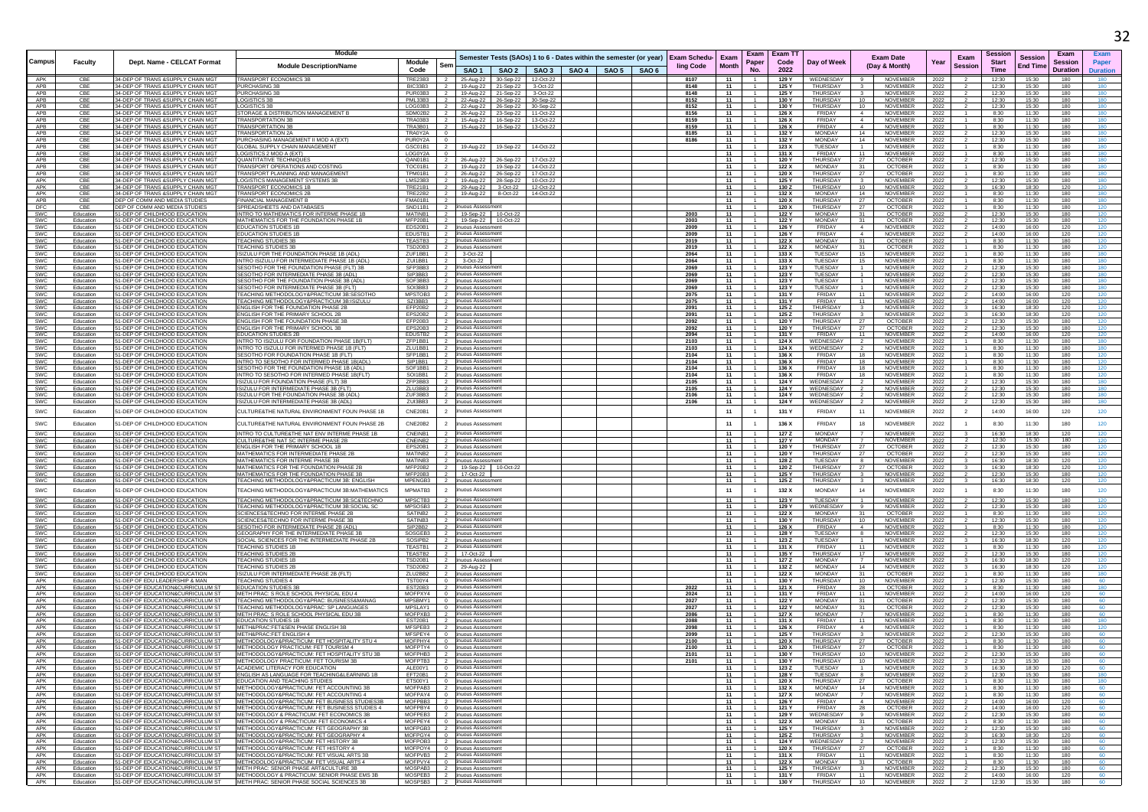|                   |                        |                                                                          | Module                                                                                         |                             |                                                      |                                                                          |                     |                               |                                                                    |                                       |              | Exam                             | <b>Exam TT</b> |                                     |                                                    |                                    |              | Sessior                                |                        | Exam            | Exam       |
|-------------------|------------------------|--------------------------------------------------------------------------|------------------------------------------------------------------------------------------------|-----------------------------|------------------------------------------------------|--------------------------------------------------------------------------|---------------------|-------------------------------|--------------------------------------------------------------------|---------------------------------------|--------------|----------------------------------|----------------|-------------------------------------|----------------------------------------------------|------------------------------------|--------------|----------------------------------------|------------------------|-----------------|------------|
| Campus            | Faculty                | Dept. Name - CELCAT Format                                               |                                                                                                | Module                      | Ser                                                  |                                                                          |                     |                               | Semester Tests (SAOs) 1 to 6 - Dates within the semester (or year) | Exam Schedu- Exam<br><b>ling Code</b> | <b>Month</b> | Paper                            | Code           | Day of Week                         |                                                    | <b>Exam Date</b><br>(Day & Month)  | Year         | Exam<br><b>Start</b><br><b>Session</b> | <b>Session</b>         | <b>Session</b>  | Paper      |
|                   |                        |                                                                          | <b>Module Description/Name</b>                                                                 | Code                        |                                                      |                                                                          |                     |                               | SAO 1   SAO 2   SAO 3   SAO 4   SAO 5   SAO 6                      |                                       |              | No.                              | 2022           |                                     |                                                    |                                    |              | <b>Time</b>                            | <b>End Time</b>        | <b>Duration</b> | Duratior   |
| APK<br>APB        | CBE                    | 34-DEP OF TRANS & SUPPLY CHAIN MGT                                       | TRANSPORT ECONOMICS 3B                                                                         | TRE23B3 2                   |                                                      |                                                                          |                     | 25-Aug-22 30-Sep-22 12-Oct-22 |                                                                    | 8107                                  | 11           |                                  | 129 Y          | WEDNESDAY                           | -9                                                 | <b>NOVEMBER</b>                    | 2022         | 12:30                                  | 15:30                  | 180             |            |
| APB               | CBE<br>CBE             | 34-DEP OF TRANS & SUPPLY CHAIN MGT<br>34-DEP OF TRANS & SUPPLY CHAIN MGT | <b>PURCHASING 3B</b><br>PURCHASING 3F                                                          | BIC33B3<br>PUR03B3          | - 2                                                  | 19-Aug-22 21-Sep-22                                                      | 19-Aug-22 21-Sep-22 | 3-Oct-22<br>3-Oct-22          |                                                                    | 8148<br>8148                          | - 11<br>11   | -1.<br>$-1$                      | 125 Y<br>125 Y | THURSDAY<br><b>THURSDAY</b>         | -3-                                                | NOVEMBER<br>NOVEMBER               | 2022<br>2022 | 12:30<br>12:30                         | 15:30<br>15:30         | 180<br>180      | 180        |
| APB               | CBE                    | 34-DEP OF TRANS & SUPPLY CHAIN MGT                                       | <b>LOGISTICS 3E</b>                                                                            | PML33B3                     |                                                      | 22-Aug-22 26-Sep-22                                                      |                     | 30-Sep-22                     |                                                                    | 8152                                  | 11           |                                  | 130 Y          | THURSDAY                            | 10                                                 | NOVEMBER                           | 2022         | 12:30                                  | 15:30                  | 180             | 180        |
| APB<br>APB        | CBE<br>CBE             | 34-DEP OF TRANS & SUPPLY CHAIN MGT<br>34-DEP OF TRANS & SUPPLY CHAIN MGT | LOGISTICS 3B<br>STORAGE & DISTRIBUTION MANAGEMENT B                                            | LOG03B3                     | $\overline{2}$                                       | 22-Aug-22 26-Sep-22 30-Sep-22<br>SDM02B2 2 26-Aug-22 23-Sep-22 11-Oct-22 |                     |                               |                                                                    | 8152<br>8156                          | 11<br>11     | $\overline{1}$                   | 130 Y<br>126 X | THURSDAY<br>FRIDAY                  | 10<br>$\overline{4}$                               | NOVEMBER<br><b>NOVEMBER</b>        | 2022<br>2022 | 12:30<br>8:30                          | 15:30<br>11:30         | 180<br>180      | 180<br>180 |
| APB               | CBE                    | 34-DEP OF TRANS & SUPPLY CHAIN MGT                                       | <b>TRANSPORTATION 3B</b>                                                                       | TRA03B3                     | $\overline{2}$                                       | 15-Aug-22 16-Sep-22                                                      |                     | 13-Oct-22                     |                                                                    | 8159                                  | 11           |                                  | 126 X          | FRIDAY                              | $\overline{4}$                                     | NOVEMBER                           | 2022         | 8:30                                   | 11:30                  | 180             | 180        |
| APB<br>APB        | CBE<br>CBE             | 34-DEP OF TRANS & SUPPLY CHAIN MG"<br>34-DEP OF TRANS & SUPPLY CHAIN MG" | <b>FRANSPORTATION 3B</b><br><b>TRANSPORTATION 2A</b>                                           | <b>TRA3B01</b><br>TRA0Y2A   | $\overline{0}$                                       | 15-Aug-22 16-Sep-22                                                      |                     | 13-Oct-22                     |                                                                    | 8159<br>8185                          | 11<br>11     | $\overline{1}$                   | 126 X<br>132 Y | <b>FRIDAY</b><br><b>MONDAY</b>      | $\overline{4}$<br>14                               | NOVEMBER<br>NOVEMBER               | 2022<br>2022 | 8:30<br>12:30                          | 11:30<br>15:30         | 180<br>180      | 180        |
| APB               | CBE                    | 34-DEP OF TRANS & SUPPLY CHAIN MGT                                       | PURCHASING MANAGEMENT II MOD A (EXT)                                                           | PUR0Y2A                     | $^{\circ}$                                           |                                                                          |                     |                               |                                                                    | 8186                                  | 11           | $-1$                             | 132 Y          | MONDAY                              | 14                                                 | <b>NOVEMBER</b>                    | 2022         | 12:30                                  | 15:30                  | 180             | 180        |
| APB               | CBE                    | 34-DEP OF TRANS & SUPPLY CHAIN MG"                                       | GLOBAL SUPPLY CHAIN MANAGEMENT                                                                 | GSC01B1                     | $\overline{2}$                                       | 19-Aug-22 19-Sep-22                                                      |                     | 14-Oct-22                     |                                                                    |                                       | 11           | $\overline{1}$<br>1              | 123 X          | TUESDAY                             | $-1$                                               | NOVEMBER                           | 2022         | 8:30                                   | 11:30                  | 180             | 180        |
| APB<br>APB        | CBE<br>CBE             | 34-DEP OF TRANS & SUPPLY CHAIN MG"<br>34-DEP OF TRANS & SUPPLY CHAIN MG  | <b>OGISTICS 2 MOD A (EXT)</b><br>QUANTITATIVE TECHNIQUE:                                       | LOGOY2A 0<br>QAN01B1        | $\overline{2}$                                       |                                                                          | 26-Aug-22 26-Sep-22 | 17-Oct-22                     |                                                                    |                                       | 11<br>- 11   | $\overline{1}$                   | 131 X<br>120 Y | <b>FRIDAY</b><br>THURSDAY           | 11<br>-27                                          | <b>NOVEMBER</b><br>OCTOBER         | 2022<br>2022 | 8:30<br>12:30                          | 11:30<br>15:30         | 180<br>180      | 180<br>180 |
| APB               | CBE                    | 34-DEP OF TRANS & SUPPLY CHAIN MGT                                       | TRANSPORT OPERATIONS AND COSTING                                                               | TOC01B1                     | $\overline{2}$                                       | 19-Aug-22 19-Sep-22                                                      |                     | 14-Oct-22                     |                                                                    |                                       | 11           | $\overline{1}$                   | 122 X          | MONDAY                              | 31                                                 | <b>OCTOBER</b>                     | 2022         | 8:30                                   | 11:30                  | 180             | 180        |
| APB<br>APK        | CBE<br>CBE             | 34-DEP OF TRANS & SUPPLY CHAIN MGT<br>34-DEP OF TRANS & SUPPLY CHAIN MG  | TRANSPORT PLANNING AND MANAGEMENT<br><b>LOGISTICS MANAGEMENT SYSTEMS 3B</b>                    | TPM01B1<br>LMS23B3          | $\frac{1}{2}$<br>$\overline{2}$                      | 26-Aug-22 26-Sep-22                                                      |                     | 17-Oct-22<br>10-Oct-22        |                                                                    |                                       | 11<br>- 11   | $-1$<br>$\overline{1}$           | 120 X<br>125 Y | <b>THURSDAY</b><br>THURSDAY         | 27<br>-3                                           | OCTOBER<br>NOVEMBER                | 2022<br>2022 | 8:30<br>12:30                          | 11:30<br>15:30         | 180<br>180      | 180<br>180 |
| APK               | CBE                    | 34-DEP OF TRANS & SUPPLY CHAIN MGT                                       | TRANSPORT FCONOMICS 1B                                                                         |                             |                                                      | 19-Aug-22 28-Sep-22<br>TRE21B1 2 29-Aug-22 3-Oct-22                      |                     | 12-Oct-22                     |                                                                    |                                       | 11           | $-1$                             | 130 Z          | <b>THURSDAY</b>                     | 10                                                 | <b>NOVEMBER</b>                    | 2022         | 16:30                                  | 18:30                  | 120             | 120        |
| APK               | CBE                    | 34-DEP OF TRANS & SUPPLY CHAIN MGT                                       | TRANSPORT ECONOMICS 2E                                                                         | TRE22B2 2                   |                                                      | 19-Aug-22 8-Oct-22 14-Oct-22                                             |                     |                               |                                                                    |                                       | 11           | $\overline{1}$                   | 132 X          | <b>MONDAY</b>                       | 14                                                 | NOVEMBER                           | 2022         | 8:30                                   | 11:30                  | 180             | 180        |
| APB<br>DFC        | CBE<br>CBE             | DEP OF COMM AND MEDIA STUDIES<br>DEP OF COMM AND MEDIA STUDIES           | INANCIAL MANAGEMENT<br>SPREADSHEETS AND DATABASES                                              | <b>FMA01B1</b><br>SND11B1   | $\overline{2}$                                       | inuous Assessment                                                        |                     |                               |                                                                    |                                       | 11<br>11     | $\overline{1}$                   | 120 X<br>120 X | THURSDAY<br>THURSDAY                | 27<br>- 27                                         | <b>OCTOBER</b><br><b>OCTOBER</b>   | 2022<br>2022 | 8:30<br>8:30                           | 11:30<br>11:30         | 180<br>180      | 120        |
| SWC               | Education              | 51-DEP OF CHILDHOOD EDUCATION                                            | INTRO TO MATHEMATICS FOR INTERME PHASE 1B                                                      | MATINB1 2                   |                                                      | 19-Sep-22 10-Oct-22                                                      |                     |                               |                                                                    | 2003                                  | 11           | $\overline{1}$                   | 122 Y          | <b>MONDAY</b>                       | 31                                                 | <b>OCTOBER</b>                     | 2022         | 12.30                                  | 15:30                  | 180             | 120        |
| SWC<br>SWC        | Education<br>Education | 51-DEP OF CHILDHOOD EDUCATION<br>51-DEP OF CHILDHOOD EDUCATION           | MATHEMATICS FOR THE FOUNDATION PHASE 1B<br><b>EDUCATION STUDIES 1B</b>                         | MFP20B1<br>EDS20B1          | $\overline{2}$<br>$\overline{2}$                     | 19-Sep-22 10-Oct-22<br>inuous Assessment                                 |                     |                               |                                                                    | 2003<br>2009                          | 11<br>11     | $\overline{1}$                   | 122 Y<br>126 Y | <b>MONDAY</b><br>FRIDAY             | 31<br>$\sim$                                       | <b>OCTOBER</b><br>NOVEMBER         | 2022<br>2022 | 12:30<br>14:00                         | 15:30<br>16:00         | 180<br>120      | 120<br>120 |
| SWC               | Education              | 51-DEP OF CHILDHOOD EDUCATION                                            | <b>EDUCATION STUDIES 1B</b>                                                                    | EDUSTB1 2                   |                                                      | inuous Assessment                                                        |                     |                               |                                                                    | 2009                                  | 11           |                                  | 126 Y          | FRIDAY                              | $\sim$ 4                                           | NOVEMBER                           | 2022         | 14:00                                  | 16:00                  | 120             | 120        |
| SWC<br>SWC        | Education              | 51-DEP OF CHILDHOOD EDUCATION<br>51-DEP OF CHILDHOOD EDUCATION           | <b>EACHING STUDIES 3B</b><br><b>TEACHING STUDIES 3B</b>                                        | <b>TEASTB3</b><br>TSD20B3 2 |                                                      | uous Assessmen<br>inuous Assessmen                                       |                     |                               |                                                                    | 2019<br>2019                          | 11<br>11     |                                  | 122 X<br>122 X | <b>MONDAY</b><br><b>MONDAY</b>      | 31<br>31                                           | <b>OCTOBER</b><br><b>OCTOBER</b>   | 2022<br>2022 | 8:30                                   | 11:30<br>11:30         | 180<br>180      | 120        |
| SWC               | Education<br>Education | 51-DEP OF CHILDHOOD EDUCATION                                            | ISIZULU FOR THE FOUNDATION PHASE 1B (ADL)                                                      | ZUF1BB1 2                   |                                                      | 3-Oct-22                                                                 |                     |                               |                                                                    | 2064                                  | 11           | $\overline{1}$                   | 133 X          | TUESDAY                             | 15                                                 | NOVEMBER                           | 2022         | 8:30<br>8:30                           | 11:30                  | 180             | 180        |
| SWC               | Education              | 51-DEP OF CHILDHOOD EDUCATION                                            | INTRO ISIZULU FOR INTERMEDIATE PHASE 1B (ADL                                                   | ZUI1BB1                     | $\overline{2}$                                       | 3-Oct-22                                                                 |                     |                               |                                                                    | 2064                                  | 11           | $\overline{1}$                   | 133 X          | TUESDAY                             | 15                                                 | <b>NOVEMBER</b>                    | 2022         | 8:30                                   | 11:30                  | 180             | 180        |
| SWC<br>SWC        | Education<br>Education | 51-DEP OF CHILDHOOD EDUCATION<br>51-DEP OF CHILDHOOD EDUCATION           | SESOTHO FOR THE FOUNDATION PHASE (FLT) 3B<br>SESOTHO FOR INTERMEDIATE PHASE 3B (ADL            | SFP3BB3<br>SIP3BB3 I        | $\overline{\phantom{0}}$<br>$\overline{\phantom{0}}$ | inuous Assessmer<br>inuous Assessment                                    |                     |                               |                                                                    | 2069<br>2069                          | 11<br>- 11   | $\overline{1}$                   | 123 Y<br>123 Y | TUESDAY<br>TUESDAY                  |                                                    | NOVEMBER<br>NOVEMBER               | 2022<br>2022 | 12:30<br>12:30                         | 15:30<br>15:30         | 180<br>180      | 180        |
| SWC               | Education              | 51-DEP OF CHILDHOOD EDUCATION                                            | SESOTHO FOR THE FOUNDATION PHASE 3B (ADL                                                       | SOF3BB3                     | $\overline{2}$                                       | tinuous Assessment                                                       |                     |                               |                                                                    | 2069                                  | 11           | $\overline{1}$                   | 123 Y          | TUESDAY                             | $\overline{1}$                                     | NOVEMBER                           | 2022         | 12:30                                  | 15:30                  | 180             | 180        |
| SWC               | Education              | 51-DEP OF CHILDHOOD EDUCATION                                            | SESOTHO FOR INTERMEDIATE PHASE 3B (FLT)                                                        | SOI3BB3 2<br>MPSTOB3        | $\overline{2}$                                       | inuous Assessment<br>uous Assessmer                                      |                     |                               |                                                                    | 2069                                  | 11<br>11     | $\overline{1}$                   | 123 Y          | TUESDAY<br><b>FRIDAY</b>            | $-1$                                               | NOVEMBER<br><b>NOVEMBER</b>        | 2022         | 12:30                                  | 15:30                  | 180<br>120      | 180        |
| SWC<br>SWC        | Education<br>Education | 51-DEP OF CHILDHOOD EDUCATION<br>51-DEP OF CHILDHOOD EDUCATION           | TEACHING METHODOLOGY&PRACTICUM 3B:SESOTHO<br>TEACHING METHODOLOGY&PRACTICUM 3B:ISIZULU         | SZI3BB3 2                   |                                                      | tinuous Assessmen                                                        |                     |                               |                                                                    | 2075<br>2075                          | 11           | $\overline{1}$                   | 131 Y<br>131 Y | FRIDAY                              | 11<br>- 11                                         | NOVEMBER                           | 2022<br>2022 | 14:00<br>14:00                         | 16:00<br>16:00         | 120             | 120<br>120 |
| SWC               | Education              | 51-DEP OF CHILDHOOD EDUCATION                                            | ENGLISH FOR THE FOUNDATION PHASE 2B                                                            | EFP20B2 2                   |                                                      | uous Assessmen                                                           |                     |                               |                                                                    | 2091                                  | 11           | $\overline{1}$                   | 125 Z          | THURSDAY                            | $\overline{\mathbf{3}}$                            | NOVEMBER                           | 2022         | 16:30                                  | 18:30                  | 120             | 120        |
| SWC<br>SWC        | Education<br>Education | 51-DEP OF CHILDHOOD EDUCATION<br>51-DEP OF CHILDHOOD EDUCATION           | ENGLISH FOR THE PRIMARY SCHOOL 2B<br><b>ENGLISH FOR THE FOUNDATION PHASE 3F</b>                | EPS20B2<br>EFP20B3 2        | $\overline{2}$                                       | inuous Assessment                                                        |                     |                               |                                                                    | 2091<br>2092                          | 11<br>11     | $-1$                             | 125 Z<br>120 Y | THURSDAY<br>THURSDAY                | 27                                                 | NOVEMBER<br>OCTOBER                | 2022<br>2022 | 16:30<br>12:30                         | 18:30<br>15:30         | 120<br>180      | 120<br>120 |
| SWC               | Education              | 51-DEP OF CHILDHOOD EDUCATION                                            | ENGLISH FOR THE PRIMARY SCHOOL 3B                                                              | EPS20B3 2                   |                                                      | tinuous Assessmen<br>inuous Assessment                                   |                     |                               |                                                                    | 2092                                  | 11           | $\overline{1}$                   | 120 Y          | THURSDAY                            | 27                                                 | <b>OCTOBER</b>                     | 2022         | 12:30                                  | 15:30                  | 180             | 120        |
| SWC               | Education              | 51-DEP OF CHILDHOOD EDUCATION                                            | <b>EDUCATION STUDIES 2B</b>                                                                    | EDUSTB2                     | $\overline{2}$                                       | inuous Assessment                                                        |                     |                               |                                                                    | 2094                                  | 11           | $\overline{1}$                   | 131 Y          | FRIDAY                              | 11                                                 | NOVEMBER                           | 2022         | 14:00                                  | 16:00                  | 120             | 120        |
| SWC<br>SWC        | Education<br>Education | 51-DEP OF CHILDHOOD EDUCATION<br>51-DEP OF CHILDHOOD EDUCATION           | INTRO TO ISIZULU FOR FOUNDATION PHASE 1B(FLT)<br>INTRO TO ISIZULU FOR INTERMED PHASE 1B (FLT)  | $ZFP1BB1$ 2<br>ZLU1BB1      | - 2                                                  | uous Assessmen<br>uous Assessmen                                         |                     |                               |                                                                    | 2103<br>2103                          | 11<br>- 11   |                                  | 124 X<br>124 X | WEDNESDAY<br>WEDNESDAY              |                                                    | <b>NOVEMBER</b><br><b>NOVEMBER</b> | 2022<br>2022 | 8:30<br>8:30                           | 11:30<br>11:30         | 180<br>180      | 180        |
| SWC               | Education              | 51-DEP OF CHILDHOOD EDUCATION                                            | SESOTHO FOR FOUNDATION PHASE 1B (FLT)                                                          | SFP1BB1 2                   |                                                      | inuous Assessment                                                        |                     |                               |                                                                    | 2104                                  | 11           | $\overline{1}$                   | 136 X          | FRIDAY                              | 18                                                 | <b>NOVEMBER</b>                    | 2022         | 8:30                                   | 11:30                  | 180             | 120        |
| SWC               | Education              | 51-DEP OF CHILDHOOD EDUCATION                                            | INTRO TO SESOTHO FOR INTERMED PHASE 1B(ADL)                                                    | SIP1BB1 2                   |                                                      | tinuous Assessmen                                                        |                     |                               |                                                                    | 2104                                  | 11           | $-1$                             | 136 X          | FRIDAY                              | 18                                                 | NOVEMBER                           | 2022         | 8:30                                   | 11:30                  | 180             | 120        |
| SWC<br>SWC        | Education<br>Education | 1-DEP OF CHILDHOOD EDUCATION<br>51-DEP OF CHILDHOOD EDUCATION            | <b>ESOTHO FOR THE FOUNDATION PHASE 1B (ADI)</b><br>INTRO TO SESOTHO FOR INTERMED PHASE 1B(FLT  | SOF1BB1<br>SOI1BB1          | $\overline{2}$<br>$\overline{2}$                     | nuous Assessmen<br>inuous Assessment                                     |                     |                               |                                                                    | 2104<br>2104                          | 11<br>11     | $\overline{1}$                   | 136 X<br>136 X | <b>FRIDAY</b><br>FRIDAY             | 18<br>- 18                                         | <b>NOVEMBER</b><br>NOVEMBER        | 2022<br>2022 | 8:30<br>8:30                           | 11:30<br>11:30         | 180<br>180      | 120        |
| SWC               | Education              | 51-DEP OF CHILDHOOD EDUCATION                                            | ISIZULU FOR FOUNDATION PHASE (FLT) 3B                                                          | ZFP3BB3 2                   |                                                      | inuous Assessment                                                        |                     |                               |                                                                    | 2105                                  | 11           | $\overline{1}$                   | 124 Y          | WEDNESDAY                           | $\overline{2}$                                     | NOVEMBER                           | 2022         | 12:30                                  | 15:30                  | 180             | 180        |
| SWC               | Education              | 51-DEP OF CHILDHOOD EDUCATION                                            | ISIZULU FOR INTERMEDIATE PHASE 3B (FLT)                                                        | ZLU3BB3                     | $\overline{2}$                                       | uous Assessmen                                                           |                     |                               |                                                                    | 2105                                  | 11           |                                  | 124 Y          | WEDNESDAY                           |                                                    | NOVEMBER                           | 2022         | 12:30                                  | 15:30                  | 180             | 180        |
| SWC<br>SWC        | Education<br>Education | 51-DEP OF CHILDHOOD EDUCATION<br>51-DEP OF CHILDHOOD EDUCATION           | ISIZULU FOR THE FOUNDATION PHASE 3B (ADL)<br>ISIZULU FOR INTERMEDIATE PHASE 3B (ADL)           |                             |                                                      | ZUF3BB3 2 tinuous Assessment<br>ZUI3BB3 2 tinuous Assessment             |                     |                               |                                                                    | 2106<br>2106                          | 11<br>11     | $\overline{1}$<br>1              | 124 Y<br>124 Y | WEDNESDAY<br>WEDNESDAY              | $\overline{2}$<br>$\overline{2}$                   | NOVEMBER<br>NOVEMBER               | 2022<br>2022 | 12:30<br>12:30                         | 15:30<br>15:30         | 180<br>180      | 180<br>180 |
| SWC               | Education              | 51-DEP OF CHILDHOOD EDUCATION                                            | CULTURE&THE NATURAL ENVIRONMENT FOUN PHASE 18                                                  | CNE20B1                     | $\overline{2}$                                       | inuous Assessmen                                                         |                     |                               |                                                                    |                                       | 11           | $\overline{1}$                   | 131 Y          | FRIDAY                              | 11                                                 | <b>NOVEMBER</b>                    | 2022         | 14:00<br>$\overline{2}$                | 16:00                  | 120             | 120        |
|                   |                        |                                                                          |                                                                                                |                             |                                                      |                                                                          |                     |                               |                                                                    |                                       |              |                                  |                |                                     |                                                    |                                    |              |                                        |                        |                 |            |
| SWC               | Education              | 51-DEP OF CHILDHOOD EDUCATION                                            | CULTURE&THE NATURAL ENVIRONMENT FOUN PHASE 2E                                                  | CNE20B2                     | $\overline{2}$                                       | nuous Assessment                                                         |                     |                               |                                                                    |                                       | 11           |                                  | 136 X          | <b>FRIDAY</b>                       |                                                    | NOVEMBER                           | 2022         | 8:30                                   | 11:30                  | 180             | 120        |
| SWC               | Education              | 51-DEP OF CHILDHOOD EDUCATION                                            | INTRO TO CULTURE&THE NAT ENV INTERME PHASE 1B                                                  | CNEINB1                     | $\overline{2}$                                       | inuous Assessment                                                        |                     |                               |                                                                    |                                       | 11           | - 1                              | 127 Z          | MONDAY                              |                                                    | NOVEMBER                           | 2022         | 16:30                                  | 18:30                  | 120             | 120        |
| SWC<br>SWC        | Education<br>Education | 51-DEP OF CHILDHOOD EDUCATION<br>51-DEP OF CHILDHOOD EDUCATION           | CULTURE&THE NAT SC INTERME PHASE 2B<br>ENGLISH FOR THE PRIMARY SCHOOL 1B                       | CNEINB2<br>EPS20B1 2        | $\overline{2}$                                       | inuous Assessment<br>inuous Assessment                                   |                     |                               |                                                                    |                                       | 11<br>11     | $\overline{1}$<br>$\overline{1}$ | 127 Y<br>120 Y | MONDAY<br>THURSDAY                  | 7<br>27                                            | <b>NOVEMBER</b><br><b>OCTOBER</b>  | 2022<br>2022 | 12:30<br>12:30                         | 15:30<br>15:30         | 180<br>180      | 120<br>120 |
| SWC               | Education              | 51-DEP OF CHILDHOOD EDUCATION                                            | MATHEMATICS FOR INTERMEDIATE PHASE 2B                                                          | MATINB2                     | $\overline{2}$                                       | uous Assessmen                                                           |                     |                               |                                                                    |                                       | 11           | $\overline{1}$                   | 120 Y          | THURSDAY                            | 27                                                 | <b>OCTOBER</b>                     | 2022         | 12:30                                  | 15:30                  | 180             | 120        |
| SWC               | Education              | 51-DEP OF CHILDHOOD EDUCATION                                            | MATHEMATICS FOR INTERME PHASE 3B                                                               |                             |                                                      | MATINB3 2 tinuous Assessment                                             |                     |                               |                                                                    |                                       | 11           | $\overline{1}$                   | 128 Z          | TUESDAY                             | -8                                                 | NOVEMBER                           | 2022         | 16:30                                  | 18:30                  | 120             | 120        |
| SWC<br>SWC        | Education<br>Education | 51-DEP OF CHILDHOOD EDUCATION<br>51-DEP OF CHILDHOOD EDUCATION           | MATHEMATICS FOR THE FOUNDATION PHASE 2E<br>MATHEMATICS FOR THE FOUNDATION PHASE 3E             | MFP20B2 2<br>MFP20B3        | $\overline{2}$                                       | 19-Sep-22 10-Oct-22<br>17-Oct-22                                         |                     |                               |                                                                    |                                       | 11<br>11     | $\overline{1}$<br>$\overline{1}$ | 120 Z<br>125 ነ | THURSDAY<br>THURSDAY                | 27                                                 | <b>OCTOBER</b><br>NOVEMBER         | 2022<br>2022 | 16:30<br>12:30                         | 18:30<br>15:30         | 120<br>180      | 120<br>120 |
| SWC               | Education              | 51-DEP OF CHILDHOOD EDUCATION                                            | TEACHING METHODOLOGY&PRACTICUM 3B: ENGLISH                                                     | MPENGB3 2                   |                                                      | tinuous Assessmen                                                        |                     |                               |                                                                    |                                       | 11           | $\overline{1}$                   | 125 Z          | THURSDAY                            | $\overline{\mathbf{3}}$                            | NOVEMBER                           | 2022         | 16:30                                  | 18:30                  | 120             | 120        |
| SWC               | Education              | 51-DEP OF CHILDHOOD EDUCATION                                            | <b>FEACHING METHODOLOGY&amp;PRACTICUM 3B:MATHEMATICS</b>                                       | MPMATB3                     | $\overline{2}$                                       | nuous Assessmen                                                          |                     |                               |                                                                    |                                       | 11           |                                  | 132 X          | <b>MONDAY</b>                       |                                                    | NOVEMBER                           | 2022         | 8:30                                   | 11:30                  | 180             | 120        |
| SWC               | Education              | 51-DEP OF CHILDHOOD EDUCATION                                            | TEACHING METHODOLOGY&PRACTICUM 3B:SC&TECHNO                                                    | MPSCTB3 2                   |                                                      | inuous Assessment                                                        |                     |                               |                                                                    |                                       | 11           | $\overline{1}$                   | 123 Y          | TUESDAY                             | $\sim$                                             | <b>NOVEMBER</b>                    | 2022         | 12.30                                  | 15:30                  | 180             | 120        |
| <b>SWC</b><br>SWC | Education<br>Education | 51-DEP OF CHILDHOOD EDUCATION<br>51-DEP OF CHILDHOOD EDUCATION           | <b>FEACHING METHODOLOGY&amp;PRACTICUM 3B:SOCIAL SC</b><br>SCIENCES&TECHNO FOR INTERME PHASE 2B | MPSOSB3<br>SATINB2          | $\overline{2}$                                       | nuous Assessmen<br>tinuous Assessment                                    |                     |                               |                                                                    |                                       | 11<br>11     | $\overline{1}$                   | 129 Y<br>122 X | WEDNESDAY<br><b>MONDAY</b>          | - 31                                               | NOVEMBER<br><b>OCTOBER</b>         | 2022<br>2022 | 12:30<br>8:30                          | 15:30<br>11:30         | 180<br>180      | 120        |
| SWC               | Education              | 51-DEP OF CHILDHOOD EDUCATION                                            | SCIENCES&TECHNO FOR INTERME PHASE 3B                                                           | SATINB3 2                   |                                                      | inuous Assessment                                                        |                     |                               |                                                                    |                                       | 11           | $\overline{1}$                   | 130 Y          | THURSDAY                            | 10                                                 | <b>NOVEMBER</b>                    | 2022         | 12:30                                  | 15:30                  | 180             | 120        |
| SWC               | Education              | 51-DEP OF CHILDHOOD EDUCATION                                            | SESOTHO FOR INTERMEDIATE PHASE 2B (ADL                                                         | SIP2BB2                     | $\overline{2}$                                       | inuous Assessment                                                        |                     |                               |                                                                    |                                       | 11           | $\overline{1}$                   | 126 X          | FRIDAY                              | $\overline{4}$                                     | NOVEMBER                           | 2022         | 8:30                                   | 11:30                  | 180             | 120        |
| SWC<br><b>SWC</b> | Education<br>Education | 51-DEP OF CHILDHOOD EDUCATION<br>51-DEP OF CHILDHOOD EDUCATION           | GEOGRAPHY FOR THE INTERMEDIATE PHASE 3E<br>SOCIAL SCIENCES FOR THE INTERMEDIATE PHASE 2B       | SOSGEB3 2<br>SOSIPB2 2      |                                                      | tinuous Assessmen<br>inuous Assessment                                   |                     |                               |                                                                    |                                       | 11<br>11     | $-1$<br>$\overline{1}$           | 128 Y<br>123 Z | TUESDAY<br>TUESDAY                  | 8<br>$\overline{1}$                                | <b>NOVEMBER</b><br>NOVEMBER        | 2022<br>2022 | 12:30<br>16:30                         | 15:30<br>18:30         | 180<br>120      | 120<br>120 |
| SWC               | Education              | 51-DEP OF CHILDHOOD EDUCATION                                            | <b>FEACHING STUDIES 1B</b>                                                                     | TEASTB1                     | $\overline{2}$                                       | inuous Assessment                                                        |                     |                               |                                                                    |                                       | 11           | $\overline{1}$                   | 131 X          | <b>FRIDAY</b>                       | -11                                                | NOVEMBER                           | 2022         | 8:30                                   | 11:30                  | 180             |            |
| SWC<br>SWC        | Education<br>Education | 51-DEP OF CHILDHOOD EDUCATION<br>51-DEP OF CHILDHOOD EDUCATION           | <b><i>FEACHING STUDIES 21</i></b><br><b>TEACHING STUDIES 1B</b>                                | TEASTB2 2<br>TSD20B1        | $\overline{2}$                                       | 17-Oct-22<br>inuous Assessmer                                            |                     |                               |                                                                    |                                       | 11<br>11     | $\overline{1}$                   | 135 Y<br>127 Z | <b>THURSDAY</b><br><b>MONDAY</b>    | 17<br>$\overline{7}$                               | NOVEMBER<br>NOVEMBER               | 2022<br>2022 | 12:30<br>16:30                         | 15:30<br>18:30         | 180<br>120      | 120<br>120 |
| SWC               | Education              | 51-DEP OF CHILDHOOD EDUCATION                                            | TEACHING STUDIES 2B                                                                            | TSD20B2 2                   |                                                      | 29-Aug-22                                                                |                     |                               |                                                                    |                                       | - 11         | $\overline{1}$                   | 132 Z          | <b>MONDAY</b>                       | 14                                                 | NOVEMBER                           | 2022         | 16:30                                  | 18:30                  | 120             | 120        |
| SWC               | Education              | 51-DEP OF CHILDHOOD EDUCATION                                            | ISIZULU FOR INTERMEDIATE PHASE 2B (FLT)                                                        | $ZLU2BB2$ 2                 |                                                      | inuous Assessmen                                                         |                     |                               |                                                                    |                                       | 11           |                                  | 122 X          | MONDAY                              | 31                                                 | <b>OCTOBER</b>                     | 2022         | 8:30                                   | 11:30                  | 180             | 180        |
| APK<br>APK        | Education<br>Education | 51-DEP OF EDU LEADERSHIP & MAN<br>51-DEP OF EDUCATION&CURRICULUM S       | <b>FEACHING STUDIES 4</b><br><b>EDUCATION STUDIES 3I</b>                                       | TST00Y4<br>EST20B3          | $\overline{0}$<br>$\overline{2}$                     | uous Assessmen<br>inuous Assessmen                                       |                     |                               |                                                                    | 2022                                  | 11<br>11     | $\overline{1}$                   | 130 \<br>121 X | <b>THURSDAY</b><br>FRIDAY           | 10<br>- 28                                         | NOVEMBER<br>OCTOBER                | 2022<br>2022 | 12:30<br>8:30                          | 15:30<br>11:30         | 180<br>180      | 180        |
| APK               | Education              | 51-DEP OF EDUCATION&CURRICULUM ST                                        | METH PRAC: S ROLE SCHOOL PHYSICAL EDU 4                                                        | MOFPXY4 0                   |                                                      | inuous Assessment                                                        |                     |                               |                                                                    | 2024                                  | 11           | $\overline{1}$                   | 131 Y          | FRIDAY                              | 11                                                 | <b>NOVEMBER</b>                    | 2022         | 14:00                                  | 16:00                  | 120             | 60         |
| APK               | Education              | 51-DEP OF EDUCATION&CURRICULUM ST<br>51-DEP OF EDUCATION&CURRICULUM ST   | TEACHING METHODOLOGY&PRAC: BUSINESS&MANAG<br>TEACHING METHODOLOGY&PRAC: SP LANGUAGES           | MPSBMY1 0                   |                                                      | inuous Assessment                                                        |                     |                               |                                                                    | 2027                                  | 11           | $\overline{1}$<br>1              | 122 Y<br>122 Y | <b>MONDAY</b><br><b>MONDAY</b>      | 31                                                 | <b>OCTOBER</b><br>OCTOBER          | 2022         | 12:30                                  | 15:30<br>15:30         | 180<br>180      | 60<br>60   |
| APK<br>APK        | Education<br>Education | 51-DEP OF EDUCATION&CURRICULUM S                                         | METH PRAC: S ROLE SCHOOL PHYSICAL EDU 3B                                                       | MPSLAY1 0<br>MOFPXB3        | $\overline{2}$                                       | tinuous Assessmen<br>inuous Assessmen                                    |                     |                               |                                                                    | 2027<br>2086                          | 11<br>- 11   |                                  | 127 X          | <b>MONDAY</b>                       | 31                                                 | <b>NOVEMBER</b>                    | 2022<br>2022 | 12:30<br>8:30                          | 11:30                  | 180             |            |
| APK               | Education              | 51-DEP OF EDUCATION&CURRICULUM ST                                        | <b>EDUCATION STUDIES 1B</b>                                                                    | EST20B1 2                   |                                                      | inuous Assessment                                                        |                     |                               |                                                                    | 2088                                  | 11           | $\overline{1}$                   | 131 X          | FRIDAY                              | -11                                                | NOVEMBER                           | 2022         | 8:30                                   | 11:30                  | 180             | 180        |
| APK<br>APK        | Education<br>Education | 51-DEP OF EDUCATION&CURRICULUM ST<br>51-DEP OF EDUCATION&CURRICULUM ST   | METH&PRAC:FET&SEN PHASE ENGLISH 3B<br>METH&PRAC:FET ENGLISH 4                                  | MFSPEB3 2<br>MESPEY4 0      |                                                      | inuous Assessmen<br>inuous Assessmen                                     |                     |                               |                                                                    | 2098<br>2099                          | 11<br>- 11   | - 1 -                            | 126 X<br>125 Y | FRIDAY<br>THURSDAY                  | $\overline{4}$<br>- 3                              | <b>NOVEMBER</b><br>NOVEMBER        | 2022<br>2022 | 8:30<br>12:30                          | 11:30<br>15:30         | 180<br>180      | 120<br>60  |
| APK               | Education              | 51-DEP OF EDUCATION&CURRICULUM ST                                        | METHODOLOGY&PRACTICUM: FET HOSPITALITY STU 4                                                   |                             |                                                      | MOFPHY4 0 linuous Assessment                                             |                     |                               |                                                                    | 2100                                  | 11           | $-1$                             | 120 X          | <b>THURSDAY</b>                     | 27                                                 | OCTOBER                            | 2022         | 8:30                                   | 11:30                  | 180             | 60         |
| APK               | Education              | 51-DEP OF EDUCATION&CURRICULUM ST                                        | METHODOLOGY PRACTICUM: FET TOURISM 4                                                           |                             |                                                      | MOFPTY4 0 inuous Assessment                                              |                     |                               |                                                                    | 2100                                  | 11           | 1                                | 120 X          | THURSDAY                            | 27                                                 | <b>OCTOBER</b>                     | 2022         | 8:30                                   | 11:30                  | 180             |            |
| APK<br>APK        | Education<br>Education | 51-DEP OF EDUCATION&CURRICULUM ST<br>51-DEP OF EDUCATION&CURRICULUM ST   | METHODOLOGY&PRACTICUM: FET HOSPITALITY STU 3B<br>METHODOLOGY PRACTICUM: FET TOURISM 3B         |                             |                                                      | MOFPHB3 2 inuous Assessment<br>MOFPTB3 2 inuous Assessment               |                     |                               |                                                                    | 2101<br>2101                          | 11<br>- 11   | $-1$                             | 130 Y<br>130Y  | THURSDAY<br>THURSDAY                | 10<br>10                                           | NOVEMBER<br><b>NOVEMBER</b>        | 2022<br>2022 | 12:30<br>12:30                         | 15:30<br>15:30         | 180<br>180      | -60        |
| APK               | Education              | 51-DEP OF EDUCATION&CURRICULUM ST                                        | ACADEMIC LITERACY FOR EDUCATION                                                                |                             |                                                      | ALE00Y1 0 inuous Assessment                                              |                     |                               |                                                                    |                                       | 11           | $-1$                             | 123Z           | TUESDAY                             | $-1$                                               | NOVEMBER                           | 2022         | 16:30<br>$\mathbf{3}$                  | 18:30                  | 120             | 60         |
| APK               | Education              | 51-DEP OF EDUCATION&CURRICULUM ST                                        | ENGLISH AS LANGUAGE FOR TEACHING&LEARNING 1B                                                   | EFT20B1 2                   |                                                      | inuous Assessment                                                        |                     |                               |                                                                    |                                       | 11           | $\overline{1}$<br>$-1$           | 128 Y          | TUESDAY                             | 8                                                  | NOVEMBER                           | 2022         | 12:30                                  | 15:30                  | 180             | 180        |
| APK<br>APK        | Education<br>Education | 51-DEP OF EDUCATION&CURRICULUM ST<br>51-DEP OF EDUCATION&CURRICULUM ST   | EDUCATION AND TEACHING STUDIES<br>METHODOLOGY&PRACTICUM: FET ACCOUNTING 3B                     |                             |                                                      | ETS00Y1 0 inuous Assessment<br>MOFPAB3 2 inuous Assessment               |                     |                               |                                                                    |                                       | 11<br>11     | $\sim$ 1                         | 120 X<br>132 X | THURSDAY<br>MONDAY                  | 27<br>14                                           | <b>OCTOBER</b><br><b>NOVEMBER</b>  | 2022<br>2022 | 8:30<br>8:30                           | 11:30<br>11:30         | 180<br>180      | 180<br>60  |
| APK               | Education              | 51-DEP OF EDUCATION&CURRICULUM ST                                        | METHODOLOGY&PRACTICUM: FET ACCOUNTING 4                                                        | MOFPAY4 0                   |                                                      | tinuous Assessment                                                       |                     |                               |                                                                    |                                       | 11           | $1 -$                            | 127 X          | MONDAY                              |                                                    | NOVEMBER                           | 2022         | 8:30                                   | 11:30                  | 180             |            |
| APK<br>APK        | Education<br>Education | 51-DEP OF EDUCATION&CURRICULUM ST<br>51-DEP OF EDUCATION&CURRICULUM ST   | METHODOLOGY&PRACTICUM: FET BUSINESS STUDIES3B<br>METHODOLOGY&PRACTICUM: FET BUSINESS STUDIES 4 |                             |                                                      | MOFPBB3 2 inuous Assessment<br>MOFPBY4 0 tinuous Assessment              |                     |                               |                                                                    |                                       | 11 1         | $11 \t11$<br>$\blacksquare$      | 126 Y<br>121 Y | FRIDAY<br>FRIDAY                    | $\overline{4}$<br>- 28                             | <b>NOVEMBER</b><br><b>OCTOBER</b>  | 2022<br>2022 | 14:00<br>14:00                         | 16:00<br>16:00         | 120<br>120      | 60<br>60   |
| APK               | Education              | 51-DEP OF EDUCATION&CURRICULUM ST                                        | METHODOLOGY & PRACTICUM: FET ECONOMICS 3B                                                      |                             |                                                      | MOFPEB3 2 inuous Assessment                                              |                     |                               |                                                                    |                                       | 11           | $\sim$ 1                         | 129 Y          | WEDNESDAY                           | 9 <sup>1</sup>                                     | <b>NOVEMBER</b>                    | 2022         | 12:30                                  | 15:30                  | 180             | 60         |
| APK               | Education              | 51-DEP OF EDUCATION&CURRICULUM ST                                        | METHODOLOGY & PRACTICUM: FET ECONOMICS 4                                                       |                             |                                                      | MOFPEY4 0 inuous Assessment                                              |                     |                               |                                                                    |                                       | 11           | $-1$                             | 122 X          | MONDAY                              | 31                                                 | <b>OCTOBER</b>                     | 2022         | 8:30                                   | 11:30                  | 180             | 60         |
| APK<br>APK        | Education<br>Education | 51-DEP OF EDUCATION&CURRICULUM ST<br>51-DEP OF EDUCATION&CURRICULUM ST   | METHODOLOGY&PRACTICUM: FET GEOGRAPHY 3B<br>METHODOLOGY&PRACTICUM: FET GEOGRAPHY 4              |                             |                                                      | MOFPGB3 2 tinuous Assessment<br>MOFPGY4 0 tinuous Assessment             |                     |                               |                                                                    |                                       | 11 1<br>11   | $\sim$ 1<br>$-1$                 | 125 Y<br>125 Z | THURSDAY<br>THURSDAY                | $\overline{\mathbf{3}}$<br>$\overline{\mathbf{3}}$ | <b>NOVEMBER</b><br>NOVEMBER        | 2022<br>2022 | 12:30<br>16:30                         | 15:30<br>18:30         | 180<br>120      | 60<br>60   |
| APK               | Education              | 51-DEP OF EDUCATION&CURRICULUM ST                                        | METHODOLOGY&PRACTICUM: FET HISTORY 3B                                                          |                             |                                                      | MOFPOB3 2 inuous Assessment                                              |                     |                               |                                                                    |                                       |              | 11 1 1 124 Y                     |                | WEDNESDAY                           | $\overline{2}$                                     | NOVEMBER                           | 2022         | 12:30                                  | 15:30                  | 180             | 60         |
| APK               | Education              | 51-DEP OF EDUCATION&CURRICULUM ST                                        | METHODOLOGY&PRACTICUM: FFT HISTORY 4<br>METHODOLOGY&PRACTICUM: FFT VISUAL ARTS 3P              | MOFPOY4                     | $\overline{0}$                                       | tinuous Assessment                                                       |                     |                               |                                                                    |                                       | 11           | 1<br>$-1$                        | 120 X          | THURSDAY                            | 27                                                 | OCTOBER                            | 2022         | 8:30                                   | 11:30                  | 180             | 60         |
| APK<br>APK        | Education<br>Education | 51-DEP OF EDUCATION&CURRICULUM ST<br>51-DEP OF EDUCATION&CURRICULUM ST   | METHODOLOGY&PRACTICUM: FET VISUAL ARTS 4                                                       |                             |                                                      | MOFPVB3 2 inuous Assessment<br>MOFPVY4 0 inuous Assessment               |                     |                               |                                                                    |                                       | 11  <br>11   | $\mathbf{1}$                     | 131 X<br>122 X | FRIDAY<br><b>MONDAY</b>             | - 11<br>31                                         | <b>NOVEMBER</b><br><b>OCTOBER</b>  | 2022<br>2022 | 8:30<br>8:30                           | 11:30<br>11:30         | 180<br>180      | 60<br>60   |
| APK               | Education              | 51-DEP OF EDUCATION&CURRICULUM ST                                        | METH PRAC: SENIOR PHASE ART&CULTURE 3B                                                         |                             |                                                      | MOSPAB3 2 inuous Assessment                                              |                     |                               |                                                                    |                                       | 11           | 1                                | 125 Y          | THURSDAY                            | $\overline{\mathbf{3}}$                            | NOVEMBER                           | 2022         | 12:30                                  | 15:30                  | 180             | 60         |
| APK<br>APK        | Education<br>Education | 51-DEP OF EDUCATION&CURRICULUM ST<br>51-DEP OF EDUCATION&CURRICULUM ST   | METHODOLOGY & PRACTICUM: SENIOR PHASE EMS 3B<br>METH PRAC: SENIOR PHASE SOCIAL SCIENCES 3B     |                             |                                                      | MOSPEB3 2 inuous Assessment<br>MOSPSB3 2 tinuous Assessment              |                     |                               |                                                                    |                                       |              | 11 $1 \t 1 \t 131Y$              |                | FRIDAY<br>11   1   130 Y   THURSDAY | 11<br>10                                           | NOVEMBER<br>NOVEMBER               | 2022<br>2022 | 14:00                                  | 16:00<br>$12:30$ 15:30 | 120<br>180      | 60         |